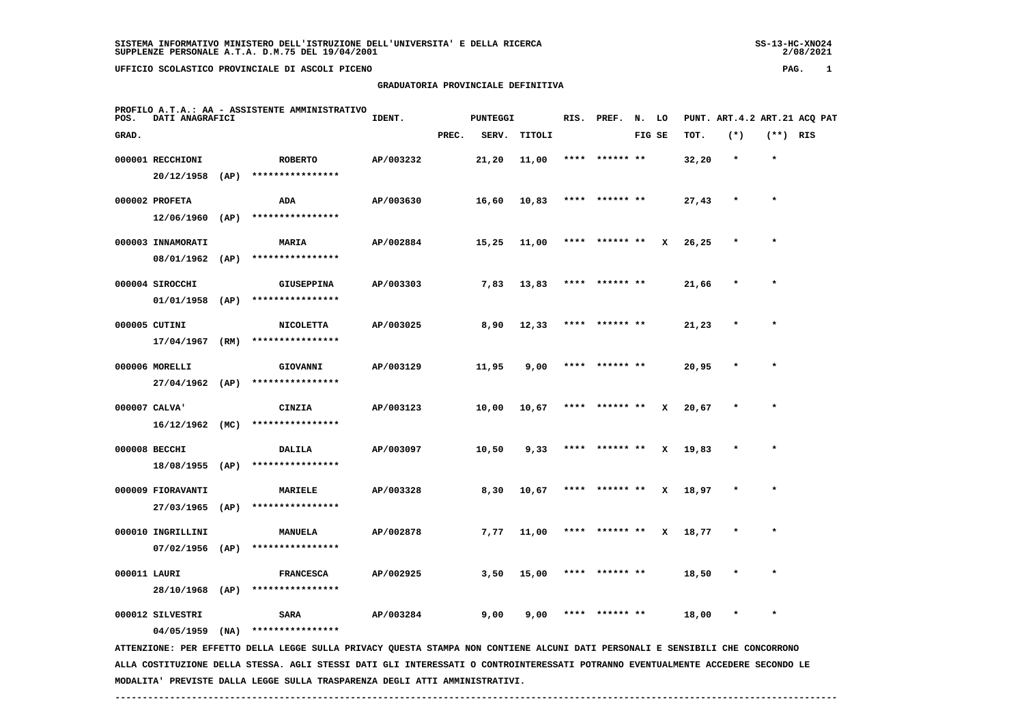# **GRADUATORIA PROVINCIALE DEFINITIVA**

| POS.  | DATI ANAGRAFICI                    |      | PROFILO A.T.A.: AA - ASSISTENTE AMMINISTRATIVO | IDENT.    |       | <b>PUNTEGGI</b> |        | RIS. | PREF.          | N. LO  |   |       | PUNT. ART. 4.2 ART. 21 ACO PAT |            |  |
|-------|------------------------------------|------|------------------------------------------------|-----------|-------|-----------------|--------|------|----------------|--------|---|-------|--------------------------------|------------|--|
| GRAD. |                                    |      |                                                |           | PREC. | SERV.           | TITOLI |      |                | FIG SE |   | TOT.  | $(*)$                          | $(**)$ RIS |  |
|       | 000001 RECCHIONI<br>20/12/1958     | (AP) | <b>ROBERTO</b><br>****************             | AP/003232 |       | 21,20           | 11,00  | **** | ****** **      |        |   | 32,20 | $\star$                        | $\star$    |  |
|       | 000002 PROFETA                     |      | ADA                                            | AP/003630 |       | 16,60           | 10,83  |      | **** ****** ** |        |   | 27,43 | $\star$                        | $\star$    |  |
|       | 12/06/1960                         | (AP) | ****************                               |           |       |                 |        |      |                |        |   |       |                                |            |  |
|       | 000003 INNAMORATI<br>08/01/1962    | (AP) | MARIA<br>****************                      | AP/002884 |       | 15,25           | 11,00  | **** | ****** **      |        | x | 26,25 |                                | $\star$    |  |
|       | 000004 SIROCCHI                    |      | <b>GIUSEPPINA</b>                              | AP/003303 |       | 7,83            | 13,83  | **** | ****** **      |        |   | 21,66 | $\star$                        | $\star$    |  |
|       | 01/01/1958                         | (AP) | ****************                               |           |       |                 |        |      |                |        |   |       |                                |            |  |
|       | 000005 CUTINI<br>17/04/1967        | (RM) | <b>NICOLETTA</b><br>****************           | AP/003025 |       | 8,90            | 12,33  | **** | ****** **      |        |   | 21,23 | $\star$                        | $\star$    |  |
|       | 000006 MORELLI                     |      | GIOVANNI                                       | AP/003129 |       | 11,95           | 9,00   |      | ****** **      |        |   | 20,95 |                                | $\star$    |  |
|       | $27/04/1962$ (AP)                  |      | ****************                               |           |       |                 |        |      |                |        |   |       |                                |            |  |
|       | 000007 CALVA'<br>$16/12/1962$ (MC) |      | CINZIA<br>****************                     | AP/003123 |       | 10,00           | 10,67  | **** | ****** **      |        | x | 20,67 | $\star$                        |            |  |
|       | 000008 BECCHI                      |      | <b>DALILA</b>                                  | AP/003097 |       | 10,50           | 9,33   |      | ****** **      |        | x | 19,83 | $\star$                        |            |  |
|       | 18/08/1955 (AP)                    |      | ****************                               |           |       |                 |        |      |                |        |   |       |                                |            |  |
|       | 000009 FIORAVANTI<br>27/03/1965    | (AP) | MARIELE<br>****************                    | AP/003328 |       | 8,30            | 10,67  |      | ****** **      |        | x | 18,97 |                                | $\star$    |  |
|       | 000010 INGRILLINI                  |      | <b>MANUELA</b>                                 | AP/002878 |       | 7,77            | 11,00  |      | ****** **      |        | x | 18,77 |                                | $\star$    |  |
|       | 07/02/1956                         | (AP) | ****************                               |           |       |                 |        |      |                |        |   |       |                                |            |  |
|       | 000011 LAURI                       |      | <b>FRANCESCA</b><br>****************           | AP/002925 |       | 3,50            | 15,00  | **** | ****** **      |        |   | 18,50 |                                | $\star$    |  |
|       | 28/10/1968<br>000012 SILVESTRI     | (AP) | SARA                                           | AP/003284 |       | 9,00            | 9,00   | **** | ****** **      |        |   | 18,00 |                                | $\star$    |  |
|       | 04/05/1959                         | (NA) | ****************                               |           |       |                 |        |      |                |        |   |       |                                |            |  |

 **ATTENZIONE: PER EFFETTO DELLA LEGGE SULLA PRIVACY QUESTA STAMPA NON CONTIENE ALCUNI DATI PERSONALI E SENSIBILI CHE CONCORRONO ALLA COSTITUZIONE DELLA STESSA. AGLI STESSI DATI GLI INTERESSATI O CONTROINTERESSATI POTRANNO EVENTUALMENTE ACCEDERE SECONDO LE MODALITA' PREVISTE DALLA LEGGE SULLA TRASPARENZA DEGLI ATTI AMMINISTRATIVI.**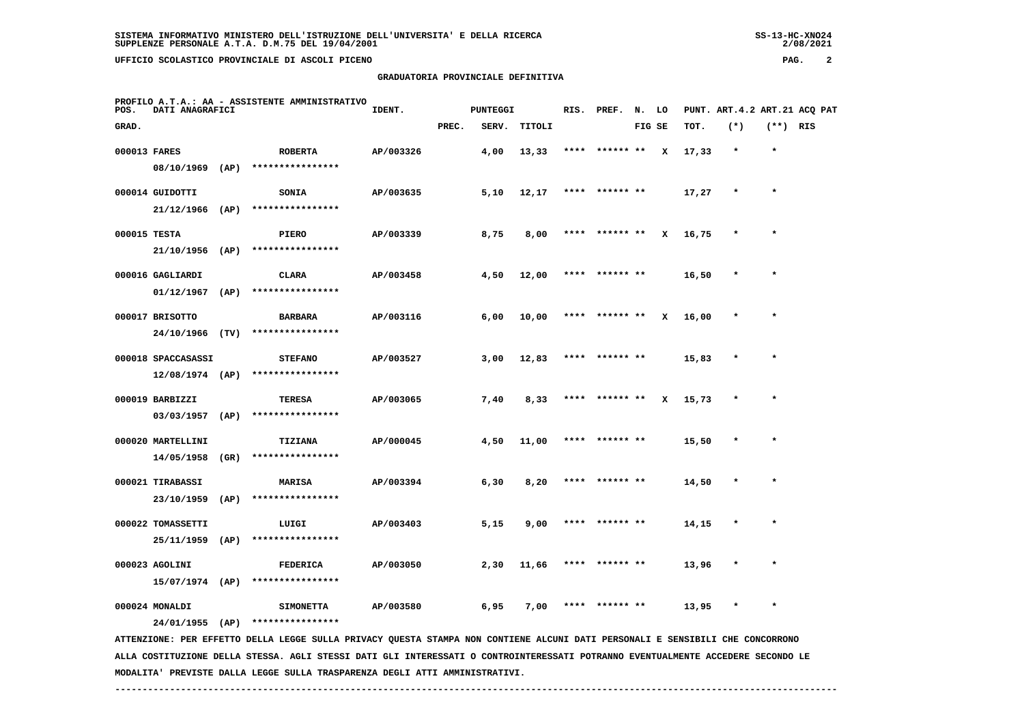**GRADUATORIA PROVINCIALE DEFINITIVA**

 $2/08/2021$ 

| POS.         | DATI ANAGRAFICI    |      | PROFILO A.T.A.: AA - ASSISTENTE AMMINISTRATIVO                                                                                                    | IDENT.    |       | <b>PUNTEGGI</b> |        |      | RIS. PREF. N. LO |        |   |       |         |            | PUNT. ART.4.2 ART.21 ACQ PAT |
|--------------|--------------------|------|---------------------------------------------------------------------------------------------------------------------------------------------------|-----------|-------|-----------------|--------|------|------------------|--------|---|-------|---------|------------|------------------------------|
| GRAD.        |                    |      |                                                                                                                                                   |           | PREC. | SERV.           | TITOLI |      |                  | FIG SE |   | TOT.  | $(*)$   | $(**)$ RIS |                              |
| 000013 FARES |                    |      | <b>ROBERTA</b>                                                                                                                                    | AP/003326 |       | 4,00            | 13,33  | **** | ****** **        |        | x | 17,33 | $\star$ | $\star$    |                              |
|              | 08/10/1969 (AP)    |      | ****************                                                                                                                                  |           |       |                 |        |      |                  |        |   |       |         |            |                              |
|              | 000014 GUIDOTTI    |      | <b>SONIA</b>                                                                                                                                      | AP/003635 |       | 5,10            | 12,17  |      | **** ****** **   |        |   | 17,27 | $\star$ | $\star$    |                              |
|              | $21/12/1966$ (AP)  |      | ****************                                                                                                                                  |           |       |                 |        |      |                  |        |   |       |         |            |                              |
|              | 000015 TESTA       |      | <b>PIERO</b>                                                                                                                                      | AP/003339 |       | 8,75            | 8,00   | **** | ****** **        |        | x | 16,75 |         | $\star$    |                              |
|              | $21/10/1956$ (AP)  |      | ****************                                                                                                                                  |           |       |                 |        |      |                  |        |   |       |         |            |                              |
|              | 000016 GAGLIARDI   |      | <b>CLARA</b>                                                                                                                                      | AP/003458 |       | 4,50            | 12,00  |      | **** ****** **   |        |   | 16,50 |         |            |                              |
|              | 01/12/1967         | (AP) | ****************                                                                                                                                  |           |       |                 |        |      |                  |        |   |       |         |            |                              |
|              | 000017 BRISOTTO    |      | <b>BARBARA</b>                                                                                                                                    | AP/003116 |       | 6,00            | 10,00  |      | **** ****** **   |        | x | 16,00 |         | $\star$    |                              |
|              | 24/10/1966 (TV)    |      | ****************                                                                                                                                  |           |       |                 |        |      |                  |        |   |       |         |            |                              |
|              | 000018 SPACCASASSI |      | <b>STEFANO</b>                                                                                                                                    | AP/003527 |       | 3,00            | 12,83  |      | **** ****** **   |        |   | 15,83 | $\star$ | $\star$    |                              |
|              | $12/08/1974$ (AP)  |      | ****************                                                                                                                                  |           |       |                 |        |      |                  |        |   |       |         |            |                              |
|              | 000019 BARBIZZI    |      | TERESA                                                                                                                                            | AP/003065 |       | 7,40            | 8,33   | **** | ****** **        |        | x | 15,73 |         |            |                              |
|              | $03/03/1957$ (AP)  |      | ****************                                                                                                                                  |           |       |                 |        |      |                  |        |   |       |         |            |                              |
|              | 000020 MARTELLINI  |      | TIZIANA                                                                                                                                           | AP/000045 |       | 4,50            | 11,00  |      | **** ****** **   |        |   | 15,50 | $\star$ | $\star$    |                              |
|              | 14/05/1958         | (GR) | ****************                                                                                                                                  |           |       |                 |        |      |                  |        |   |       |         |            |                              |
|              | 000021 TIRABASSI   |      | MARISA                                                                                                                                            | AP/003394 |       | 6,30            | 8,20   |      | ****  ****** **  |        |   | 14,50 |         |            |                              |
|              | 23/10/1959         | (AP) | ****************                                                                                                                                  |           |       |                 |        |      |                  |        |   |       |         |            |                              |
|              | 000022 TOMASSETTI  |      | LUIGI                                                                                                                                             | AP/003403 |       | 5,15            | 9,00   |      | ****** **        |        |   | 14,15 |         |            |                              |
|              | 25/11/1959         | (AP) | ****************                                                                                                                                  |           |       |                 |        |      |                  |        |   |       |         |            |                              |
|              | 000023 AGOLINI     |      | <b>FEDERICA</b>                                                                                                                                   | AP/003050 |       | 2,30            | 11,66  | **** | ****** **        |        |   | 13,96 | $\ast$  | $\star$    |                              |
|              | $15/07/1974$ (AP)  |      | ****************                                                                                                                                  |           |       |                 |        |      |                  |        |   |       |         |            |                              |
|              | 000024 MONALDI     |      | <b>SIMONETTA</b>                                                                                                                                  | AP/003580 |       | 6,95            | 7,00   | **** | ****** **        |        |   | 13,95 |         | $\star$    |                              |
|              | 24/01/1955 (AP)    |      | ****************<br>ATTENZIONE: PER EFFETTO DELLA LEGGE SULLA PRIVACY QUESTA STAMPA NON CONTIENE ALCUNI DATI PERSONALI E SENSIBILI CHE CONCORRONO |           |       |                 |        |      |                  |        |   |       |         |            |                              |

 **ALLA COSTITUZIONE DELLA STESSA. AGLI STESSI DATI GLI INTERESSATI O CONTROINTERESSATI POTRANNO EVENTUALMENTE ACCEDERE SECONDO LE MODALITA' PREVISTE DALLA LEGGE SULLA TRASPARENZA DEGLI ATTI AMMINISTRATIVI.**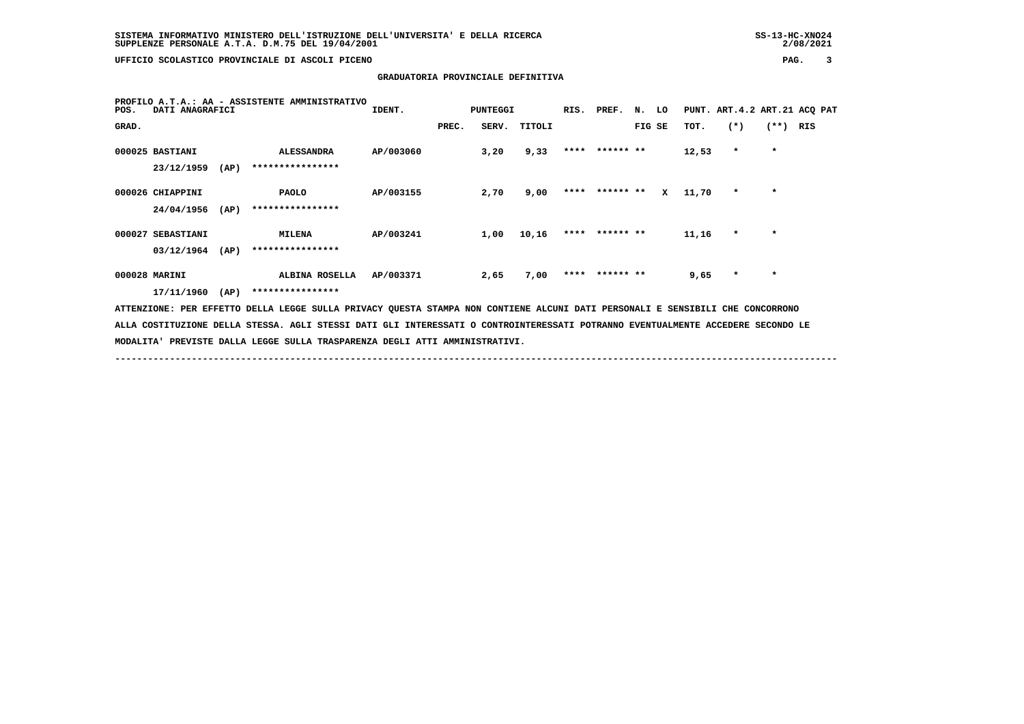**GRADUATORIA PROVINCIALE DEFINITIVA**

| PROFILO A.T.A.: AA - ASSISTENTE AMMINISTRATIVO<br>DATI ANAGRAFICI<br>POS. |                               |      |                                                                                                                                 | IDENT.    |       | PUNTEGGI |              | RIS. PREF.     | N. LO  |   |       | PUNT. ART.4.2 ART.21 ACQ PAT |            |  |
|---------------------------------------------------------------------------|-------------------------------|------|---------------------------------------------------------------------------------------------------------------------------------|-----------|-------|----------|--------------|----------------|--------|---|-------|------------------------------|------------|--|
| GRAD.                                                                     |                               |      |                                                                                                                                 |           | PREC. |          | SERV. TITOLI |                | FIG SE |   | TOT.  | $(*)$                        | $(**)$ RIS |  |
|                                                                           | 000025 BASTIANI<br>23/12/1959 | (AP) | <b>ALESSANDRA</b><br>****************                                                                                           | AP/003060 |       | 3,20     | 9,33         | **** ****** ** |        |   | 12,53 | $\star$                      | $\star$    |  |
|                                                                           | 000026 CHIAPPINI              |      | <b>PAOLO</b>                                                                                                                    | AP/003155 |       | 2,70     | 9,00         | **** ****** ** |        | x | 11,70 | $\star$                      | $\star$    |  |
|                                                                           | 24/04/1956                    | (AP) | ****************                                                                                                                |           |       |          |              |                |        |   |       |                              |            |  |
|                                                                           | 000027 SEBASTIANI             |      | <b>MILENA</b>                                                                                                                   | AP/003241 |       | 1,00     | 10,16        | **** ****** ** |        |   | 11,16 | $\star$                      | $\star$    |  |
|                                                                           | 03/12/1964                    | (AP) | ****************                                                                                                                |           |       |          |              |                |        |   |       |                              |            |  |
|                                                                           | 000028 MARINI                 |      | ALBINA ROSELLA                                                                                                                  | AP/003371 |       | 2,65     | 7,00         | **** ****** ** |        |   | 9,65  | $\star$                      | $\star$    |  |
|                                                                           | 17/11/1960                    | (AP) | ****************                                                                                                                |           |       |          |              |                |        |   |       |                              |            |  |
|                                                                           |                               |      | ATTENZIONE: PER EFFETTO DELLA LEGGE SULLA PRIVACY QUESTA STAMPA NON CONTIENE ALCUNI DATI PERSONALI E SENSIBILI CHE CONCORRONO   |           |       |          |              |                |        |   |       |                              |            |  |
|                                                                           |                               |      | ALLA COSTITUZIONE DELLA STESSA. AGLI STESSI DATI GLI INTERESSATI O CONTROINTERESSATI POTRANNO EVENTUALMENTE ACCEDERE SECONDO LE |           |       |          |              |                |        |   |       |                              |            |  |
|                                                                           |                               |      | MODALITA' PREVISTE DALLA LEGGE SULLA TRASPARENZA DEGLI ATTI AMMINISTRATIVI.                                                     |           |       |          |              |                |        |   |       |                              |            |  |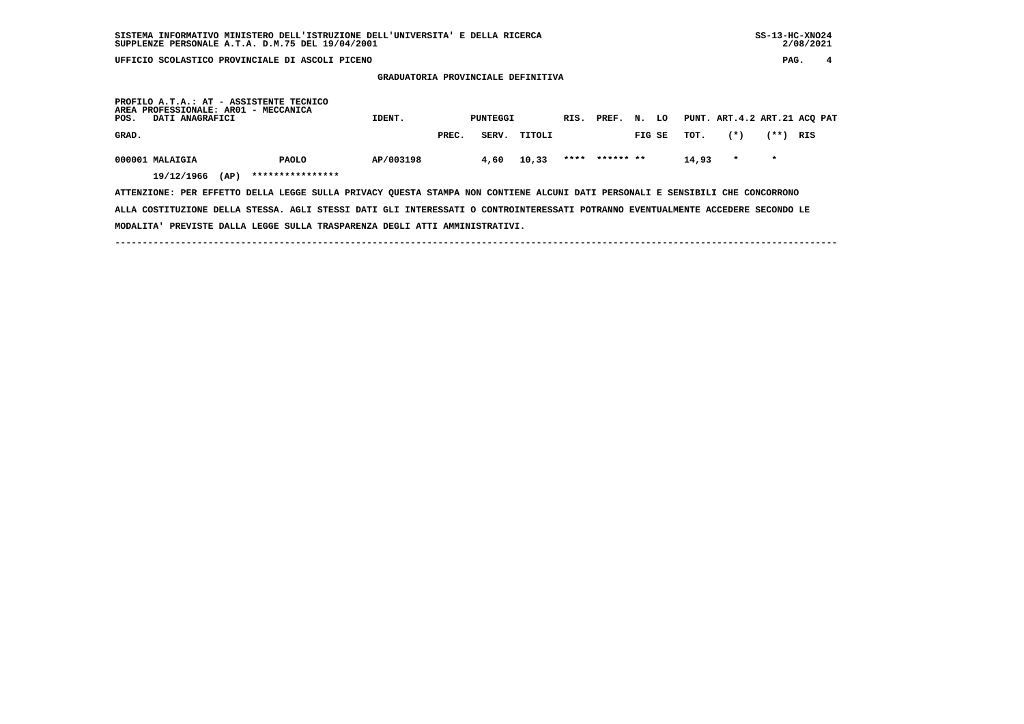## **SISTEMA INFORMATIVO MINISTERO DELL'ISTRUZIONE DELL'UNIVERSITA' E DELLA RICERCA SS-13-HC-XNO24 SUPPLENZE PERSONALE A.T.A. D.M.75 DEL 19/04/2001 2/08/2021**

 $2/08/2021$ 

 **GRADUATORIA PROVINCIALE DEFINITIVA**

| POS.  | DATI ANAGRAFICI               |      | PROFILO A.T.A.: AT - ASSISTENTE TECNICO<br>AREA PROFESSIONALE: AR01 - MECCANICA | IDENT.    |       | PUNTEGGI |        | RIS. PREF.     | N.     | LO |       | PUNT. ART.4.2 ART.21 ACQ PAT |         |     |
|-------|-------------------------------|------|---------------------------------------------------------------------------------|-----------|-------|----------|--------|----------------|--------|----|-------|------------------------------|---------|-----|
| GRAD. |                               |      |                                                                                 |           | PREC. | SERV.    | TITOLI |                | FIG SE |    | тот.  | $(*)$                        | (**)    | RIS |
|       | 000001 MALAIGIA<br>19/12/1966 | (AP) | <b>PAOLO</b><br>****************                                                | AP/003198 |       | 4,60     | 10,33  | **** ****** ** |        |    | 14,93 | $\mathbf{r}$                 | $\star$ |     |

 **ATTENZIONE: PER EFFETTO DELLA LEGGE SULLA PRIVACY QUESTA STAMPA NON CONTIENE ALCUNI DATI PERSONALI E SENSIBILI CHE CONCORRONO ALLA COSTITUZIONE DELLA STESSA. AGLI STESSI DATI GLI INTERESSATI O CONTROINTERESSATI POTRANNO EVENTUALMENTE ACCEDERE SECONDO LE MODALITA' PREVISTE DALLA LEGGE SULLA TRASPARENZA DEGLI ATTI AMMINISTRATIVI.**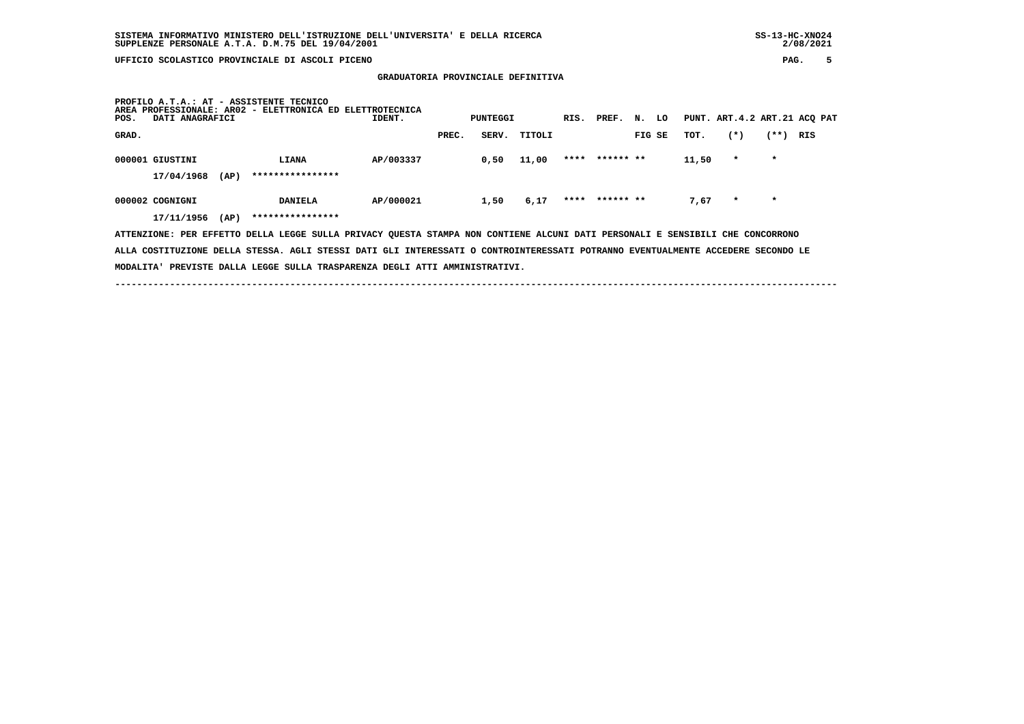**GRADUATORIA PROVINCIALE DEFINITIVA**

| PAG. |
|------|
|------|

| PROFILO A.T.A.: AT - ASSISTENTE TECNICO<br>PROFESSIONALE: AR02 - ELETTRONICA ED ELETTROTECNICA<br>AREA<br>DATI ANAGRAFICI<br>IDENT.<br>POS. | PUNTEGGI       |        | RIS. PREF.<br>N. | LO    |         | PUNT. ART.4.2 ART.21 ACQ PAT |
|---------------------------------------------------------------------------------------------------------------------------------------------|----------------|--------|------------------|-------|---------|------------------------------|
| GRAD.                                                                                                                                       | SERV.<br>PREC. | TITOLI | FIG SE           | TOT.  | $(*)$   | $(**+)$<br>RIS               |
|                                                                                                                                             |                |        |                  |       |         |                              |
| AP/003337<br>000001 GIUSTINI<br>LIANA                                                                                                       | 0,50           | 11,00  | **** ****** **   | 11,50 | $\star$ | $\star$                      |
| ****************<br>17/04/1968<br>(AP)                                                                                                      |                |        |                  |       |         |                              |
|                                                                                                                                             |                |        |                  |       |         |                              |
| 000002 COGNIGNI<br>AP/000021<br><b>DANIELA</b>                                                                                              | 1,50           | 6,17   | **** ****** **   | 7.67  | $\star$ | $\star$                      |
| ****************<br>17/11/1956<br>(AP)                                                                                                      |                |        |                  |       |         |                              |
| ATTENZIONE: PER EFFETTO DELLA LEGGE SULLA PRIVACY QUESTA STAMPA NON CONTIENE ALCUNI DATI PERSONALI E SENSIBILI CHE CONCORRONO               |                |        |                  |       |         |                              |

 **ALLA COSTITUZIONE DELLA STESSA. AGLI STESSI DATI GLI INTERESSATI O CONTROINTERESSATI POTRANNO EVENTUALMENTE ACCEDERE SECONDO LE MODALITA' PREVISTE DALLA LEGGE SULLA TRASPARENZA DEGLI ATTI AMMINISTRATIVI.**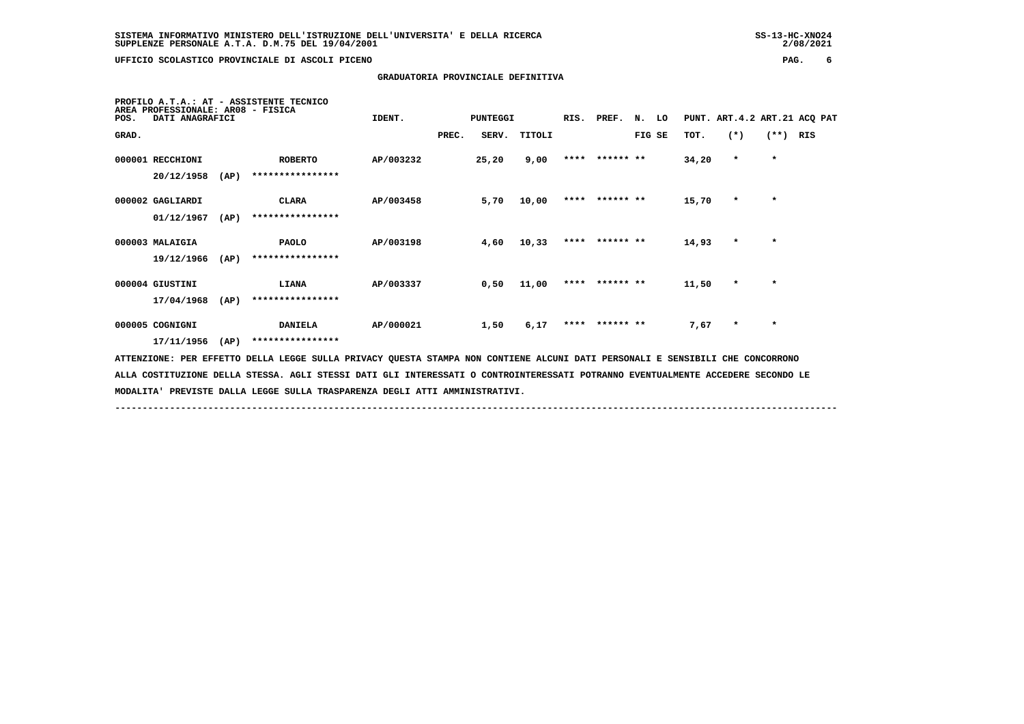2/08/2021

#### **GRADUATORIA PROVINCIALE DEFINITIVA**

| PROFILO A.T.A.: AT - ASSISTENTE TECNICO<br>AREA PROFESSIONALE: AR08 - FISICA<br>DATI ANAGRAFICI<br>POS.                         | IDENT.    | <b>PUNTEGGI</b> |        |  | RIS. PREF.     | N. LO  |       | PUNT. ART. 4.2 ART. 21 ACQ PAT |         |     |
|---------------------------------------------------------------------------------------------------------------------------------|-----------|-----------------|--------|--|----------------|--------|-------|--------------------------------|---------|-----|
| GRAD.                                                                                                                           |           | PREC.<br>SERV.  | TITOLI |  |                | FIG SE | TOT.  | $(*)$                          | $(**)$  | RIS |
| 000001 RECCHIONI<br><b>ROBERTO</b><br>20/12/1958<br>****************<br>(AP)                                                    | AP/003232 | 25,20           | 9,00   |  | **** ****** ** |        | 34,20 | $\star$                        | $\star$ |     |
|                                                                                                                                 |           |                 |        |  |                |        |       |                                |         |     |
| 000002 GAGLIARDI<br><b>CLARA</b>                                                                                                | AP/003458 | 5,70            | 10,00  |  | **** ****** ** |        | 15,70 | $\star$                        | $\star$ |     |
| 01/12/1967<br>****************<br>(AP)                                                                                          |           |                 |        |  |                |        |       |                                |         |     |
| 000003 MALAIGIA<br><b>PAOLO</b>                                                                                                 | AP/003198 | 4,60            | 10,33  |  | **** ****** ** |        | 14,93 | $\star$                        | $\star$ |     |
| ****************<br>19/12/1966<br>(AP)                                                                                          |           |                 |        |  |                |        |       |                                |         |     |
| 000004 GIUSTINI<br>LIANA                                                                                                        | AP/003337 | 0,50            | 11,00  |  | **** ****** ** |        | 11,50 | $\star$                        | $\star$ |     |
| ****************<br>17/04/1968<br>(AP)                                                                                          |           |                 |        |  |                |        |       |                                |         |     |
| 000005 COGNIGNI<br><b>DANIELA</b>                                                                                               | AP/000021 | 1,50            | 6,17   |  | **** ****** ** |        | 7,67  | $\star$                        | $\star$ |     |
| ****************<br>17/11/1956<br>(AP)                                                                                          |           |                 |        |  |                |        |       |                                |         |     |
| ATTENZIONE: PER EFFETTO DELLA LEGGE SULLA PRIVACY QUESTA STAMPA NON CONTIENE ALCUNI DATI PERSONALI E SENSIBILI CHE CONCORRONO   |           |                 |        |  |                |        |       |                                |         |     |
| ALLA COSTITUZIONE DELLA STESSA. AGLI STESSI DATI GLI INTERESSATI O CONTROINTERESSATI POTRANNO EVENTUALMENTE ACCEDERE SECONDO LE |           |                 |        |  |                |        |       |                                |         |     |
| MODALITA' PREVISTE DALLA LEGGE SULLA TRASPARENZA DEGLI ATTI AMMINISTRATIVI.                                                     |           |                 |        |  |                |        |       |                                |         |     |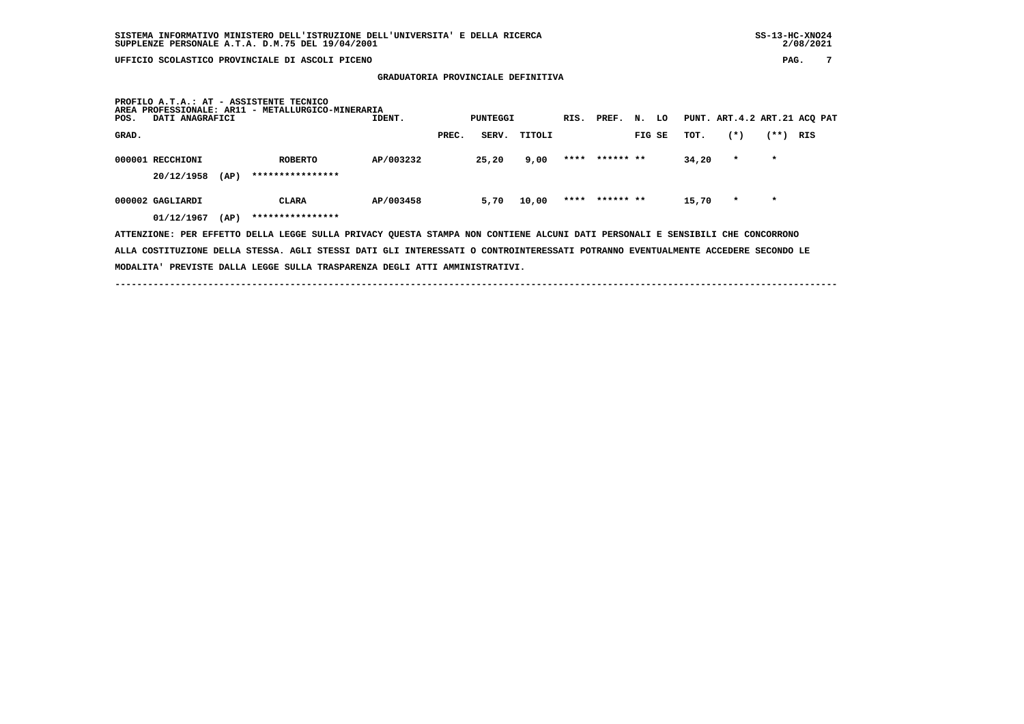| AREA<br>POS. | DATI ANAGRAFICI                        | PROFILO A.T.A.: AT - ASSISTENTE TECNICO<br>PROFESSIONALE: AR11 - METALLURGICO-MINERARIA                                       | IDENT.    |       | PUNTEGGI |        | RIS. PREF. N.  |        | LO |       |         |         | PUNT. ART.4.2 ART.21 ACQ PAT |
|--------------|----------------------------------------|-------------------------------------------------------------------------------------------------------------------------------|-----------|-------|----------|--------|----------------|--------|----|-------|---------|---------|------------------------------|
| GRAD.        |                                        |                                                                                                                               |           | PREC. | SERV.    | TITOLI |                | FIG SE |    | TOT.  | $(*)$   | $(**+)$ | RIS                          |
|              | 000001 RECCHIONI<br>20/12/1958<br>(AP) | <b>ROBERTO</b><br>****************                                                                                            | AP/003232 |       | 25,20    | 9,00   | **** ****** ** |        |    | 34,20 | $\star$ | $\star$ |                              |
|              | 000002 GAGLIARDI<br>01/12/1967<br>(AP) | CLARA<br>****************                                                                                                     | AP/003458 |       | 5,70     | 10,00  | **** ****** ** |        |    | 15,70 | $\star$ | $\star$ |                              |
|              |                                        | ATTENZIONE: PER EFFETTO DELLA LEGGE SULLA PRIVACY QUESTA STAMPA NON CONTIENE ALCUNI DATI PERSONALI E SENSIBILI CHE CONCORRONO |           |       |          |        |                |        |    |       |         |         |                              |

 **GRADUATORIA PROVINCIALE DEFINITIVA**

 **ALLA COSTITUZIONE DELLA STESSA. AGLI STESSI DATI GLI INTERESSATI O CONTROINTERESSATI POTRANNO EVENTUALMENTE ACCEDERE SECONDO LE MODALITA' PREVISTE DALLA LEGGE SULLA TRASPARENZA DEGLI ATTI AMMINISTRATIVI.**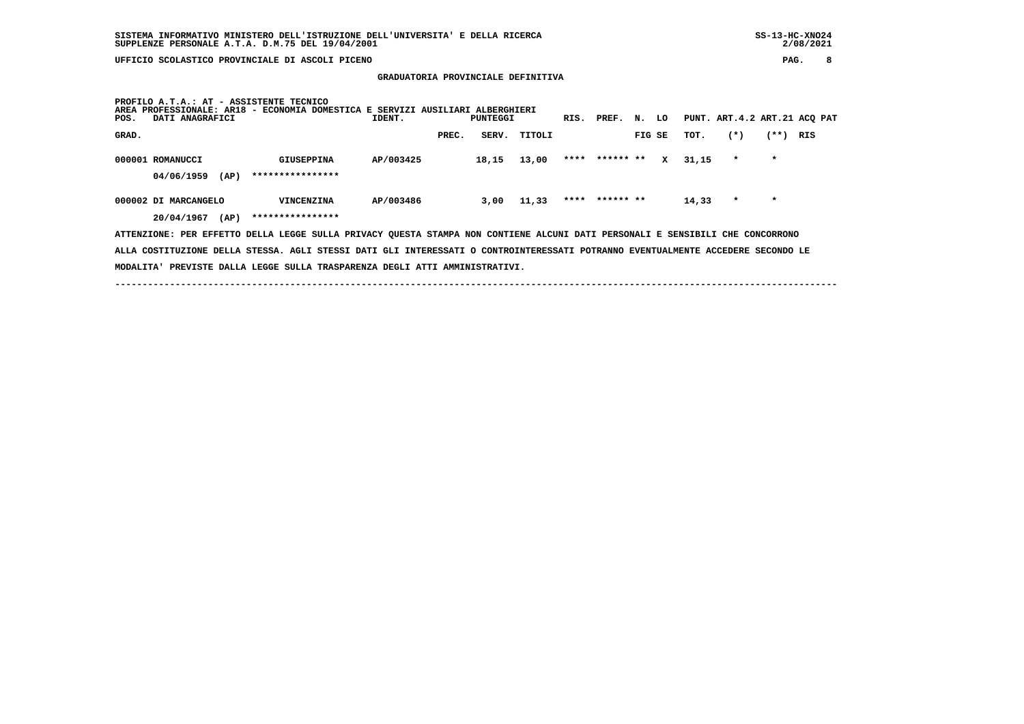## **SISTEMA INFORMATIVO MINISTERO DELL'ISTRUZIONE DELL'UNIVERSITA' E DELLA RICERCA SS-13-HC-XNO24 SUPPLENZE PERSONALE A.T.A. D.M.75 DEL 19/04/2001 2/08/2021**

 **UFFICIO SCOLASTICO PROVINCIALE DI ASCOLI PICENO PAG. 8**

#### **GRADUATORIA PROVINCIALE DEFINITIVA**

| PROFILO A.T.A.: AT - ASSISTENTE TECNICO<br>PROFESSIONALE: AR18 - ECONOMIA DOMESTICA E SERVIZI AUSILIARI ALBERGHIERI<br><b>AREA</b><br>PUNT. ART.4.2 ART.21 ACQ PAT<br>IDENT.<br>LO<br>DATI ANAGRAFICI<br><b>PUNTEGGI</b><br>RIS. PREF.<br>N.<br>POS. |                |        |                     |                  |                |  |  |  |  |
|------------------------------------------------------------------------------------------------------------------------------------------------------------------------------------------------------------------------------------------------------|----------------|--------|---------------------|------------------|----------------|--|--|--|--|
| GRAD.                                                                                                                                                                                                                                                | SERV.<br>PREC. | TITOLI | FIG SE              | $(*)$<br>TOT.    | $(***)$<br>RIS |  |  |  |  |
| AP/003425<br>000001 ROMANUCCI<br>GIUSEPPINA<br>****************<br>04/06/1959<br>(AP)                                                                                                                                                                | 18,15          | 13,00  | **** ****** **<br>x | 31,15<br>$\star$ | $\star$        |  |  |  |  |
| AP/003486<br>000002 DI MARCANGELO<br>VINCENZINA<br>****************<br>20/04/1967                                                                                                                                                                    | 3,00           | 11,33  | **** ****** **      | 14,33<br>$\star$ | $\star$        |  |  |  |  |
| (AP)<br>ATTENZIONE: PER EFFETTO DELLA LEGGE SULLA PRIVACY QUESTA STAMPA NON CONTIENE ALCUNI DATI PERSONALI E SENSIBILI CHE CONCORRONO                                                                                                                |                |        |                     |                  |                |  |  |  |  |

 **ALLA COSTITUZIONE DELLA STESSA. AGLI STESSI DATI GLI INTERESSATI O CONTROINTERESSATI POTRANNO EVENTUALMENTE ACCEDERE SECONDO LE**

 **MODALITA' PREVISTE DALLA LEGGE SULLA TRASPARENZA DEGLI ATTI AMMINISTRATIVI.**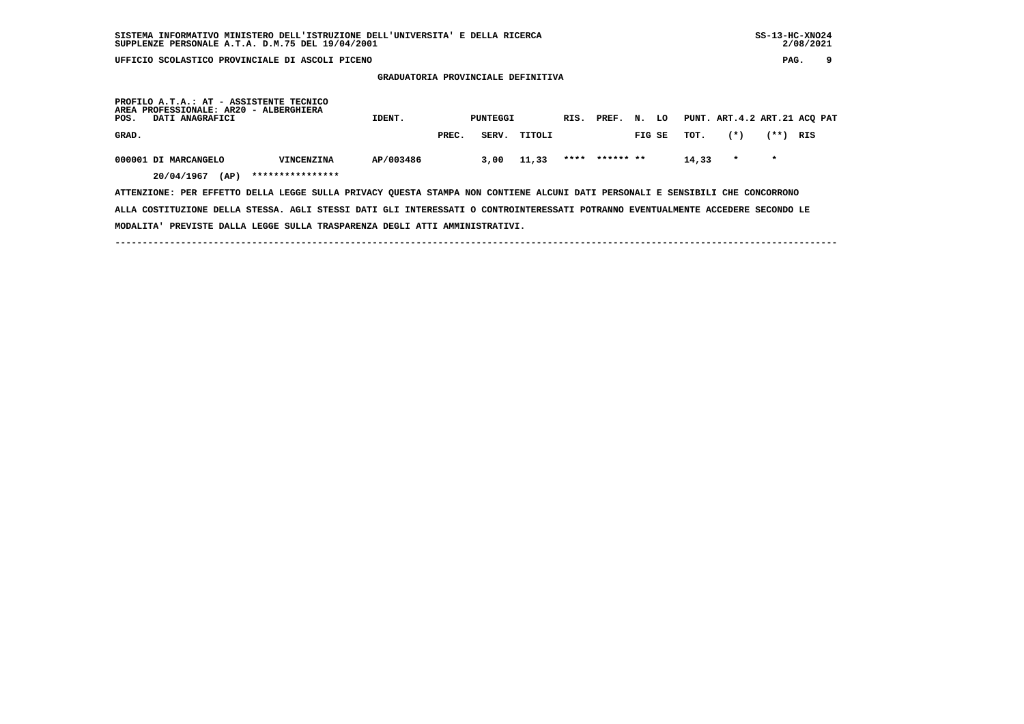**GRADUATORIA PROVINCIALE DEFINITIVA**

| PROFILO A.T.A.: AT - ASSISTENTE TECNICO<br>AREA PROFESSIONALE: AR20 - ALBERGHIERA<br>POS.<br>DATI ANAGRAFICI                  |                   | IDENT.    |       | PUNTEGGI |        | RIS. | PREF.          | N.     | LO |       |         |         | PUNT. ART.4.2 ART.21 ACO PAT |
|-------------------------------------------------------------------------------------------------------------------------------|-------------------|-----------|-------|----------|--------|------|----------------|--------|----|-------|---------|---------|------------------------------|
| GRAD.                                                                                                                         |                   |           | PREC. | SERV.    | TITOLI |      |                | FIG SE |    | тот.  | $(*)$   | (**)    | RIS                          |
| 000001 DI MARCANGELO                                                                                                          | <b>VINCENZINA</b> | AP/003486 |       | 3,00     | 11,33  |      | **** ****** ** |        |    | 14,33 | $\star$ | $\star$ |                              |
| 20/04/1967<br>(AP)                                                                                                            | ****************  |           |       |          |        |      |                |        |    |       |         |         |                              |
| ATTENZIONE: PER EFFETTO DELLA LEGGE SULLA PRIVACY QUESTA STAMPA NON CONTIENE ALCUNI DATI PERSONALI E SENSIBILI CHE CONCORRONO |                   |           |       |          |        |      |                |        |    |       |         |         |                              |

 **ALLA COSTITUZIONE DELLA STESSA. AGLI STESSI DATI GLI INTERESSATI O CONTROINTERESSATI POTRANNO EVENTUALMENTE ACCEDERE SECONDO LE MODALITA' PREVISTE DALLA LEGGE SULLA TRASPARENZA DEGLI ATTI AMMINISTRATIVI.**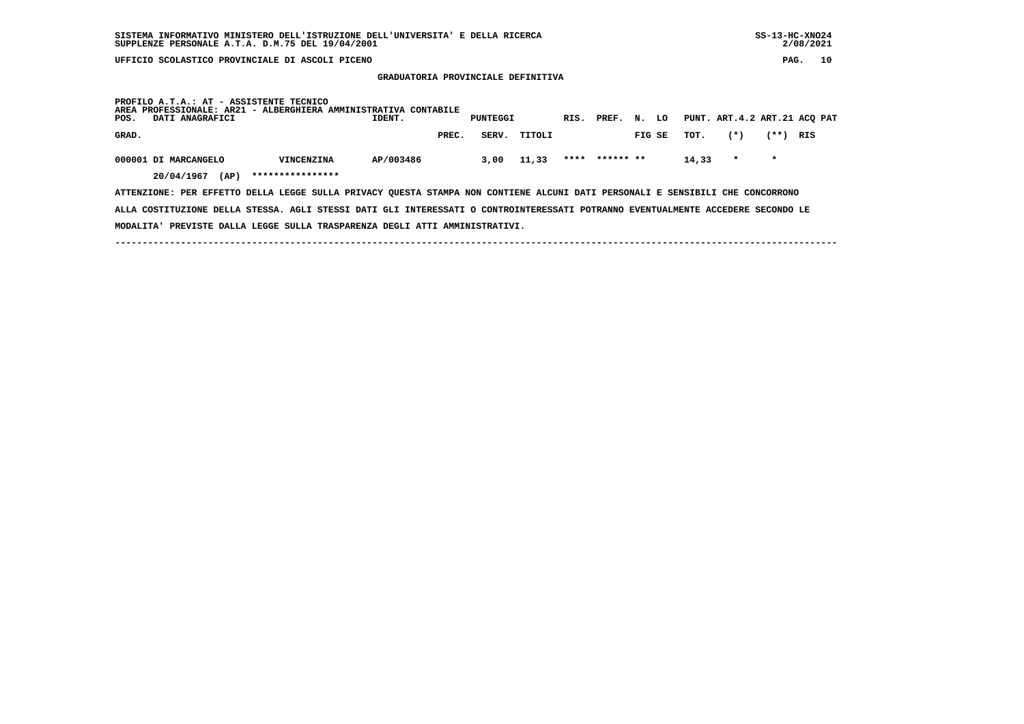**MODALITA' PREVISTE DALLA LEGGE SULLA TRASPARENZA DEGLI ATTI AMMINISTRATIVI.**

 $2/08/2021$ 

#### **GRADUATORIA PROVINCIALE DEFINITIVA**

| PROFILO A.T.A.: AT - ASSISTENTE TECNICO<br>AREA PROFESSIONALE: AR21 - ALBERGHIERA AMMINISTRATIVA CONTABILE<br>PUNT. ART.4.2 ART.21 ACO PAT<br>LO<br>PUNTEGGI<br>N.<br>PREF.<br>POS.<br>DATI ANAGRAFICI<br>IDENT.<br>RIS. |                   |           |       |       |        |  |                |        |  |       |         |         |     |
|--------------------------------------------------------------------------------------------------------------------------------------------------------------------------------------------------------------------------|-------------------|-----------|-------|-------|--------|--|----------------|--------|--|-------|---------|---------|-----|
| GRAD.                                                                                                                                                                                                                    |                   |           | PREC. | SERV. | TITOLI |  |                | FIG SE |  | тот.  | $(*)$   | (**)    | RIS |
| 000001 DI MARCANGELO                                                                                                                                                                                                     | <b>VINCENZINA</b> | AP/003486 |       | 3,00  | 11,33  |  | **** ****** ** |        |  | 14,33 | $\star$ | $\star$ |     |
| 20/04/1967<br>(AP)                                                                                                                                                                                                       | ****************  |           |       |       |        |  |                |        |  |       |         |         |     |
| ATTENZIONE: PER EFFETTO DELLA LEGGE SULLA PRIVACY QUESTA STAMPA NON CONTIENE ALCUNI DATI PERSONALI E SENSIBILI CHE CONCORRONO                                                                                            |                   |           |       |       |        |  |                |        |  |       |         |         |     |
| ALLA COSTITUZIONE DELLA STESSA. AGLI STESSI DATI GLI INTERESSATI O CONTROINTERESSATI POTRANNO EVENTUALMENTE ACCEDERE SECONDO LE                                                                                          |                   |           |       |       |        |  |                |        |  |       |         |         |     |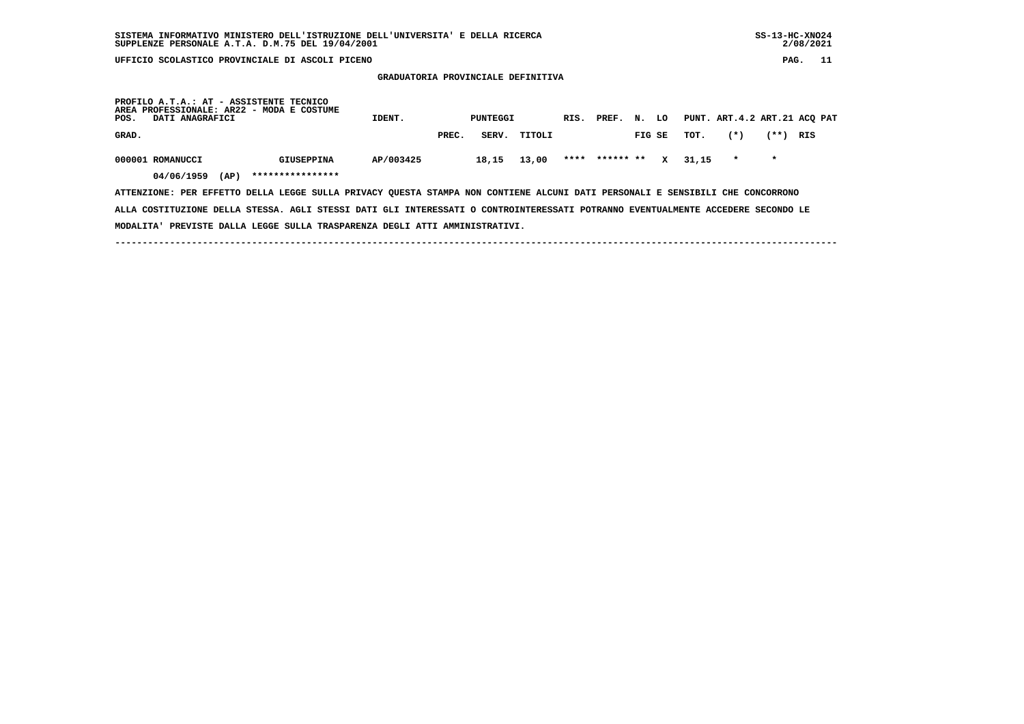**GRADUATORIA PROVINCIALE DEFINITIVA**

| PROFILO A.T.A.: AT - ASSISTENTE TECNICO<br>AREA PROFESSIONALE: AR22 - MODA E COSTUME<br>POS.<br>DATI ANAGRAFICI               |                   | IDENT.    |       | PUNTEGGI |        | RIS. | PREF.          | N.     | LO |       |         |         | PUNT. ART.4.2 ART.21 ACO PAT |
|-------------------------------------------------------------------------------------------------------------------------------|-------------------|-----------|-------|----------|--------|------|----------------|--------|----|-------|---------|---------|------------------------------|
| GRAD.                                                                                                                         |                   |           | PREC. | SERV.    | TITOLI |      |                | FIG SE |    | тот.  | $(*)$   | (**)    | RIS                          |
| 000001 ROMANUCCI                                                                                                              | <b>GIUSEPPINA</b> | AP/003425 |       | 18,15    | 13,00  |      | **** ****** ** |        | x  | 31.15 | $\star$ | $\star$ |                              |
| 04/06/1959<br>(AP)                                                                                                            | ****************  |           |       |          |        |      |                |        |    |       |         |         |                              |
| ATTENZIONE: PER EFFETTO DELLA LEGGE SULLA PRIVACY OUESTA STAMPA NON CONTIENE ALCUNI DATI PERSONALI E SENSIBILI CHE CONCORRONO |                   |           |       |          |        |      |                |        |    |       |         |         |                              |

 **ALLA COSTITUZIONE DELLA STESSA. AGLI STESSI DATI GLI INTERESSATI O CONTROINTERESSATI POTRANNO EVENTUALMENTE ACCEDERE SECONDO LE MODALITA' PREVISTE DALLA LEGGE SULLA TRASPARENZA DEGLI ATTI AMMINISTRATIVI.**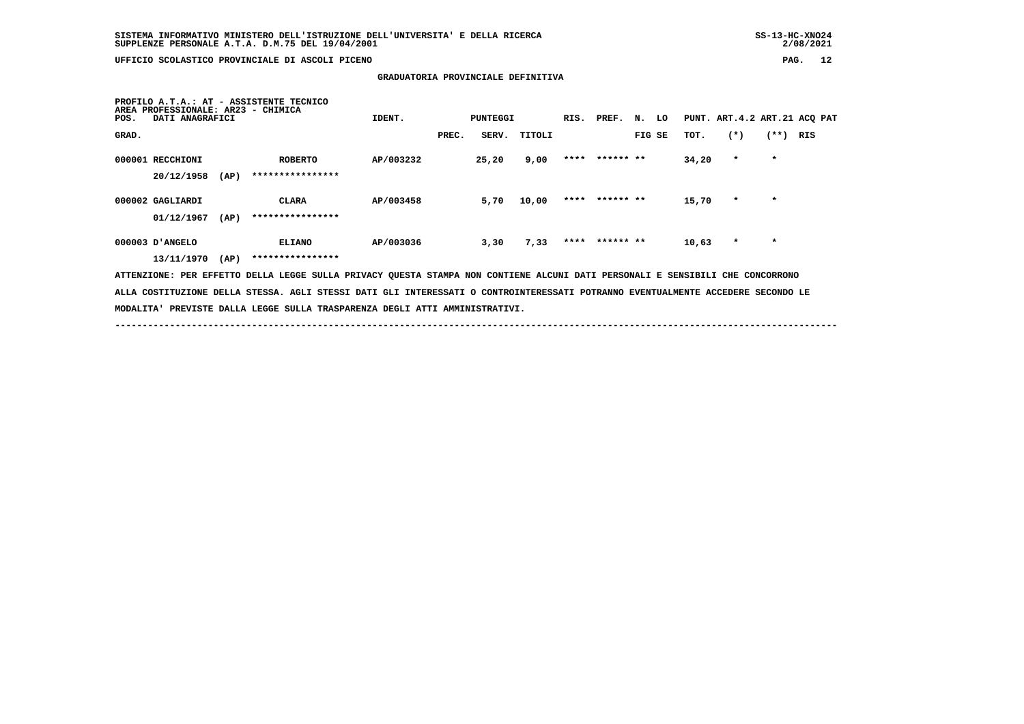## **SISTEMA INFORMATIVO MINISTERO DELL'ISTRUZIONE DELL'UNIVERSITA' E DELLA RICERCA SS-13-HC-XNO24 SUPPLENZE PERSONALE A.T.A. D.M.75 DEL 19/04/2001 2/08/2021**

2/08/2021

 **UFFICIO SCOLASTICO PROVINCIALE DI ASCOLI PICENO PAG. 12**

 **GRADUATORIA PROVINCIALE DEFINITIVA**

 **PROFILO A.T.A.: AT - ASSISTENTE TECNICOAREA PROFESSIONALE: AR23 - CHIMICA**<br>POS. DATI ANAGRAFICI **IDENT.** PUNTEGGI RIS. PREF. N. LO PUNT. ART.4.2 ART.21 ACQ PAT  **GRAD. PREC. SERV. TITOLI FIG SE TOT. (\*) (\*\*) RIS 000001 RECCHIONI ROBERTO AP/003232 25,20 9,00 \*\*\*\* \*\*\*\*\*\* \*\* 34,20 \* \* 20/12/1958 (AP) \*\*\*\*\*\*\*\*\*\*\*\*\*\*\*\* 000002 GAGLIARDI CLARA AP/003458 5,70 10,00 \*\*\*\* \*\*\*\*\*\* \*\* 15,70 \* \* 01/12/1967 (AP) \*\*\*\*\*\*\*\*\*\*\*\*\*\*\*\* 000003 D'ANGELO ELIANO AP/003036 3,30 7,33 \*\*\*\* \*\*\*\*\*\* \*\* 10,63 \* \* 13/11/1970 (AP) \*\*\*\*\*\*\*\*\*\*\*\*\*\*\*\* ATTENZIONE: PER EFFETTO DELLA LEGGE SULLA PRIVACY QUESTA STAMPA NON CONTIENE ALCUNI DATI PERSONALI E SENSIBILI CHE CONCORRONO ALLA COSTITUZIONE DELLA STESSA. AGLI STESSI DATI GLI INTERESSATI O CONTROINTERESSATI POTRANNO EVENTUALMENTE ACCEDERE SECONDO LE MODALITA' PREVISTE DALLA LEGGE SULLA TRASPARENZA DEGLI ATTI AMMINISTRATIVI.**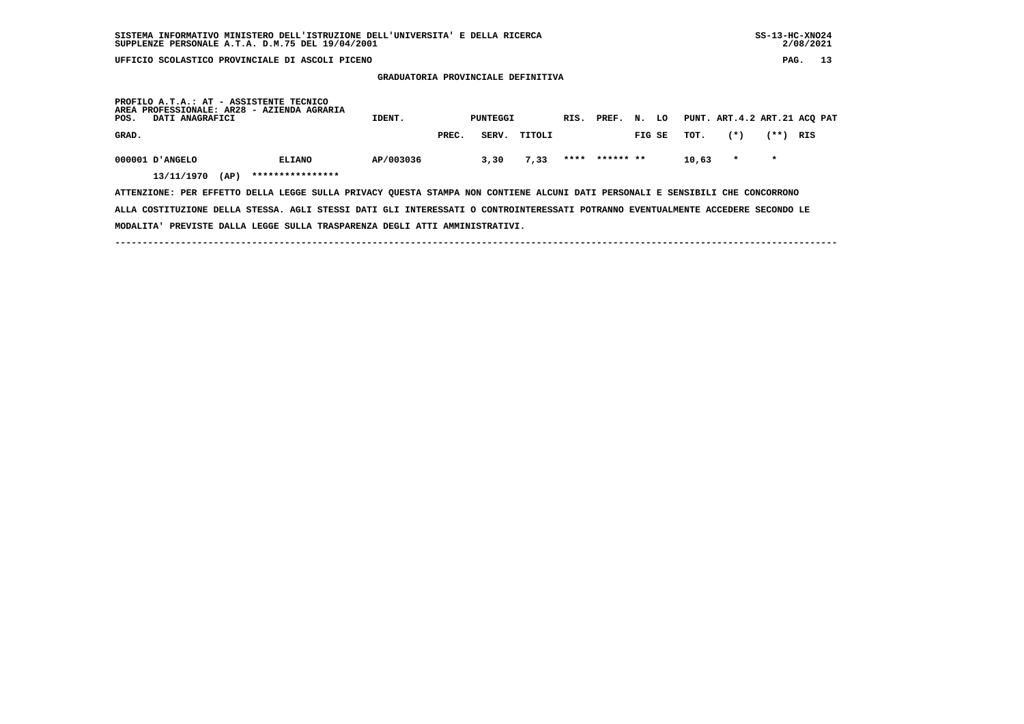**GRADUATORIA PROVINCIALE DEFINITIVA**

| PROFILO A.T.A.: AT - ASSISTENTE TECNICO<br>AREA PROFESSIONALE: AR28 - AZIENDA AGRARIA<br>POS.<br>DATI ANAGRAFICI | IDENT.                            |           | PUNTEGGI |       | RIS.   | PREF. | N.        | LO |        | PUNT. ART.4.2 ART.21 ACQ PAT |         |         |     |
|------------------------------------------------------------------------------------------------------------------|-----------------------------------|-----------|----------|-------|--------|-------|-----------|----|--------|------------------------------|---------|---------|-----|
| GRAD.                                                                                                            |                                   |           | PREC.    | SERV. | TITOLI |       |           |    | FIG SE | тот.                         | $(*)$   | (**)    | RIS |
| 000001 D'ANGELO<br>13/11/1970<br>(AP)                                                                            | <b>ELIANO</b><br>**************** | AP/003036 |          | 3,30  | 7,33   | ****  | ****** ** |    |        | 10,63                        | $\star$ | $\star$ |     |

 **ATTENZIONE: PER EFFETTO DELLA LEGGE SULLA PRIVACY QUESTA STAMPA NON CONTIENE ALCUNI DATI PERSONALI E SENSIBILI CHE CONCORRONO ALLA COSTITUZIONE DELLA STESSA. AGLI STESSI DATI GLI INTERESSATI O CONTROINTERESSATI POTRANNO EVENTUALMENTE ACCEDERE SECONDO LE MODALITA' PREVISTE DALLA LEGGE SULLA TRASPARENZA DEGLI ATTI AMMINISTRATIVI.**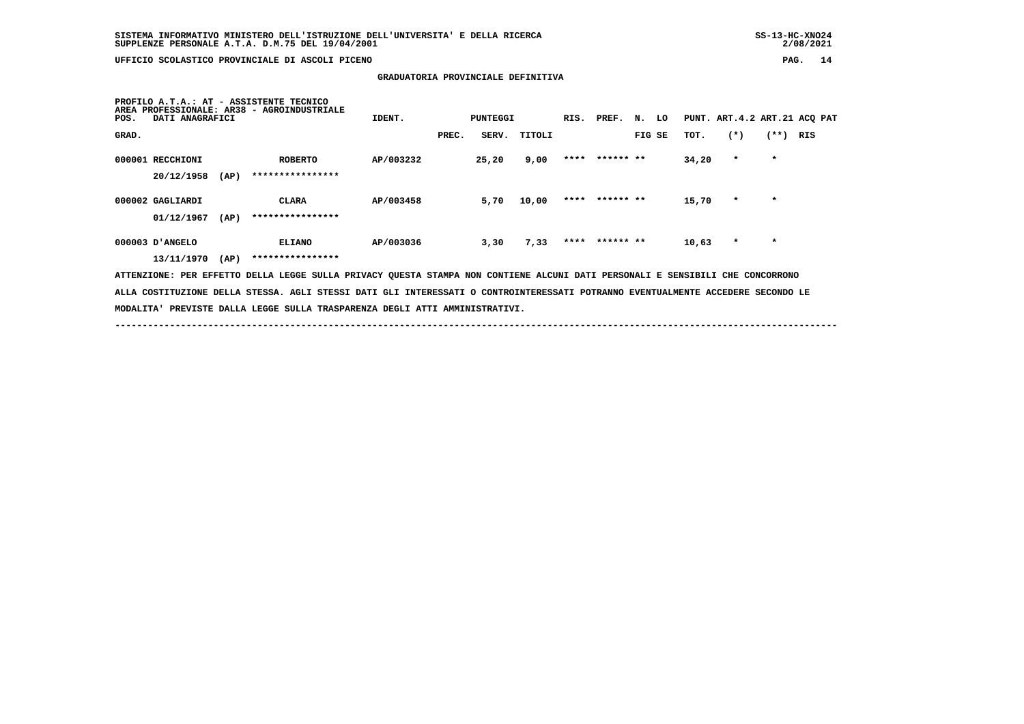## **SISTEMA INFORMATIVO MINISTERO DELL'ISTRUZIONE DELL'UNIVERSITA' E DELLA RICERCA SS-13-HC-XNO24 SUPPLENZE PERSONALE A.T.A. D.M.75 DEL 19/04/2001 2/08/2021**

2/08/2021

 **UFFICIO SCOLASTICO PROVINCIALE DI ASCOLI PICENO PAG. 14**

 **GRADUATORIA PROVINCIALE DEFINITIVA**

| <b>AREA</b><br>POS. | DATI ANAGRAFICI                                                                                                                 |      | PROFILO A.T.A.: AT - ASSISTENTE TECNICO<br>PROFESSIONALE: AR38 - AGROINDUSTRIALE                                              | IDENT.    |       | PUNTEGGI |        |  | RIS. PREF. N. LO |        |  |       | PUNT. ART.4.2 ART.21 ACQ PAT |         |     |
|---------------------|---------------------------------------------------------------------------------------------------------------------------------|------|-------------------------------------------------------------------------------------------------------------------------------|-----------|-------|----------|--------|--|------------------|--------|--|-------|------------------------------|---------|-----|
| GRAD.               |                                                                                                                                 |      |                                                                                                                               |           | PREC. | SERV.    | TITOLI |  |                  | FIG SE |  | TOT.  | $(*)$                        | $(**)$  | RIS |
|                     | 000001 RECCHIONI                                                                                                                |      | <b>ROBERTO</b>                                                                                                                | AP/003232 |       | 25,20    | 9,00   |  | **** ****** **   |        |  | 34,20 | $\star$                      | $\star$ |     |
|                     | 20/12/1958                                                                                                                      | (AP) | ****************                                                                                                              |           |       |          |        |  |                  |        |  |       |                              |         |     |
|                     | 000002 GAGLIARDI                                                                                                                |      | CLARA                                                                                                                         | AP/003458 |       | 5,70     | 10,00  |  | **** ****** **   |        |  | 15,70 | $\star$                      | $\star$ |     |
|                     | 01/12/1967                                                                                                                      | (AP) | ****************                                                                                                              |           |       |          |        |  |                  |        |  |       |                              |         |     |
|                     | 000003 D'ANGELO                                                                                                                 |      | <b>ELIANO</b>                                                                                                                 | AP/003036 |       | 3,30     | 7,33   |  | **** ****** **   |        |  | 10,63 | $\star$                      | $\star$ |     |
|                     | 13/11/1970                                                                                                                      | (AP) | ****************                                                                                                              |           |       |          |        |  |                  |        |  |       |                              |         |     |
|                     |                                                                                                                                 |      | ATTENZIONE: PER EFFETTO DELLA LEGGE SULLA PRIVACY QUESTA STAMPA NON CONTIENE ALCUNI DATI PERSONALI E SENSIBILI CHE CONCORRONO |           |       |          |        |  |                  |        |  |       |                              |         |     |
|                     | ALLA COSTITUZIONE DELLA STESSA. AGLI STESSI DATI GLI INTERESSATI O CONTROINTERESSATI POTRANNO EVENTUALMENTE ACCEDERE SECONDO LE |      |                                                                                                                               |           |       |          |        |  |                  |        |  |       |                              |         |     |
|                     |                                                                                                                                 |      | MODALITA' PREVISTE DALLA LEGGE SULLA TRASPARENZA DEGLI ATTI AMMINISTRATIVI.                                                   |           |       |          |        |  |                  |        |  |       |                              |         |     |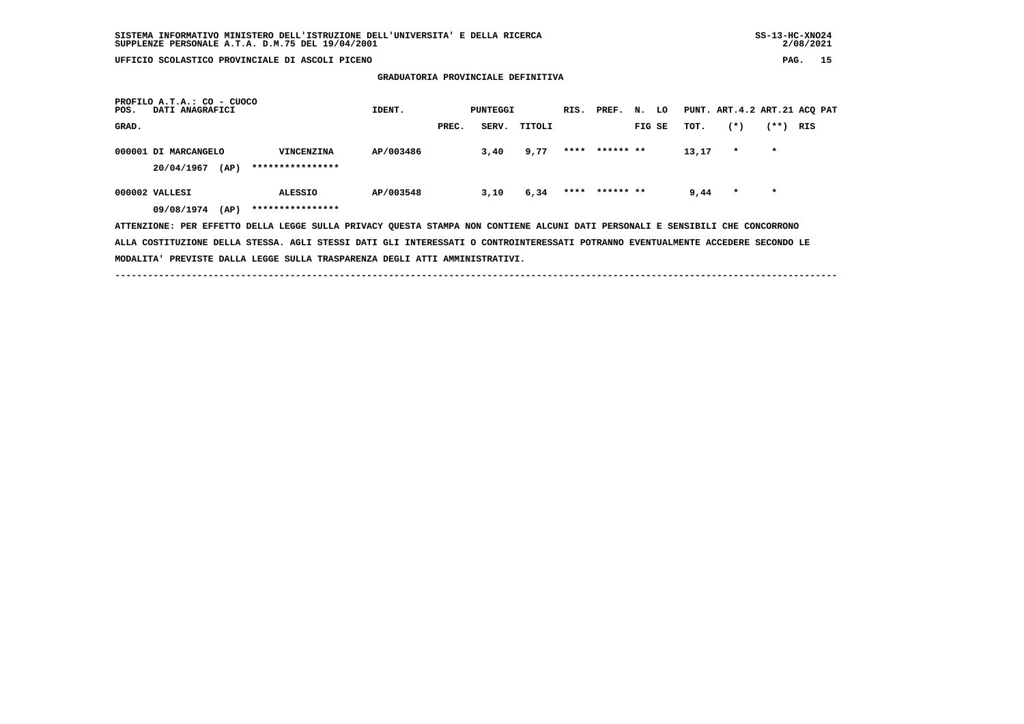**GRADUATORIA PROVINCIALE DEFINITIVA**

| PROFILO A.T.A.: CO - CUOCO<br>DATI ANAGRAFICI<br>POS.                                                                         | IDENT.                                                                                                                          |           | PUNTEGGI |      |              | RIS. PREF. N. LO |                |        |  | PUNT. ART.4.2 ART.21 ACQ PAT |         |            |  |  |
|-------------------------------------------------------------------------------------------------------------------------------|---------------------------------------------------------------------------------------------------------------------------------|-----------|----------|------|--------------|------------------|----------------|--------|--|------------------------------|---------|------------|--|--|
| GRAD.                                                                                                                         |                                                                                                                                 |           | PREC.    |      | SERV. TITOLI |                  |                | FIG SE |  | TOT.                         | $(*)$   | $(**)$ RIS |  |  |
| 000001 DI MARCANGELO                                                                                                          | VINCENZINA                                                                                                                      | AP/003486 |          | 3,40 | 9,77         |                  | **** ****** ** |        |  | 13,17                        | $\star$ | $\star$    |  |  |
| (AP)<br>20/04/1967                                                                                                            | ****************                                                                                                                |           |          |      |              |                  |                |        |  |                              |         |            |  |  |
| 000002 VALLESI                                                                                                                | <b>ALESSIO</b>                                                                                                                  | AP/003548 |          | 3,10 | 6,34         |                  | **** ****** ** |        |  | 9,44                         | $\star$ | $\star$    |  |  |
| (AP)<br>09/08/1974                                                                                                            | ****************                                                                                                                |           |          |      |              |                  |                |        |  |                              |         |            |  |  |
| ATTENZIONE: PER EFFETTO DELLA LEGGE SULLA PRIVACY QUESTA STAMPA NON CONTIENE ALCUNI DATI PERSONALI E SENSIBILI CHE CONCORRONO |                                                                                                                                 |           |          |      |              |                  |                |        |  |                              |         |            |  |  |
|                                                                                                                               | ALLA COSTITUZIONE DELLA STESSA. AGLI STESSI DATI GLI INTERESSATI O CONTROINTERESSATI POTRANNO EVENTUALMENTE ACCEDERE SECONDO LE |           |          |      |              |                  |                |        |  |                              |         |            |  |  |
| MODALITA' PREVISTE DALLA LEGGE SULLA TRASPARENZA DEGLI ATTI AMMINISTRATIVI.                                                   |                                                                                                                                 |           |          |      |              |                  |                |        |  |                              |         |            |  |  |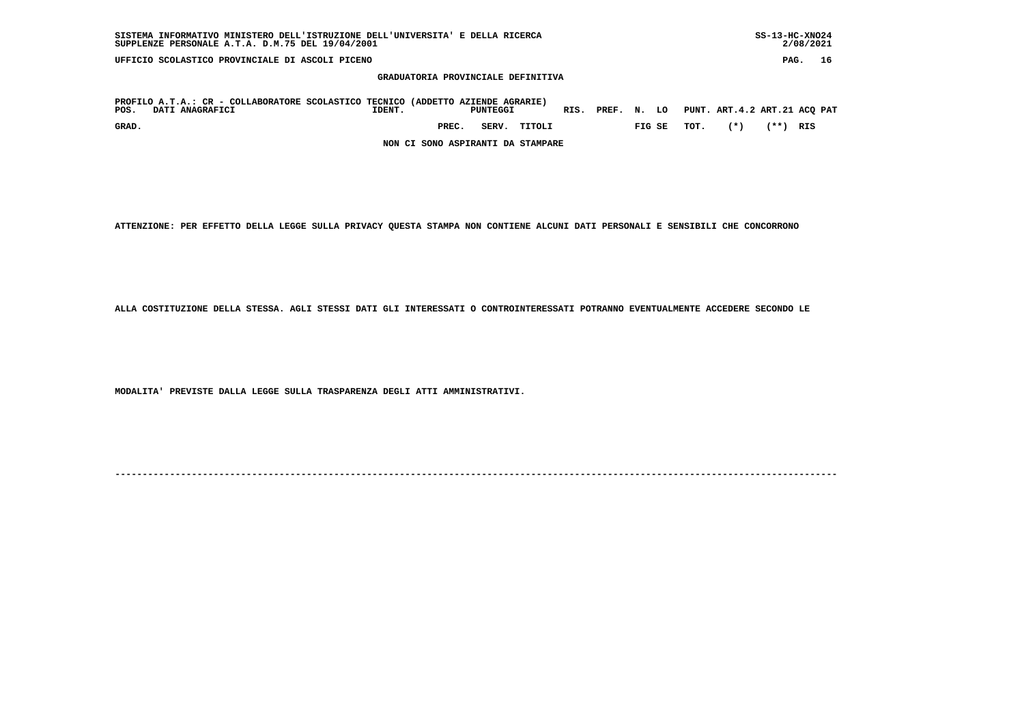| UFFICIO SCOLASTICO PROVINCIALE DI ASCOLI PICENO                                                                                                                                      | PAG.           | 16 |
|--------------------------------------------------------------------------------------------------------------------------------------------------------------------------------------|----------------|----|
| GRADUATORIA PROVINCIALE DEFINITIVA                                                                                                                                                   |                |    |
| PROFILO A.T.A.: CR - COLLABORATORE SCOLASTICO TECNICO (ADDETTO AZIENDE AGRARIE)<br>PUNT. ART.4.2 ART.21 ACQ PAT<br>RIS. PREF. N. LO<br>POS.<br>DATI ANAGRAFICI<br>PUNTEGGI<br>IDENT. |                |    |
| $(*)$<br>TOT.<br>SERV.<br>GRAD.<br>PREC.<br>TITOLI<br>FIG SE                                                                                                                         | $***$ )<br>RIS |    |
| NON CI SONO ASPIRANTI DA STAMPARE                                                                                                                                                    |                |    |

 **SISTEMA INFORMATIVO MINISTERO DELL'ISTRUZIONE DELL'UNIVERSITA' E DELLA RICERCA SS-13-HC-XNO24**

 $2/08/2021$ 

 **ATTENZIONE: PER EFFETTO DELLA LEGGE SULLA PRIVACY QUESTA STAMPA NON CONTIENE ALCUNI DATI PERSONALI E SENSIBILI CHE CONCORRONO**

 **ALLA COSTITUZIONE DELLA STESSA. AGLI STESSI DATI GLI INTERESSATI O CONTROINTERESSATI POTRANNO EVENTUALMENTE ACCEDERE SECONDO LE**

 **MODALITA' PREVISTE DALLA LEGGE SULLA TRASPARENZA DEGLI ATTI AMMINISTRATIVI.**

 **SUPPLENZE PERSONALE A.T.A. D.M.75 DEL 19/04/2001 2/08/2021**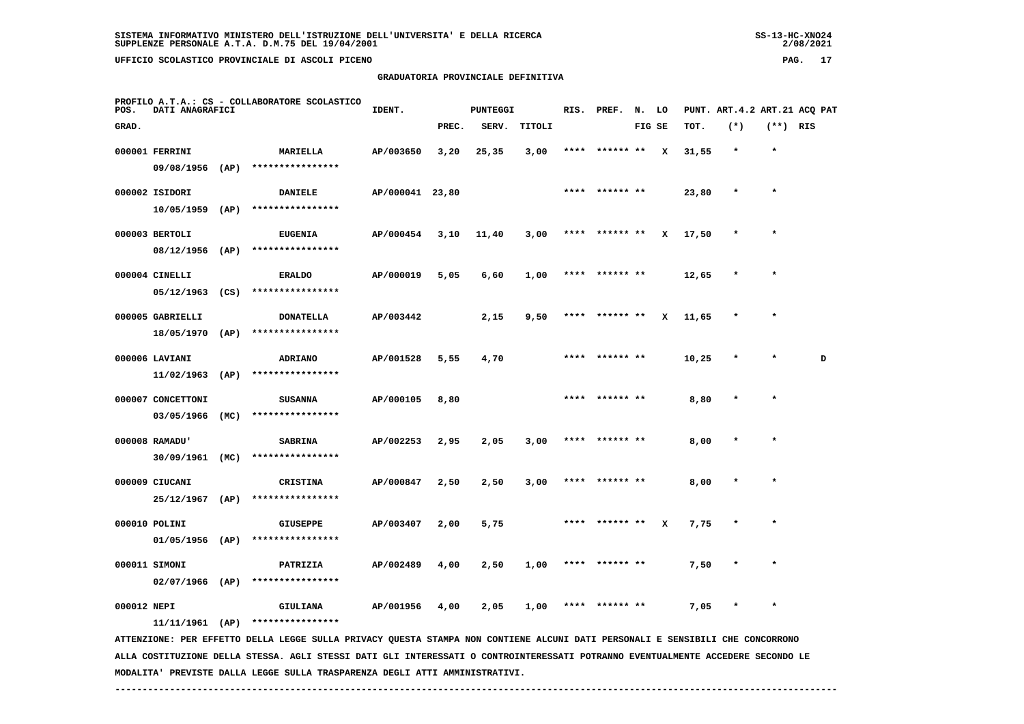| SUPPLENZE PERSONALE A.T.A. D.M.75 DEL 19/04/2001 | 2/08/2021 |    |
|--------------------------------------------------|-----------|----|
| UFFICIO SCOLASTICO PROVINCIALE DI ASCOLI PICENO  | PAG.      | 17 |
| GRADUATORIA PROVINCIALE DEFINITIVA               |           |    |

| PROFILO A.T.A.: CS - COLLABORATORE SCOLASTICO<br>POS.<br>DATI ANAGRAFICI |                   |      | IDENT.           |                 | PUNTEGGI |       | RIS.   | PREF. | N. LO           |        |   | PUNT. ART. 4.2 ART. 21 ACO PAT |         |            |   |
|--------------------------------------------------------------------------|-------------------|------|------------------|-----------------|----------|-------|--------|-------|-----------------|--------|---|--------------------------------|---------|------------|---|
| GRAD.                                                                    |                   |      |                  |                 | PREC.    | SERV. | TITOLI |       |                 | FIG SE |   | TOT.                           | $(*)$   | $(**)$ RIS |   |
|                                                                          | 000001 FERRINI    |      | <b>MARIELLA</b>  | AP/003650       | 3,20     | 25,35 | 3,00   |       | ****  ****** ** |        | x | 31,55                          | $\star$ | $\star$    |   |
|                                                                          | 09/08/1956        | (AP) | **************** |                 |          |       |        |       |                 |        |   |                                |         |            |   |
|                                                                          | 000002 ISIDORI    |      | <b>DANIELE</b>   | AP/000041 23,80 |          |       |        |       | **** ****** **  |        |   | 23,80                          | $\star$ | $\star$    |   |
|                                                                          | 10/05/1959        | (AP) | **************** |                 |          |       |        |       |                 |        |   |                                |         |            |   |
|                                                                          | 000003 BERTOLI    |      | <b>EUGENIA</b>   | AP/000454       | 3,10     | 11,40 | 3,00   |       | **** ****** **  |        | x | 17,50                          | $\ast$  |            |   |
|                                                                          | 08/12/1956        | (AP) | **************** |                 |          |       |        |       |                 |        |   |                                |         |            |   |
|                                                                          | 000004 CINELLI    |      | <b>ERALDO</b>    | AP/000019       | 5,05     | 6,60  | 1,00   |       | **** ****** **  |        |   | 12,65                          | $\star$ | $\star$    |   |
|                                                                          | 05/12/1963        | (CS) | **************** |                 |          |       |        |       |                 |        |   |                                |         |            |   |
|                                                                          | 000005 GABRIELLI  |      | <b>DONATELLA</b> | AP/003442       |          | 2,15  | 9,50   |       | **** ****** **  |        | x | 11,65                          | $\star$ | $\star$    |   |
|                                                                          | 18/05/1970        | (AP) | **************** |                 |          |       |        |       |                 |        |   |                                |         |            |   |
|                                                                          | 000006 LAVIANI    |      | <b>ADRIANO</b>   | AP/001528       | 5,55     | 4,70  |        | ****  | ****** **       |        |   | 10,25                          |         | $\star$    | D |
|                                                                          | 11/02/1963        | (AP) | **************** |                 |          |       |        |       |                 |        |   |                                |         |            |   |
|                                                                          | 000007 CONCETTONI |      | <b>SUSANNA</b>   | AP/000105       | 8,80     |       |        |       |                 |        |   | 8,80                           |         | $\star$    |   |
|                                                                          | 03/05/1966        | (MC) | **************** |                 |          |       |        |       |                 |        |   |                                |         |            |   |
|                                                                          | 000008 RAMADU'    |      | <b>SABRINA</b>   | AP/002253       | 2,95     | 2,05  | 3,00   |       | **** ****** **  |        |   | 8,00                           |         | $\star$    |   |
|                                                                          | 30/09/1961        | (MC) | **************** |                 |          |       |        |       |                 |        |   |                                |         |            |   |
|                                                                          | 000009 CIUCANI    |      | <b>CRISTINA</b>  | AP/000847       | 2,50     | 2,50  | 3,00   | ****  | ****** **       |        |   | 8,00                           |         | $\star$    |   |
|                                                                          | 25/12/1967        | (AP) | **************** |                 |          |       |        |       |                 |        |   |                                |         |            |   |
|                                                                          | 000010 POLINI     |      | <b>GIUSEPPE</b>  | AP/003407       | 2,00     | 5,75  |        |       |                 |        | x | 7,75                           | $\ast$  | $\star$    |   |
|                                                                          | $01/05/1956$ (AP) |      | **************** |                 |          |       |        |       |                 |        |   |                                |         |            |   |
|                                                                          | 000011 STMONT     |      | PATRTZTA         | AP/002489       | 4.00     | 2.50  | 1.00   | ****  | ****** **       |        |   | 7.50                           | $\star$ | $\star$    |   |

 **000012 NEPI GIULIANA AP/001956 4,00 2,05 1,00 \*\*\*\* \*\*\*\*\*\* \*\* 7,05 \* \***

 **11/11/1961 (AP) \*\*\*\*\*\*\*\*\*\*\*\*\*\*\*\***

 **02/07/1966 (AP) \*\*\*\*\*\*\*\*\*\*\*\*\*\*\*\***

 **ATTENZIONE: PER EFFETTO DELLA LEGGE SULLA PRIVACY QUESTA STAMPA NON CONTIENE ALCUNI DATI PERSONALI E SENSIBILI CHE CONCORRONO ALLA COSTITUZIONE DELLA STESSA. AGLI STESSI DATI GLI INTERESSATI O CONTROINTERESSATI POTRANNO EVENTUALMENTE ACCEDERE SECONDO LE MODALITA' PREVISTE DALLA LEGGE SULLA TRASPARENZA DEGLI ATTI AMMINISTRATIVI.**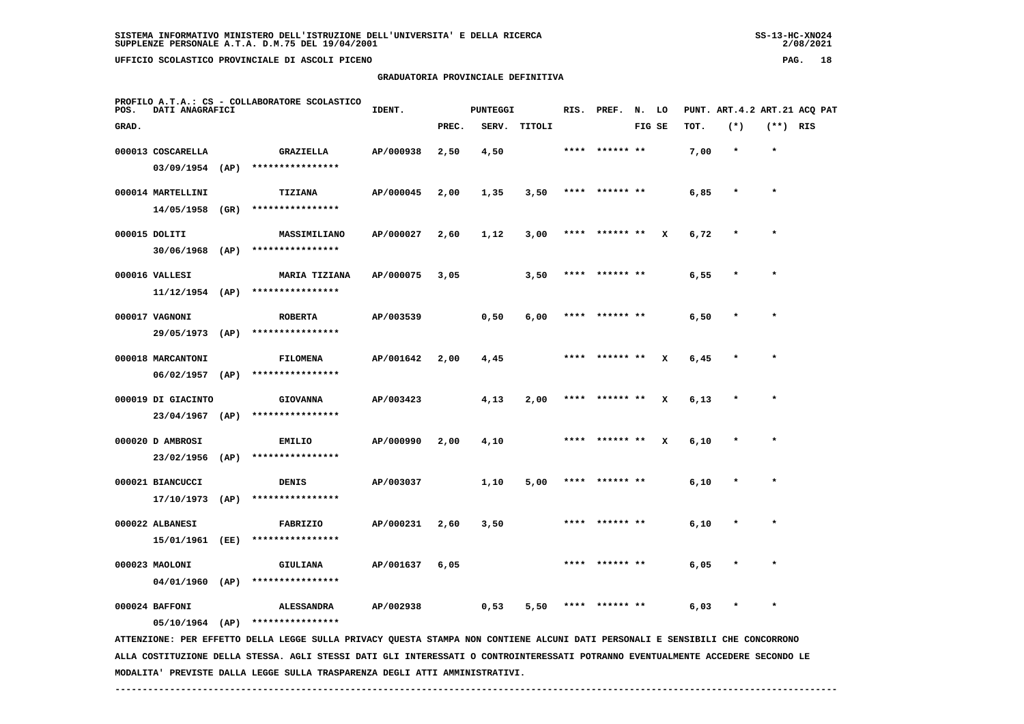$2/08/2021$ 

# **GRADUATORIA PROVINCIALE DEFINITIVA**

| POS.  | DATI ANAGRAFICI                     | PROFILO A.T.A.: CS - COLLABORATORE SCOLASTICO                                                                                 | IDENT.    |       | PUNTEGGI |        | RIS. | PREF.     | N. LO  |   |      |         |            | PUNT. ART. 4.2 ART. 21 ACO PAT |
|-------|-------------------------------------|-------------------------------------------------------------------------------------------------------------------------------|-----------|-------|----------|--------|------|-----------|--------|---|------|---------|------------|--------------------------------|
| GRAD. |                                     |                                                                                                                               |           | PREC. | SERV.    | TITOLI |      |           | FIG SE |   | TOT. | $(*)$   | $(**)$ RIS |                                |
|       | 000013 COSCARELLA                   | GRAZIELLA                                                                                                                     | AP/000938 | 2,50  | 4,50     |        | **** | ****** ** |        |   | 7,00 | $\star$ | $\star$    |                                |
|       | $03/09/1954$ (AP)                   | ****************                                                                                                              |           |       |          |        |      |           |        |   |      |         |            |                                |
|       | 000014 MARTELLINI                   | TIZIANA                                                                                                                       | AP/000045 | 2,00  | 1,35     | 3,50   | **** | ****** ** |        |   | 6,85 |         | $\star$    |                                |
|       | 14/05/1958 (GR)                     | ****************                                                                                                              |           |       |          |        |      |           |        |   |      |         |            |                                |
|       | 000015 DOLITI                       | MASSIMILIANO                                                                                                                  | AP/000027 | 2,60  | 1,12     | 3,00   | **** | ****** ** |        | x | 6,72 |         | $\star$    |                                |
|       |                                     | $30/06/1968$ (AP) ****************                                                                                            |           |       |          |        |      |           |        |   |      |         |            |                                |
|       | 000016 VALLESI                      | MARIA TIZIANA                                                                                                                 | AP/000075 | 3,05  |          | 3,50   |      |           |        |   | 6,55 |         |            |                                |
|       |                                     | $11/12/1954$ (AP) ****************                                                                                            |           |       |          |        |      |           |        |   |      |         |            |                                |
|       | 000017 VAGNONI                      | <b>ROBERTA</b>                                                                                                                | AP/003539 |       | 0,50     | 6,00   |      |           |        |   | 6,50 |         | $\star$    |                                |
|       | 29/05/1973 (AP)                     | ****************                                                                                                              |           |       |          |        |      |           |        |   |      |         |            |                                |
|       | 000018 MARCANTONI                   | <b>FILOMENA</b>                                                                                                               | AP/001642 | 2,00  | 4,45     |        | **** | ****** ** |        | x | 6,45 |         | $\star$    |                                |
|       | $06/02/1957$ (AP)                   | ****************                                                                                                              |           |       |          |        |      |           |        |   |      |         |            |                                |
|       | 000019 DI GIACINTO                  | <b>GIOVANNA</b>                                                                                                               | AP/003423 |       | 4,13     | 2,00   | **** | ****** ** |        | x | 6,13 |         | $\star$    |                                |
|       |                                     | 23/04/1967 (AP) ****************                                                                                              |           |       |          |        |      |           |        |   |      |         |            |                                |
|       | 000020 D AMBROSI                    | <b>EMILIO</b>                                                                                                                 | AP/000990 | 2,00  | 4,10     |        |      | ****** ** |        | x | 6,10 |         |            |                                |
|       |                                     | 23/02/1956 (AP) ****************                                                                                              |           |       |          |        |      |           |        |   |      |         |            |                                |
|       | 000021 BIANCUCCI<br>17/10/1973 (AP) | DENIS<br>****************                                                                                                     | AP/003037 |       | 1,10     | 5,00   | **** |           |        |   | 6,10 |         |            |                                |
|       |                                     |                                                                                                                               |           |       |          |        |      |           |        |   |      |         |            |                                |
|       | 000022 ALBANESI<br>15/01/1961 (EE)  | FABRIZIO<br>****************                                                                                                  | AP/000231 | 2,60  | 3,50     |        | **** | ****** ** |        |   | 6,10 |         | $\ast$     |                                |
|       |                                     |                                                                                                                               |           |       |          |        |      |           |        |   |      |         |            |                                |
|       | 000023 MAOLONI<br>$04/01/1960$ (AP) | GIULIANA<br>****************                                                                                                  | AP/001637 | 6,05  |          |        | **** | ****** ** |        |   | 6,05 |         |            |                                |
|       |                                     |                                                                                                                               |           |       |          |        |      |           |        |   |      |         |            |                                |
|       | 000024 BAFFONI                      | <b>ALESSANDRA</b><br>05/10/1964 (AP) ****************                                                                         | AP/002938 |       | 0,53     | 5,50   | **** |           |        |   | 6,03 |         |            |                                |
|       |                                     | ATTENZIONE: PER EFFETTO DELLA LEGGE SULLA PRIVACY QUESTA STAMPA NON CONTIENE ALCUNI DATI PERSONALI E SENSIBILI CHE CONCORRONO |           |       |          |        |      |           |        |   |      |         |            |                                |
|       |                                     |                                                                                                                               |           |       |          |        |      |           |        |   |      |         |            |                                |

 **ALLA COSTITUZIONE DELLA STESSA. AGLI STESSI DATI GLI INTERESSATI O CONTROINTERESSATI POTRANNO EVENTUALMENTE ACCEDERE SECONDO LE MODALITA' PREVISTE DALLA LEGGE SULLA TRASPARENZA DEGLI ATTI AMMINISTRATIVI.**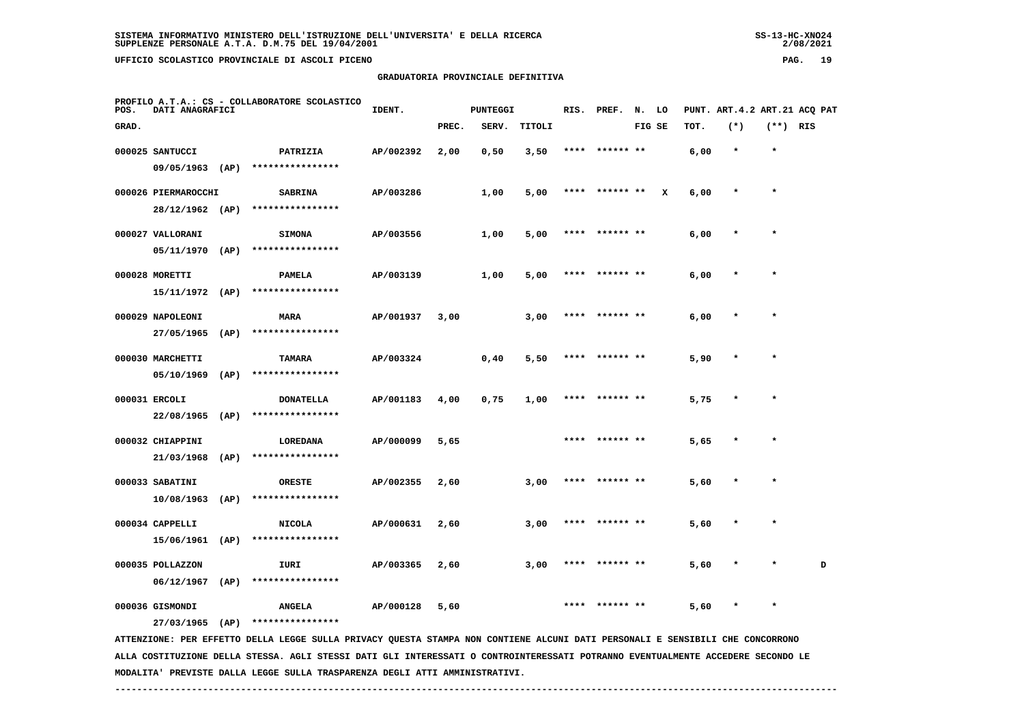$2/08/2021$ 

# **GRADUATORIA PROVINCIALE DEFINITIVA**

| POS.  | DATI ANAGRAFICI     |      | PROFILO A.T.A.: CS - COLLABORATORE SCOLASTICO                                                                                 | IDENT.    |       | <b>PUNTEGGI</b> |        | RIS. | PREF.          | N. LO  |   |      |         |              | PUNT. ART. 4.2 ART. 21 ACQ PAT |
|-------|---------------------|------|-------------------------------------------------------------------------------------------------------------------------------|-----------|-------|-----------------|--------|------|----------------|--------|---|------|---------|--------------|--------------------------------|
| GRAD. |                     |      |                                                                                                                               |           | PREC. | SERV.           | TITOLI |      |                | FIG SE |   | TOT. | $(*)$   | $(**)$ RIS   |                                |
|       | 000025 SANTUCCI     |      | PATRIZIA                                                                                                                      | AP/002392 | 2,00  | 0,50            | 3,50   | **** | ****** **      |        |   | 6,00 | $\star$ | $\star$      |                                |
|       | 09/05/1963 (AP)     |      | ****************                                                                                                              |           |       |                 |        |      |                |        |   |      |         |              |                                |
|       | 000026 PIERMAROCCHI |      | <b>SABRINA</b>                                                                                                                | AP/003286 |       | 1,00            | 5,00   | **** | ****** **      |        | x | 6,00 | $\star$ | $\pmb{\ast}$ |                                |
|       | 28/12/1962 (AP)     |      | ****************                                                                                                              |           |       |                 |        |      |                |        |   |      |         |              |                                |
|       | 000027 VALLORANI    |      | <b>SIMONA</b>                                                                                                                 | AP/003556 |       | 1,00            | 5,00   |      | ****** **      |        |   | 6,00 |         | $\star$      |                                |
|       | 05/11/1970 (AP)     |      | ****************                                                                                                              |           |       |                 |        |      |                |        |   |      |         |              |                                |
|       | 000028 MORETTI      |      | <b>PAMELA</b>                                                                                                                 | AP/003139 |       | 1,00            | 5,00   |      | ****** **      |        |   | 6,00 |         |              |                                |
|       | $15/11/1972$ (AP)   |      | ****************                                                                                                              |           |       |                 |        |      |                |        |   |      |         |              |                                |
|       | 000029 NAPOLEONI    |      | <b>MARA</b>                                                                                                                   | AP/001937 | 3,00  |                 | 3,00   |      | ****** **      |        |   | 6,00 |         | $\star$      |                                |
|       | 27/05/1965          | (AP) | ****************                                                                                                              |           |       |                 |        |      |                |        |   |      |         |              |                                |
|       | 000030 MARCHETTI    |      | TAMARA                                                                                                                        | AP/003324 |       | 0,40            | 5,50   |      | **** ****** ** |        |   | 5,90 |         | $\star$      |                                |
|       | 05/10/1969          | (AP) | ****************                                                                                                              |           |       |                 |        |      |                |        |   |      |         |              |                                |
|       | 000031 ERCOLI       |      | <b>DONATELLA</b>                                                                                                              | AP/001183 | 4,00  | 0,75            | 1,00   | **** | ****** **      |        |   | 5,75 |         | ÷            |                                |
|       | 22/08/1965 (AP)     |      | ****************                                                                                                              |           |       |                 |        |      |                |        |   |      |         |              |                                |
|       | 000032 CHIAPPINI    |      | LOREDANA                                                                                                                      | AP/000099 | 5,65  |                 |        | **** | ****** **      |        |   | 5,65 | $\ast$  | $\star$      |                                |
|       | 21/03/1968          | (AP) | ****************                                                                                                              |           |       |                 |        |      |                |        |   |      |         |              |                                |
|       | 000033 SABATINI     |      | <b>ORESTE</b>                                                                                                                 | AP/002355 | 2,60  |                 | 3,00   |      |                |        |   | 5,60 |         |              |                                |
|       | $10/08/1963$ (AP)   |      | ****************                                                                                                              |           |       |                 |        |      |                |        |   |      |         |              |                                |
|       | 000034 CAPPELLI     |      | <b>NICOLA</b>                                                                                                                 | AP/000631 | 2,60  |                 | 3,00   |      | ****** **      |        |   | 5,60 |         |              |                                |
|       | 15/06/1961 (AP)     |      | ****************                                                                                                              |           |       |                 |        |      |                |        |   |      |         |              |                                |
|       | 000035 POLLAZZON    |      | IURI                                                                                                                          | AP/003365 | 2,60  |                 | 3,00   |      |                |        |   | 5,60 |         |              | D                              |
|       | 06/12/1967          | (AP) | ****************                                                                                                              |           |       |                 |        |      |                |        |   |      |         |              |                                |
|       | 000036 GISMONDI     |      | <b>ANGELA</b>                                                                                                                 | AP/000128 | 5,60  |                 |        |      | ****** **      |        |   | 5,60 |         |              |                                |
|       | 27/03/1965 (AP)     |      | ****************                                                                                                              |           |       |                 |        |      |                |        |   |      |         |              |                                |
|       |                     |      | ATTENZIONE: PER EFFETTO DELLA LEGGE SULLA PRIVACY QUESTA STAMPA NON CONTIENE ALCUNI DATI PERSONALI E SENSIBILI CHE CONCORRONO |           |       |                 |        |      |                |        |   |      |         |              |                                |

 **ALLA COSTITUZIONE DELLA STESSA. AGLI STESSI DATI GLI INTERESSATI O CONTROINTERESSATI POTRANNO EVENTUALMENTE ACCEDERE SECONDO LE MODALITA' PREVISTE DALLA LEGGE SULLA TRASPARENZA DEGLI ATTI AMMINISTRATIVI.**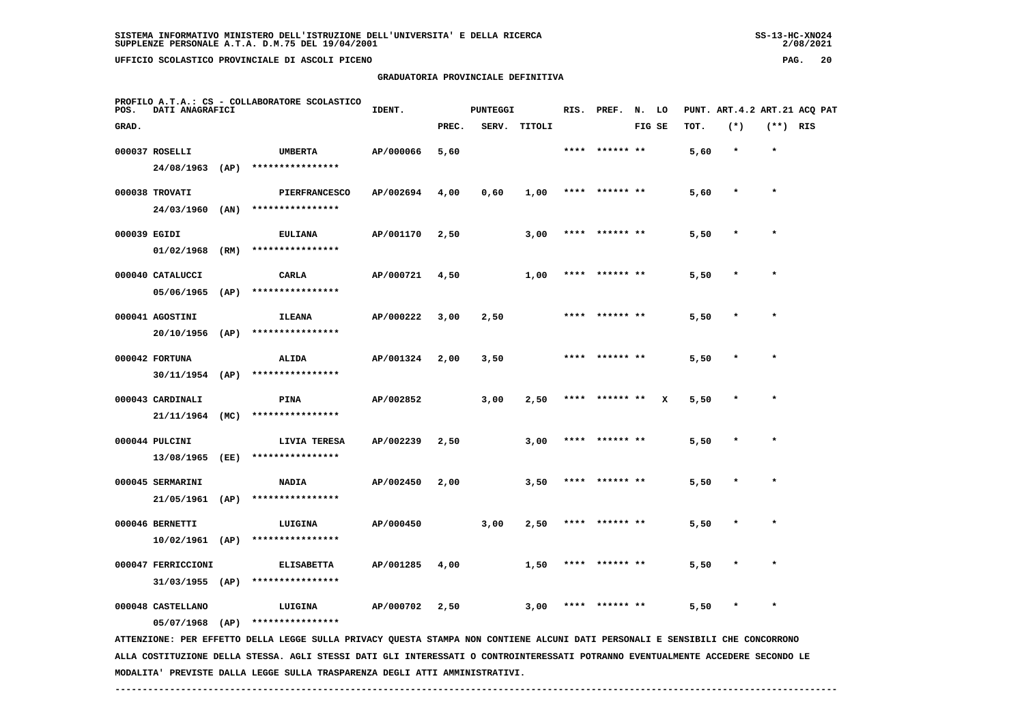| $SS-13-HC-XNO24$ |
|------------------|
| 2/08/2021        |

| POS.         | DATI ANAGRAFICI                         |      | PROFILO A.T.A.: CS - COLLABORATORE SCOLASTICO                                                                                   | IDENT.    | <b>PUNTEGGI</b> |      |              | RIS. | PREF.          | N. LO  |   |      |         |            | PUNT. ART. 4.2 ART. 21 ACQ PAT |
|--------------|-----------------------------------------|------|---------------------------------------------------------------------------------------------------------------------------------|-----------|-----------------|------|--------------|------|----------------|--------|---|------|---------|------------|--------------------------------|
| GRAD.        |                                         |      |                                                                                                                                 |           | PREC.           |      | SERV. TITOLI |      |                | FIG SE |   | TOT. | $(*)$   | $(**)$ RIS |                                |
|              | 000037 ROSELLI<br>24/08/1963 (AP)       |      | <b>UMBERTA</b><br>****************                                                                                              | AP/000066 | 5,60            |      |              |      | **** ****** ** |        |   | 5,60 | $\star$ | $\star$    |                                |
|              | 000038 TROVATI<br>24/03/1960 (AN)       |      | <b>PIERFRANCESCO</b><br>****************                                                                                        | AP/002694 | 4,00            | 0,60 | 1,00         |      | **** ****** ** |        |   | 5,60 | $\star$ | $\star$    |                                |
| 000039 EGIDI | 01/02/1968 (RM)                         |      | <b>EULIANA</b><br>****************                                                                                              | AP/001170 | 2,50            |      | 3,00         |      | **** ****** ** |        |   | 5,50 |         |            |                                |
|              | 000040 CATALUCCI<br>05/06/1965          | (AP) | CARLA<br>****************                                                                                                       | AP/000721 | 4,50            |      | 1,00         | **** |                |        |   | 5,50 |         |            |                                |
|              | 000041 AGOSTINI<br>20/10/1956 (AP)      |      | <b>ILEANA</b><br>****************                                                                                               | AP/000222 | 3,00            | 2,50 |              | **** | ****** **      |        |   | 5,50 |         | $\star$    |                                |
|              | 000042 FORTUNA<br>$30/11/1954$ (AP)     |      | <b>ALIDA</b><br>****************                                                                                                | AP/001324 | 2,00            | 3,50 |              | **** | ****** **      |        |   | 5,50 | $\ast$  | $\star$    |                                |
|              | 000043 CARDINALI<br>21/11/1964          | (MC) | PINA<br>****************                                                                                                        | AP/002852 |                 | 3,00 | 2,50         |      |                |        | x | 5,50 |         |            |                                |
|              | 000044 PULCINI<br>13/08/1965            | (EE) | LIVIA TERESA<br>****************                                                                                                | AP/002239 | 2,50            |      | 3,00         |      |                |        |   | 5,50 |         | $\star$    |                                |
|              | 000045 SERMARINI<br>21/05/1961 (AP)     |      | <b>NADIA</b><br>****************                                                                                                | AP/002450 | 2,00            |      | 3,50         | **** | ****** **      |        |   | 5,50 |         |            |                                |
|              | 000046 BERNETTI<br>$10/02/1961$ (AP)    |      | LUIGINA<br>****************                                                                                                     | AP/000450 |                 | 3,00 | 2,50         |      | **** ****** ** |        |   | 5,50 |         | $\star$    |                                |
|              | 000047 FERRICCIONI<br>$31/03/1955$ (AP) |      | <b>ELISABETTA</b><br>****************                                                                                           | AP/001285 | 4,00            |      | 1,50         |      |                |        |   | 5,50 |         |            |                                |
|              | 000048 CASTELLANO<br>$05/07/1968$ (AP)  |      | LUIGINA<br>****************                                                                                                     | AP/000702 | 2,50            |      | 3,00         |      |                |        |   | 5,50 |         |            |                                |
|              |                                         |      | ATTENZIONE: PER EFFETTO DELLA LEGGE SULLA PRIVACY QUESTA STAMPA NON CONTIENE ALCUNI DATI PERSONALI E SENSIBILI CHE CONCORRONO   |           |                 |      |              |      |                |        |   |      |         |            |                                |
|              |                                         |      | ALLA COSTITUZIONE DELLA STESSA. AGLI STESSI DATI GLI INTERESSATI O CONTROINTERESSATI POTRANNO EVENTUALMENTE ACCEDERE SECONDO LE |           |                 |      |              |      |                |        |   |      |         |            |                                |

 **MODALITA' PREVISTE DALLA LEGGE SULLA TRASPARENZA DEGLI ATTI AMMINISTRATIVI.**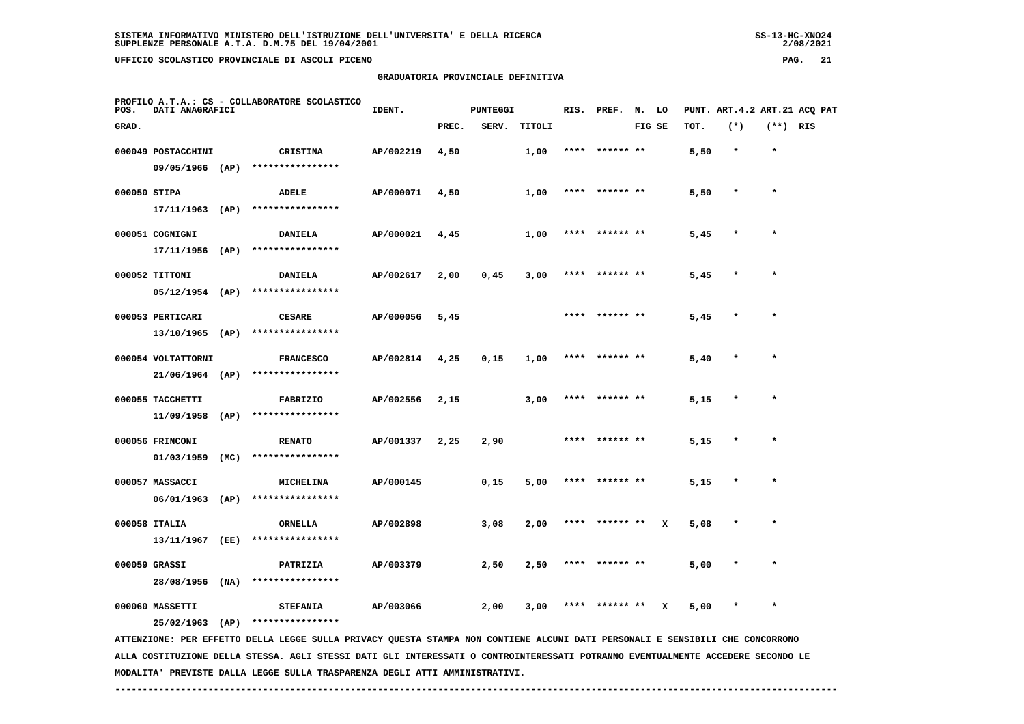|              | GRADUATORIA PROVINCIALE DEFINITIVA                               |      |                  |           |       |          |        |  |                  |  |        |      |         |            |                                |
|--------------|------------------------------------------------------------------|------|------------------|-----------|-------|----------|--------|--|------------------|--|--------|------|---------|------------|--------------------------------|
| POS.         | PROFILO A.T.A.: CS - COLLABORATORE SCOLASTICO<br>DATI ANAGRAFICI |      |                  | IDENT.    |       | PUNTEGGI |        |  | RIS. PREF. N. LO |  |        |      |         |            | PUNT. ART. 4.2 ART. 21 ACQ PAT |
| GRAD.        |                                                                  |      |                  |           | PREC. | SERV.    | TITOLI |  |                  |  | FIG SE | TOT. | $(*)$   | $(**)$ RIS |                                |
|              | 000049 POSTACCHINI                                               |      | <b>CRISTINA</b>  | AP/002219 | 4,50  |          | 1,00   |  | **** ****** **   |  |        | 5,50 | $\star$ | $\star$    |                                |
|              | 09/05/1966                                                       | (AP) | **************** |           |       |          |        |  |                  |  |        |      |         |            |                                |
| 000050 STIPA |                                                                  |      | <b>ADELE</b>     | AP/000071 | 4,50  |          | 1,00   |  | **** ****** **   |  |        | 5,50 | $\star$ | $\star$    |                                |
|              | 17/11/1963                                                       | (AP) | **************** |           |       |          |        |  |                  |  |        |      |         |            |                                |
|              | 000051 COGNIGNI                                                  |      | <b>DANIELA</b>   | AP/000021 | 4,45  |          | 1,00   |  | **** ****** **   |  |        | 5,45 | $\star$ | $\star$    |                                |
|              | 17/11/1956                                                       | (AP) | **************** |           |       |          |        |  |                  |  |        |      |         |            |                                |
|              | 000052 TITTONI                                                   |      | <b>DANIELA</b>   | AP/002617 | 2,00  | 0,45     | 3,00   |  | **** ****** **   |  |        | 5,45 | $\star$ | $\star$    |                                |
|              | 05/12/1954                                                       | (AP) | **************** |           |       |          |        |  |                  |  |        |      |         |            |                                |
|              | 000053 PERTICARI                                                 |      | <b>CESARE</b>    | AP/000056 | 5,45  |          |        |  | **** ****** **   |  |        | 5,45 | $\star$ | $\star$    |                                |

 **13/10/1965 (AP) \*\*\*\*\*\*\*\*\*\*\*\*\*\*\*\* 000054 VOLTATTORNI FRANCESCO AP/002814 4,25 0,15 1,00 \*\*\*\* \*\*\*\*\*\* \*\* 5,40 \* \* 21/06/1964 (AP) \*\*\*\*\*\*\*\*\*\*\*\*\*\*\*\***

 **000055 TACCHETTI FABRIZIO AP/002556 2,15 3,00 \*\*\*\* \*\*\*\*\*\* \*\* 5,15 \* \* 11/09/1958 (AP) \*\*\*\*\*\*\*\*\*\*\*\*\*\*\*\***

 **000056 FRINCONI RENATO AP/001337 2,25 2,90 \*\*\*\* \*\*\*\*\*\* \*\* 5,15 \* \* 01/03/1959 (MC) \*\*\*\*\*\*\*\*\*\*\*\*\*\*\*\* 000057 MASSACCI MICHELINA AP/000145 0,15 5,00 \*\*\*\* \*\*\*\*\*\* \*\* 5,15 \* \* 06/01/1963 (AP) \*\*\*\*\*\*\*\*\*\*\*\*\*\*\*\***

 **000058 ITALIA ORNELLA AP/002898 3,08 2,00 \*\*\*\* \*\*\*\*\*\* \*\* X 5,08 \* \* 13/11/1967 (EE) \*\*\*\*\*\*\*\*\*\*\*\*\*\*\*\***

 **000059 GRASSI PATRIZIA AP/003379 2,50 2,50 \*\*\*\* \*\*\*\*\*\* \*\* 5,00 \* \* 28/08/1956 (NA) \*\*\*\*\*\*\*\*\*\*\*\*\*\*\*\***000060 MASSETTI **8 STEFANIA 12**7003066 2,00 3,00 \*\*\*\* \*\*\*\*\*\* \* x 5,00 \* \* \*

 **25/02/1963 (AP) \*\*\*\*\*\*\*\*\*\*\*\*\*\*\*\***

 **ATTENZIONE: PER EFFETTO DELLA LEGGE SULLA PRIVACY QUESTA STAMPA NON CONTIENE ALCUNI DATI PERSONALI E SENSIBILI CHE CONCORRONO ALLA COSTITUZIONE DELLA STESSA. AGLI STESSI DATI GLI INTERESSATI O CONTROINTERESSATI POTRANNO EVENTUALMENTE ACCEDERE SECONDO LE MODALITA' PREVISTE DALLA LEGGE SULLA TRASPARENZA DEGLI ATTI AMMINISTRATIVI.**

 **------------------------------------------------------------------------------------------------------------------------------------**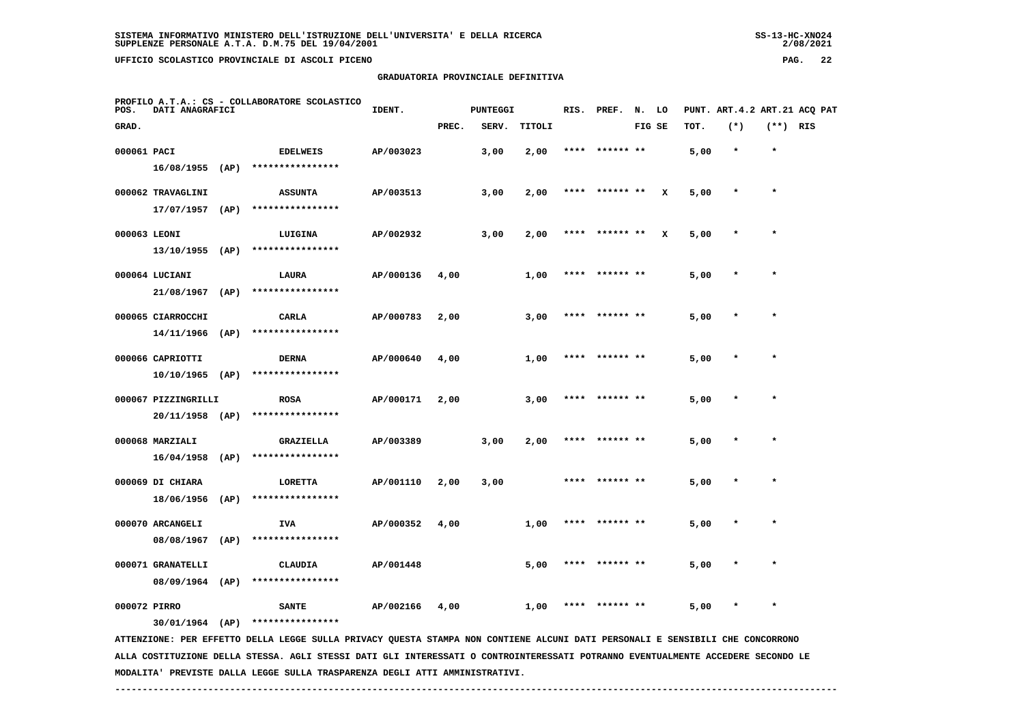$2/08/2021$ 

 **GRADUATORIA PROVINCIALE DEFINITIVA**

| $(*)$<br>$(**)$ RIS<br>GRAD.<br>PREC.<br>SERV.<br>TITOLI<br>FIG SE<br>TOT.<br>000061 PACI<br>AP/003023<br>3,00<br>2,00<br>$\star$<br>$\star$<br><b>EDELWEIS</b><br>****<br>****** **<br>5,00<br>$16/08/1955$ (AP)<br>****************<br>$\star$<br>000062 TRAVAGLINI<br><b>ASSUNTA</b><br>AP/003513<br>3,00<br>2,00<br>****** **<br>x<br>5,00<br>$\star$<br>****<br>$17/07/1957$ (AP)<br>****************<br>000063 LEONI<br>AP/002932<br>3,00<br>x<br>$\star$<br>LUIGINA<br>2,00<br>5,00<br>$\ast$<br>$13/10/1955$ (AP)<br>****************<br>000064 LUCIANI<br>AP/000136<br>LAURA<br>4,00<br>1,00<br>****** **<br>5,00<br>$\star$<br>****************<br>$21/08/1967$ (AP)<br>$\star$<br>000065 CIARROCCHI<br>CARLA<br>AP/000783<br>2,00<br>3,00<br>****** **<br>5,00<br>**** |
|-----------------------------------------------------------------------------------------------------------------------------------------------------------------------------------------------------------------------------------------------------------------------------------------------------------------------------------------------------------------------------------------------------------------------------------------------------------------------------------------------------------------------------------------------------------------------------------------------------------------------------------------------------------------------------------------------------------------------------------------------------------------------------------|
|                                                                                                                                                                                                                                                                                                                                                                                                                                                                                                                                                                                                                                                                                                                                                                                   |
|                                                                                                                                                                                                                                                                                                                                                                                                                                                                                                                                                                                                                                                                                                                                                                                   |
|                                                                                                                                                                                                                                                                                                                                                                                                                                                                                                                                                                                                                                                                                                                                                                                   |
|                                                                                                                                                                                                                                                                                                                                                                                                                                                                                                                                                                                                                                                                                                                                                                                   |
|                                                                                                                                                                                                                                                                                                                                                                                                                                                                                                                                                                                                                                                                                                                                                                                   |
|                                                                                                                                                                                                                                                                                                                                                                                                                                                                                                                                                                                                                                                                                                                                                                                   |
|                                                                                                                                                                                                                                                                                                                                                                                                                                                                                                                                                                                                                                                                                                                                                                                   |
|                                                                                                                                                                                                                                                                                                                                                                                                                                                                                                                                                                                                                                                                                                                                                                                   |
|                                                                                                                                                                                                                                                                                                                                                                                                                                                                                                                                                                                                                                                                                                                                                                                   |
|                                                                                                                                                                                                                                                                                                                                                                                                                                                                                                                                                                                                                                                                                                                                                                                   |
| 14/11/1966<br>(AP)<br>****************                                                                                                                                                                                                                                                                                                                                                                                                                                                                                                                                                                                                                                                                                                                                            |
| 000066 CAPRIOTTI<br>AP/000640<br>$\star$<br><b>DERNA</b><br>4,00<br>1,00<br>5,00                                                                                                                                                                                                                                                                                                                                                                                                                                                                                                                                                                                                                                                                                                  |
| ****************<br>$10/10/1965$ (AP)                                                                                                                                                                                                                                                                                                                                                                                                                                                                                                                                                                                                                                                                                                                                             |
| 000067 PIZZINGRILLI<br>AP/000171<br><b>ROSA</b><br>2,00<br>3,00<br>****<br>****** **<br>5,00<br>$\star$                                                                                                                                                                                                                                                                                                                                                                                                                                                                                                                                                                                                                                                                           |
| ****************<br>20/11/1958 (AP)                                                                                                                                                                                                                                                                                                                                                                                                                                                                                                                                                                                                                                                                                                                                               |
| $\star$<br>000068 MARZIALI<br><b>GRAZIELLA</b><br>AP/003389<br>3,00<br>2,00<br>****<br>****** **<br>5,00                                                                                                                                                                                                                                                                                                                                                                                                                                                                                                                                                                                                                                                                          |
| 16/04/1958<br>(AP)<br>****************                                                                                                                                                                                                                                                                                                                                                                                                                                                                                                                                                                                                                                                                                                                                            |
| 000069 DI CHIARA<br>AP/001110<br>$\star$<br>LORETTA<br>2,00<br>3,00<br>5,00                                                                                                                                                                                                                                                                                                                                                                                                                                                                                                                                                                                                                                                                                                       |
| ****************<br>18/06/1956<br>(AP)                                                                                                                                                                                                                                                                                                                                                                                                                                                                                                                                                                                                                                                                                                                                            |
| 000070 ARCANGELI<br>AP/000352<br><b>IVA</b><br>4,00<br>1,00<br>5,00<br>$\ast$                                                                                                                                                                                                                                                                                                                                                                                                                                                                                                                                                                                                                                                                                                     |
| ****************<br>08/08/1967 (AP)                                                                                                                                                                                                                                                                                                                                                                                                                                                                                                                                                                                                                                                                                                                                               |
| 000071 GRANATELLI<br>CLAUDIA<br>AP/001448<br>5,00<br>5,00<br>$\star$                                                                                                                                                                                                                                                                                                                                                                                                                                                                                                                                                                                                                                                                                                              |
| 08/09/1964 (AP)<br>****************                                                                                                                                                                                                                                                                                                                                                                                                                                                                                                                                                                                                                                                                                                                                               |
| 000072 PIRRO<br>AP/002166<br>$\star$<br>4,00<br>1,00<br>5,00<br><b>SANTE</b>                                                                                                                                                                                                                                                                                                                                                                                                                                                                                                                                                                                                                                                                                                      |
| ****************<br>$30/01/1964$ (AP)<br>ATTENZIONE: PER EFFETTO DELLA LEGGE SULLA PRIVACY QUESTA STAMPA NON CONTIENE ALCUNI DATI PERSONALI E SENSIBILI CHE CONCORRONO                                                                                                                                                                                                                                                                                                                                                                                                                                                                                                                                                                                                            |

 **ALLA COSTITUZIONE DELLA STESSA. AGLI STESSI DATI GLI INTERESSATI O CONTROINTERESSATI POTRANNO EVENTUALMENTE ACCEDERE SECONDO LE MODALITA' PREVISTE DALLA LEGGE SULLA TRASPARENZA DEGLI ATTI AMMINISTRATIVI.**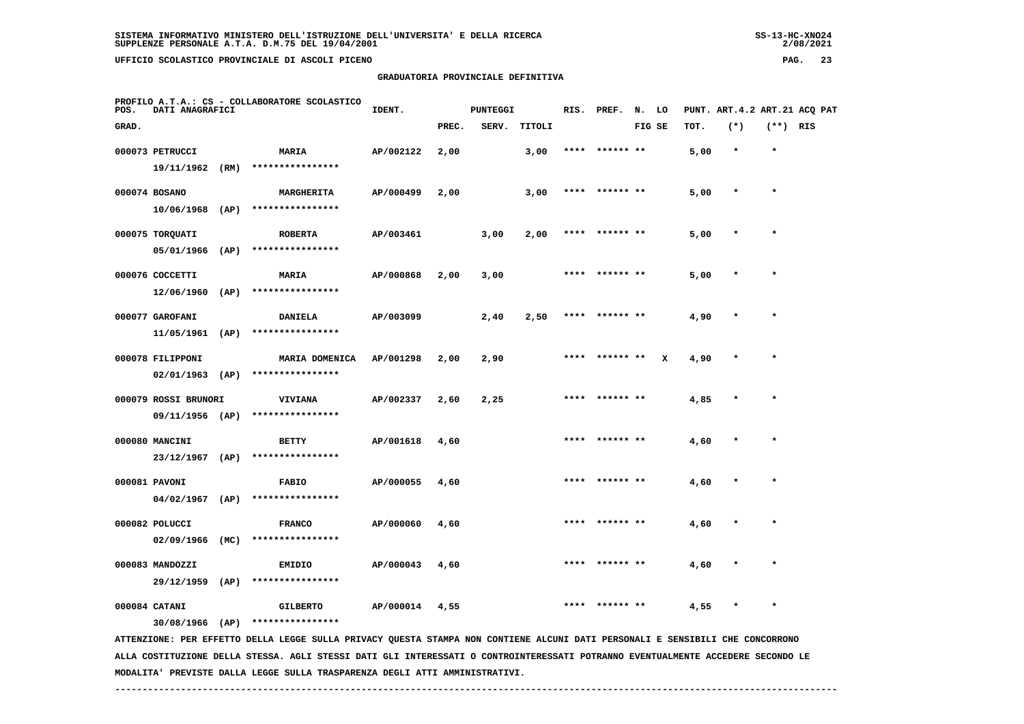| UFFICIO SCOLASTICO PROVINCIALE DI ASCOLI PICENO                          |                                    |               |          |        |               |        |      |       | PAG.                         |     | -23 |
|--------------------------------------------------------------------------|------------------------------------|---------------|----------|--------|---------------|--------|------|-------|------------------------------|-----|-----|
|                                                                          | GRADUATORIA PROVINCIALE DEFINITIVA |               |          |        |               |        |      |       |                              |     |     |
| PROFILO A.T.A.: CS - COLLABORATORE SCOLASTICO<br>POS.<br>DATI ANAGRAFICI | IDENT.                             |               | PUNTEGGI |        | RIS. PREF. N. | LO     |      |       | PUNT. ART.4.2 ART.21 ACQ PAT |     |     |
| GRAD.                                                                    |                                    | PREC.         | SERV.    | TITOLI |               | FIG SE | TOT. | $(*)$ | $(**)$                       | RIS |     |
| <br>------                                                               |                                    | $\sim$ $\sim$ |          |        |               |        |      |       |                              |     |     |

|  | 000073 PETRUCCI             |      | <b>MARIA</b>                     | AP/002122 | 2,00 |      | 3,00 |      | **** ****** ** |   | 5,00 | $\ast$ | $\star$ |  |
|--|-----------------------------|------|----------------------------------|-----------|------|------|------|------|----------------|---|------|--------|---------|--|
|  | 19/11/1962                  | (RM) | ****************                 |           |      |      |      |      |                |   |      |        |         |  |
|  | 000074 BOSANO               |      | <b>MARGHERITA</b>                | AP/000499 | 2,00 |      | 3,00 | **** | ****** **      |   | 5,00 |        | $\star$ |  |
|  | 10/06/1968                  | (AP) | ****************                 |           |      |      |      |      |                |   |      |        |         |  |
|  | 000075 TORQUATI             |      | <b>ROBERTA</b>                   | AP/003461 |      | 3,00 | 2,00 | **** | ****** **      |   | 5,00 |        | $\star$ |  |
|  | 05/01/1966                  | (AP) | ****************                 |           |      |      |      |      |                |   |      |        |         |  |
|  | 000076 COCCETTI             |      | <b>MARIA</b>                     | AP/000868 | 2,00 | 3,00 |      |      | ****** **      |   | 5,00 |        | $\star$ |  |
|  | 12/06/1960                  | (AP) | ****************                 |           |      |      |      |      |                |   |      |        |         |  |
|  |                             |      |                                  |           |      |      |      |      |                |   |      |        |         |  |
|  | 000077 GAROFANI             |      | <b>DANIELA</b>                   | AP/003099 |      | 2,40 | 2,50 | **** | ****** **      |   | 4,90 |        | $\star$ |  |
|  | 11/05/1961                  | (AP) | ****************                 |           |      |      |      |      |                |   |      |        |         |  |
|  | 000078 FILIPPONI            |      | MARIA DOMENICA                   | AP/001298 | 2,00 | 2,90 |      | **** | ****** **      | x | 4,90 |        | $\star$ |  |
|  | 02/01/1963                  | (AP) | ****************                 |           |      |      |      |      |                |   |      |        |         |  |
|  | 000079 ROSSI BRUNORI        |      | <b>VIVIANA</b>                   | AP/002337 | 2,60 | 2,25 |      | **** | ****** **      |   | 4,85 |        |         |  |
|  | 09/11/1956 (AP)             |      | ****************                 |           |      |      |      |      |                |   |      |        |         |  |
|  | 000080 MANCINI              |      | <b>BETTY</b>                     | AP/001618 | 4,60 |      |      | **** | ****** **      |   | 4,60 |        | $\star$ |  |
|  | 23/12/1967                  | (AP) | ****************                 |           |      |      |      |      |                |   |      |        |         |  |
|  |                             |      |                                  |           |      |      |      |      | **** ****** ** |   |      |        | $\star$ |  |
|  | 000081 PAVONI<br>04/02/1967 | (AP) | <b>FABIO</b><br>**************** | AP/000055 | 4,60 |      |      |      |                |   | 4,60 |        |         |  |
|  |                             |      |                                  |           |      |      |      |      |                |   |      |        |         |  |
|  | 000082 POLUCCI              |      | <b>FRANCO</b>                    | AP/000060 | 4,60 |      |      |      |                |   | 4,60 |        |         |  |
|  | 02/09/1966                  | (MC) | ****************                 |           |      |      |      |      |                |   |      |        |         |  |
|  | 000083 MANDOZZI             |      | EMIDIO                           | AP/000043 | 4,60 |      |      | **** | ****** **      |   | 4,60 |        | $\star$ |  |
|  | 29/12/1959                  | (AP) | ****************                 |           |      |      |      |      |                |   |      |        |         |  |
|  | 000084 CATANI               |      | <b>GILBERTO</b>                  | AP/000014 | 4,55 |      |      |      | **** ****** ** |   | 4,55 |        | $\star$ |  |
|  |                             |      |                                  |           |      |      |      |      |                |   |      |        |         |  |

 **30/08/1966 (AP) \*\*\*\*\*\*\*\*\*\*\*\*\*\*\*\***

 **ATTENZIONE: PER EFFETTO DELLA LEGGE SULLA PRIVACY QUESTA STAMPA NON CONTIENE ALCUNI DATI PERSONALI E SENSIBILI CHE CONCORRONO ALLA COSTITUZIONE DELLA STESSA. AGLI STESSI DATI GLI INTERESSATI O CONTROINTERESSATI POTRANNO EVENTUALMENTE ACCEDERE SECONDO LE MODALITA' PREVISTE DALLA LEGGE SULLA TRASPARENZA DEGLI ATTI AMMINISTRATIVI.**

 **------------------------------------------------------------------------------------------------------------------------------------**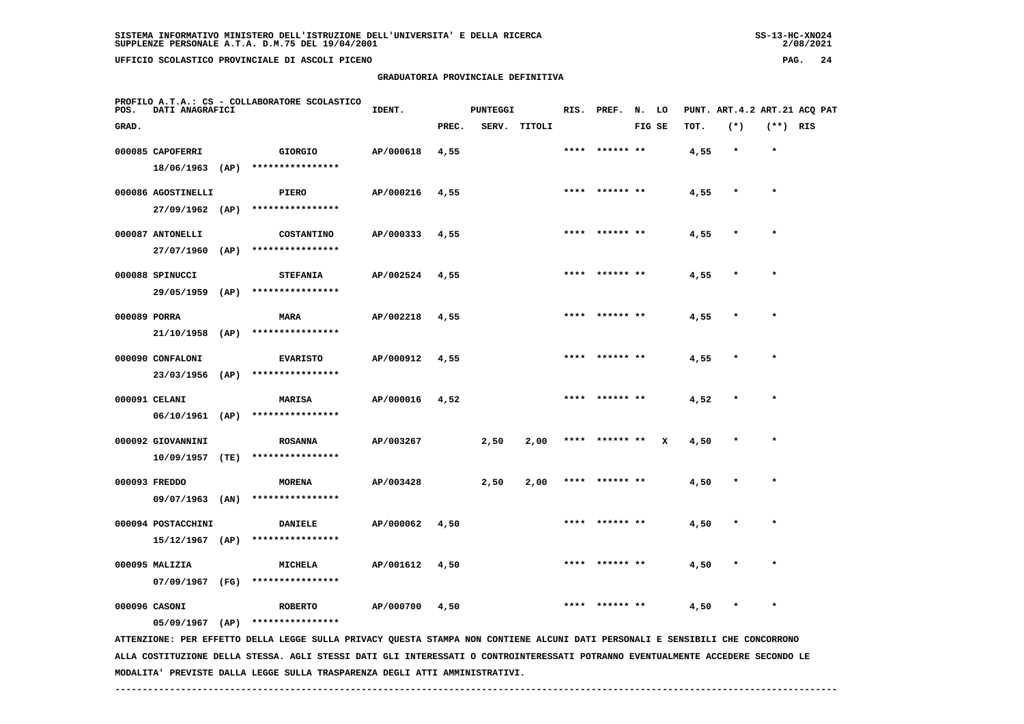**GRADUATORIA PROVINCIALE DEFINITIVA**

| POS.         | DATI ANAGRAFICI    |      | PROFILO A.T.A.: CS - COLLABORATORE SCOLASTICO | IDENT.    |       | <b>PUNTEGGI</b> |        |      | RIS. PREF.      | N. LO  |   |      | PUNT. ART.4.2 ART.21 ACQ PAT |            |  |
|--------------|--------------------|------|-----------------------------------------------|-----------|-------|-----------------|--------|------|-----------------|--------|---|------|------------------------------|------------|--|
| GRAD.        |                    |      |                                               |           | PREC. | SERV.           | TITOLI |      |                 | FIG SE |   | TOT. | $(*)$                        | $(**)$ RIS |  |
|              | 000085 CAPOFERRI   |      | <b>GIORGIO</b>                                | AP/000618 | 4,55  |                 |        |      |                 |        |   | 4,55 | $\star$                      | $\star$    |  |
|              | 18/06/1963         | (AP) | ****************                              |           |       |                 |        |      |                 |        |   |      |                              |            |  |
|              | 000086 AGOSTINELLI |      | PIERO                                         | AP/000216 | 4,55  |                 |        |      | **** ****** **  |        |   | 4,55 | $\star$                      | $\star$    |  |
|              | 27/09/1962         | (AP) | ****************                              |           |       |                 |        |      |                 |        |   |      |                              |            |  |
|              | 000087 ANTONELLI   |      | <b>COSTANTINO</b>                             | AP/000333 | 4,55  |                 |        | **** | ****** **       |        |   | 4,55 | $\star$                      | $\star$    |  |
|              | 27/07/1960         | (AP) | ****************                              |           |       |                 |        |      |                 |        |   |      |                              |            |  |
|              | 000088 SPINUCCI    |      | <b>STEFANIA</b>                               | AP/002524 | 4,55  |                 |        |      | **** ****** **  |        |   | 4,55 | $\ast$                       | $\star$    |  |
|              | 29/05/1959         | (AP) | ****************                              |           |       |                 |        |      |                 |        |   |      |                              |            |  |
| 000089 PORRA |                    |      | MARA                                          | AP/002218 | 4,55  |                 |        | **** |                 |        |   | 4,55 | $\star$                      | $\star$    |  |
|              | 21/10/1958         | (AP) | ****************                              |           |       |                 |        |      |                 |        |   |      |                              |            |  |
|              | 000090 CONFALONI   |      | <b>EVARISTO</b>                               | AP/000912 | 4,55  |                 |        | **** | ****** **       |        |   | 4,55 | $\ast$                       | $\ast$     |  |
|              | 23/03/1956         | (AP) | ****************                              |           |       |                 |        |      |                 |        |   |      |                              |            |  |
|              | 000091 CELANI      |      | <b>MARISA</b>                                 | AP/000016 | 4,52  |                 |        |      |                 |        |   | 4,52 | $\star$                      | $\star$    |  |
|              | 06/10/1961         | (AP) | ****************                              |           |       |                 |        |      |                 |        |   |      |                              |            |  |
|              | 000092 GIOVANNINI  |      | <b>ROSANNA</b>                                | AP/003267 |       | 2,50            | 2,00   |      | ****** **       |        | x | 4,50 | $\star$                      | $\star$    |  |
|              | 10/09/1957         | (TE) | ****************                              |           |       |                 |        |      |                 |        |   |      |                              |            |  |
|              | 000093 FREDDO      |      | <b>MORENA</b>                                 | AP/003428 |       | 2,50            | 2,00   |      | ****  ****** ** |        |   | 4,50 | $\ast$                       | $\star$    |  |
|              | 09/07/1963         | (AN) | ****************                              |           |       |                 |        |      |                 |        |   |      |                              |            |  |
|              | 000094 POSTACCHINI |      | <b>DANIELE</b>                                | AP/000062 | 4,50  |                 |        | **** | ****** **       |        |   | 4,50 | $\pmb{*}$                    | $\star$    |  |
|              | $15/12/1967$ (AP)  |      | ****************                              |           |       |                 |        |      |                 |        |   |      |                              |            |  |

 **07/09/1967 (FG) \*\*\*\*\*\*\*\*\*\*\*\*\*\*\*\***

 **000096 CASONI ROBERTO AP/000700 4,50 \*\*\*\* \*\*\*\*\*\* \*\* 4,50 \* \***

 **000095 MALIZIA MICHELA AP/001612 4,50 \*\*\*\* \*\*\*\*\*\* \*\* 4,50 \* \***

 **05/09/1967 (AP) \*\*\*\*\*\*\*\*\*\*\*\*\*\*\*\***

 **ATTENZIONE: PER EFFETTO DELLA LEGGE SULLA PRIVACY QUESTA STAMPA NON CONTIENE ALCUNI DATI PERSONALI E SENSIBILI CHE CONCORRONO ALLA COSTITUZIONE DELLA STESSA. AGLI STESSI DATI GLI INTERESSATI O CONTROINTERESSATI POTRANNO EVENTUALMENTE ACCEDERE SECONDO LE MODALITA' PREVISTE DALLA LEGGE SULLA TRASPARENZA DEGLI ATTI AMMINISTRATIVI.**

 **------------------------------------------------------------------------------------------------------------------------------------**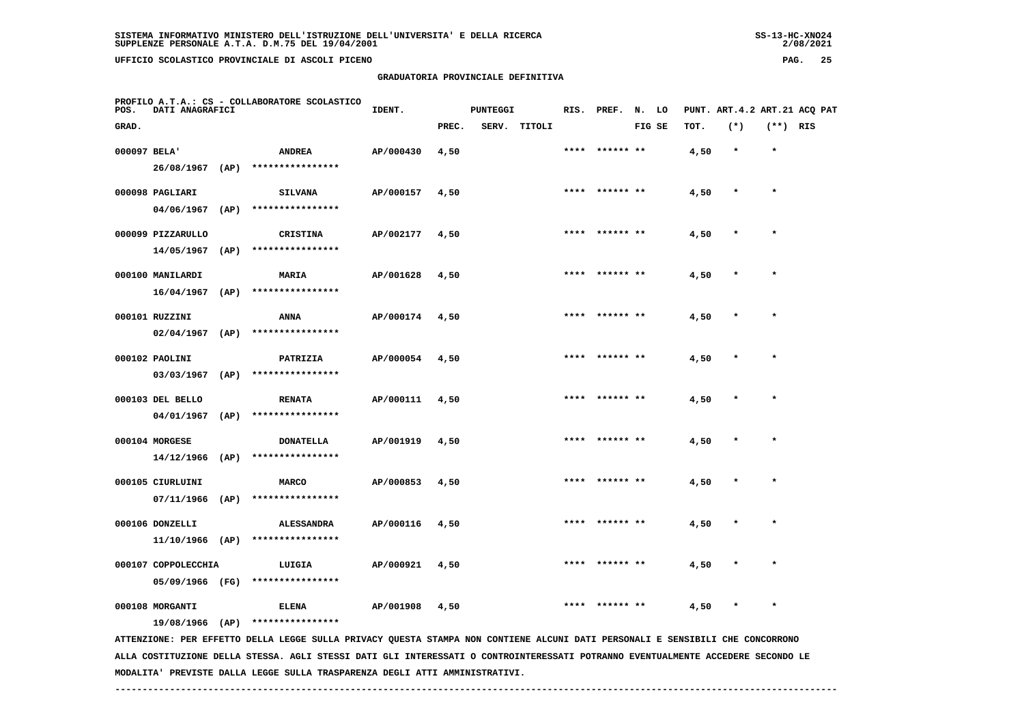**PROFILO A.T.A.: CS - COLLABORATORE SCOLASTICO**

 **GRADUATORIA PROVINCIALE DEFINITIVA**

| POS.         | DATI ANAGRAFICI     |                                    | IDENT.    |       | PUNTEGGI |              |      | RIS. PREF.      | N. LO  |      | PUNT. ART.4.2 ART.21 ACQ PAT |            |  |
|--------------|---------------------|------------------------------------|-----------|-------|----------|--------------|------|-----------------|--------|------|------------------------------|------------|--|
| GRAD.        |                     |                                    |           | PREC. |          | SERV. TITOLI |      |                 | FIG SE | TOT. | $(*)$                        | $(**)$ RIS |  |
| 000097 BELA' |                     | <b>ANDREA</b>                      | AP/000430 | 4,50  |          |              |      | ****** **       |        | 4,50 | $\star$                      | $\star$    |  |
|              |                     | 26/08/1967 (AP) ****************   |           |       |          |              |      |                 |        |      |                              |            |  |
|              | 000098 PAGLIARI     | <b>SILVANA</b>                     | AP/000157 | 4,50  |          |              |      | **** ****** **  |        | 4,50 | $\pmb{\ast}$                 | $\star$    |  |
|              | $04/06/1967$ (AP)   | ****************                   |           |       |          |              |      |                 |        |      |                              |            |  |
|              | 000099 PIZZARULLO   | <b>CRISTINA</b>                    | AP/002177 | 4,50  |          |              |      | **** ****** **  |        | 4,50 | $\star$                      | $\star$    |  |
|              | $14/05/1967$ (AP)   | ****************                   |           |       |          |              |      |                 |        |      |                              |            |  |
|              | 000100 MANILARDI    | <b>MARIA</b>                       | AP/001628 | 4,50  |          |              |      | ****  ****** ** |        | 4,50 | $\star$                      | $\star$    |  |
|              | $16/04/1967$ (AP)   | ****************                   |           |       |          |              |      |                 |        |      |                              |            |  |
|              | 000101 RUZZINI      | ANNA                               | AP/000174 | 4,50  |          |              |      | **** ****** **  |        | 4,50 |                              |            |  |
|              | 02/04/1967 (AP)     | ****************                   |           |       |          |              |      |                 |        |      |                              |            |  |
|              | 000102 PAOLINI      | PATRIZIA                           | AP/000054 | 4,50  |          |              |      | **** ****** **  |        | 4,50 |                              | $\star$    |  |
|              | $03/03/1967$ (AP)   | ****************                   |           |       |          |              |      |                 |        |      |                              |            |  |
|              | 000103 DEL BELLO    | <b>RENATA</b>                      | AP/000111 | 4,50  |          |              |      | **** ****** **  |        | 4,50 | $\star$                      | $\bullet$  |  |
|              | $04/01/1967$ (AP)   | ****************                   |           |       |          |              |      |                 |        |      |                              |            |  |
|              | 000104 MORGESE      | <b>DONATELLA</b>                   | AP/001919 | 4,50  |          |              |      | **** ****** **  |        | 4,50 | $\star$                      | $\star$    |  |
|              | $14/12/1966$ (AP)   | ****************                   |           |       |          |              |      |                 |        |      |                              |            |  |
|              | 000105 CIURLUINI    | <b>MARCO</b>                       | AP/000853 | 4,50  |          |              |      | **** ****** **  |        | 4,50 | $\star$                      | $\star$    |  |
|              | $07/11/1966$ (AP)   | ****************                   |           |       |          |              |      |                 |        |      |                              |            |  |
|              | 000106 DONZELLI     | <b>ALESSANDRA</b>                  | AP/000116 | 4,50  |          |              | **** | ****** **       |        | 4,50 | $\ast$                       | $\star$    |  |
|              |                     | $11/10/1966$ (AP) **************** |           |       |          |              |      |                 |        |      |                              |            |  |
|              | 000107 COPPOLECCHIA | LUIGIA                             | AP/000921 | 4,50  |          |              |      | **** ****** **  |        | 4,50 | $\star$                      | $\star$    |  |
|              | 05/09/1966 (FG)     | ****************                   |           |       |          |              |      |                 |        |      |                              |            |  |
|              | 000108 MORGANTI     | <b>ELENA</b>                       | AP/001908 | 4,50  |          |              | **** | ****** **       |        | 4,50 | $\star$                      | $\star$    |  |
|              | 19/08/1966 (AP)     | ****************                   |           |       |          |              |      |                 |        |      |                              |            |  |

 **ATTENZIONE: PER EFFETTO DELLA LEGGE SULLA PRIVACY QUESTA STAMPA NON CONTIENE ALCUNI DATI PERSONALI E SENSIBILI CHE CONCORRONO ALLA COSTITUZIONE DELLA STESSA. AGLI STESSI DATI GLI INTERESSATI O CONTROINTERESSATI POTRANNO EVENTUALMENTE ACCEDERE SECONDO LE MODALITA' PREVISTE DALLA LEGGE SULLA TRASPARENZA DEGLI ATTI AMMINISTRATIVI.**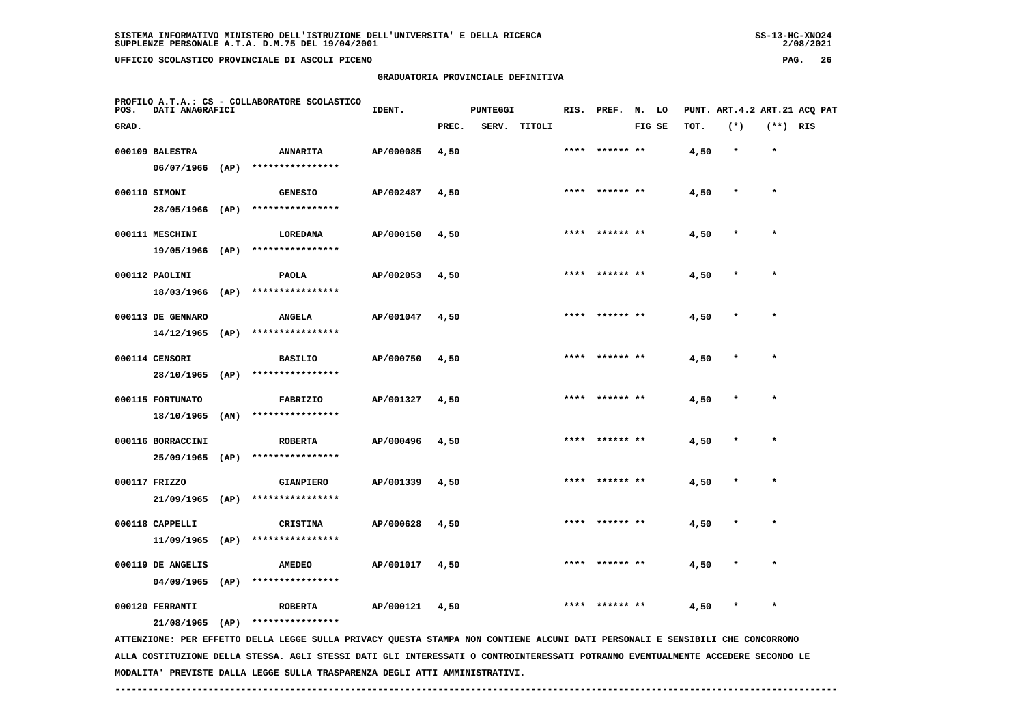**PROFILO A.T.A.: CS - COLLABORATORE SCOLASTICO**

 **GRADUATORIA PROVINCIALE DEFINITIVA**

| POS.  | DATI ANAGRAFICI   | PROFILO A.I.A.: CS - COLLABORATORE SCOLASIICO | IDENT.    |       | <b>PUNTEGGI</b> |              | RIS. PREF. N. LO |        |      | PUNT. ART. 4.2 ART. 21 ACQ PAT |          |  |
|-------|-------------------|-----------------------------------------------|-----------|-------|-----------------|--------------|------------------|--------|------|--------------------------------|----------|--|
| GRAD. |                   |                                               |           | PREC. |                 | SERV. TITOLI |                  | FIG SE | TOT. | $(*)$                          | (**) RIS |  |
|       | 000109 BALESTRA   | <b>ANNARITA</b>                               | AP/000085 | 4,50  |                 |              | **** ****** **   |        | 4,50 | $\star$                        | $\star$  |  |
|       |                   | 06/07/1966 (AP) ****************              |           |       |                 |              |                  |        |      |                                |          |  |
|       | 000110 SIMONI     | <b>GENESIO</b>                                | AP/002487 | 4,50  |                 |              | **** ****** **   |        | 4,50 | $\star$                        |          |  |
|       |                   | 28/05/1966 (AP) ****************              |           |       |                 |              |                  |        |      |                                |          |  |
|       | 000111 MESCHINI   | <b>LOREDANA</b>                               | AP/000150 | 4,50  |                 |              | **** ****** **   |        | 4,50 | $\ast$                         | $\star$  |  |
|       |                   | 19/05/1966 (AP) ****************              |           |       |                 |              |                  |        |      |                                |          |  |
|       | 000112 PAOLINI    | PAOLA                                         | AP/002053 | 4,50  |                 |              | **** ****** **   |        | 4,50 | $\star$                        | $\star$  |  |
|       | 18/03/1966 (AP)   | ****************                              |           |       |                 |              |                  |        |      |                                |          |  |
|       | 000113 DE GENNARO | <b>ANGELA</b>                                 | AP/001047 | 4,50  |                 |              | **** ****** **   |        | 4,50 | $\star$                        | $\star$  |  |
|       |                   | 14/12/1965 (AP) ****************              |           |       |                 |              |                  |        |      |                                |          |  |
|       | 000114 CENSORI    | <b>BASILIO</b>                                | AP/000750 | 4,50  |                 |              | **** ****** **   |        | 4,50 | $\star$                        | $\star$  |  |
|       |                   | 28/10/1965 (AP) ****************              |           |       |                 |              |                  |        |      |                                |          |  |
|       | 000115 FORTUNATO  | FABRIZIO                                      | AP/001327 | 4,50  |                 |              | **** ****** **   |        | 4,50 | $\star$                        | $\star$  |  |
|       |                   | 18/10/1965 (AN) ****************              |           |       |                 |              |                  |        |      |                                |          |  |
|       | 000116 BORRACCINI | <b>ROBERTA</b>                                | AP/000496 | 4,50  |                 |              | **** ****** **   |        | 4,50 | $\star$                        | $\star$  |  |
|       |                   | 25/09/1965 (AP) ****************              |           |       |                 |              |                  |        |      |                                |          |  |
|       | 000117 FRIZZO     | <b>GIANPIERO</b>                              | AP/001339 | 4,50  |                 |              | **** ****** **   |        | 4,50 | $\star$                        | $\star$  |  |
|       | 21/09/1965 (AP)   | ****************                              |           |       |                 |              |                  |        |      |                                |          |  |
|       | 000118 CAPPELLI   | CRISTINA                                      | AP/000628 | 4,50  |                 |              | **** ****** **   |        | 4,50 | $\star$                        | $\star$  |  |
|       | 11/09/1965 (AP)   | ****************                              |           |       |                 |              |                  |        |      |                                |          |  |
|       | 000119 DE ANGELIS | <b>AMEDEO</b>                                 | AP/001017 | 4,50  |                 |              | **** ****** **   |        | 4,50 | $\star$                        | $\star$  |  |

 **04/09/1965 (AP) \*\*\*\*\*\*\*\*\*\*\*\*\*\*\*\***

 **000120 FERRANTI ROBERTA AP/000121 4,50 \*\*\*\* \*\*\*\*\*\* \*\* 4,50 \* \***

 **21/08/1965 (AP) \*\*\*\*\*\*\*\*\*\*\*\*\*\*\*\***

 **ATTENZIONE: PER EFFETTO DELLA LEGGE SULLA PRIVACY QUESTA STAMPA NON CONTIENE ALCUNI DATI PERSONALI E SENSIBILI CHE CONCORRONO ALLA COSTITUZIONE DELLA STESSA. AGLI STESSI DATI GLI INTERESSATI O CONTROINTERESSATI POTRANNO EVENTUALMENTE ACCEDERE SECONDO LE MODALITA' PREVISTE DALLA LEGGE SULLA TRASPARENZA DEGLI ATTI AMMINISTRATIVI.**

 **------------------------------------------------------------------------------------------------------------------------------------**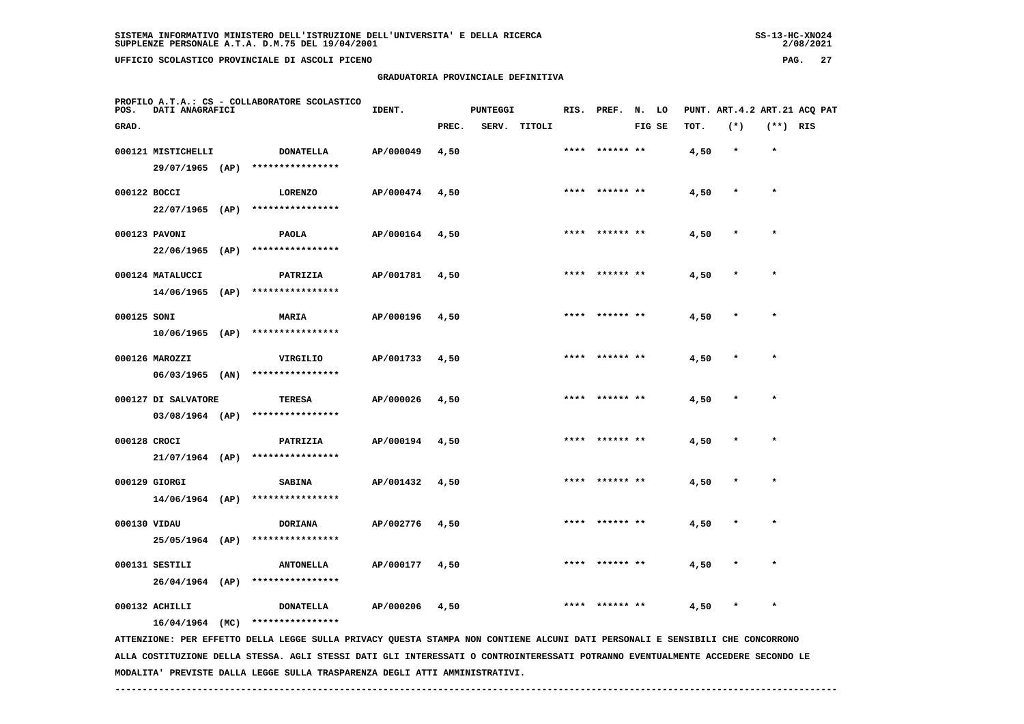**PROFILO A.T.A.: CS - COLLABORATORE SCOLASTICO**

 **GRADUATORIA PROVINCIALE DEFINITIVA**

**IDENT.** PUNTEGGI RIS. PREF. N. LO PUNT. ART.4.2 ART.21 ACQ PAT

| GRAD.        |                                    |      |                                      |           | PREC. | SERV. | TITOLI |      | FIG SE         | TOT. | $(*)$   | $(**)$ RIS |  |
|--------------|------------------------------------|------|--------------------------------------|-----------|-------|-------|--------|------|----------------|------|---------|------------|--|
|              | 000121 MISTICHELLI                 |      | <b>DONATELLA</b><br>**************** | AP/000049 | 4,50  |       |        | **** | ****** **      | 4,50 | $\star$ | $\star$    |  |
| 000122 BOCCI | 29/07/1965                         | (AP) | <b>LORENZO</b>                       | AP/000474 | 4,50  |       |        | **** | ****** **      | 4,50 | $\star$ | $\star$    |  |
|              | 22/07/1965                         | (AP) | ****************                     |           |       |       |        |      |                |      |         |            |  |
|              | 000123 PAVONI<br>22/06/1965        | (AP) | <b>PAOLA</b><br>****************     | AP/000164 | 4,50  |       |        | **** | ****** **      | 4,50 |         | $\star$    |  |
|              | 000124 MATALUCCI                   |      | PATRIZIA                             | AP/001781 | 4,50  |       |        | **** | ****** **      | 4,50 |         | $\star$    |  |
| 000125 SONI  | 14/06/1965                         | (AP) | ****************<br>MARIA            | AP/000196 | 4,50  |       |        |      | ****** **      | 4,50 |         | $\star$    |  |
|              | 10/06/1965                         | (AP) | ****************                     |           |       |       |        |      |                |      |         |            |  |
|              | 000126 MAROZZI<br>06/03/1965       | (AN) | VIRGILIO<br>****************         | AP/001733 | 4,50  |       |        |      |                | 4,50 |         | $\star$    |  |
|              | 000127 DI SALVATORE                |      | <b>TERESA</b>                        | AP/000026 | 4,50  |       |        |      |                | 4,50 |         | $\star$    |  |
| 000128 CROCI | $03/08/1964$ (AP)                  |      | ****************<br>PATRIZIA         | AP/000194 | 4,50  |       |        |      |                | 4,50 |         |            |  |
|              | $21/07/1964$ (AP)                  |      | ****************                     |           |       |       |        |      |                |      |         |            |  |
|              | 000129 GIORGI<br>$14/06/1964$ (AP) |      | <b>SABINA</b><br>****************    | AP/001432 | 4,50  |       |        | **** | ****** **      | 4,50 |         | $\star$    |  |
| 000130 VIDAU |                                    |      | <b>DORIANA</b>                       | AP/002776 | 4,50  |       |        | **** | ****** **      | 4,50 |         | $\star$    |  |
|              | 25/05/1964 (AP)<br>000131 SESTILI  |      | ****************<br><b>ANTONELLA</b> | AP/000177 | 4,50  |       |        | **** | ****** **      | 4,50 |         | $\star$    |  |
|              | $26/04/1964$ (AP)                  |      | ****************                     |           |       |       |        |      |                |      |         |            |  |
|              | 000132 ACHILLI                     |      | <b>DONATELLA</b>                     | AP/000206 | 4,50  |       |        |      | **** ****** ** | 4,50 |         | $\star$    |  |

 **16/04/1964 (MC) \*\*\*\*\*\*\*\*\*\*\*\*\*\*\*\***

 **ATTENZIONE: PER EFFETTO DELLA LEGGE SULLA PRIVACY QUESTA STAMPA NON CONTIENE ALCUNI DATI PERSONALI E SENSIBILI CHE CONCORRONO ALLA COSTITUZIONE DELLA STESSA. AGLI STESSI DATI GLI INTERESSATI O CONTROINTERESSATI POTRANNO EVENTUALMENTE ACCEDERE SECONDO LE MODALITA' PREVISTE DALLA LEGGE SULLA TRASPARENZA DEGLI ATTI AMMINISTRATIVI.**

 **------------------------------------------------------------------------------------------------------------------------------------**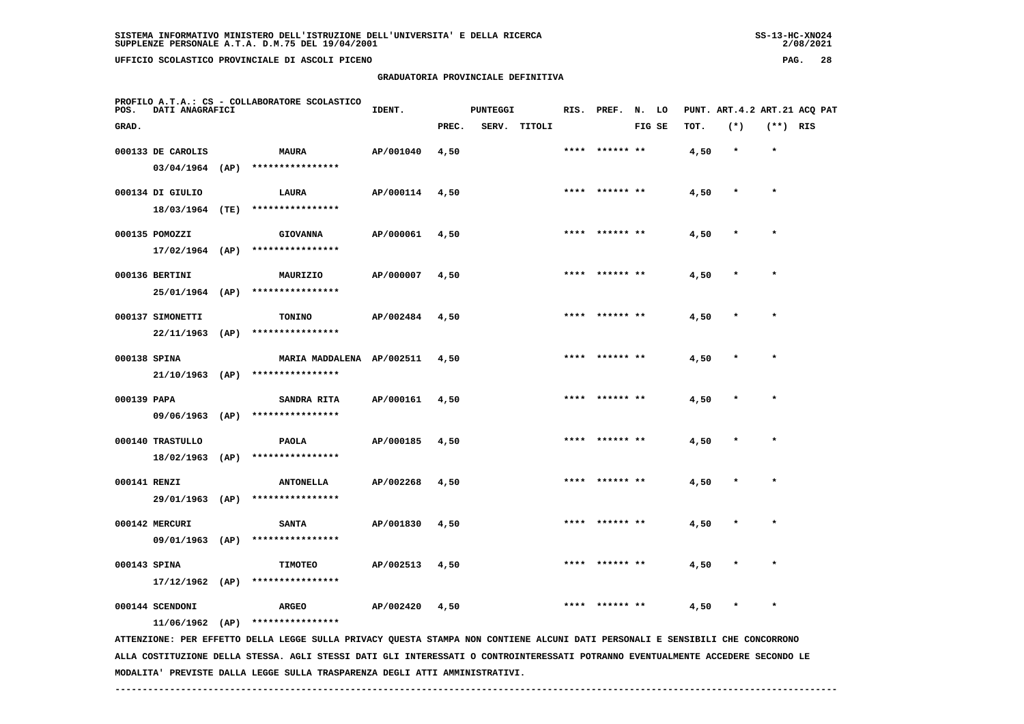**GRADUATORIA PROVINCIALE DEFINITIVA**

| POS.         | DATI ANAGRAFICI   | PROFILO A.T.A.: CS - COLLABORATORE SCOLASTICO | IDENT.    |       | PUNTEGGI |              |      | RIS. PREF. N. LO |        |      | PUNT. ART.4.2 ART.21 ACQ PAT |            |  |
|--------------|-------------------|-----------------------------------------------|-----------|-------|----------|--------------|------|------------------|--------|------|------------------------------|------------|--|
| GRAD.        |                   |                                               |           | PREC. |          | SERV. TITOLI |      |                  | FIG SE | TOT. | $(*)$                        | $(**)$ RIS |  |
|              | 000133 DE CAROLIS | <b>MAURA</b>                                  | AP/001040 | 4,50  |          |              |      | **** ****** **   |        | 4,50 | $\star$                      | $\star$    |  |
|              | $03/04/1964$ (AP) | ****************                              |           |       |          |              |      |                  |        |      |                              |            |  |
|              | 000134 DI GIULIO  | LAURA                                         | AP/000114 | 4,50  |          |              |      | **** ****** **   |        | 4,50 | $\star$                      | $\star$    |  |
|              | 18/03/1964 (TE)   | ****************                              |           |       |          |              |      |                  |        |      |                              |            |  |
|              | 000135 POMOZZI    | <b>GIOVANNA</b>                               | AP/000061 | 4,50  |          |              |      | **** ****** **   |        | 4,50 | $\star$                      | $\star$    |  |
|              | $17/02/1964$ (AP) | ****************                              |           |       |          |              |      |                  |        |      |                              |            |  |
|              | 000136 BERTINI    | MAURIZIO                                      | AP/000007 | 4,50  |          |              | **** | ****** **        |        | 4,50 | $\star$                      | $\star$    |  |
|              | 25/01/1964 (AP)   | ****************                              |           |       |          |              |      |                  |        |      |                              |            |  |
|              | 000137 SIMONETTI  | <b>TONINO</b>                                 | AP/002484 | 4,50  |          |              |      | **** ****** **   |        | 4,50 | $\star$                      | $\star$    |  |
|              | $22/11/1963$ (AP) | ****************                              |           |       |          |              |      |                  |        |      |                              |            |  |
| 000138 SPINA |                   | MARIA MADDALENA AP/002511                     |           | 4,50  |          |              |      | **** ****** **   |        | 4,50 | $\star$                      | $\star$    |  |
|              |                   | 21/10/1963 (AP) ****************              |           |       |          |              |      |                  |        |      |                              |            |  |
| 000139 PAPA  |                   | SANDRA RITA                                   | AP/000161 | 4,50  |          |              |      | **** ****** **   |        | 4,50 | $\star$                      | $\star$    |  |
|              |                   | 09/06/1963 (AP) ****************              |           |       |          |              |      |                  |        |      |                              |            |  |
|              | 000140 TRASTULLO  | PAOLA                                         | AP/000185 | 4,50  |          |              |      | ****  ****** **  |        | 4,50 | $\star$                      | $\star$    |  |
|              | $18/02/1963$ (AP) | ****************                              |           |       |          |              |      |                  |        |      |                              |            |  |
| 000141 RENZI |                   | <b>ANTONELLA</b>                              | AP/002268 | 4,50  |          |              |      |                  |        | 4,50 | $\star$                      | $\star$    |  |
|              | 29/01/1963 (AP)   | ****************                              |           |       |          |              |      |                  |        |      |                              |            |  |
|              | 000142 MERCURI    | <b>SANTA</b>                                  | AP/001830 | 4,50  |          |              |      |                  |        | 4,50 |                              |            |  |
|              | 09/01/1963 (AP)   | ****************                              |           |       |          |              |      |                  |        |      |                              |            |  |
| 000143 SPINA |                   | <b>TIMOTEO</b>                                | AP/002513 | 4,50  |          |              |      | **** ****** **   |        | 4,50 | $\ast$                       | $\star$    |  |
|              | $17/12/1962$ (AP) | ****************                              |           |       |          |              |      |                  |        |      |                              |            |  |
|              | 000144 SCENDONI   | <b>ARGEO</b>                                  | AP/002420 | 4,50  |          |              | **** |                  |        | 4,50 | $\star$                      | $\star$    |  |
|              | $11/06/1962$ (AP) | ****************                              |           |       |          |              |      |                  |        |      |                              |            |  |

 **ATTENZIONE: PER EFFETTO DELLA LEGGE SULLA PRIVACY QUESTA STAMPA NON CONTIENE ALCUNI DATI PERSONALI E SENSIBILI CHE CONCORRONO ALLA COSTITUZIONE DELLA STESSA. AGLI STESSI DATI GLI INTERESSATI O CONTROINTERESSATI POTRANNO EVENTUALMENTE ACCEDERE SECONDO LE MODALITA' PREVISTE DALLA LEGGE SULLA TRASPARENZA DEGLI ATTI AMMINISTRATIVI.**

 **------------------------------------------------------------------------------------------------------------------------------------**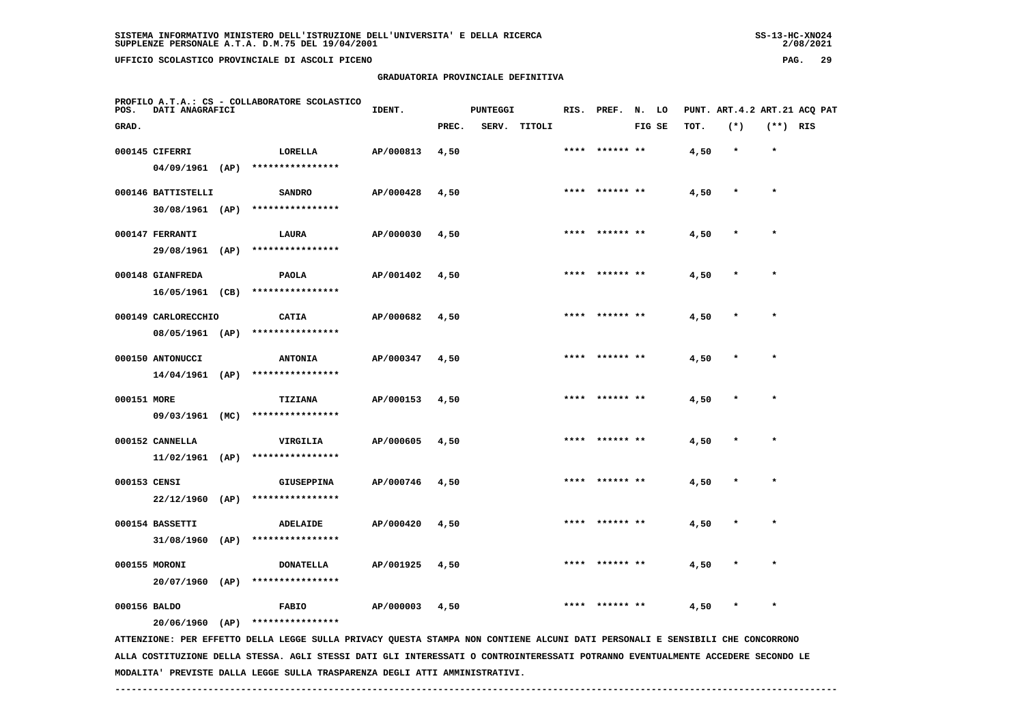**GRADUATORIA PROVINCIALE DEFINITIVA**

| POS.         | DATI ANAGRAFICI                        |      | PROFILO A.T.A.: CS - COLLABORATORE SCOLASTICO | IDENT.    |       | <b>PUNTEGGI</b> |        |      | RIS. PREF. N. LO |        |      | PUNT. ART.4.2 ART.21 ACQ PAT |            |  |
|--------------|----------------------------------------|------|-----------------------------------------------|-----------|-------|-----------------|--------|------|------------------|--------|------|------------------------------|------------|--|
| GRAD.        |                                        |      |                                               |           | PREC. | SERV.           | TITOLI |      |                  | FIG SE | TOT. | $(*)$                        | $(**)$ RIS |  |
|              | 000145 CIFERRI                         |      | LORELLA                                       | AP/000813 | 4,50  |                 |        |      | **** ****** **   |        | 4,50 | $\star$                      | $\star$    |  |
|              | $04/09/1961$ (AP)                      |      | ****************                              |           |       |                 |        |      |                  |        |      |                              |            |  |
|              | 000146 BATTISTELLI                     |      | <b>SANDRO</b>                                 | AP/000428 | 4,50  |                 |        |      | **** ****** **   |        | 4,50 | $\star$                      | $\star$    |  |
|              | $30/08/1961$ (AP)                      |      | ****************                              |           |       |                 |        |      |                  |        |      |                              |            |  |
|              | 000147 FERRANTI                        |      | LAURA                                         | AP/000030 | 4,50  |                 |        |      |                  |        | 4,50 |                              |            |  |
|              | 29/08/1961 (AP)                        |      | ****************                              |           |       |                 |        |      |                  |        |      |                              |            |  |
|              | 000148 GIANFREDA                       |      | PAOLA<br>****************                     | AP/001402 | 4,50  |                 |        | **** |                  |        | 4,50 | $\star$                      | $\star$    |  |
|              | 16/05/1961 (CB)                        |      |                                               |           |       |                 |        |      |                  |        |      |                              |            |  |
|              | 000149 CARLORECCHIO<br>08/05/1961 (AP) |      | CATIA<br>****************                     | AP/000682 | 4,50  |                 |        |      | **** ****** **   |        | 4,50 | $\ast$                       | $\star$    |  |
|              |                                        |      |                                               |           |       |                 |        |      | **** ****** **   |        |      | $\star$                      | $\star$    |  |
|              | 000150 ANTONUCCI<br>14/04/1961 (AP)    |      | <b>ANTONIA</b><br>****************            | AP/000347 | 4,50  |                 |        |      |                  |        | 4,50 |                              |            |  |
| 000151 MORE  |                                        |      | <b>TIZIANA</b>                                | AP/000153 | 4,50  |                 |        |      | **** ****** **   |        | 4,50 | $\ast$                       | $\star$    |  |
|              | 09/03/1961 (MC)                        |      | ****************                              |           |       |                 |        |      |                  |        |      |                              |            |  |
|              | 000152 CANNELLA                        |      | VIRGILIA                                      | AP/000605 | 4,50  |                 |        | **** | ****** **        |        | 4,50 | $\star$                      | $\star$    |  |
|              | $11/02/1961$ (AP)                      |      | ****************                              |           |       |                 |        |      |                  |        |      |                              |            |  |
| 000153 CENSI |                                        |      | GIUSEPPINA                                    | AP/000746 | 4,50  |                 |        |      | **** ****** **   |        | 4,50 | $\star$                      | $\star$    |  |
|              | $22/12/1960$ (AP)                      |      | ****************                              |           |       |                 |        |      |                  |        |      |                              |            |  |
|              | 000154 BASSETTI                        |      | ADELAIDE                                      | AP/000420 | 4,50  |                 |        |      | **** ****** **   |        | 4,50 | *                            | $\star$    |  |
|              | 31/08/1960                             | (AP) | ****************                              |           |       |                 |        |      |                  |        |      |                              |            |  |
|              |                                        |      |                                               |           |       |                 |        |      |                  |        |      |                              |            |  |

 **000156 BALDO FABIO AP/000003 4,50 \*\*\*\* \*\*\*\*\*\* \*\* 4,50 \* \***

 **20/06/1960 (AP) \*\*\*\*\*\*\*\*\*\*\*\*\*\*\*\***

 **20/07/1960 (AP) \*\*\*\*\*\*\*\*\*\*\*\*\*\*\*\***

 **ATTENZIONE: PER EFFETTO DELLA LEGGE SULLA PRIVACY QUESTA STAMPA NON CONTIENE ALCUNI DATI PERSONALI E SENSIBILI CHE CONCORRONO ALLA COSTITUZIONE DELLA STESSA. AGLI STESSI DATI GLI INTERESSATI O CONTROINTERESSATI POTRANNO EVENTUALMENTE ACCEDERE SECONDO LE MODALITA' PREVISTE DALLA LEGGE SULLA TRASPARENZA DEGLI ATTI AMMINISTRATIVI.**

 **000155 MORONI DONATELLA AP/001925 4,50 \*\*\*\* \*\*\*\*\*\* \*\* 4,50 \* \***

 $2/08/2021$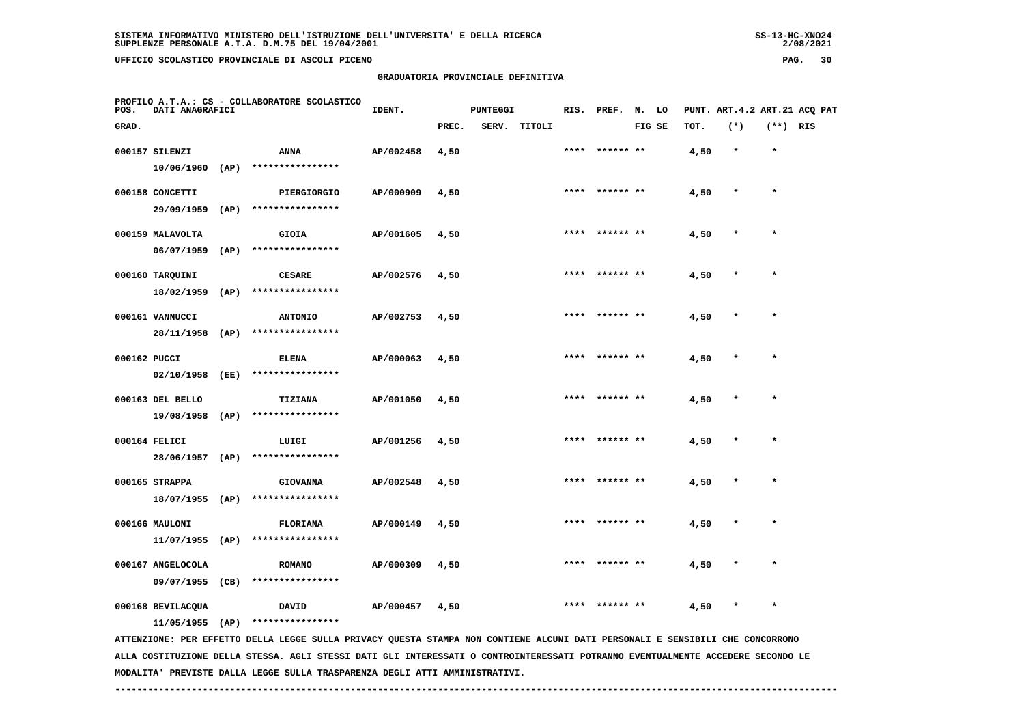**GRADUATORIA PROVINCIALE DEFINITIVA**

| POS.  | DATI ANAGRAFICI  |      | PROFILO A.T.A.: CS - COLLABORATORE SCOLASTICO | IDENT.    |       | <b>PUNTEGGI</b> |        | RIS. PREF. N. LO |        |      | PUNT. ART. 4.2 ART. 21 ACQ PAT |            |  |
|-------|------------------|------|-----------------------------------------------|-----------|-------|-----------------|--------|------------------|--------|------|--------------------------------|------------|--|
| GRAD. |                  |      |                                               |           | PREC. | SERV.           | TITOLI |                  | FIG SE | TOT. | $(*)$                          | $(**)$ RIS |  |
|       | 000157 SILENZI   |      | <b>ANNA</b>                                   | AP/002458 | 4,50  |                 |        | **** ****** **   |        | 4,50 | $\star$                        | $\star$    |  |
|       | 10/06/1960       | (AP) | ****************                              |           |       |                 |        |                  |        |      |                                |            |  |
|       | 000158 CONCETTI  |      | PIERGIORGIO                                   | AP/000909 | 4,50  |                 |        | **** ****** **   |        | 4,50 | $\star$                        | $\star$    |  |
|       | 29/09/1959       | (AP) | ****************                              |           |       |                 |        |                  |        |      |                                |            |  |
|       | 000159 MALAVOLTA |      | <b>GIOIA</b>                                  | AP/001605 | 4,50  |                 |        | **** ****** **   |        | 4,50 | $\star$                        | $\star$    |  |
|       | 06/07/1959       | (AP) | ****************                              |           |       |                 |        |                  |        |      |                                |            |  |
|       | 000160 TARQUINI  |      | <b>CESARE</b>                                 | AP/002576 | 4,50  |                 |        | **** ****** **   |        | 4,50 | $\star$                        | $\star$    |  |
|       | 18/02/1959       | (AP) | ****************                              |           |       |                 |        |                  |        |      |                                |            |  |
|       | 000161 VANNUCCI  |      | <b>ANTONIO</b>                                | AP/002753 | 4,50  |                 |        | **** ****** **   |        | 4,50 | $\star$                        | $\star$    |  |
|       | 28/11/1958       | (AP) | ****************                              |           |       |                 |        |                  |        |      |                                |            |  |
|       |                  |      |                                               |           |       |                 |        |                  |        |      |                                |            |  |

| 000162 PUCCI |                  |      | <b>ELENA</b>     | AP/000063 | 4,50 | ****  ****** ** | 4,50 | $\star$ |  |
|--------------|------------------|------|------------------|-----------|------|-----------------|------|---------|--|
|              | 02/10/1958       | (EE) | **************** |           |      |                 |      |         |  |
|              | 000163 DEL BELLO |      | TIZIANA          | AP/001050 | 4,50 | **** ****** **  | 4,50 | $\star$ |  |

 **19/08/1958 (AP) \*\*\*\*\*\*\*\*\*\*\*\*\*\*\*\***

 **000164 FELICI LUIGI AP/001256 4,50 \*\*\*\* \*\*\*\*\*\* \*\* 4,50 \* \* 28/06/1957 (AP) \*\*\*\*\*\*\*\*\*\*\*\*\*\*\*\* 000165 STRAPPA GIOVANNA AP/002548 4,50 \*\*\*\* \*\*\*\*\*\* \*\* 4,50 \* \* 18/07/1955 (AP) \*\*\*\*\*\*\*\*\*\*\*\*\*\*\*\* 000166 MAULONI FLORIANA AP/000149 4,50 \*\*\*\* \*\*\*\*\*\* \*\* 4,50 \* \* 11/07/1955 (AP) \*\*\*\*\*\*\*\*\*\*\*\*\*\*\*\***

 **000167 ANGELOCOLA ROMANO AP/000309 4,50 \*\*\*\* \*\*\*\*\*\* \*\* 4,50 \* \* 09/07/1955 (CB) \*\*\*\*\*\*\*\*\*\*\*\*\*\*\*\* 000168 BEVILACQUA DAVID AP/000457 4,50 \*\*\*\* \*\*\*\*\*\* \*\* 4,50 \* \***

 **11/05/1955 (AP) \*\*\*\*\*\*\*\*\*\*\*\*\*\*\*\***

 **ATTENZIONE: PER EFFETTO DELLA LEGGE SULLA PRIVACY QUESTA STAMPA NON CONTIENE ALCUNI DATI PERSONALI E SENSIBILI CHE CONCORRONO ALLA COSTITUZIONE DELLA STESSA. AGLI STESSI DATI GLI INTERESSATI O CONTROINTERESSATI POTRANNO EVENTUALMENTE ACCEDERE SECONDO LE MODALITA' PREVISTE DALLA LEGGE SULLA TRASPARENZA DEGLI ATTI AMMINISTRATIVI.**

2/08/2021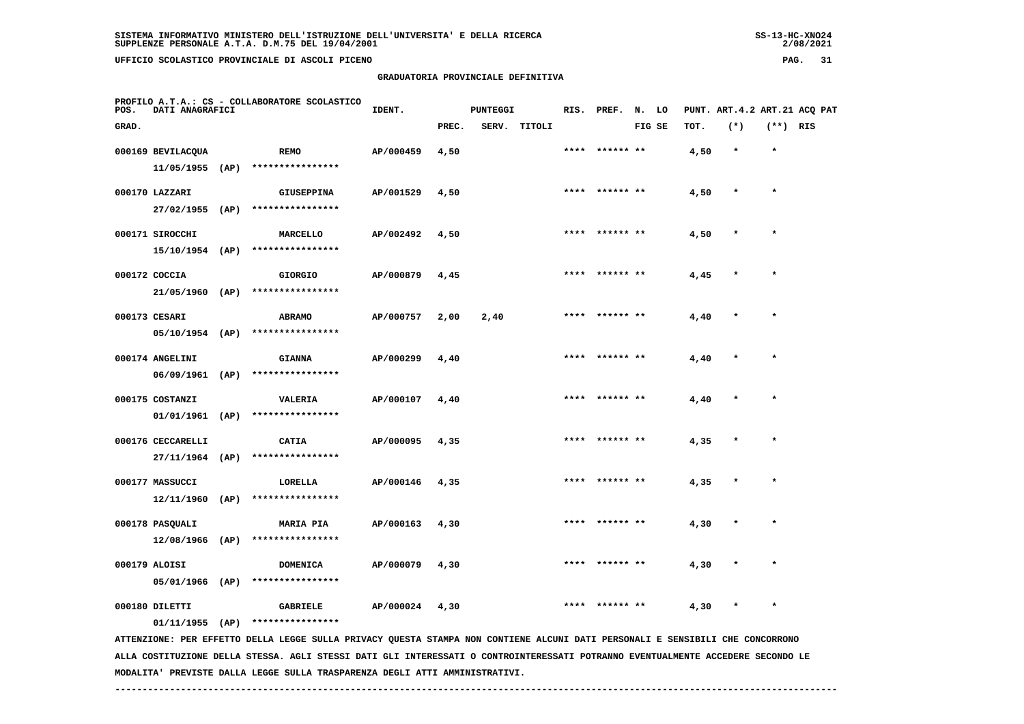## **GRADUATORIA PROVINCIALE DEFINITIVA**

 $2/08/2021$ 

| POS.  | DATI ANAGRAFICI                     | PROFILO A.T.A.: CS - COLLABORATORE SCOLASTICO                                                                                 | IDENT.    |       | <b>PUNTEGGI</b> |              |      | RIS. PREF. N. LO |        |      |         |            | PUNT. ART.4.2 ART.21 ACQ PAT |
|-------|-------------------------------------|-------------------------------------------------------------------------------------------------------------------------------|-----------|-------|-----------------|--------------|------|------------------|--------|------|---------|------------|------------------------------|
| GRAD. |                                     |                                                                                                                               |           | PREC. |                 | SERV. TITOLI |      |                  | FIG SE | TOT. | $(*)$   | $(**)$ RIS |                              |
|       | 000169 BEVILACQUA                   | REMO                                                                                                                          | AP/000459 | 4,50  |                 |              |      | **** ****** **   |        | 4,50 | $\star$ | $\star$    |                              |
|       |                                     | 11/05/1955 (AP) ****************                                                                                              |           |       |                 |              |      |                  |        |      |         |            |                              |
|       | 000170 LAZZARI                      | GIUSEPPINA                                                                                                                    | AP/001529 | 4,50  |                 |              |      | **** ****** **   |        | 4,50 |         | $\star$    |                              |
|       |                                     | 27/02/1955 (AP) ****************                                                                                              |           |       |                 |              |      |                  |        |      |         |            |                              |
|       | 000171 SIROCCHI                     | MARCELLO                                                                                                                      | AP/002492 | 4,50  |                 |              |      | **** ****** **   |        | 4,50 |         |            |                              |
|       | 15/10/1954 (AP)                     | ****************                                                                                                              |           |       |                 |              |      |                  |        |      |         |            |                              |
|       | 000172 COCCIA                       | <b>GIORGIO</b>                                                                                                                | AP/000879 | 4,45  |                 |              |      | **** ****** **   |        | 4,45 |         |            |                              |
|       | $21/05/1960$ (AP)                   | ****************                                                                                                              |           |       |                 |              |      |                  |        |      |         |            |                              |
|       | 000173 CESARI                       | <b>ABRAMO</b>                                                                                                                 | AP/000757 | 2,00  | 2,40            |              |      | **** ****** **   |        | 4,40 |         | $\star$    |                              |
|       | $05/10/1954$ (AP)                   | ****************                                                                                                              |           |       |                 |              |      |                  |        |      |         |            |                              |
|       | 000174 ANGELINI                     | <b>GIANNA</b>                                                                                                                 | AP/000299 | 4,40  |                 |              | **** | ****** **        |        | 4,40 |         |            |                              |
|       | 06/09/1961 (AP)                     | ****************                                                                                                              |           |       |                 |              |      |                  |        |      |         |            |                              |
|       | 000175 COSTANZI                     | VALERIA                                                                                                                       | AP/000107 | 4,40  |                 |              |      | **** ****** **   |        | 4,40 |         | $\star$    |                              |
|       |                                     | $01/01/1961$ (AP) ****************                                                                                            |           |       |                 |              |      |                  |        |      |         |            |                              |
|       | 000176 CECCARELLI                   | <b>CATIA</b>                                                                                                                  | AP/000095 | 4,35  |                 |              |      | ****  ****** **  |        | 4,35 |         |            |                              |
|       |                                     | 27/11/1964 (AP) ****************                                                                                              |           |       |                 |              |      |                  |        |      |         |            |                              |
|       | 000177 MASSUCCI                     | LORELLA                                                                                                                       | AP/000146 | 4,35  |                 |              | **** |                  |        | 4,35 |         |            |                              |
|       | $12/11/1960$ (AP)                   | ****************                                                                                                              |           |       |                 |              |      |                  |        |      |         |            |                              |
|       | 000178 PASQUALI                     |                                                                                                                               | AP/000163 | 4,30  |                 |              |      |                  |        | 4,30 |         |            |                              |
|       | $12/08/1966$ (AP)                   | <b>MARIA PIA</b><br>****************                                                                                          |           |       |                 |              |      |                  |        |      |         |            |                              |
|       |                                     |                                                                                                                               |           |       |                 |              |      |                  |        |      |         |            |                              |
|       | 000179 ALOISI<br>05/01/1966 (AP)    | DOMENICA<br>****************                                                                                                  | AP/000079 | 4,30  |                 |              |      | **** ****** **   |        | 4,30 |         |            |                              |
|       |                                     |                                                                                                                               |           |       |                 |              |      |                  |        |      |         |            |                              |
|       | 000180 DILETTI<br>$01/11/1955$ (AP) | <b>GABRIELE</b><br>****************                                                                                           | AP/000024 | 4,30  |                 |              |      | **** ****** **   |        | 4,30 | $\ast$  | $\star$    |                              |
|       |                                     | ATTENZIONE: PER EFFETTO DELLA LEGGE SULLA PRIVACY QUESTA STAMPA NON CONTIENE ALCUNI DATI PERSONALI E SENSIBILI CHE CONCORRONO |           |       |                 |              |      |                  |        |      |         |            |                              |
|       |                                     |                                                                                                                               |           |       |                 |              |      |                  |        |      |         |            |                              |

 **ALLA COSTITUZIONE DELLA STESSA. AGLI STESSI DATI GLI INTERESSATI O CONTROINTERESSATI POTRANNO EVENTUALMENTE ACCEDERE SECONDO LE MODALITA' PREVISTE DALLA LEGGE SULLA TRASPARENZA DEGLI ATTI AMMINISTRATIVI.**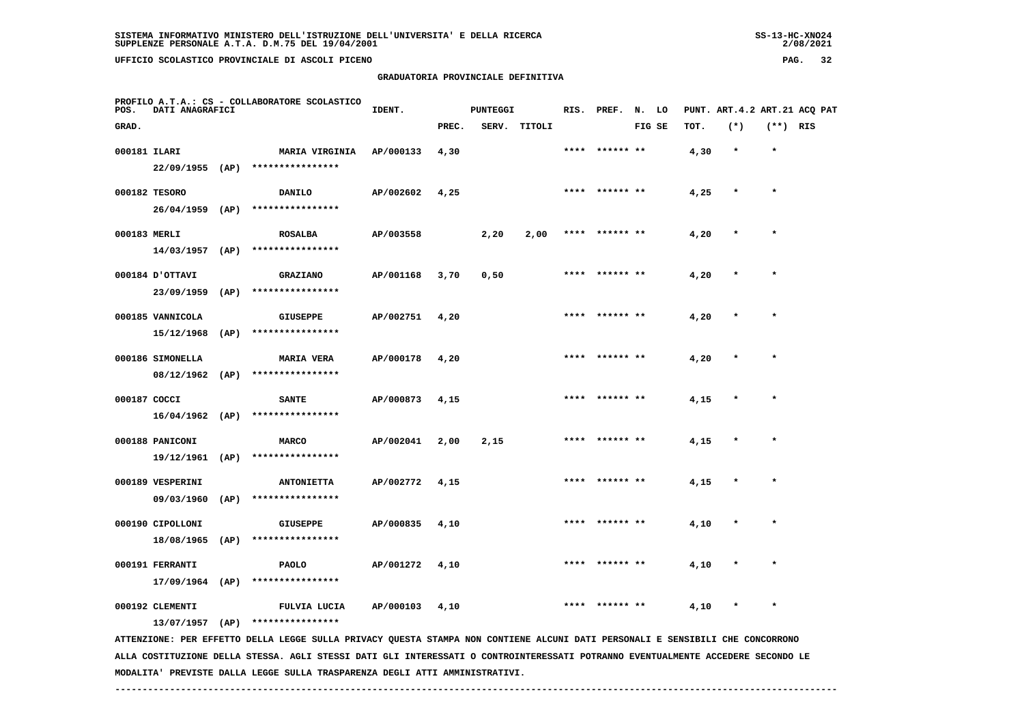$2/08/2021$ 

 **UFFICIO SCOLASTICO PROVINCIALE DI ASCOLI PICENO PAG. 32**

 **PROFILO A.T.A.: CS - COLLABORATORE SCOLASTICO**

#### **GRADUATORIA PROVINCIALE DEFINITIVA**

**IDENT.** PUNTEGGI RIS. PREF. N. LO PUNT. ART.4.2 ART.21 ACQ PAT

| GRAD.        |                   |      |                                                                                                                                 |           | PREC. | SERV. | TITOLI |      |                | FIG SE | тот. | $(*)$  | (**) RIS  |  |
|--------------|-------------------|------|---------------------------------------------------------------------------------------------------------------------------------|-----------|-------|-------|--------|------|----------------|--------|------|--------|-----------|--|
| 000181 ILARI |                   |      | <b>MARIA VIRGINIA</b>                                                                                                           | AP/000133 | 4,30  |       |        |      |                |        | 4,30 |        |           |  |
|              | 22/09/1955 (AP)   |      | ****************                                                                                                                |           |       |       |        |      |                |        |      |        |           |  |
|              | 000182 TESORO     |      | <b>DANILO</b>                                                                                                                   | AP/002602 | 4,25  |       |        |      | **** ****** ** |        | 4,25 |        | $\star$   |  |
|              | $26/04/1959$ (AP) |      | ****************                                                                                                                |           |       |       |        |      |                |        |      |        |           |  |
| 000183 MERLI |                   |      | <b>ROSALBA</b>                                                                                                                  | AP/003558 |       | 2,20  | 2,00   | **** | ****** **      |        | 4,20 |        | $\star$   |  |
|              | 14/03/1957        | (AP) | ****************                                                                                                                |           |       |       |        |      |                |        |      |        |           |  |
|              | 000184 D'OTTAVI   |      | <b>GRAZIANO</b>                                                                                                                 | AP/001168 | 3,70  | 0,50  |        | **** | ****** **      |        | 4,20 |        | $\bullet$ |  |
|              | 23/09/1959        | (AP) | ****************                                                                                                                |           |       |       |        |      |                |        |      |        |           |  |
|              | 000185 VANNICOLA  |      | <b>GIUSEPPE</b>                                                                                                                 | AP/002751 | 4,20  |       |        | **** | ****** **      |        | 4,20 | $\ast$ | $\star$   |  |
|              | 15/12/1968        | (AP) | ****************                                                                                                                |           |       |       |        |      |                |        |      |        |           |  |
|              | 000186 SIMONELLA  |      | <b>MARIA VERA</b>                                                                                                               | AP/000178 | 4,20  |       |        |      |                |        | 4,20 |        | $\pmb{*}$ |  |
|              | 08/12/1962 (AP)   |      | ****************                                                                                                                |           |       |       |        |      |                |        |      |        |           |  |
| 000187 COCCI |                   |      | <b>SANTE</b>                                                                                                                    | AP/000873 | 4,15  |       |        |      |                |        | 4,15 |        |           |  |
|              | $16/04/1962$ (AP) |      | ****************                                                                                                                |           |       |       |        |      |                |        |      |        |           |  |
|              | 000188 PANICONI   |      | <b>MARCO</b>                                                                                                                    | AP/002041 | 2,00  | 2,15  |        |      |                |        | 4,15 |        |           |  |
|              | 19/12/1961 (AP)   |      | ****************                                                                                                                |           |       |       |        |      |                |        |      |        |           |  |
|              | 000189 VESPERINI  |      | <b>ANTONIETTA</b>                                                                                                               | AP/002772 | 4,15  |       |        |      |                |        | 4,15 |        |           |  |
|              | 09/03/1960        | (AP) | ****************                                                                                                                |           |       |       |        |      |                |        |      |        |           |  |
|              | 000190 CIPOLLONI  |      | <b>GIUSEPPE</b>                                                                                                                 | AP/000835 | 4,10  |       |        |      |                |        | 4,10 | $\ast$ | $\star$   |  |
|              | $18/08/1965$ (AP) |      | ****************                                                                                                                |           |       |       |        |      |                |        |      |        |           |  |
|              | 000191 FERRANTI   |      | PAOLO                                                                                                                           | AP/001272 | 4,10  |       |        |      |                |        | 4,10 |        |           |  |
|              | $17/09/1964$ (AP) |      | ****************                                                                                                                |           |       |       |        |      |                |        |      |        |           |  |
|              | 000192 CLEMENTI   |      | FULVIA LUCIA                                                                                                                    | AP/000103 | 4,10  |       |        |      |                |        | 4,10 |        | $\star$   |  |
|              | $13/07/1957$ (AP) |      | ****************                                                                                                                |           |       |       |        |      |                |        |      |        |           |  |
|              |                   |      | ATTENZIONE: PER EFFETTO DELLA LEGGE SULLA PRIVACY QUESTA STAMPA NON CONTIENE ALCUNI DATI PERSONALI E SENSIBILI CHE CONCORRONO   |           |       |       |        |      |                |        |      |        |           |  |
|              |                   |      | ALLA COSTITUZIONE DELLA STESSA. AGLI STESSI DATI GLI INTERESSATI O CONTROINTERESSATI POTRANNO EVENTUALMENTE ACCEDERE SECONDO LE |           |       |       |        |      |                |        |      |        |           |  |

 **MODALITA' PREVISTE DALLA LEGGE SULLA TRASPARENZA DEGLI ATTI AMMINISTRATIVI.**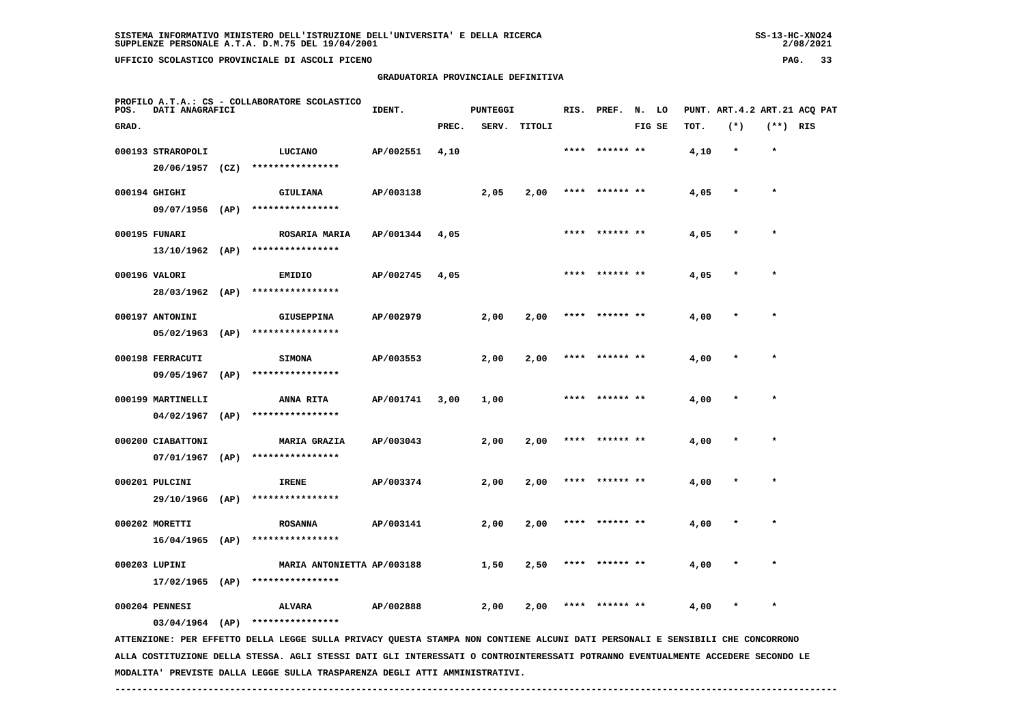|       |                   |                                               |                      | GRADUATORIA PROVINCIALE DEFINITIVA |       |      |              |                  |        |                              |         |            |  |
|-------|-------------------|-----------------------------------------------|----------------------|------------------------------------|-------|------|--------------|------------------|--------|------------------------------|---------|------------|--|
| POS.  | DATI ANAGRAFICI   | PROFILO A.T.A.: CS - COLLABORATORE SCOLASTICO | PUNTEGGI<br>IDENT.   |                                    |       |      |              | RIS. PREF. N. LO |        | PUNT. ART.4.2 ART.21 ACQ PAT |         |            |  |
| GRAD. |                   |                                               |                      |                                    | PREC. |      | SERV. TITOLI |                  | FIG SE | TOT.                         | $(*)$   | $(**)$ RIS |  |
|       | 000193 STRAROPOLI |                                               | LUCIANO              | AP/002551                          | 4,10  |      |              | **** ****** **   |        | 4,10                         | $\star$ | $\star$    |  |
|       | 20/06/1957        | (CZ)                                          | ****************     |                                    |       |      |              |                  |        |                              |         |            |  |
|       | 000194 GHIGHI     |                                               | <b>GIULIANA</b>      | AP/003138                          |       | 2,05 | 2,00         | **** ****** **   |        | 4,05                         | $\star$ | $\star$    |  |
|       | 09/07/1956        | (AP)                                          | ****************     |                                    |       |      |              |                  |        |                              |         |            |  |
|       | 000195 FUNARI     |                                               | <b>ROSARIA MARIA</b> | AP/001344                          | 4,05  |      |              | **** ****** **   |        | 4,05                         | $\star$ | $\star$    |  |
|       | 13/10/1962        | (AP)                                          | ****************     |                                    |       |      |              |                  |        |                              |         |            |  |

 **000196 VALORI EMIDIO AP/002745 4,05 \*\*\*\* \*\*\*\*\*\* \*\* 4,05 \* \* 28/03/1962 (AP) \*\*\*\*\*\*\*\*\*\*\*\*\*\*\*\***

| 000197 ANTONINI | <b>GIUSEPPINA</b> | AP/002979 | 2,00 | 2,00 | ****  ****** ** | 4,00 | $\star$ |  |
|-----------------|-------------------|-----------|------|------|-----------------|------|---------|--|
| 05/02/1963 (AP) | ****************  |           |      |      |                 |      |         |  |

 **000198 FERRACUTI SIMONA AP/003553 2,00 2,00 \*\*\*\* \*\*\*\*\*\* \*\* 4,00 \* \* 09/05/1967 (AP) \*\*\*\*\*\*\*\*\*\*\*\*\*\*\*\***

 **000199 MARTINELLI ANNA RITA AP/001741 3,00 1,00 \*\*\*\* \*\*\*\*\*\* \*\* 4,00 \* \* 04/02/1967 (AP) \*\*\*\*\*\*\*\*\*\*\*\*\*\*\*\***

 **000200 CIABATTONI MARIA GRAZIA AP/003043 2,00 2,00 \*\*\*\* \*\*\*\*\*\* \*\* 4,00 \* \* 07/01/1967 (AP) \*\*\*\*\*\*\*\*\*\*\*\*\*\*\*\* 000201 PULCINI IRENE AP/003374 2,00 2,00 \*\*\*\* \*\*\*\*\*\* \*\* 4,00 \* \* 29/10/1966 (AP) \*\*\*\*\*\*\*\*\*\*\*\*\*\*\*\***

000202 MORETTI **800202 MORETTI** ROSANNA AP/003141 2,00 2,00 \*\*\*\* \*\*\*\*\*\*\* \*\* 4,00  **16/04/1965 (AP) \*\*\*\*\*\*\*\*\*\*\*\*\*\*\*\* 000203 LUPINI MARIA ANTONIETTA AP/003188 1,50 2,50 \*\*\*\* \*\*\*\*\*\* \*\* 4,00 \* \***

 **17/02/1965 (AP) \*\*\*\*\*\*\*\*\*\*\*\*\*\*\*\***

 **000204 PENNESI ALVARA AP/002888 2,00 2,00 \*\*\*\* \*\*\*\*\*\* \*\* 4,00 \* \***

 **03/04/1964 (AP) \*\*\*\*\*\*\*\*\*\*\*\*\*\*\*\***

 **ATTENZIONE: PER EFFETTO DELLA LEGGE SULLA PRIVACY QUESTA STAMPA NON CONTIENE ALCUNI DATI PERSONALI E SENSIBILI CHE CONCORRONO ALLA COSTITUZIONE DELLA STESSA. AGLI STESSI DATI GLI INTERESSATI O CONTROINTERESSATI POTRANNO EVENTUALMENTE ACCEDERE SECONDO LE MODALITA' PREVISTE DALLA LEGGE SULLA TRASPARENZA DEGLI ATTI AMMINISTRATIVI.**

 **------------------------------------------------------------------------------------------------------------------------------------**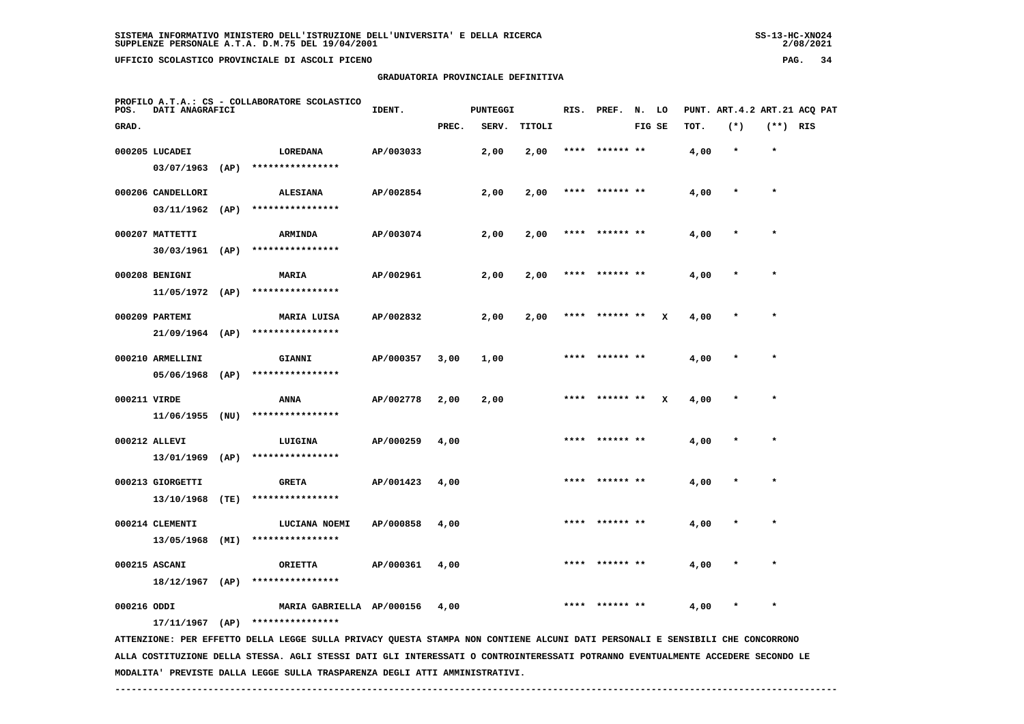**GRADUATORIA PROVINCIALE DEFINITIVA**

 $2/08/2021$ 

| POS.         | DATI ANAGRAFICI   |      | PROFILO A.T.A.: CS - COLLABORATORE SCOLASTICO                                                                                   | IDENT.    | <b>PUNTEGGI</b> |       |        |      | RIS. PREF. N. LO |        |   |      | PUNT. ART. 4.2 ART. 21 ACO PAT |            |  |
|--------------|-------------------|------|---------------------------------------------------------------------------------------------------------------------------------|-----------|-----------------|-------|--------|------|------------------|--------|---|------|--------------------------------|------------|--|
| GRAD.        |                   |      |                                                                                                                                 |           | PREC.           | SERV. | TITOLI |      |                  | FIG SE |   | TOT. | $(*)$                          | $(**)$ RIS |  |
|              | 000205 LUCADEI    |      | <b>LOREDANA</b>                                                                                                                 | AP/003033 |                 | 2,00  | 2,00   |      |                  |        |   | 4,00 | $\star$                        | $\star$    |  |
|              |                   |      | 03/07/1963 (AP) ****************                                                                                                |           |                 |       |        |      |                  |        |   |      |                                |            |  |
|              | 000206 CANDELLORI |      | <b>ALESIANA</b>                                                                                                                 | AP/002854 |                 | 2,00  | 2,00   | **** | ****** **        |        |   | 4,00 |                                |            |  |
|              | 03/11/1962        | (AP) | ****************                                                                                                                |           |                 |       |        |      |                  |        |   |      |                                |            |  |
|              | 000207 MATTETTI   |      | <b>ARMINDA</b>                                                                                                                  | AP/003074 |                 | 2,00  | 2,00   | **** | ****** **        |        |   | 4,00 |                                | $\star$    |  |
|              | $30/03/1961$ (AP) |      | ****************                                                                                                                |           |                 |       |        |      |                  |        |   |      |                                |            |  |
|              | 000208 BENIGNI    |      | MARIA                                                                                                                           | AP/002961 |                 | 2,00  | 2,00   |      | **** ****** **   |        |   | 4,00 |                                |            |  |
|              | $11/05/1972$ (AP) |      | ****************                                                                                                                |           |                 |       |        |      |                  |        |   |      |                                |            |  |
|              | 000209 PARTEMI    |      | MARIA LUISA                                                                                                                     | AP/002832 |                 | 2,00  | 2,00   |      | ****  ****** **  |        | x | 4,00 |                                | $\star$    |  |
|              | $21/09/1964$ (AP) |      | ****************                                                                                                                |           |                 |       |        |      |                  |        |   |      |                                |            |  |
|              | 000210 ARMELLINI  |      | GIANNI                                                                                                                          | AP/000357 | 3,00            | 1,00  |        |      |                  |        |   | 4,00 |                                |            |  |
|              | 05/06/1968        | (AP) | ****************                                                                                                                |           |                 |       |        |      |                  |        |   |      |                                |            |  |
| 000211 VIRDE |                   |      | ANNA                                                                                                                            | AP/002778 | 2,00            | 2,00  |        |      | ****** **        |        | x | 4,00 |                                |            |  |
|              | 11/06/1955        | (NU) | ****************                                                                                                                |           |                 |       |        |      |                  |        |   |      |                                |            |  |
|              | 000212 ALLEVI     |      | LUIGINA                                                                                                                         | AP/000259 | 4,00            |       |        |      | **** ****** **   |        |   | 4,00 |                                |            |  |
|              | 13/01/1969        | (AP) | ****************                                                                                                                |           |                 |       |        |      |                  |        |   |      |                                |            |  |
|              | 000213 GIORGETTI  |      | <b>GRETA</b>                                                                                                                    | AP/001423 | 4,00            |       |        | **** | ****** **        |        |   | 4,00 |                                | $\star$    |  |
|              | 13/10/1968        | (TE) | ****************                                                                                                                |           |                 |       |        |      |                  |        |   |      |                                |            |  |
|              | 000214 CLEMENTI   |      | LUCIANA NOEMI                                                                                                                   | AP/000858 | 4,00            |       |        |      |                  |        |   | 4,00 |                                |            |  |
|              | 13/05/1968        | (MI) | ****************                                                                                                                |           |                 |       |        |      |                  |        |   |      |                                |            |  |
|              | 000215 ASCANI     |      | <b>ORIETTA</b>                                                                                                                  | AP/000361 | 4,00            |       |        |      |                  |        |   | 4,00 |                                |            |  |
|              | $18/12/1967$ (AP) |      | ****************                                                                                                                |           |                 |       |        |      |                  |        |   |      |                                |            |  |
| 000216 ODDI  |                   |      | MARIA GABRIELLA AP/000156                                                                                                       |           | 4,00            |       |        |      |                  |        |   | 4,00 |                                |            |  |
|              | $17/11/1967$ (AP) |      | ****************                                                                                                                |           |                 |       |        |      |                  |        |   |      |                                |            |  |
|              |                   |      | ATTENZIONE: PER EFFETTO DELLA LEGGE SULLA PRIVACY QUESTA STAMPA NON CONTIENE ALCUNI DATI PERSONALI E SENSIBILI CHE CONCORRONO   |           |                 |       |        |      |                  |        |   |      |                                |            |  |
|              |                   |      | ALLA COSTITUZIONE DELLA STESSA. AGLI STESSI DATI GLI INTERESSATI O CONTROINTERESSATI POTRANNO EVENTUALMENTE ACCEDERE SECONDO LE |           |                 |       |        |      |                  |        |   |      |                                |            |  |

 **MODALITA' PREVISTE DALLA LEGGE SULLA TRASPARENZA DEGLI ATTI AMMINISTRATIVI.**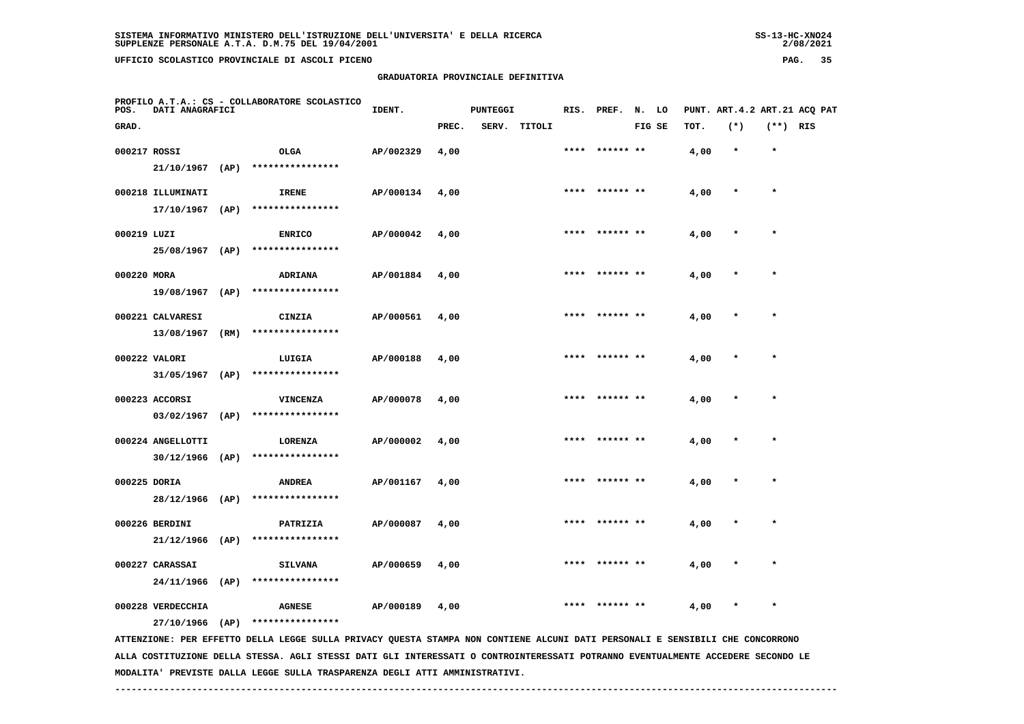**GRADUATORIA PROVINCIALE DEFINITIVA**

| POS.         | DATI ANAGRAFICI   | PROFILO A.T.A.: CS - COLLABORATORE SCOLASTICO | IDENT.           |           | <b>PUNTEGGI</b> |  |              | RIS. PREF. N. LO |                |        |      |              | PUNT. ART. 4.2 ART. 21 ACQ PAT |  |
|--------------|-------------------|-----------------------------------------------|------------------|-----------|-----------------|--|--------------|------------------|----------------|--------|------|--------------|--------------------------------|--|
| GRAD.        |                   |                                               |                  |           | PREC.           |  | SERV. TITOLI |                  |                | FIG SE | TOT. | $(*)$        | $(**)$ RIS                     |  |
| 000217 ROSSI |                   |                                               | OLGA             | AP/002329 | 4,00            |  |              |                  | **** ****** ** |        | 4,00 | $\star$      | $\star$                        |  |
|              | $21/10/1967$ (AP) |                                               | **************** |           |                 |  |              |                  |                |        |      |              |                                |  |
|              | 000218 ILLUMINATI |                                               | IRENE            | AP/000134 | 4,00            |  |              |                  | **** ****** ** |        | 4,00 | $\star$      | $\star$                        |  |
|              | $17/10/1967$ (AP) |                                               | **************** |           |                 |  |              |                  |                |        |      |              |                                |  |
| 000219 LUZI  |                   |                                               | <b>ENRICO</b>    | AP/000042 | 4,00            |  |              |                  | **** ****** ** |        | 4,00 | $\star$      | $\star$                        |  |
|              | 25/08/1967 (AP)   |                                               | **************** |           |                 |  |              |                  |                |        |      |              |                                |  |
| 000220 MORA  |                   |                                               | ADRIANA          | AP/001884 | 4,00            |  |              |                  | **** ****** ** |        | 4,00 | $\pmb{\ast}$ | $\star$                        |  |
|              | 19/08/1967        | (AP)                                          | **************** |           |                 |  |              |                  |                |        |      |              |                                |  |
|              | 000221 CALVARESI  |                                               | CINZIA           | AP/000561 | 4,00            |  |              | ****             | ****** **      |        | 4,00 | $\star$      | $\star$                        |  |
|              | 13/08/1967        | (RM)                                          | **************** |           |                 |  |              |                  |                |        |      |              |                                |  |
|              | 000222 VALORI     |                                               | LUIGIA           | AP/000188 | 4,00            |  |              |                  | **** ****** ** |        | 4,00 | $\star$      | $\star$                        |  |
|              | $31/05/1967$ (AP) |                                               | **************** |           |                 |  |              |                  |                |        |      |              |                                |  |
|              | 000223 ACCORSI    |                                               | <b>VINCENZA</b>  | AP/000078 | 4,00            |  |              |                  | **** ****** ** |        | 4,00 | $\star$      | $\star$                        |  |
|              | 03/02/1967        | (AP)                                          | **************** |           |                 |  |              |                  |                |        |      |              |                                |  |
|              | 000224 ANGELLOTTI |                                               | <b>LORENZA</b>   | AP/000002 | 4,00            |  |              |                  | **** ****** ** |        | 4,00 | $\star$      | $\star$                        |  |
|              | $30/12/1966$ (AP) |                                               | **************** |           |                 |  |              |                  |                |        |      |              |                                |  |
| 000225 DORIA |                   |                                               | <b>ANDREA</b>    | AP/001167 | 4,00            |  |              |                  | **** ****** ** |        | 4,00 | $\pmb{\ast}$ | $\star$                        |  |
|              | 28/12/1966        | (AP)                                          | **************** |           |                 |  |              |                  |                |        |      |              |                                |  |

 **000226 BERDINI PATRIZIA AP/000087 4,00 \*\*\*\* \*\*\*\*\*\* \*\* 4,00 \* \* 21/12/1966 (AP) \*\*\*\*\*\*\*\*\*\*\*\*\*\*\*\* 000227 CARASSAI SILVANA AP/000659 4,00 \*\*\*\* \*\*\*\*\*\* \*\* 4,00 \* \* 24/11/1966 (AP) \*\*\*\*\*\*\*\*\*\*\*\*\*\*\*\***

 **000228 VERDECCHIA AGNESE AP/000189 4,00 \*\*\*\* \*\*\*\*\*\* \*\* 4,00 \* \***

 **27/10/1966 (AP) \*\*\*\*\*\*\*\*\*\*\*\*\*\*\*\***

 **ATTENZIONE: PER EFFETTO DELLA LEGGE SULLA PRIVACY QUESTA STAMPA NON CONTIENE ALCUNI DATI PERSONALI E SENSIBILI CHE CONCORRONO ALLA COSTITUZIONE DELLA STESSA. AGLI STESSI DATI GLI INTERESSATI O CONTROINTERESSATI POTRANNO EVENTUALMENTE ACCEDERE SECONDO LE MODALITA' PREVISTE DALLA LEGGE SULLA TRASPARENZA DEGLI ATTI AMMINISTRATIVI.**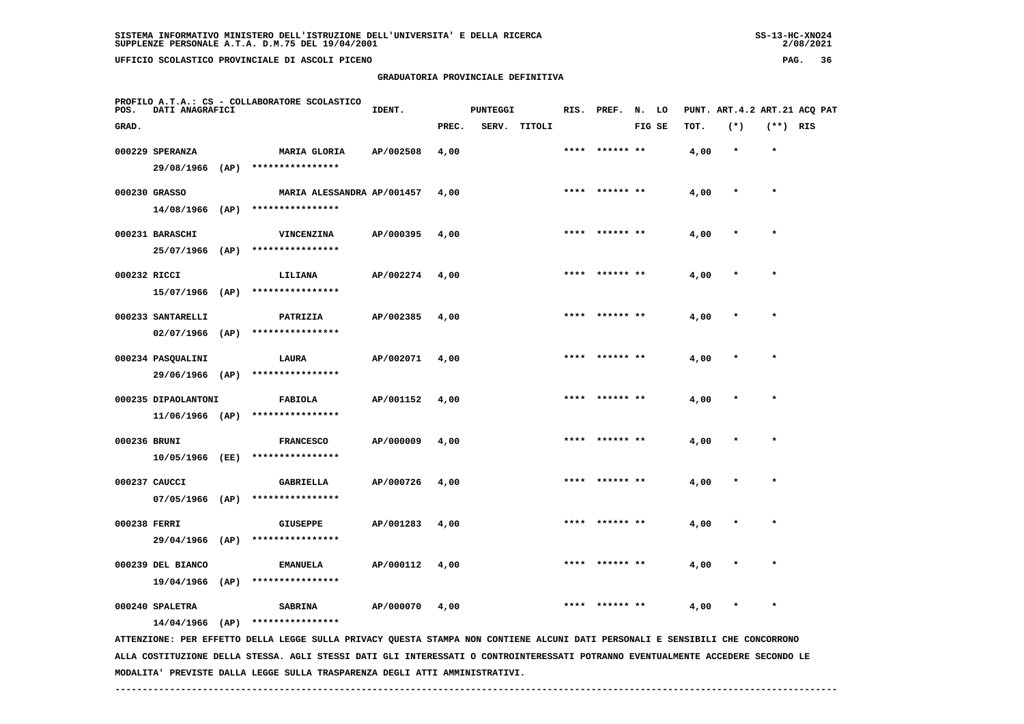**GRADUATORIA PROVINCIALE DEFINITIVA**

|        | ONE DELL'UNIVERSITA' E DELLA RICERCA |  |  |
|--------|--------------------------------------|--|--|
| 4/2001 |                                      |  |  |
|        |                                      |  |  |

 $2/08/2021$ 

| POS.         | <b>DATI ANAGRAFICI</b> | PROFILO A.T.A.: CS - COLLABORATORE SCOLASTICO                                                                                 | IDENT.    |       | <b>PUNTEGGI</b> |              |      | RIS. PREF. N. LO |        |      |         |            | PUNT. ART.4.2 ART.21 ACQ PAT |
|--------------|------------------------|-------------------------------------------------------------------------------------------------------------------------------|-----------|-------|-----------------|--------------|------|------------------|--------|------|---------|------------|------------------------------|
| GRAD.        |                        |                                                                                                                               |           | PREC. |                 | SERV. TITOLI |      |                  | FIG SE | TOT. | $(*)$   | $(**)$ RIS |                              |
|              | 000229 SPERANZA        | MARIA GLORIA                                                                                                                  | AP/002508 | 4,00  |                 |              | **** | ****** **        |        | 4,00 | $\star$ | $\star$    |                              |
|              | 29/08/1966 (AP)        | ****************                                                                                                              |           |       |                 |              |      |                  |        |      |         |            |                              |
|              | 000230 GRASSO          | MARIA ALESSANDRA AP/001457                                                                                                    |           | 4,00  |                 |              |      | **** ****** **   |        | 4,00 | $\star$ | $\star$    |                              |
|              | $14/08/1966$ (AP)      | ****************                                                                                                              |           |       |                 |              |      |                  |        |      |         |            |                              |
|              | 000231 BARASCHI        | VINCENZINA                                                                                                                    | AP/000395 | 4,00  |                 |              | **** |                  |        | 4,00 |         | $\star$    |                              |
|              | 25/07/1966 (AP)        | ****************                                                                                                              |           |       |                 |              |      |                  |        |      |         |            |                              |
| 000232 RICCI |                        | LILIANA                                                                                                                       | AP/002274 | 4,00  |                 |              |      | ****  ****** **  |        | 4,00 |         | $\star$    |                              |
|              | 15/07/1966 (AP)        | ****************                                                                                                              |           |       |                 |              |      |                  |        |      |         |            |                              |
|              | 000233 SANTARELLI      | PATRIZIA                                                                                                                      | AP/002385 | 4,00  |                 |              |      |                  |        | 4,00 |         |            |                              |
|              | $02/07/1966$ (AP)      | ****************                                                                                                              |           |       |                 |              |      |                  |        |      |         |            |                              |
|              | 000234 PASQUALINI      | LAURA                                                                                                                         | AP/002071 | 4,00  |                 |              | **** | ****** **        |        | 4,00 | $\ast$  | $\star$    |                              |
|              | 29/06/1966 (AP)        | ****************                                                                                                              |           |       |                 |              |      |                  |        |      |         |            |                              |
|              | 000235 DIPAOLANTONI    | <b>FABIOLA</b>                                                                                                                | AP/001152 | 4,00  |                 |              | **** | ****** **        |        | 4,00 |         | $\star$    |                              |
|              | $11/06/1966$ (AP)      | ****************                                                                                                              |           |       |                 |              |      |                  |        |      |         |            |                              |
| 000236 BRUNI |                        | <b>FRANCESCO</b>                                                                                                              | AP/000009 | 4,00  |                 |              |      | **** ****** **   |        | 4,00 | $\star$ | $\star$    |                              |
|              | 10/05/1966 (EE)        | ****************                                                                                                              |           |       |                 |              |      |                  |        |      |         |            |                              |
|              | 000237 CAUCCI          | GABRIELLA                                                                                                                     | AP/000726 | 4,00  |                 |              |      | **** ****** **   |        | 4,00 | $\ast$  | $\star$    |                              |
|              | $07/05/1966$ (AP)      | ****************                                                                                                              |           |       |                 |              |      |                  |        |      |         |            |                              |
| 000238 FERRI |                        | <b>GIUSEPPE</b>                                                                                                               | AP/001283 | 4,00  |                 |              |      |                  |        | 4,00 |         |            |                              |
|              | 29/04/1966 (AP)        | ****************                                                                                                              |           |       |                 |              |      |                  |        |      |         |            |                              |
|              | 000239 DEL BIANCO      | <b>EMANUELA</b>                                                                                                               | AP/000112 | 4,00  |                 |              |      |                  |        | 4,00 |         |            |                              |
|              | $19/04/1966$ (AP)      | ****************                                                                                                              |           |       |                 |              |      |                  |        |      |         |            |                              |
|              | 000240 SPALETRA        | <b>SABRINA</b>                                                                                                                | AP/000070 | 4,00  |                 |              | **** | ****** **        |        | 4,00 | $\star$ | $\star$    |                              |
|              | $14/04/1966$ (AP)      | ****************                                                                                                              |           |       |                 |              |      |                  |        |      |         |            |                              |
|              |                        | ATTENZIONE: PER EFFETTO DELLA LEGGE SULLA PRIVACY QUESTA STAMPA NON CONTIENE ALCUNI DATI PERSONALI E SENSIBILI CHE CONCORRONO |           |       |                 |              |      |                  |        |      |         |            |                              |

 **ALLA COSTITUZIONE DELLA STESSA. AGLI STESSI DATI GLI INTERESSATI O CONTROINTERESSATI POTRANNO EVENTUALMENTE ACCEDERE SECONDO LE MODALITA' PREVISTE DALLA LEGGE SULLA TRASPARENZA DEGLI ATTI AMMINISTRATIVI.**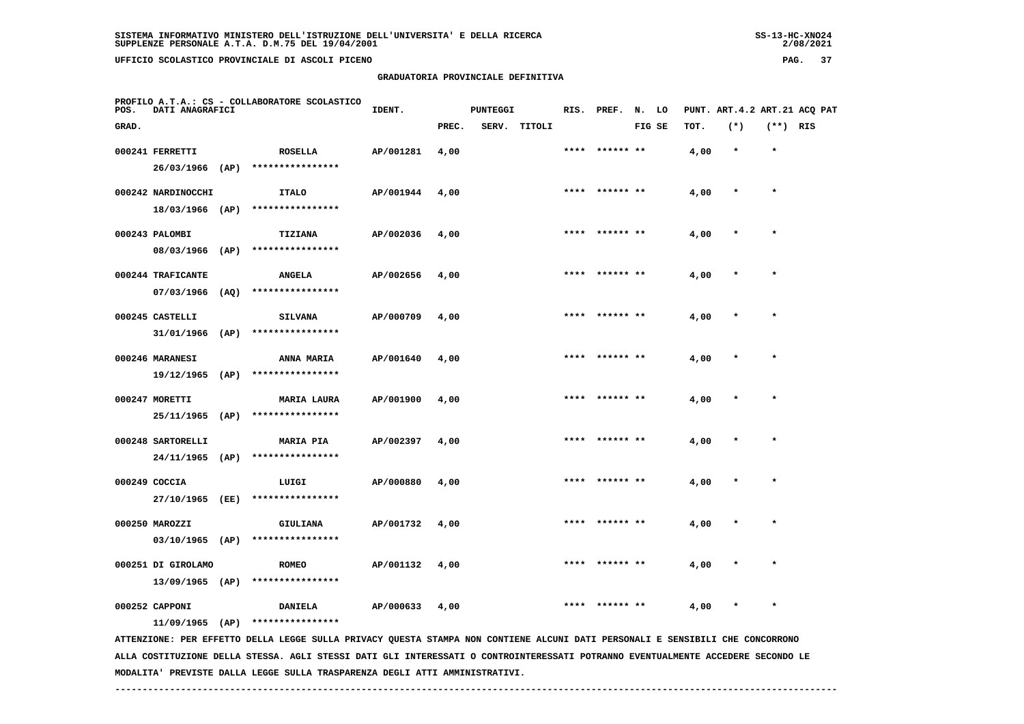| 55-13-ANU4+ |
|-------------|
| 2/08/2021   |

| POS.  | DATI ANAGRAFICI                        |      | PROFILO A.T.A.: CS - COLLABORATORE SCOLASTICO                                                                               | IDENT.    |       | <b>PUNTEGGI</b> |        |      | RIS. PREF.      | N. LO  |      | PUNT. ART. 4.2 ART. 21 ACO PAT |            |  |
|-------|----------------------------------------|------|-----------------------------------------------------------------------------------------------------------------------------|-----------|-------|-----------------|--------|------|-----------------|--------|------|--------------------------------|------------|--|
| GRAD. |                                        |      |                                                                                                                             |           | PREC. | SERV.           | TITOLI |      |                 | FIG SE | TOT. | $(*)$                          | $(**)$ RIS |  |
|       | 000241 FERRETTI<br>26/03/1966          | (AP) | <b>ROSELLA</b><br>****************                                                                                          | AP/001281 | 4,00  |                 |        | **** | ****** **       |        | 4,00 | $\star$                        | $\star$    |  |
|       | 000242 NARDINOCCHI<br>18/03/1966 (AP)  |      | <b>ITALO</b><br>****************                                                                                            | AP/001944 | 4,00  |                 |        | **** | ****** **       |        | 4,00 | $\star$                        | $\star$    |  |
|       | 000243 PALOMBI<br>08/03/1966           | (AP) | <b>TIZIANA</b><br>****************                                                                                          | AP/002036 | 4,00  |                 |        |      | **** ****** **  |        | 4,00 | $\star$                        | $\star$    |  |
|       | 000244 TRAFICANTE<br>07/03/1966        | (AQ) | <b>ANGELA</b><br>****************                                                                                           | AP/002656 | 4,00  |                 |        |      |                 |        | 4,00 |                                | $\star$    |  |
|       | 000245 CASTELLI<br>31/01/1966 (AP)     |      | <b>SILVANA</b><br>****************                                                                                          | AP/000709 | 4,00  |                 |        |      |                 |        | 4,00 |                                |            |  |
|       | 000246 MARANESI<br>19/12/1965          | (AP) | <b>ANNA MARIA</b><br>****************                                                                                       | AP/001640 | 4,00  |                 |        |      | **** ****** **  |        | 4,00 |                                | $\star$    |  |
|       | 000247 MORETTI<br>25/11/1965           | (AP) | <b>MARIA LAURA</b><br>****************                                                                                      | AP/001900 | 4,00  |                 |        |      |                 |        | 4,00 |                                | $\star$    |  |
|       | 000248 SARTORELLI<br>$24/11/1965$ (AP) |      | <b>MARIA PIA</b><br>****************                                                                                        | AP/002397 | 4,00  |                 |        |      | ****** **       |        | 4,00 |                                | $\star$    |  |
|       | 000249 COCCIA<br>27/10/1965 (EE)       |      | LUIGI<br>****************                                                                                                   | AP/000880 | 4,00  |                 |        |      | ****  ****** ** |        | 4,00 |                                | $\star$    |  |
|       | 000250 MAROZZI<br>03/10/1965 (AP)      |      | <b>GIULIANA</b><br>****************                                                                                         | AP/001732 | 4,00  |                 |        | **** | ****** **       |        | 4,00 | $\star$                        | $\star$    |  |
|       | 000251 DI GIROLAMO<br>13/09/1965 (AP)  |      | <b>ROMEO</b><br>****************                                                                                            | AP/001132 | 4,00  |                 |        |      |                 |        | 4,00 |                                |            |  |
|       | 000252 CAPPONI                         |      | <b>DANIELA</b><br>$11/09/1965$ (AP) ****************                                                                        | AP/000633 | 4,00  |                 |        |      |                 |        | 4,00 |                                |            |  |
|       |                                        |      | ATTENTIONE. PRE ERRITO ORILA LECCE SULLA DIVACY OURSTA STANDA NON CONTIENE ALCUNI DATI PRESONALI E SENSIBILI CHE CONCORDONO |           |       |                 |        |      |                 |        |      |                                |            |  |

 **ATTENZIONE: PER EFFETTO DELLA LEGGE SULLA PRIVACY QUESTA STAMPA NON CONTIENE ALCUNI DATI PERSONALI E SENSIBILI CHE CONCORRONO ALLA COSTITUZIONE DELLA STESSA. AGLI STESSI DATI GLI INTERESSATI O CONTROINTERESSATI POTRANNO EVENTUALMENTE ACCEDERE SECONDO LE MODALITA' PREVISTE DALLA LEGGE SULLA TRASPARENZA DEGLI ATTI AMMINISTRATIVI.**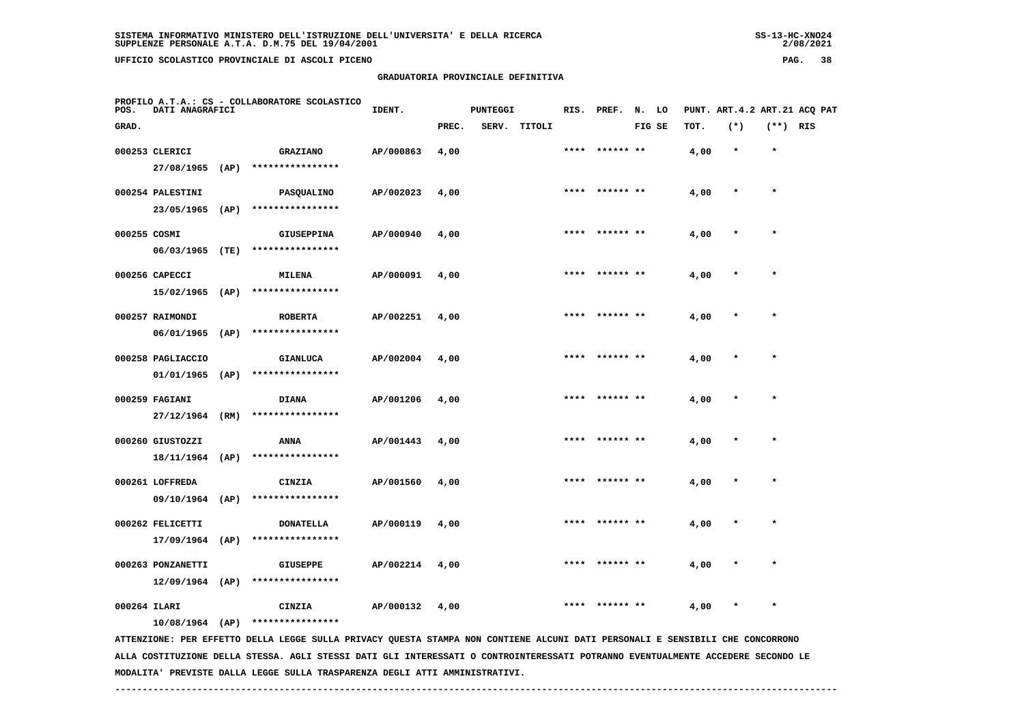## **GRADUATORIA PROVINCIALE DEFINITIVA**

 $2/08/2021$ 

| POS.         | DATI ANAGRAFICI   |      | PROFILO A.T.A.: CS - COLLABORATORE SCOLASTICO                                                                                 | IDENT.    |       | <b>PUNTEGGI</b> |        |      | RIS. PREF. N. LO |        |      | PUNT. ART. 4.2 ART. 21 ACQ PAT |            |  |
|--------------|-------------------|------|-------------------------------------------------------------------------------------------------------------------------------|-----------|-------|-----------------|--------|------|------------------|--------|------|--------------------------------|------------|--|
| GRAD.        |                   |      |                                                                                                                               |           | PREC. | SERV.           | TITOLI |      |                  | FIG SE | TOT. | $(*)$                          | $(**)$ RIS |  |
|              | 000253 CLERICI    |      | <b>GRAZIANO</b>                                                                                                               | AP/000863 | 4,00  |                 |        | **** | ****** **        |        | 4,00 | $\star$                        | $\star$    |  |
|              | 27/08/1965        | (AP) | ****************                                                                                                              |           |       |                 |        |      |                  |        |      |                                |            |  |
|              | 000254 PALESTINI  |      | <b>PASQUALINO</b>                                                                                                             | AP/002023 | 4,00  |                 |        | **** |                  |        | 4,00 | $\star$                        | $\star$    |  |
|              | 23/05/1965 (AP)   |      | ****************                                                                                                              |           |       |                 |        |      |                  |        |      |                                |            |  |
| 000255 COSMI |                   |      | <b>GIUSEPPINA</b>                                                                                                             | AP/000940 | 4,00  |                 |        |      | ****  ****** **  |        | 4,00 | $\ast$                         | $\star$    |  |
|              | 06/03/1965 (TE)   |      | ****************                                                                                                              |           |       |                 |        |      |                  |        |      |                                |            |  |
|              | 000256 CAPECCI    |      | MILENA                                                                                                                        | AP/000091 | 4,00  |                 |        | **** |                  |        | 4,00 |                                |            |  |
|              | $15/02/1965$ (AP) |      | ****************                                                                                                              |           |       |                 |        |      |                  |        |      |                                |            |  |
|              | 000257 RAIMONDI   |      | <b>ROBERTA</b>                                                                                                                | AP/002251 | 4,00  |                 |        |      |                  |        | 4,00 |                                |            |  |
|              | 06/01/1965        | (AP) | ****************                                                                                                              |           |       |                 |        |      |                  |        |      |                                |            |  |
|              | 000258 PAGLIACCIO |      | <b>GIANLUCA</b>                                                                                                               | AP/002004 | 4,00  |                 |        |      |                  |        | 4,00 |                                |            |  |
|              | 01/01/1965        | (AP) | ****************                                                                                                              |           |       |                 |        |      |                  |        |      |                                |            |  |
|              | 000259 FAGIANI    |      | <b>DIANA</b>                                                                                                                  | AP/001206 | 4,00  |                 |        |      |                  |        | 4,00 |                                |            |  |
|              | $27/12/1964$ (RM) |      | ****************                                                                                                              |           |       |                 |        |      |                  |        |      |                                |            |  |
|              | 000260 GIUSTOZZI  |      | ANNA                                                                                                                          | AP/001443 | 4,00  |                 |        |      |                  |        | 4,00 |                                |            |  |
|              | 18/11/1964        | (AP) | ****************                                                                                                              |           |       |                 |        |      |                  |        |      |                                |            |  |
|              | 000261 LOFFREDA   |      | CINZIA                                                                                                                        | AP/001560 | 4,00  |                 |        | **** | ****** **        |        | 4,00 | $\ast$                         | $\star$    |  |
|              | 09/10/1964 (AP)   |      | ****************                                                                                                              |           |       |                 |        |      |                  |        |      |                                |            |  |
|              | 000262 FELICETTI  |      | <b>DONATELLA</b>                                                                                                              | AP/000119 | 4,00  |                 |        | **** | ****** **        |        | 4,00 | $\ast$                         | $\star$    |  |
|              | $17/09/1964$ (AP) |      | ****************                                                                                                              |           |       |                 |        |      |                  |        |      |                                |            |  |
|              | 000263 PONZANETTI |      | <b>GIUSEPPE</b>                                                                                                               | AP/002214 | 4,00  |                 |        |      |                  |        | 4,00 |                                |            |  |
|              | $12/09/1964$ (AP) |      | ****************                                                                                                              |           |       |                 |        |      |                  |        |      |                                |            |  |
| 000264 ILARI |                   |      | CINZIA                                                                                                                        | AP/000132 | 4,00  |                 |        | **** | ****** **        |        | 4,00 | $\ast$                         | $\star$    |  |
|              |                   |      | $10/08/1964$ (AP) ****************                                                                                            |           |       |                 |        |      |                  |        |      |                                |            |  |
|              |                   |      | ATTENTIONE. PRE REEFT ON LELLA LECCE SULLA PUILLA VIESTA STANDA NON CONTIENE ALCUNI DATI PARAGNALI E SENSIBILI CHE CONCORDONO |           |       |                 |        |      |                  |        |      |                                |            |  |

 **ATTENZIONE: PER EFFETTO DELLA LEGGE SULLA PRIVACY QUESTA STAMPA NON CONTIENE ALCUNI DATI PERSONALI E SENSIBILI CHE CONCORRONO ALLA COSTITUZIONE DELLA STESSA. AGLI STESSI DATI GLI INTERESSATI O CONTROINTERESSATI POTRANNO EVENTUALMENTE ACCEDERE SECONDO LE MODALITA' PREVISTE DALLA LEGGE SULLA TRASPARENZA DEGLI ATTI AMMINISTRATIVI.**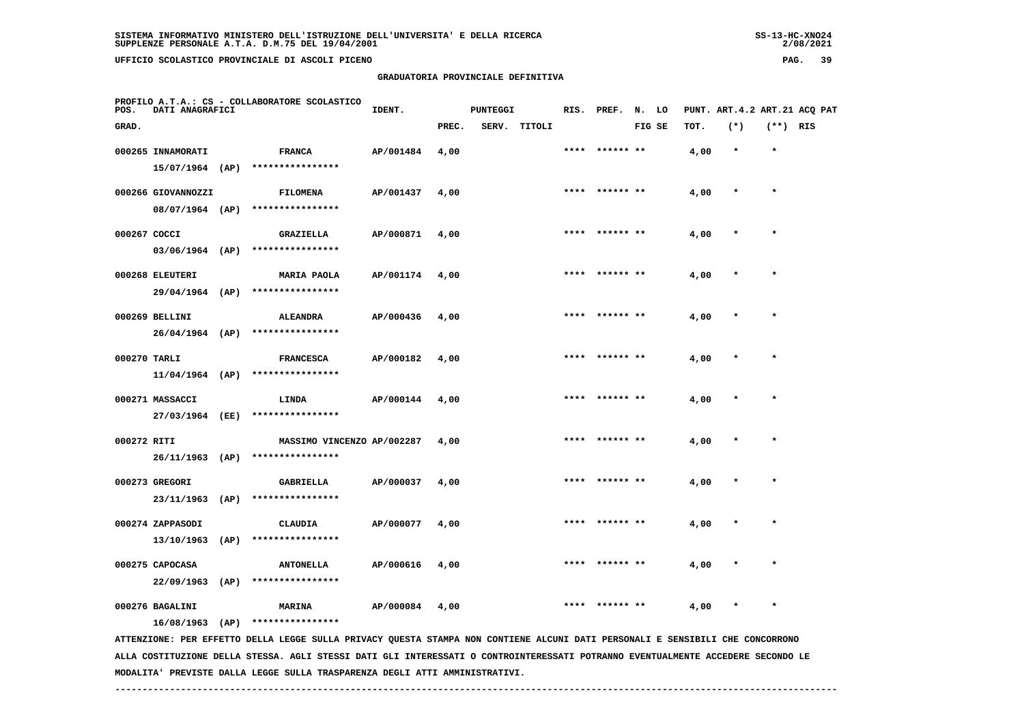## **GRADUATORIA PROVINCIALE DEFINITIVA**

 $2/08/2021$ 

| POS.         | DATI ANAGRAFICI                       | PROFILO A.T.A.: CS - COLLABORATORE SCOLASTICO                                                                                 | IDENT.    |       | <b>PUNTEGGI</b> |              |      | RIS. PREF. N. LO |        |      | PUNT. ART.4.2 ART.21 ACQ PAT |            |  |
|--------------|---------------------------------------|-------------------------------------------------------------------------------------------------------------------------------|-----------|-------|-----------------|--------------|------|------------------|--------|------|------------------------------|------------|--|
| GRAD.        |                                       |                                                                                                                               |           | PREC. |                 | SERV. TITOLI |      |                  | FIG SE | TOT. | $(*)$                        | $(**)$ RIS |  |
|              | 000265 INNAMORATI                     | <b>FRANCA</b>                                                                                                                 | AP/001484 | 4,00  |                 |              |      | **** ****** **   |        | 4,00 | $\star$                      | $\star$    |  |
|              |                                       | 15/07/1964 (AP) ****************                                                                                              |           |       |                 |              |      |                  |        |      |                              |            |  |
|              | 000266 GIOVANNOZZI                    | FILOMENA                                                                                                                      | AP/001437 | 4,00  |                 |              | **** | ****** **        |        | 4,00 |                              | $\star$    |  |
|              |                                       | 08/07/1964 (AP) ****************                                                                                              |           |       |                 |              |      |                  |        |      |                              |            |  |
| 000267 COCCI |                                       | <b>GRAZIELLA</b>                                                                                                              | AP/000871 | 4,00  |                 |              |      | **** ****** **   |        | 4,00 |                              |            |  |
|              |                                       | $03/06/1964$ (AP) ****************                                                                                            |           |       |                 |              |      |                  |        |      |                              |            |  |
|              | 000268 ELEUTERI                       | <b>MARIA PAOLA</b>                                                                                                            | AP/001174 | 4,00  |                 |              |      | **** ****** **   |        | 4,00 |                              |            |  |
|              | 29/04/1964 (AP)                       | ****************                                                                                                              |           |       |                 |              |      |                  |        |      |                              |            |  |
|              | 000269 BELLINI                        | <b>ALEANDRA</b>                                                                                                               | AP/000436 | 4,00  |                 |              |      | **** ****** **   |        | 4,00 |                              | $\star$    |  |
|              | $26/04/1964$ (AP)                     | ****************                                                                                                              |           |       |                 |              |      |                  |        |      |                              |            |  |
| 000270 TARLI |                                       | <b>FRANCESCA</b>                                                                                                              | AP/000182 | 4,00  |                 |              |      | ****  ****** **  |        | 4,00 |                              | $\star$    |  |
|              | $11/04/1964$ (AP)                     | ****************                                                                                                              |           |       |                 |              |      |                  |        |      |                              |            |  |
|              | 000271 MASSACCI                       | LINDA                                                                                                                         | AP/000144 | 4,00  |                 |              |      | **** ****** **   |        | 4,00 |                              | $\star$    |  |
|              | 27/03/1964 (EE)                       | ****************                                                                                                              |           |       |                 |              |      |                  |        |      |                              |            |  |
| 000272 RITI  |                                       |                                                                                                                               |           | 4,00  |                 |              | **** |                  |        |      |                              | $\star$    |  |
|              |                                       | MASSIMO VINCENZO AP/002287<br>26/11/1963 (AP) ****************                                                                |           |       |                 |              |      |                  |        | 4,00 |                              |            |  |
|              |                                       |                                                                                                                               |           |       |                 |              |      |                  |        |      |                              |            |  |
|              | 000273 GREGORI<br>23/11/1963 (AP)     | <b>GABRIELLA</b><br>****************                                                                                          | AP/000037 | 4,00  |                 |              |      |                  |        | 4,00 |                              |            |  |
|              |                                       |                                                                                                                               |           |       |                 |              |      |                  |        |      |                              |            |  |
|              | 000274 ZAPPASODI<br>$13/10/1963$ (AP) | <b>CLAUDIA</b><br>****************                                                                                            | AP/000077 | 4,00  |                 |              |      |                  |        | 4,00 |                              |            |  |
|              |                                       |                                                                                                                               |           |       |                 |              |      |                  |        |      |                              |            |  |
|              | 000275 CAPOCASA<br>$22/09/1963$ (AP)  | <b>ANTONELLA</b><br>****************                                                                                          | AP/000616 | 4,00  |                 |              | **** |                  |        | 4,00 |                              | $\star$    |  |
|              |                                       |                                                                                                                               |           |       |                 |              |      |                  |        |      |                              |            |  |
|              | 000276 BAGALINI                       | MARINA                                                                                                                        | AP/000084 | 4,00  |                 |              |      |                  |        | 4,00 |                              |            |  |
|              | $16/08/1963$ (AP)                     | ****************                                                                                                              |           |       |                 |              |      |                  |        |      |                              |            |  |
|              |                                       | ATTENZIONE: PER EFFETTO DELLA LEGGE SULLA PRIVACY QUESTA STAMPA NON CONTIENE ALCUNI DATI PERSONALI E SENSIBILI CHE CONCORRONO |           |       |                 |              |      |                  |        |      |                              |            |  |

 **ALLA COSTITUZIONE DELLA STESSA. AGLI STESSI DATI GLI INTERESSATI O CONTROINTERESSATI POTRANNO EVENTUALMENTE ACCEDERE SECONDO LE MODALITA' PREVISTE DALLA LEGGE SULLA TRASPARENZA DEGLI ATTI AMMINISTRATIVI.**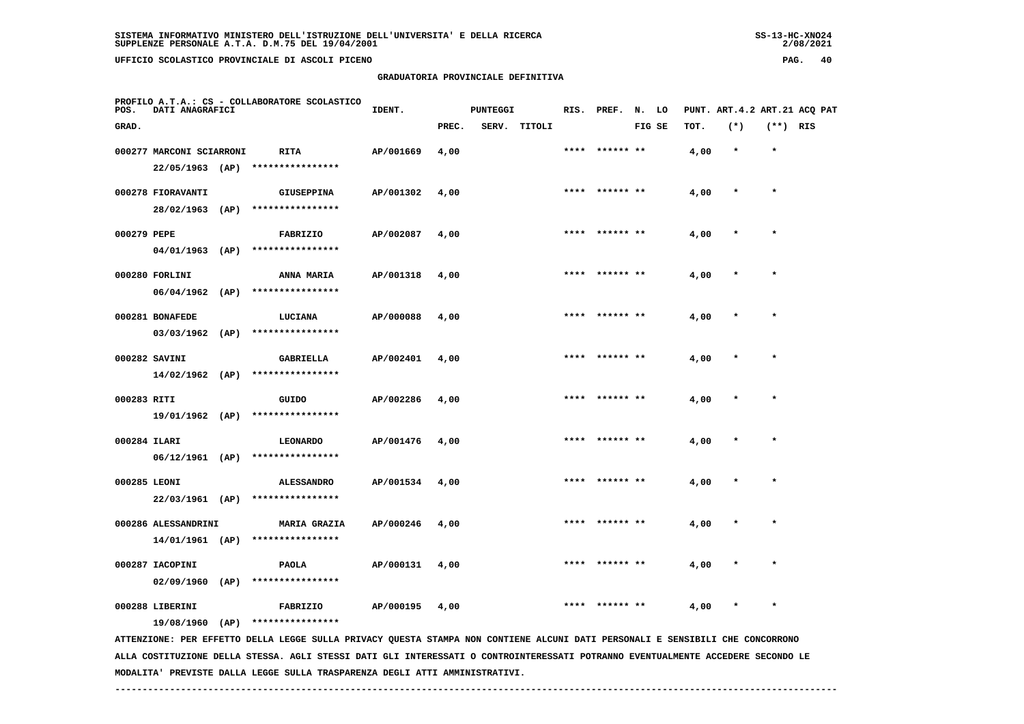# **GRADUATORIA PROVINCIALE DEFINITIVA**

 $2/08/2021$ 

| POS.         | DATI ANAGRAFICI                        | PROFILO A.T.A.: CS - COLLABORATORE SCOLASTICO                                                                                 | IDENT.    |       | <b>PUNTEGGI</b> |              |      | RIS. PREF.      | N. LO  |      |         |          | PUNT. ART.4.2 ART.21 ACQ PAT |
|--------------|----------------------------------------|-------------------------------------------------------------------------------------------------------------------------------|-----------|-------|-----------------|--------------|------|-----------------|--------|------|---------|----------|------------------------------|
| GRAD.        |                                        |                                                                                                                               |           | PREC. |                 | SERV. TITOLI |      |                 | FIG SE | TOT. | $(*)$   | (**) RIS |                              |
|              | 000277 MARCONI SCIARRONI               | RITA<br>****************                                                                                                      | AP/001669 | 4,00  |                 |              | **** | ****** **       |        | 4,00 | $\star$ | $\star$  |                              |
|              | $22/05/1963$ (AP)<br>000278 FIORAVANTI | <b>GIUSEPPINA</b>                                                                                                             | AP/001302 | 4,00  |                 |              |      | **** ****** **  |        | 4,00 | $\ast$  | $\star$  |                              |
| 000279 PEPE  | 28/02/1963 (AP)                        | ****************                                                                                                              |           |       |                 |              |      | **** ****** **  |        |      | $\ast$  | $\star$  |                              |
|              | 04/01/1963 (AP)                        | FABRIZIO<br>****************                                                                                                  | AP/002087 | 4,00  |                 |              |      |                 |        | 4,00 |         |          |                              |
|              | 000280 FORLINI<br>$06/04/1962$ (AP)    | ANNA MARIA<br>****************                                                                                                | AP/001318 | 4,00  |                 |              | **** |                 |        | 4,00 |         | $\star$  |                              |
|              | 000281 BONAFEDE                        | LUCIANA                                                                                                                       | AP/000088 | 4,00  |                 |              |      |                 |        | 4,00 |         |          |                              |
|              | $03/03/1962$ (AP)<br>000282 SAVINI     | ****************<br><b>GABRIELLA</b>                                                                                          | AP/002401 | 4,00  |                 |              |      |                 |        | 4,00 |         |          |                              |
|              | $14/02/1962$ (AP)                      | ****************                                                                                                              |           |       |                 |              |      |                 |        |      |         |          |                              |
| 000283 RITI  | 19/01/1962 (AP)                        | GUIDO<br>****************                                                                                                     | AP/002286 | 4,00  |                 |              |      | **** ****** **  |        | 4,00 |         | $\star$  |                              |
| 000284 ILARI | 06/12/1961 (AP)                        | <b>LEONARDO</b><br>****************                                                                                           | AP/001476 | 4,00  |                 |              |      |                 |        | 4,00 |         |          |                              |
| 000285 LEONI |                                        | <b>ALESSANDRO</b><br>22/03/1961 (AP) ****************                                                                         | AP/001534 | 4,00  |                 |              |      | **** ****** **  |        | 4,00 | $\ast$  | $\star$  |                              |
|              | 000286 ALESSANDRINI                    | <b>MARIA GRAZIA</b>                                                                                                           | AP/000246 | 4,00  |                 |              |      | ****  ****** ** |        | 4,00 |         |          |                              |
|              | 14/01/1961 (AP)<br>000287 IACOPINI     | ****************<br>PAOLA                                                                                                     | AP/000131 | 4,00  |                 |              |      |                 |        | 4,00 |         |          |                              |
|              | $02/09/1960$ (AP)                      | ****************                                                                                                              |           |       |                 |              |      |                 |        |      |         |          |                              |
|              | 000288 LIBERINI<br>19/08/1960 (AP)     | FABRIZIO<br>****************                                                                                                  | AP/000195 | 4,00  |                 |              |      |                 |        | 4,00 |         | $\star$  |                              |
|              |                                        | ATTENZIONE: PER EFFETTO DELLA LEGGE SULLA PRIVACY QUESTA STAMPA NON CONTIENE ALCUNI DATI PERSONALI E SENSIBILI CHE CONCORRONO |           |       |                 |              |      |                 |        |      |         |          |                              |

 **ALLA COSTITUZIONE DELLA STESSA. AGLI STESSI DATI GLI INTERESSATI O CONTROINTERESSATI POTRANNO EVENTUALMENTE ACCEDERE SECONDO LE MODALITA' PREVISTE DALLA LEGGE SULLA TRASPARENZA DEGLI ATTI AMMINISTRATIVI.**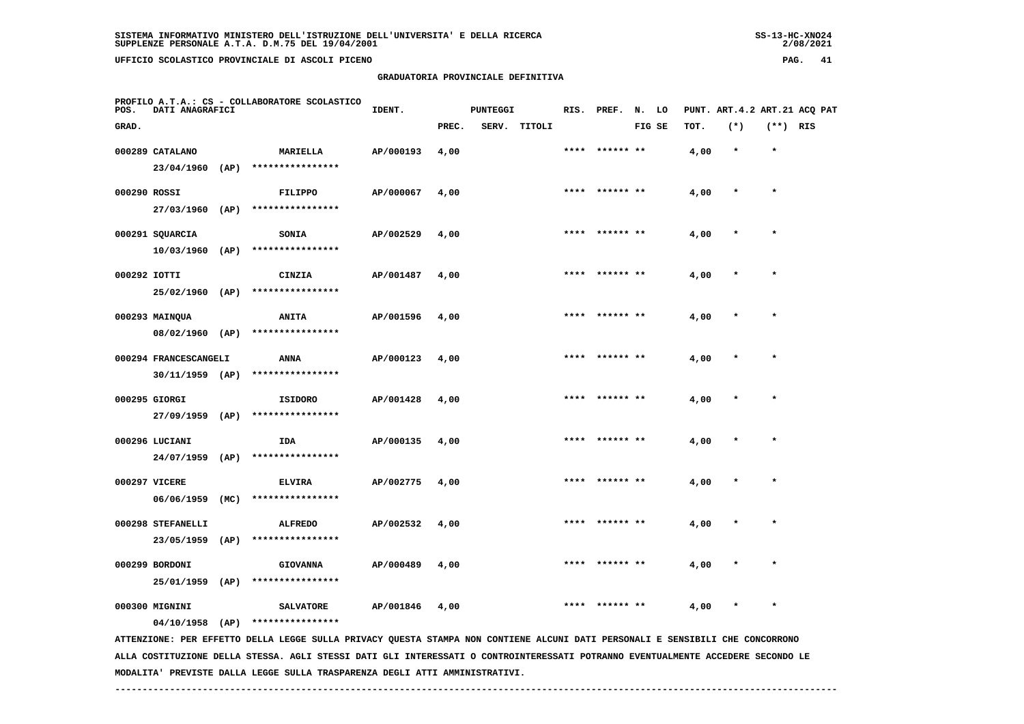# **GRADUATORIA PROVINCIALE DEFINITIVA**

 $2/08/2021$ 

| POS.         | DATI ANAGRAFICI                      |      | PROFILO A.T.A.: CS - COLLABORATORE SCOLASTICO                                                                                 | IDENT.    |       | <b>PUNTEGGI</b> |        | RIS. | PREF.          | N. LO  |      |        |            | PUNT. ART. 4.2 ART. 21 ACO PAT |
|--------------|--------------------------------------|------|-------------------------------------------------------------------------------------------------------------------------------|-----------|-------|-----------------|--------|------|----------------|--------|------|--------|------------|--------------------------------|
| GRAD.        |                                      |      |                                                                                                                               |           | PREC. | SERV.           | TITOLI |      |                | FIG SE | TOT. | $(*)$  | $(**)$ RIS |                                |
|              | 000289 CATALANO<br>$23/04/1960$ (AP) |      | <b>MARIELLA</b><br>****************                                                                                           | AP/000193 | 4,00  |                 |        | **** | ****** **      |        | 4,00 | $\ast$ | $\star$    |                                |
| 000290 ROSSI |                                      |      | <b>FILIPPO</b>                                                                                                                | AP/000067 | 4,00  |                 |        | **** | ****** **      |        | 4,00 |        | $\star$    |                                |
|              | 27/03/1960                           | (AP) | ****************                                                                                                              |           |       |                 |        |      |                |        |      |        |            |                                |
|              | 000291 SQUARCIA<br>$10/03/1960$ (AP) |      | <b>SONIA</b><br>****************                                                                                              | AP/002529 | 4,00  |                 |        | **** |                |        | 4,00 |        | $\star$    |                                |
| 000292 IOTTI | 25/02/1960 (AP)                      |      | CINZIA<br>****************                                                                                                    | AP/001487 | 4,00  |                 |        |      | ****** **      |        | 4,00 |        |            |                                |
|              | 000293 MAINQUA<br>08/02/1960 (AP)    |      | <b>ANITA</b><br>****************                                                                                              | AP/001596 | 4,00  |                 |        | **** | ****** **      |        | 4,00 |        | $\star$    |                                |
|              | 000294 FRANCESCANGELI                |      | <b>ANNA</b><br>****************                                                                                               | AP/000123 | 4,00  |                 |        |      | **** ****** ** |        | 4,00 |        |            |                                |
|              | $30/11/1959$ (AP)<br>000295 GIORGI   |      | <b>ISIDORO</b>                                                                                                                | AP/001428 | 4,00  |                 |        |      | **** ****** ** |        | 4,00 |        | $\star$    |                                |
|              | 27/09/1959 (AP)<br>000296 LUCIANI    |      | ****************<br>IDA                                                                                                       | AP/000135 | 4,00  |                 |        | **** | ****** **      |        | 4,00 |        | $\star$    |                                |
|              | $24/07/1959$ (AP)                    |      | ****************                                                                                                              |           |       |                 |        |      |                |        |      |        |            |                                |
|              | 000297 VICERE<br>06/06/1959          | (MC) | <b>ELVIRA</b><br>****************                                                                                             | AP/002775 | 4,00  |                 |        | **** |                |        | 4,00 |        |            |                                |
|              | 000298 STEFANELLI<br>23/05/1959      | (AP) | <b>ALFREDO</b><br>****************                                                                                            | AP/002532 | 4,00  |                 |        |      |                |        | 4,00 |        |            |                                |
|              | 000299 BORDONI<br>25/01/1959         | (AP) | <b>GIOVANNA</b><br>****************                                                                                           | AP/000489 | 4,00  |                 |        | **** | ****** **      |        | 4,00 |        |            |                                |
|              | 000300 MIGNINI                       |      | <b>SALVATORE</b><br>****************                                                                                          | AP/001846 | 4,00  |                 |        | **** |                |        | 4,00 | *      | $\star$    |                                |
|              | 04/10/1958                           | (AP) | ATTENZIONE: PER EFFETTO DELLA LEGGE SULLA PRIVACY QUESTA STAMPA NON CONTIENE ALCUNI DATI PERSONALI E SENSIBILI CHE CONCORRONO |           |       |                 |        |      |                |        |      |        |            |                                |

 **ALLA COSTITUZIONE DELLA STESSA. AGLI STESSI DATI GLI INTERESSATI O CONTROINTERESSATI POTRANNO EVENTUALMENTE ACCEDERE SECONDO LE MODALITA' PREVISTE DALLA LEGGE SULLA TRASPARENZA DEGLI ATTI AMMINISTRATIVI.**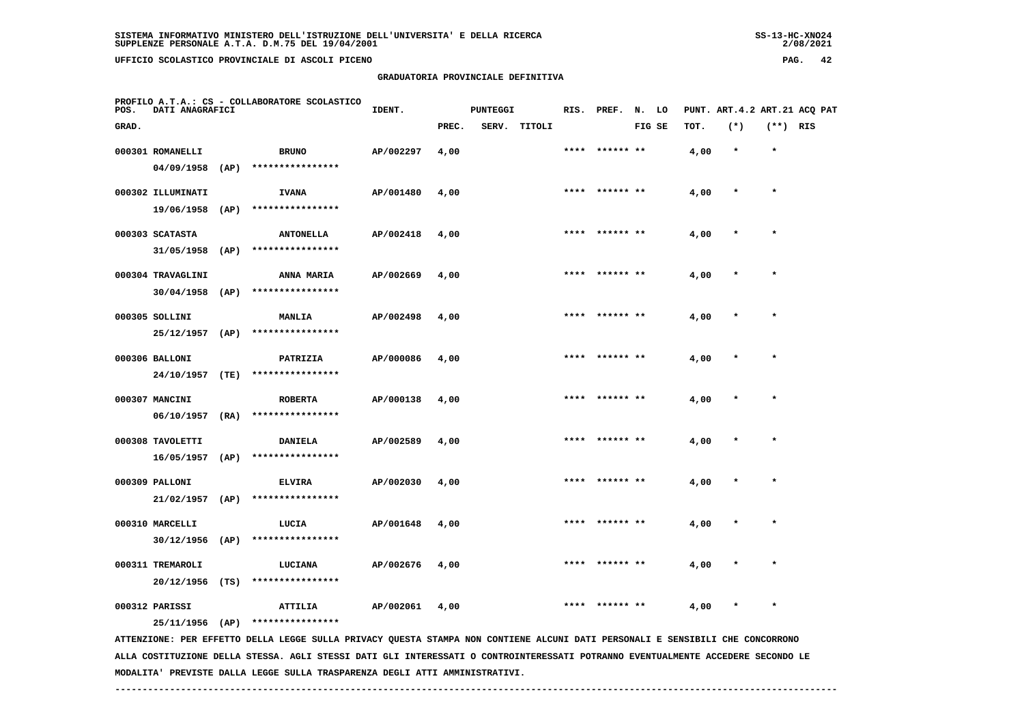**30/12/1956 (AP) \*\*\*\*\*\*\*\*\*\*\*\*\*\*\*\***

 **GRADUATORIA PROVINCIALE DEFINITIVA**

| POS.  | DATI ANAGRAFICI   |      | PROFILO A.T.A.: CS - COLLABORATORE SCOLASTICO | IDENT.    |       | <b>PUNTEGGI</b> |              |      | RIS. PREF. N. LO |        |      | PUNT. ART. 4.2 ART. 21 ACQ PAT |            |  |
|-------|-------------------|------|-----------------------------------------------|-----------|-------|-----------------|--------------|------|------------------|--------|------|--------------------------------|------------|--|
| GRAD. |                   |      |                                               |           | PREC. |                 | SERV. TITOLI |      |                  | FIG SE | TOT. | $(*)$                          | $(**)$ RIS |  |
|       | 000301 ROMANELLI  |      | <b>BRUNO</b>                                  | AP/002297 | 4,00  |                 |              |      | **** ****** **   |        | 4,00 | $\star$                        | $\star$    |  |
|       | 04/09/1958        | (AP) | ****************                              |           |       |                 |              |      |                  |        |      |                                |            |  |
|       | 000302 ILLUMINATI |      | <b>IVANA</b>                                  | AP/001480 | 4,00  |                 |              |      | **** ****** **   |        | 4,00 | $\star$                        | $\star$    |  |
|       | 19/06/1958        | (AP) | ****************                              |           |       |                 |              |      |                  |        |      |                                |            |  |
|       | 000303 SCATASTA   |      | <b>ANTONELLA</b>                              | AP/002418 | 4,00  |                 |              | **** | ****** **        |        | 4,00 | $\star$                        | $\star$    |  |
|       | 31/05/1958        | (AP) | ****************                              |           |       |                 |              |      |                  |        |      |                                |            |  |
|       | 000304 TRAVAGLINI |      | <b>ANNA MARIA</b>                             | AP/002669 | 4,00  |                 |              | **** | ****** **        |        | 4,00 | $\star$                        | $\star$    |  |
|       | 30/04/1958        | (AP) | ****************                              |           |       |                 |              |      |                  |        |      |                                |            |  |
|       | 000305 SOLLINI    |      | <b>MANLIA</b>                                 | AP/002498 | 4,00  |                 |              |      | **** ****** **   |        | 4,00 | $\star$                        | $\star$    |  |
|       | 25/12/1957        | (AP) | ****************                              |           |       |                 |              |      |                  |        |      |                                |            |  |
|       | 000306 BALLONI    |      | PATRIZIA                                      | AP/000086 | 4,00  |                 |              |      | **** ****** **   |        | 4,00 | $\star$                        | $\star$    |  |
|       | 24/10/1957        | (TE) | ****************                              |           |       |                 |              |      |                  |        |      |                                |            |  |
|       | 000307 MANCINI    |      | <b>ROBERTA</b>                                | AP/000138 | 4,00  |                 |              | **** | ****** **        |        | 4,00 | $\star$                        | $\star$    |  |
|       | 06/10/1957        | (RA) | ****************                              |           |       |                 |              |      |                  |        |      |                                |            |  |
|       | 000308 TAVOLETTI  |      | <b>DANIELA</b>                                | AP/002589 | 4,00  |                 |              | **** | ****** **        |        | 4,00 | $\star$                        | $\star$    |  |
|       | 16/05/1957        | (AP) | ****************                              |           |       |                 |              |      |                  |        |      |                                |            |  |
|       | 000309 PALLONI    |      | <b>ELVIRA</b>                                 | AP/002030 | 4,00  |                 |              |      | **** ****** **   |        | 4,00 | $\star$                        | $\star$    |  |
|       | 21/02/1957        | (AP) | ****************                              |           |       |                 |              |      |                  |        |      |                                |            |  |
|       | 000310 MARCELLI   |      | LUCIA                                         | AP/001648 | 4,00  |                 |              |      | **** ****** **   |        | 4,00 | $\star$                        | $\star$    |  |

 **20/12/1956 (TS) \*\*\*\*\*\*\*\*\*\*\*\*\*\*\*\* 000312 PARISSI ATTILIA AP/002061 4,00 \*\*\*\* \*\*\*\*\*\* \*\* 4,00 \* \* 25/11/1956 (AP) \*\*\*\*\*\*\*\*\*\*\*\*\*\*\*\***

 **ATTENZIONE: PER EFFETTO DELLA LEGGE SULLA PRIVACY QUESTA STAMPA NON CONTIENE ALCUNI DATI PERSONALI E SENSIBILI CHE CONCORRONO ALLA COSTITUZIONE DELLA STESSA. AGLI STESSI DATI GLI INTERESSATI O CONTROINTERESSATI POTRANNO EVENTUALMENTE ACCEDERE SECONDO LE MODALITA' PREVISTE DALLA LEGGE SULLA TRASPARENZA DEGLI ATTI AMMINISTRATIVI.**

 **000311 TREMAROLI LUCIANA AP/002676 4,00 \*\*\*\* \*\*\*\*\*\* \*\* 4,00 \* \***

 $2/08/2021$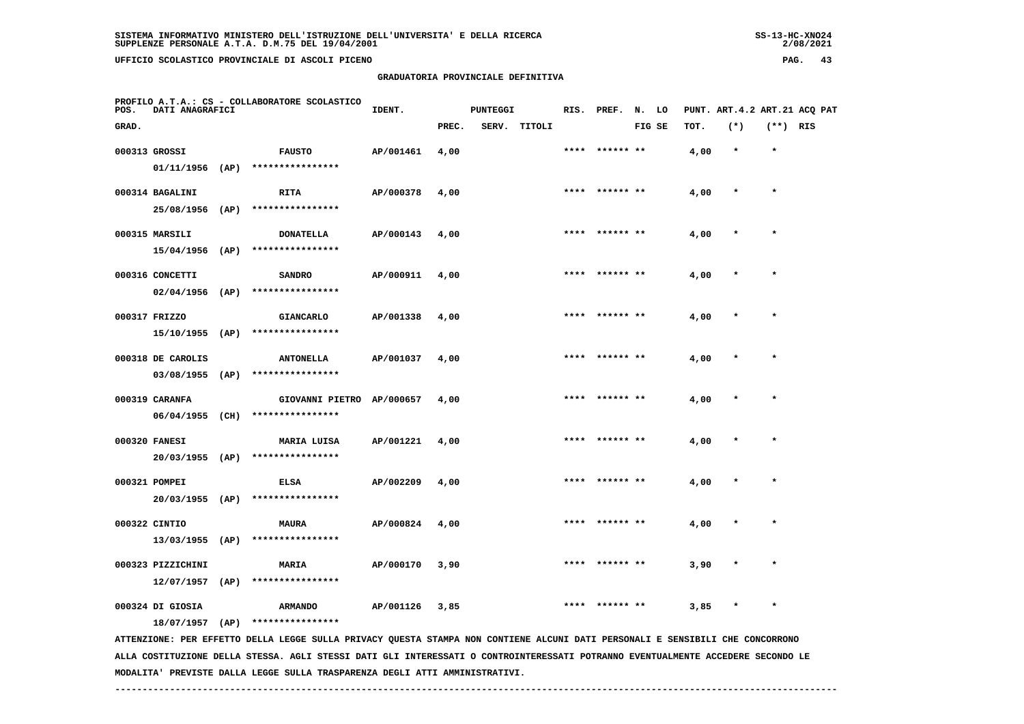# **GRADUATORIA PROVINCIALE DEFINITIVA**

 $2/08/2021$ 

| POS.  | DATI ANAGRAFICI                      |      | PROFILO A.T.A.: CS - COLLABORATORE SCOLASTICO                                                                                                     | IDENT.    |       | <b>PUNTEGGI</b> |        |      | RIS. PREF. N. LO |        |      | PUNT. ART. 4.2 ART. 21 ACQ PAT |            |  |
|-------|--------------------------------------|------|---------------------------------------------------------------------------------------------------------------------------------------------------|-----------|-------|-----------------|--------|------|------------------|--------|------|--------------------------------|------------|--|
| GRAD. |                                      |      |                                                                                                                                                   |           | PREC. | SERV.           | TITOLI |      |                  | FIG SE | TOT. | $(*)$                          | $(**)$ RIS |  |
|       | 000313 GROSSI                        |      | <b>FAUSTO</b>                                                                                                                                     | AP/001461 | 4,00  |                 |        |      | ****  ****** **  |        | 4,00 | $\star$                        | $\star$    |  |
|       | 01/11/1956                           | (AP) | ****************                                                                                                                                  |           |       |                 |        |      |                  |        |      |                                |            |  |
|       | 000314 BAGALINI                      |      | <b>RITA</b>                                                                                                                                       | AP/000378 | 4,00  |                 |        | **** |                  |        | 4,00 |                                | $\star$    |  |
|       | 25/08/1956 (AP)                      |      | ****************                                                                                                                                  |           |       |                 |        |      |                  |        |      |                                |            |  |
|       | 000315 MARSILI                       |      | <b>DONATELLA</b>                                                                                                                                  | AP/000143 | 4,00  |                 |        | **** | ****** **        |        | 4,00 |                                |            |  |
|       | $15/04/1956$ (AP)                    |      | ****************                                                                                                                                  |           |       |                 |        |      |                  |        |      |                                |            |  |
|       |                                      |      |                                                                                                                                                   |           |       |                 |        |      |                  |        |      |                                |            |  |
|       | 000316 CONCETTI<br>$02/04/1956$ (AP) |      | <b>SANDRO</b><br>****************                                                                                                                 | AP/000911 | 4,00  |                 |        |      |                  |        | 4,00 |                                |            |  |
|       |                                      |      |                                                                                                                                                   |           |       |                 |        |      |                  |        |      |                                |            |  |
|       | 000317 FRIZZO                        |      | <b>GIANCARLO</b>                                                                                                                                  | AP/001338 | 4,00  |                 |        |      | ****  ****** **  |        | 4,00 | $\pmb{*}$                      | $\star$    |  |
|       | 15/10/1955 (AP)                      |      | ****************                                                                                                                                  |           |       |                 |        |      |                  |        |      |                                |            |  |
|       | 000318 DE CAROLIS                    |      | <b>ANTONELLA</b>                                                                                                                                  | AP/001037 | 4,00  |                 |        |      |                  |        | 4,00 |                                |            |  |
|       | $03/08/1955$ (AP)                    |      | ****************                                                                                                                                  |           |       |                 |        |      |                  |        |      |                                |            |  |
|       | 000319 CARANFA                       |      | GIOVANNI PIETRO AP/000657                                                                                                                         |           | 4,00  |                 |        |      | **** ****** **   |        | 4,00 | $\ast$                         | $\star$    |  |
|       | $06/04/1955$ (CH)                    |      | ****************                                                                                                                                  |           |       |                 |        |      |                  |        |      |                                |            |  |
|       | 000320 FANESI                        |      | MARIA LUISA                                                                                                                                       | AP/001221 | 4,00  |                 |        |      | **** ****** **   |        | 4,00 |                                | $\star$    |  |
|       |                                      |      | 20/03/1955 (AP) ****************                                                                                                                  |           |       |                 |        |      |                  |        |      |                                |            |  |
|       | 000321 POMPEI                        |      | <b>ELSA</b>                                                                                                                                       | AP/002209 | 4,00  |                 |        | **** | ****** **        |        | 4,00 |                                |            |  |
|       | 20/03/1955 (AP)                      |      | ****************                                                                                                                                  |           |       |                 |        |      |                  |        |      |                                |            |  |
|       | 000322 CINTIO                        |      | <b>MAURA</b>                                                                                                                                      | AP/000824 | 4,00  |                 |        |      |                  |        | 4,00 |                                | $\star$    |  |
|       | $13/03/1955$ (AP)                    |      | ****************                                                                                                                                  |           |       |                 |        |      |                  |        |      |                                |            |  |
|       | 000323 PIZZICHINI                    |      | MARIA                                                                                                                                             | AP/000170 | 3,90  |                 |        |      |                  |        | 3,90 |                                |            |  |
|       | $12/07/1957$ (AP)                    |      | ****************                                                                                                                                  |           |       |                 |        |      |                  |        |      |                                |            |  |
|       |                                      |      |                                                                                                                                                   |           |       |                 |        |      |                  |        |      |                                |            |  |
|       | 000324 DI GIOSIA                     |      | <b>ARMANDO</b>                                                                                                                                    | AP/001126 | 3,85  |                 |        |      | **** ****** **   |        | 3,85 | $\ast$                         | $\star$    |  |
|       | 18/07/1957                           | (AP) | ****************<br>ATTENZIONE: PER EFFETTO DELLA LEGGE SULLA PRIVACY QUESTA STAMPA NON CONTIENE ALCUNI DATI PERSONALI E SENSIBILI CHE CONCORRONO |           |       |                 |        |      |                  |        |      |                                |            |  |
|       |                                      |      |                                                                                                                                                   |           |       |                 |        |      |                  |        |      |                                |            |  |

 **ALLA COSTITUZIONE DELLA STESSA. AGLI STESSI DATI GLI INTERESSATI O CONTROINTERESSATI POTRANNO EVENTUALMENTE ACCEDERE SECONDO LE MODALITA' PREVISTE DALLA LEGGE SULLA TRASPARENZA DEGLI ATTI AMMINISTRATIVI.**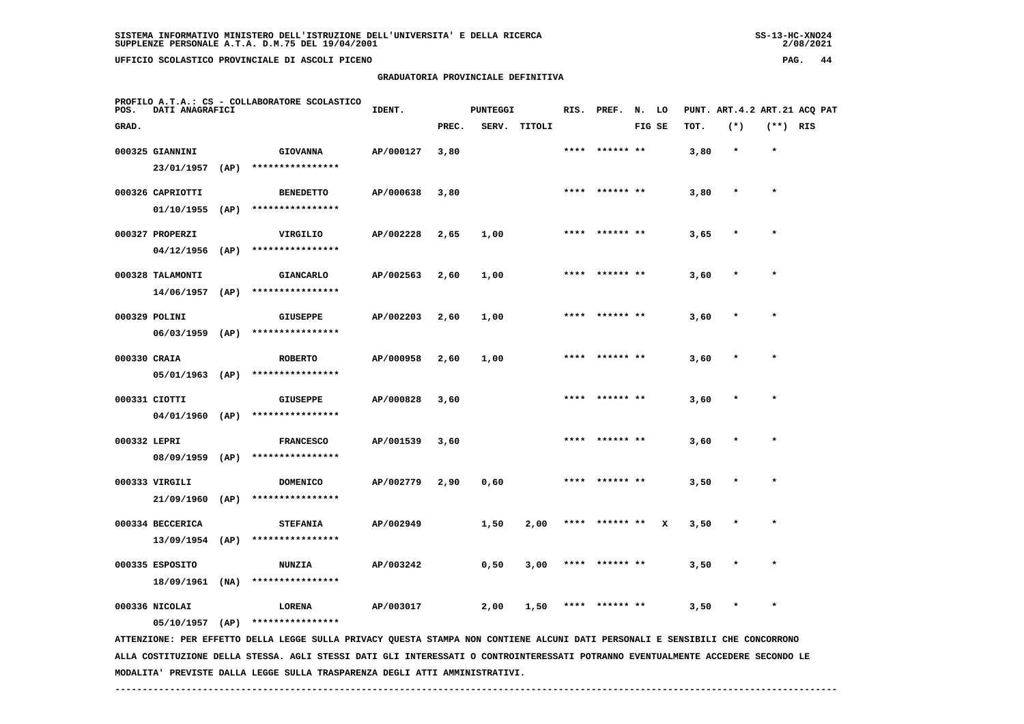# **GRADUATORIA PROVINCIALE DEFINITIVA**

 $2/08/2021$ 

| POS.         | DATI ANAGRAFICI                       |      | PROFILO A.T.A.: CS - COLLABORATORE SCOLASTICO                                                                                 | IDENT.    |       | <b>PUNTEGGI</b> |        | RIS. | PREF.          | N. LO  |   |      | PUNT. ART.4.2 ART.21 ACQ PAT |          |  |
|--------------|---------------------------------------|------|-------------------------------------------------------------------------------------------------------------------------------|-----------|-------|-----------------|--------|------|----------------|--------|---|------|------------------------------|----------|--|
| GRAD.        |                                       |      |                                                                                                                               |           | PREC. | SERV.           | TITOLI |      |                | FIG SE |   | TOT. | $(*)$                        | (**) RIS |  |
|              | 000325 GIANNINI<br>23/01/1957         | (AP) | <b>GIOVANNA</b><br>****************                                                                                           | AP/000127 | 3,80  |                 |        |      | **** ****** ** |        |   | 3,80 | $\star$                      | $\star$  |  |
|              | 000326 CAPRIOTTI<br>01/10/1955        | (AP) | <b>BENEDETTO</b><br>****************                                                                                          | AP/000638 | 3,80  |                 |        |      | **** ****** ** |        |   | 3,80 |                              | $\star$  |  |
|              | 000327 PROPERZI<br>04/12/1956         | (AP) | VIRGILIO<br>****************                                                                                                  | AP/002228 | 2,65  | 1,00            |        |      | **** ****** ** |        |   | 3,65 | $\ast$                       | $\star$  |  |
|              | 000328 TALAMONTI<br>14/06/1957        | (AP) | <b>GIANCARLO</b><br>****************                                                                                          | AP/002563 | 2,60  | 1,00            |        |      | **** ****** ** |        |   | 3,60 | $\ast$                       | $\star$  |  |
|              | 000329 POLINI<br>$06/03/1959$ (AP)    |      | <b>GIUSEPPE</b><br>****************                                                                                           | AP/002203 | 2,60  | 1,00            |        |      |                |        |   | 3,60 |                              |          |  |
| 000330 CRAIA | 05/01/1963                            | (AP) | <b>ROBERTO</b><br>****************                                                                                            | AP/000958 | 2,60  | 1,00            |        |      | **** ****** ** |        |   | 3,60 |                              |          |  |
|              | 000331 CIOTTI<br>04/01/1960           | (AP) | <b>GIUSEPPE</b><br>****************                                                                                           | AP/000828 | 3,60  |                 |        |      |                |        |   | 3,60 |                              | $\star$  |  |
| 000332 LEPRI | 08/09/1959                            | (AP) | <b>FRANCESCO</b><br>****************                                                                                          | AP/001539 | 3,60  |                 |        |      | ****** **      |        |   | 3,60 |                              |          |  |
|              | 000333 VIRGILI<br>21/09/1960          | (AP) | <b>DOMENICO</b><br>****************                                                                                           | AP/002779 | 2,90  | 0,60            |        |      | **** ****** ** |        |   | 3,50 |                              | $\star$  |  |
|              | 000334 BECCERICA<br>$13/09/1954$ (AP) |      | <b>STEFANIA</b><br>****************                                                                                           | AP/002949 |       | 1,50            | 2,00   | **** | ****** **      |        | x | 3,50 | $\star$                      | $\star$  |  |
|              | 000335 ESPOSITO<br>18/09/1961 (NA)    |      | <b>NUNZIA</b><br>****************                                                                                             | AP/003242 |       | 0,50            | 3,00   |      |                |        |   | 3,50 |                              |          |  |
|              | 000336 NICOLAI<br>05/10/1957 (AP)     |      | LORENA<br>****************                                                                                                    | AP/003017 |       | 2,00            | 1,50   |      | ****** **      |        |   | 3,50 | $\ast$                       | $\star$  |  |
|              |                                       |      | ATTENTIONE. DER FERETTO DELLA LECCE SULLA DILUACY OURSTA STANDA NON CONTIENE ALCUNI DATI DEDSONALI E SENSIBILI CHE CONCORDONO |           |       |                 |        |      |                |        |   |      |                              |          |  |

 **ATTENZIONE: PER EFFETTO DELLA LEGGE SULLA PRIVACY QUESTA STAMPA NON CONTIENE ALCUNI DATI PERSONALI E SENSIBILI CHE CONCORRONO ALLA COSTITUZIONE DELLA STESSA. AGLI STESSI DATI GLI INTERESSATI O CONTROINTERESSATI POTRANNO EVENTUALMENTE ACCEDERE SECONDO LE MODALITA' PREVISTE DALLA LEGGE SULLA TRASPARENZA DEGLI ATTI AMMINISTRATIVI.**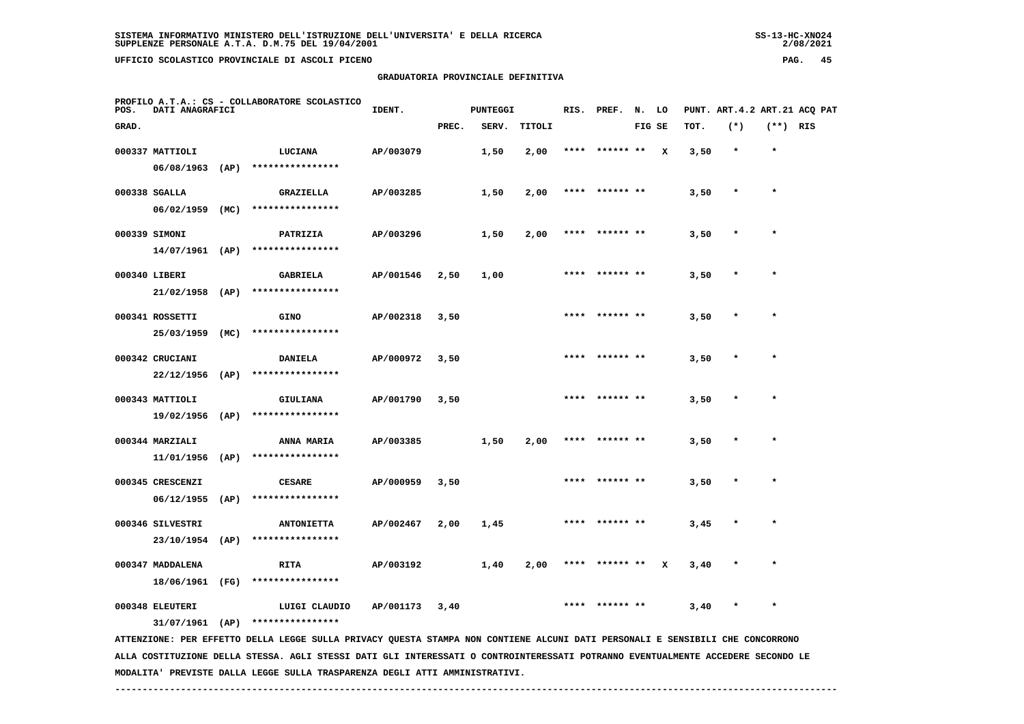$2/08/2021$ 

# **GRADUATORIA PROVINCIALE DEFINITIVA**

| GRAD.<br>PREC.<br>SERV.<br>TITOLI<br>FIG SE<br>TOT.<br>$(*)$<br>$(**)$ RIS<br>000337 MATTIOLI<br>$\star$<br>$\star$<br>LUCIANA<br>AP/003079<br>1,50<br>2,00<br>****** **<br>x<br>3,50<br>****************<br>06/08/1963<br>(AP)<br>000338 SGALLA<br><b>GRAZIELLA</b><br>AP/003285<br>1,50<br>2,00<br>3,50<br>$\star$<br>$06/02/1959$ (MC)<br>****************<br>000339 SIMONI<br>AP/003296<br>1,50<br>PATRIZIA<br>2,00<br>3,50<br>14/07/1961 (AP)<br>****************<br>000340 LIBERI<br>$\star$<br><b>GABRIELA</b><br>AP/001546<br>2,50<br>1,00<br>3,50<br>****************<br>$21/02/1958$ (AP)<br>000341 ROSSETTI<br><b>GINO</b><br>AP/002318<br>3,50<br>3,50<br>$\star$<br>****************<br>25/03/1959<br>(MC)<br>000342 CRUCIANI<br><b>DANIELA</b><br>AP/000972<br>3,50<br>3,50<br>$\star$<br>22/12/1956<br>(AP)<br>****************<br>000343 MATTIOLI<br><b>GIULIANA</b><br>AP/001790<br>3,50<br>3,50<br>19/02/1956<br>(AP)<br>****************<br>000344 MARZIALI<br>AP/003385<br>1,50<br>ANNA MARIA<br>2,00<br>3,50<br>****************<br>11/01/1956<br>(AP)<br>000345 CRESCENZI<br><b>CESARE</b><br>AP/000959<br>3,50<br>3,50<br>$\star$<br>$06/12/1955$ (AP)<br>****************<br>000346 SILVESTRI<br>AP/002467<br>2,00<br>1,45<br>3,45<br>$\star$<br><b>ANTONIETTA</b><br>23/10/1954 (AP)<br>****************<br>000347 MADDALENA | POS. | DATI ANAGRAFICI | PROFILO A.T.A.: CS - COLLABORATORE SCOLASTICO | IDENT.    | PUNTEGGI |      | RIS. | PREF. | N. LO |   |      | PUNT. ART. 4.2 ART. 21 ACQ PAT |  |
|-------------------------------------------------------------------------------------------------------------------------------------------------------------------------------------------------------------------------------------------------------------------------------------------------------------------------------------------------------------------------------------------------------------------------------------------------------------------------------------------------------------------------------------------------------------------------------------------------------------------------------------------------------------------------------------------------------------------------------------------------------------------------------------------------------------------------------------------------------------------------------------------------------------------------------------------------------------------------------------------------------------------------------------------------------------------------------------------------------------------------------------------------------------------------------------------------------------------------------------------------------------------------------------------------------------------------------------------------------|------|-----------------|-----------------------------------------------|-----------|----------|------|------|-------|-------|---|------|--------------------------------|--|
|                                                                                                                                                                                                                                                                                                                                                                                                                                                                                                                                                                                                                                                                                                                                                                                                                                                                                                                                                                                                                                                                                                                                                                                                                                                                                                                                                       |      |                 |                                               |           |          |      |      |       |       |   |      |                                |  |
|                                                                                                                                                                                                                                                                                                                                                                                                                                                                                                                                                                                                                                                                                                                                                                                                                                                                                                                                                                                                                                                                                                                                                                                                                                                                                                                                                       |      |                 |                                               |           |          |      |      |       |       |   |      |                                |  |
|                                                                                                                                                                                                                                                                                                                                                                                                                                                                                                                                                                                                                                                                                                                                                                                                                                                                                                                                                                                                                                                                                                                                                                                                                                                                                                                                                       |      |                 |                                               |           |          |      |      |       |       |   |      |                                |  |
|                                                                                                                                                                                                                                                                                                                                                                                                                                                                                                                                                                                                                                                                                                                                                                                                                                                                                                                                                                                                                                                                                                                                                                                                                                                                                                                                                       |      |                 |                                               |           |          |      |      |       |       |   |      |                                |  |
|                                                                                                                                                                                                                                                                                                                                                                                                                                                                                                                                                                                                                                                                                                                                                                                                                                                                                                                                                                                                                                                                                                                                                                                                                                                                                                                                                       |      |                 |                                               |           |          |      |      |       |       |   |      |                                |  |
|                                                                                                                                                                                                                                                                                                                                                                                                                                                                                                                                                                                                                                                                                                                                                                                                                                                                                                                                                                                                                                                                                                                                                                                                                                                                                                                                                       |      |                 |                                               |           |          |      |      |       |       |   |      |                                |  |
|                                                                                                                                                                                                                                                                                                                                                                                                                                                                                                                                                                                                                                                                                                                                                                                                                                                                                                                                                                                                                                                                                                                                                                                                                                                                                                                                                       |      |                 |                                               |           |          |      |      |       |       |   |      |                                |  |
|                                                                                                                                                                                                                                                                                                                                                                                                                                                                                                                                                                                                                                                                                                                                                                                                                                                                                                                                                                                                                                                                                                                                                                                                                                                                                                                                                       |      |                 |                                               |           |          |      |      |       |       |   |      |                                |  |
|                                                                                                                                                                                                                                                                                                                                                                                                                                                                                                                                                                                                                                                                                                                                                                                                                                                                                                                                                                                                                                                                                                                                                                                                                                                                                                                                                       |      |                 |                                               |           |          |      |      |       |       |   |      |                                |  |
|                                                                                                                                                                                                                                                                                                                                                                                                                                                                                                                                                                                                                                                                                                                                                                                                                                                                                                                                                                                                                                                                                                                                                                                                                                                                                                                                                       |      |                 |                                               |           |          |      |      |       |       |   |      |                                |  |
|                                                                                                                                                                                                                                                                                                                                                                                                                                                                                                                                                                                                                                                                                                                                                                                                                                                                                                                                                                                                                                                                                                                                                                                                                                                                                                                                                       |      |                 |                                               |           |          |      |      |       |       |   |      |                                |  |
|                                                                                                                                                                                                                                                                                                                                                                                                                                                                                                                                                                                                                                                                                                                                                                                                                                                                                                                                                                                                                                                                                                                                                                                                                                                                                                                                                       |      |                 |                                               |           |          |      |      |       |       |   |      |                                |  |
|                                                                                                                                                                                                                                                                                                                                                                                                                                                                                                                                                                                                                                                                                                                                                                                                                                                                                                                                                                                                                                                                                                                                                                                                                                                                                                                                                       |      |                 |                                               |           |          |      |      |       |       |   |      |                                |  |
|                                                                                                                                                                                                                                                                                                                                                                                                                                                                                                                                                                                                                                                                                                                                                                                                                                                                                                                                                                                                                                                                                                                                                                                                                                                                                                                                                       |      |                 |                                               |           |          |      |      |       |       |   |      |                                |  |
|                                                                                                                                                                                                                                                                                                                                                                                                                                                                                                                                                                                                                                                                                                                                                                                                                                                                                                                                                                                                                                                                                                                                                                                                                                                                                                                                                       |      |                 |                                               |           |          |      |      |       |       |   |      |                                |  |
|                                                                                                                                                                                                                                                                                                                                                                                                                                                                                                                                                                                                                                                                                                                                                                                                                                                                                                                                                                                                                                                                                                                                                                                                                                                                                                                                                       |      |                 |                                               |           |          |      |      |       |       |   |      |                                |  |
|                                                                                                                                                                                                                                                                                                                                                                                                                                                                                                                                                                                                                                                                                                                                                                                                                                                                                                                                                                                                                                                                                                                                                                                                                                                                                                                                                       |      |                 |                                               |           |          |      |      |       |       |   |      |                                |  |
|                                                                                                                                                                                                                                                                                                                                                                                                                                                                                                                                                                                                                                                                                                                                                                                                                                                                                                                                                                                                                                                                                                                                                                                                                                                                                                                                                       |      |                 |                                               |           |          |      |      |       |       |   |      |                                |  |
|                                                                                                                                                                                                                                                                                                                                                                                                                                                                                                                                                                                                                                                                                                                                                                                                                                                                                                                                                                                                                                                                                                                                                                                                                                                                                                                                                       |      |                 |                                               |           |          |      |      |       |       |   |      |                                |  |
|                                                                                                                                                                                                                                                                                                                                                                                                                                                                                                                                                                                                                                                                                                                                                                                                                                                                                                                                                                                                                                                                                                                                                                                                                                                                                                                                                       |      |                 |                                               |           |          |      |      |       |       |   |      |                                |  |
|                                                                                                                                                                                                                                                                                                                                                                                                                                                                                                                                                                                                                                                                                                                                                                                                                                                                                                                                                                                                                                                                                                                                                                                                                                                                                                                                                       |      |                 |                                               |           |          |      |      |       |       |   |      |                                |  |
|                                                                                                                                                                                                                                                                                                                                                                                                                                                                                                                                                                                                                                                                                                                                                                                                                                                                                                                                                                                                                                                                                                                                                                                                                                                                                                                                                       |      |                 | <b>RITA</b>                                   | AP/003192 | 1,40     | 2,00 |      |       |       | x | 3,40 |                                |  |
| 18/06/1961 (FG)<br>****************                                                                                                                                                                                                                                                                                                                                                                                                                                                                                                                                                                                                                                                                                                                                                                                                                                                                                                                                                                                                                                                                                                                                                                                                                                                                                                                   |      |                 |                                               |           |          |      |      |       |       |   |      |                                |  |
| 000348 ELEUTERI<br>LUIGI CLAUDIO<br>AP/001173<br>3,40<br>3,40<br>$\star$                                                                                                                                                                                                                                                                                                                                                                                                                                                                                                                                                                                                                                                                                                                                                                                                                                                                                                                                                                                                                                                                                                                                                                                                                                                                              |      |                 |                                               |           |          |      |      |       |       |   |      |                                |  |
| $31/07/1961$ (AP) ****************                                                                                                                                                                                                                                                                                                                                                                                                                                                                                                                                                                                                                                                                                                                                                                                                                                                                                                                                                                                                                                                                                                                                                                                                                                                                                                                    |      |                 |                                               |           |          |      |      |       |       |   |      |                                |  |
| ATTENZIONE: PER EFFETTO DELLA LEGGE SULLA PRIVACY QUESTA STAMPA NON CONTIENE ALCUNI DATI PERSONALI E SENSIBILI CHE CONCORRONO                                                                                                                                                                                                                                                                                                                                                                                                                                                                                                                                                                                                                                                                                                                                                                                                                                                                                                                                                                                                                                                                                                                                                                                                                         |      |                 |                                               |           |          |      |      |       |       |   |      |                                |  |

 **MODALITA' PREVISTE DALLA LEGGE SULLA TRASPARENZA DEGLI ATTI AMMINISTRATIVI.**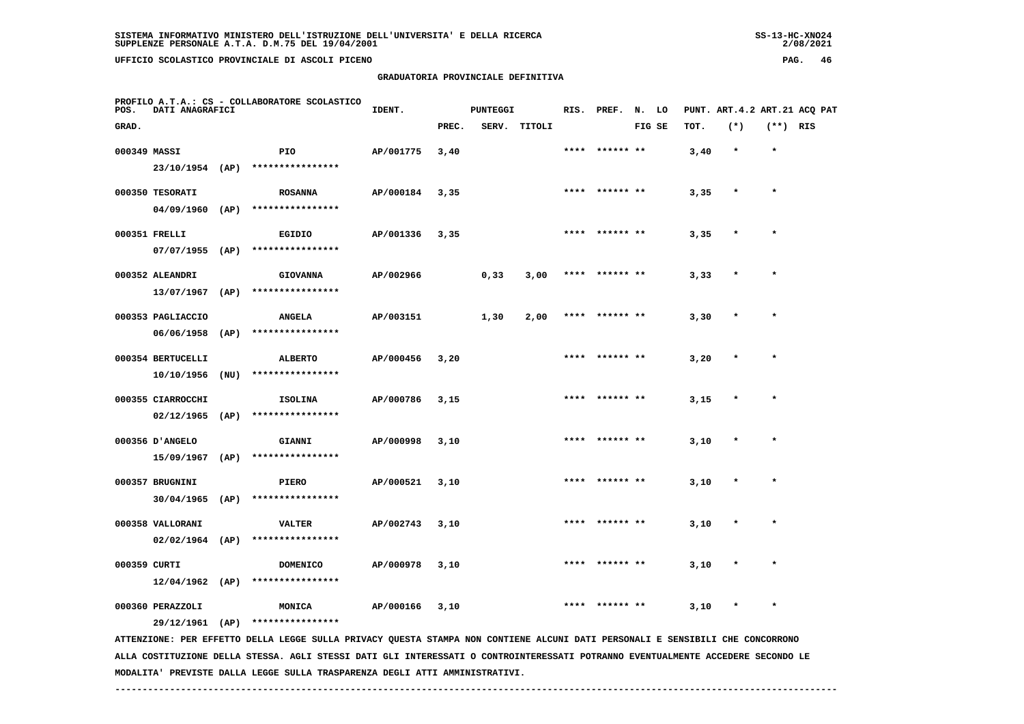| SS-13-HC-XNOZ4 |
|----------------|
| 2/08/2021      |

| POS.  | <b>DATI ANAGRAFICI</b>              |      | PROFILO A.T.A.: CS - COLLABORATORE SCOLASTICO                                                                                 | IDENT.    |       | <b>PUNTEGGI</b> |              |      | RIS. PREF. N. LO |        |      |         |            | PUNT. ART.4.2 ART.21 ACQ PAT |
|-------|-------------------------------------|------|-------------------------------------------------------------------------------------------------------------------------------|-----------|-------|-----------------|--------------|------|------------------|--------|------|---------|------------|------------------------------|
| GRAD. |                                     |      |                                                                                                                               |           | PREC. |                 | SERV. TITOLI |      |                  | FIG SE | TOT. | $(*)$   | $(**)$ RIS |                              |
|       | 000349 MASSI                        |      | PIO                                                                                                                           | AP/001775 | 3,40  |                 |              |      | **** ****** **   |        | 3,40 | $\star$ | $\star$    |                              |
|       |                                     |      | 23/10/1954 (AP) ****************                                                                                              |           |       |                 |              |      |                  |        |      |         |            |                              |
|       | 000350 TESORATI                     |      | <b>ROSANNA</b>                                                                                                                | AP/000184 | 3,35  |                 |              |      | **** ****** **   |        | 3,35 |         | $\star$    |                              |
|       |                                     |      | 04/09/1960 (AP) ****************                                                                                              |           |       |                 |              |      |                  |        |      |         |            |                              |
|       | 000351 FRELLI                       |      | EGIDIO                                                                                                                        | AP/001336 | 3,35  |                 |              |      | **** ****** **   |        | 3,35 |         |            |                              |
|       | $07/07/1955$ (AP)                   |      | ****************                                                                                                              |           |       |                 |              |      |                  |        |      |         |            |                              |
|       | 000352 ALEANDRI                     |      | <b>GIOVANNA</b>                                                                                                               | AP/002966 |       | 0,33            | 3,00         |      | **** ****** **   |        | 3,33 |         |            |                              |
|       | $13/07/1967$ (AP)                   |      | ****************                                                                                                              |           |       |                 |              |      |                  |        |      |         |            |                              |
|       | 000353 PAGLIACCIO                   |      | <b>ANGELA</b>                                                                                                                 | AP/003151 |       | 1,30            | 2,00         |      | **** ****** **   |        | 3,30 |         | $\star$    |                              |
|       | 06/06/1958                          | (AP) | ****************                                                                                                              |           |       |                 |              |      |                  |        |      |         |            |                              |
|       | 000354 BERTUCELLI                   |      | <b>ALBERTO</b>                                                                                                                | AP/000456 | 3,20  |                 |              |      | **** ****** **   |        | 3,20 |         |            |                              |
|       | 10/10/1956                          | (NU) | ****************                                                                                                              |           |       |                 |              |      |                  |        |      |         |            |                              |
|       | 000355 CIARROCCHI                   |      | <b>ISOLINA</b>                                                                                                                | AP/000786 | 3,15  |                 |              |      | **** ****** **   |        | 3,15 | $\star$ | $\star$    |                              |
|       | 02/12/1965 (AP)                     |      | ****************                                                                                                              |           |       |                 |              |      |                  |        |      |         |            |                              |
|       | 000356 D'ANGELO                     |      | GIANNI                                                                                                                        | AP/000998 | 3,10  |                 |              |      | **** ****** **   |        | 3,10 |         |            |                              |
|       |                                     |      | 15/09/1967 (AP) ****************                                                                                              |           |       |                 |              |      |                  |        |      |         |            |                              |
|       | 000357 BRUGNINI                     |      | PIERO                                                                                                                         | AP/000521 | 3,10  |                 |              | **** |                  |        | 3,10 |         |            |                              |
|       | $30/04/1965$ (AP)                   |      | ****************                                                                                                              |           |       |                 |              |      |                  |        |      |         |            |                              |
|       | 000358 VALLORANI                    |      | <b>VALTER</b>                                                                                                                 | AP/002743 | 3,10  |                 |              |      |                  |        | 3,10 |         | $\star$    |                              |
|       | $02/02/1964$ (AP)                   |      | ****************                                                                                                              |           |       |                 |              |      |                  |        |      |         |            |                              |
|       | 000359 CURTI                        |      | DOMENICO                                                                                                                      | AP/000978 | 3,10  |                 |              |      | **** ****** **   |        | 3,10 |         |            |                              |
|       | $12/04/1962$ (AP)                   |      | ****************                                                                                                              |           |       |                 |              |      |                  |        |      |         |            |                              |
|       |                                     |      |                                                                                                                               |           |       |                 |              |      | **** ****** **   |        |      | $\star$ | $\star$    |                              |
|       | 000360 PERAZZOLI<br>29/12/1961 (AP) |      | MONICA<br>****************                                                                                                    | AP/000166 | 3,10  |                 |              |      |                  |        | 3,10 |         |            |                              |
|       |                                     |      | ATTENZIONE: PER EFFETTO DELLA LEGGE SULLA PRIVACY QUESTA STAMPA NON CONTIENE ALCUNI DATI PERSONALI E SENSIBILI CHE CONCORRONO |           |       |                 |              |      |                  |        |      |         |            |                              |
|       |                                     |      |                                                                                                                               |           |       |                 |              |      |                  |        |      |         |            |                              |

 **ALLA COSTITUZIONE DELLA STESSA. AGLI STESSI DATI GLI INTERESSATI O CONTROINTERESSATI POTRANNO EVENTUALMENTE ACCEDERE SECONDO LE MODALITA' PREVISTE DALLA LEGGE SULLA TRASPARENZA DEGLI ATTI AMMINISTRATIVI.**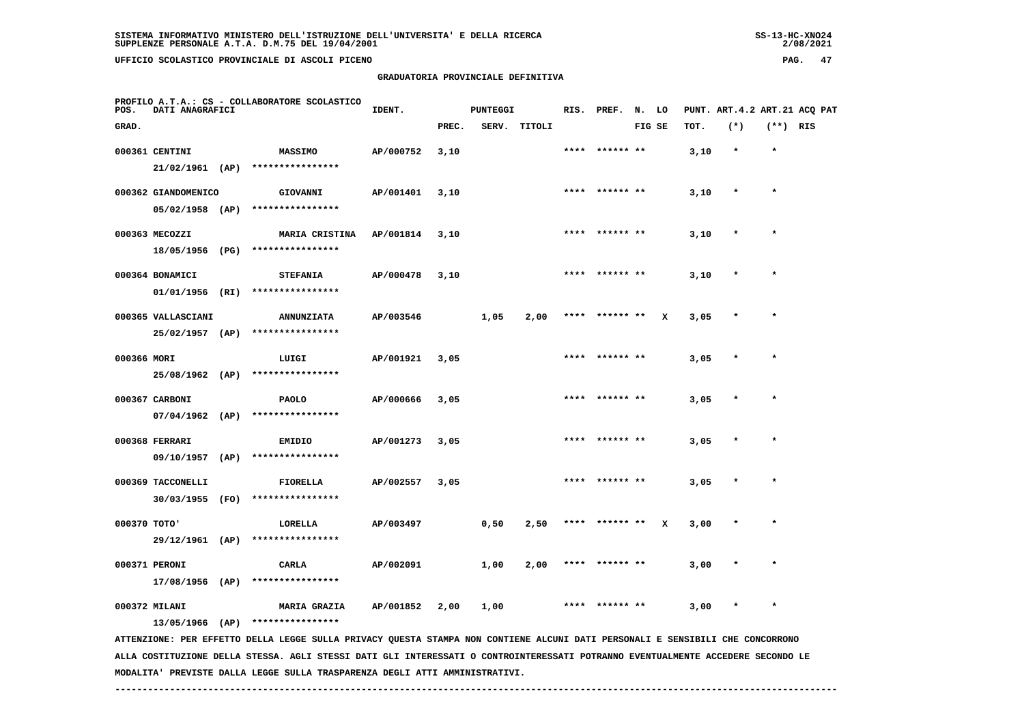# **GRADUATORIA PROVINCIALE DEFINITIVA**

 $2/08/2021$ 

| POS.         | DATI ANAGRAFICI                          |      | PROFILO A.T.A.: CS - COLLABORATORE SCOLASTICO                                                                                   | IDENT.    |       | <b>PUNTEGGI</b> |              | RIS. | PREF.           | N. LO  |   |      |         |            | PUNT. ART. 4.2 ART. 21 ACQ PAT |
|--------------|------------------------------------------|------|---------------------------------------------------------------------------------------------------------------------------------|-----------|-------|-----------------|--------------|------|-----------------|--------|---|------|---------|------------|--------------------------------|
| GRAD.        |                                          |      |                                                                                                                                 |           | PREC. |                 | SERV. TITOLI |      |                 | FIG SE |   | TOT. | $(*)$   | $(**)$ RIS |                                |
|              | 000361 CENTINI<br>$21/02/1961$ (AP)      |      | <b>MASSIMO</b><br>****************                                                                                              | AP/000752 | 3,10  |                 |              |      | **** ****** **  |        |   | 3,10 | $\star$ | $\star$    |                                |
|              | 000362 GIANDOMENICO<br>$05/02/1958$ (AP) |      | GIOVANNI<br>****************                                                                                                    | AP/001401 | 3,10  |                 |              |      | **** ****** **  |        |   | 3,10 | $\star$ | $\star$    |                                |
|              | 000363 MECOZZI<br>18/05/1956 (PG)        |      | MARIA CRISTINA<br>****************                                                                                              | AP/001814 | 3,10  |                 |              |      |                 |        |   | 3,10 |         |            |                                |
|              | 000364 BONAMICI<br>01/01/1956 (RI)       |      | <b>STEFANIA</b><br>****************                                                                                             | AP/000478 | 3,10  |                 |              |      | ****** **       |        |   | 3,10 |         |            |                                |
|              | 000365 VALLASCIANI<br>25/02/1957 (AP)    |      | <b>ANNUNZIATA</b><br>****************                                                                                           | AP/003546 |       | 1,05            | 2,00         |      | ****  ****** ** |        | x | 3,05 |         |            |                                |
| 000366 MORI  | 25/08/1962 (AP)                          |      | LUIGI<br>****************                                                                                                       | AP/001921 | 3,05  |                 |              |      |                 |        |   | 3,05 |         | $\star$    |                                |
|              | 000367 CARBONI<br>$07/04/1962$ (AP)      |      | <b>PAOLO</b><br>****************                                                                                                | AP/000666 | 3,05  |                 |              |      |                 |        |   | 3,05 |         |            |                                |
|              | 000368 FERRARI<br>09/10/1957             | (AP) | EMIDIO<br>****************                                                                                                      | AP/001273 | 3,05  |                 |              |      |                 |        |   | 3,05 |         |            |                                |
|              | 000369 TACCONELLI<br>30/03/1955 (FO)     |      | <b>FIORELLA</b><br>****************                                                                                             | AP/002557 | 3,05  |                 |              |      | **** ****** **  |        |   | 3,05 |         |            |                                |
| 000370 TOTO' |                                          |      | LORELLA<br>29/12/1961 (AP) ****************                                                                                     | AP/003497 |       | 0,50            | 2,50         |      | **** ****** **  |        | x | 3,00 |         | $\star$    |                                |
|              | 000371 PERONI<br>17/08/1956 (AP)         |      | CARLA<br>****************                                                                                                       | AP/002091 |       | 1,00            | 2,00         | **** | ****** **       |        |   | 3,00 |         |            |                                |
|              | 000372 MILANI<br>13/05/1966 (AP)         |      | <b>MARIA GRAZIA</b><br>****************                                                                                         | AP/001852 | 2,00  | 1,00            |              |      |                 |        |   | 3,00 |         |            |                                |
|              |                                          |      | ATTENZIONE: PER EFFETTO DELLA LEGGE SULLA PRIVACY QUESTA STAMPA NON CONTIENE ALCUNI DATI PERSONALI E SENSIBILI CHE CONCORRONO   |           |       |                 |              |      |                 |        |   |      |         |            |                                |
|              |                                          |      | ALLA COSTITUZIONE DELLA STESSA. AGLI STESSI DATI GLI INTERESSATI O CONTROINTERESSATI POTRANNO EVENTUALMENTE ACCEDERE SECONDO LE |           |       |                 |              |      |                 |        |   |      |         |            |                                |

 **MODALITA' PREVISTE DALLA LEGGE SULLA TRASPARENZA DEGLI ATTI AMMINISTRATIVI.**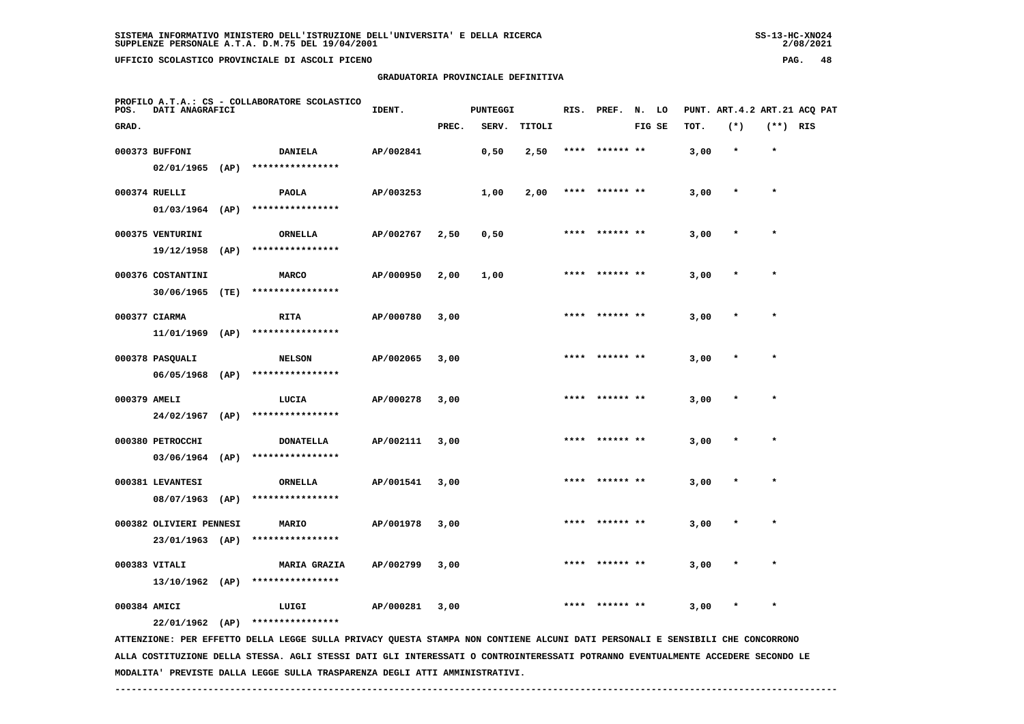$2/08/2021$ 

 **GRADUATORIA PROVINCIALE DEFINITIVA**

| POS.         | DATI ANAGRAFICI                      |      | PROFILO A.T.A.: CS - COLLABORATORE SCOLASTICO                                                                                 | IDENT.    |       | <b>PUNTEGGI</b> |        |      | RIS. PREF.     | N. LO  |      |         |            | PUNT. ART. 4.2 ART. 21 ACQ PAT |
|--------------|--------------------------------------|------|-------------------------------------------------------------------------------------------------------------------------------|-----------|-------|-----------------|--------|------|----------------|--------|------|---------|------------|--------------------------------|
| GRAD.        |                                      |      |                                                                                                                               |           | PREC. | SERV.           | TITOLI |      |                | FIG SE | TOT. | $(*)$   | $(**)$ RIS |                                |
|              | 000373 BUFFONI                       |      | <b>DANIELA</b>                                                                                                                | AP/002841 |       | 0,50            | 2,50   | **** | ****** **      |        | 3,00 | $\star$ | $\star$    |                                |
|              | $02/01/1965$ (AP)                    |      | ****************                                                                                                              |           |       |                 |        |      |                |        |      |         |            |                                |
|              | 000374 RUELLI                        |      | <b>PAOLA</b>                                                                                                                  | AP/003253 |       | 1,00            | 2,00   |      | **** ****** ** |        | 3,00 | $\star$ | $\star$    |                                |
|              | 01/03/1964 (AP)                      |      | ****************                                                                                                              |           |       |                 |        |      |                |        |      |         |            |                                |
|              | 000375 VENTURINI                     |      | <b>ORNELLA</b>                                                                                                                | AP/002767 | 2,50  | 0,50            |        | **** | ****** **      |        | 3,00 | $\star$ | $\star$    |                                |
|              | 19/12/1958                           | (AP) | ****************                                                                                                              |           |       |                 |        |      |                |        |      |         |            |                                |
|              | 000376 COSTANTINI                    |      | <b>MARCO</b>                                                                                                                  | AP/000950 | 2,00  | 1,00            |        |      |                |        | 3,00 |         |            |                                |
|              | 30/06/1965                           | (TE) | ****************                                                                                                              |           |       |                 |        |      |                |        |      |         |            |                                |
|              | 000377 CIARMA                        |      | <b>RITA</b><br>****************                                                                                               | AP/000780 | 3,00  |                 |        | **** | ****** **      |        | 3,00 |         | $\star$    |                                |
|              | 11/01/1969                           | (AP) |                                                                                                                               |           |       |                 |        |      |                |        |      |         |            |                                |
|              | 000378 PASQUALI<br>$06/05/1968$ (AP) |      | <b>NELSON</b><br>****************                                                                                             | AP/002065 | 3,00  |                 |        |      | **** ****** ** |        | 3,00 |         | $\star$    |                                |
|              |                                      |      |                                                                                                                               |           |       |                 |        |      |                |        |      |         |            |                                |
| 000379 AMELI | 24/02/1967                           | (AP) | LUCIA<br>****************                                                                                                     | AP/000278 | 3,00  |                 |        |      | ****** **      |        | 3,00 |         | $\star$    |                                |
|              |                                      |      |                                                                                                                               |           |       |                 |        |      |                |        |      |         |            |                                |
|              | 000380 PETROCCHI                     |      | <b>DONATELLA</b><br>03/06/1964 (AP) ****************                                                                          | AP/002111 | 3,00  |                 |        |      | **** ****** ** |        | 3,00 | $\star$ | $\star$    |                                |
|              |                                      |      |                                                                                                                               |           |       |                 |        |      |                |        |      |         | $\star$    |                                |
|              | 000381 LEVANTESI<br>08/07/1963 (AP)  |      | <b>ORNELLA</b><br>****************                                                                                            | AP/001541 | 3,00  |                 |        |      |                |        | 3,00 |         |            |                                |
|              | 000382 OLIVIERI PENNESI              |      | MARIO                                                                                                                         | AP/001978 | 3,00  |                 |        | **** | ****** **      |        | 3,00 |         | $\star$    |                                |
|              | 23/01/1963 (AP)                      |      | ****************                                                                                                              |           |       |                 |        |      |                |        |      |         |            |                                |
|              | 000383 VITALI                        |      | <b>MARIA GRAZIA</b>                                                                                                           | AP/002799 | 3,00  |                 |        |      |                |        | 3,00 |         | $\star$    |                                |
|              | 13/10/1962 (AP)                      |      | ****************                                                                                                              |           |       |                 |        |      |                |        |      |         |            |                                |
| 000384 AMICI |                                      |      | LUIGI                                                                                                                         | AP/000281 | 3,00  |                 |        |      | ****** **      |        | 3,00 |         | $\star$    |                                |
|              | $22/01/1962$ (AP)                    |      | ****************                                                                                                              |           |       |                 |        |      |                |        |      |         |            |                                |
|              |                                      |      | ATTENZIONE: PER EFFETTO DELLA LEGGE SULLA PRIVACY QUESTA STAMPA NON CONTIENE ALCUNI DATI PERSONALI E SENSIBILI CHE CONCORRONO |           |       |                 |        |      |                |        |      |         |            |                                |

 **ALLA COSTITUZIONE DELLA STESSA. AGLI STESSI DATI GLI INTERESSATI O CONTROINTERESSATI POTRANNO EVENTUALMENTE ACCEDERE SECONDO LE MODALITA' PREVISTE DALLA LEGGE SULLA TRASPARENZA DEGLI ATTI AMMINISTRATIVI.**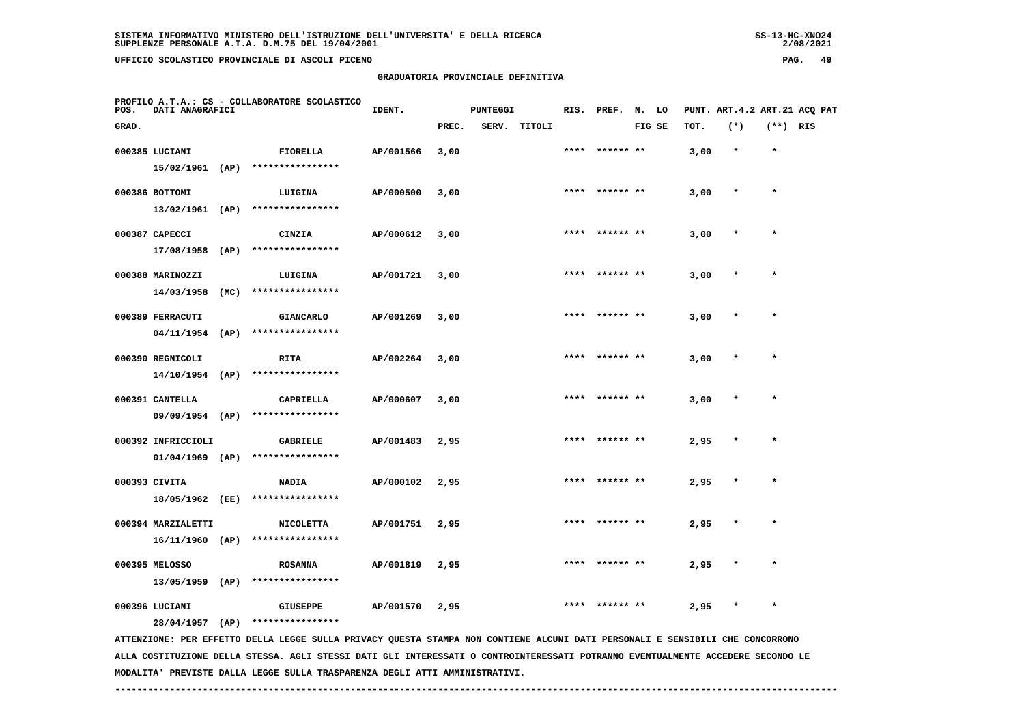## **GRADUATORIA PROVINCIALE DEFINITIVA**

 $2/08/2021$ 

| POS.  | DATI ANAGRAFICI                         |      | PROFILO A.T.A.: CS - COLLABORATORE SCOLASTICO                                                                                 | IDENT.    |       | <b>PUNTEGGI</b> |              |      | RIS. PREF. N. LO |        |      |         |            | PUNT. ART.4.2 ART.21 ACQ PAT |
|-------|-----------------------------------------|------|-------------------------------------------------------------------------------------------------------------------------------|-----------|-------|-----------------|--------------|------|------------------|--------|------|---------|------------|------------------------------|
| GRAD. |                                         |      |                                                                                                                               |           | PREC. |                 | SERV. TITOLI |      |                  | FIG SE | TOT. | $(*)$   | $(**)$ RIS |                              |
|       | 000385 LUCIANI<br>15/02/1961 (AP)       |      | FIORELLA<br>****************                                                                                                  | AP/001566 | 3,00  |                 |              | **** | ****** **        |        | 3,00 | $\star$ | $\star$    |                              |
|       | 000386 BOTTOMI<br>$13/02/1961$ (AP)     |      | LUIGINA<br>****************                                                                                                   | AP/000500 | 3,00  |                 |              |      | **** ****** **   |        | 3,00 | $\ast$  | $\star$    |                              |
|       | 000387 CAPECCI<br>$17/08/1958$ (AP)     |      | CINZIA<br>****************                                                                                                    | AP/000612 | 3,00  |                 |              |      | **** ****** **   |        | 3,00 | $\star$ | $\star$    |                              |
|       | 000388 MARINOZZI<br>14/03/1958          | (MC) | LUIGINA<br>****************                                                                                                   | AP/001721 | 3,00  |                 |              | **** |                  |        | 3,00 |         | $\star$    |                              |
|       | 000389 FERRACUTI<br>04/11/1954          | (AP) | <b>GIANCARLO</b><br>****************                                                                                          | AP/001269 | 3,00  |                 |              |      |                  |        | 3,00 |         |            |                              |
|       | 000390 REGNICOLI<br>14/10/1954 (AP)     |      | <b>RITA</b><br>****************                                                                                               | AP/002264 | 3,00  |                 |              |      | ****** **        |        | 3,00 |         | $\star$    |                              |
|       | 000391 CANTELLA<br>$09/09/1954$ (AP)    |      | CAPRIELLA<br>****************                                                                                                 | AP/000607 | 3,00  |                 |              |      | **** ****** **   |        | 3,00 | $\ast$  | $\star$    |                              |
|       | 000392 INFRICCIOLI<br>$01/04/1969$ (AP) |      | <b>GABRIELE</b><br>****************                                                                                           | AP/001483 | 2,95  |                 |              |      |                  |        | 2,95 |         |            |                              |
|       | 000393 CIVITA<br>18/05/1962 (EE)        |      | NADIA<br>****************                                                                                                     | AP/000102 | 2,95  |                 |              |      | ****  ****** **  |        | 2,95 | $\star$ | $\star$    |                              |
|       | 000394 MARZIALETTI<br>$16/11/1960$ (AP) |      | <b>NICOLETTA</b><br>****************                                                                                          | AP/001751 | 2,95  |                 |              |      |                  |        | 2,95 |         |            |                              |
|       | 000395 MELOSSO<br>$13/05/1959$ (AP)     |      | <b>ROSANNA</b><br>****************                                                                                            | AP/001819 | 2,95  |                 |              | **** |                  |        | 2,95 |         |            |                              |
|       | 000396 LUCIANI<br>28/04/1957 (AP)       |      | <b>GIUSEPPE</b><br>****************                                                                                           | AP/001570 | 2,95  |                 |              |      |                  |        | 2,95 |         |            |                              |
|       |                                         |      | ATTENZIONE: PER EFFETTO DELLA LEGGE SULLA PRIVACY QUESTA STAMPA NON CONTIENE ALCUNI DATI PERSONALI E SENSIBILI CHE CONCORRONO |           |       |                 |              |      |                  |        |      |         |            |                              |

 **ALLA COSTITUZIONE DELLA STESSA. AGLI STESSI DATI GLI INTERESSATI O CONTROINTERESSATI POTRANNO EVENTUALMENTE ACCEDERE SECONDO LE MODALITA' PREVISTE DALLA LEGGE SULLA TRASPARENZA DEGLI ATTI AMMINISTRATIVI.**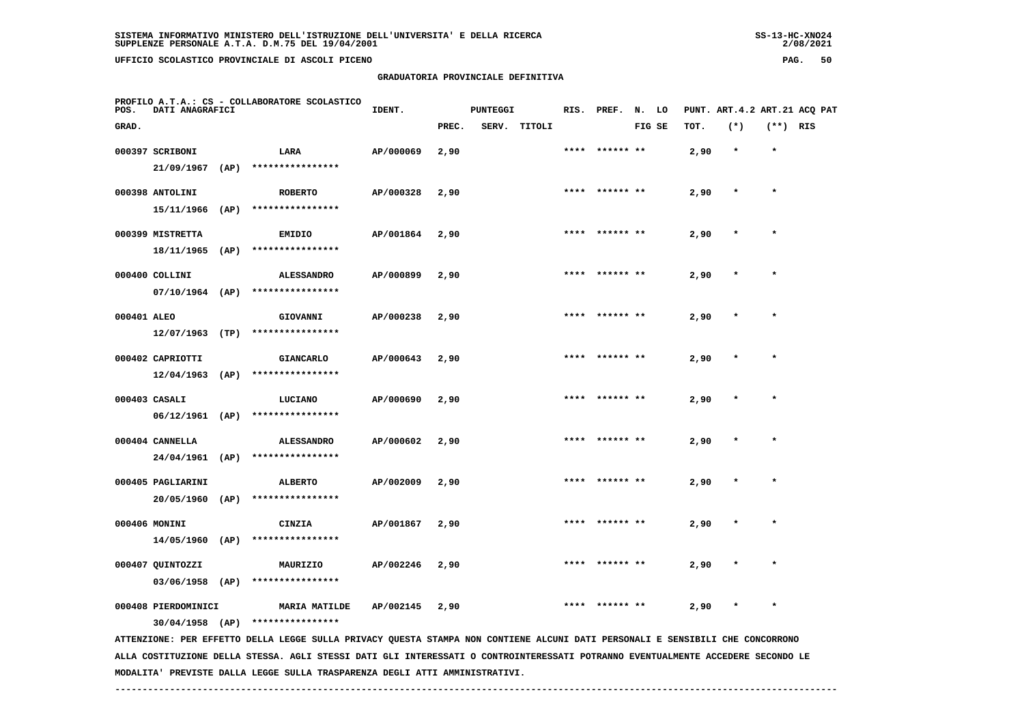| 55-13-ANU4+ |  |
|-------------|--|
| 2/08/2021   |  |

| POS.        | DATI ANAGRAFICI     |      | PROFILO A.T.A.: CS - COLLABORATORE SCOLASTICO                                                                                   | IDENT.    |       | <b>PUNTEGGI</b> |              | RIS. | PREF.          | N.     | LO |      |         |            | PUNT. ART. 4.2 ART. 21 ACO PAT |
|-------------|---------------------|------|---------------------------------------------------------------------------------------------------------------------------------|-----------|-------|-----------------|--------------|------|----------------|--------|----|------|---------|------------|--------------------------------|
| GRAD.       |                     |      |                                                                                                                                 |           | PREC. |                 | SERV. TITOLI |      |                | FIG SE |    | TOT. | $(*)$   | $(**)$ RIS |                                |
|             | 000397 SCRIBONI     |      | LARA                                                                                                                            | AP/000069 | 2,90  |                 |              |      |                |        |    | 2,90 | $\star$ | $\star$    |                                |
|             | 21/09/1967          | (AP) | ****************                                                                                                                |           |       |                 |              |      |                |        |    |      |         |            |                                |
|             | 000398 ANTOLINI     |      | <b>ROBERTO</b>                                                                                                                  | AP/000328 | 2,90  |                 |              |      |                |        |    | 2,90 |         | $\star$    |                                |
|             | 15/11/1966          | (AP) | ****************                                                                                                                |           |       |                 |              |      |                |        |    |      |         |            |                                |
|             | 000399 MISTRETTA    |      | <b>EMIDIO</b>                                                                                                                   | AP/001864 | 2,90  |                 |              |      |                |        |    | 2,90 |         |            |                                |
|             | 18/11/1965          | (AP) | ****************                                                                                                                |           |       |                 |              |      |                |        |    |      |         |            |                                |
|             | 000400 COLLINI      |      | <b>ALESSANDRO</b>                                                                                                               | AP/000899 | 2,90  |                 |              | **** | ****** **      |        |    | 2,90 |         | $\star$    |                                |
|             | $07/10/1964$ (AP)   |      | ****************                                                                                                                |           |       |                 |              |      |                |        |    |      |         |            |                                |
| 000401 ALEO |                     |      | GIOVANNI                                                                                                                        | AP/000238 | 2,90  |                 |              |      | **** ****** ** |        |    | 2,90 |         | $\star$    |                                |
|             | $12/07/1963$ (TP)   |      | ****************                                                                                                                |           |       |                 |              |      |                |        |    |      |         |            |                                |
|             | 000402 CAPRIOTTI    |      | <b>GIANCARLO</b>                                                                                                                | AP/000643 | 2,90  |                 |              |      |                |        |    | 2,90 |         |            |                                |
|             | 12/04/1963          | (AP) | ****************                                                                                                                |           |       |                 |              |      |                |        |    |      |         |            |                                |
|             | 000403 CASALI       |      | LUCIANO                                                                                                                         | AP/000690 | 2,90  |                 |              |      |                |        |    | 2,90 |         |            |                                |
|             | $06/12/1961$ (AP)   |      | ****************                                                                                                                |           |       |                 |              |      |                |        |    |      |         |            |                                |
|             | 000404 CANNELLA     |      | <b>ALESSANDRO</b>                                                                                                               | AP/000602 | 2,90  |                 |              |      |                |        |    | 2,90 |         |            |                                |
|             | 24/04/1961          | (AP) | ****************                                                                                                                |           |       |                 |              |      |                |        |    |      |         |            |                                |
|             | 000405 PAGLIARINI   |      | <b>ALBERTO</b>                                                                                                                  | AP/002009 | 2,90  |                 |              | **** | ****** **      |        |    | 2,90 |         | $\star$    |                                |
|             | 20/05/1960          | (AP) | ****************                                                                                                                |           |       |                 |              |      |                |        |    |      |         |            |                                |
|             | 000406 MONINI       |      | CINZIA                                                                                                                          | AP/001867 | 2,90  |                 |              |      |                |        |    | 2,90 |         |            |                                |
|             | 14/05/1960          | (AP) | ****************                                                                                                                |           |       |                 |              |      |                |        |    |      |         |            |                                |
|             | 000407 QUINTOZZI    |      | MAURIZIO                                                                                                                        | AP/002246 | 2,90  |                 |              |      |                |        |    | 2,90 |         | $\star$    |                                |
|             | 03/06/1958          | (AP) | ****************                                                                                                                |           |       |                 |              |      |                |        |    |      |         |            |                                |
|             | 000408 PIERDOMINICI |      | <b>MARIA MATILDE</b>                                                                                                            | AP/002145 | 2,90  |                 |              |      |                |        |    | 2,90 |         |            |                                |
|             | $30/04/1958$ (AP)   |      | ****************                                                                                                                |           |       |                 |              |      |                |        |    |      |         |            |                                |
|             |                     |      | ATTENZIONE: PER EFFETTO DELLA LEGGE SULLA PRIVACY QUESTA STAMPA NON CONTIENE ALCUNI DATI PERSONALI E SENSIBILI CHE CONCORRONO   |           |       |                 |              |      |                |        |    |      |         |            |                                |
|             |                     |      | ALLA COSTITUZIONE DELLA STESSA. AGLI STESSI DATI GLI INTERESSATI O CONTROINTERESSATI POTRANNO EVENTUALMENTE ACCEDERE SECONDO LE |           |       |                 |              |      |                |        |    |      |         |            |                                |

 **------------------------------------------------------------------------------------------------------------------------------------**

 **MODALITA' PREVISTE DALLA LEGGE SULLA TRASPARENZA DEGLI ATTI AMMINISTRATIVI.**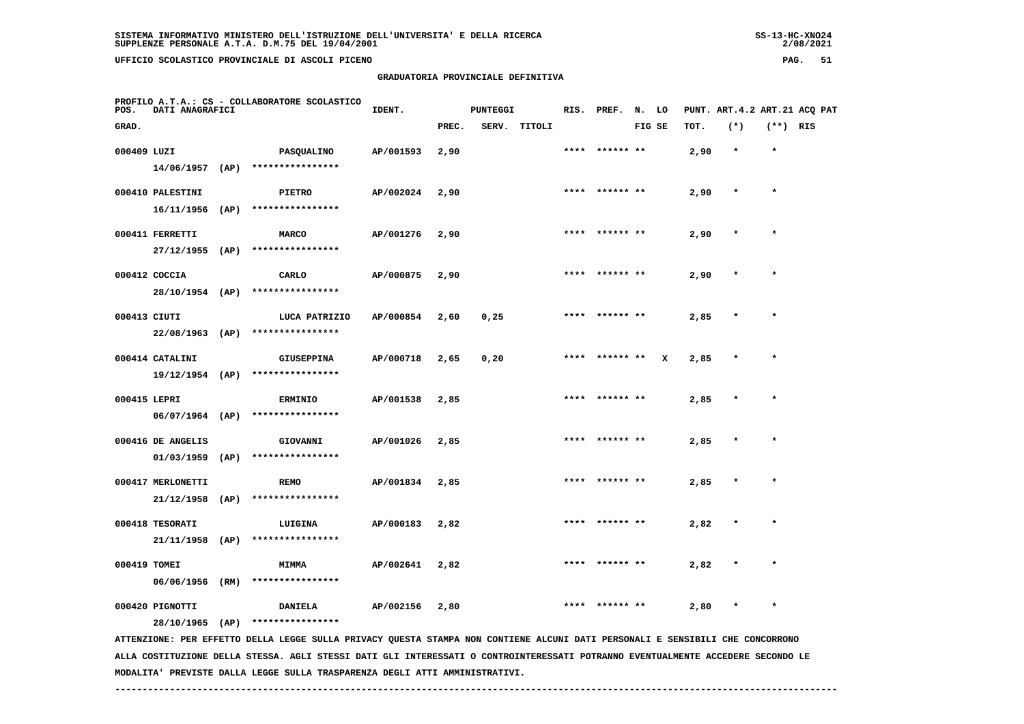**GRADUATORIA PROVINCIALE DEFINITIVA**

|  |                      | O DELL'ISTRUZIONE DELL'UNIVERSITA' E DELLA RICERCA |  |  |  |
|--|----------------------|----------------------------------------------------|--|--|--|
|  | M.75 DEL 19/04/2001. |                                                    |  |  |  |
|  |                      |                                                    |  |  |  |

 $2/08/2021$ 

| POS.        | DATI ANAGRAFICI                       | PROFILO A.T.A.: CS - COLLABORATORE SCOLASTICO                                                                                 | IDENT.    |       | <b>PUNTEGGI</b> |        |      | RIS. PREF. N. LO |        |      | PUNT. ART.4.2 ART.21 ACQ PAT |            |  |
|-------------|---------------------------------------|-------------------------------------------------------------------------------------------------------------------------------|-----------|-------|-----------------|--------|------|------------------|--------|------|------------------------------|------------|--|
| GRAD.       |                                       |                                                                                                                               |           | PREC. | SERV.           | TITOLI |      |                  | FIG SE | TOT. | $(*)$                        | $(**)$ RIS |  |
| 000409 LUZI |                                       | PASQUALINO                                                                                                                    | AP/001593 | 2,90  |                 |        | **** | ****** **        |        | 2,90 | $\star$                      | $\star$    |  |
|             |                                       | $14/06/1957$ (AP) ****************                                                                                            |           |       |                 |        |      |                  |        |      |                              |            |  |
|             |                                       |                                                                                                                               |           |       |                 |        |      | **** ****** **   |        |      | $\ast$                       | $\star$    |  |
|             | 000410 PALESTINI<br>$16/11/1956$ (AP) | PIETRO<br>****************                                                                                                    | AP/002024 | 2,90  |                 |        |      |                  |        | 2,90 |                              |            |  |
|             |                                       |                                                                                                                               |           |       |                 |        |      |                  |        |      |                              |            |  |
|             | 000411 FERRETTI                       | <b>MARCO</b>                                                                                                                  | AP/001276 | 2,90  |                 |        |      |                  |        | 2,90 |                              |            |  |
|             | $27/12/1955$ (AP)                     | ****************                                                                                                              |           |       |                 |        |      |                  |        |      |                              |            |  |
|             | 000412 COCCIA                         | CARLO                                                                                                                         | AP/000875 | 2,90  |                 |        |      | **** ****** **   |        | 2,90 |                              | $\star$    |  |
|             | 28/10/1954 (AP)                       | ****************                                                                                                              |           |       |                 |        |      |                  |        |      |                              |            |  |
|             | 000413 CIUTI                          | LUCA PATRIZIO                                                                                                                 | AP/000854 | 2,60  | 0,25            |        |      | **** ****** **   |        | 2,85 |                              |            |  |
|             | $22/08/1963$ (AP)                     | ****************                                                                                                              |           |       |                 |        |      |                  |        |      |                              |            |  |
|             |                                       |                                                                                                                               |           |       |                 |        |      | **** ****** **   |        |      |                              | $\star$    |  |
|             | 000414 CATALINI<br>$19/12/1954$ (AP)  | <b>GIUSEPPINA</b><br>****************                                                                                         | AP/000718 | 2,65  | 0,20            |        |      |                  | x      | 2,85 |                              |            |  |
|             |                                       |                                                                                                                               |           |       |                 |        |      |                  |        |      |                              |            |  |
|             | 000415 LEPRI                          | <b>ERMINIO</b>                                                                                                                | AP/001538 | 2,85  |                 |        |      | **** ****** **   |        | 2,85 |                              | $\star$    |  |
|             |                                       | 06/07/1964 (AP) ****************                                                                                              |           |       |                 |        |      |                  |        |      |                              |            |  |
|             | 000416 DE ANGELIS                     | GIOVANNI                                                                                                                      | AP/001026 | 2,85  |                 |        |      |                  |        | 2,85 |                              |            |  |
|             | $01/03/1959$ (AP)                     | ****************                                                                                                              |           |       |                 |        |      |                  |        |      |                              |            |  |
|             | 000417 MERLONETTI                     | <b>REMO</b>                                                                                                                   | AP/001834 | 2,85  |                 |        |      |                  |        | 2,85 |                              |            |  |
|             | $21/12/1958$ (AP)                     | ****************                                                                                                              |           |       |                 |        |      |                  |        |      |                              |            |  |
|             |                                       |                                                                                                                               |           |       |                 |        |      |                  |        |      |                              |            |  |
|             | 000418 TESORATI                       | LUIGINA                                                                                                                       | AP/000183 | 2,82  |                 |        |      | **** ****** **   |        | 2,82 |                              |            |  |
|             | 21/11/1958 (AP)                       | ****************                                                                                                              |           |       |                 |        |      |                  |        |      |                              |            |  |
|             | 000419 TOMEI                          | <b>MIMMA</b>                                                                                                                  | AP/002641 | 2,82  |                 |        | **** | ****** **        |        | 2,82 |                              |            |  |
|             | 06/06/1956 (RM)                       | ****************                                                                                                              |           |       |                 |        |      |                  |        |      |                              |            |  |
|             | 000420 PIGNOTTI                       | <b>DANIELA</b>                                                                                                                | AP/002156 | 2,80  |                 |        |      |                  |        | 2,80 | $\ast$                       | $\star$    |  |
|             | 28/10/1965 (AP)                       | ****************                                                                                                              |           |       |                 |        |      |                  |        |      |                              |            |  |
|             |                                       | ATTENZIONE: PER EFFETTO DELLA LEGGE SULLA PRIVACY QUESTA STAMPA NON CONTIENE ALCUNI DATI PERSONALI E SENSIBILI CHE CONCORRONO |           |       |                 |        |      |                  |        |      |                              |            |  |
|             |                                       |                                                                                                                               |           |       |                 |        |      |                  |        |      |                              |            |  |

 **ALLA COSTITUZIONE DELLA STESSA. AGLI STESSI DATI GLI INTERESSATI O CONTROINTERESSATI POTRANNO EVENTUALMENTE ACCEDERE SECONDO LE MODALITA' PREVISTE DALLA LEGGE SULLA TRASPARENZA DEGLI ATTI AMMINISTRATIVI.**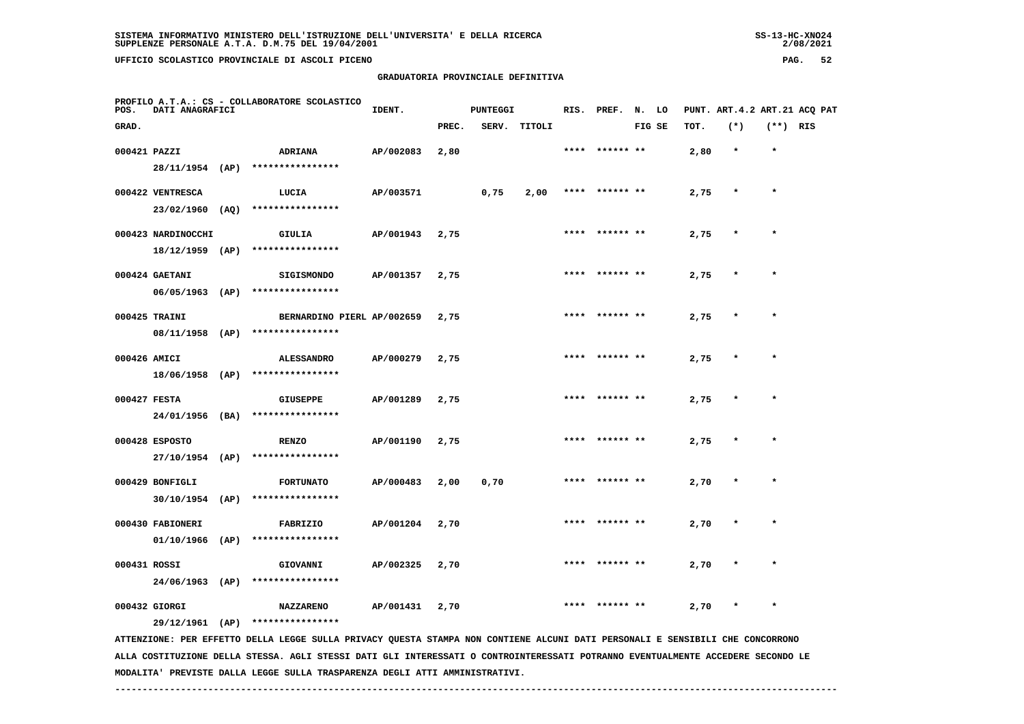**GRADUATORIA PROVINCIALE DEFINITIVA**

| POS.         | DATI ANAGRAFICI    |      | PROFILO A.T.A.: CS - COLLABORATORE SCOLASTICO | IDENT.    |       | <b>PUNTEGGI</b> |              |      | RIS. PREF.     | N. LO |        |      | PUNT. ART. 4.2 ART. 21 ACO PAT |            |  |
|--------------|--------------------|------|-----------------------------------------------|-----------|-------|-----------------|--------------|------|----------------|-------|--------|------|--------------------------------|------------|--|
| GRAD.        |                    |      |                                               |           | PREC. |                 | SERV. TITOLI |      |                |       | FIG SE | TOT. | $(*)$                          | $(**)$ RIS |  |
| 000421 PAZZI |                    |      | ADRIANA                                       | AP/002083 | 2,80  |                 |              | **** | ****** **      |       |        | 2,80 | $\star$                        | $\star$    |  |
|              |                    |      | 28/11/1954 (AP) ****************              |           |       |                 |              |      |                |       |        |      |                                |            |  |
|              | 000422 VENTRESCA   |      | LUCIA                                         | AP/003571 |       | 0,75            | 2,00         |      | **** ****** ** |       |        | 2,75 | $\star$                        | $\star$    |  |
|              | $23/02/1960$ (AQ)  |      | ****************                              |           |       |                 |              |      |                |       |        |      |                                |            |  |
|              | 000423 NARDINOCCHI |      | GIULIA                                        | AP/001943 | 2,75  |                 |              |      | **** ****** ** |       |        | 2,75 | $\star$                        | $\star$    |  |
|              | $18/12/1959$ (AP)  |      | ****************                              |           |       |                 |              |      |                |       |        |      |                                |            |  |
|              | 000424 GAETANI     |      | <b>SIGISMONDO</b>                             | AP/001357 | 2,75  |                 |              |      | **** ****** ** |       |        | 2,75 | $\star$                        | $\star$    |  |
|              | $06/05/1963$ (AP)  |      | ****************                              |           |       |                 |              |      |                |       |        |      |                                |            |  |
|              | 000425 TRAINI      |      | BERNARDINO PIERL AP/002659                    |           | 2,75  |                 |              |      | **** ****** ** |       |        | 2,75 | $\star$                        | $\star$    |  |
|              | 08/11/1958 (AP)    |      | ****************                              |           |       |                 |              |      |                |       |        |      |                                |            |  |
| 000426 AMICI |                    |      | <b>ALESSANDRO</b>                             | AP/000279 | 2,75  |                 |              |      |                |       |        | 2,75 |                                |            |  |
|              | 18/06/1958 (AP)    |      | ****************                              |           |       |                 |              |      |                |       |        |      |                                |            |  |
| 000427 FESTA |                    |      | <b>GIUSEPPE</b>                               | AP/001289 | 2,75  |                 |              |      | **** ****** ** |       |        | 2,75 | $\star$                        | $\star$    |  |
|              | 24/01/1956 (BA)    |      | ****************                              |           |       |                 |              |      |                |       |        |      |                                |            |  |
|              | 000428 ESPOSTO     |      | <b>RENZO</b>                                  | AP/001190 | 2,75  |                 |              |      | **** ****** ** |       |        | 2,75 | $\star$                        | $\star$    |  |
|              | 27/10/1954 (AP)    |      | ****************                              |           |       |                 |              |      |                |       |        |      |                                |            |  |
|              | 000429 BONFIGLI    |      | <b>FORTUNATO</b>                              | AP/000483 | 2,00  | 0,70            |              |      | **** ****** ** |       |        | 2,70 | $\star$                        | $\star$    |  |
|              | $30/10/1954$ (AP)  |      | ****************                              |           |       |                 |              |      |                |       |        |      |                                |            |  |
|              | 000430 FABIONERI   |      | FABRIZIO                                      | AP/001204 | 2,70  |                 |              |      | **** ****** ** |       |        | 2,70 | $\star$                        | $\star$    |  |
|              | $01/10/1966$ (AP)  |      | ****************                              |           |       |                 |              |      |                |       |        |      |                                |            |  |
| 000431 ROSSI |                    |      | GIOVANNI                                      | AP/002325 | 2,70  |                 |              |      |                |       |        | 2,70 |                                | $\star$    |  |
|              | 24/06/1963         | (AP) | ****************                              |           |       |                 |              |      |                |       |        |      |                                |            |  |

 **29/12/1961 (AP) \*\*\*\*\*\*\*\*\*\*\*\*\*\*\*\***

 **ATTENZIONE: PER EFFETTO DELLA LEGGE SULLA PRIVACY QUESTA STAMPA NON CONTIENE ALCUNI DATI PERSONALI E SENSIBILI CHE CONCORRONO ALLA COSTITUZIONE DELLA STESSA. AGLI STESSI DATI GLI INTERESSATI O CONTROINTERESSATI POTRANNO EVENTUALMENTE ACCEDERE SECONDO LE MODALITA' PREVISTE DALLA LEGGE SULLA TRASPARENZA DEGLI ATTI AMMINISTRATIVI.**

 **000432 GIORGI NAZZARENO AP/001431 2,70 \*\*\*\* \*\*\*\*\*\* \*\* 2,70 \* \***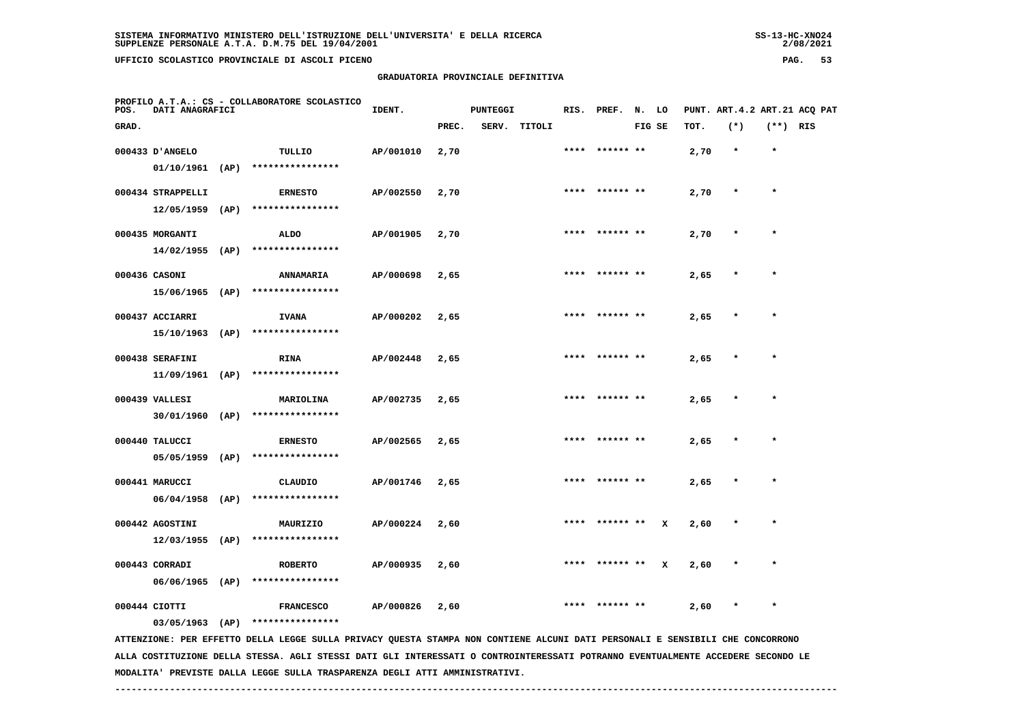**PROFILO A.T.A.: CS - COLLABORATORE SCOLASTICO**

 **GRADUATORIA PROVINCIALE DEFINITIVA**

| POS.              | <b>DATI ANAGRAFICI</b> | PROPILO A.I.A.: CS - COLLADORATORE SCOLASIICO                                              | IDENT.    |       | <b>PUNTEGGI</b> |              | RIS. PREF. N. LO |        |   |      |         |            | PUNT. ART. 4.2 ART. 21 ACQ PAT |
|-------------------|------------------------|--------------------------------------------------------------------------------------------|-----------|-------|-----------------|--------------|------------------|--------|---|------|---------|------------|--------------------------------|
| GRAD.             |                        |                                                                                            |           | PREC. |                 | SERV. TITOLI |                  | FIG SE |   | TOT. | $(*)$   | $(**)$ RIS |                                |
| 000433 D'ANGELO   |                        | TULLIO<br>$01/10/1961$ (AP) ****************                                               | AP/001010 | 2,70  |                 |              | **** ****** **   |        |   | 2,70 | $\star$ | $\star$    |                                |
| 000434 STRAPPELLI |                        | <b>ERNESTO</b><br>12/05/1959 (AP) ****************                                         | AP/002550 | 2,70  |                 |              | **** ****** **   |        |   | 2,70 | $\star$ | $\star$    |                                |
| 000435 MORGANTI   |                        | ALDO<br>14/02/1955 (AP) ****************                                                   | AP/001905 | 2,70  |                 |              | **** ****** **   |        |   | 2,70 | $\star$ | $\star$    |                                |
| 000436 CASONI     |                        | <b>ANNAMARIA</b><br>15/06/1965 (AP) ****************                                       | AP/000698 | 2,65  |                 |              | **** ****** **   |        |   | 2,65 |         | $\star$    |                                |
| 000437 ACCIARRI   |                        | <b>IVANA</b><br>15/10/1963 (AP) ****************                                           | AP/000202 | 2,65  |                 |              | **** ****** **   |        |   | 2,65 |         |            |                                |
| 000438 SERAFINI   |                        | RINA<br>$11/09/1961$ (AP) *****************                                                | AP/002448 | 2,65  |                 |              | **** ****** **   |        |   | 2,65 | $\star$ | $\star$    |                                |
| 000439 VALLESI    |                        | <b>MARIOLINA</b><br>30/01/1960 (AP) ****************                                       | AP/002735 | 2,65  |                 |              | **** ****** **   |        |   | 2,65 |         | $\star$    |                                |
| 000440 TALUCCI    |                        | <b>ERNESTO</b>                                                                             | AP/002565 | 2,65  |                 |              | **** ****** **   |        |   | 2,65 | $\star$ | $\star$    |                                |
| 000441 MARUCCI    |                        | $05/05/1959$ (AP) ****************<br>CLAUDIO                                              | AP/001746 | 2,65  |                 |              | **** ****** **   |        |   | 2,65 | $\star$ | $\star$    |                                |
| 000442 AGOSTINI   |                        | $06/04/1958$ (AP) *****************<br>MAURIZIO                                            | AP/000224 | 2,60  |                 |              | **** ****** **   |        | x | 2,60 |         | $\star$    |                                |
| 000443 CORRADI    | 12/03/1955 (AP)        | ****************<br><b>ROBERTO</b>                                                         | AP/000935 | 2,60  |                 |              | **** ****** **   |        | x | 2,60 |         | $\star$    |                                |
| 000444 CIOTTI     |                        | $06/06/1965$ (AP) ****************<br><b>FRANCESCO</b><br>03/05/1963 (AP) **************** | AP/000826 | 2,60  |                 |              | **** ****** **   |        |   | 2,60 | $\star$ | $\star$    |                                |
|                   |                        |                                                                                            |           |       |                 |              |                  |        |   |      |         |            |                                |

 **ATTENZIONE: PER EFFETTO DELLA LEGGE SULLA PRIVACY QUESTA STAMPA NON CONTIENE ALCUNI DATI PERSONALI E SENSIBILI CHE CONCORRONO ALLA COSTITUZIONE DELLA STESSA. AGLI STESSI DATI GLI INTERESSATI O CONTROINTERESSATI POTRANNO EVENTUALMENTE ACCEDERE SECONDO LE MODALITA' PREVISTE DALLA LEGGE SULLA TRASPARENZA DEGLI ATTI AMMINISTRATIVI.**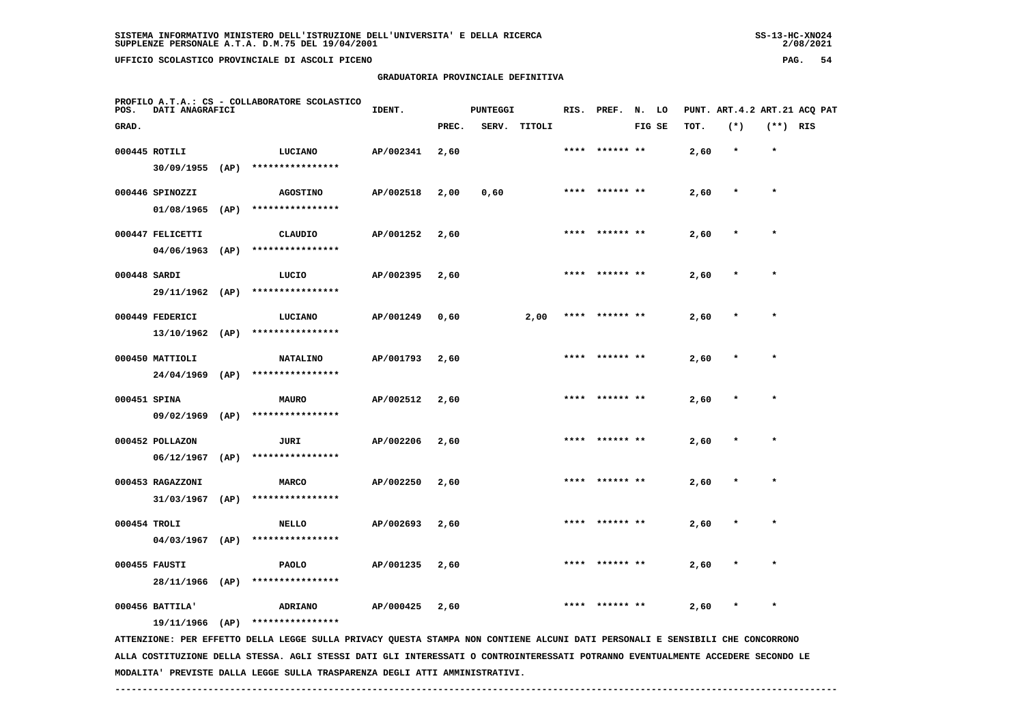|                 |                 |      | UFFICIO SCOLASTICO PROVINCIALE DI ASCOLI PICENO |                                    |       |                 |        |                |    |        |      |                              | PAG.    |     | 54 |
|-----------------|-----------------|------|-------------------------------------------------|------------------------------------|-------|-----------------|--------|----------------|----|--------|------|------------------------------|---------|-----|----|
|                 |                 |      |                                                 | GRADUATORIA PROVINCIALE DEFINITIVA |       |                 |        |                |    |        |      |                              |         |     |    |
| POS.            | DATI ANAGRAFICI |      | PROFILO A.T.A.: CS - COLLABORATORE SCOLASTICO   | IDENT.                             |       | <b>PUNTEGGI</b> |        | RIS. PREF.     | N. | LO     |      | PUNT. ART.4.2 ART.21 ACQ PAT |         |     |    |
| GRAD.           |                 |      |                                                 |                                    | PREC. | SERV.           | TITOLI |                |    | FIG SE | TOT. | $(*)$                        | (**)    | RIS |    |
| $000445$ ROTILI |                 |      | LUCIANO                                         | AP/002341                          | 2,60  |                 |        | **** ****** ** |    |        | 2,60 | $\pmb{\star}$                | $\star$ |     |    |
|                 | 30/09/1955      | (AP) | ****************                                |                                    |       |                 |        |                |    |        |      |                              |         |     |    |

|              | 000446 SPINOZZI  |      | <b>AGOSTINO</b>  | AP/002518 | 2,00 | 0,60 | **** ****** ** | 2,60 | $\star$       | $\star$ |
|--------------|------------------|------|------------------|-----------|------|------|----------------|------|---------------|---------|
|              | 01/08/1965       | (AP) | **************** |           |      |      |                |      |               |         |
|              | 000447 FELICETTI |      | CLAUDIO          | AP/001252 | 2,60 |      | **** ****** ** | 2,60 | $\star$       | $\star$ |
|              | 04/06/1963       | (AP) | **************** |           |      |      |                |      |               |         |
| 000448 SARDI |                  |      | LUCIO            | AP/002395 | 2,60 |      | **** ****** ** | 2,60 | $\rightarrow$ | $\star$ |
|              | 29/11/1962       | (AP) | **************** |           |      |      |                |      |               |         |

| 000449 FEDERICI | LUCIANO          | AP/001249 | 0,60 | 2,00 | **** ****** ** | 2,60<br>$\cdot$ $\cdot$ |  |
|-----------------|------------------|-----------|------|------|----------------|-------------------------|--|
| 13/10/1962 (AP) | **************** |           |      |      |                |                         |  |
|                 |                  |           |      |      |                |                         |  |

|              | 000450 MATTIOLI |      | <b>NATALINO</b>  | AP/001793 | 2,60 |      | **** ****** ** | 2,60 |  |
|--------------|-----------------|------|------------------|-----------|------|------|----------------|------|--|
|              | 24/04/1969      | (AP) | **************** |           |      |      |                |      |  |
| 000451 SPINA |                 |      | <b>MAURO</b>     | AP/002512 | 2,60 | **** | ****** **      | 2,60 |  |

 **09/02/1969 (AP) \*\*\*\*\*\*\*\*\*\*\*\*\*\*\*\***

 **000452 POLLAZON JURI AP/002206 2,60 \*\*\*\* \*\*\*\*\*\* \*\* 2,60 \* \* 06/12/1967 (AP) \*\*\*\*\*\*\*\*\*\*\*\*\*\*\*\* 000453 RAGAZZONI MARCO AP/002250 2,60 \*\*\*\* \*\*\*\*\*\* \*\* 2,60 \* \* 31/03/1967 (AP) \*\*\*\*\*\*\*\*\*\*\*\*\*\*\*\***

 **000454 TROLI NELLO AP/002693 2,60 \*\*\*\* \*\*\*\*\*\* \*\* 2,60 \* \* 04/03/1967 (AP) \*\*\*\*\*\*\*\*\*\*\*\*\*\*\*\* 000455 FAUSTI PAOLO AP/001235 2,60 \*\*\*\* \*\*\*\*\*\* \*\* 2,60 \* \***

 **28/11/1966 (AP) \*\*\*\*\*\*\*\*\*\*\*\*\*\*\*\***

 **000456 BATTILA' ADRIANO AP/000425 2,60 \*\*\*\* \*\*\*\*\*\* \*\* 2,60 \* \***

 **19/11/1966 (AP) \*\*\*\*\*\*\*\*\*\*\*\*\*\*\*\***

 **ATTENZIONE: PER EFFETTO DELLA LEGGE SULLA PRIVACY QUESTA STAMPA NON CONTIENE ALCUNI DATI PERSONALI E SENSIBILI CHE CONCORRONO ALLA COSTITUZIONE DELLA STESSA. AGLI STESSI DATI GLI INTERESSATI O CONTROINTERESSATI POTRANNO EVENTUALMENTE ACCEDERE SECONDO LE MODALITA' PREVISTE DALLA LEGGE SULLA TRASPARENZA DEGLI ATTI AMMINISTRATIVI.**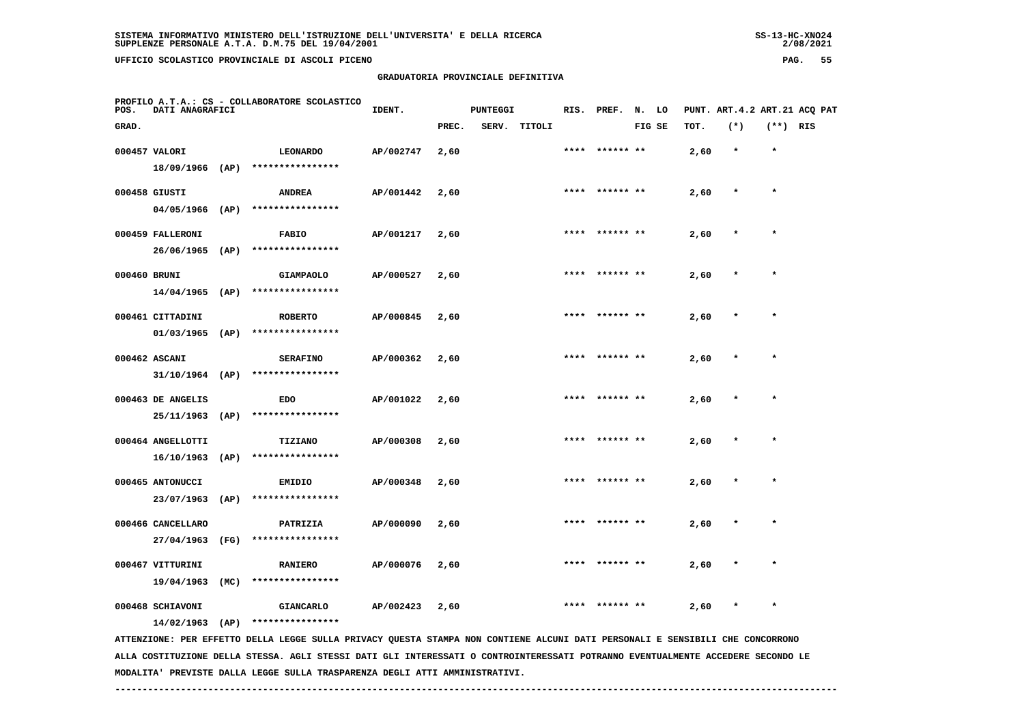**GRADUATORIA PROVINCIALE DEFINITIVA**

| SISTEMA INFORMATIVO MINISTERO DELL'ISTRUZIONE DELL'UNIVERSITA' E DELLA RICERCA | $SS-13-HC-XNO24$ |
|--------------------------------------------------------------------------------|------------------|
| SUPPLENZE PERSONALE A.T.A. D.M.75 DEL 19/04/2001                               | 2/08/2021        |
|                                                                                |                  |

 $2/08/2021$ 

| PROFILO A.T.A.: CS - COLLABORATORE SCOLASTICO<br>DATI ANAGRAFICI<br>POS.                                                                                                | IDENT.    |       | PUNTEGGI |        | RIS. | PREF.          | N. LO  |      |        |            | PUNT. ART. 4.2 ART. 21 ACO PAT |
|-------------------------------------------------------------------------------------------------------------------------------------------------------------------------|-----------|-------|----------|--------|------|----------------|--------|------|--------|------------|--------------------------------|
| GRAD.                                                                                                                                                                   |           | PREC. | SERV.    | TITOLI |      |                | FIG SE | тот. | $(*)$  | $(**)$ RIS |                                |
| 000457 VALORI<br><b>LEONARDO</b><br>18/09/1966 (AP)<br>****************                                                                                                 | AP/002747 | 2,60  |          |        | **** | ****** **      |        | 2,60 | $\ast$ | $\star$    |                                |
| 000458 GIUSTI<br><b>ANDREA</b><br>04/05/1966<br>(AP)<br>****************                                                                                                | AP/001442 | 2,60  |          |        | **** | ****** **      |        | 2,60 |        | $\star$    |                                |
| 000459 FALLERONI<br><b>FABIO</b><br>****************<br>26/06/1965<br>(AP)                                                                                              | AP/001217 | 2,60  |          |        |      | **** ****** ** |        | 2,60 | $\ast$ | $\star$    |                                |
| 000460 BRUNI<br><b>GIAMPAOLO</b><br>14/04/1965<br>****************<br>(AP)                                                                                              | AP/000527 | 2,60  |          |        |      |                |        | 2,60 |        |            |                                |
| 000461 CITTADINI<br><b>ROBERTO</b>                                                                                                                                      | AP/000845 | 2,60  |          |        | **** | ****** **      |        | 2,60 |        | $\ast$     |                                |
| ****************<br>$01/03/1965$ (AP)<br>000462 ASCANI<br><b>SERAFINO</b><br>****************                                                                           | AP/000362 | 2,60  |          |        |      | **** ****** ** |        | 2,60 |        |            |                                |
| $31/10/1964$ (AP)<br>000463 DE ANGELIS<br><b>EDO</b>                                                                                                                    | AP/001022 | 2,60  |          |        |      | **** ****** ** |        | 2,60 |        | $\star$    |                                |
| ****************<br>25/11/1963<br>(AP)<br>000464 ANGELLOTTI<br><b>TIZIANO</b>                                                                                           | AP/000308 | 2,60  |          |        | **** |                |        | 2,60 |        | $\star$    |                                |
| 16/10/1963<br>(AP)<br>****************<br>000465 ANTONUCCI<br><b>EMIDIO</b>                                                                                             | AP/000348 | 2,60  |          |        |      |                |        | 2,60 |        |            |                                |
| 23/07/1963<br>****************<br>(AP)<br>000466 CANCELLARO<br>PATRIZIA                                                                                                 | AP/000090 | 2,60  |          |        |      |                |        | 2,60 |        | $\star$    |                                |
| ****************<br>27/04/1963<br>(FG)<br>000467 VITTURINI<br><b>RANIERO</b>                                                                                            | AP/000076 | 2,60  |          |        | **** | ****** **      |        | 2,60 |        | $\star$    |                                |
| 19/04/1963<br>(MC)<br>****************<br>000468 SCHIAVONI<br><b>GIANCARLO</b>                                                                                          | AP/002423 | 2,60  |          |        |      |                |        | 2,60 |        | $\star$    |                                |
| ****************<br>14/02/1963<br>(AP)<br>ATTENZIONE: PER EFFETTO DELLA LEGGE SULLA PRIVACY QUESTA STAMPA NON CONTIENE ALCUNI DATI PERSONALI E SENSIBILI CHE CONCORRONO |           |       |          |        |      |                |        |      |        |            |                                |

 **ALLA COSTITUZIONE DELLA STESSA. AGLI STESSI DATI GLI INTERESSATI O CONTROINTERESSATI POTRANNO EVENTUALMENTE ACCEDERE SECONDO LE MODALITA' PREVISTE DALLA LEGGE SULLA TRASPARENZA DEGLI ATTI AMMINISTRATIVI.**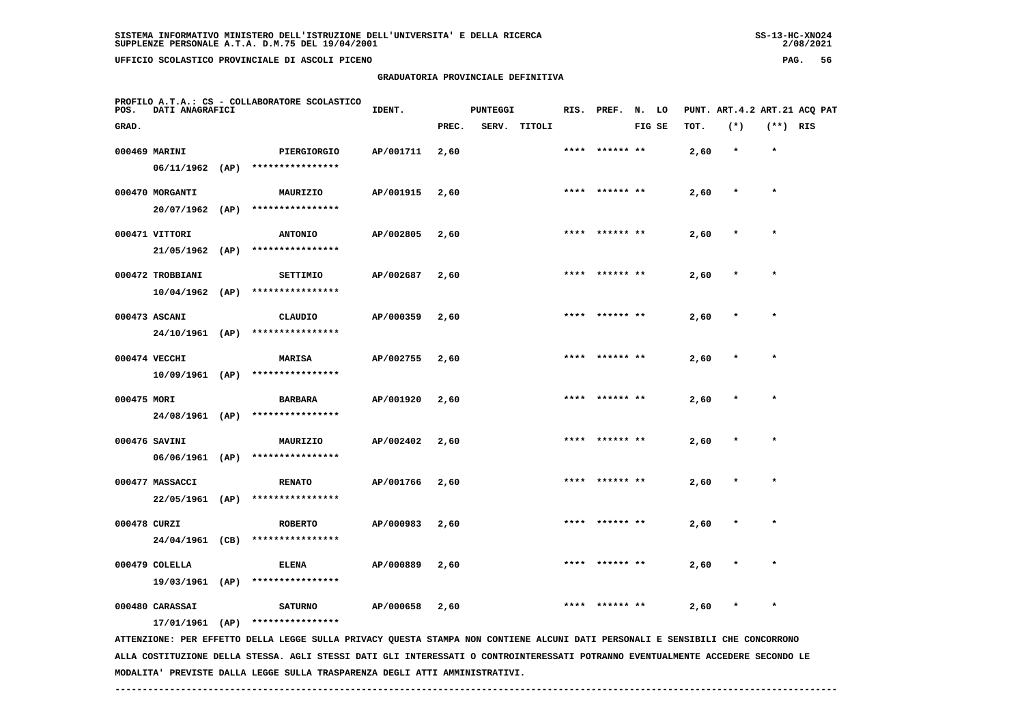# **GRADUATORIA PROVINCIALE DEFINITIVA**

 $2/08/2021$ 

| POS.         | PROFILO A.T.A.: CS - COLLABORATORE SCOLASTICO<br>DATI ANAGRAFICI |  |                                                                                                                                                   | IDENT.    |       | <b>PUNTEGGI</b> |              |      | RIS. PREF. N. LO |        |      | PUNT. ART.4.2 ART.21 ACQ PAT |            |  |
|--------------|------------------------------------------------------------------|--|---------------------------------------------------------------------------------------------------------------------------------------------------|-----------|-------|-----------------|--------------|------|------------------|--------|------|------------------------------|------------|--|
| GRAD.        |                                                                  |  |                                                                                                                                                   |           | PREC. |                 | SERV. TITOLI |      |                  | FIG SE | TOT. | $(*)$                        | $(**)$ RIS |  |
|              | 000469 MARINI<br>$06/11/1962$ (AP)                               |  | PIERGIORGIO<br>****************                                                                                                                   | AP/001711 | 2,60  |                 |              |      | **** ****** **   |        | 2,60 | $\star$                      | $\star$    |  |
|              | 000470 MORGANTI                                                  |  | MAURIZIO                                                                                                                                          | AP/001915 | 2,60  |                 |              | **** | ****** **        |        | 2,60 |                              | $\star$    |  |
|              | $20/07/1962$ (AP)<br>000471 VITTORI                              |  | ****************<br><b>ANTONIO</b>                                                                                                                | AP/002805 | 2,60  |                 |              |      | ****  ****** **  |        | 2,60 | $\star$                      | $\star$    |  |
|              | $21/05/1962$ (AP)<br>000472 TROBBIANI                            |  | ****************<br>SETTIMIO                                                                                                                      | AP/002687 | 2,60  |                 |              |      |                  |        | 2,60 |                              |            |  |
|              | $10/04/1962$ (AP)<br>000473 ASCANI                               |  | ****************<br>CLAUDIO                                                                                                                       | AP/000359 | 2,60  |                 |              |      | **** ****** **   |        | 2,60 |                              | $\star$    |  |
|              | 24/10/1961 (AP)                                                  |  | ****************                                                                                                                                  |           |       |                 |              |      |                  |        |      |                              |            |  |
|              | 000474 VECCHI<br>$10/09/1961$ (AP)                               |  | <b>MARISA</b><br>****************                                                                                                                 | AP/002755 | 2,60  |                 |              | **** | ****** **        |        | 2,60 |                              | $\ast$     |  |
| 000475 MORI  | 24/08/1961 (AP)                                                  |  | <b>BARBARA</b><br>****************                                                                                                                | AP/001920 | 2,60  |                 |              | **** | ****** **        |        | 2,60 |                              | $\star$    |  |
|              | 000476 SAVINI<br>06/06/1961 (AP)                                 |  | MAURIZIO<br>****************                                                                                                                      | AP/002402 | 2,60  |                 |              |      | **** ****** **   |        | 2,60 | $\star$                      | $\star$    |  |
|              | 000477 MASSACCI                                                  |  | <b>RENATO</b><br>22/05/1961 (AP) ****************                                                                                                 | AP/001766 | 2,60  |                 |              | **** | ****** **        |        | 2,60 |                              | $\star$    |  |
| 000478 CURZI | 24/04/1961 (CB)                                                  |  | <b>ROBERTO</b><br>****************                                                                                                                | AP/000983 | 2,60  |                 |              | **** |                  |        | 2,60 |                              |            |  |
|              | 000479 COLELLA<br>19/03/1961 (AP)                                |  | <b>ELENA</b><br>****************                                                                                                                  | AP/000889 | 2,60  |                 |              |      |                  |        | 2,60 |                              | $\star$    |  |
|              | 000480 CARASSAI                                                  |  | <b>SATURNO</b>                                                                                                                                    | AP/000658 | 2,60  |                 |              |      |                  |        | 2,60 |                              |            |  |
|              | 17/01/1961 (AP)                                                  |  | ****************<br>ATTENZIONE: PER EFFETTO DELLA LEGGE SULLA PRIVACY QUESTA STAMPA NON CONTIENE ALCUNI DATI PERSONALI E SENSIBILI CHE CONCORRONO |           |       |                 |              |      |                  |        |      |                              |            |  |

 **ALLA COSTITUZIONE DELLA STESSA. AGLI STESSI DATI GLI INTERESSATI O CONTROINTERESSATI POTRANNO EVENTUALMENTE ACCEDERE SECONDO LE MODALITA' PREVISTE DALLA LEGGE SULLA TRASPARENZA DEGLI ATTI AMMINISTRATIVI.**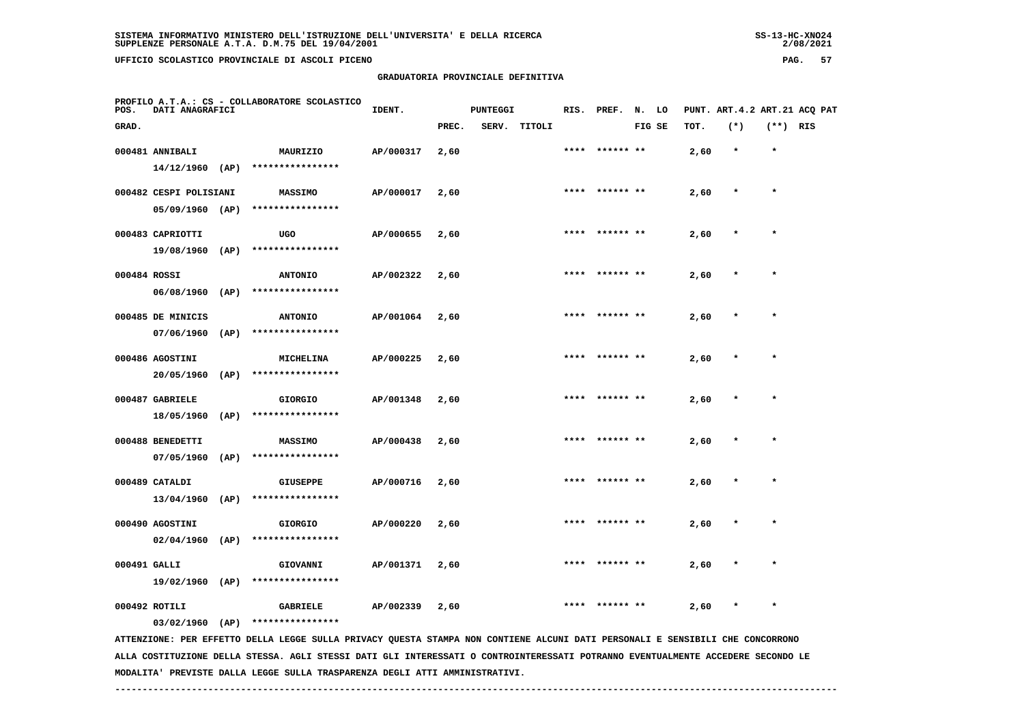## **GRADUATORIA PROVINCIALE DEFINITIVA**

 $2/08/2021$ 

| POS.         | DATI ANAGRAFICI        |      | PROFILO A.T.A.: CS - COLLABORATORE SCOLASTICO                                                                                   | IDENT.    |       | <b>PUNTEGGI</b> |        |      | RIS. PREF. N. LO |        |      | PUNT. ART. 4.2 ART. 21 ACO PAT |            |  |
|--------------|------------------------|------|---------------------------------------------------------------------------------------------------------------------------------|-----------|-------|-----------------|--------|------|------------------|--------|------|--------------------------------|------------|--|
| GRAD.        |                        |      |                                                                                                                                 |           | PREC. | <b>SERV.</b>    | TITOLI |      |                  | FIG SE | TOT. | $(*)$                          | $(**)$ RIS |  |
|              | 000481 ANNIBALI        |      | MAURIZIO                                                                                                                        | AP/000317 | 2,60  |                 |        |      |                  |        | 2,60 | $\star$                        | $\star$    |  |
|              | 14/12/1960 (AP)        |      | ****************                                                                                                                |           |       |                 |        |      |                  |        |      |                                |            |  |
|              | 000482 CESPI POLISIANI |      | MASSIMO                                                                                                                         | AP/000017 | 2,60  |                 |        |      |                  |        | 2,60 |                                |            |  |
|              | 05/09/1960 (AP)        |      | ****************                                                                                                                |           |       |                 |        |      |                  |        |      |                                |            |  |
|              | 000483 CAPRIOTTI       |      | <b>UGO</b>                                                                                                                      | AP/000655 | 2,60  |                 |        |      |                  |        | 2,60 |                                |            |  |
|              | 19/08/1960 (AP)        |      | ****************                                                                                                                |           |       |                 |        |      |                  |        |      |                                |            |  |
| 000484 ROSSI |                        |      | <b>ANTONIO</b>                                                                                                                  | AP/002322 | 2,60  |                 |        |      | ****** **        |        | 2,60 |                                |            |  |
|              | 06/08/1960 (AP)        |      | ****************                                                                                                                |           |       |                 |        |      |                  |        |      |                                |            |  |
|              | 000485 DE MINICIS      |      | <b>ANTONIO</b>                                                                                                                  | AP/001064 | 2,60  |                 |        |      |                  |        | 2,60 |                                | $\star$    |  |
|              | $07/06/1960$ (AP)      |      | ****************                                                                                                                |           |       |                 |        |      |                  |        |      |                                |            |  |
|              | 000486 AGOSTINI        |      | MICHELINA                                                                                                                       | AP/000225 | 2,60  |                 |        | **** | ****** **        |        | 2,60 |                                | $\star$    |  |
|              | $20/05/1960$ (AP)      |      | ****************                                                                                                                |           |       |                 |        |      |                  |        |      |                                |            |  |
|              | 000487 GABRIELE        |      | <b>GIORGIO</b>                                                                                                                  | AP/001348 | 2,60  |                 |        | **** | ****** **        |        | 2,60 |                                |            |  |
|              | 18/05/1960             | (AP) | ****************                                                                                                                |           |       |                 |        |      |                  |        |      |                                |            |  |
|              | 000488 BENEDETTI       |      | <b>MASSIMO</b>                                                                                                                  | AP/000438 | 2,60  |                 |        | **** | ****** **        |        | 2,60 |                                | $\star$    |  |
|              | 07/05/1960             | (AP) | ****************                                                                                                                |           |       |                 |        |      |                  |        |      |                                |            |  |
|              | 000489 CATALDI         |      | <b>GIUSEPPE</b>                                                                                                                 | AP/000716 | 2,60  |                 |        | **** | ****** **        |        | 2,60 |                                | $\star$    |  |
|              | 13/04/1960             | (AP) | ****************                                                                                                                |           |       |                 |        |      |                  |        |      |                                |            |  |
|              | 000490 AGOSTINI        |      | <b>GIORGIO</b>                                                                                                                  | AP/000220 | 2,60  |                 |        |      |                  |        | 2,60 |                                | $\star$    |  |
|              | $02/04/1960$ (AP)      |      | ****************                                                                                                                |           |       |                 |        |      |                  |        |      |                                |            |  |
| 000491 GALLI |                        |      | GIOVANNI                                                                                                                        | AP/001371 | 2,60  |                 |        |      |                  |        | 2,60 |                                |            |  |
|              | 19/02/1960 (AP)        |      | ****************                                                                                                                |           |       |                 |        |      |                  |        |      |                                |            |  |
|              | 000492 ROTILI          |      | <b>GABRIELE</b>                                                                                                                 | AP/002339 | 2,60  |                 |        |      |                  |        | 2,60 |                                |            |  |
|              | 03/02/1960 (AP)        |      | ****************                                                                                                                |           |       |                 |        |      |                  |        |      |                                |            |  |
|              |                        |      | ATTENZIONE: PER EFFETTO DELLA LEGGE SULLA PRIVACY QUESTA STAMPA NON CONTIENE ALCUNI DATI PERSONALI E SENSIBILI CHE CONCORRONO   |           |       |                 |        |      |                  |        |      |                                |            |  |
|              |                        |      | ALLA COSTITUZIONE DELLA STESSA. AGLI STESSI DATI GLI INTERESSATI O CONTROINTERESSATI POTRANNO EVENTUALMENTE ACCEDERE SECONDO LE |           |       |                 |        |      |                  |        |      |                                |            |  |

 **MODALITA' PREVISTE DALLA LEGGE SULLA TRASPARENZA DEGLI ATTI AMMINISTRATIVI.**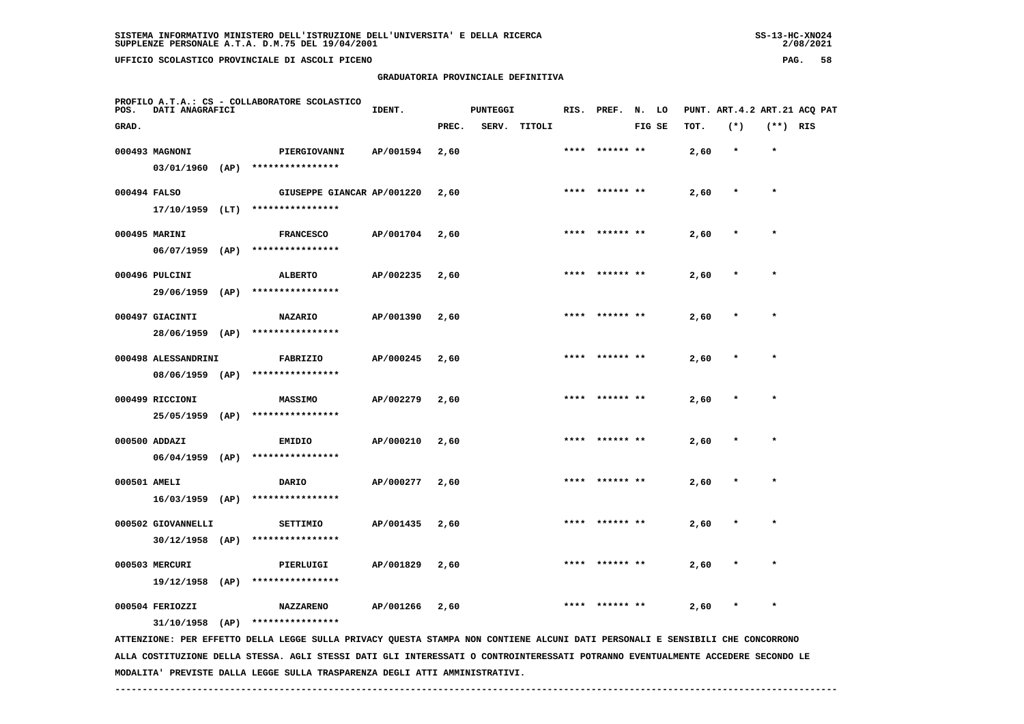| $SS-13-HC-XNO24$ |
|------------------|
| 2/08/2021        |

| POS.         | PROFILO A.T.A.: CS - COLLABORATORE SCOLASTICO<br>DATI ANAGRAFICI |  |                                                                                                                               |           |       | <b>PUNTEGGI</b> |              |      | RIS. PREF. N. LO |        |      | PUNT. ART.4.2 ART.21 ACQ PAT |            |  |
|--------------|------------------------------------------------------------------|--|-------------------------------------------------------------------------------------------------------------------------------|-----------|-------|-----------------|--------------|------|------------------|--------|------|------------------------------|------------|--|
| GRAD.        |                                                                  |  |                                                                                                                               |           | PREC. |                 | SERV. TITOLI |      |                  | FIG SE | TOT. | $(*)$                        | $(**)$ RIS |  |
|              | 000493 MAGNONI                                                   |  | PIERGIOVANNI                                                                                                                  | AP/001594 | 2,60  |                 |              | **** | ****** **        |        | 2,60 | $\star$                      | $\star$    |  |
|              |                                                                  |  | 03/01/1960 (AP) ****************                                                                                              |           |       |                 |              |      |                  |        |      |                              |            |  |
| 000494 FALSO |                                                                  |  | GIUSEPPE GIANCAR AP/001220                                                                                                    |           | 2,60  |                 |              | **** | ****** **        |        | 2,60 |                              | $\star$    |  |
|              |                                                                  |  | 17/10/1959 (LT) ****************                                                                                              |           |       |                 |              |      |                  |        |      |                              |            |  |
|              | 000495 MARINI                                                    |  | <b>FRANCESCO</b>                                                                                                              | AP/001704 | 2,60  |                 |              |      | **** ****** **   |        | 2,60 |                              |            |  |
|              | $06/07/1959$ (AP)                                                |  | ****************                                                                                                              |           |       |                 |              |      |                  |        |      |                              |            |  |
|              | 000496 PULCINI                                                   |  | ALBERTO                                                                                                                       | AP/002235 | 2,60  |                 |              |      |                  |        | 2,60 |                              |            |  |
|              | 29/06/1959 (AP)                                                  |  | ****************                                                                                                              |           |       |                 |              |      |                  |        |      |                              |            |  |
|              | 000497 GIACINTI                                                  |  | <b>NAZARIO</b>                                                                                                                | AP/001390 | 2,60  |                 |              |      | **** ****** **   |        | 2,60 |                              | $\star$    |  |
|              | 28/06/1959 (AP)                                                  |  | ****************                                                                                                              |           |       |                 |              |      |                  |        |      |                              |            |  |
|              | 000498 ALESSANDRINI                                              |  | FABRIZIO                                                                                                                      | AP/000245 | 2,60  |                 |              |      |                  |        | 2,60 |                              |            |  |
|              | 08/06/1959 (AP)                                                  |  | ****************                                                                                                              |           |       |                 |              |      |                  |        |      |                              |            |  |
|              | 000499 RICCIONI                                                  |  | <b>MASSIMO</b>                                                                                                                | AP/002279 | 2,60  |                 |              |      | **** ****** **   |        | 2,60 | $\ast$                       | $\star$    |  |
|              | 25/05/1959 (AP)                                                  |  | ****************                                                                                                              |           |       |                 |              |      |                  |        |      |                              |            |  |
|              | 000500 ADDAZI                                                    |  | <b>EMIDIO</b>                                                                                                                 | AP/000210 | 2,60  |                 |              |      | **** ****** **   |        | 2,60 |                              | $\star$    |  |
|              |                                                                  |  | $06/04/1959$ (AP) *****************                                                                                           |           |       |                 |              |      |                  |        |      |                              |            |  |
| 000501 AMELI |                                                                  |  | DARIO                                                                                                                         | AP/000277 | 2,60  |                 |              |      |                  |        | 2,60 |                              |            |  |
|              | $16/03/1959$ (AP)                                                |  | ****************                                                                                                              |           |       |                 |              |      |                  |        |      |                              |            |  |
|              | 000502 GIOVANNELLI                                               |  | SETTIMIO                                                                                                                      | AP/001435 | 2,60  |                 |              |      |                  |        | 2,60 |                              | $\star$    |  |
|              | $30/12/1958$ (AP)                                                |  | ****************                                                                                                              |           |       |                 |              |      |                  |        |      |                              |            |  |
|              | 000503 MERCURI                                                   |  |                                                                                                                               | AP/001829 | 2,60  |                 |              |      |                  |        |      |                              |            |  |
|              | $19/12/1958$ (AP)                                                |  | PIERLUIGI<br>****************                                                                                                 |           |       |                 |              |      |                  |        | 2,60 |                              |            |  |
|              |                                                                  |  |                                                                                                                               |           |       |                 |              |      | ****  ****** **  |        |      |                              | $\star$    |  |
|              | 000504 FERIOZZI<br>$31/10/1958$ (AP)                             |  | <b>NAZZARENO</b><br>****************                                                                                          | AP/001266 | 2,60  |                 |              |      |                  |        | 2,60 |                              |            |  |
|              |                                                                  |  | ATTENZIONE: PER EFFETTO DELLA LEGGE SULLA PRIVACY QUESTA STAMPA NON CONTIENE ALCUNI DATI PERSONALI E SENSIBILI CHE CONCORRONO |           |       |                 |              |      |                  |        |      |                              |            |  |

 **ALLA COSTITUZIONE DELLA STESSA. AGLI STESSI DATI GLI INTERESSATI O CONTROINTERESSATI POTRANNO EVENTUALMENTE ACCEDERE SECONDO LE MODALITA' PREVISTE DALLA LEGGE SULLA TRASPARENZA DEGLI ATTI AMMINISTRATIVI.**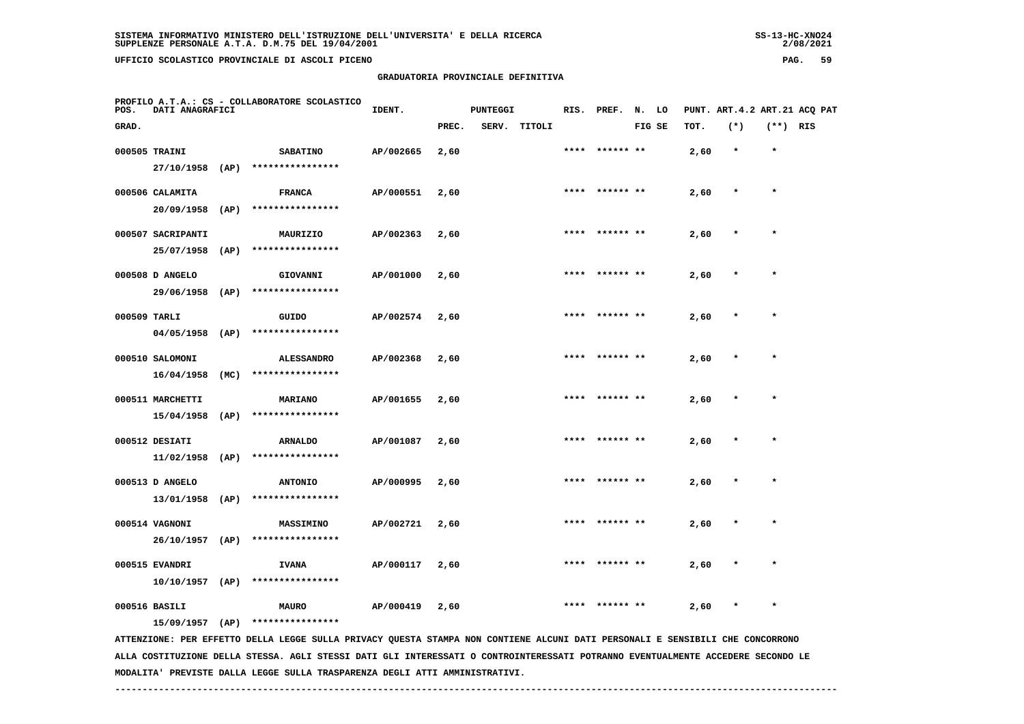**GRADUATORIA PROVINCIALE DEFINITIVA**

| PROFILO A.T.A.: CS - COLLABORATORE SCOLASTICO<br>DATI ANAGRAFICI<br>POS. |                   |      |                  | IDENT.    |       | <b>PUNTEGGI</b> |        |      | RIS. PREF.     | N. LO  |      | PUNT. ART.4.2 ART.21 ACQ PAT |            |  |
|--------------------------------------------------------------------------|-------------------|------|------------------|-----------|-------|-----------------|--------|------|----------------|--------|------|------------------------------|------------|--|
| GRAD.                                                                    |                   |      |                  |           | PREC. | SERV.           | TITOLI |      |                | FIG SE | TOT. | $(*)$                        | $(**)$ RIS |  |
|                                                                          | 000505 TRAINI     |      | <b>SABATINO</b>  | AP/002665 | 2,60  |                 |        |      | **** ****** ** |        | 2,60 | $\star$                      | $\star$    |  |
|                                                                          | 27/10/1958        | (AP) | **************** |           |       |                 |        |      |                |        |      |                              |            |  |
|                                                                          | 000506 CALAMITA   |      | <b>FRANCA</b>    | AP/000551 | 2,60  |                 |        | **** | ****** **      |        | 2,60 | $\star$                      | $\star$    |  |
|                                                                          | 20/09/1958        | (AP) | **************** |           |       |                 |        |      |                |        |      |                              |            |  |
|                                                                          | 000507 SACRIPANTI |      | MAURIZIO         | AP/002363 | 2,60  |                 |        |      | **** ****** ** |        | 2,60 | $\star$                      | $\star$    |  |
|                                                                          | 25/07/1958        | (AP) | **************** |           |       |                 |        |      |                |        |      |                              |            |  |
|                                                                          | 000508 D ANGELO   |      | GIOVANNI         | AP/001000 | 2,60  |                 |        |      | **** ****** ** |        | 2,60 | $\star$                      | $\star$    |  |
|                                                                          | 29/06/1958        | (AP) | **************** |           |       |                 |        |      |                |        |      |                              |            |  |
| 000509 TARLI                                                             |                   |      | GUIDO            | AP/002574 | 2,60  |                 |        |      | **** ****** ** |        | 2,60 | $\star$                      | $\star$    |  |
|                                                                          | 04/05/1958        | (AP) | **************** |           |       |                 |        |      |                |        |      |                              |            |  |

| 000510 SALOMONI  |      | <b>ALESSANDRO</b> | AP/002368 | 2,60 |  | **** ****** ** | 2,60 | $\star$ | $\star$ |
|------------------|------|-------------------|-----------|------|--|----------------|------|---------|---------|
| 16/04/1958       | (MC) | ****************  |           |      |  |                |      |         |         |
| 000511 MARCHETTI |      | MARIANO           | AP/001655 | 2,60 |  | **** ****** ** | 2,60 | $\star$ | $\star$ |
| 15/04/1958       | (AP) | ****************  |           |      |  |                |      |         |         |

| 000512 DESIATI                |      | <b>ARNALDO</b>                       | AP/001087 | 2,60 | **** | ****** **      | 2,60 | $\star$ | $\star$ |
|-------------------------------|------|--------------------------------------|-----------|------|------|----------------|------|---------|---------|
| 11/02/1958                    | (AP) | ****************                     |           |      |      |                |      |         |         |
| 000513 D ANGELO<br>13/01/1958 | (AP) | <b>ANTONIO</b><br>****************   | AP/000995 | 2,60 |      | **** ****** ** | 2,60 | $\star$ | $\star$ |
|                               |      |                                      |           |      | **** | ****** **      |      | $\star$ | $\star$ |
| 000514 VAGNONI<br>26/10/1957  | (AP) | <b>MASSIMINO</b><br>**************** | AP/002721 | 2,60 |      |                | 2,60 |         |         |
| 000515 EVANDRI                |      | <b>IVANA</b>                         | AP/000117 | 2,60 | **** | ****** **      | 2,60 | $\star$ | $\star$ |

 **10/10/1957 (AP) \*\*\*\*\*\*\*\*\*\*\*\*\*\*\*\***

 **000516 BASILI MAURO AP/000419 2,60 \*\*\*\* \*\*\*\*\*\* \*\* 2,60 \* \***

 **15/09/1957 (AP) \*\*\*\*\*\*\*\*\*\*\*\*\*\*\*\***

 **ATTENZIONE: PER EFFETTO DELLA LEGGE SULLA PRIVACY QUESTA STAMPA NON CONTIENE ALCUNI DATI PERSONALI E SENSIBILI CHE CONCORRONO ALLA COSTITUZIONE DELLA STESSA. AGLI STESSI DATI GLI INTERESSATI O CONTROINTERESSATI POTRANNO EVENTUALMENTE ACCEDERE SECONDO LE MODALITA' PREVISTE DALLA LEGGE SULLA TRASPARENZA DEGLI ATTI AMMINISTRATIVI.**

 **------------------------------------------------------------------------------------------------------------------------------------**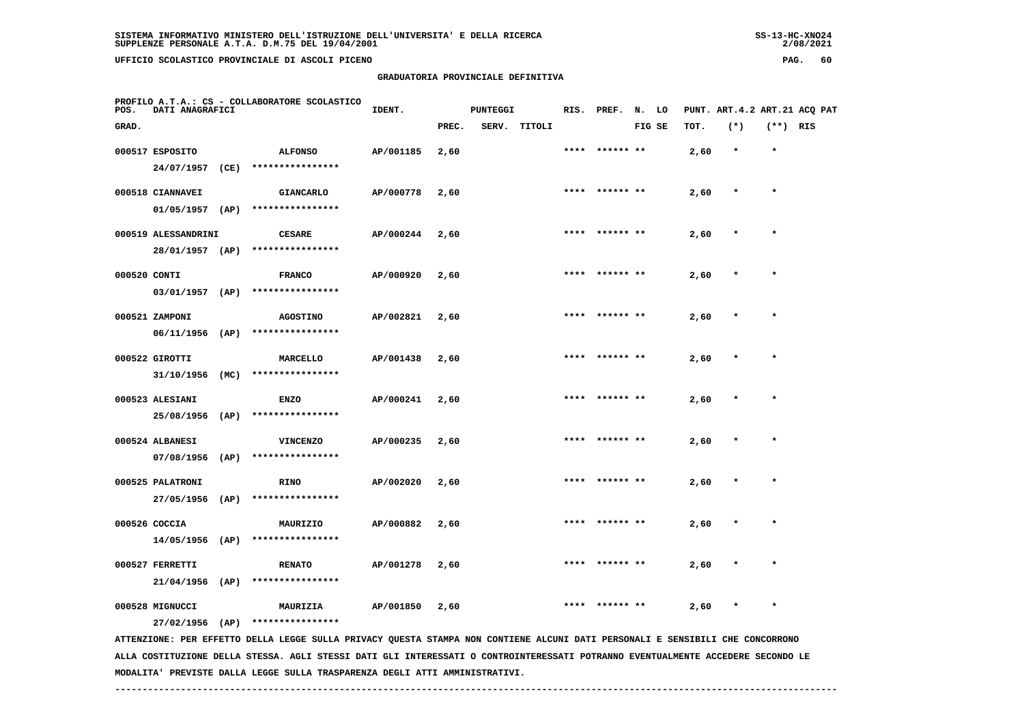## **GRADUATORIA PROVINCIALE DEFINITIVA**

 $2/08/2021$ 

| POS.         | DATI ANAGRAFICI                        |      | PROFILO A.T.A.: CS - COLLABORATORE SCOLASTICO                                                                                 | IDENT.    |       | <b>PUNTEGGI</b> |        |      | RIS. PREF.      | N. LO  |      |        |            | PUNT. ART.4.2 ART.21 ACQ PAT |
|--------------|----------------------------------------|------|-------------------------------------------------------------------------------------------------------------------------------|-----------|-------|-----------------|--------|------|-----------------|--------|------|--------|------------|------------------------------|
| GRAD.        |                                        |      |                                                                                                                               |           | PREC. | SERV.           | TITOLI |      |                 | FIG SE | TOT. | $(*)$  | $(**)$ RIS |                              |
|              | 000517 ESPOSITO<br>24/07/1957          | (CE) | <b>ALFONSO</b><br>****************                                                                                            | AP/001185 | 2,60  |                 |        |      |                 |        | 2,60 |        | $\star$    |                              |
|              | 000518 CIANNAVEI<br>01/05/1957         | (AP) | <b>GIANCARLO</b><br>****************                                                                                          | AP/000778 | 2,60  |                 |        |      |                 |        | 2,60 |        |            |                              |
|              | 000519 ALESSANDRINI<br>28/01/1957 (AP) |      | <b>CESARE</b><br>****************                                                                                             | AP/000244 | 2,60  |                 |        |      | **** ****** **  |        | 2,60 | $\ast$ | $\star$    |                              |
| 000520 CONTI | 03/01/1957 (AP)                        |      | <b>FRANCO</b><br>****************                                                                                             | AP/000920 | 2,60  |                 |        |      |                 |        | 2,60 |        |            |                              |
|              | 000521 ZAMPONI<br>$06/11/1956$ (AP)    |      | <b>AGOSTINO</b><br>****************                                                                                           | AP/002821 | 2,60  |                 |        | **** |                 |        | 2,60 |        |            |                              |
|              | 000522 GIROTTI<br>31/10/1956           | (MC) | MARCELLO<br>****************                                                                                                  | AP/001438 | 2,60  |                 |        | **** | ****** **       |        | 2,60 |        | $\ast$     |                              |
|              | 000523 ALESIANI<br>25/08/1956          | (AP) | <b>ENZO</b><br>****************                                                                                               | AP/000241 | 2,60  |                 |        |      |                 |        | 2,60 |        |            |                              |
|              | 000524 ALBANESI<br>07/08/1956          | (AP) | <b>VINCENZO</b><br>****************                                                                                           | AP/000235 | 2,60  |                 |        |      | ****  ****** ** |        | 2,60 | $\ast$ | $\star$    |                              |
|              | 000525 PALATRONI<br>27/05/1956 (AP)    |      | <b>RINO</b><br>****************                                                                                               | AP/002020 | 2,60  |                 |        |      |                 |        | 2,60 |        |            |                              |
|              | 000526 COCCIA<br>$14/05/1956$ (AP)     |      | MAURIZIO<br>****************                                                                                                  | AP/000882 | 2,60  |                 |        |      |                 |        | 2,60 |        |            |                              |
|              | 000527 FERRETTI<br>$21/04/1956$ (AP)   |      | <b>RENATO</b><br>****************                                                                                             | AP/001278 | 2,60  |                 |        | **** | ****** **       |        | 2,60 |        | $\star$    |                              |
|              | 000528 MIGNUCCI<br>27/02/1956 (AP)     |      | MAURIZIA<br>****************                                                                                                  | AP/001850 | 2,60  |                 |        | **** | ****** **       |        | 2,60 |        |            |                              |
|              |                                        |      | ATTENZIONE: PER EFFETTO DELLA LEGGE SULLA PRIVACY QUESTA STAMPA NON CONTIENE ALCUNI DATI PERSONALI E SENSIBILI CHE CONCORRONO |           |       |                 |        |      |                 |        |      |        |            |                              |

 **ALLA COSTITUZIONE DELLA STESSA. AGLI STESSI DATI GLI INTERESSATI O CONTROINTERESSATI POTRANNO EVENTUALMENTE ACCEDERE SECONDO LE MODALITA' PREVISTE DALLA LEGGE SULLA TRASPARENZA DEGLI ATTI AMMINISTRATIVI.**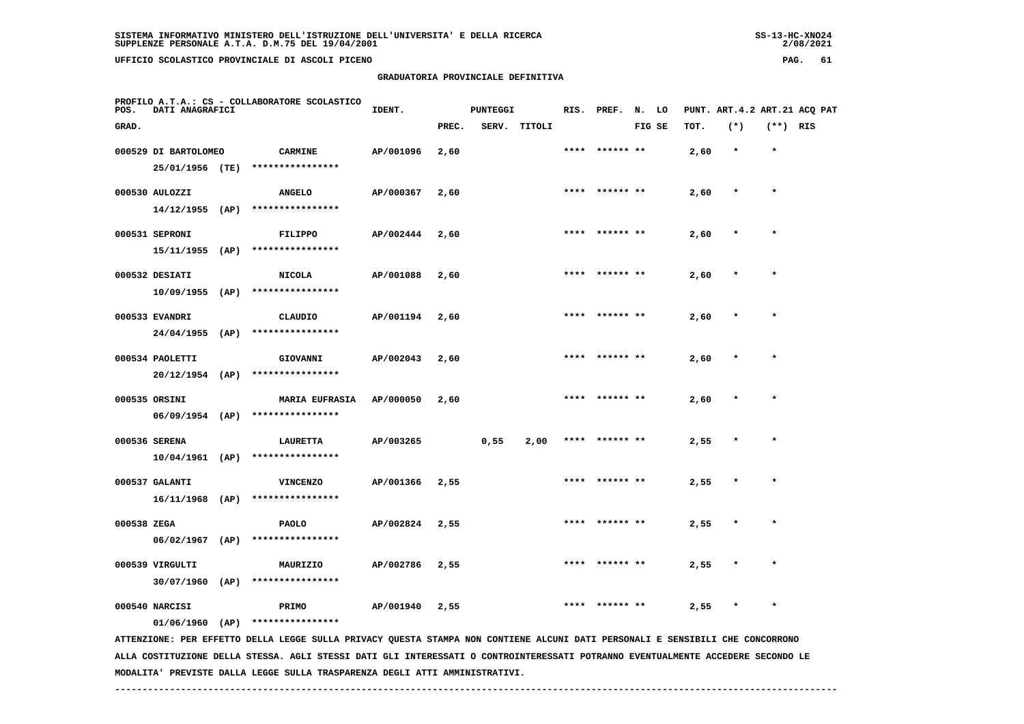**GRADUATORIA PROVINCIALE DEFINITIVA**

| POS.        | DATI ANAGRAFICI      |      | PROFILO A.T.A.: CS - COLLABORATORE SCOLASTICO | IDENT.    |       | <b>PUNTEGGI</b> |        |      | RIS. PREF. N. LO |        |      | PUNT. ART.4.2 ART.21 ACQ PAT |            |  |
|-------------|----------------------|------|-----------------------------------------------|-----------|-------|-----------------|--------|------|------------------|--------|------|------------------------------|------------|--|
| GRAD.       |                      |      |                                               |           | PREC. | SERV.           | TITOLI |      |                  | FIG SE | TOT. | $(*)$                        | $(**)$ RIS |  |
|             | 000529 DI BARTOLOMEO |      | <b>CARMINE</b>                                | AP/001096 | 2,60  |                 |        |      |                  |        | 2,60 | $\star$                      | $\star$    |  |
|             | 25/01/1956 (TE)      |      | ****************                              |           |       |                 |        |      |                  |        |      |                              |            |  |
|             | 000530 AULOZZI       |      | <b>ANGELO</b>                                 | AP/000367 | 2,60  |                 |        |      | **** ****** **   |        | 2,60 | $\star$                      | $\star$    |  |
|             | $14/12/1955$ (AP)    |      | ****************                              |           |       |                 |        |      |                  |        |      |                              |            |  |
|             | 000531 SEPRONI       |      | FILIPPO                                       | AP/002444 | 2,60  |                 |        |      | **** ****** **   |        | 2,60 | $\pmb{\ast}$                 | $\star$    |  |
|             | $15/11/1955$ (AP)    |      | ****************                              |           |       |                 |        |      |                  |        |      |                              |            |  |
|             | 000532 DESIATI       |      | <b>NICOLA</b>                                 | AP/001088 | 2,60  |                 |        | **** | ****** **        |        | 2,60 |                              | $\star$    |  |
|             |                      |      | 10/09/1955 (AP) ****************              |           |       |                 |        |      |                  |        |      |                              |            |  |
|             | 000533 EVANDRI       |      | CLAUDIO                                       | AP/001194 | 2,60  |                 |        | **** |                  |        | 2,60 | $\star$                      | $\star$    |  |
|             | 24/04/1955           | (AP) | ****************                              |           |       |                 |        |      |                  |        |      |                              |            |  |
|             | 000534 PAOLETTI      |      | GIOVANNI                                      | AP/002043 | 2,60  |                 |        |      | **** ****** **   |        | 2,60 | $\ast$                       | $\star$    |  |
|             | $20/12/1954$ (AP)    |      | ****************                              |           |       |                 |        |      |                  |        |      |                              |            |  |
|             | 000535 ORSINI        |      | MARIA EUFRASIA AP/000050                      |           | 2,60  |                 |        |      | **** ****** **   |        | 2,60 | $\star$                      | $\star$    |  |
|             | $06/09/1954$ (AP)    |      | ****************                              |           |       |                 |        |      |                  |        |      |                              |            |  |
|             | 000536 SERENA        |      | <b>LAURETTA</b>                               | AP/003265 |       | 0,55            | 2,00   |      | **** ****** **   |        | 2,55 | $\star$                      | $\star$    |  |
|             | 10/04/1961 (AP)      |      | ****************                              |           |       |                 |        |      |                  |        |      |                              |            |  |
|             | 000537 GALANTI       |      | <b>VINCENZO</b>                               | AP/001366 | 2,55  |                 |        |      | **** ****** **   |        | 2,55 | $\ast$                       | $\star$    |  |
|             | $16/11/1968$ (AP)    |      | ****************                              |           |       |                 |        |      |                  |        |      |                              |            |  |
| 000538 ZEGA |                      |      | <b>PAOLO</b>                                  | AP/002824 | 2,55  |                 |        |      | **** ****** **   |        | 2,55 | $\star$                      | $\star$    |  |
|             | $06/02/1967$ (AP)    |      | ****************                              |           |       |                 |        |      |                  |        |      |                              |            |  |
|             | 000539 VIRGULTI      |      | MAURIZIO                                      | AP/002786 | 2,55  |                 |        |      | **** ****** **   |        | 2,55 | $\star$                      | $\star$    |  |

 **30/07/1960 (AP) \*\*\*\*\*\*\*\*\*\*\*\*\*\*\*\***

000540 NARCISI **PRIMO AP/001940** 2,55 \* \*\*\*\* \*\*\*\*\*\*\* \*\* 2,55 \* \*

 **01/06/1960 (AP) \*\*\*\*\*\*\*\*\*\*\*\*\*\*\*\***

 **ATTENZIONE: PER EFFETTO DELLA LEGGE SULLA PRIVACY QUESTA STAMPA NON CONTIENE ALCUNI DATI PERSONALI E SENSIBILI CHE CONCORRONO ALLA COSTITUZIONE DELLA STESSA. AGLI STESSI DATI GLI INTERESSATI O CONTROINTERESSATI POTRANNO EVENTUALMENTE ACCEDERE SECONDO LE MODALITA' PREVISTE DALLA LEGGE SULLA TRASPARENZA DEGLI ATTI AMMINISTRATIVI.**

 **------------------------------------------------------------------------------------------------------------------------------------**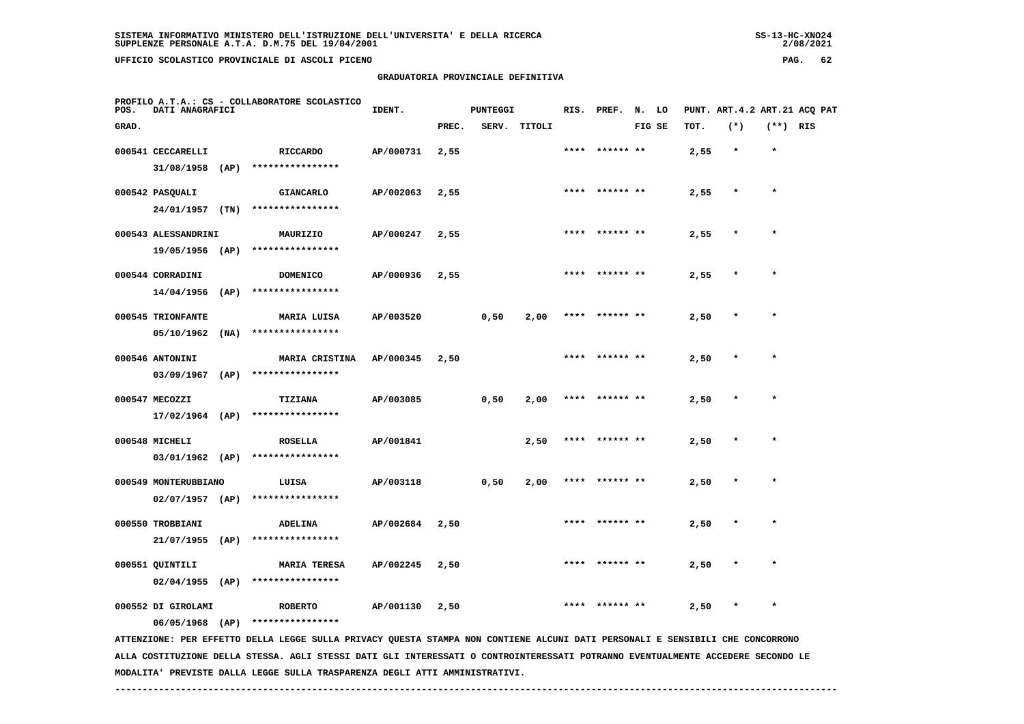**GRADUATORIA PROVINCIALE DEFINITIVA**

|  |                     | DELL'ISTRUZIONE DELL'UNIVERSITA' E DELLA RICERCA |  |  |  |
|--|---------------------|--------------------------------------------------|--|--|--|
|  | M.75 DEL 19/04/2001 |                                                  |  |  |  |
|  |                     |                                                  |  |  |  |

 $2/08/2021$ 

| POS.  | DATI ANAGRAFICI      |      | PROFILO A.T.A.: CS - COLLABORATORE SCOLASTICO                                                                                 | IDENT.    |       | PUNTEGGI |        |      | RIS. PREF. N. LO |        |      |         |            | PUNT. ART.4.2 ART.21 ACQ PAT |
|-------|----------------------|------|-------------------------------------------------------------------------------------------------------------------------------|-----------|-------|----------|--------|------|------------------|--------|------|---------|------------|------------------------------|
| GRAD. |                      |      |                                                                                                                               |           | PREC. | SERV.    | TITOLI |      |                  | FIG SE | TOT. | $(*)$   | $(**)$ RIS |                              |
|       | 000541 CECCARELLI    |      | RICCARDO                                                                                                                      | AP/000731 | 2,55  |          |        | **** | ****** **        |        | 2,55 | $\star$ | $\star$    |                              |
|       | $31/08/1958$ (AP)    |      | ****************                                                                                                              |           |       |          |        |      |                  |        |      |         |            |                              |
|       | 000542 PASQUALI      |      | <b>GIANCARLO</b>                                                                                                              | AP/002063 | 2,55  |          |        |      | **** ****** **   |        | 2,55 | $\star$ | $\star$    |                              |
|       | 24/01/1957 (TN)      |      | ****************                                                                                                              |           |       |          |        |      |                  |        |      |         |            |                              |
|       | 000543 ALESSANDRINI  |      | MAURIZIO                                                                                                                      | AP/000247 | 2,55  |          |        |      | ****  ****** **  |        | 2,55 |         | $\star$    |                              |
|       | 19/05/1956 (AP)      |      | ****************                                                                                                              |           |       |          |        |      |                  |        |      |         |            |                              |
|       | 000544 CORRADINI     |      | <b>DOMENICO</b>                                                                                                               | AP/000936 | 2,55  |          |        |      |                  |        | 2,55 |         |            |                              |
|       | 14/04/1956           | (AP) | ****************                                                                                                              |           |       |          |        |      |                  |        |      |         |            |                              |
|       | 000545 TRIONFANTE    |      | MARIA LUISA                                                                                                                   | AP/003520 |       | 0,50     | 2,00   | **** |                  |        | 2,50 |         |            |                              |
|       | 05/10/1962           | (NA) | ****************                                                                                                              |           |       |          |        |      |                  |        |      |         |            |                              |
|       | 000546 ANTONINI      |      | MARIA CRISTINA                                                                                                                | AP/000345 | 2,50  |          |        |      | **** ****** **   |        | 2,50 |         | $\star$    |                              |
|       | 03/09/1967           | (AP) | ****************                                                                                                              |           |       |          |        |      |                  |        |      |         |            |                              |
|       | 000547 MECOZZI       |      | <b>TIZIANA</b>                                                                                                                | AP/003085 |       | 0,50     | 2,00   |      | **** ****** **   |        | 2,50 |         | $\star$    |                              |
|       | $17/02/1964$ (AP)    |      | ****************                                                                                                              |           |       |          |        |      |                  |        |      |         |            |                              |
|       | 000548 MICHELI       |      | <b>ROSELLA</b>                                                                                                                | AP/001841 |       |          | 2,50   |      | **** ****** **   |        | 2,50 |         |            |                              |
|       | $03/01/1962$ (AP)    |      | ****************                                                                                                              |           |       |          |        |      |                  |        |      |         |            |                              |
|       | 000549 MONTERUBBIANO |      | LUISA                                                                                                                         | AP/003118 |       | 0,50     | 2,00   | **** | ****** **        |        | 2,50 |         | $\star$    |                              |
|       | $02/07/1957$ (AP)    |      | ****************                                                                                                              |           |       |          |        |      |                  |        |      |         |            |                              |
|       | 000550 TROBBIANI     |      | <b>ADELINA</b>                                                                                                                | AP/002684 | 2,50  |          |        |      | ****** **        |        | 2,50 |         |            |                              |
|       | 21/07/1955           | (AP) | ****************                                                                                                              |           |       |          |        |      |                  |        |      |         |            |                              |
|       | 000551 QUINTILI      |      | <b>MARIA TERESA</b>                                                                                                           | AP/002245 | 2,50  |          |        |      |                  |        | 2,50 |         |            |                              |
|       | $02/04/1955$ (AP)    |      | ****************                                                                                                              |           |       |          |        |      |                  |        |      |         |            |                              |
|       | 000552 DI GIROLAMI   |      | <b>ROBERTO</b>                                                                                                                | AP/001130 | 2,50  |          |        | **** |                  |        | 2,50 |         | $\star$    |                              |
|       | $06/05/1968$ (AP)    |      | ****************                                                                                                              |           |       |          |        |      |                  |        |      |         |            |                              |
|       |                      |      | ATTENZIONE: PER EFFETTO DELLA LEGGE SULLA PRIVACY QUESTA STAMPA NON CONTIENE ALCUNI DATI PERSONALI E SENSIBILI CHE CONCORRONO |           |       |          |        |      |                  |        |      |         |            |                              |

 **ALLA COSTITUZIONE DELLA STESSA. AGLI STESSI DATI GLI INTERESSATI O CONTROINTERESSATI POTRANNO EVENTUALMENTE ACCEDERE SECONDO LE MODALITA' PREVISTE DALLA LEGGE SULLA TRASPARENZA DEGLI ATTI AMMINISTRATIVI.**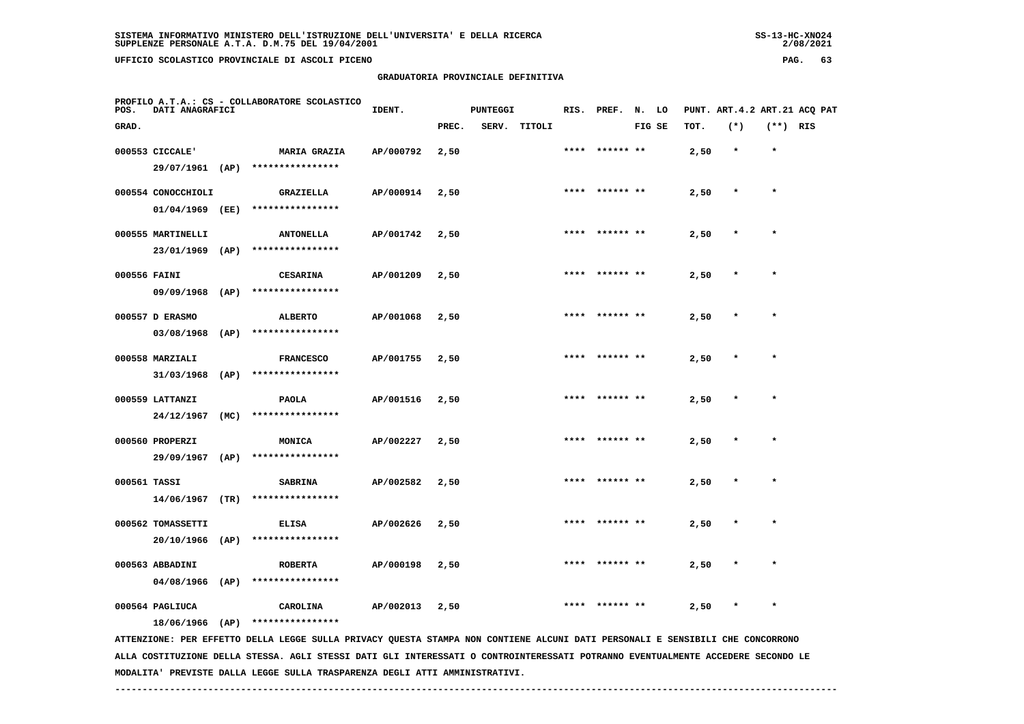## **GRADUATORIA PROVINCIALE DEFINITIVA**

 $2/08/2021$ 

| POS.         | DATI ANAGRAFICI                        |      | PROFILO A.T.A.: CS - COLLABORATORE SCOLASTICO                                                                                 | IDENT.    |       | <b>PUNTEGGI</b> |              |      | RIS. PREF. N. LO |        |      |         |            | PUNT. ART.4.2 ART.21 ACQ PAT |
|--------------|----------------------------------------|------|-------------------------------------------------------------------------------------------------------------------------------|-----------|-------|-----------------|--------------|------|------------------|--------|------|---------|------------|------------------------------|
| GRAD.        |                                        |      |                                                                                                                               |           | PREC. |                 | SERV. TITOLI |      |                  | FIG SE | TOT. | $(*)$   | $(**)$ RIS |                              |
|              | 000553 CICCALE'<br>29/07/1961 (AP)     |      | <b>MARIA GRAZIA</b><br>****************                                                                                       | AP/000792 | 2,50  |                 |              |      |                  |        | 2,50 | $\ast$  | $\star$    |                              |
|              | 000554 CONOCCHIOLI<br>01/04/1969 (EE)  |      | <b>GRAZIELLA</b><br>****************                                                                                          | AP/000914 | 2,50  |                 |              |      | **** ****** **   |        | 2,50 | $\star$ | $\star$    |                              |
|              | 000555 MARTINELLI<br>23/01/1969 (AP)   |      | <b>ANTONELLA</b><br>****************                                                                                          | AP/001742 | 2,50  |                 |              |      | **** ****** **   |        | 2,50 | $\star$ | $\star$    |                              |
| 000556 FAINI | 09/09/1968 (AP)                        |      | <b>CESARINA</b><br>****************                                                                                           | AP/001209 | 2,50  |                 |              |      | ****  ****** **  |        | 2,50 |         | $\star$    |                              |
|              | 000557 D ERASMO<br>03/08/1968          | (AP) | ALBERTO<br>****************                                                                                                   | AP/001068 | 2,50  |                 |              | **** |                  |        | 2,50 |         |            |                              |
|              | 000558 MARZIALI<br>31/03/1968          | (AP) | <b>FRANCESCO</b><br>****************                                                                                          | AP/001755 | 2,50  |                 |              | **** |                  |        | 2,50 |         | $\star$    |                              |
|              | 000559 LATTANZI<br>24/12/1967 (MC)     |      | PAOLA<br>****************                                                                                                     | AP/001516 | 2,50  |                 |              |      | **** ****** **   |        | 2,50 |         | $\star$    |                              |
|              | 000560 PROPERZI<br>29/09/1967 (AP)     |      | MONICA<br>****************                                                                                                    | AP/002227 | 2,50  |                 |              |      | **** ****** **   |        | 2,50 |         | $\star$    |                              |
| 000561 TASSI | $14/06/1967$ (TR)                      |      | <b>SABRINA</b><br>****************                                                                                            | AP/002582 | 2,50  |                 |              |      | **** ****** **   |        | 2,50 |         | $\star$    |                              |
|              | 000562 TOMASSETTI<br>$20/10/1966$ (AP) |      | <b>ELISA</b><br>****************                                                                                              | AP/002626 | 2,50  |                 |              |      |                  |        | 2,50 |         |            |                              |
|              | 000563 ABBADINI<br>$04/08/1966$ (AP)   |      | <b>ROBERTA</b><br>****************                                                                                            | AP/000198 | 2,50  |                 |              |      |                  |        | 2,50 |         |            |                              |
|              | 000564 PAGLIUCA<br>18/06/1966 (AP)     |      | CAROLINA<br>****************                                                                                                  | AP/002013 | 2,50  |                 |              |      |                  |        | 2,50 |         |            |                              |
|              |                                        |      | ATTENZIONE: PER EFFETTO DELLA LEGGE SULLA PRIVACY QUESTA STAMPA NON CONTIENE ALCUNI DATI PERSONALI E SENSIBILI CHE CONCORRONO |           |       |                 |              |      |                  |        |      |         |            |                              |

 **ALLA COSTITUZIONE DELLA STESSA. AGLI STESSI DATI GLI INTERESSATI O CONTROINTERESSATI POTRANNO EVENTUALMENTE ACCEDERE SECONDO LE MODALITA' PREVISTE DALLA LEGGE SULLA TRASPARENZA DEGLI ATTI AMMINISTRATIVI.**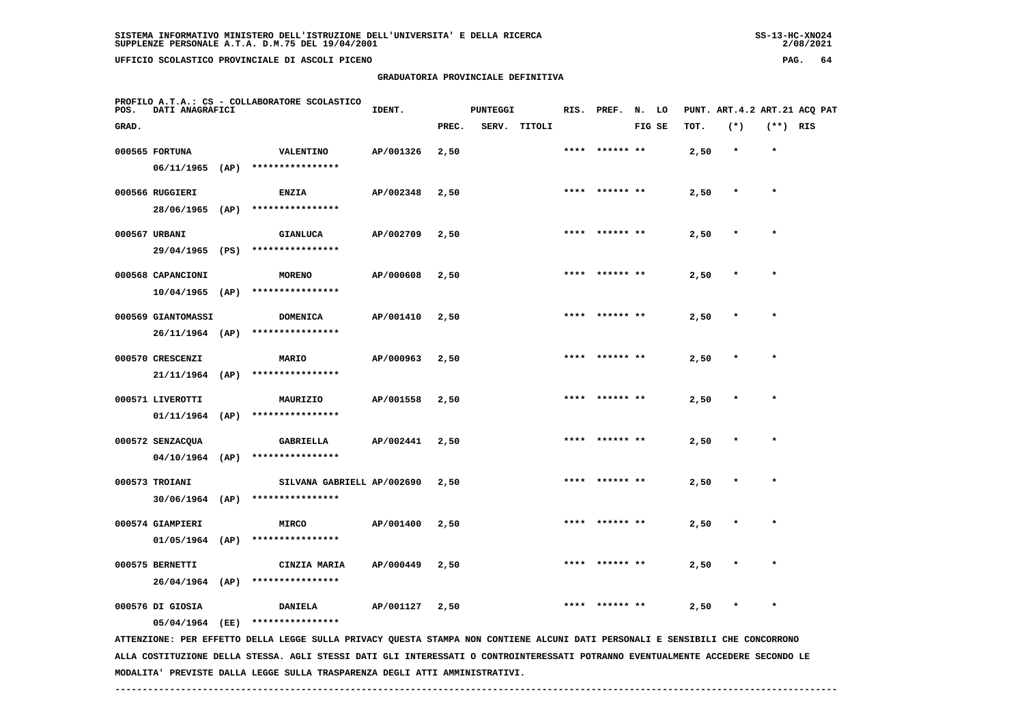**PROFILO A.T.A.: CS - COLLABORATORE SCOLASTICO**

 **GRADUATORIA PROVINCIALE DEFINITIVA**

| POS.  | DATI ANAGRAFICI                         |                                                                | IDENT.    |       | <b>PUNTEGGI</b> |              |      |                | RIS. PREF. N. LO |      |         |            | PUNT. ART.4.2 ART.21 ACQ PAT |
|-------|-----------------------------------------|----------------------------------------------------------------|-----------|-------|-----------------|--------------|------|----------------|------------------|------|---------|------------|------------------------------|
| GRAD. |                                         |                                                                |           | PREC. |                 | SERV. TITOLI |      |                | FIG SE           | TOT. | $(*)$   | $(**)$ RIS |                              |
|       | 000565 FORTUNA                          | <b>VALENTINO</b><br>06/11/1965 (AP) ****************           | AP/001326 | 2,50  |                 |              |      | **** ****** ** |                  | 2,50 | $\star$ | $\star$    |                              |
|       | 000566 RUGGIERI<br>28/06/1965 (AP)      | <b>ENZIA</b><br>****************                               | AP/002348 | 2,50  |                 |              |      | **** ****** ** |                  | 2,50 | $\star$ | $\star$    |                              |
|       | 000567 URBANI<br>29/04/1965 (PS)        | <b>GIANLUCA</b><br>****************                            | AP/002709 | 2,50  |                 |              |      | **** ****** ** |                  | 2,50 | $\star$ | $\star$    |                              |
|       | 000568 CAPANCIONI                       | <b>MORENO</b><br>****************                              | AP/000608 | 2,50  |                 |              |      | **** ****** ** |                  | 2,50 | $\star$ | $\star$    |                              |
|       | $10/04/1965$ (AP)<br>000569 GIANTOMASSI | DOMENICA                                                       | AP/001410 | 2,50  |                 |              |      | **** ****** ** |                  | 2,50 | $\star$ | $\star$    |                              |
|       | 000570 CRESCENZI                        | 26/11/1964 (AP) ****************<br>MARIO                      | AP/000963 | 2,50  |                 |              |      | **** ****** ** |                  | 2,50 | $\star$ | $\star$    |                              |
|       | 000571 LIVEROTTI                        | 21/11/1964 (AP) ****************<br>MAURIZIO                   | AP/001558 | 2,50  |                 |              |      | **** ****** ** |                  | 2,50 | $\star$ | $\star$    |                              |
|       | 000572 SENZACQUA                        | $01/11/1964$ (AP) ****************<br>GABRIELLA                | AP/002441 | 2,50  |                 |              |      | **** ****** ** |                  | 2,50 | $\star$ | $\star$    |                              |
|       | 000573 TROIANI                          | 04/10/1964 (AP) ****************<br>SILVANA GABRIELL AP/002690 |           | 2,50  |                 |              |      | **** ****** ** |                  | 2,50 | $\star$ | $\star$    |                              |
|       |                                         | 30/06/1964 (AP) ****************                               |           |       |                 |              |      |                |                  |      |         |            |                              |
|       | 000574 GIAMPIERI<br>01/05/1964 (AP)     | <b>MIRCO</b><br>****************                               | AP/001400 | 2,50  |                 |              | **** |                |                  | 2,50 | $\star$ | $\star$    |                              |
|       | 000575 BERNETTI<br>26/04/1964 (AP)      | CINZIA MARIA<br>****************                               | AP/000449 | 2,50  |                 |              | **** |                |                  | 2,50 | $\star$ | $\star$    |                              |
|       | 000576 DI GIOSIA<br>05/04/1964 (EE)     | <b>DANIELA</b><br>****************                             | AP/001127 | 2,50  |                 |              | **** | ****** **      |                  | 2,50 | $\star$ | $\star$    |                              |

 **ATTENZIONE: PER EFFETTO DELLA LEGGE SULLA PRIVACY QUESTA STAMPA NON CONTIENE ALCUNI DATI PERSONALI E SENSIBILI CHE CONCORRONO ALLA COSTITUZIONE DELLA STESSA. AGLI STESSI DATI GLI INTERESSATI O CONTROINTERESSATI POTRANNO EVENTUALMENTE ACCEDERE SECONDO LE MODALITA' PREVISTE DALLA LEGGE SULLA TRASPARENZA DEGLI ATTI AMMINISTRATIVI.**

 **------------------------------------------------------------------------------------------------------------------------------------**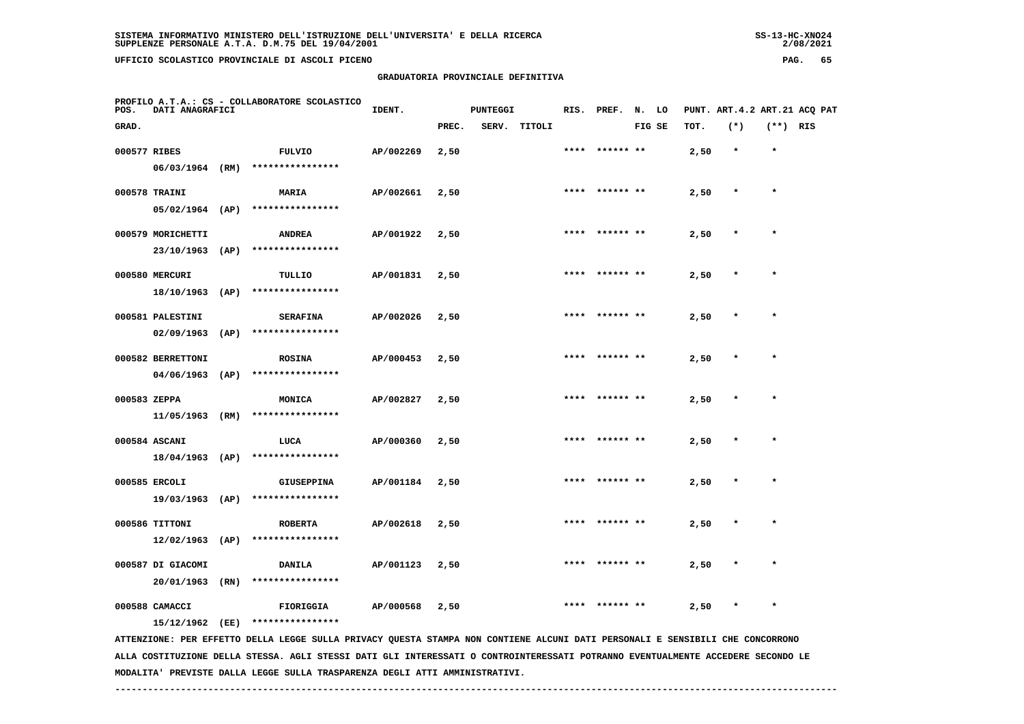**PROFILO A.T.A.: CS - COLLABORATORE SCOLASTICO**

 **GRADUATORIA PROVINCIALE DEFINITIVA**

| POS.         | DATI ANAGRAFICI                  |                                                       | IDENT.    |       | <b>PUNTEGGI</b> |              |      | RIS. PREF.      | N. LO  |      | PUNT. ART.4.2 ART.21 ACQ PAT |            |  |
|--------------|----------------------------------|-------------------------------------------------------|-----------|-------|-----------------|--------------|------|-----------------|--------|------|------------------------------|------------|--|
| GRAD.        |                                  |                                                       |           | PREC. |                 | SERV. TITOLI |      |                 | FIG SE | TOT. | $(*)$                        | $(**)$ RIS |  |
| 000577 RIBES |                                  | FULVIO                                                | AP/002269 | 2,50  |                 |              |      | **** ****** **  |        | 2,50 | $\star$                      | $\star$    |  |
|              | 06/03/1964 (RM)                  | ****************                                      |           |       |                 |              |      |                 |        |      |                              |            |  |
|              | 000578 TRAINI                    | <b>MARIA</b>                                          | AP/002661 | 2,50  |                 |              | **** |                 |        | 2,50 | $\star$                      | $\star$    |  |
|              |                                  | 05/02/1964 (AP) ****************                      |           |       |                 |              |      |                 |        |      |                              |            |  |
|              | 000579 MORICHETTI                | <b>ANDREA</b>                                         | AP/001922 | 2,50  |                 |              |      | **** ****** **  |        | 2,50 | $\star$                      | $\star$    |  |
|              | 23/10/1963 (AP)                  | ****************                                      |           |       |                 |              |      |                 |        |      |                              |            |  |
|              | 000580 MERCURI                   | TULLIO                                                | AP/001831 | 2,50  |                 |              |      | ****  ****** ** |        | 2,50 | $\star$                      | $\star$    |  |
|              | 18/10/1963 (AP)                  | ****************                                      |           |       |                 |              |      |                 |        |      |                              |            |  |
|              | 000581 PALESTINI                 | <b>SERAFINA</b>                                       | AP/002026 | 2,50  |                 |              |      | **** ****** **  |        | 2,50 | $\star$                      | $\star$    |  |
|              | 02/09/1963 (AP)                  | ****************                                      |           |       |                 |              |      |                 |        |      |                              |            |  |
|              | 000582 BERRETTONI                | <b>ROSINA</b>                                         | AP/000453 | 2,50  |                 |              |      | **** ****** **  |        | 2,50 | $\star$                      | $\star$    |  |
|              | $04/06/1963$ (AP)                | ****************                                      |           |       |                 |              |      |                 |        |      |                              |            |  |
| 000583 ZEPPA |                                  | <b>MONICA</b>                                         | AP/002827 | 2,50  |                 |              |      | **** ****** **  |        | 2,50 | $\star$                      | $\star$    |  |
|              |                                  | 11/05/1963 (RM) ****************                      |           |       |                 |              |      |                 |        |      |                              |            |  |
|              |                                  |                                                       |           |       |                 |              |      | **** ****** **  |        |      | $\star$                      | $\star$    |  |
|              | 000584 ASCANI<br>18/04/1963 (AP) | LUCA<br>****************                              | AP/000360 | 2,50  |                 |              |      |                 |        | 2,50 |                              |            |  |
|              |                                  |                                                       |           |       |                 |              |      |                 |        |      |                              |            |  |
|              | 000585 ERCOLI                    | <b>GIUSEPPINA</b><br>19/03/1963 (AP) **************** | AP/001184 | 2,50  |                 |              |      | **** ****** **  |        | 2,50 | $\star$                      | $\star$    |  |
|              |                                  |                                                       |           |       |                 |              |      |                 |        |      |                              |            |  |
|              | 000586 TITTONI                   | <b>ROBERTA</b>                                        | AP/002618 | 2,50  |                 |              |      | **** ****** **  |        | 2,50 | $\star$                      | $\star$    |  |
|              | $12/02/1963$ (AP)                | ****************                                      |           |       |                 |              |      |                 |        |      |                              |            |  |

 **20/01/1963 (RN) \*\*\*\*\*\*\*\*\*\*\*\*\*\*\*\***

000588 CAMACCI **12.50** FIORIGGIA **AP/000568** 2,50 \* \*\*\*\* \*\*\*\*\*\*\*\* \* \* 2,50 \* \*

 **000587 DI GIACOMI DANILA AP/001123 2,50 \*\*\*\* \*\*\*\*\*\* \*\* 2,50 \* \***

 **15/12/1962 (EE) \*\*\*\*\*\*\*\*\*\*\*\*\*\*\*\***

 **ATTENZIONE: PER EFFETTO DELLA LEGGE SULLA PRIVACY QUESTA STAMPA NON CONTIENE ALCUNI DATI PERSONALI E SENSIBILI CHE CONCORRONO ALLA COSTITUZIONE DELLA STESSA. AGLI STESSI DATI GLI INTERESSATI O CONTROINTERESSATI POTRANNO EVENTUALMENTE ACCEDERE SECONDO LE MODALITA' PREVISTE DALLA LEGGE SULLA TRASPARENZA DEGLI ATTI AMMINISTRATIVI.**

 **------------------------------------------------------------------------------------------------------------------------------------**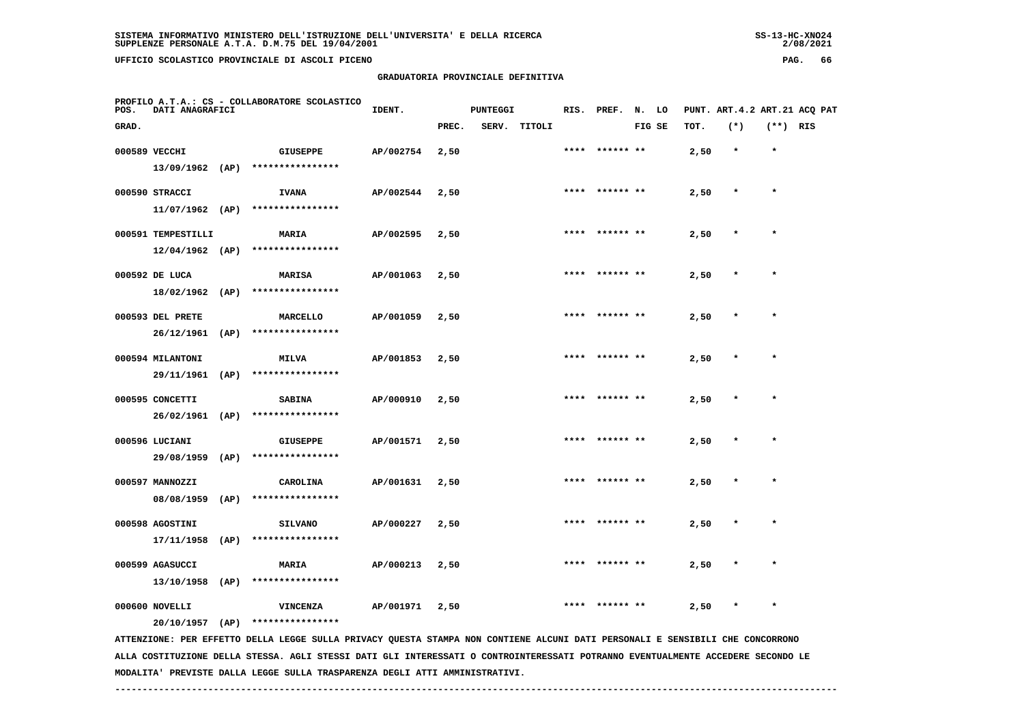**GRADUATORIA PROVINCIALE DEFINITIVA**

| POS.          | DATI ANAGRAFICI    | PROFILO A.T.A.: CS - COLLABORATORE SCOLASTICO | IDENT.           |           | <b>PUNTEGGI</b> |  |              | RIS. PREF. N. LO |        | PUNT. ART.4.2 ART.21 ACQ PAT |         |            |  |
|---------------|--------------------|-----------------------------------------------|------------------|-----------|-----------------|--|--------------|------------------|--------|------------------------------|---------|------------|--|
| GRAD.         |                    |                                               |                  |           | PREC.           |  | SERV. TITOLI |                  | FIG SE | TOT.                         | $(*)$   | $(**)$ RIS |  |
| 000589 VECCHI |                    |                                               | <b>GIUSEPPE</b>  | AP/002754 | 2,50            |  |              | **** ****** **   |        | 2,50                         | $\star$ | $\star$    |  |
|               | 13/09/1962         | (AP)                                          | **************** |           |                 |  |              |                  |        |                              |         |            |  |
|               | 000590 STRACCI     |                                               | <b>IVANA</b>     | AP/002544 | 2,50            |  |              | **** ****** **   |        | 2,50                         | $\star$ | $\star$    |  |
|               | $11/07/1962$ (AP)  |                                               | **************** |           |                 |  |              |                  |        |                              |         |            |  |
|               | 000591 TEMPESTILLI |                                               | <b>MARIA</b>     | AP/002595 | 2,50            |  |              | **** ****** **   |        | 2,50                         | $\star$ | $\star$    |  |
|               | $12/04/1962$ (AP)  |                                               | **************** |           |                 |  |              |                  |        |                              |         |            |  |
|               | 000592 DE LUCA     |                                               | <b>MARISA</b>    | AP/001063 | 2,50            |  |              | **** ****** **   |        | 2,50                         | $\star$ | $\star$    |  |
|               | 18/02/1962         | (AP)                                          | **************** |           |                 |  |              |                  |        |                              |         |            |  |
|               | 000593 DEL PRETE   |                                               | MARCELLO         | AP/001059 | 2,50            |  |              | **** ****** **   |        | 2,50                         | $\star$ | $\star$    |  |
|               | 26/12/1961         | (AP)                                          | **************** |           |                 |  |              |                  |        |                              |         |            |  |
|               | 000594 MILANTONI   |                                               | <b>MILVA</b>     | AP/001853 | 2,50            |  |              | **** ****** **   |        | 2,50                         | $\star$ | $\star$    |  |
|               | 29/11/1961         | (AP)                                          | **************** |           |                 |  |              |                  |        |                              |         |            |  |
|               | 000595 CONCETTI    |                                               | <b>SABINA</b>    | AP/000910 | 2,50            |  |              | **** ****** **   |        | 2,50                         | $\star$ | $\star$    |  |

 **26/02/1961 (AP) \*\*\*\*\*\*\*\*\*\*\*\*\*\*\*\* 000596 LUCIANI GIUSEPPE AP/001571 2,50 \*\*\*\* \*\*\*\*\*\* \*\* 2,50 \* \***

 **29/08/1959 (AP) \*\*\*\*\*\*\*\*\*\*\*\*\*\*\*\* 000597 MANNOZZI CAROLINA AP/001631 2,50 \*\*\*\* \*\*\*\*\*\* \*\* 2,50 \* \* 08/08/1959 (AP) \*\*\*\*\*\*\*\*\*\*\*\*\*\*\*\* 000598 AGOSTINI SILVANO AP/000227 2,50 \*\*\*\* \*\*\*\*\*\* \*\* 2,50 \* \* 17/11/1958 (AP) \*\*\*\*\*\*\*\*\*\*\*\*\*\*\*\* 000599 AGASUCCI MARIA AP/000213 2,50 \*\*\*\* \*\*\*\*\*\* \*\* 2,50 \* \***

 **13/10/1958 (AP) \*\*\*\*\*\*\*\*\*\*\*\*\*\*\*\***

 **000600 NOVELLI VINCENZA AP/001971 2,50 \*\*\*\* \*\*\*\*\*\* \*\* 2,50 \* \***

 **20/10/1957 (AP) \*\*\*\*\*\*\*\*\*\*\*\*\*\*\*\***

 **ATTENZIONE: PER EFFETTO DELLA LEGGE SULLA PRIVACY QUESTA STAMPA NON CONTIENE ALCUNI DATI PERSONALI E SENSIBILI CHE CONCORRONO ALLA COSTITUZIONE DELLA STESSA. AGLI STESSI DATI GLI INTERESSATI O CONTROINTERESSATI POTRANNO EVENTUALMENTE ACCEDERE SECONDO LE MODALITA' PREVISTE DALLA LEGGE SULLA TRASPARENZA DEGLI ATTI AMMINISTRATIVI.**

 **------------------------------------------------------------------------------------------------------------------------------------**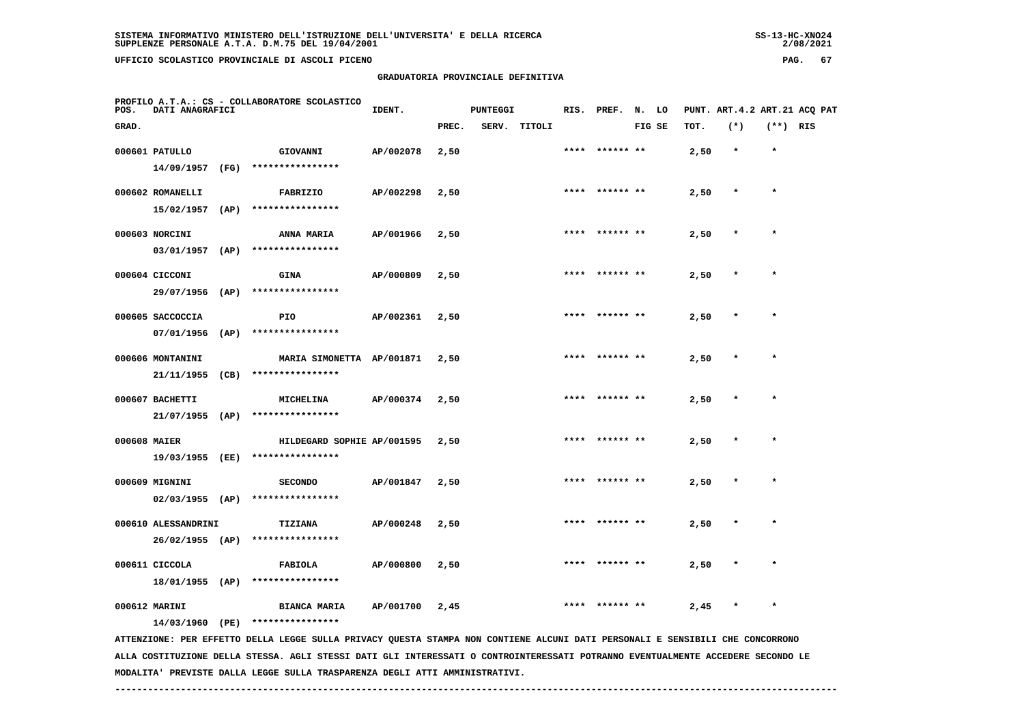**GRADUATORIA PROVINCIALE DEFINITIVA**

| POS.         | DATI ANAGRAFICI              |      | PROFILO A.T.A.: CS - COLLABORATORE SCOLASTICO | IDENT.    |       | <b>PUNTEGGI</b> |        |      | RIS. PREF.     | N. LO  |      | PUNT. ART. 4.2 ART. 21 ACQ PAT |            |  |
|--------------|------------------------------|------|-----------------------------------------------|-----------|-------|-----------------|--------|------|----------------|--------|------|--------------------------------|------------|--|
| GRAD.        |                              |      |                                               |           | PREC. | SERV.           | TITOLI |      |                | FIG SE | TOT. | $(*)$                          | $(**)$ RIS |  |
|              | 000601 PATULLO               |      | GIOVANNI                                      | AP/002078 | 2,50  |                 |        | **** | ****** **      |        | 2,50 | $\star$                        | $\star$    |  |
|              | 14/09/1957                   | (FG) | ****************                              |           |       |                 |        |      |                |        |      |                                |            |  |
|              | 000602 ROMANELLI             |      | FABRIZIO                                      | AP/002298 | 2,50  |                 |        |      | **** ****** ** |        | 2,50 |                                | $\star$    |  |
|              | 15/02/1957                   | (AP) | ****************                              |           |       |                 |        |      |                |        |      |                                |            |  |
|              | 000603 NORCINI               |      | <b>ANNA MARIA</b>                             | AP/001966 | 2,50  |                 |        |      | **** ****** ** |        | 2,50 |                                | $\star$    |  |
|              | 03/01/1957                   | (AP) | ****************                              |           |       |                 |        |      |                |        |      |                                |            |  |
|              |                              |      |                                               |           |       |                 |        |      |                |        |      |                                |            |  |
|              | 000604 CICCONI<br>29/07/1956 | (AP) | GINA<br>****************                      | AP/000809 | 2,50  |                 |        |      | **** ****** ** |        | 2,50 |                                | $\star$    |  |
|              |                              |      |                                               |           |       |                 |        |      |                |        |      |                                |            |  |
|              | 000605 SACCOCCIA             |      | <b>PIO</b><br>****************                | AP/002361 | 2,50  |                 |        |      | **** ****** ** |        | 2,50 |                                | $\star$    |  |
|              | 07/01/1956                   | (AP) |                                               |           |       |                 |        |      |                |        |      |                                |            |  |
|              | 000606 MONTANINI             |      | MARIA SIMONETTA AP/001871                     |           | 2,50  |                 |        |      | **** ****** ** |        | 2,50 |                                | $\star$    |  |
|              | 21/11/1955                   | (CB) | ****************                              |           |       |                 |        |      |                |        |      |                                |            |  |
|              | 000607 BACHETTI              |      | <b>MICHELINA</b>                              | AP/000374 | 2,50  |                 |        |      | **** ****** ** |        | 2,50 |                                | $\star$    |  |
|              | $21/07/1955$ (AP)            |      | ****************                              |           |       |                 |        |      |                |        |      |                                |            |  |
| 000608 MAIER |                              |      | HILDEGARD SOPHIE AP/001595                    |           | 2,50  |                 |        |      | **** ****** ** |        | 2,50 |                                | $\star$    |  |
|              | 19/03/1955 (EE)              |      | ****************                              |           |       |                 |        |      |                |        |      |                                |            |  |
|              | 000609 MIGNINI               |      | <b>SECONDO</b>                                | AP/001847 | 2,50  |                 |        |      |                |        | 2,50 |                                |            |  |
|              | $02/03/1955$ (AP)            |      | ****************                              |           |       |                 |        |      |                |        |      |                                |            |  |
|              | 000610 ALESSANDRINI          |      | <b>TIZIANA</b>                                | AP/000248 | 2,50  |                 |        |      |                |        | 2,50 |                                |            |  |
|              | 26/02/1955 (AP)              |      | ****************                              |           |       |                 |        |      |                |        |      |                                |            |  |
|              | 000611 CICCOLA               |      | FABIOLA                                       | AP/000800 | 2,50  |                 |        |      |                |        | 2,50 |                                |            |  |
|              | 18/01/1955 (AP)              |      | ****************                              |           |       |                 |        |      |                |        |      |                                |            |  |
|              | 000612 MARINI                |      | <b>BIANCA MARIA</b>                           | AP/001700 | 2,45  |                 |        | **** | ****** **      |        | 2,45 |                                | $\star$    |  |
|              |                              |      |                                               |           |       |                 |        |      |                |        |      |                                |            |  |

 **14/03/1960 (PE) \*\*\*\*\*\*\*\*\*\*\*\*\*\*\*\***

 **ATTENZIONE: PER EFFETTO DELLA LEGGE SULLA PRIVACY QUESTA STAMPA NON CONTIENE ALCUNI DATI PERSONALI E SENSIBILI CHE CONCORRONO ALLA COSTITUZIONE DELLA STESSA. AGLI STESSI DATI GLI INTERESSATI O CONTROINTERESSATI POTRANNO EVENTUALMENTE ACCEDERE SECONDO LE MODALITA' PREVISTE DALLA LEGGE SULLA TRASPARENZA DEGLI ATTI AMMINISTRATIVI.**

 **------------------------------------------------------------------------------------------------------------------------------------**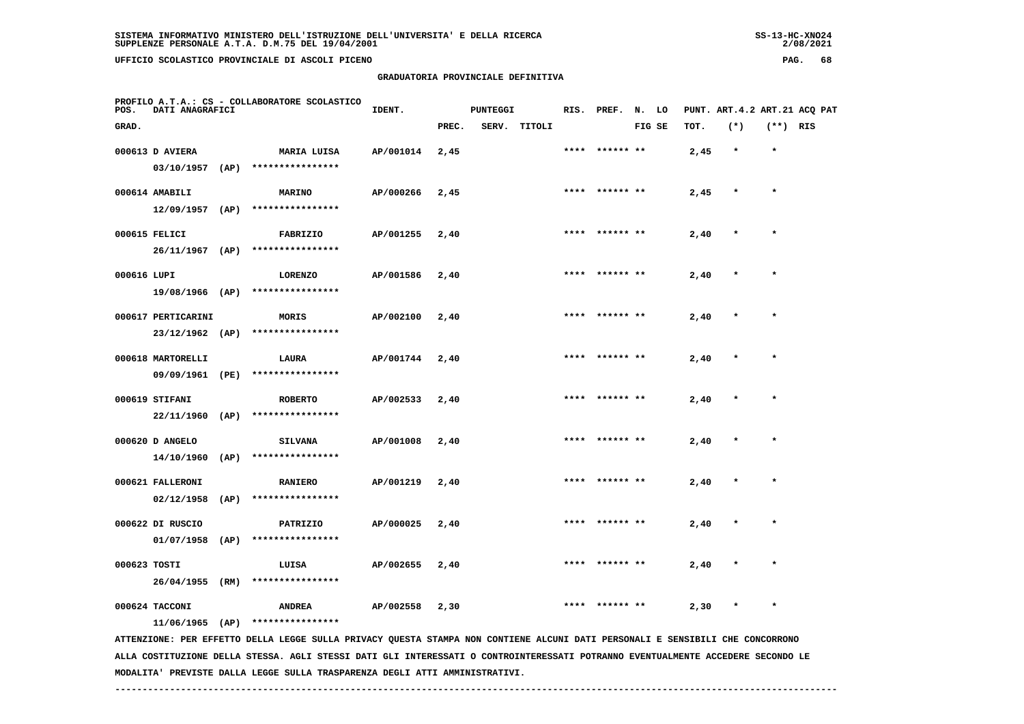**GRADUATORIA PROVINCIALE DEFINITIVA**

| SISTEMA INFORMATIVO MINISTERO DELL'ISTRUZIONE DELL'UNIVERSITA' E DELLA RICERCA | $SS-13-HC-XNO24$ |
|--------------------------------------------------------------------------------|------------------|
| SUPPLENZE PERSONALE A.T.A. D.M.75 DEL 19/04/2001                               | 2/08/2021        |

2/08/2021

 **PROFILO A.T.A.: CS - COLLABORATORE SCOLASTICO POS. DATI ANAGRAFICI IDENT. PUNTEGGI RIS. PREF. N. LO PUNT. ART.4.2 ART.21 ACQ PAT GRAD. PREC. SERV. TITOLI FIG SE TOT. (\*) (\*\*) RIS 000613 D AVIERA MARIA LUISA AP/001014 2,45 \*\*\*\* \*\*\*\*\*\* \*\* 2,45 \* \* 03/10/1957 (AP) \*\*\*\*\*\*\*\*\*\*\*\*\*\*\*\* 000614 AMABILI MARINO AP/000266 2,45 \*\*\*\* \*\*\*\*\*\* \*\* 2,45 \* \* 12/09/1957 (AP) \*\*\*\*\*\*\*\*\*\*\*\*\*\*\*\* 000615 FELICI FABRIZIO AP/001255 2,40 \*\*\*\* \*\*\*\*\*\* \*\* 2,40 \* \* 26/11/1967 (AP) \*\*\*\*\*\*\*\*\*\*\*\*\*\*\*\* 000616 LUPI LORENZO AP/001586 2,40 \*\*\*\* \*\*\*\*\*\* \*\* 2,40 \* \* 19/08/1966 (AP) \*\*\*\*\*\*\*\*\*\*\*\*\*\*\*\* 000617 PERTICARINI MORIS AP/002100 2,40 \*\*\*\* \*\*\*\*\*\* \*\* 2,40 \* \* 23/12/1962 (AP) \*\*\*\*\*\*\*\*\*\*\*\*\*\*\*\* 000618 MARTORELLI LAURA AP/001744 2,40 \*\*\*\* \*\*\*\*\*\* \*\* 2,40 \* \* 09/09/1961 (PE) \*\*\*\*\*\*\*\*\*\*\*\*\*\*\*\* 000619 STIFANI ROBERTO AP/002533 2,40 \*\*\*\* \*\*\*\*\*\* \*\* 2,40 \* \* 22/11/1960 (AP) \*\*\*\*\*\*\*\*\*\*\*\*\*\*\*\* 000620 D ANGELO SILVANA AP/001008 2,40 \*\*\*\* \*\*\*\*\*\* \*\* 2,40 \* \* 14/10/1960 (AP) \*\*\*\*\*\*\*\*\*\*\*\*\*\*\*\* 000621 FALLERONI RANIERO AP/001219 2,40 \*\*\*\* \*\*\*\*\*\* \*\* 2,40 \* \* 02/12/1958 (AP) \*\*\*\*\*\*\*\*\*\*\*\*\*\*\*\* 000622 DI RUSCIO PATRIZIO AP/000025 2,40 \*\*\*\* \*\*\*\*\*\* \*\* 2,40 \* \* 01/07/1958 (AP) \*\*\*\*\*\*\*\*\*\*\*\*\*\*\*\* 000623 TOSTI LUISA AP/002655 2,40 \*\*\*\* \*\*\*\*\*\* \*\* 2,40 \* \* 26/04/1955 (RM) \*\*\*\*\*\*\*\*\*\*\*\*\*\*\*\* 000624 TACCONI ANDREA AP/002558 2,30 \*\*\*\* \*\*\*\*\*\* \*\* 2,30 \* \* 11/06/1965 (AP) \*\*\*\*\*\*\*\*\*\*\*\*\*\*\*\* ATTENZIONE: PER EFFETTO DELLA LEGGE SULLA PRIVACY QUESTA STAMPA NON CONTIENE ALCUNI DATI PERSONALI E SENSIBILI CHE CONCORRONO**

 **ALLA COSTITUZIONE DELLA STESSA. AGLI STESSI DATI GLI INTERESSATI O CONTROINTERESSATI POTRANNO EVENTUALMENTE ACCEDERE SECONDO LE MODALITA' PREVISTE DALLA LEGGE SULLA TRASPARENZA DEGLI ATTI AMMINISTRATIVI.**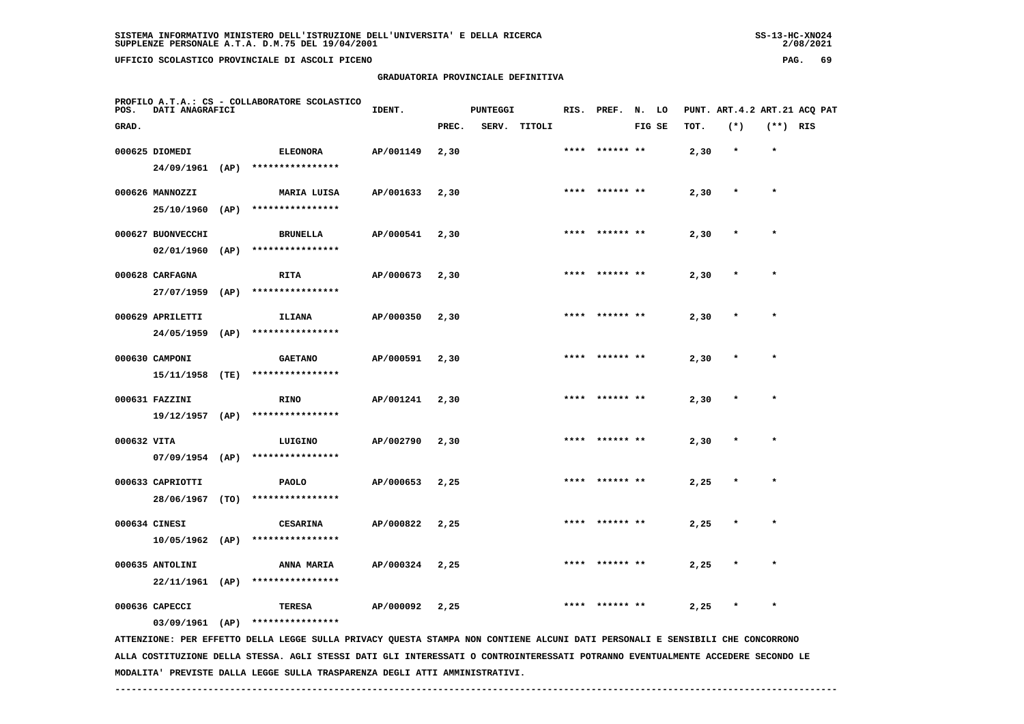| UFFICIO SCOLASTICO PROVINCIALE DI ASCOLI PICENO                          |        |                                    |                  |  |                              | PAG. | -69 |
|--------------------------------------------------------------------------|--------|------------------------------------|------------------|--|------------------------------|------|-----|
|                                                                          |        | GRADUATORIA PROVINCIALE DEFINITIVA |                  |  |                              |      |     |
| PROFILO A.T.A.: CS - COLLABORATORE SCOLASTICO<br>POS.<br>DATI ANAGRAFICI | IDENT. | PUNTEGGI                           | RIS. PREF. N. LO |  | PUNT. ART.4.2 ART.21 ACO PAT |      |     |

| GRAD.             |      |                                   |           | PREC. | SERV. | TITOLI |      |                | FIG SE | TOT. | $(*)$   | $(**)$ RIS |  |
|-------------------|------|-----------------------------------|-----------|-------|-------|--------|------|----------------|--------|------|---------|------------|--|
| 000625 DIOMEDI    |      | <b>ELEONORA</b>                   | AP/001149 | 2,30  |       |        |      |                |        | 2,30 | $\star$ | $\star$    |  |
| 24/09/1961        | (AP) | ****************                  |           |       |       |        |      |                |        |      |         |            |  |
| 000626 MANNOZZI   |      | <b>MARIA LUISA</b>                | AP/001633 | 2,30  |       |        |      | **** ****** ** |        | 2,30 |         | $\star$    |  |
| 25/10/1960        | (AP) | ****************                  |           |       |       |        |      |                |        |      |         |            |  |
| 000627 BUONVECCHI |      | <b>BRUNELLA</b>                   | AP/000541 | 2,30  |       |        |      | **** ****** ** |        | 2,30 |         | $\star$    |  |
| 02/01/1960        | (AP) | ****************                  |           |       |       |        |      |                |        |      |         |            |  |
| 000628 CARFAGNA   |      | <b>RITA</b>                       | AP/000673 | 2,30  |       |        |      | **** ****** ** |        | 2,30 | $\star$ | $\star$    |  |
| 27/07/1959        | (AP) | ****************                  |           |       |       |        |      |                |        |      |         |            |  |
| 000629 APRILETTI  |      | <b>ILIANA</b>                     | AP/000350 | 2,30  |       |        |      | **** ****** ** |        | 2,30 | $\star$ | $\star$    |  |
| 24/05/1959        | (AP) | ****************                  |           |       |       |        |      |                |        |      |         |            |  |
| 000630 CAMPONI    |      | <b>GAETANO</b>                    | AP/000591 | 2,30  |       |        |      | **** ****** ** |        | 2,30 |         | $\star$    |  |
| 15/11/1958        | (TE) | ****************                  |           |       |       |        |      |                |        |      |         |            |  |
| 000631 FAZZINI    |      | <b>RINO</b>                       | AP/001241 | 2,30  |       |        |      | **** ****** ** |        | 2,30 |         | $\star$    |  |
| $19/12/1957$ (AP) |      | ****************                  |           |       |       |        |      |                |        |      |         |            |  |
| 000632 VITA       |      | LUIGINO                           | AP/002790 | 2,30  |       |        |      | **** ****** ** |        | 2,30 | $\star$ | $\star$    |  |
| $07/09/1954$ (AP) |      | ****************                  |           |       |       |        |      |                |        |      |         |            |  |
| 000633 CAPRIOTTI  |      | <b>PAOLO</b>                      | AP/000653 | 2,25  |       |        | **** | ****** **      |        | 2,25 | $\star$ | $\star$    |  |
| 28/06/1967 (TO)   |      | ****************                  |           |       |       |        |      |                |        |      |         |            |  |
| 000634 CINESI     |      | <b>CESARINA</b>                   | AP/000822 | 2,25  |       |        |      | ****** **      |        | 2,25 | $\star$ | $\star$    |  |
| $10/05/1962$ (AP) |      | ****************                  |           |       |       |        |      |                |        |      |         |            |  |
| 000635 ANTOLINI   |      | ANNA MARIA<br>****************    | AP/000324 | 2,25  |       |        |      |                |        | 2,25 |         | $\star$    |  |
| $22/11/1961$ (AP) |      |                                   |           |       |       |        |      |                |        |      |         |            |  |
| 000636 CAPECCI    |      | <b>TERESA</b><br>**************** | AP/000092 | 2,25  |       |        | **** | ****** **      |        | 2,25 |         | $\star$    |  |
| $03/09/1961$ (AP) |      |                                   |           |       |       |        |      |                |        |      |         |            |  |

 **ATTENZIONE: PER EFFETTO DELLA LEGGE SULLA PRIVACY QUESTA STAMPA NON CONTIENE ALCUNI DATI PERSONALI E SENSIBILI CHE CONCORRONO ALLA COSTITUZIONE DELLA STESSA. AGLI STESSI DATI GLI INTERESSATI O CONTROINTERESSATI POTRANNO EVENTUALMENTE ACCEDERE SECONDO LE MODALITA' PREVISTE DALLA LEGGE SULLA TRASPARENZA DEGLI ATTI AMMINISTRATIVI.**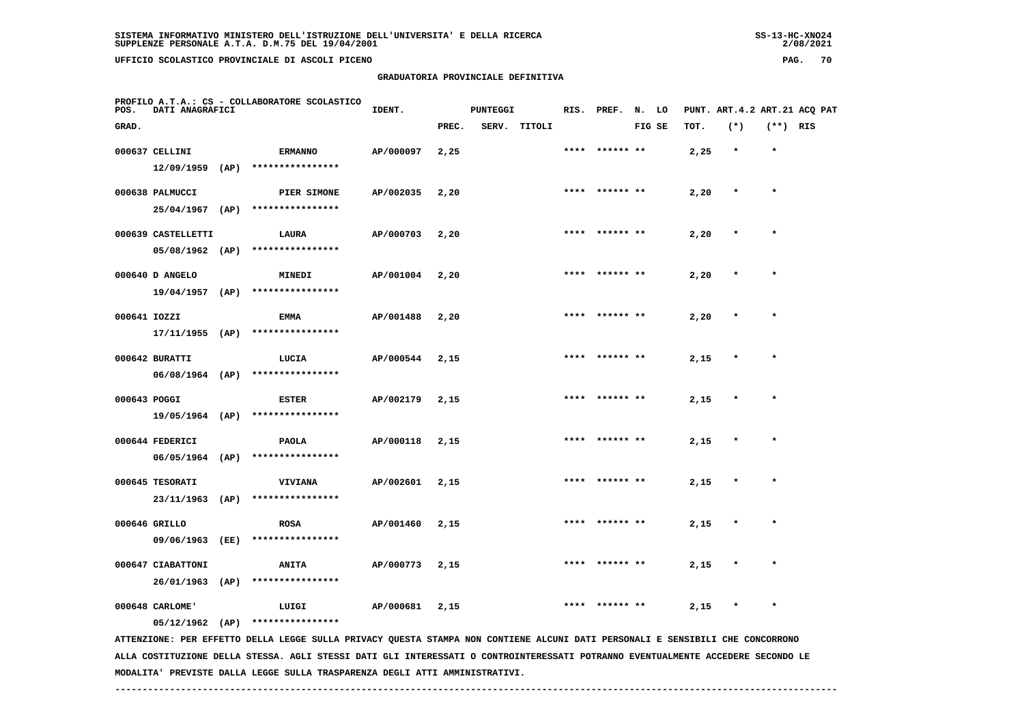## **GRADUATORIA PROVINCIALE DEFINITIVA**

 $2/08/2021$ 

| PROFILO A.T.A.: CS - COLLABORATORE SCOLASTICO<br>DATI ANAGRAFICI<br>POS. |                    |  | IDENT.<br><b>PUNTEGGI</b>                                                                                                     |           |       |  | RIS. PREF. N. LO |      |                 |        |      | PUNT. ART.4.2 ART.21 ACQ PAT |            |  |
|--------------------------------------------------------------------------|--------------------|--|-------------------------------------------------------------------------------------------------------------------------------|-----------|-------|--|------------------|------|-----------------|--------|------|------------------------------|------------|--|
| GRAD.                                                                    |                    |  |                                                                                                                               |           | PREC. |  | SERV. TITOLI     |      |                 | FIG SE | TOT. | $(*)$                        | $(**)$ RIS |  |
|                                                                          | 000637 CELLINI     |  | <b>ERMANNO</b>                                                                                                                | AP/000097 | 2,25  |  |                  |      | **** ****** **  |        | 2,25 | $\star$                      | $\star$    |  |
|                                                                          |                    |  | 12/09/1959 (AP) ****************                                                                                              |           |       |  |                  |      |                 |        |      |                              |            |  |
|                                                                          | 000638 PALMUCCI    |  | PIER SIMONE                                                                                                                   | AP/002035 | 2,20  |  |                  |      | **** ****** **  |        | 2,20 | $\star$                      | $\star$    |  |
|                                                                          |                    |  | 25/04/1967 (AP) ****************                                                                                              |           |       |  |                  |      |                 |        |      |                              |            |  |
|                                                                          | 000639 CASTELLETTI |  | LAURA                                                                                                                         | AP/000703 | 2,20  |  |                  |      | **** ****** **  |        | 2,20 |                              |            |  |
|                                                                          |                    |  | $05/08/1962$ (AP) ****************                                                                                            |           |       |  |                  |      |                 |        |      |                              |            |  |
|                                                                          | 000640 D ANGELO    |  | <b>MINEDI</b>                                                                                                                 | AP/001004 | 2,20  |  |                  |      | **** ****** **  |        | 2,20 |                              |            |  |
|                                                                          | $19/04/1957$ (AP)  |  | ****************                                                                                                              |           |       |  |                  |      |                 |        |      |                              |            |  |
| 000641 IOZZI                                                             |                    |  | EMMA                                                                                                                          | AP/001488 | 2,20  |  |                  |      | **** ****** **  |        | 2,20 |                              | $\star$    |  |
|                                                                          | $17/11/1955$ (AP)  |  | ****************                                                                                                              |           |       |  |                  |      |                 |        |      |                              |            |  |
|                                                                          | 000642 BURATTI     |  | LUCIA                                                                                                                         | AP/000544 | 2,15  |  |                  |      |                 |        | 2,15 |                              |            |  |
|                                                                          | $06/08/1964$ (AP)  |  | ****************                                                                                                              |           |       |  |                  |      |                 |        |      |                              |            |  |
| 000643 POGGI                                                             |                    |  | <b>ESTER</b>                                                                                                                  | AP/002179 | 2,15  |  |                  |      | **** ****** **  |        | 2,15 | $\star$                      | $\star$    |  |
|                                                                          |                    |  | 19/05/1964 (AP) ****************                                                                                              |           |       |  |                  |      |                 |        |      |                              |            |  |
|                                                                          | 000644 FEDERICI    |  | <b>PAOLA</b>                                                                                                                  | AP/000118 | 2,15  |  |                  |      | **** ****** **  |        | 2,15 | $\ast$                       | $\star$    |  |
|                                                                          |                    |  | 06/05/1964 (AP) ****************                                                                                              |           |       |  |                  |      |                 |        |      |                              |            |  |
|                                                                          | 000645 TESORATI    |  | VIVIANA                                                                                                                       | AP/002601 | 2,15  |  |                  | **** |                 |        | 2,15 |                              |            |  |
|                                                                          | 23/11/1963 (AP)    |  | ****************                                                                                                              |           |       |  |                  |      |                 |        |      |                              |            |  |
|                                                                          | 000646 GRILLO      |  | <b>ROSA</b>                                                                                                                   | AP/001460 | 2,15  |  |                  |      | ****  ****** ** |        | 2,15 | $\star$                      | $\star$    |  |
|                                                                          | 09/06/1963 (EE)    |  | ****************                                                                                                              |           |       |  |                  |      |                 |        |      |                              |            |  |
|                                                                          | 000647 CIABATTONI  |  | <b>ANITA</b>                                                                                                                  | AP/000773 | 2,15  |  |                  |      |                 |        | 2,15 |                              |            |  |
|                                                                          | 26/01/1963 (AP)    |  | ****************                                                                                                              |           |       |  |                  |      |                 |        |      |                              |            |  |
|                                                                          | 000648 CARLOME'    |  | LUIGI                                                                                                                         | AP/000681 | 2,15  |  |                  |      | **** ****** **  |        | 2,15 | $\star$                      | $\star$    |  |
|                                                                          | $05/12/1962$ (AP)  |  | ****************                                                                                                              |           |       |  |                  |      |                 |        |      |                              |            |  |
|                                                                          |                    |  | ATTENZIONE: PER EFFETTO DELLA LEGGE SULLA PRIVACY QUESTA STAMPA NON CONTIENE ALCUNI DATI PERSONALI E SENSIBILI CHE CONCORRONO |           |       |  |                  |      |                 |        |      |                              |            |  |

 **ALLA COSTITUZIONE DELLA STESSA. AGLI STESSI DATI GLI INTERESSATI O CONTROINTERESSATI POTRANNO EVENTUALMENTE ACCEDERE SECONDO LE MODALITA' PREVISTE DALLA LEGGE SULLA TRASPARENZA DEGLI ATTI AMMINISTRATIVI.**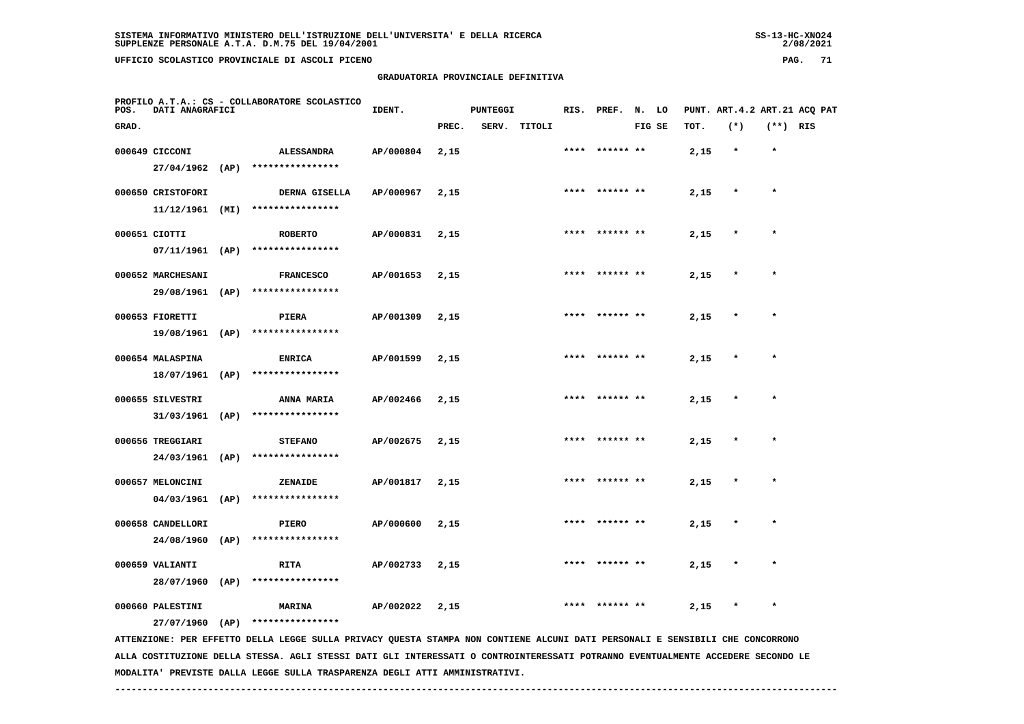## **GRADUATORIA PROVINCIALE DEFINITIVA**

 $2/08/2021$ 

| PROFILO A.T.A.: CS - COLLABORATORE SCOLASTICO<br><b>DATI ANAGRAFICI</b><br>POS. |                                                                                                                                                                        |      |                                                      | IDENT.    | <b>PUNTEGGI</b> |  |              |      | RIS. PREF. N. LO |        |  | PUNT. ART.4.2 ART.21 ACQ PAT |         |            |  |  |
|---------------------------------------------------------------------------------|------------------------------------------------------------------------------------------------------------------------------------------------------------------------|------|------------------------------------------------------|-----------|-----------------|--|--------------|------|------------------|--------|--|------------------------------|---------|------------|--|--|
| GRAD.                                                                           |                                                                                                                                                                        |      |                                                      |           | PREC.           |  | SERV. TITOLI |      |                  | FIG SE |  | TOT.                         | $(*)$   | $(**)$ RIS |  |  |
|                                                                                 | 000649 CICCONI<br>27/04/1962 (AP)                                                                                                                                      |      | <b>ALESSANDRA</b><br>****************                | AP/000804 | 2,15            |  |              |      | **** ****** **   |        |  | 2,15                         | $\star$ | $\star$    |  |  |
|                                                                                 | 000650 CRISTOFORI<br>$11/12/1961$ (MI)                                                                                                                                 |      | DERNA GISELLA<br>****************                    | AP/000967 | 2,15            |  |              |      |                  |        |  | 2,15                         |         | $\star$    |  |  |
|                                                                                 | 000651 CIOTTI<br>$07/11/1961$ (AP)                                                                                                                                     |      | <b>ROBERTO</b><br>****************                   | AP/000831 | 2,15            |  |              |      | **** ****** **   |        |  | 2,15                         | $\star$ | $\star$    |  |  |
|                                                                                 | 000652 MARCHESANI                                                                                                                                                      |      | <b>FRANCESCO</b><br>29/08/1961 (AP) **************** | AP/001653 | 2,15            |  |              |      | **** ****** **   |        |  | 2,15                         | $\ast$  | $\star$    |  |  |
|                                                                                 | 000653 FIORETTI<br>19/08/1961 (AP)                                                                                                                                     |      | PIERA<br>****************                            | AP/001309 | 2,15            |  |              |      | **** ****** **   |        |  | 2,15                         |         |            |  |  |
|                                                                                 | 000654 MALASPINA<br>18/07/1961                                                                                                                                         | (AP) | <b>ENRICA</b><br>****************                    | AP/001599 | 2,15            |  |              |      | **** ****** **   |        |  | 2,15                         | $\star$ | $\star$    |  |  |
|                                                                                 | 000655 SILVESTRI<br>31/03/1961 (AP)                                                                                                                                    |      | ANNA MARIA<br>****************                       | AP/002466 | 2,15            |  |              | **** | ****** **        |        |  | 2,15                         |         | $\star$    |  |  |
|                                                                                 | 000656 TREGGIARI<br>24/03/1961                                                                                                                                         | (AP) | <b>STEFANO</b><br>****************                   | AP/002675 | 2,15            |  |              |      | **** ****** **   |        |  | 2,15                         | $\star$ | $\star$    |  |  |
|                                                                                 | 000657 MELONCINI<br>$04/03/1961$ (AP)                                                                                                                                  |      | ZENAIDE<br>****************                          | AP/001817 | 2,15            |  |              | **** |                  |        |  | 2,15                         | $\star$ | $\star$    |  |  |
|                                                                                 | 000658 CANDELLORI<br>24/08/1960                                                                                                                                        | (AP) | PIERO<br>****************                            | AP/000600 | 2,15            |  |              |      | ****** **        |        |  | 2,15                         | $\ast$  | $\star$    |  |  |
|                                                                                 | 000659 VALIANTI<br>28/07/1960 (AP)                                                                                                                                     |      | <b>RITA</b><br>****************                      | AP/002733 | 2,15            |  |              |      |                  |        |  | 2,15                         |         |            |  |  |
|                                                                                 | 000660 PALESTINI                                                                                                                                                       |      | <b>MARINA</b>                                        | AP/002022 | 2,15            |  |              | **** | ****** **        |        |  | 2,15                         | $\ast$  | $\star$    |  |  |
|                                                                                 | $27/07/1960$ (AP)<br>****************<br>ATTENZIONE: PER EFFETTO DELLA LEGGE SULLA PRIVACY QUESTA STAMPA NON CONTIENE ALCUNI DATI PERSONALI E SENSIBILI CHE CONCORRONO |      |                                                      |           |                 |  |              |      |                  |        |  |                              |         |            |  |  |

 **ALLA COSTITUZIONE DELLA STESSA. AGLI STESSI DATI GLI INTERESSATI O CONTROINTERESSATI POTRANNO EVENTUALMENTE ACCEDERE SECONDO LE MODALITA' PREVISTE DALLA LEGGE SULLA TRASPARENZA DEGLI ATTI AMMINISTRATIVI.**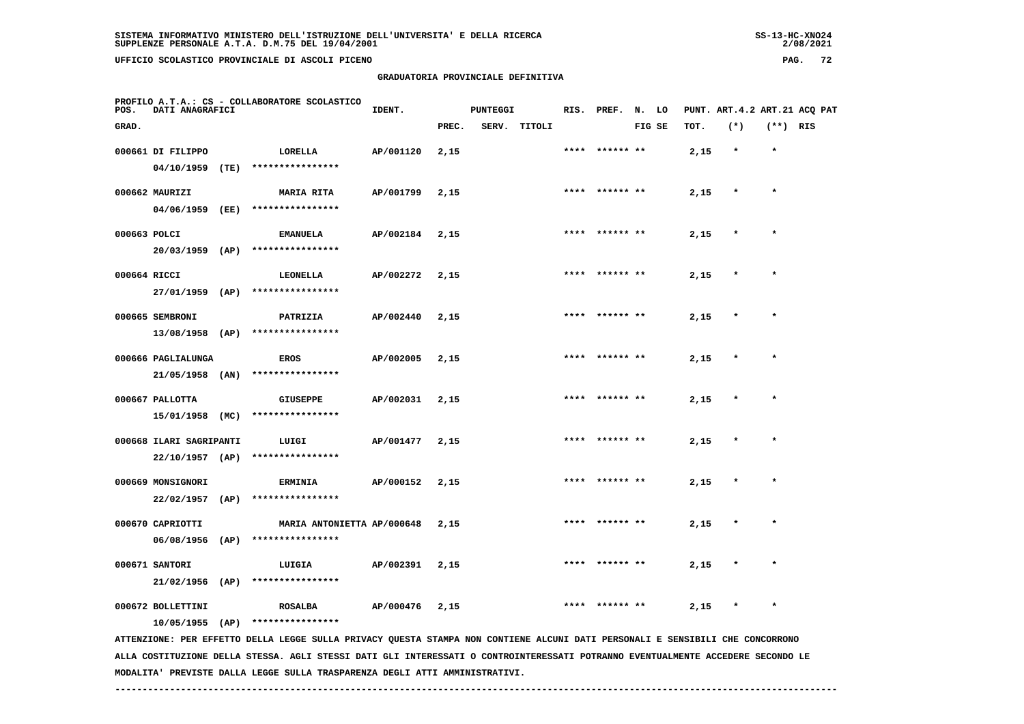**GRADUATORIA PROVINCIALE DEFINITIVA**

| POS.         | DATI ANAGRAFICI   |      | PROFILO A.T.A.: CS - COLLABORATORE SCOLASTICO | IDENT.    |       | <b>PUNTEGGI</b> |              |      | RIS. PREF. N. LO |        |      | PUNT. ART.4.2 ART.21 ACQ PAT |            |  |
|--------------|-------------------|------|-----------------------------------------------|-----------|-------|-----------------|--------------|------|------------------|--------|------|------------------------------|------------|--|
| GRAD.        |                   |      |                                               |           | PREC. |                 | SERV. TITOLI |      |                  | FIG SE | TOT. | $(*)$                        | $(**)$ RIS |  |
|              | 000661 DI FILIPPO |      | LORELLA                                       | AP/001120 | 2,15  |                 |              |      | **** ****** **   |        | 2,15 | $\star$                      | $\star$    |  |
|              | 04/10/1959        | (TE) | ****************                              |           |       |                 |              |      |                  |        |      |                              |            |  |
|              | 000662 MAURIZI    |      | <b>MARIA RITA</b>                             | AP/001799 | 2,15  |                 |              |      | **** ****** **   |        | 2,15 | $\star$                      | $\star$    |  |
|              | 04/06/1959        | (EE) | ****************                              |           |       |                 |              |      |                  |        |      |                              |            |  |
| 000663 POLCI |                   |      | <b>EMANUELA</b>                               | AP/002184 | 2,15  |                 |              |      | **** ****** **   |        | 2,15 | $\star$                      | $\star$    |  |
|              | 20/03/1959        | (AP) | ****************                              |           |       |                 |              |      |                  |        |      |                              |            |  |
| 000664 RICCI | 27/01/1959        | (AP) | <b>LEONELLA</b><br>****************           | AP/002272 | 2,15  |                 |              | **** | ****** **        |        | 2,15 | $\star$                      | $\star$    |  |
|              |                   |      |                                               |           |       |                 |              |      |                  |        |      |                              |            |  |
|              | 000665 SEMBRONI   |      | PATRIZIA                                      | AP/002440 | 2,15  |                 |              |      | **** ****** **   |        | 2,15 | $\star$                      | $\star$    |  |

 **13/08/1958 (AP) \*\*\*\*\*\*\*\*\*\*\*\*\*\*\*\* 000666 PAGLIALUNGA EROS AP/002005 2,15 \*\*\*\* \*\*\*\*\*\* \*\* 2,15 \* \* 21/05/1958 (AN) \*\*\*\*\*\*\*\*\*\*\*\*\*\*\*\* 000667 PALLOTTA GIUSEPPE AP/002031 2,15 \*\*\*\* \*\*\*\*\*\* \*\* 2,15 \* \***

 **15/01/1958 (MC) \*\*\*\*\*\*\*\*\*\*\*\*\*\*\*\* 000668 ILARI SAGRIPANTI LUIGI AP/001477 2,15 \*\*\*\* \*\*\*\*\*\* \*\* 2,15 \* \***

 **22/10/1957 (AP) \*\*\*\*\*\*\*\*\*\*\*\*\*\*\*\* 000669 MONSIGNORI ERMINIA AP/000152 2,15 \*\*\*\* \*\*\*\*\*\* \*\* 2,15 \* \* 22/02/1957 (AP) \*\*\*\*\*\*\*\*\*\*\*\*\*\*\*\* 000670 CAPRIOTTI MARIA ANTONIETTA AP/000648 2,15 \*\*\*\* \*\*\*\*\*\* \*\* 2,15 \* \***

 **06/08/1956 (AP) \*\*\*\*\*\*\*\*\*\*\*\*\*\*\*\* 000671 SANTORI LUIGIA AP/002391 2,15 \*\*\*\* \*\*\*\*\*\* \*\* 2,15 \* \* 21/02/1956 (AP) \*\*\*\*\*\*\*\*\*\*\*\*\*\*\*\***

 **000672 BOLLETTINI ROSALBA AP/000476 2,15 \*\*\*\* \*\*\*\*\*\* \*\* 2,15 \* \* 10/05/1955 (AP) \*\*\*\*\*\*\*\*\*\*\*\*\*\*\*\***

 **ATTENZIONE: PER EFFETTO DELLA LEGGE SULLA PRIVACY QUESTA STAMPA NON CONTIENE ALCUNI DATI PERSONALI E SENSIBILI CHE CONCORRONO ALLA COSTITUZIONE DELLA STESSA. AGLI STESSI DATI GLI INTERESSATI O CONTROINTERESSATI POTRANNO EVENTUALMENTE ACCEDERE SECONDO LE MODALITA' PREVISTE DALLA LEGGE SULLA TRASPARENZA DEGLI ATTI AMMINISTRATIVI.**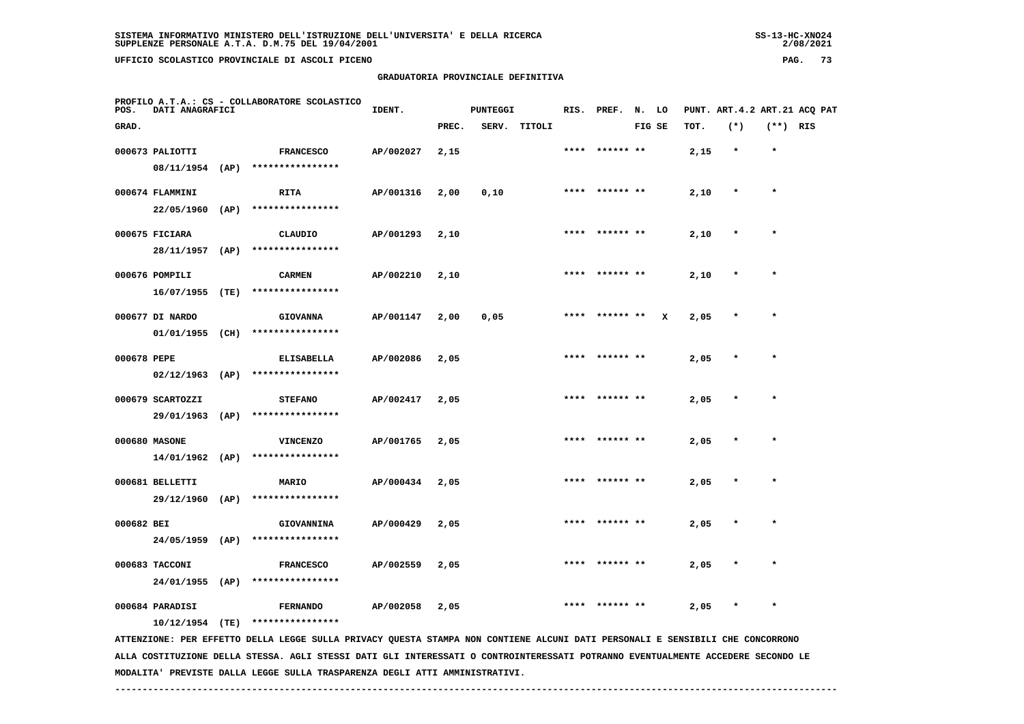**GRADUATORIA PROVINCIALE DEFINITIVA**

| POS.        | DATI ANAGRAFICI   |      | PROFILO A.T.A.: CS - COLLABORATORE SCOLASTICO | IDENT.    |       | PUNTEGGI |              |      | RIS. PREF.     | N. LO  |              |      | PUNT. ART. 4.2 ART. 21 ACQ PAT |            |  |
|-------------|-------------------|------|-----------------------------------------------|-----------|-------|----------|--------------|------|----------------|--------|--------------|------|--------------------------------|------------|--|
| GRAD.       |                   |      |                                               |           | PREC. |          | SERV. TITOLI |      |                | FIG SE |              | TOT. | $(*)$                          | $(**)$ RIS |  |
|             | 000673 PALIOTTI   |      | <b>FRANCESCO</b>                              | AP/002027 | 2,15  |          |              |      | **** ****** ** |        |              | 2,15 | $\star$                        | $\star$    |  |
|             | 08/11/1954 (AP)   |      | ****************                              |           |       |          |              |      |                |        |              |      |                                |            |  |
|             | 000674 FLAMMINI   |      | <b>RITA</b>                                   | AP/001316 | 2,00  | 0,10     |              |      | **** ****** ** |        |              | 2,10 | $\star$                        | $\star$    |  |
|             | $22/05/1960$ (AP) |      | ****************                              |           |       |          |              |      |                |        |              |      |                                |            |  |
|             | 000675 FICIARA    |      | CLAUDIO                                       | AP/001293 | 2,10  |          |              | **** | ****** **      |        |              | 2,10 | $\star$                        | $\star$    |  |
|             | 28/11/1957 (AP)   |      | ****************                              |           |       |          |              |      |                |        |              |      |                                |            |  |
|             | 000676 POMPILI    |      | <b>CARMEN</b>                                 | AP/002210 | 2,10  |          |              |      | **** ****** ** |        |              | 2,10 | $\star$                        | $\star$    |  |
|             | 16/07/1955        | (TE) | ****************                              |           |       |          |              |      |                |        |              |      |                                |            |  |
|             | 000677 DI NARDO   |      | <b>GIOVANNA</b>                               | AP/001147 | 2,00  | 0,05     |              |      | **** ****** ** |        | $\mathbf{x}$ | 2,05 | $\star$                        | $\star$    |  |
|             | 01/01/1955        | (CH) | ****************                              |           |       |          |              |      |                |        |              |      |                                |            |  |
| 000678 PEPE |                   |      | <b>ELISABELLA</b>                             | AP/002086 | 2,05  |          |              |      | **** ****** ** |        |              | 2,05 | $\star$                        | $\star$    |  |
|             | 02/12/1963        | (AP) | ****************                              |           |       |          |              |      |                |        |              |      |                                |            |  |
|             | 000679 SCARTOZZI  |      | <b>STEFANO</b>                                | AP/002417 | 2,05  |          |              |      | **** ****** ** |        |              | 2,05 | $\star$                        | $\star$    |  |
|             | 29/01/1963        | (AP) | ****************                              |           |       |          |              |      |                |        |              |      |                                |            |  |
|             | 000680 MASONE     |      | <b>VINCENZO</b>                               | AP/001765 | 2,05  |          |              | **** | ****** **      |        |              | 2,05 | $\star$                        | $\star$    |  |
|             | $14/01/1962$ (AP) |      | ****************                              |           |       |          |              |      |                |        |              |      |                                |            |  |
|             |                   |      |                                               |           |       |          |              |      |                |        |              |      |                                |            |  |

 **24/05/1959 (AP) \*\*\*\*\*\*\*\*\*\*\*\*\*\*\*\* 000683 TACCONI FRANCESCO AP/002559 2,05 \*\*\*\* \*\*\*\*\*\* \*\* 2,05 \* \* 24/01/1955 (AP) \*\*\*\*\*\*\*\*\*\*\*\*\*\*\*\***

 **000684 PARADISI FERNANDO AP/002058 2,05 \*\*\*\* \*\*\*\*\*\* \*\* 2,05 \* \***

 **000681 BELLETTI MARIO AP/000434 2,05 \*\*\*\* \*\*\*\*\*\* \*\* 2,05 \* \***

 **000682 BEI GIOVANNINA AP/000429 2,05 \*\*\*\* \*\*\*\*\*\* \*\* 2,05 \* \***

 **10/12/1954 (TE) \*\*\*\*\*\*\*\*\*\*\*\*\*\*\*\***

 **29/12/1960 (AP) \*\*\*\*\*\*\*\*\*\*\*\*\*\*\*\***

 **ATTENZIONE: PER EFFETTO DELLA LEGGE SULLA PRIVACY QUESTA STAMPA NON CONTIENE ALCUNI DATI PERSONALI E SENSIBILI CHE CONCORRONO ALLA COSTITUZIONE DELLA STESSA. AGLI STESSI DATI GLI INTERESSATI O CONTROINTERESSATI POTRANNO EVENTUALMENTE ACCEDERE SECONDO LE MODALITA' PREVISTE DALLA LEGGE SULLA TRASPARENZA DEGLI ATTI AMMINISTRATIVI.**

 **------------------------------------------------------------------------------------------------------------------------------------**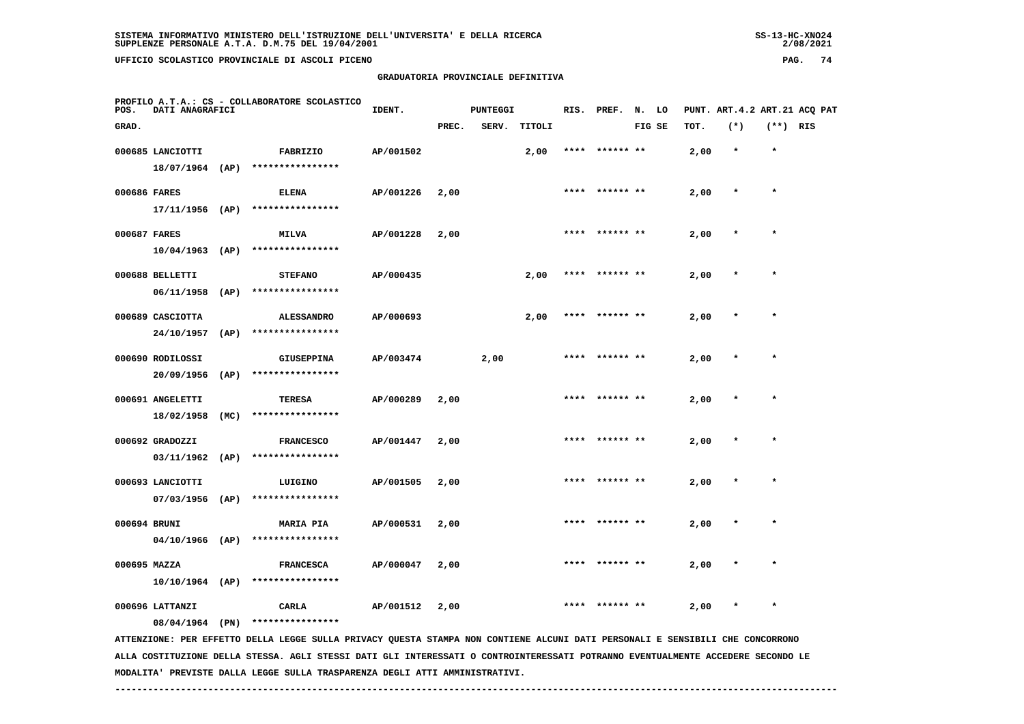| SUPPLENZE PERSONALE A.T.A. D.M.75 DEL 19/04/2001 |                                    | 2/08/2021 |    |
|--------------------------------------------------|------------------------------------|-----------|----|
| UFFICIO SCOLASTICO PROVINCIALE DI ASCOLI PICENO  |                                    | PAG.      | 74 |
|                                                  | GRADUATORIA PROVINCIALE DEFINITIVA |           |    |

 **PROFILO A.T.A.: CS - COLLABORATORE SCOLASTICOIDENT.** PUNTEGGI RIS. PREF. N. LO PUNT. ART.4.2 ART.21 ACQ PAT  **GRAD. PREC. SERV. TITOLI FIG SE TOT. (\*) (\*\*) RIS 000685 LANCIOTTI FABRIZIO AP/001502 2,00 \*\*\*\* \*\*\*\*\*\* \*\* 2,00 \* \* 18/07/1964 (AP) \*\*\*\*\*\*\*\*\*\*\*\*\*\*\*\* 000686 FARES ELENA AP/001226 2,00 \*\*\*\* \*\*\*\*\*\* \*\* 2,00 \* \* 17/11/1956 (AP) \*\*\*\*\*\*\*\*\*\*\*\*\*\*\*\* 000687 FARES MILVA AP/001228 2,00 \*\*\*\* \*\*\*\*\*\* \*\* 2,00 \* \* 10/04/1963 (AP) \*\*\*\*\*\*\*\*\*\*\*\*\*\*\*\* 000688 BELLETTI STEFANO AP/000435 2,00 \*\*\*\* \*\*\*\*\*\* \*\* 2,00 \* \* 06/11/1958 (AP) \*\*\*\*\*\*\*\*\*\*\*\*\*\*\*\* 000689 CASCIOTTA ALESSANDRO AP/000693 2,00 \*\*\*\* \*\*\*\*\*\* \*\* 2,00 \* \* 24/10/1957 (AP) \*\*\*\*\*\*\*\*\*\*\*\*\*\*\*\* 000690 RODILOSSI GIUSEPPINA AP/003474 2,00 \*\*\*\* \*\*\*\*\*\* \*\* 2,00 \* \* 20/09/1956 (AP) \*\*\*\*\*\*\*\*\*\*\*\*\*\*\*\* 000691 ANGELETTI TERESA AP/000289 2,00 \*\*\*\* \*\*\*\*\*\* \*\* 2,00 \* \* 18/02/1958 (MC) \*\*\*\*\*\*\*\*\*\*\*\*\*\*\*\* 000692 GRADOZZI FRANCESCO AP/001447 2,00 \*\*\*\* \*\*\*\*\*\* \*\* 2,00 \* \* 03/11/1962 (AP) \*\*\*\*\*\*\*\*\*\*\*\*\*\*\*\* 000693 LANCIOTTI LUIGINO AP/001505 2,00 \*\*\*\* \*\*\*\*\*\* \*\* 2,00 \* \* 07/03/1956 (AP) \*\*\*\*\*\*\*\*\*\*\*\*\*\*\*\* 000694 BRUNI MARIA PIA AP/000531 2,00 \*\*\*\* \*\*\*\*\*\* \*\* 2,00 \* \* 04/10/1966 (AP) \*\*\*\*\*\*\*\*\*\*\*\*\*\*\*\* 000695 MAZZA FRANCESCA AP/000047 2,00 \*\*\*\* \*\*\*\*\*\* \*\* 2,00 \* \* 10/10/1964 (AP) \*\*\*\*\*\*\*\*\*\*\*\*\*\*\*\* 000696 LATTANZI CARLA AP/001512 2,00 \*\*\*\* \*\*\*\*\*\* \*\* 2,00 \* \* 08/04/1964 (PN) \*\*\*\*\*\*\*\*\*\*\*\*\*\*\*\***

 **ATTENZIONE: PER EFFETTO DELLA LEGGE SULLA PRIVACY QUESTA STAMPA NON CONTIENE ALCUNI DATI PERSONALI E SENSIBILI CHE CONCORRONO ALLA COSTITUZIONE DELLA STESSA. AGLI STESSI DATI GLI INTERESSATI O CONTROINTERESSATI POTRANNO EVENTUALMENTE ACCEDERE SECONDO LE MODALITA' PREVISTE DALLA LEGGE SULLA TRASPARENZA DEGLI ATTI AMMINISTRATIVI.**

 **------------------------------------------------------------------------------------------------------------------------------------**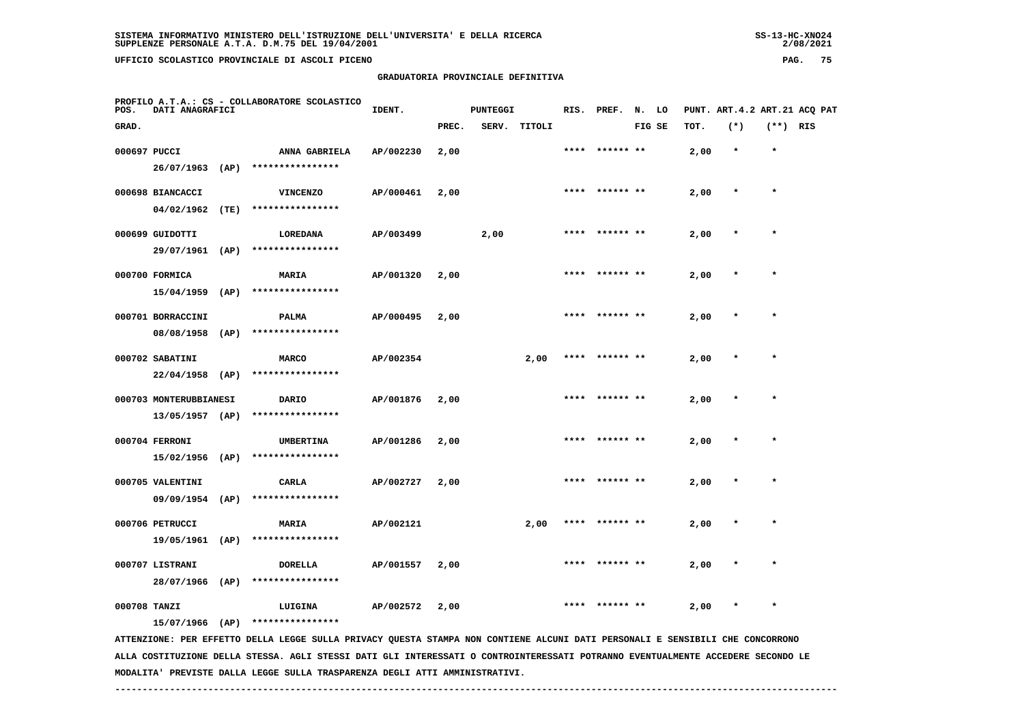| UFFICIO SCOLASTICO PROVINCIALE DI ASCOLI PICENO                          |        |                                    |                  |  |                              | PAG. | 75 |
|--------------------------------------------------------------------------|--------|------------------------------------|------------------|--|------------------------------|------|----|
|                                                                          |        | GRADUATORIA PROVINCIALE DEFINITIVA |                  |  |                              |      |    |
| PROFILO A.T.A.: CS - COLLABORATORE SCOLASTICO<br>POS.<br>DATI ANAGRAFICI | IDENT. | PUNTEGGI                           | RIS. PREF. N. LO |  | PUNT. ART.4.2 ART.21 ACQ PAT |      |    |

| GRAD.        |                        |      |                  |           | PREC. | SERV. | TITOLI |      |           | FIG SE | тот. | $(*)$ | $(**)$ RIS |  |
|--------------|------------------------|------|------------------|-----------|-------|-------|--------|------|-----------|--------|------|-------|------------|--|
| 000697 PUCCI |                        |      | ANNA GABRIELA    | AP/002230 | 2,00  |       |        |      |           |        | 2,00 |       |            |  |
|              | 26/07/1963             | (AP) | **************** |           |       |       |        |      |           |        |      |       |            |  |
|              |                        |      |                  |           |       |       |        | **** | ****** ** |        |      |       | $\star$    |  |
|              | 000698 BIANCACCI       |      | <b>VINCENZO</b>  | AP/000461 | 2,00  |       |        |      |           |        | 2,00 |       |            |  |
|              | 04/02/1962             | (TE) | **************** |           |       |       |        |      |           |        |      |       |            |  |
|              | 000699 GUIDOTTI        |      | LOREDANA         | AP/003499 |       | 2,00  |        | **** | ****** ** |        | 2,00 |       | $\star$    |  |
|              | 29/07/1961             | (AP) | **************** |           |       |       |        |      |           |        |      |       |            |  |
|              | 000700 FORMICA         |      | <b>MARIA</b>     |           |       |       |        | **** | *** **    |        |      |       | $\star$    |  |
|              |                        |      |                  | AP/001320 | 2,00  |       |        |      |           |        | 2,00 |       |            |  |
|              | 15/04/1959             | (AP) | **************** |           |       |       |        |      |           |        |      |       |            |  |
|              | 000701 BORRACCINI      |      | <b>PALMA</b>     | AP/000495 | 2,00  |       |        | **** |           |        | 2,00 |       |            |  |
|              | 08/08/1958             | (AP) | **************** |           |       |       |        |      |           |        |      |       |            |  |
|              | 000702 SABATINI        |      | <b>MARCO</b>     | AP/002354 |       |       | 2,00   |      |           |        | 2,00 |       |            |  |
|              |                        |      | **************** |           |       |       |        |      |           |        |      |       |            |  |
|              | 22/04/1958             | (AP) |                  |           |       |       |        |      |           |        |      |       |            |  |
|              | 000703 MONTERUBBIANESI |      | <b>DARIO</b>     | AP/001876 | 2,00  |       |        | **** | ****** ** |        | 2,00 |       | $\star$    |  |
|              | 13/05/1957 (AP)        |      | **************** |           |       |       |        |      |           |        |      |       |            |  |
|              | 000704 FERRONI         |      | <b>UMBERTINA</b> | AP/001286 | 2,00  |       |        |      |           |        | 2,00 |       | $\star$    |  |
|              |                        |      |                  |           |       |       |        |      |           |        |      |       |            |  |
|              | 15/02/1956             | (AP) | **************** |           |       |       |        |      |           |        |      |       |            |  |
|              | 000705 VALENTINI       |      | <b>CARLA</b>     | AP/002727 | 2,00  |       |        | **** | ****** ** |        | 2,00 |       | $\star$    |  |
|              | 09/09/1954             | (AP) | **************** |           |       |       |        |      |           |        |      |       |            |  |
|              | 000706 PETRUCCI        |      | <b>MARIA</b>     | AP/002121 |       |       | 2,00   |      | ****** ** |        | 2,00 |       | $\star$    |  |
|              |                        |      |                  |           |       |       |        |      |           |        |      |       |            |  |
|              | 19/05/1961             | (AP) | **************** |           |       |       |        |      |           |        |      |       |            |  |
|              | 000707 LISTRANI        |      | <b>DORELLA</b>   | AP/001557 | 2,00  |       |        | **** | ****** ** |        | 2,00 |       | $\star$    |  |
|              | 28/07/1966             | (AP) | **************** |           |       |       |        |      |           |        |      |       |            |  |
| 000708 TANZI |                        |      | LUIGINA          | AP/002572 | 2,00  |       |        | **** | ****** ** |        | 2,00 |       | $\star$    |  |
|              | 15/07/1966             | (AP) | **************** |           |       |       |        |      |           |        |      |       |            |  |
|              |                        |      |                  |           |       |       |        |      |           |        |      |       |            |  |

 **ATTENZIONE: PER EFFETTO DELLA LEGGE SULLA PRIVACY QUESTA STAMPA NON CONTIENE ALCUNI DATI PERSONALI E SENSIBILI CHE CONCORRONO ALLA COSTITUZIONE DELLA STESSA. AGLI STESSI DATI GLI INTERESSATI O CONTROINTERESSATI POTRANNO EVENTUALMENTE ACCEDERE SECONDO LE MODALITA' PREVISTE DALLA LEGGE SULLA TRASPARENZA DEGLI ATTI AMMINISTRATIVI.**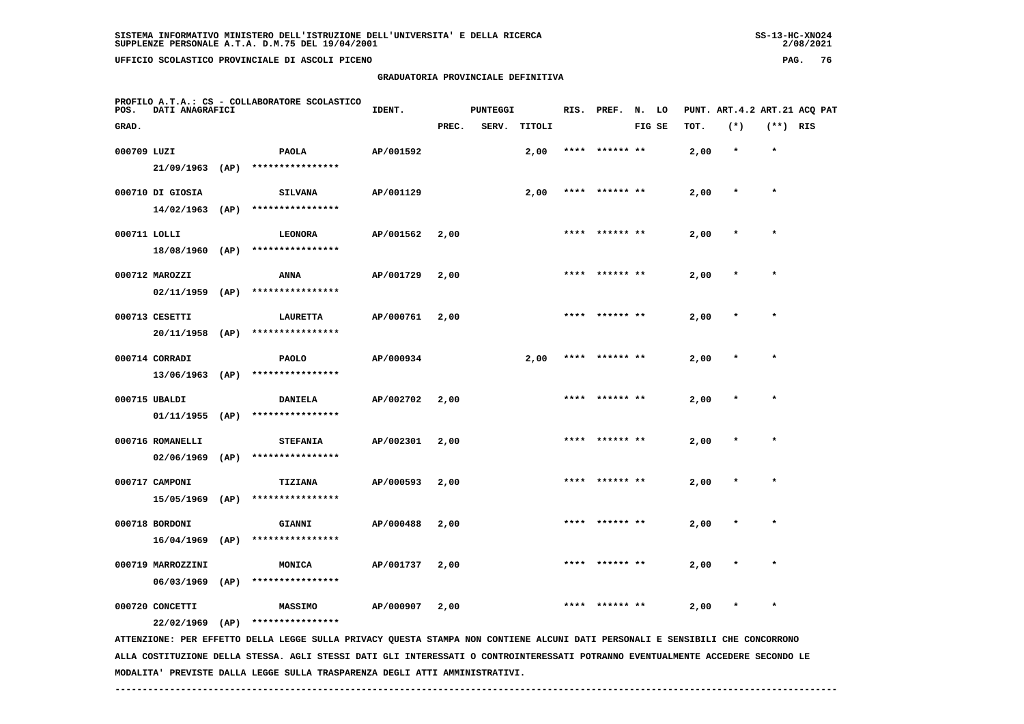| <b>55-13-HC-ANOZ4</b> |
|-----------------------|
| 2/08/2021             |

| POS.         | DATI ANAGRAFICI   |      | PROFILO A.T.A.: CS - COLLABORATORE SCOLASTICO                                                                                 | IDENT.    |       | <b>PUNTEGGI</b> |        |      | RIS. PREF.     | N. LO  |      | PUNT. ART.4.2 ART.21 ACQ PAT |            |  |
|--------------|-------------------|------|-------------------------------------------------------------------------------------------------------------------------------|-----------|-------|-----------------|--------|------|----------------|--------|------|------------------------------|------------|--|
| GRAD.        |                   |      |                                                                                                                               |           | PREC. | SERV.           | TITOLI |      |                | FIG SE | TOT. | $(*)$                        | $(**)$ RIS |  |
| 000709 LUZI  |                   |      | PAOLA                                                                                                                         | AP/001592 |       |                 | 2,00   | **** | ****** **      |        | 2,00 | $\star$                      | $\star$    |  |
|              | $21/09/1963$ (AP) |      | ****************                                                                                                              |           |       |                 |        |      |                |        |      |                              |            |  |
|              | 000710 DI GIOSIA  |      | <b>SILVANA</b>                                                                                                                | AP/001129 |       |                 | 2,00   |      | ****** **      |        | 2,00 | $\star$                      | $\star$    |  |
|              | $14/02/1963$ (AP) |      | ****************                                                                                                              |           |       |                 |        |      |                |        |      |                              |            |  |
| 000711 LOLLI |                   |      | LEONORA                                                                                                                       | AP/001562 | 2,00  |                 |        | **** | ****** **      |        | 2,00 |                              | $\star$    |  |
|              | 18/08/1960 (AP)   |      | ****************                                                                                                              |           |       |                 |        |      |                |        |      |                              |            |  |
|              | 000712 MAROZZI    |      | <b>ANNA</b>                                                                                                                   | AP/001729 | 2,00  |                 |        |      |                |        | 2,00 |                              |            |  |
|              | $02/11/1959$ (AP) |      | ****************                                                                                                              |           |       |                 |        |      |                |        |      |                              |            |  |
|              | 000713 CESETTI    |      | <b>LAURETTA</b>                                                                                                               | AP/000761 | 2,00  |                 |        |      | ****** **      |        | 2,00 |                              | $\star$    |  |
|              | 20/11/1958 (AP)   |      | ****************                                                                                                              |           |       |                 |        |      |                |        |      |                              |            |  |
|              | 000714 CORRADI    |      | <b>PAOLO</b>                                                                                                                  | AP/000934 |       |                 | 2,00   |      | **** ****** ** |        | 2,00 |                              | $\star$    |  |
|              | $13/06/1963$ (AP) |      | ****************                                                                                                              |           |       |                 |        |      |                |        |      |                              |            |  |
|              | 000715 UBALDI     |      | <b>DANIELA</b>                                                                                                                | AP/002702 | 2,00  |                 |        |      |                |        | 2,00 |                              |            |  |
|              | 01/11/1955        | (AP) | ****************                                                                                                              |           |       |                 |        |      |                |        |      |                              |            |  |
|              | 000716 ROMANELLI  |      | <b>STEFANIA</b>                                                                                                               | AP/002301 | 2,00  |                 |        | **** | ****** **      |        | 2,00 |                              | $\star$    |  |
|              | 02/06/1969        | (AP) | ****************                                                                                                              |           |       |                 |        |      |                |        |      |                              |            |  |
|              | 000717 CAMPONI    |      | TIZIANA                                                                                                                       | AP/000593 | 2,00  |                 |        |      |                |        | 2,00 |                              |            |  |
|              | $15/05/1969$ (AP) |      | ****************                                                                                                              |           |       |                 |        |      |                |        |      |                              |            |  |
|              | 000718 BORDONI    |      | <b>GIANNI</b>                                                                                                                 | AP/000488 | 2,00  |                 |        |      |                |        | 2,00 |                              |            |  |
|              | 16/04/1969        | (AP) | ****************                                                                                                              |           |       |                 |        |      |                |        |      |                              |            |  |
|              | 000719 MARROZZINI |      | <b>MONICA</b>                                                                                                                 | AP/001737 | 2,00  |                 |        |      |                |        | 2,00 |                              | $\star$    |  |
|              | 06/03/1969        | (AP) | ****************                                                                                                              |           |       |                 |        |      |                |        |      |                              |            |  |
|              | 000720 CONCETTI   |      | MASSIMO                                                                                                                       | AP/000907 | 2,00  |                 |        |      |                |        | 2,00 |                              |            |  |
|              | $22/02/1969$ (AP) |      | ****************                                                                                                              |           |       |                 |        |      |                |        |      |                              |            |  |
|              |                   |      | ATTENZIONE: PER EFFETTO DELLA LEGGE SULLA PRIVACY QUESTA STAMPA NON CONTIENE ALCUNI DATI PERSONALI E SENSIBILI CHE CONCORRONO |           |       |                 |        |      |                |        |      |                              |            |  |

 **ALLA COSTITUZIONE DELLA STESSA. AGLI STESSI DATI GLI INTERESSATI O CONTROINTERESSATI POTRANNO EVENTUALMENTE ACCEDERE SECONDO LE MODALITA' PREVISTE DALLA LEGGE SULLA TRASPARENZA DEGLI ATTI AMMINISTRATIVI.**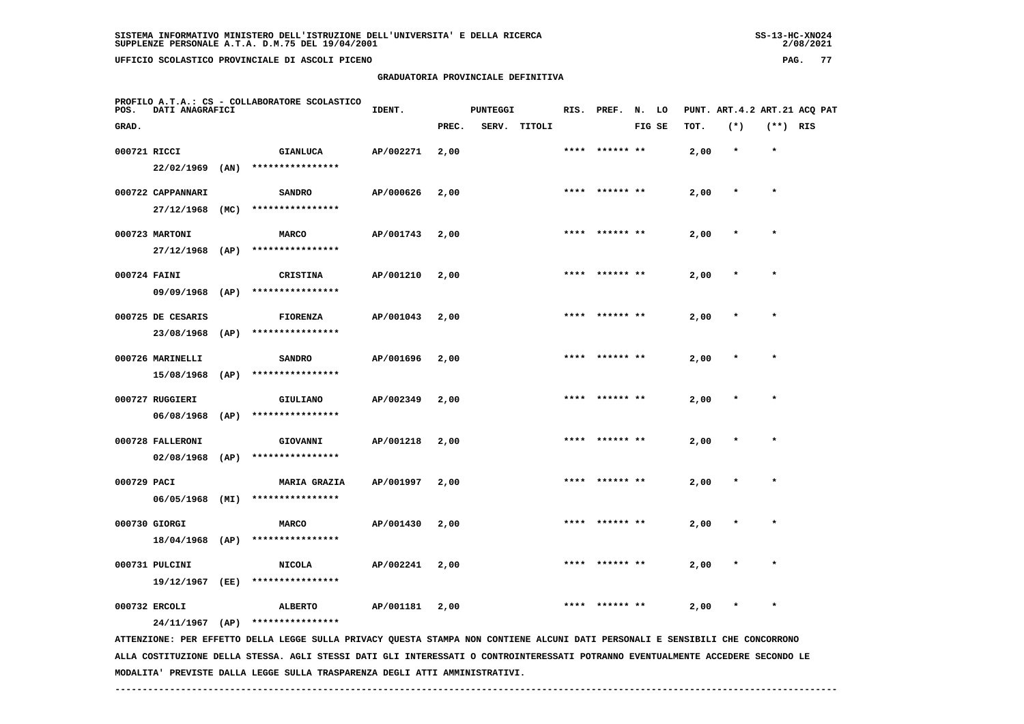## **GRADUATORIA PROVINCIALE DEFINITIVA**

 $2/08/2021$ 

| POS.         | DATI ANAGRAFICI                     |      | PROFILO A.T.A.: CS - COLLABORATORE SCOLASTICO                                                                                 | IDENT.    |       | <b>PUNTEGGI</b> |        | RIS. | PREF.          | N. LO  |      |         |          | PUNT. ART.4.2 ART.21 ACQ PAT |
|--------------|-------------------------------------|------|-------------------------------------------------------------------------------------------------------------------------------|-----------|-------|-----------------|--------|------|----------------|--------|------|---------|----------|------------------------------|
| GRAD.        |                                     |      |                                                                                                                               |           | PREC. | SERV.           | TITOLI |      |                | FIG SE | TOT. | $(*)$   | (**) RIS |                              |
| 000721 RICCI | 22/02/1969                          | (AN) | <b>GIANLUCA</b><br>****************                                                                                           | AP/002271 | 2,00  |                 |        |      | ****** **      |        | 2,00 | $\star$ | $\star$  |                              |
|              | 000722 CAPPANNARI<br>27/12/1968     | (MC) | <b>SANDRO</b><br>****************                                                                                             | AP/000626 | 2,00  |                 |        | **** | ****** **      |        | 2,00 | $\ast$  | $\star$  |                              |
|              | 000723 MARTONI<br>$27/12/1968$ (AP) |      | <b>MARCO</b><br>****************                                                                                              | AP/001743 | 2,00  |                 |        |      | **** ****** ** |        | 2,00 | $\star$ | $\star$  |                              |
| 000724 FAINI | 09/09/1968                          | (AP) | CRISTINA<br>****************                                                                                                  | AP/001210 | 2,00  |                 |        | **** |                |        | 2,00 |         | $\star$  |                              |
|              | 000725 DE CESARIS<br>23/08/1968     | (AP) | <b>FIORENZA</b><br>****************                                                                                           | AP/001043 | 2,00  |                 |        |      |                |        | 2,00 |         |          |                              |
|              | 000726 MARINELLI<br>15/08/1968      | (AP) | <b>SANDRO</b><br>****************                                                                                             | AP/001696 | 2,00  |                 |        |      |                |        | 2,00 |         |          |                              |
|              | 000727 RUGGIERI<br>06/08/1968       | (AP) | GIULIANO<br>****************                                                                                                  | AP/002349 | 2,00  |                 |        |      | ****** **      |        | 2,00 |         | $\star$  |                              |
|              | 000728 FALLERONI<br>02/08/1968      | (AP) | GIOVANNI<br>****************                                                                                                  | AP/001218 | 2,00  |                 |        |      |                |        | 2,00 |         |          |                              |
| 000729 PACI  | 06/05/1968                          | (MI) | <b>MARIA GRAZIA</b><br>****************                                                                                       | AP/001997 | 2,00  |                 |        | **** | ****** **      |        | 2,00 | $\star$ | $\star$  |                              |
|              | 000730 GIORGI<br>$18/04/1968$ (AP)  |      | <b>MARCO</b><br>****************                                                                                              | AP/001430 | 2,00  |                 |        |      |                |        | 2,00 |         |          |                              |
|              | 000731 PULCINI<br>19/12/1967        | (EE) | <b>NICOLA</b><br>****************                                                                                             | AP/002241 | 2,00  |                 |        |      |                |        | 2,00 |         |          |                              |
|              | 000732 ERCOLI<br>$24/11/1967$ (AP)  |      | <b>ALBERTO</b><br>****************                                                                                            | AP/001181 | 2,00  |                 |        |      |                |        | 2,00 | $\ast$  | $\star$  |                              |
|              |                                     |      | ATTENZIONE: PER EFFETTO DELLA LEGGE SULLA PRIVACY QUESTA STAMPA NON CONTIENE ALCUNI DATI PERSONALI E SENSIBILI CHE CONCORRONO |           |       |                 |        |      |                |        |      |         |          |                              |

 **ALLA COSTITUZIONE DELLA STESSA. AGLI STESSI DATI GLI INTERESSATI O CONTROINTERESSATI POTRANNO EVENTUALMENTE ACCEDERE SECONDO LE MODALITA' PREVISTE DALLA LEGGE SULLA TRASPARENZA DEGLI ATTI AMMINISTRATIVI.**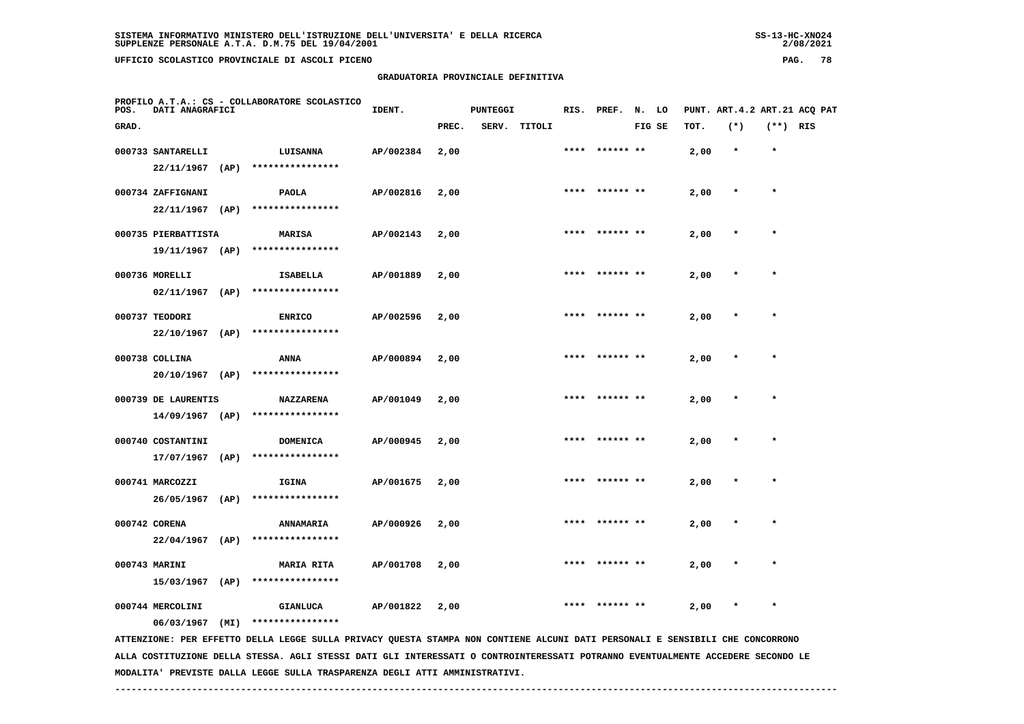**PROFILO A.T.A.: CS - COLLABORATORE SCOLASTICO**

 **GRADUATORIA PROVINCIALE DEFINITIVA**

| POS.  | DATI ANAGRAFICI     |      |                  | IDENT.    |       | PUNTEGGI |        | RIS. PREF.     | N. LO  |      | PUNT. ART.4.2 ART.21 ACQ PAT |            |  |
|-------|---------------------|------|------------------|-----------|-------|----------|--------|----------------|--------|------|------------------------------|------------|--|
| GRAD. |                     |      |                  |           | PREC. | SERV.    | TITOLI |                | FIG SE | TOT. | $(*)$                        | $(**)$ RIS |  |
|       | 000733 SANTARELLI   |      | LUISANNA         | AP/002384 | 2,00  |          |        | **** ****** ** |        | 2,00 | $\star$                      | $\star$    |  |
|       | 22/11/1967          | (AP) | **************** |           |       |          |        |                |        |      |                              |            |  |
|       | 000734 ZAFFIGNANI   |      | <b>PAOLA</b>     | AP/002816 | 2,00  |          |        | **** ****** ** |        | 2,00 | $\star$                      | $\star$    |  |
|       | $22/11/1967$ (AP)   |      | **************** |           |       |          |        |                |        |      |                              |            |  |
|       | 000735 PIERBATTISTA |      | <b>MARISA</b>    | AP/002143 | 2,00  |          |        | **** ****** ** |        | 2,00 | $\star$                      | $\star$    |  |
|       | $19/11/1967$ (AP)   |      | **************** |           |       |          |        |                |        |      |                              |            |  |
|       | 000736 MORELLI      |      | <b>ISABELLA</b>  | AP/001889 | 2,00  |          |        | **** ****** ** |        | 2,00 | $\star$                      | $\star$    |  |
|       | 02/11/1967          | (AP) | **************** |           |       |          |        |                |        |      |                              |            |  |
|       | 000737 TEODORI      |      | <b>ENRICO</b>    | AP/002596 | 2,00  |          |        | **** ****** ** |        | 2,00 | $\star$                      | $\star$    |  |
|       | $22/10/1967$ (AP)   |      | **************** |           |       |          |        |                |        |      |                              |            |  |
|       | 000738 COLLINA      |      | ANNA             | AP/000894 | 2,00  |          |        |                |        | 2,00 | $\star$                      | $\star$    |  |
|       | $20/10/1967$ (AP)   |      | **************** |           |       |          |        |                |        |      |                              |            |  |
|       | 000739 DE LAURENTIS |      | <b>NAZZARENA</b> | AP/001049 | 2,00  |          |        | **** ****** ** |        | 2,00 | $\star$                      | $\star$    |  |
|       | $14/09/1967$ (AP)   |      | **************** |           |       |          |        |                |        |      |                              |            |  |
|       | 000740 COSTANTINI   |      | <b>DOMENICA</b>  | AP/000945 | 2,00  |          |        | **** ****** ** |        | 2,00 | $\star$                      | $\star$    |  |
|       | 17/07/1967          | (AP) | **************** |           |       |          |        |                |        |      |                              |            |  |
|       | 000741 MARCOZZI     |      | IGINA            | AP/001675 | 2,00  |          |        | **** ****** ** |        | 2,00 | $\star$                      | $\star$    |  |
|       | 26/05/1967          | (AP) | **************** |           |       |          |        |                |        |      |                              |            |  |
|       | 000742 CORENA       |      | <b>ANNAMARIA</b> | AP/000926 | 2,00  |          |        | **** ****** ** |        | 2,00 | $\star$                      | $\star$    |  |

 **000743 MARINI MARIA RITA AP/001708 2,00 \*\*\*\* \*\*\*\*\*\* \*\* 2,00 \* \* 15/03/1967 (AP) \*\*\*\*\*\*\*\*\*\*\*\*\*\*\*\***

 **000744 MERCOLINI GIANLUCA AP/001822 2,00 \*\*\*\* \*\*\*\*\*\* \*\* 2,00 \* \***

 **06/03/1967 (MI) \*\*\*\*\*\*\*\*\*\*\*\*\*\*\*\***

 **22/04/1967 (AP) \*\*\*\*\*\*\*\*\*\*\*\*\*\*\*\***

 **ATTENZIONE: PER EFFETTO DELLA LEGGE SULLA PRIVACY QUESTA STAMPA NON CONTIENE ALCUNI DATI PERSONALI E SENSIBILI CHE CONCORRONO ALLA COSTITUZIONE DELLA STESSA. AGLI STESSI DATI GLI INTERESSATI O CONTROINTERESSATI POTRANNO EVENTUALMENTE ACCEDERE SECONDO LE MODALITA' PREVISTE DALLA LEGGE SULLA TRASPARENZA DEGLI ATTI AMMINISTRATIVI.**

 **------------------------------------------------------------------------------------------------------------------------------------**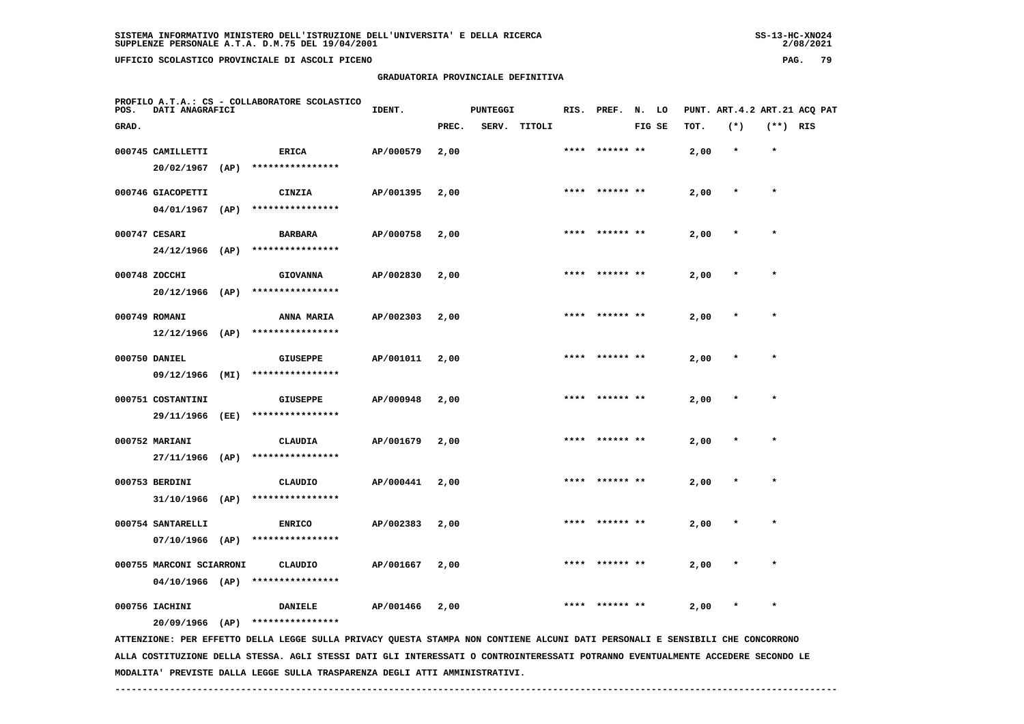## **GRADUATORIA PROVINCIALE DEFINITIVA**

 $2/08/2021$ 

| POS.  | DATI ANAGRAFICI                             |      | PROFILO A.T.A.: CS - COLLABORATORE SCOLASTICO                                                                                 | IDENT.    |       | <b>PUNTEGGI</b> |              |      | RIS. PREF.     | N. LO  |      |         |            | PUNT. ART.4.2 ART.21 ACQ PAT |
|-------|---------------------------------------------|------|-------------------------------------------------------------------------------------------------------------------------------|-----------|-------|-----------------|--------------|------|----------------|--------|------|---------|------------|------------------------------|
| GRAD. |                                             |      |                                                                                                                               |           | PREC. |                 | SERV. TITOLI |      |                | FIG SE | TOT. | $(*)$   | $(**)$ RIS |                              |
|       | 000745 CAMILLETTI<br>$20/02/1967$ (AP)      |      | <b>ERICA</b><br>****************                                                                                              | AP/000579 | 2,00  |                 |              |      |                |        | 2,00 | $\star$ | $\star$    |                              |
|       | 000746 GIACOPETTI<br>$04/01/1967$ (AP)      |      | <b>CINZIA</b><br>****************                                                                                             | AP/001395 | 2,00  |                 |              |      | **** ****** ** |        | 2,00 | $\ast$  | $\star$    |                              |
|       | 000747 CESARI<br>$24/12/1966$ (AP)          |      | <b>BARBARA</b><br>****************                                                                                            | AP/000758 | 2,00  |                 |              |      |                |        | 2,00 | $\ast$  | $\star$    |                              |
|       | 000748 ZOCCHI<br>$20/12/1966$ (AP)          |      | <b>GIOVANNA</b><br>****************                                                                                           | AP/002830 | 2,00  |                 |              | **** | ****** **      |        | 2,00 |         | $\star$    |                              |
|       | 000749 ROMANI<br>$12/12/1966$ (AP)          |      | ANNA MARIA<br>****************                                                                                                | AP/002303 | 2,00  |                 |              |      |                |        | 2,00 |         |            |                              |
|       | 000750 DANIEL<br>09/12/1966                 | (MI) | <b>GIUSEPPE</b><br>****************                                                                                           | AP/001011 | 2,00  |                 |              |      |                |        | 2,00 |         | $\star$    |                              |
|       | 000751 COSTANTINI<br>29/11/1966 (EE)        |      | <b>GIUSEPPE</b><br>****************                                                                                           | AP/000948 | 2,00  |                 |              |      | ****** **      |        | 2,00 |         |            |                              |
|       | 000752 MARIANI<br>27/11/1966 (AP)           |      | <b>CLAUDIA</b><br>****************                                                                                            | AP/001679 | 2,00  |                 |              | **** | ****** **      |        | 2,00 |         | $\star$    |                              |
|       | 000753 BERDINI<br>$31/10/1966$ (AP)         |      | CLAUDIO<br>****************                                                                                                   | AP/000441 | 2,00  |                 |              |      |                |        | 2,00 |         | $\star$    |                              |
|       | 000754 SANTARELLI<br>07/10/1966 (AP)        |      | <b>ENRICO</b><br>****************                                                                                             | AP/002383 | 2,00  |                 |              |      |                |        | 2,00 |         |            |                              |
|       | 000755 MARCONI SCIARRONI<br>04/10/1966 (AP) |      | CLAUDIO<br>****************                                                                                                   | AP/001667 | 2,00  |                 |              |      |                |        | 2,00 |         |            |                              |
|       | 000756 IACHINI<br>$20/09/1966$ (AP)         |      | <b>DANIELE</b><br>****************                                                                                            | AP/001466 | 2,00  |                 |              |      | ****** **      |        | 2,00 | $\star$ | $\star$    |                              |
|       |                                             |      | ATTENZIONE: PER EFFETTO DELLA LEGGE SULLA PRIVACY QUESTA STAMPA NON CONTIENE ALCUNI DATI PERSONALI E SENSIBILI CHE CONCORRONO |           |       |                 |              |      |                |        |      |         |            |                              |

 **ALLA COSTITUZIONE DELLA STESSA. AGLI STESSI DATI GLI INTERESSATI O CONTROINTERESSATI POTRANNO EVENTUALMENTE ACCEDERE SECONDO LE MODALITA' PREVISTE DALLA LEGGE SULLA TRASPARENZA DEGLI ATTI AMMINISTRATIVI.**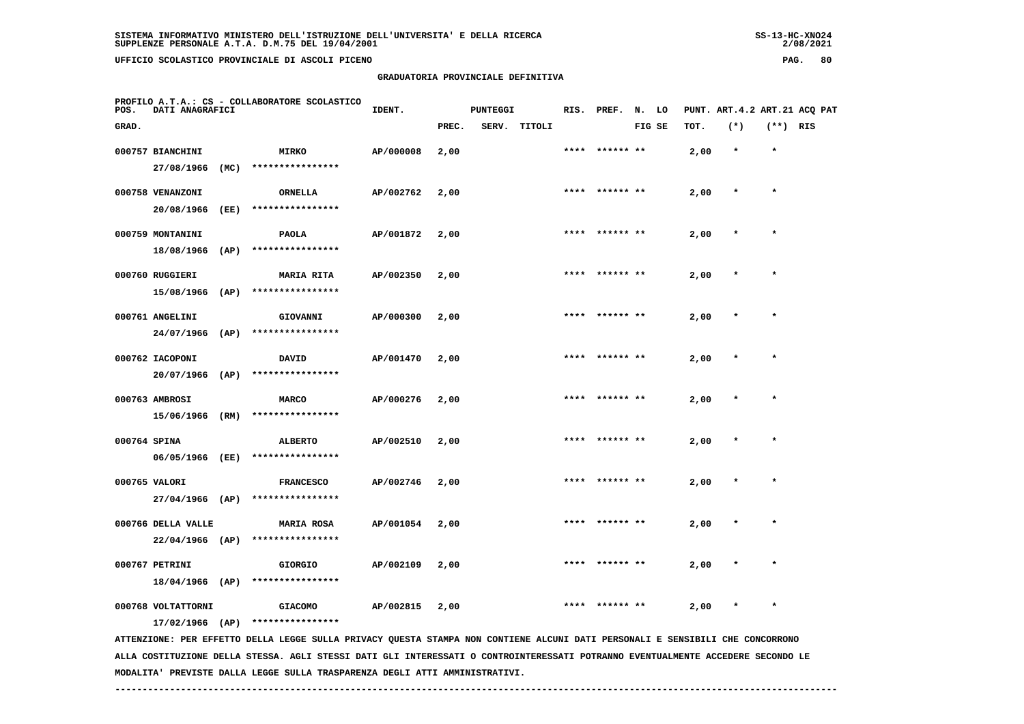**PROFILO A.T.A.: CS - COLLABORATORE SCOLASTICO**

 **GRADUATORIA PROVINCIALE DEFINITIVA**

| POS.         | DATI ANAGRAFICI                       |      |                                       | IDENT.    |       | <b>PUNTEGGI</b> |        |      | RIS. PREF.     | N. LO  |      | PUNT. ART.4.2 ART.21 ACQ PAT |              |  |
|--------------|---------------------------------------|------|---------------------------------------|-----------|-------|-----------------|--------|------|----------------|--------|------|------------------------------|--------------|--|
| GRAD.        |                                       |      |                                       |           | PREC. | SERV.           | TITOLI |      |                | FIG SE | TOT. | $(*)$                        | $(**)$ RIS   |  |
|              | 000757 BIANCHINI<br>27/08/1966        | (MC) | <b>MIRKO</b><br>****************      | AP/000008 | 2,00  |                 |        | **** | ****** **      |        | 2,00 | $\star$                      |              |  |
|              | 000758 VENANZONI<br>20/08/1966        | (EE) | <b>ORNELLA</b><br>****************    | AP/002762 | 2,00  |                 |        |      |                |        | 2,00 |                              |              |  |
|              | 000759 MONTANINI<br>18/08/1966        | (AP) | <b>PAOLA</b><br>****************      | AP/001872 | 2,00  |                 |        | **** | ****** **      |        | 2,00 |                              | $\star$      |  |
|              | 000760 RUGGIERI<br>15/08/1966         | (AP) | <b>MARIA RITA</b><br>**************** | AP/002350 | 2,00  |                 |        | **** |                |        | 2,00 | $\star$                      | $\star$      |  |
|              | 000761 ANGELINI<br>24/07/1966         | (AP) | GIOVANNI<br>****************          | AP/000300 | 2,00  |                 |        |      | **** ****** ** |        | 2,00 | $\ast$                       | $\star$      |  |
|              | 000762 IACOPONI<br>20/07/1966         | (AP) | <b>DAVID</b><br>****************      | AP/001470 | 2,00  |                 |        |      | **** ****** ** |        | 2,00 | $\star$                      | $\star$      |  |
|              | 000763 AMBROSI<br>15/06/1966          | (RM) | <b>MARCO</b><br>****************      | AP/000276 | 2,00  |                 |        |      | **** ****** ** |        | 2,00 |                              | $\star$      |  |
| 000764 SPINA | 06/05/1966                            | (EE) | <b>ALBERTO</b><br>****************    | AP/002510 | 2,00  |                 |        |      | **** ****** ** |        | 2,00 |                              | $\star$      |  |
|              | 000765 VALORI<br>$27/04/1966$ (AP)    |      | <b>FRANCESCO</b><br>****************  | AP/002746 | 2,00  |                 |        |      | **** ****** ** |        | 2,00 |                              | $\star$      |  |
|              | 000766 DELLA VALLE<br>22/04/1966 (AP) |      | <b>MARIA ROSA</b><br>**************** | AP/001054 | 2,00  |                 |        | **** | ****** **      |        | 2,00 |                              |              |  |
|              | 000767 PETRINI<br>18/04/1966          | (AP) | <b>GIORGIO</b><br>****************    | AP/002109 | 2,00  |                 |        | **** | ****** **      |        | 2,00 |                              | $\pmb{\ast}$ |  |
|              | 000768 VOLTATTORNI                    |      | <b>GIACOMO</b>                        | AP/002815 | 2,00  |                 |        |      |                |        | 2,00 | $\star$                      | $\star$      |  |

 **17/02/1966 (AP) \*\*\*\*\*\*\*\*\*\*\*\*\*\*\*\***

 **ATTENZIONE: PER EFFETTO DELLA LEGGE SULLA PRIVACY QUESTA STAMPA NON CONTIENE ALCUNI DATI PERSONALI E SENSIBILI CHE CONCORRONO ALLA COSTITUZIONE DELLA STESSA. AGLI STESSI DATI GLI INTERESSATI O CONTROINTERESSATI POTRANNO EVENTUALMENTE ACCEDERE SECONDO LE MODALITA' PREVISTE DALLA LEGGE SULLA TRASPARENZA DEGLI ATTI AMMINISTRATIVI.**

 **------------------------------------------------------------------------------------------------------------------------------------**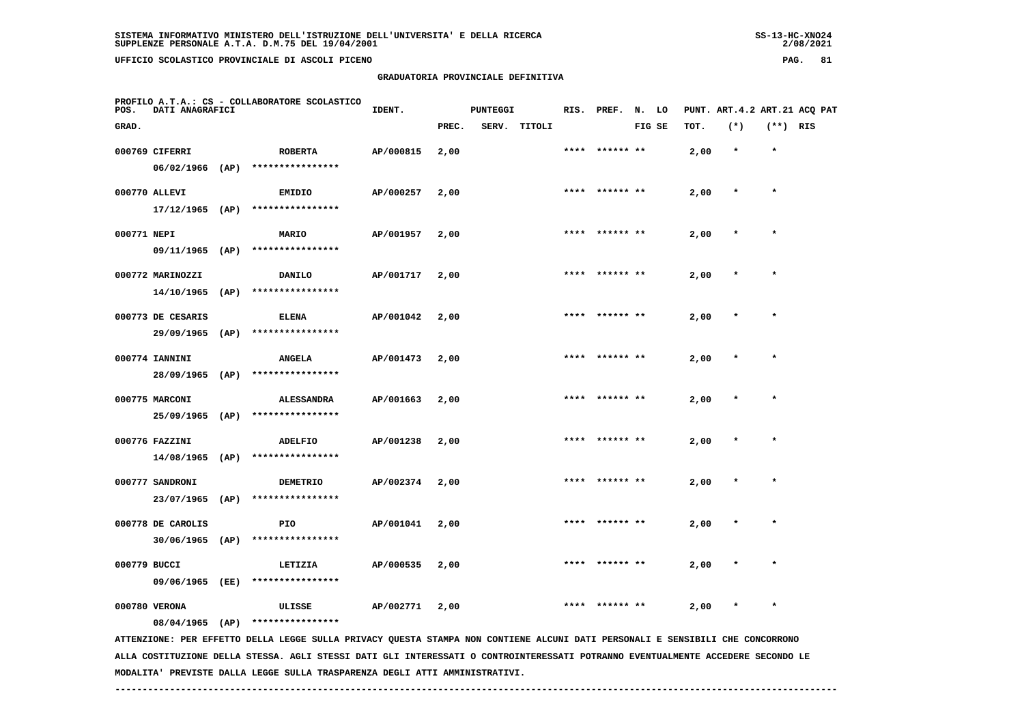**PROFILO A.T.A.: CS - COLLABORATORE SCOLASTICO**

 **GRADUATORIA PROVINCIALE DEFINITIVA**

| POS.         | DATI ANAGRAFICI   |                                  | IDENT.    |       | PUNTEGGI |              |      | RIS. PREF. N. LO |        |      |         |            | PUNT. ART.4.2 ART.21 ACQ PAT |
|--------------|-------------------|----------------------------------|-----------|-------|----------|--------------|------|------------------|--------|------|---------|------------|------------------------------|
| GRAD.        |                   |                                  |           | PREC. |          | SERV. TITOLI |      |                  | FIG SE | TOT. | $(*)$   | $(**)$ RIS |                              |
|              | 000769 CIFERRI    | ROBERTA                          | AP/000815 | 2,00  |          |              |      | ****  ****** **  |        | 2,00 | $\star$ | $\star$    |                              |
|              |                   | 06/02/1966 (AP) **************** |           |       |          |              |      |                  |        |      |         |            |                              |
|              | 000770 ALLEVI     | <b>EMIDIO</b>                    | AP/000257 | 2,00  |          |              |      | **** ****** **   |        | 2,00 | $\star$ |            |                              |
|              |                   | 17/12/1965 (AP) **************** |           |       |          |              |      |                  |        |      |         |            |                              |
| 000771 NEPI  |                   | MARIO                            | AP/001957 | 2,00  |          |              |      | **** ****** **   |        | 2,00 |         |            |                              |
|              |                   | 09/11/1965 (AP) **************** |           |       |          |              |      |                  |        |      |         |            |                              |
|              | 000772 MARINOZZI  | DANILO                           | AP/001717 | 2,00  |          |              | **** |                  |        | 2,00 |         |            |                              |
|              | 14/10/1965 (AP)   | ****************                 |           |       |          |              |      |                  |        |      |         |            |                              |
|              | 000773 DE CESARIS | <b>ELENA</b>                     | AP/001042 | 2,00  |          |              |      | **** ****** **   |        | 2,00 |         | $\star$    |                              |
|              |                   | 29/09/1965 (AP) **************** |           |       |          |              |      |                  |        |      |         |            |                              |
|              | 000774 IANNINI    | <b>ANGELA</b>                    | AP/001473 | 2,00  |          |              |      | **** ****** **   |        | 2,00 |         |            |                              |
|              | 28/09/1965 (AP)   | ****************                 |           |       |          |              |      |                  |        |      |         |            |                              |
|              | 000775 MARCONI    | <b>ALESSANDRA</b>                | AP/001663 | 2,00  |          |              |      | **** ****** **   |        | 2,00 | $\ast$  |            |                              |
|              | 25/09/1965 (AP)   | ****************                 |           |       |          |              |      |                  |        |      |         |            |                              |
|              | 000776 FAZZINI    | ADELFIO                          | AP/001238 | 2,00  |          |              |      | **** ****** **   |        | 2,00 | $\star$ | $\bullet$  |                              |
|              | $14/08/1965$ (AP) | ****************                 |           |       |          |              |      |                  |        |      |         |            |                              |
|              | 000777 SANDRONI   | <b>DEMETRIO</b>                  | AP/002374 | 2,00  |          |              |      | **** ****** **   |        | 2,00 | $\star$ | $\star$    |                              |
|              | 23/07/1965 (AP)   | ****************                 |           |       |          |              |      |                  |        |      |         |            |                              |
|              | 000778 DE CAROLIS | PIO                              | AP/001041 | 2,00  |          |              |      | **** ****** **   |        | 2,00 | $\star$ | $\star$    |                              |
|              | 30/06/1965 (AP)   | ****************                 |           |       |          |              |      |                  |        |      |         |            |                              |
| 000779 BUCCI |                   | LETIZIA<br>****************      | AP/000535 | 2,00  |          |              | **** |                  |        | 2,00 | $\star$ | $\star$    |                              |
|              | 09/06/1965 (EE)   |                                  |           |       |          |              |      |                  |        |      |         |            |                              |
|              | 000780 VERONA     | ULISSE                           | AP/002771 | 2,00  |          |              | **** |                  |        | 2,00 |         | $\star$    |                              |
|              |                   | 08/04/1965 (AP) **************** |           |       |          |              |      |                  |        |      |         |            |                              |

 **ATTENZIONE: PER EFFETTO DELLA LEGGE SULLA PRIVACY QUESTA STAMPA NON CONTIENE ALCUNI DATI PERSONALI E SENSIBILI CHE CONCORRONO ALLA COSTITUZIONE DELLA STESSA. AGLI STESSI DATI GLI INTERESSATI O CONTROINTERESSATI POTRANNO EVENTUALMENTE ACCEDERE SECONDO LE MODALITA' PREVISTE DALLA LEGGE SULLA TRASPARENZA DEGLI ATTI AMMINISTRATIVI.**

 **------------------------------------------------------------------------------------------------------------------------------------**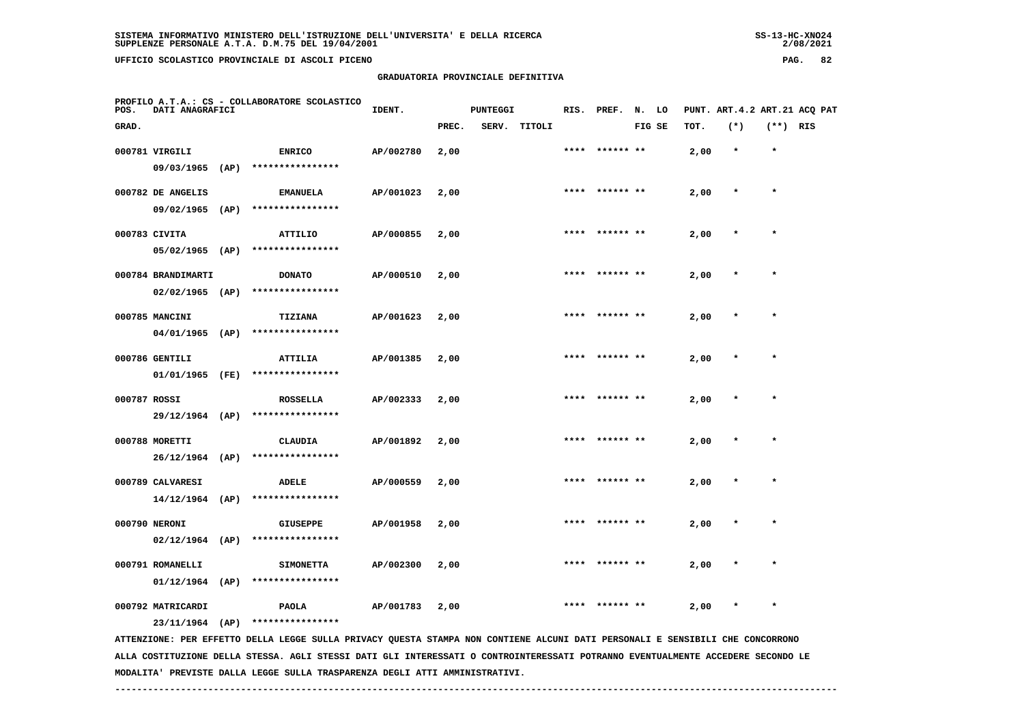**GRADUATORIA PROVINCIALE DEFINITIVA**

| POS.         | DATI ANAGRAFICI    |      | PROFILO A.T.A.: CS - COLLABORATORE SCOLASTICO | IDENT.    |       | <b>PUNTEGGI</b> |        |      | RIS. PREF.     | N. LO  |      | PUNT. ART. 4.2 ART. 21 ACQ PAT |            |  |
|--------------|--------------------|------|-----------------------------------------------|-----------|-------|-----------------|--------|------|----------------|--------|------|--------------------------------|------------|--|
| GRAD.        |                    |      |                                               |           | PREC. | SERV.           | TITOLI |      |                | FIG SE | TOT. | $(*)$                          | $(**)$ RIS |  |
|              | 000781 VIRGILI     |      | <b>ENRICO</b>                                 | AP/002780 | 2,00  |                 |        | **** | ****** **      |        | 2,00 | $\star$                        | $\star$    |  |
|              | 09/03/1965         | (AP) | ****************                              |           |       |                 |        |      |                |        |      |                                |            |  |
|              | 000782 DE ANGELIS  |      | <b>EMANUELA</b>                               | AP/001023 | 2,00  |                 |        |      | **** ****** ** |        | 2,00 | $\star$                        | $\star$    |  |
|              | 09/02/1965         | (AP) | ****************                              |           |       |                 |        |      |                |        |      |                                |            |  |
|              | 000783 CIVITA      |      | ATTILIO                                       | AP/000855 | 2,00  |                 |        |      | **** ****** ** |        | 2,00 | $\star$                        | $\star$    |  |
|              | 05/02/1965         | (AP) | ****************                              |           |       |                 |        |      |                |        |      |                                |            |  |
|              | 000784 BRANDIMARTI |      | <b>DONATO</b>                                 | AP/000510 | 2,00  |                 |        |      | **** ****** ** |        | 2,00 | $\star$                        | $\star$    |  |
|              | 02/02/1965         | (AP) | ****************                              |           |       |                 |        |      |                |        |      |                                |            |  |
|              | 000785 MANCINI     |      | <b>TIZIANA</b>                                | AP/001623 | 2,00  |                 |        | **** | ****** **      |        | 2,00 | $\star$                        | $\star$    |  |
|              | 04/01/1965         | (AP) | ****************                              |           |       |                 |        |      |                |        |      |                                |            |  |
|              | 000786 GENTILI     |      | <b>ATTILIA</b>                                | AP/001385 | 2,00  |                 |        | **** | ****** **      |        | 2,00 | $\star$                        | $\star$    |  |
|              | 01/01/1965         | (FE) | ****************                              |           |       |                 |        |      |                |        |      |                                |            |  |
| 000787 ROSSI |                    |      | <b>ROSSELLA</b>                               | AP/002333 | 2,00  |                 |        |      | **** ****** ** |        | 2,00 | $\star$                        | $\star$    |  |
|              | $29/12/1964$ (AP)  |      | ****************                              |           |       |                 |        |      |                |        |      |                                |            |  |
|              | 000788 MORETTI     |      | <b>CLAUDIA</b>                                | AP/001892 | 2,00  |                 |        |      | **** ****** ** |        | 2,00 | $\star$                        | $\star$    |  |
|              | 26/12/1964         | (AP) | ****************                              |           |       |                 |        |      |                |        |      |                                |            |  |

 **14/12/1964 (AP) \*\*\*\*\*\*\*\*\*\*\*\*\*\*\*\* 000790 NERONI GIUSEPPE AP/001958 2,00 \*\*\*\* \*\*\*\*\*\* \*\* 2,00 \* \* 02/12/1964 (AP) \*\*\*\*\*\*\*\*\*\*\*\*\*\*\*\* 000791 ROMANELLI SIMONETTA AP/002300 2,00 \*\*\*\* \*\*\*\*\*\* \*\* 2,00 \* \* 01/12/1964 (AP) \*\*\*\*\*\*\*\*\*\*\*\*\*\*\*\***

 **000792 MATRICARDI PAOLA AP/001783 2,00 \*\*\*\* \*\*\*\*\*\* \*\* 2,00 \* \***

 **000789 CALVARESI ADELE AP/000559 2,00 \*\*\*\* \*\*\*\*\*\* \*\* 2,00 \* \***

 **23/11/1964 (AP) \*\*\*\*\*\*\*\*\*\*\*\*\*\*\*\***

 **ATTENZIONE: PER EFFETTO DELLA LEGGE SULLA PRIVACY QUESTA STAMPA NON CONTIENE ALCUNI DATI PERSONALI E SENSIBILI CHE CONCORRONO ALLA COSTITUZIONE DELLA STESSA. AGLI STESSI DATI GLI INTERESSATI O CONTROINTERESSATI POTRANNO EVENTUALMENTE ACCEDERE SECONDO LE MODALITA' PREVISTE DALLA LEGGE SULLA TRASPARENZA DEGLI ATTI AMMINISTRATIVI.**

 **------------------------------------------------------------------------------------------------------------------------------------**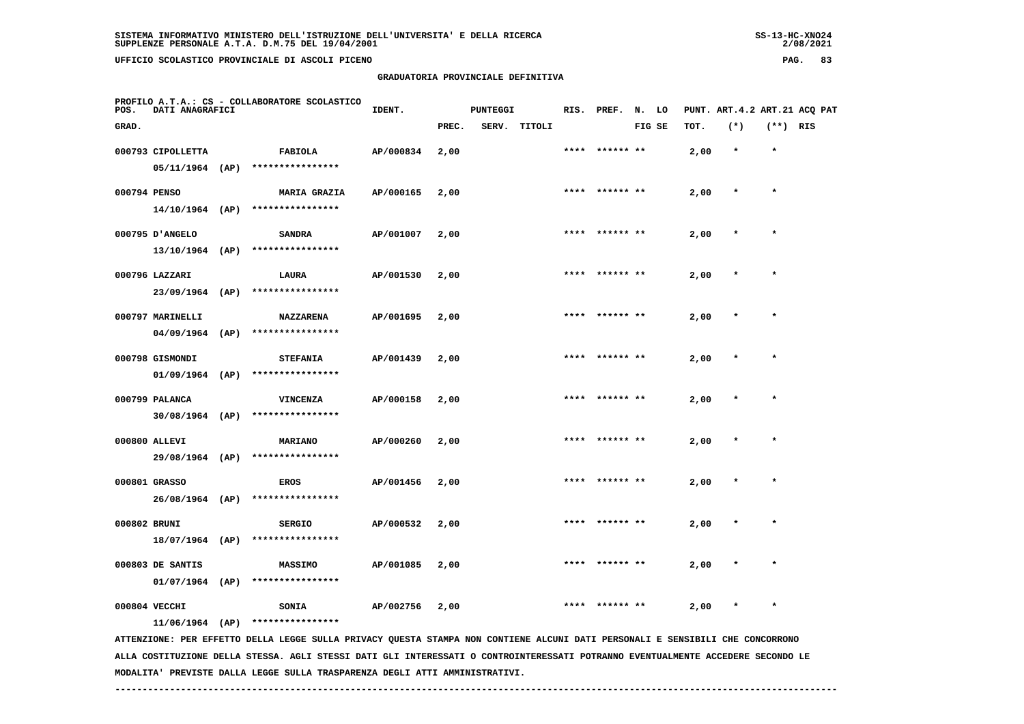## **GRADUATORIA PROVINCIALE DEFINITIVA**

 $2/08/2021$ 

| POS.         | DATI ANAGRAFICI                       | PROFILO A.T.A.: CS - COLLABORATORE SCOLASTICO                                                                                 | IDENT.    |       | <b>PUNTEGGI</b> |              |      | RIS. PREF.     | N. LO  |      |         |          | PUNT. ART.4.2 ART.21 ACQ PAT |
|--------------|---------------------------------------|-------------------------------------------------------------------------------------------------------------------------------|-----------|-------|-----------------|--------------|------|----------------|--------|------|---------|----------|------------------------------|
| GRAD.        |                                       |                                                                                                                               |           | PREC. |                 | SERV. TITOLI |      |                | FIG SE | TOT. | $(*)$   | (**) RIS |                              |
|              | 000793 CIPOLLETTA<br>05/11/1964 (AP)  | FABIOLA<br>****************                                                                                                   | AP/000834 | 2,00  |                 |              | **** | ****** **      |        | 2,00 | $\star$ | $\star$  |                              |
| 000794 PENSO | $14/10/1964$ (AP)                     | <b>MARIA GRAZIA</b><br>****************                                                                                       | AP/000165 | 2,00  |                 |              |      | **** ****** ** |        | 2,00 | $\ast$  | $\star$  |                              |
|              | 000795 D'ANGELO<br>$13/10/1964$ (AP)  | <b>SANDRA</b><br>****************                                                                                             | AP/001007 | 2,00  |                 |              |      | **** ****** ** |        | 2,00 | $\ast$  | $\star$  |                              |
|              | 000796 LAZZARI<br>$23/09/1964$ (AP)   | LAURA<br>****************                                                                                                     | AP/001530 | 2,00  |                 |              |      |                |        | 2,00 |         | $\star$  |                              |
|              | 000797 MARINELLI<br>$04/09/1964$ (AP) | <b>NAZZARENA</b><br>****************                                                                                          | AP/001695 | 2,00  |                 |              |      |                |        | 2,00 |         |          |                              |
|              | 000798 GISMONDI<br>$01/09/1964$ (AP)  | <b>STEFANIA</b><br>****************                                                                                           | AP/001439 | 2,00  |                 |              | **** |                |        | 2,00 |         |          |                              |
|              | 000799 PALANCA<br>$30/08/1964$ (AP)   | <b>VINCENZA</b><br>****************                                                                                           | AP/000158 | 2,00  |                 |              |      |                |        | 2,00 |         |          |                              |
|              | 000800 ALLEVI<br>29/08/1964 (AP)      | <b>MARIANO</b><br>****************                                                                                            | AP/000260 | 2,00  |                 |              |      | ****** **      |        | 2,00 |         | $\star$  |                              |
|              | 000801 GRASSO<br>26/08/1964 (AP)      | <b>EROS</b><br>****************                                                                                               | AP/001456 | 2,00  |                 |              |      |                |        | 2,00 |         | $\star$  |                              |
| 000802 BRUNI | 18/07/1964 (AP)                       | <b>SERGIO</b><br>****************                                                                                             | AP/000532 | 2,00  |                 |              | **** |                |        | 2,00 |         | $\star$  |                              |
|              | 000803 DE SANTIS<br>$01/07/1964$ (AP) | <b>MASSIMO</b><br>****************                                                                                            | AP/001085 | 2,00  |                 |              |      |                |        | 2,00 |         |          |                              |
|              | 000804 VECCHI                         | SONIA<br>11/06/1964 (AP) ****************                                                                                     | AP/002756 | 2,00  |                 |              |      |                |        | 2,00 | $\star$ |          |                              |
|              |                                       | ATTENZIONE: PER EFFETTO DELLA LEGGE SULLA PRIVACY OUESTA STAMPA NON CONTIENE ALCUNI DATI PERSONALI E SENSIBILI CHE CONCORRONO |           |       |                 |              |      |                |        |      |         |          |                              |

 **ATTENZIONE: PER EFFETTO DELLA LEGGE SULLA PRIVACY QUESTA STAMPA NON CONTIENE ALCUNI DATI PERSONALI E SENSIBILI CHE CONCORRONO ALLA COSTITUZIONE DELLA STESSA. AGLI STESSI DATI GLI INTERESSATI O CONTROINTERESSATI POTRANNO EVENTUALMENTE ACCEDERE SECONDO LE MODALITA' PREVISTE DALLA LEGGE SULLA TRASPARENZA DEGLI ATTI AMMINISTRATIVI.**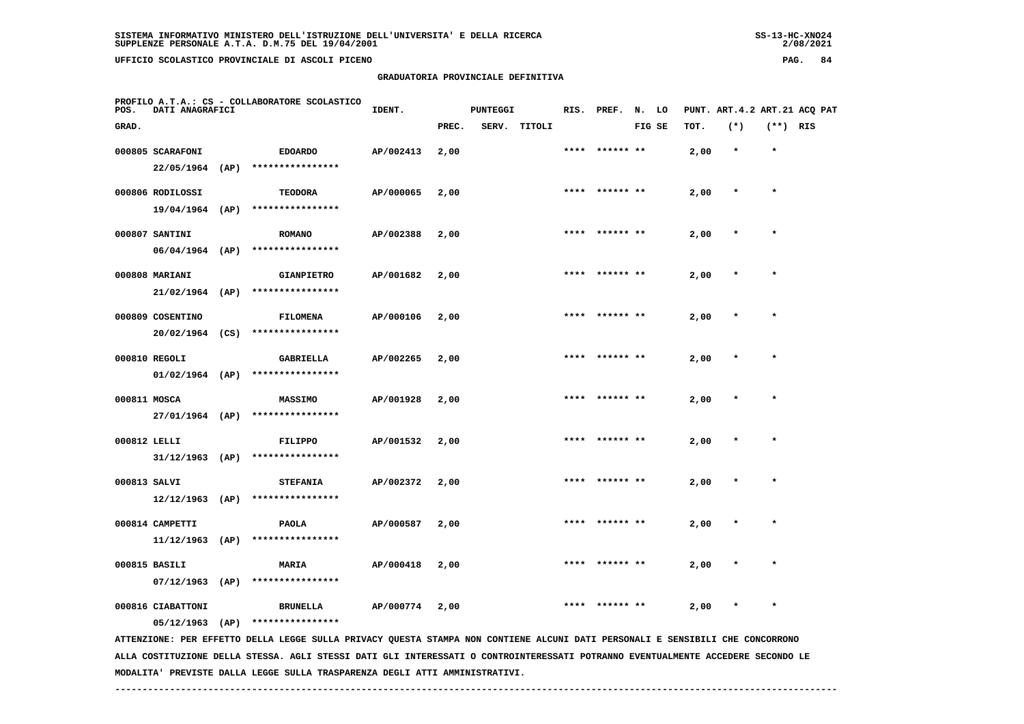## **GRADUATORIA PROVINCIALE DEFINITIVA**

 $2/08/2021$ 

| POS.         | DATI ANAGRAFICI                       |      | PROFILO A.T.A.: CS - COLLABORATORE SCOLASTICO                                                                                 | IDENT.    |       | <b>PUNTEGGI</b> |        |      | RIS. PREF.     | N. LO  |      | PUNT. ART.4.2 ART.21 ACQ PAT |            |  |
|--------------|---------------------------------------|------|-------------------------------------------------------------------------------------------------------------------------------|-----------|-------|-----------------|--------|------|----------------|--------|------|------------------------------|------------|--|
| GRAD.        |                                       |      |                                                                                                                               |           | PREC. | SERV.           | TITOLI |      |                | FIG SE | TOT. | $(*)$                        | $(**)$ RIS |  |
|              | 000805 SCARAFONI<br>$22/05/1964$ (AP) |      | <b>EDOARDO</b><br>****************                                                                                            | AP/002413 | 2,00  |                 |        |      |                |        | 2,00 |                              | $\star$    |  |
|              | 000806 RODILOSSI<br>$19/04/1964$ (AP) |      | <b>TEODORA</b><br>****************                                                                                            | AP/000065 | 2,00  |                 |        | **** | ****** **      |        | 2,00 |                              |            |  |
|              | 000807 SANTINI<br>$06/04/1964$ (AP)   |      | <b>ROMANO</b><br>****************                                                                                             | AP/002388 | 2,00  |                 |        |      | **** ****** ** |        | 2,00 | $\star$                      | $\star$    |  |
|              | 000808 MARIANI<br>$21/02/1964$ (AP)   |      | <b>GIANPIETRO</b><br>****************                                                                                         | AP/001682 | 2,00  |                 |        |      |                |        | 2,00 |                              |            |  |
|              | 000809 COSENTINO<br>$20/02/1964$ (CS) |      | FILOMENA<br>****************                                                                                                  | AP/000106 | 2,00  |                 |        |      | **** ****** ** |        | 2,00 |                              |            |  |
|              | 000810 REGOLI<br>$01/02/1964$ (AP)    |      | GABRIELLA<br>****************                                                                                                 | AP/002265 | 2,00  |                 |        |      | **** ****** ** |        | 2,00 |                              | $\star$    |  |
| 000811 MOSCA | 27/01/1964 (AP)                       |      | MASSIMO<br>****************                                                                                                   | AP/001928 | 2,00  |                 |        |      |                |        | 2,00 |                              |            |  |
| 000812 LELLI | $31/12/1963$ (AP)                     |      | <b>FILIPPO</b><br>****************                                                                                            | AP/001532 | 2,00  |                 |        |      | **** ****** ** |        | 2,00 | $\star$                      | $\star$    |  |
| 000813 SALVI | $12/12/1963$ (AP)                     |      | <b>STEFANIA</b><br>****************                                                                                           | AP/002372 | 2,00  |                 |        |      |                |        | 2,00 |                              |            |  |
|              | 000814 CAMPETTI<br>$11/12/1963$ (AP)  |      | <b>PAOLA</b><br>****************                                                                                              | AP/000587 | 2,00  |                 |        | **** |                |        | 2,00 |                              | $\star$    |  |
|              | 000815 BASILI<br>$07/12/1963$ (AP)    |      | <b>MARIA</b><br>****************                                                                                              | AP/000418 | 2,00  |                 |        |      |                |        | 2,00 |                              |            |  |
|              | 000816 CIABATTONI<br>05/12/1963       | (AP) | <b>BRUNELLA</b><br>****************                                                                                           | AP/000774 | 2,00  |                 |        |      |                |        | 2,00 |                              |            |  |
|              |                                       |      | ATTENZIONE: PER EFFETTO DELLA LEGGE SULLA PRIVACY QUESTA STAMPA NON CONTIENE ALCUNI DATI PERSONALI E SENSIBILI CHE CONCORRONO |           |       |                 |        |      |                |        |      |                              |            |  |

 **ALLA COSTITUZIONE DELLA STESSA. AGLI STESSI DATI GLI INTERESSATI O CONTROINTERESSATI POTRANNO EVENTUALMENTE ACCEDERE SECONDO LE MODALITA' PREVISTE DALLA LEGGE SULLA TRASPARENZA DEGLI ATTI AMMINISTRATIVI.**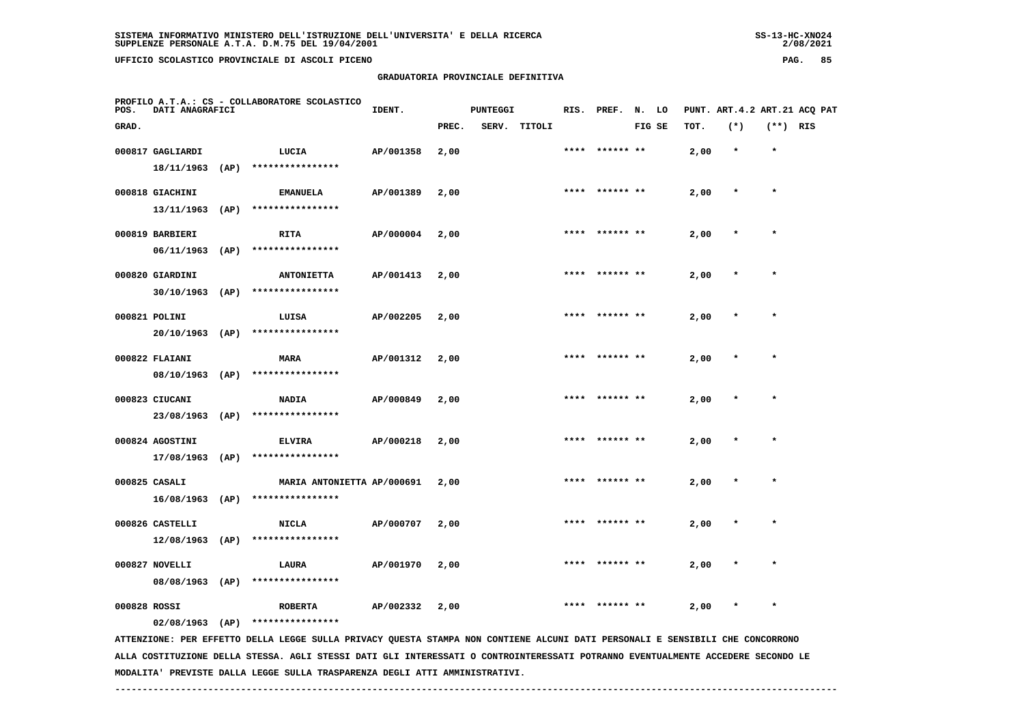**16/08/1963 (AP) \*\*\*\*\*\*\*\*\*\*\*\*\*\*\*\***

 **12/08/1963 (AP) \*\*\*\*\*\*\*\*\*\*\*\*\*\*\*\***

 **08/08/1963 (AP) \*\*\*\*\*\*\*\*\*\*\*\*\*\*\*\***

 **02/08/1963 (AP) \*\*\*\*\*\*\*\*\*\*\*\*\*\*\*\***

 **GRADUATORIA PROVINCIALE DEFINITIVA**

| POS.  | DATI ANAGRAFICI  |      | PROFILO A.T.A.: CS - COLLABORATORE SCOLASTICO | IDENT.    |       | PUNTEGGI |              |      | RIS. PREF.     | N. LO  |      | PUNT. ART.4.2 ART.21 ACQ PAT |            |  |
|-------|------------------|------|-----------------------------------------------|-----------|-------|----------|--------------|------|----------------|--------|------|------------------------------|------------|--|
| GRAD. |                  |      |                                               |           | PREC. |          | SERV. TITOLI |      |                | FIG SE | TOT. | $(*)$                        | $(**)$ RIS |  |
|       | 000817 GAGLIARDI |      | LUCIA                                         | AP/001358 | 2,00  |          |              |      | **** ****** ** |        | 2,00 | $\star$                      | $\star$    |  |
|       | 18/11/1963       | (AP) | ****************                              |           |       |          |              |      |                |        |      |                              |            |  |
|       | 000818 GIACHINI  |      | <b>EMANUELA</b>                               | AP/001389 | 2,00  |          |              |      | **** ****** ** |        | 2,00 | $\star$                      | $\star$    |  |
|       | 13/11/1963       | (AP) | ****************                              |           |       |          |              |      |                |        |      |                              |            |  |
|       | 000819 BARBIERI  |      | <b>RITA</b>                                   | AP/000004 | 2,00  |          |              | **** | ****** **      |        | 2,00 | $\star$                      | $\star$    |  |
|       | 06/11/1963       | (AP) | ****************                              |           |       |          |              |      |                |        |      |                              |            |  |
|       | 000820 GIARDINI  |      | <b>ANTONIETTA</b>                             | AP/001413 | 2,00  |          |              | **** | ****** **      |        | 2,00 | $\star$                      | $\star$    |  |
|       | 30/10/1963       | (AP) | ****************                              |           |       |          |              |      |                |        |      |                              |            |  |
|       | 000821 POLINI    |      | LUISA                                         | AP/002205 | 2,00  |          |              |      | **** ****** ** |        | 2,00 | $\star$                      | $\star$    |  |
|       | 20/10/1963       | (AP) | ****************                              |           |       |          |              |      |                |        |      |                              |            |  |
|       | 000822 FLAIANI   |      | <b>MARA</b>                                   | AP/001312 | 2,00  |          |              |      | **** ****** ** |        | 2,00 | $\star$                      | $\star$    |  |
|       | 08/10/1963       | (AP) | ****************                              |           |       |          |              |      |                |        |      |                              |            |  |
|       | 000823 CIUCANI   |      | <b>NADIA</b>                                  | AP/000849 | 2,00  |          |              | **** | ****** **      |        | 2,00 | $\star$                      | $\star$    |  |
|       | 23/08/1963       | (AP) | ****************                              |           |       |          |              |      |                |        |      |                              |            |  |
|       | 000824 AGOSTINI  |      | <b>ELVIRA</b>                                 | AP/000218 | 2,00  |          |              |      | **** ****** ** |        | 2,00 | $\star$                      | $\star$    |  |
|       | 17/08/1963       | (AP) | ****************                              |           |       |          |              |      |                |        |      |                              |            |  |

2/08/2021

 **ALLA COSTITUZIONE DELLA STESSA. AGLI STESSI DATI GLI INTERESSATI O CONTROINTERESSATI POTRANNO EVENTUALMENTE ACCEDERE SECONDO LE MODALITA' PREVISTE DALLA LEGGE SULLA TRASPARENZA DEGLI ATTI AMMINISTRATIVI.**

 **------------------------------------------------------------------------------------------------------------------------------------**

 **ATTENZIONE: PER EFFETTO DELLA LEGGE SULLA PRIVACY QUESTA STAMPA NON CONTIENE ALCUNI DATI PERSONALI E SENSIBILI CHE CONCORRONO**

 **000825 CASALI MARIA ANTONIETTA AP/000691 2,00 \*\*\*\* \*\*\*\*\*\* \*\* 2,00 \* \***

 **000826 CASTELLI NICLA AP/000707 2,00 \*\*\*\* \*\*\*\*\*\* \*\* 2,00 \* \***

 **000827 NOVELLI LAURA AP/001970 2,00 \*\*\*\* \*\*\*\*\*\* \*\* 2,00 \* \***

 **000828 ROSSI ROBERTA AP/002332 2,00 \*\*\*\* \*\*\*\*\*\* \*\* 2,00 \* \***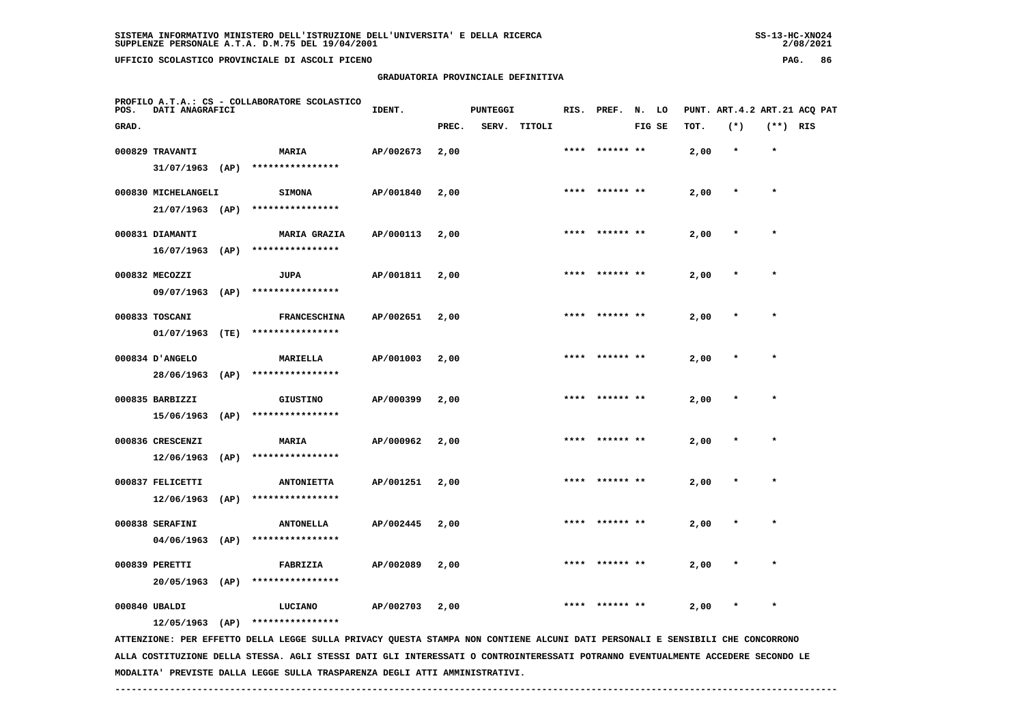## **GRADUATORIA PROVINCIALE DEFINITIVA**

 $2/08/2021$ 

| POS.  | DATI ANAGRAFICI     |      | PROFILO A.T.A.: CS - COLLABORATORE SCOLASTICO                                                                                 | IDENT.    |       | <b>PUNTEGGI</b> |              |      | RIS. PREF. N. LO |        |      | PUNT. ART. 4.2 ART. 21 ACQ PAT |            |  |
|-------|---------------------|------|-------------------------------------------------------------------------------------------------------------------------------|-----------|-------|-----------------|--------------|------|------------------|--------|------|--------------------------------|------------|--|
| GRAD. |                     |      |                                                                                                                               |           | PREC. |                 | SERV. TITOLI |      |                  | FIG SE | TOT. | $(*)$                          | $(**)$ RIS |  |
|       | 000829 TRAVANTI     |      | MARIA                                                                                                                         | AP/002673 | 2,00  |                 |              | **** | ****** **        |        | 2,00 | $\star$                        | $\star$    |  |
|       | $31/07/1963$ (AP)   |      | ****************                                                                                                              |           |       |                 |              |      |                  |        |      |                                |            |  |
|       | 000830 MICHELANGELI |      | <b>SIMONA</b>                                                                                                                 | AP/001840 | 2,00  |                 |              |      |                  |        | 2,00 | $\star$                        | $\star$    |  |
|       | $21/07/1963$ (AP)   |      | ****************                                                                                                              |           |       |                 |              |      |                  |        |      |                                |            |  |
|       | 000831 DIAMANTI     |      | <b>MARIA GRAZIA</b>                                                                                                           | AP/000113 | 2,00  |                 |              |      |                  |        | 2,00 |                                |            |  |
|       | $16/07/1963$ (AP)   |      | ****************                                                                                                              |           |       |                 |              |      |                  |        |      |                                |            |  |
|       | 000832 MECOZZI      |      | JUPA                                                                                                                          | AP/001811 | 2,00  |                 |              | **** | ****** **        |        | 2,00 |                                |            |  |
|       | 09/07/1963 (AP)     |      | ****************                                                                                                              |           |       |                 |              |      |                  |        |      |                                |            |  |
|       | 000833 TOSCANI      |      | <b>FRANCESCHINA</b>                                                                                                           | AP/002651 | 2,00  |                 |              |      |                  |        | 2,00 |                                | $\star$    |  |
|       | 01/07/1963 (TE)     |      | ****************                                                                                                              |           |       |                 |              |      |                  |        |      |                                |            |  |
|       | 000834 D'ANGELO     |      | <b>MARIELLA</b>                                                                                                               | AP/001003 | 2,00  |                 |              |      |                  |        | 2,00 |                                |            |  |
|       | 28/06/1963 (AP)     |      | ****************                                                                                                              |           |       |                 |              |      |                  |        |      |                                |            |  |
|       | 000835 BARBIZZI     |      | <b>GIUSTINO</b>                                                                                                               | AP/000399 | 2,00  |                 |              | **** | ****** **        |        | 2,00 |                                | $\star$    |  |
|       | 15/06/1963          | (AP) | ****************                                                                                                              |           |       |                 |              |      |                  |        |      |                                |            |  |
|       | 000836 CRESCENZI    |      | <b>MARIA</b>                                                                                                                  | AP/000962 | 2,00  |                 |              |      | **** ****** **   |        | 2,00 | $\ast$                         | $\star$    |  |
|       | 12/06/1963          | (AP) | ****************                                                                                                              |           |       |                 |              |      |                  |        |      |                                |            |  |
|       | 000837 FELICETTI    |      | <b>ANTONIETTA</b>                                                                                                             | AP/001251 | 2,00  |                 |              |      |                  |        | 2,00 |                                |            |  |
|       |                     |      | 12/06/1963 (AP) ****************                                                                                              |           |       |                 |              |      |                  |        |      |                                |            |  |
|       | 000838 SERAFINI     |      | <b>ANTONELLA</b>                                                                                                              | AP/002445 | 2,00  |                 |              |      |                  |        | 2,00 |                                |            |  |
|       | $04/06/1963$ (AP)   |      | ****************                                                                                                              |           |       |                 |              |      |                  |        |      |                                |            |  |
|       | 000839 PERETTI      |      | FABRIZIA                                                                                                                      | AP/002089 | 2,00  |                 |              |      |                  |        | 2,00 |                                |            |  |
|       | $20/05/1963$ (AP)   |      | ****************                                                                                                              |           |       |                 |              |      |                  |        |      |                                |            |  |
|       | 000840 UBALDI       |      | LUCIANO                                                                                                                       | AP/002703 | 2,00  |                 |              | **** | ****** **        |        | 2,00 | $\ast$                         | $\star$    |  |
|       |                     |      | $12/05/1963$ (AP) ****************                                                                                            |           |       |                 |              |      |                  |        |      |                                |            |  |
|       |                     |      | ATTENZIONE: PER EFFETTO DELLA LEGGE SULLA PRIVACY QUESTA STAMPA NON CONTIENE ALCUNI DATI PERSONALI E SENSIBILI CHE CONCORRONO |           |       |                 |              |      |                  |        |      |                                |            |  |

 **ALLA COSTITUZIONE DELLA STESSA. AGLI STESSI DATI GLI INTERESSATI O CONTROINTERESSATI POTRANNO EVENTUALMENTE ACCEDERE SECONDO LE MODALITA' PREVISTE DALLA LEGGE SULLA TRASPARENZA DEGLI ATTI AMMINISTRATIVI.**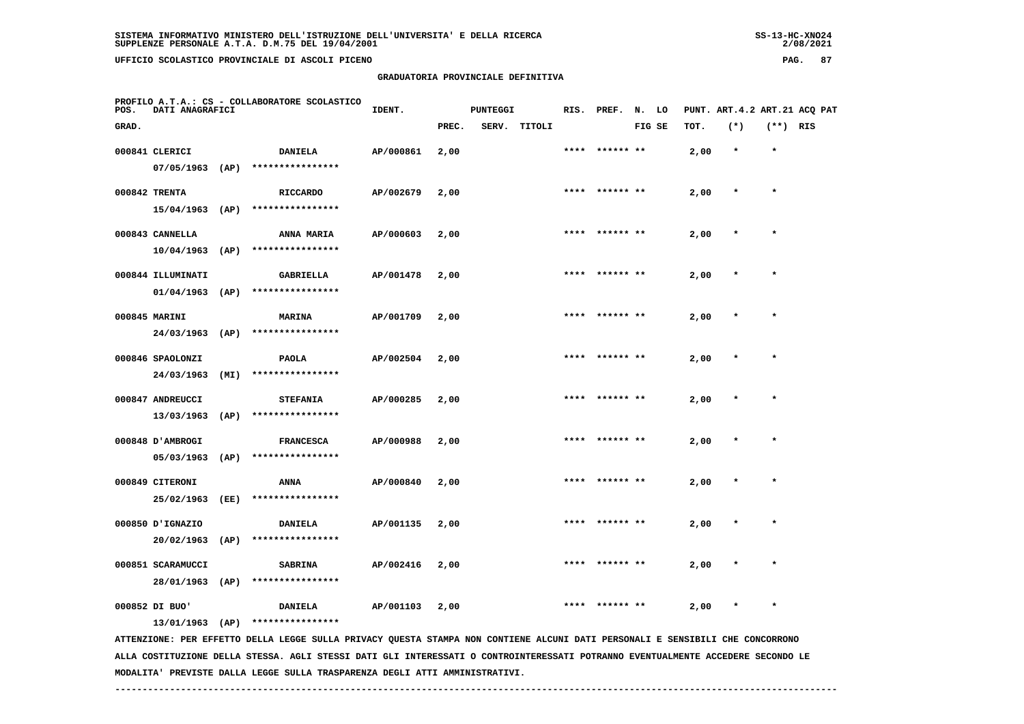# **GRADUATORIA PROVINCIALE DEFINITIVA**

 $2/08/2021$ 

| POS.  | DATI ANAGRAFICI                |      | PROFILO A.T.A.: CS - COLLABORATORE SCOLASTICO                                                                                 | IDENT.    |       | <b>PUNTEGGI</b> |        |      | RIS. PREF. N. LO |        |      |         |            | PUNT. ART. 4.2 ART. 21 ACQ PAT |
|-------|--------------------------------|------|-------------------------------------------------------------------------------------------------------------------------------|-----------|-------|-----------------|--------|------|------------------|--------|------|---------|------------|--------------------------------|
| GRAD. |                                |      |                                                                                                                               |           | PREC. | SERV.           | TITOLI |      |                  | FIG SE | TOT. | $(*)$   | $(**)$ RIS |                                |
|       | 000841 CLERICI                 |      | DANIELA                                                                                                                       | AP/000861 | 2,00  |                 |        |      | **** ****** **   |        | 2,00 | $\star$ | $\star$    |                                |
|       | 07/05/1963                     | (AP) | ****************                                                                                                              |           |       |                 |        |      |                  |        |      |         |            |                                |
|       | 000842 TRENTA                  |      | <b>RICCARDO</b>                                                                                                               | AP/002679 | 2,00  |                 |        | **** |                  |        | 2,00 | $\star$ | $\star$    |                                |
|       | $15/04/1963$ (AP)              |      | ****************                                                                                                              |           |       |                 |        |      |                  |        |      |         |            |                                |
|       | 000843 CANNELLA                |      | ANNA MARIA                                                                                                                    | AP/000603 | 2,00  |                 |        |      | ****** **        |        | 2,00 |         |            |                                |
|       | $10/04/1963$ (AP)              |      | ****************                                                                                                              |           |       |                 |        |      |                  |        |      |         |            |                                |
|       | 000844 ILLUMINATI              |      | <b>GABRIELLA</b>                                                                                                              | AP/001478 | 2,00  |                 |        |      | ****  ****** **  |        | 2,00 |         | $\star$    |                                |
|       | 01/04/1963                     | (AP) | ****************                                                                                                              |           |       |                 |        |      |                  |        |      |         |            |                                |
|       | 000845 MARINI                  |      | <b>MARINA</b>                                                                                                                 | AP/001709 | 2,00  |                 |        |      |                  |        | 2,00 |         |            |                                |
|       | 24/03/1963                     | (AP) | ****************                                                                                                              |           |       |                 |        |      |                  |        |      |         |            |                                |
|       | 000846 SPAOLONZI               |      | <b>PAOLA</b>                                                                                                                  | AP/002504 | 2,00  |                 |        | **** | ****** **        |        | 2,00 |         | $\star$    |                                |
|       | 24/03/1963                     | (MI) | ****************                                                                                                              |           |       |                 |        |      |                  |        |      |         |            |                                |
|       | 000847 ANDREUCCI               |      | <b>STEFANIA</b>                                                                                                               | AP/000285 | 2,00  |                 |        |      | **** ****** **   |        | 2,00 |         | $\star$    |                                |
|       | 13/03/1963                     | (AP) | ****************                                                                                                              |           |       |                 |        |      |                  |        |      |         |            |                                |
|       |                                |      |                                                                                                                               |           |       |                 |        | **** | ****** **        |        |      | $\ast$  | $\star$    |                                |
|       | 000848 U AMBROGI<br>05/03/1963 | (AP) | <b>FRANCESCA</b><br>****************                                                                                          | AP/000988 | 2,00  |                 |        |      |                  |        | 2,00 |         |            |                                |
|       |                                |      |                                                                                                                               |           |       |                 |        |      |                  |        |      |         |            |                                |
|       | 000849 CITERONI<br>25/02/1963  | (EE) | ANNA<br>****************                                                                                                      | AP/000840 | 2,00  |                 |        |      |                  |        | 2,00 |         |            |                                |
|       |                                |      |                                                                                                                               |           |       |                 |        |      |                  |        |      |         |            |                                |
|       | 000850 J'IGNAZIO<br>20/02/1963 | (AP) | <b>DANIELA</b><br>****************                                                                                            | AP/001135 | 2,00  |                 |        | **** | ****** **        |        | 2,00 |         |            |                                |
|       |                                |      |                                                                                                                               |           |       |                 |        |      |                  |        |      |         |            |                                |
|       | 000851 SCARAMUCCI              |      | <b>SABRINA</b>                                                                                                                | AP/002416 | 2,00  |                 |        |      |                  |        | 2,00 | $\ast$  | $\star$    |                                |
|       | 28/01/1963 (AP)                |      | ****************                                                                                                              |           |       |                 |        |      |                  |        |      |         |            |                                |
|       | 000852 DI BUO'                 |      | <b>DANIELA</b>                                                                                                                | AP/001103 | 2,00  |                 |        |      |                  |        | 2,00 |         | $\ast$     |                                |
|       | 13/01/1963 (AP)                |      | ****************                                                                                                              |           |       |                 |        |      |                  |        |      |         |            |                                |
|       |                                |      | ATTENZIONE: PER EFFETTO DELLA LEGGE SULLA PRIVACY QUESTA STAMPA NON CONTIENE ALCUNI DATI PERSONALI E SENSIBILI CHE CONCORRONO |           |       |                 |        |      |                  |        |      |         |            |                                |

 **ALLA COSTITUZIONE DELLA STESSA. AGLI STESSI DATI GLI INTERESSATI O CONTROINTERESSATI POTRANNO EVENTUALMENTE ACCEDERE SECONDO LE MODALITA' PREVISTE DALLA LEGGE SULLA TRASPARENZA DEGLI ATTI AMMINISTRATIVI.**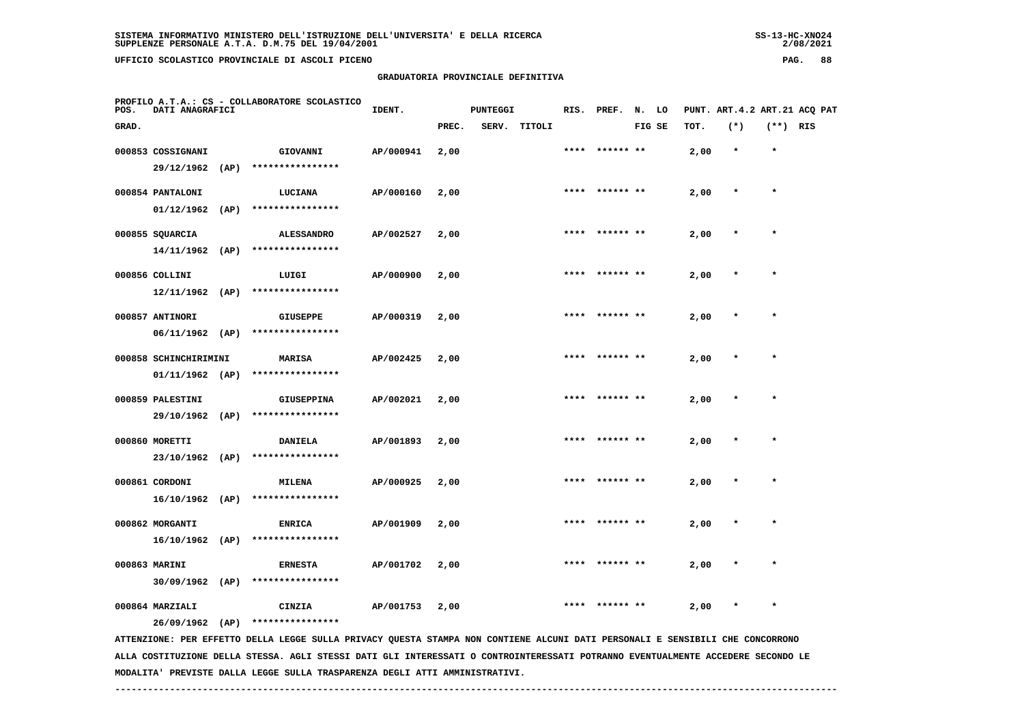**GRADUATORIA PROVINCIALE DEFINITIVA**

| POS.  | DATI ANAGRAFICI   |      | PROFILO A.T.A.: CS - COLLABORATORE SCOLASTICO | IDENT.    |       | <b>PUNTEGGI</b> |        |      | RIS. PREF.     | N. LO  |      | PUNT. ART.4.2 ART.21 ACQ PAT |            |  |
|-------|-------------------|------|-----------------------------------------------|-----------|-------|-----------------|--------|------|----------------|--------|------|------------------------------|------------|--|
| GRAD. |                   |      |                                               |           | PREC. | SERV.           | TITOLI |      |                | FIG SE | TOT. | $(*)$                        | $(**)$ RIS |  |
|       | 000853 COSSIGNANI |      | GIOVANNI                                      | AP/000941 | 2,00  |                 |        |      | **** ****** ** |        | 2,00 | $\star$                      | $\star$    |  |
|       | 29/12/1962        | (AP) | ****************                              |           |       |                 |        |      |                |        |      |                              |            |  |
|       | 000854 PANTALONI  |      | LUCIANA                                       | AP/000160 | 2,00  |                 |        | **** | ****** **      |        | 2,00 | $\star$                      | $\star$    |  |
|       | 01/12/1962        | (AP) | ****************                              |           |       |                 |        |      |                |        |      |                              |            |  |
|       | 000855 SQUARCIA   |      | <b>ALESSANDRO</b>                             | AP/002527 | 2,00  |                 |        |      | **** ****** ** |        | 2,00 | $\star$                      | $\star$    |  |
|       | 14/11/1962        | (AP) | ****************                              |           |       |                 |        |      |                |        |      |                              |            |  |
|       | 000856 COLLINI    |      | LUIGI                                         | AP/000900 | 2,00  |                 |        |      | **** ****** ** |        | 2,00 | $\star$                      | $\star$    |  |
|       | 12/11/1962        | (AP) | ****************                              |           |       |                 |        |      |                |        |      |                              |            |  |
|       | 000857 ANTINORI   |      | <b>GIUSEPPE</b>                               | AP/000319 | 2,00  |                 |        | **** | ****** **      |        | 2,00 | $\star$                      | $\star$    |  |
|       | 06/11/1962        | (AP) | ****************                              |           |       |                 |        |      |                |        |      |                              |            |  |

| 000858 SCHINCHIRIMINI<br>01/11/1962 | (AP) | <b>MARISA</b><br>****************     | AP/002425 | 2,00 | **** | ****** ** | 2,00 | $\mathbf{r}$ | $\star$ |
|-------------------------------------|------|---------------------------------------|-----------|------|------|-----------|------|--------------|---------|
| 000859 PALESTINI<br>29/10/1962      | (AP) | <b>GIUSEPPINA</b><br>**************** | AP/002021 | 2,00 | **** | ****** ** | 2,00 | $\mathbf{r}$ | $\star$ |

 **000860 MORETTI DANIELA AP/001893 2,00 \*\*\*\* \*\*\*\*\*\* \*\* 2,00 \* \* 23/10/1962 (AP) \*\*\*\*\*\*\*\*\*\*\*\*\*\*\*\* 000861 CORDONI MILENA AP/000925 2,00 \*\*\*\* \*\*\*\*\*\* \*\* 2,00 \* \* 16/10/1962 (AP) \*\*\*\*\*\*\*\*\*\*\*\*\*\*\*\***

 **000862 MORGANTI ENRICA AP/001909 2,00 \*\*\*\* \*\*\*\*\*\* \*\* 2,00 \* \* 16/10/1962 (AP) \*\*\*\*\*\*\*\*\*\*\*\*\*\*\*\* 000863 MARINI ERNESTA AP/001702 2,00 \*\*\*\* \*\*\*\*\*\* \*\* 2,00 \* \***

000864 MARZIALI **CINZIA** AP/001753 2,00 \*\*\*\* \*\*\*\*\*\*\*\* \*\* 2,00 \* \*

 **26/09/1962 (AP) \*\*\*\*\*\*\*\*\*\*\*\*\*\*\*\***

 **30/09/1962 (AP) \*\*\*\*\*\*\*\*\*\*\*\*\*\*\*\***

 **ATTENZIONE: PER EFFETTO DELLA LEGGE SULLA PRIVACY QUESTA STAMPA NON CONTIENE ALCUNI DATI PERSONALI E SENSIBILI CHE CONCORRONO ALLA COSTITUZIONE DELLA STESSA. AGLI STESSI DATI GLI INTERESSATI O CONTROINTERESSATI POTRANNO EVENTUALMENTE ACCEDERE SECONDO LE MODALITA' PREVISTE DALLA LEGGE SULLA TRASPARENZA DEGLI ATTI AMMINISTRATIVI.**

 **------------------------------------------------------------------------------------------------------------------------------------**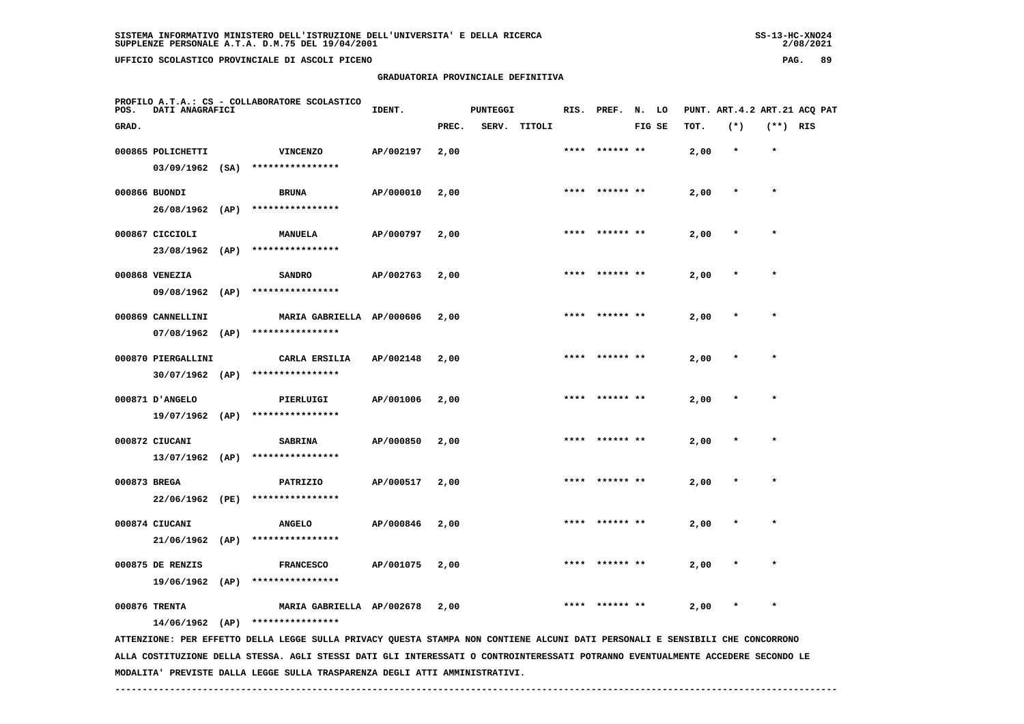**GRADUATORIA PROVINCIALE DEFINITIVA**

| POS.  | DATI ANAGRAFICI    | PROFILO A.T.A.: CS - COLLABORATORE SCOLASTICO                                                                                   | IDENT.    |       | <b>PUNTEGGI</b> |        |      | RIS. PREF. | N.     | LO |      | PUNT. ART. 4.2 ART. 21 ACQ PAT |            |  |
|-------|--------------------|---------------------------------------------------------------------------------------------------------------------------------|-----------|-------|-----------------|--------|------|------------|--------|----|------|--------------------------------|------------|--|
| GRAD. |                    |                                                                                                                                 |           | PREC. | SERV.           | TITOLI |      |            | FIG SE |    | TOT. | $(*)$                          | $(**)$ RIS |  |
|       | 000865 POLICHETTI  | <b>VINCENZO</b>                                                                                                                 | AP/002197 | 2,00  |                 |        |      | ****** **  |        |    | 2,00 | $\star$                        | $\star$    |  |
|       | $03/09/1962$ (SA)  | ****************                                                                                                                |           |       |                 |        |      |            |        |    |      |                                |            |  |
|       | 000866 BUONDI      | <b>BRUNA</b>                                                                                                                    | AP/000010 | 2,00  |                 |        | **** |            |        |    | 2,00 |                                | $\star$    |  |
|       | 26/08/1962 (AP)    | ****************                                                                                                                |           |       |                 |        |      |            |        |    |      |                                |            |  |
|       | 000867 CICCIOLI    | MANUELA                                                                                                                         | AP/000797 | 2,00  |                 |        |      |            |        |    | 2,00 |                                |            |  |
|       | 23/08/1962 (AP)    | ****************                                                                                                                |           |       |                 |        |      |            |        |    |      |                                |            |  |
|       | 000868 VENEZIA     | <b>SANDRO</b>                                                                                                                   | AP/002763 | 2,00  |                 |        |      | ****** **  |        |    | 2,00 |                                | $\star$    |  |
|       | 09/08/1962 (AP)    | ****************                                                                                                                |           |       |                 |        |      |            |        |    |      |                                |            |  |
|       | 000869 CANNELLINI  | MARIA GABRIELLA AP/000606                                                                                                       |           | 2,00  |                 |        |      | ****** **  |        |    | 2,00 |                                |            |  |
|       | $07/08/1962$ (AP)  | ****************                                                                                                                |           |       |                 |        |      |            |        |    |      |                                |            |  |
|       | 000870 PIERGALLINI | CARLA ERSILIA                                                                                                                   | AP/002148 | 2,00  |                 |        |      |            |        |    | 2,00 |                                | $\star$    |  |
|       | $30/07/1962$ (AP)  | ****************                                                                                                                |           |       |                 |        |      |            |        |    |      |                                |            |  |
|       | 000871 D'ANGELO    | PIERLUIGI                                                                                                                       | AP/001006 | 2,00  |                 |        |      |            |        |    | 2,00 |                                |            |  |
|       | 19/07/1962 (AP)    | ****************                                                                                                                |           |       |                 |        |      |            |        |    |      |                                |            |  |
|       | 000872 CIUCANI     | <b>SABRINA</b>                                                                                                                  | AP/000850 | 2,00  |                 |        |      |            |        |    | 2,00 |                                | $\star$    |  |
|       | $13/07/1962$ (AP)  | ****************                                                                                                                |           |       |                 |        |      |            |        |    |      |                                |            |  |
|       | 000873 BREGA       | PATRIZIO                                                                                                                        | AP/000517 | 2,00  |                 |        |      | ****** **  |        |    | 2,00 |                                |            |  |
|       | 22/06/1962 (PE)    | ****************                                                                                                                |           |       |                 |        |      |            |        |    |      |                                |            |  |
|       | 000874 CIUCANI     | <b>ANGELO</b>                                                                                                                   | AP/000846 | 2,00  |                 |        | **** | ****** **  |        |    | 2,00 |                                | $\star$    |  |
|       | $21/06/1962$ (AP)  | ****************                                                                                                                |           |       |                 |        |      |            |        |    |      |                                |            |  |
|       | 000875 DE RENZIS   | <b>FRANCESCO</b>                                                                                                                | AP/001075 | 2,00  |                 |        |      |            |        |    | 2,00 |                                |            |  |
|       | 19/06/1962 (AP)    | ****************                                                                                                                |           |       |                 |        |      |            |        |    |      |                                |            |  |
|       | 000876 TRENTA      | MARIA GABRIELLA AP/002678                                                                                                       |           | 2,00  |                 |        |      |            |        |    | 2,00 |                                |            |  |
|       | $14/06/1962$ (AP)  | ****************                                                                                                                |           |       |                 |        |      |            |        |    |      |                                |            |  |
|       |                    | ATTENZIONE: PER EFFETTO DELLA LEGGE SULLA PRIVACY QUESTA STAMPA NON CONTIENE ALCUNI DATI PERSONALI E SENSIBILI CHE CONCORRONO   |           |       |                 |        |      |            |        |    |      |                                |            |  |
|       |                    | ALLA COSTITUZIONE DELLA STESSA. AGLI STESSI DATI GLI INTERESSATI O CONTROINTERESSATI POTRANNO EVENTUALMENTE ACCEDERE SECONDO LE |           |       |                 |        |      |            |        |    |      |                                |            |  |

 **MODALITA' PREVISTE DALLA LEGGE SULLA TRASPARENZA DEGLI ATTI AMMINISTRATIVI.**

 **------------------------------------------------------------------------------------------------------------------------------------**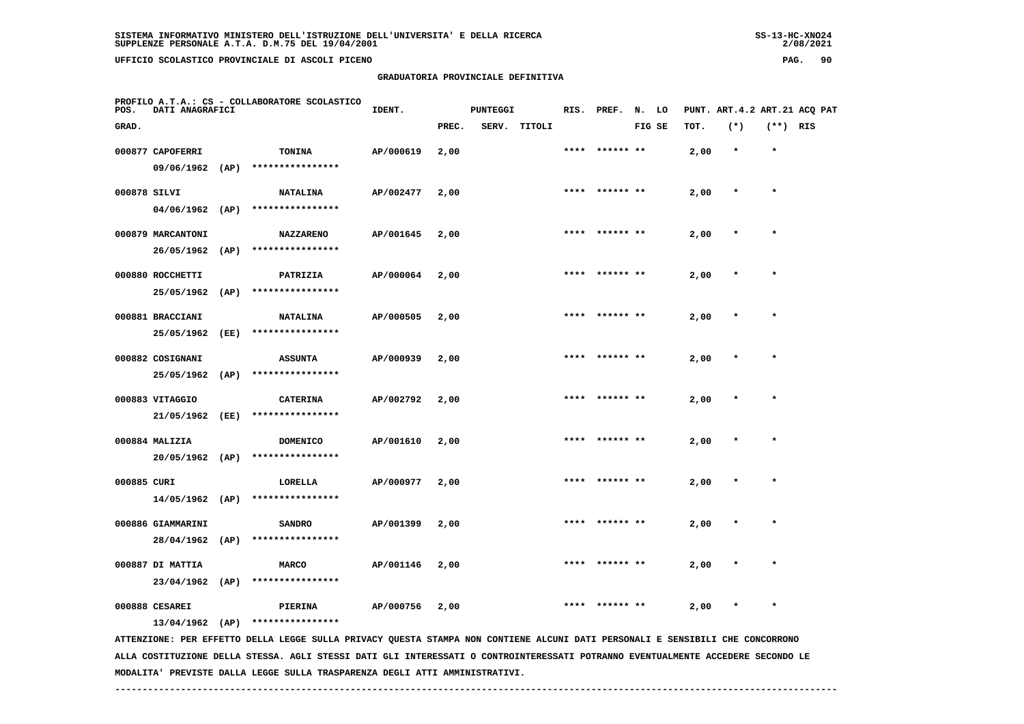## **GRADUATORIA PROVINCIALE DEFINITIVA**

 $2/08/2021$ 

| POS.         | DATI ANAGRAFICI   |      | PROFILO A.T.A.: CS - COLLABORATORE SCOLASTICO                                                                                 | IDENT.    |       | <b>PUNTEGGI</b> |        |      | RIS. PREF. N. LO |        |      | PUNT. ART. 4.2 ART. 21 ACQ PAT |            |  |
|--------------|-------------------|------|-------------------------------------------------------------------------------------------------------------------------------|-----------|-------|-----------------|--------|------|------------------|--------|------|--------------------------------|------------|--|
| GRAD.        |                   |      |                                                                                                                               |           | PREC. | SERV.           | TITOLI |      |                  | FIG SE | TOT. | $(*)$                          | $(**)$ RIS |  |
|              | 000877 CAPOFERRI  |      | TONINA                                                                                                                        | AP/000619 | 2,00  |                 |        | **** | ****** **        |        | 2,00 | $\star$                        | $\star$    |  |
|              | 09/06/1962 (AP)   |      | ****************                                                                                                              |           |       |                 |        |      |                  |        |      |                                |            |  |
| 000878 SILVI |                   |      | <b>NATALINA</b>                                                                                                               | AP/002477 | 2,00  |                 |        |      |                  |        | 2,00 | $\ast$                         | $\star$    |  |
|              | $04/06/1962$ (AP) |      | ****************                                                                                                              |           |       |                 |        |      |                  |        |      |                                |            |  |
|              | 000879 MARCANTONI |      | <b>NAZZARENO</b>                                                                                                              | AP/001645 | 2,00  |                 |        |      |                  |        | 2,00 |                                |            |  |
|              | 26/05/1962 (AP)   |      | ****************                                                                                                              |           |       |                 |        |      |                  |        |      |                                |            |  |
|              | 000880 ROCCHETTI  |      | PATRIZIA                                                                                                                      | AP/000064 | 2,00  |                 |        |      |                  |        | 2,00 |                                |            |  |
|              | 25/05/1962        | (AP) | ****************                                                                                                              |           |       |                 |        |      |                  |        |      |                                |            |  |
|              | 000881 BRACCIANI  |      | <b>NATALINA</b>                                                                                                               | AP/000505 | 2,00  |                 |        | **** | ****** **        |        | 2,00 | $\star$                        | $\star$    |  |
|              | 25/05/1962        | (EE) | ****************                                                                                                              |           |       |                 |        |      |                  |        |      |                                |            |  |
|              | 000882 COSIGNANI  |      | <b>ASSUNTA</b>                                                                                                                | AP/000939 | 2,00  |                 |        |      | **** ****** **   |        | 2,00 |                                | $\star$    |  |
|              | 25/05/1962        | (AP) | ****************                                                                                                              |           |       |                 |        |      |                  |        |      |                                |            |  |
|              | 000883 VITAGGIO   |      | <b>CATERINA</b>                                                                                                               | AP/002792 | 2,00  |                 |        |      |                  |        | 2,00 |                                |            |  |
|              | 21/05/1962        | (EE) | ****************                                                                                                              |           |       |                 |        |      |                  |        |      |                                |            |  |
|              | 000884 MALIZIA    |      | <b>DOMENICO</b>                                                                                                               | AP/001610 | 2,00  |                 |        |      |                  |        | 2,00 |                                | $\star$    |  |
|              | 20/05/1962 (AP)   |      | ****************                                                                                                              |           |       |                 |        |      |                  |        |      |                                |            |  |
| 000885 CURI  |                   |      | <b>LORELLA</b>                                                                                                                | AP/000977 | 2,00  |                 |        | **** | ****** **        |        | 2,00 |                                | $\star$    |  |
|              | $14/05/1962$ (AP) |      | ****************                                                                                                              |           |       |                 |        |      |                  |        |      |                                |            |  |
|              | 000886 GIAMMARINI |      | <b>SANDRO</b>                                                                                                                 | AP/001399 | 2,00  |                 |        |      |                  |        | 2,00 |                                |            |  |
|              | 28/04/1962 (AP)   |      | ****************                                                                                                              |           |       |                 |        |      |                  |        |      |                                |            |  |
|              | 000887 DI MATTIA  |      | <b>MARCO</b>                                                                                                                  | AP/001146 | 2,00  |                 |        | **** |                  |        | 2,00 |                                | $\star$    |  |
|              | 23/04/1962 (AP)   |      | ****************                                                                                                              |           |       |                 |        |      |                  |        |      |                                |            |  |
|              | 000888 CESAREI    |      | PIERINA                                                                                                                       | AP/000756 | 2,00  |                 |        |      |                  |        | 2,00 | $\ast$                         | $\star$    |  |
|              | $13/04/1962$ (AP) |      | ****************                                                                                                              |           |       |                 |        |      |                  |        |      |                                |            |  |
|              |                   |      | ATTENZIONE: PER EFFETTO DELLA LEGGE SULLA PRIVACY QUESTA STAMPA NON CONTIENE ALCUNI DATI PERSONALI E SENSIBILI CHE CONCORRONO |           |       |                 |        |      |                  |        |      |                                |            |  |

 **ALLA COSTITUZIONE DELLA STESSA. AGLI STESSI DATI GLI INTERESSATI O CONTROINTERESSATI POTRANNO EVENTUALMENTE ACCEDERE SECONDO LE MODALITA' PREVISTE DALLA LEGGE SULLA TRASPARENZA DEGLI ATTI AMMINISTRATIVI.**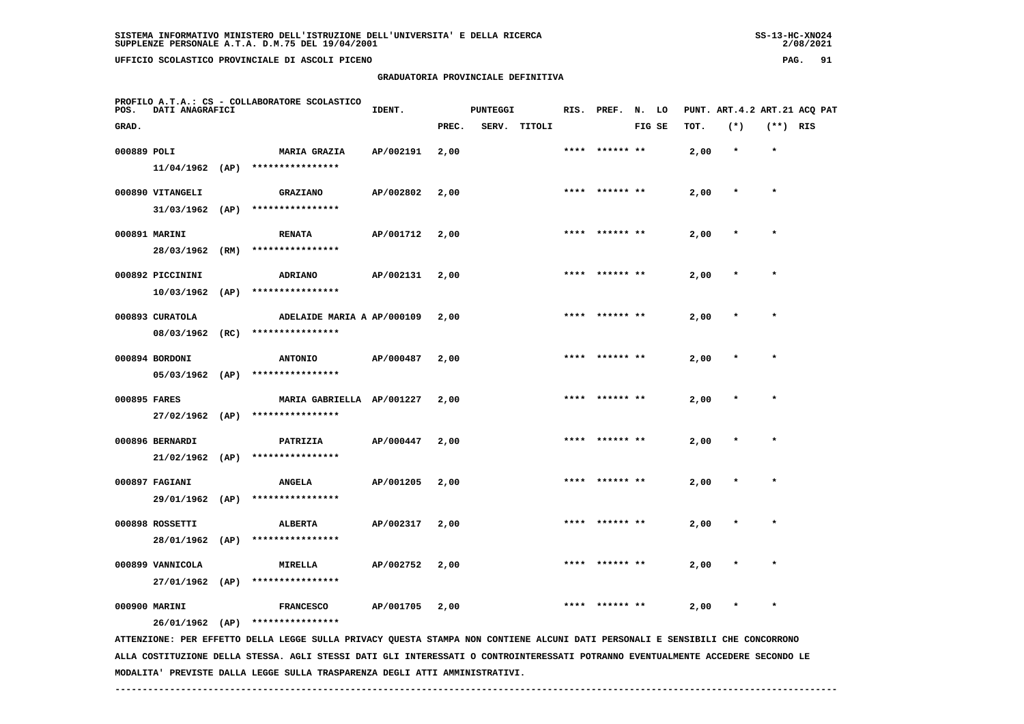| $SS-13-HC-XNO24$ |
|------------------|
| 2/08/2021        |

| POS.         | DATI ANAGRAFICI   |      | PROFILO A.T.A.: CS - COLLABORATORE SCOLASTICO                                                                                 | IDENT.    |       | <b>PUNTEGGI</b> |              |      | RIS. PREF. N. LO |        |      | PUNT. ART. 4.2 ART. 21 ACQ PAT |            |  |
|--------------|-------------------|------|-------------------------------------------------------------------------------------------------------------------------------|-----------|-------|-----------------|--------------|------|------------------|--------|------|--------------------------------|------------|--|
| GRAD.        |                   |      |                                                                                                                               |           | PREC. |                 | SERV. TITOLI |      |                  | FIG SE | TOT. | $(*)$                          | $(**)$ RIS |  |
| 000889 POLI  |                   |      | <b>MARIA GRAZIA</b>                                                                                                           | AP/002191 | 2,00  |                 |              |      | **** ****** **   |        | 2,00 | $\star$                        | $\star$    |  |
|              | $11/04/1962$ (AP) |      | ****************                                                                                                              |           |       |                 |              |      |                  |        |      |                                |            |  |
|              | 000890 VITANGELI  |      | <b>GRAZIANO</b>                                                                                                               | AP/002802 | 2,00  |                 |              |      | **** ****** **   |        | 2,00 | $\star$                        | $\star$    |  |
|              | $31/03/1962$ (AP) |      | ****************                                                                                                              |           |       |                 |              |      |                  |        |      |                                |            |  |
|              | 000891 MARINI     |      | <b>RENATA</b>                                                                                                                 | AP/001712 | 2,00  |                 |              |      |                  |        | 2,00 |                                | $\star$    |  |
|              | 28/03/1962        | (RM) | ****************                                                                                                              |           |       |                 |              |      |                  |        |      |                                |            |  |
|              | 000892 PICCININI  |      | <b>ADRIANO</b>                                                                                                                | AP/002131 | 2,00  |                 |              | **** | ****** **        |        | 2,00 |                                |            |  |
|              | $10/03/1962$ (AP) |      | ****************                                                                                                              |           |       |                 |              |      |                  |        |      |                                |            |  |
|              | 000893 CURATOLA   |      | ADELAIDE MARIA A AP/000109                                                                                                    |           | 2,00  |                 |              |      | ****** **        |        | 2,00 |                                | $\star$    |  |
|              | 08/03/1962 (RC)   |      | ****************                                                                                                              |           |       |                 |              |      |                  |        |      |                                |            |  |
|              | 000894 BORDONI    |      | <b>ANTONIO</b>                                                                                                                | AP/000487 | 2,00  |                 |              |      |                  |        | 2,00 |                                |            |  |
|              | $05/03/1962$ (AP) |      | ****************                                                                                                              |           |       |                 |              |      |                  |        |      |                                |            |  |
| 000895 FARES |                   |      | MARIA GABRIELLA AP/001227                                                                                                     |           | 2,00  |                 |              |      | **** ****** **   |        | 2,00 |                                | $\star$    |  |
|              | 27/02/1962 (AP)   |      | ****************                                                                                                              |           |       |                 |              |      |                  |        |      |                                |            |  |
|              | 000896 BERNARDI   |      | PATRIZIA                                                                                                                      | AP/000447 | 2,00  |                 |              | **** |                  |        | 2,00 |                                | $\star$    |  |
|              |                   |      | $21/02/1962$ (AP) ****************                                                                                            |           |       |                 |              |      |                  |        |      |                                |            |  |
|              | 000897 FAGIANI    |      | <b>ANGELA</b>                                                                                                                 | AP/001205 | 2,00  |                 |              |      |                  |        | 2,00 |                                |            |  |
|              | 29/01/1962 (AP)   |      | ****************                                                                                                              |           |       |                 |              |      |                  |        |      |                                |            |  |
|              | 000898 ROSSETTI   |      | ALBERTA                                                                                                                       | AP/002317 | 2,00  |                 |              |      | ****** **        |        | 2,00 |                                | $\star$    |  |
|              | 28/01/1962 (AP)   |      | ****************                                                                                                              |           |       |                 |              |      |                  |        |      |                                |            |  |
|              | 000899 VANNICOLA  |      | <b>MIRELLA</b>                                                                                                                | AP/002752 | 2,00  |                 |              | **** |                  |        | 2,00 |                                |            |  |
|              | 27/01/1962 (AP)   |      | ****************                                                                                                              |           |       |                 |              |      |                  |        |      |                                |            |  |
|              | 000900 MARINI     |      | <b>FRANCESCO</b>                                                                                                              | AP/001705 | 2,00  |                 |              |      |                  |        | 2,00 | $\ast$                         | $\star$    |  |
|              | 26/01/1962 (AP)   |      | ****************                                                                                                              |           |       |                 |              |      |                  |        |      |                                |            |  |
|              |                   |      | ATTENZIONE: PER EFFETTO DELLA LEGGE SULLA PRIVACY QUESTA STAMPA NON CONTIENE ALCUNI DATI PERSONALI E SENSIBILI CHE CONCORRONO |           |       |                 |              |      |                  |        |      |                                |            |  |

 **ALLA COSTITUZIONE DELLA STESSA. AGLI STESSI DATI GLI INTERESSATI O CONTROINTERESSATI POTRANNO EVENTUALMENTE ACCEDERE SECONDO LE MODALITA' PREVISTE DALLA LEGGE SULLA TRASPARENZA DEGLI ATTI AMMINISTRATIVI.**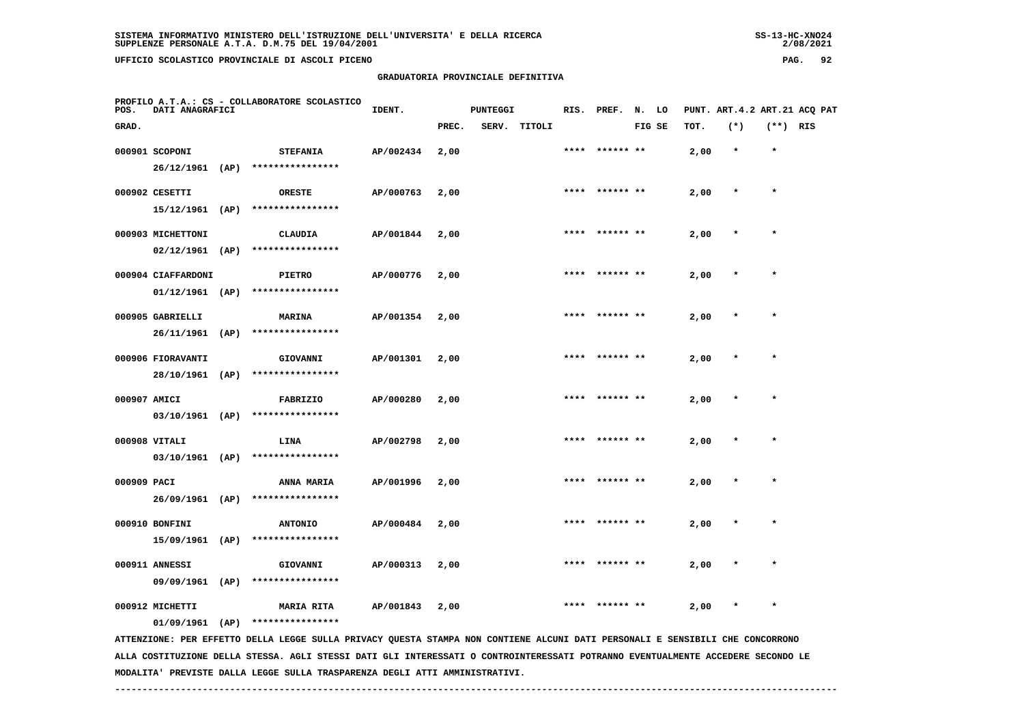**PROFILO A.T.A.: CS - COLLABORATORE SCOLASTICO**

 **GRADUATORIA PROVINCIALE DEFINITIVA**

**IDENT.** PUNTEGGI RIS. PREF. N. LO PUNT. ART.4.2 ART.21 ACQ PAT

| GRAD.        |                                        |      |                                     |           | PREC. | SERV. | TITOLI |      |                | FIG SE | TOT. | $(*)$   | (**) RIS |  |
|--------------|----------------------------------------|------|-------------------------------------|-----------|-------|-------|--------|------|----------------|--------|------|---------|----------|--|
|              | 000901 SCOPONI<br>26/12/1961           | (AP) | <b>STEFANIA</b><br>**************** | AP/002434 | 2,00  |       |        | **** | ****** **      |        | 2,00 | $\star$ | $\star$  |  |
|              | 000902 CESETTI                         |      | <b>ORESTE</b>                       | AP/000763 | 2,00  |       |        | **** | ****** **      |        | 2,00 | $\star$ | $\star$  |  |
|              | 15/12/1961                             | (AP) | ****************                    |           |       |       |        |      |                |        |      |         |          |  |
|              | 000903 MICHETTONI<br>$02/12/1961$ (AP) |      | <b>CLAUDIA</b><br>****************  | AP/001844 | 2,00  |       |        | **** | ****** **      |        | 2,00 | $\star$ | $\star$  |  |
|              | 000904 CIAFFARDONI                     |      | <b>PIETRO</b><br>****************   | AP/000776 | 2,00  |       |        | **** | ****** **      |        | 2,00 | $\star$ | $\star$  |  |
|              | $01/12/1961$ (AP)<br>000905 GABRIELLI  |      | <b>MARINA</b>                       | AP/001354 | 2,00  |       |        |      | **** ****** ** |        | 2,00 | $\ast$  | $\star$  |  |
|              | 26/11/1961 (AP)                        |      | ****************                    |           |       |       |        |      |                |        |      |         |          |  |
|              | 000906 FIORAVANTI<br>28/10/1961        | (AP) | GIOVANNI<br>****************        | AP/001301 | 2,00  |       |        | **** | ****** **      |        | 2,00 |         | $\star$  |  |
| 000907 AMICI |                                        |      | FABRIZIO                            | AP/000280 | 2,00  |       |        |      | **** ****** ** |        | 2,00 | $\star$ | $\star$  |  |
|              | 03/10/1961                             | (AP) | ****************                    |           |       |       |        | **** | ****** **      |        |      | $\star$ | $\star$  |  |
|              | 000908 VITALI<br>03/10/1961            | (AP) | LINA<br>****************            | AP/002798 | 2,00  |       |        |      |                |        | 2,00 |         |          |  |
| 000909 PACI  | 26/09/1961 (AP)                        |      | ANNA MARIA<br>****************      | AP/001996 | 2,00  |       |        | **** | ****** **      |        | 2,00 | $\star$ | $\star$  |  |
|              | 000910 BONFINI                         |      | <b>ANTONIO</b>                      | AP/000484 | 2,00  |       |        | **** | ****** **      |        | 2,00 |         | $\star$  |  |
|              | 15/09/1961                             | (AP) | ****************                    |           |       |       |        |      |                |        |      |         |          |  |
|              | 000911 ANNESSI                         |      | GIOVANNI                            | AP/000313 | 2,00  |       |        | **** | ****** **      |        | 2,00 | $\star$ | $\star$  |  |

 **09/09/1961 (AP) \*\*\*\*\*\*\*\*\*\*\*\*\*\*\*\***

 **000912 MICHETTI MARIA RITA AP/001843 2,00 \*\*\*\* \*\*\*\*\*\* \*\* 2,00 \* \***

 **01/09/1961 (AP) \*\*\*\*\*\*\*\*\*\*\*\*\*\*\*\***

 **ATTENZIONE: PER EFFETTO DELLA LEGGE SULLA PRIVACY QUESTA STAMPA NON CONTIENE ALCUNI DATI PERSONALI E SENSIBILI CHE CONCORRONO ALLA COSTITUZIONE DELLA STESSA. AGLI STESSI DATI GLI INTERESSATI O CONTROINTERESSATI POTRANNO EVENTUALMENTE ACCEDERE SECONDO LE MODALITA' PREVISTE DALLA LEGGE SULLA TRASPARENZA DEGLI ATTI AMMINISTRATIVI.**

 **------------------------------------------------------------------------------------------------------------------------------------**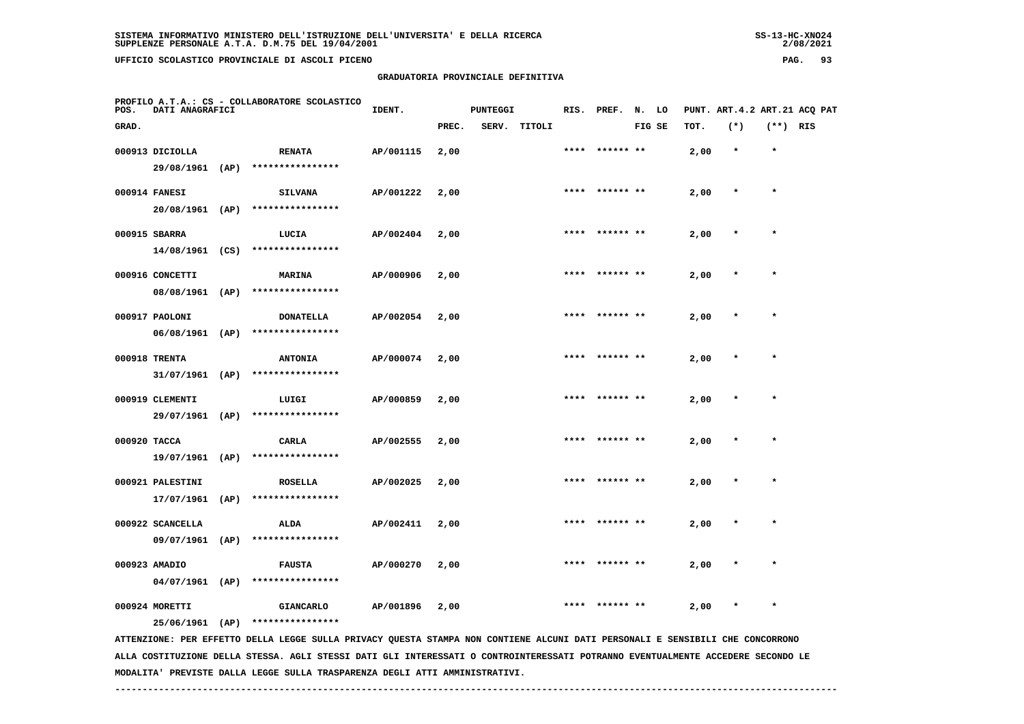**PROFILO A.T.A.: CS - COLLABORATORE SCOLASTICO**

 **GRADUATORIA PROVINCIALE DEFINITIVA**

| POS.         | DATI ANAGRAFICI  |                                  | IDENT.    |       | <b>PUNTEGGI</b> |              |      | RIS. PREF.     | N. LO  |      |         |            | PUNT. ART. 4.2 ART. 21 ACQ PAT |
|--------------|------------------|----------------------------------|-----------|-------|-----------------|--------------|------|----------------|--------|------|---------|------------|--------------------------------|
| GRAD.        |                  |                                  |           | PREC. |                 | SERV. TITOLI |      |                | FIG SE | TOT. | $(*)$   | $(**)$ RIS |                                |
|              | 000913 DICIOLLA  | <b>RENATA</b>                    | AP/001115 | 2,00  |                 |              |      | **** ****** ** |        | 2,00 | $\star$ | $\star$    |                                |
|              |                  | 29/08/1961 (AP) **************** |           |       |                 |              |      |                |        |      |         |            |                                |
|              | 000914 FANESI    | <b>SILVANA</b>                   | AP/001222 | 2,00  |                 |              |      | **** ****** ** |        | 2,00 | $\star$ | $\star$    |                                |
|              |                  | 20/08/1961 (AP) **************** |           |       |                 |              |      |                |        |      |         |            |                                |
|              | 000915 SBARRA    | LUCIA                            | AP/002404 | 2,00  |                 |              |      | **** ****** ** |        | 2,00 | $\star$ | $\star$    |                                |
|              |                  | 14/08/1961 (CS) **************** |           |       |                 |              |      |                |        |      |         |            |                                |
|              | 000916 CONCETTI  | <b>MARINA</b>                    | AP/000906 | 2,00  |                 |              |      | **** ****** ** |        | 2,00 | $\star$ | $\star$    |                                |
|              |                  | 08/08/1961 (AP) **************** |           |       |                 |              |      |                |        |      |         |            |                                |
|              | 000917 PAOLONI   | <b>DONATELLA</b>                 | AP/002054 | 2,00  |                 |              |      | **** ****** ** |        | 2,00 | $\star$ | $\star$    |                                |
|              | 06/08/1961 (AP)  | ****************                 |           |       |                 |              |      |                |        |      |         |            |                                |
|              | 000918 TRENTA    | <b>ANTONIA</b>                   | AP/000074 | 2,00  |                 |              |      | **** ****** ** |        | 2,00 |         | $\star$    |                                |
|              | 31/07/1961 (AP)  | ****************                 |           |       |                 |              |      |                |        |      |         |            |                                |
|              | 000919 CLEMENTI  | LUIGI                            | AP/000859 | 2,00  |                 |              |      | **** ****** ** |        | 2,00 |         | $\star$    |                                |
|              |                  | 29/07/1961 (AP) **************** |           |       |                 |              |      |                |        |      |         |            |                                |
| 000920 TACCA |                  | CARLA                            | AP/002555 | 2,00  |                 |              |      | **** ****** ** |        | 2,00 |         | $\star$    |                                |
|              |                  | 19/07/1961 (AP) **************** |           |       |                 |              |      |                |        |      |         |            |                                |
|              | 000921 PALESTINI | <b>ROSELLA</b>                   | AP/002025 | 2,00  |                 |              | **** |                |        | 2,00 |         |            |                                |
|              | 17/07/1961 (AP)  | ****************                 |           |       |                 |              |      |                |        |      |         |            |                                |
|              | 000922 SCANCELLA | <b>ALDA</b>                      | AP/002411 | 2,00  |                 |              |      | **** ****** ** |        | 2,00 | *       | $\star$    |                                |
|              | 09/07/1961 (AP)  | ****************                 |           |       |                 |              |      |                |        |      |         |            |                                |

 **04/07/1961 (AP) \*\*\*\*\*\*\*\*\*\*\*\*\*\*\*\***

 **000924 MORETTI GIANCARLO AP/001896 2,00 \*\*\*\* \*\*\*\*\*\* \*\* 2,00 \* \***

 **000923 AMADIO FAUSTA AP/000270 2,00 \*\*\*\* \*\*\*\*\*\* \*\* 2,00 \* \***

 **25/06/1961 (AP) \*\*\*\*\*\*\*\*\*\*\*\*\*\*\*\***

 **ATTENZIONE: PER EFFETTO DELLA LEGGE SULLA PRIVACY QUESTA STAMPA NON CONTIENE ALCUNI DATI PERSONALI E SENSIBILI CHE CONCORRONO ALLA COSTITUZIONE DELLA STESSA. AGLI STESSI DATI GLI INTERESSATI O CONTROINTERESSATI POTRANNO EVENTUALMENTE ACCEDERE SECONDO LE MODALITA' PREVISTE DALLA LEGGE SULLA TRASPARENZA DEGLI ATTI AMMINISTRATIVI.**

 **------------------------------------------------------------------------------------------------------------------------------------**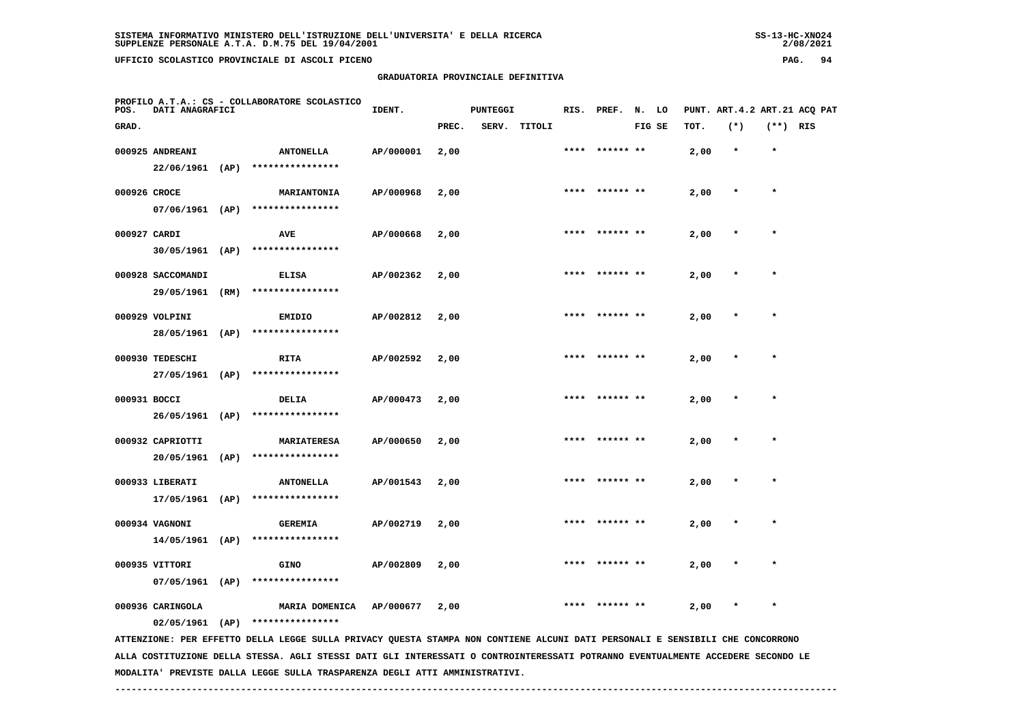**GRADUATORIA PROVINCIALE DEFINITIVA**

| POS.         | PROFILO A.T.A.: CS - COLLABORATORE SCOLASTICO<br>DATI ANAGRAFICI |  |                                                                                                                               | IDENT.    |       | <b>PUNTEGGI</b> |        | RIS. PREF.     | N. LO  |      |         |            | PUNT. ART. 4.2 ART. 21 ACQ PAT |
|--------------|------------------------------------------------------------------|--|-------------------------------------------------------------------------------------------------------------------------------|-----------|-------|-----------------|--------|----------------|--------|------|---------|------------|--------------------------------|
| GRAD.        |                                                                  |  |                                                                                                                               |           | PREC. | SERV.           | TITOLI |                | FIG SE | TOT. | $(*)$   | $(**)$ RIS |                                |
|              | 000925 ANDREANI                                                  |  | <b>ANTONELLA</b>                                                                                                              | AP/000001 | 2,00  |                 |        | **** ****** ** |        | 2,00 | $\star$ | $\star$    |                                |
|              |                                                                  |  | 22/06/1961 (AP) ****************                                                                                              |           |       |                 |        |                |        |      |         |            |                                |
| 000926 CROCE |                                                                  |  | <b>MARIANTONIA</b>                                                                                                            | AP/000968 | 2,00  |                 |        |                |        | 2,00 |         | $\star$    |                                |
|              |                                                                  |  | 07/06/1961 (AP) ****************                                                                                              |           |       |                 |        |                |        |      |         |            |                                |
| 000927 CARDI |                                                                  |  | <b>AVE</b>                                                                                                                    | AP/000668 | 2,00  |                 |        |                |        | 2,00 |         |            |                                |
|              |                                                                  |  | 30/05/1961 (AP) ****************                                                                                              |           |       |                 |        |                |        |      |         |            |                                |
|              | 000928 SACCOMANDI                                                |  | <b>ELISA</b>                                                                                                                  | AP/002362 | 2,00  |                 |        | ****** **      |        | 2,00 |         |            |                                |
|              | 29/05/1961 (RM)                                                  |  | ****************                                                                                                              |           |       |                 |        |                |        |      |         |            |                                |
|              | 000929 VOLPINI                                                   |  | <b>EMIDIO</b>                                                                                                                 | AP/002812 | 2,00  |                 |        |                |        | 2,00 |         | $\star$    |                                |
|              | 28/05/1961 (AP)                                                  |  | ****************                                                                                                              |           |       |                 |        |                |        |      |         |            |                                |
|              | 000930 TEDESCHI                                                  |  | <b>RITA</b>                                                                                                                   | AP/002592 | 2,00  |                 |        |                |        | 2,00 |         | $\star$    |                                |
|              | 27/05/1961 (AP)                                                  |  | ****************                                                                                                              |           |       |                 |        |                |        |      |         |            |                                |
| 000931 BOCCI |                                                                  |  | DELIA                                                                                                                         | AP/000473 | 2,00  |                 |        | **** ****** ** |        | 2,00 |         | $\star$    |                                |
|              | 26/05/1961 (AP)                                                  |  | ****************                                                                                                              |           |       |                 |        |                |        |      |         |            |                                |
|              | 000932 CAPRIOTTI                                                 |  | <b>MARIATERESA</b>                                                                                                            | AP/000650 | 2,00  |                 |        | **** ****** ** |        | 2,00 |         | $\star$    |                                |
|              | 20/05/1961 (AP)                                                  |  | ****************                                                                                                              |           |       |                 |        |                |        |      |         |            |                                |
|              | 000933 LIBERATI                                                  |  | <b>ANTONELLA</b>                                                                                                              | AP/001543 | 2,00  |                 |        |                |        | 2,00 |         |            |                                |
|              |                                                                  |  | $17/05/1961$ (AP) ****************                                                                                            |           |       |                 |        |                |        |      |         |            |                                |
|              | 000934 VAGNONI                                                   |  | <b>GEREMIA</b>                                                                                                                | AP/002719 | 2,00  |                 |        |                |        | 2,00 |         |            |                                |
|              | 14/05/1961 (AP)                                                  |  | ****************                                                                                                              |           |       |                 |        |                |        |      |         |            |                                |
|              | 000935 VITTORI                                                   |  | <b>GINO</b>                                                                                                                   | AP/002809 | 2,00  |                 |        |                |        | 2,00 |         | $\star$    |                                |
|              | 07/05/1961 (AP)                                                  |  | ****************                                                                                                              |           |       |                 |        |                |        |      |         |            |                                |
|              | 000936 CARINGOLA                                                 |  | MARIA DOMENICA                                                                                                                | AP/000677 | 2,00  |                 |        | ****** **      |        | 2,00 |         | $\star$    |                                |
|              |                                                                  |  | $02/05/1961$ (AP) ****************                                                                                            |           |       |                 |        |                |        |      |         |            |                                |
|              |                                                                  |  | ATTENZIONE: PER EFFETTO DELLA LEGGE SULLA PRIVACY QUESTA STAMPA NON CONTIENE ALCUNI DATI PERSONALI E SENSIBILI CHE CONCORRONO |           |       |                 |        |                |        |      |         |            |                                |

 **ALLA COSTITUZIONE DELLA STESSA. AGLI STESSI DATI GLI INTERESSATI O CONTROINTERESSATI POTRANNO EVENTUALMENTE ACCEDERE SECONDO LE MODALITA' PREVISTE DALLA LEGGE SULLA TRASPARENZA DEGLI ATTI AMMINISTRATIVI.**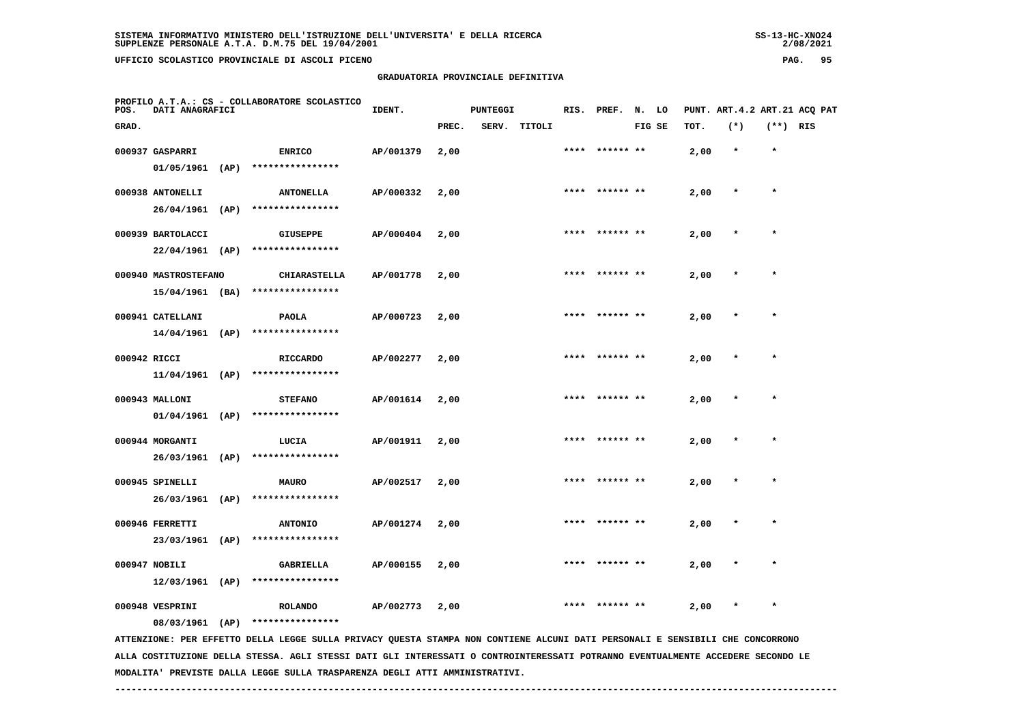|                                                                                 |               | GRADUATORIA PROVINCIALE DEFINITIVA |       |          |        |      |                  |        |      |                          |         |     |
|---------------------------------------------------------------------------------|---------------|------------------------------------|-------|----------|--------|------|------------------|--------|------|--------------------------|---------|-----|
| PROFILO A.T.A.: CS - COLLABORATORE SCOLASTICO<br>POS.<br><b>DATI ANAGRAFICI</b> |               | IDENT.                             |       | PUNTEGGI |        |      | RIS. PREF. N. LO |        |      | PUNT. ART.4.2 ART.21 ACQ |         |     |
| GRAD.                                                                           |               |                                    | PREC. | SERV.    | TITOLI |      |                  | FIG SE | TOT. | $(*)$                    | (**)    | RIS |
| 000937 GASPARRI                                                                 | <b>ENRICO</b> | AP/001379                          | 2,00  |          |        | **** | ****** **        |        | 2,00 | $\star$                  | $\star$ |     |

| 01/05/1961           | (AP) | ****************    |           |      |                |      |         |         |  |
|----------------------|------|---------------------|-----------|------|----------------|------|---------|---------|--|
| 000938 ANTONELLI     |      | <b>ANTONELLA</b>    | AP/000332 | 2,00 | **** ****** ** | 2,00 | $\star$ | $\star$ |  |
| 26/04/1961           | (AP) | ****************    |           |      |                |      |         |         |  |
| 000939 BARTOLACCI    |      | <b>GIUSEPPE</b>     | AP/000404 | 2,00 | **** ****** ** | 2,00 | $\star$ | $\star$ |  |
| 22/04/1961           | (AP) | ****************    |           |      |                |      |         |         |  |
| 000940 MASTROSTEFANO |      | <b>CHIARASTELLA</b> | AP/001778 | 2,00 | **** ****** ** | 2,00 | $\star$ | $\star$ |  |
| 15/04/1961           | (BA) | ****************    |           |      |                |      |         |         |  |

| $1.3/07/1301$ (DA) |                  |                |  |                |      |         |  |
|--------------------|------------------|----------------|--|----------------|------|---------|--|
| 000941 CATELLANI   | <b>PAOLA</b>     | AP/000723 2,00 |  | **** ****** ** | 2,00 | $\star$ |  |
| $14/04/1961$ (AP)  | **************** |                |  |                |      |         |  |

| 000942 RICCI   |      | <b>RICCARDO</b>  | AP/002277 | 2,00 | **** ****** ** | 2,00 | * |  |
|----------------|------|------------------|-----------|------|----------------|------|---|--|
| 11/04/1961     | (AP) | **************** |           |      |                |      |   |  |
| 000943 MALLONI |      | <b>STEFANO</b>   | AP/001614 | 2,00 | **** ****** ** | 2,00 | * |  |

|  | 01/04/1961 (AP) **************** |
|--|----------------------------------|
|  |                                  |

| 000944 MORGANTI |      | LUCIA            | AP/001911 | 2,00 | **** | ****** ** | 2,00 | $\star$ |  |
|-----------------|------|------------------|-----------|------|------|-----------|------|---------|--|
| 26/03/1961      | (AP) | **************** |           |      |      |           |      |         |  |
| 000945 SPINELLI |      | MAURO            | AP/002517 | 2,00 | **** | ****** ** | 2,00 | $\star$ |  |
| 26/03/1961      | (AP) | **************** |           |      |      |           |      |         |  |
| 000946 FERRETTI |      | <b>ANTONIO</b>   | AP/001274 | 2,00 | **** | ****** ** | 2,00 | $\star$ |  |

| 23/03/1961    | (AP) | **************** |                |  |                |      |         |  |
|---------------|------|------------------|----------------|--|----------------|------|---------|--|
| 000947 NOBILI |      | GABRIELLA        | AP/000155 2,00 |  | **** ****** ** | 2,00 | $\star$ |  |
| 12/03/1961    | (AP) | **************** |                |  |                |      |         |  |

 **000948 VESPRINI ROLANDO AP/002773 2,00 \*\*\*\* \*\*\*\*\*\* \*\* 2,00 \* \***

 **08/03/1961 (AP) \*\*\*\*\*\*\*\*\*\*\*\*\*\*\*\***

 **ATTENZIONE: PER EFFETTO DELLA LEGGE SULLA PRIVACY QUESTA STAMPA NON CONTIENE ALCUNI DATI PERSONALI E SENSIBILI CHE CONCORRONO ALLA COSTITUZIONE DELLA STESSA. AGLI STESSI DATI GLI INTERESSATI O CONTROINTERESSATI POTRANNO EVENTUALMENTE ACCEDERE SECONDO LE MODALITA' PREVISTE DALLA LEGGE SULLA TRASPARENZA DEGLI ATTI AMMINISTRATIVI.**

 **------------------------------------------------------------------------------------------------------------------------------------**

**ART.4.2 ART.21 ACQ PAT**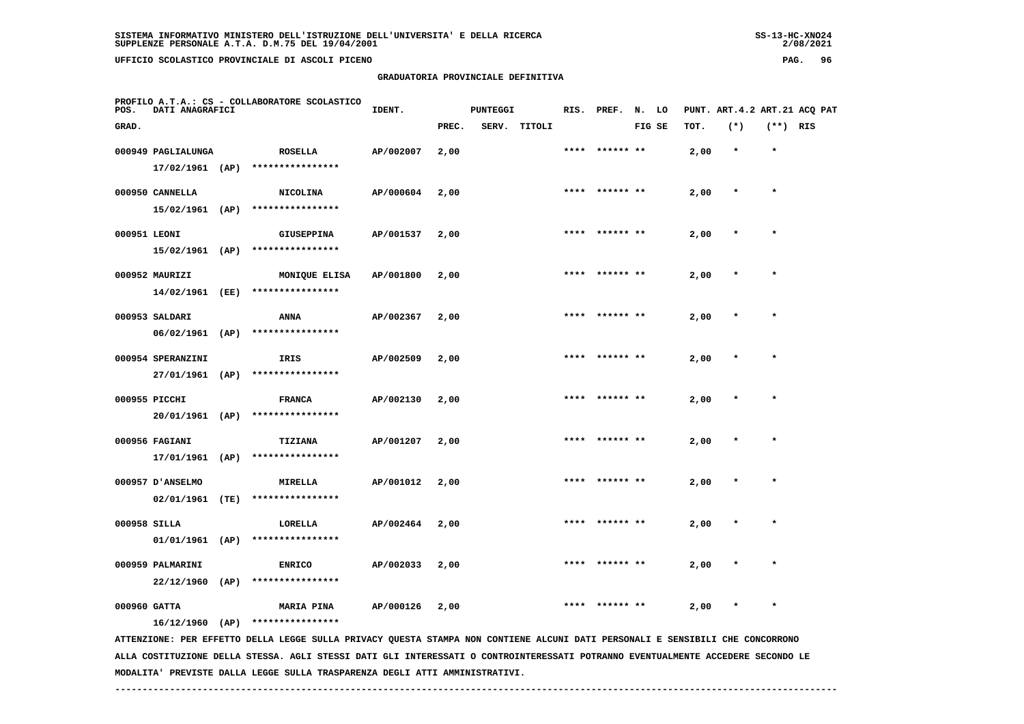**GRADUATORIA PROVINCIALE DEFINITIVA**

| POS.         | PROFILO A.T.A.: CS - COLLABORATORE SCOLASTICO<br>DATI ANAGRAFICI |      |                   | IDENT.    |       | <b>PUNTEGGI</b> |        |      | RIS. PREF.     | N. LO  |      | PUNT. ART. 4.2 ART. 21 ACQ PAT |            |  |
|--------------|------------------------------------------------------------------|------|-------------------|-----------|-------|-----------------|--------|------|----------------|--------|------|--------------------------------|------------|--|
| GRAD.        |                                                                  |      |                   |           | PREC. | SERV.           | TITOLI |      |                | FIG SE | TOT. | $(*)$                          | $(**)$ RIS |  |
|              | 000949 PAGLIALUNGA                                               |      | <b>ROSELLA</b>    | AP/002007 | 2,00  |                 |        | **** | ****** **      |        | 2,00 | $\star$                        | $\star$    |  |
|              | $17/02/1961$ (AP)                                                |      | ****************  |           |       |                 |        |      |                |        |      |                                |            |  |
|              | 000950 CANNELLA                                                  |      | <b>NICOLINA</b>   | AP/000604 | 2,00  |                 |        |      | **** ****** ** |        | 2,00 | $\star$                        | $\star$    |  |
|              | 15/02/1961 (AP)                                                  |      | ****************  |           |       |                 |        |      |                |        |      |                                |            |  |
| 000951 LEONI |                                                                  |      | <b>GIUSEPPINA</b> | AP/001537 | 2,00  |                 |        | **** |                |        | 2,00 | $\star$                        | $\star$    |  |
|              | 15/02/1961 (AP)                                                  |      | ****************  |           |       |                 |        |      |                |        |      |                                |            |  |
|              | 000952 MAURIZI                                                   |      | MONIQUE ELISA     | AP/001800 | 2,00  |                 |        |      | **** ****** ** |        | 2,00 | $\star$                        | $\star$    |  |
|              | 14/02/1961 (EE)                                                  |      | ****************  |           |       |                 |        |      |                |        |      |                                |            |  |
|              | 000953 SALDARI                                                   |      | <b>ANNA</b>       | AP/002367 | 2,00  |                 |        |      |                |        | 2,00 | $\star$                        | $\star$    |  |
|              | $06/02/1961$ (AP)                                                |      | ****************  |           |       |                 |        |      |                |        |      |                                |            |  |
|              | 000954 SPERANZINI                                                |      | IRIS              | AP/002509 | 2,00  |                 |        |      | **** ****** ** |        | 2,00 |                                | $\star$    |  |
|              | 27/01/1961 (AP)                                                  |      | ****************  |           |       |                 |        |      |                |        |      |                                |            |  |
|              | 000955 PICCHI                                                    |      | <b>FRANCA</b>     | AP/002130 | 2,00  |                 |        | **** | ****** **      |        | 2,00 | $\star$                        | $\star$    |  |
|              | 20/01/1961 (AP)                                                  |      | ****************  |           |       |                 |        |      |                |        |      |                                |            |  |
|              | 000956 FAGIANI                                                   |      | <b>TIZIANA</b>    | AP/001207 | 2,00  |                 |        | **** | ****** **      |        | 2,00 |                                | $\star$    |  |
|              | 17/01/1961                                                       | (AP) | ****************  |           |       |                 |        |      |                |        |      |                                |            |  |
|              | 000957 D'ANSELMO                                                 |      | <b>MIRELLA</b>    | AP/001012 | 2,00  |                 |        | **** |                |        | 2,00 |                                | $\star$    |  |
|              | $02/01/1961$ (TE)                                                |      | ****************  |           |       |                 |        |      |                |        |      |                                |            |  |
| 000958 SILLA |                                                                  |      | LORELLA           | AP/002464 | 2,00  |                 |        | **** |                |        | 2,00 |                                | $\star$    |  |
|              | $01/01/1961$ (AP)                                                |      | ****************  |           |       |                 |        |      |                |        |      |                                |            |  |

 **22/12/1960 (AP) \*\*\*\*\*\*\*\*\*\*\*\*\*\*\*\***

 **000960 GATTA MARIA PINA AP/000126 2,00 \*\*\*\* \*\*\*\*\*\* \*\* 2,00 \* \***

 **000959 PALMARINI ENRICO AP/002033 2,00 \*\*\*\* \*\*\*\*\*\* \*\* 2,00 \* \***

 **16/12/1960 (AP) \*\*\*\*\*\*\*\*\*\*\*\*\*\*\*\***

 **ATTENZIONE: PER EFFETTO DELLA LEGGE SULLA PRIVACY QUESTA STAMPA NON CONTIENE ALCUNI DATI PERSONALI E SENSIBILI CHE CONCORRONO ALLA COSTITUZIONE DELLA STESSA. AGLI STESSI DATI GLI INTERESSATI O CONTROINTERESSATI POTRANNO EVENTUALMENTE ACCEDERE SECONDO LE MODALITA' PREVISTE DALLA LEGGE SULLA TRASPARENZA DEGLI ATTI AMMINISTRATIVI.**

 **------------------------------------------------------------------------------------------------------------------------------------**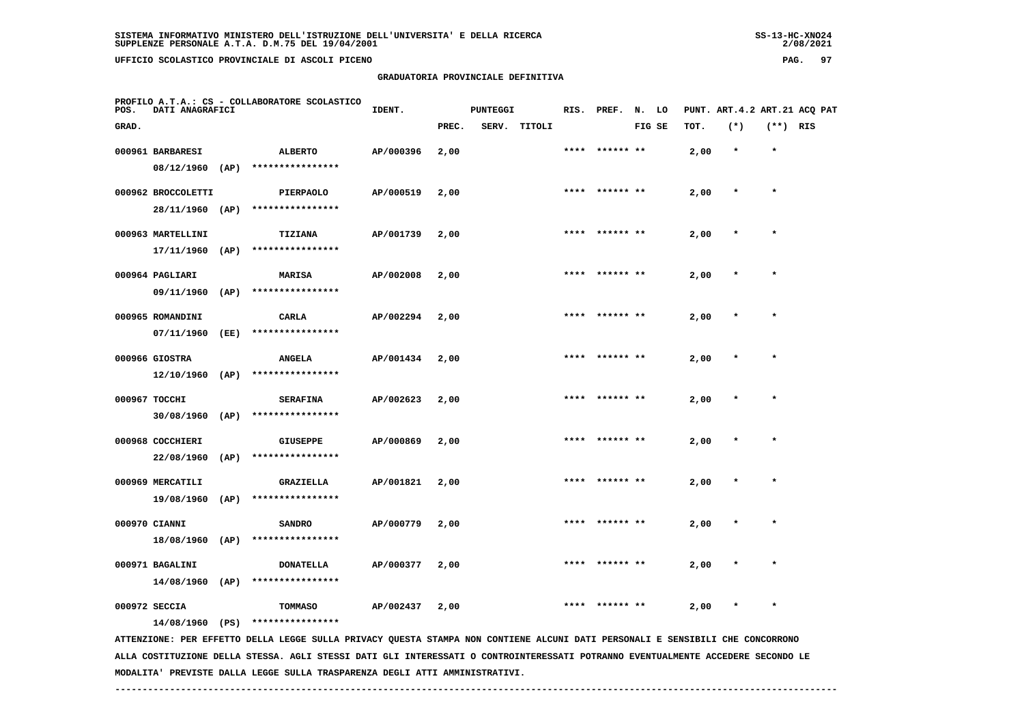# **GRADUATORIA PROVINCIALE DEFINITIVA**

 $2/08/2021$ 

| POS.  | DATI ANAGRAFICI                      |      | PROFILO A.T.A.: CS - COLLABORATORE SCOLASTICO                                                                                 | IDENT.    |       | <b>PUNTEGGI</b> |        | RIS. | PREF.           | N. LO  |      |         |          | PUNT. ART.4.2 ART.21 ACQ PAT |
|-------|--------------------------------------|------|-------------------------------------------------------------------------------------------------------------------------------|-----------|-------|-----------------|--------|------|-----------------|--------|------|---------|----------|------------------------------|
| GRAD. |                                      |      |                                                                                                                               |           | PREC. | SERV.           | TITOLI |      |                 | FIG SE | TOT. | $(*)$   | (**) RIS |                              |
|       | 000961 BARBARESI<br>08/12/1960       | (AP) | <b>ALBERTO</b><br>****************                                                                                            | AP/000396 | 2,00  |                 |        |      | ****** **       |        | 2,00 | $\star$ | $\star$  |                              |
|       | 000962 BROCCOLETTI<br>28/11/1960     | (AP) | <b>PIERPAOLO</b><br>****************                                                                                          | AP/000519 | 2,00  |                 |        | **** | ****** **       |        | 2,00 | $\ast$  | $\star$  |                              |
|       | 000963 MARTELLINI<br>17/11/1960      | (AP) | TIZIANA<br>****************                                                                                                   | AP/001739 | 2,00  |                 |        |      | **** ****** **  |        | 2,00 | $\star$ | $\star$  |                              |
|       | 000964 PAGLIARI<br>09/11/1960        | (AP) | <b>MARISA</b><br>****************                                                                                             | AP/002008 | 2,00  |                 |        | **** |                 |        | 2,00 |         | $\star$  |                              |
|       | 000965 ROMANDINI<br>07/11/1960       | (EE) | CARLA<br>****************                                                                                                     | AP/002294 | 2,00  |                 |        |      |                 |        | 2,00 |         |          |                              |
|       | 000966 GIOSTRA<br>$12/10/1960$ (AP)  |      | <b>ANGELA</b><br>****************                                                                                             | AP/001434 | 2,00  |                 |        |      |                 |        | 2,00 |         | $\ast$   |                              |
|       | 000967 TOCCHI<br>30/08/1960          | (AP) | <b>SERAFINA</b><br>****************                                                                                           | AP/002623 | 2,00  |                 |        |      | **** ****** **  |        | 2,00 | $\star$ | $\star$  |                              |
|       | 000968 COCCHIERI<br>22/08/1960       | (AP) | <b>GIUSEPPE</b><br>****************                                                                                           | AP/000869 | 2,00  |                 |        |      |                 |        | 2,00 |         |          |                              |
|       | 000969 MERCATILI<br>19/08/1960       | (AP) | GRAZIELLA<br>****************                                                                                                 | AP/001821 | 2,00  |                 |        |      | ****  ****** ** |        | 2,00 | $\ast$  | $\star$  |                              |
|       | 000970 CIANNI<br>18/08/1960 (AP)     |      | <b>SANDRO</b><br>****************                                                                                             | AP/000779 | 2,00  |                 |        |      |                 |        | 2,00 |         |          |                              |
|       | 000971 BAGALINI<br>$14/08/1960$ (AP) |      | <b>DONATELLA</b><br>****************                                                                                          | AP/000377 | 2,00  |                 |        |      |                 |        | 2,00 |         |          |                              |
|       | 000972 SECCIA<br>14/08/1960 (PS)     |      | <b>TOMMASO</b><br>****************                                                                                            | AP/002437 | 2,00  |                 |        |      |                 |        | 2,00 |         |          |                              |
|       |                                      |      | ATTENZIONE: PER EFFETTO DELLA LEGGE SULLA PRIVACY QUESTA STAMPA NON CONTIENE ALCUNI DATI PERSONALI E SENSIBILI CHE CONCORRONO |           |       |                 |        |      |                 |        |      |         |          |                              |

 **ALLA COSTITUZIONE DELLA STESSA. AGLI STESSI DATI GLI INTERESSATI O CONTROINTERESSATI POTRANNO EVENTUALMENTE ACCEDERE SECONDO LE MODALITA' PREVISTE DALLA LEGGE SULLA TRASPARENZA DEGLI ATTI AMMINISTRATIVI.**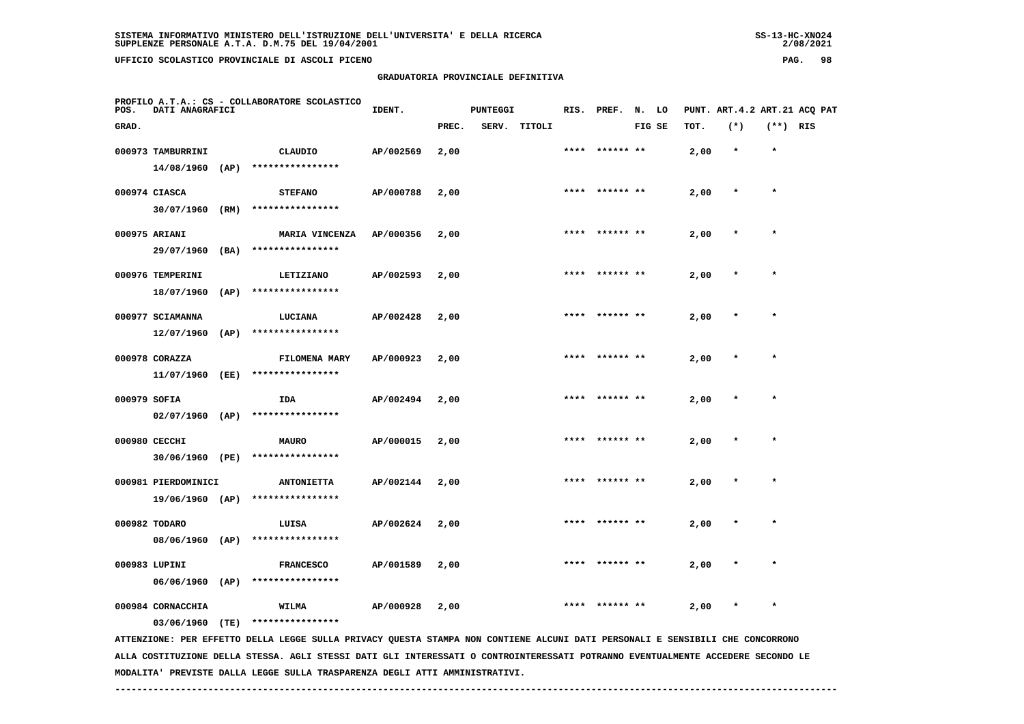**GRADUATORIA PROVINCIALE DEFINITIVA**

| POS.         | PROFILO A.T.A.: CS - COLLABORATORE SCOLASTICO<br>DATI ANAGRAFICI |      |                                       | IDENT.    |       | <b>PUNTEGGI</b> |              |      | RIS. PREF.     | N. LO  |      | PUNT. ART.4.2 ART.21 ACQ PAT |            |  |
|--------------|------------------------------------------------------------------|------|---------------------------------------|-----------|-------|-----------------|--------------|------|----------------|--------|------|------------------------------|------------|--|
| GRAD.        |                                                                  |      |                                       |           | PREC. |                 | SERV. TITOLI |      |                | FIG SE | TOT. | $(*)$                        | $(**)$ RIS |  |
|              | 000973 TAMBURRINI<br>$14/08/1960$ (AP)                           |      | CLAUDIO<br>****************           | AP/002569 | 2,00  |                 |              |      | **** ****** ** |        | 2,00 | $\star$                      | $\star$    |  |
|              | 000974 CIASCA                                                    |      | <b>STEFANO</b>                        | AP/000788 | 2,00  |                 |              |      | **** ****** ** |        | 2,00 | $\star$                      | $\star$    |  |
|              | 30/07/1960<br>000975 ARIANI                                      | (RM) | ****************<br>MARIA VINCENZA    | AP/000356 | 2,00  |                 |              |      | **** ****** ** |        | 2,00 | $\star$                      | $\star$    |  |
|              | 29/07/1960 (BA)<br>000976 TEMPERINI                              |      | ****************<br>LETIZIANO         | AP/002593 | 2,00  |                 |              | **** | ****** **      |        | 2,00 | $\star$                      | $\star$    |  |
|              | 18/07/1960<br>000977 SCIAMANNA                                   | (AP) | ****************<br>LUCIANA           | AP/002428 | 2,00  |                 |              | **** | ****** **      |        | 2,00 | $\ast$                       | $\star$    |  |
|              | $12/07/1960$ (AP)<br>000978 CORAZZA                              |      | ****************<br>FILOMENA MARY     | AP/000923 | 2,00  |                 |              |      | **** ****** ** |        | 2,00 | $\star$                      | $\star$    |  |
|              | 11/07/1960 (EE)                                                  |      | ****************                      | AP/002494 |       |                 |              | **** | ****** **      |        | 2,00 | $\star$                      | $\star$    |  |
| 000979 SOFIA | $02/07/1960$ (AP)                                                |      | IDA<br>****************               |           | 2,00  |                 |              |      |                |        |      |                              |            |  |
|              | 000980 CECCHI<br>30/06/1960 (PE)                                 |      | <b>MAURO</b><br>****************      | AP/000015 | 2,00  |                 |              |      | **** ****** ** |        | 2,00 | $\ast$                       | $\star$    |  |
|              | 000981 PIERDOMINICI<br>19/06/1960 (AP)                           |      | <b>ANTONIETTA</b><br>**************** | AP/002144 | 2,00  |                 |              | **** | ****** **      |        | 2,00 | $\ast$                       | $\star$    |  |
|              | 000982 TODARO                                                    |      | LUISA                                 | AP/002624 | 2,00  |                 |              | **** | ****** **      |        | 2,00 |                              | $\star$    |  |

 **06/06/1960 (AP) \*\*\*\*\*\*\*\*\*\*\*\*\*\*\*\* 000984 CORNACCHIA WILMA AP/000928 2,00 \*\*\*\* \*\*\*\*\*\* \*\* 2,00 \* \***

 **03/06/1960 (TE) \*\*\*\*\*\*\*\*\*\*\*\*\*\*\*\***

 **08/06/1960 (AP) \*\*\*\*\*\*\*\*\*\*\*\*\*\*\*\***

 **ATTENZIONE: PER EFFETTO DELLA LEGGE SULLA PRIVACY QUESTA STAMPA NON CONTIENE ALCUNI DATI PERSONALI E SENSIBILI CHE CONCORRONO ALLA COSTITUZIONE DELLA STESSA. AGLI STESSI DATI GLI INTERESSATI O CONTROINTERESSATI POTRANNO EVENTUALMENTE ACCEDERE SECONDO LE MODALITA' PREVISTE DALLA LEGGE SULLA TRASPARENZA DEGLI ATTI AMMINISTRATIVI.**

 **------------------------------------------------------------------------------------------------------------------------------------**

 **000983 LUPINI FRANCESCO AP/001589 2,00 \*\*\*\* \*\*\*\*\*\* \*\* 2,00 \* \***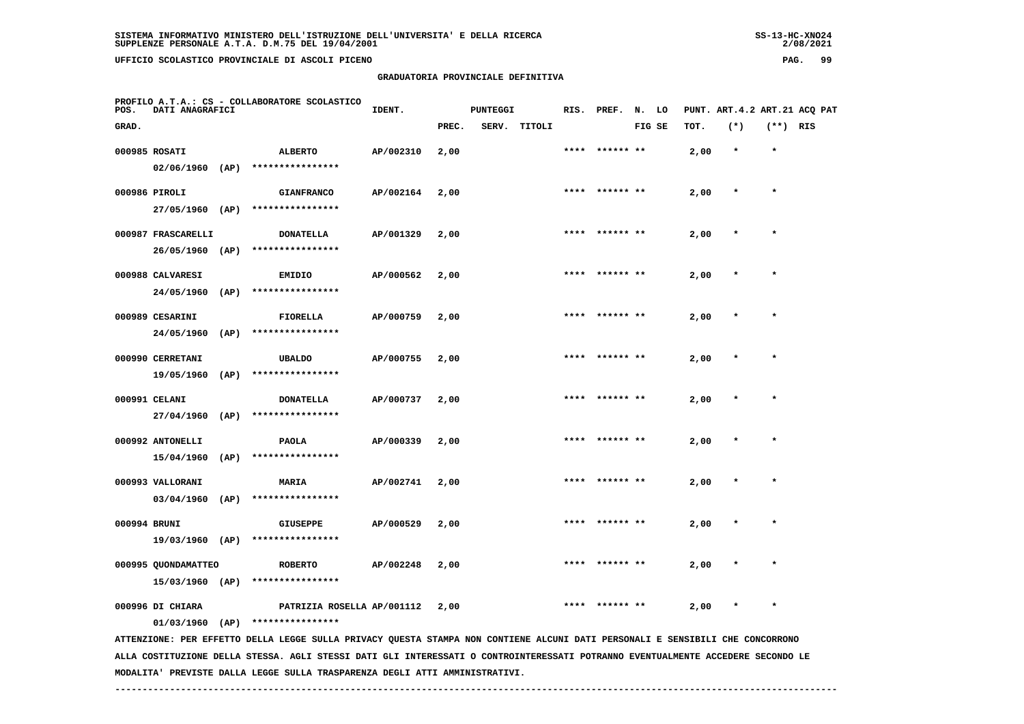## **GRADUATORIA PROVINCIALE DEFINITIVA**

 $2/08/2021$ 

| POS.         | DATI ANAGRAFICI                        |      | PROFILO A.T.A.: CS - COLLABORATORE SCOLASTICO                                                                                   | IDENT.    |       | <b>PUNTEGGI</b> |              | RIS. | PREF.     | N. LO  |      |         |            | PUNT. ART. 4.2 ART. 21 ACQ PAT |
|--------------|----------------------------------------|------|---------------------------------------------------------------------------------------------------------------------------------|-----------|-------|-----------------|--------------|------|-----------|--------|------|---------|------------|--------------------------------|
| GRAD.        |                                        |      |                                                                                                                                 |           | PREC. |                 | SERV. TITOLI |      |           | FIG SE | TOT. | $(*)$   | $(**)$ RIS |                                |
|              | 000985 ROSATI<br>$02/06/1960$ (AP)     |      | <b>ALBERTO</b><br>****************                                                                                              | AP/002310 | 2,00  |                 |              | **** | ****** ** |        | 2,00 | $\star$ | $\star$    |                                |
|              | 000986 PIROLI                          |      | <b>GIANFRANCO</b>                                                                                                               | AP/002164 | 2,00  |                 |              |      |           |        | 2,00 | $\ast$  | $\star$    |                                |
|              | 27/05/1960 (AP)<br>000987 FRASCARELLI  |      | ****************<br><b>DONATELLA</b>                                                                                            | AP/001329 | 2,00  |                 |              |      |           |        | 2,00 |         |            |                                |
|              | 26/05/1960                             | (AP) | ****************                                                                                                                |           |       |                 |              |      |           |        |      |         |            |                                |
|              | 000988 CALVARESI<br>24/05/1960         | (AP) | <b>EMIDIO</b><br>****************                                                                                               | AP/000562 | 2,00  |                 |              |      |           |        | 2,00 |         |            |                                |
|              | 000989 CESARINI<br>24/05/1960          | (AP) | <b>FIORELLA</b><br>****************                                                                                             | AP/000759 | 2,00  |                 |              | **** | ****** ** |        | 2,00 |         | $\star$    |                                |
|              | 000990 CERRETANI<br>19/05/1960         | (AP) | <b>UBALDO</b><br>****************                                                                                               | AP/000755 | 2,00  |                 |              | **** | ****** ** |        | 2,00 | $\star$ | $\star$    |                                |
|              | 000991 CELANI                          |      | <b>DONATELLA</b><br>****************                                                                                            | AP/000737 | 2,00  |                 |              |      |           |        | 2,00 |         |            |                                |
|              | 27/04/1960<br>000992 ANTONELLI         | (AP) | <b>PAOLA</b>                                                                                                                    | AP/000339 | 2,00  |                 |              |      |           |        | 2,00 |         | $\star$    |                                |
|              | 15/04/1960<br>000993 VALLORANI         | (AP) | ****************<br><b>MARIA</b>                                                                                                | AP/002741 | 2,00  |                 |              |      |           |        | 2,00 |         |            |                                |
| 000994 BRUNI | 03/04/1960                             | (AP) | ****************<br><b>GIUSEPPE</b>                                                                                             | AP/000529 | 2,00  |                 |              |      |           |        | 2,00 |         | $\star$    |                                |
|              | 19/03/1960                             | (AP) | ****************                                                                                                                |           |       |                 |              |      |           |        |      |         |            |                                |
|              | 000995 QUONDAMATTEO<br>15/03/1960 (AP) |      | <b>ROBERTO</b><br>****************                                                                                              | AP/002248 | 2,00  |                 |              |      |           |        | 2,00 |         |            |                                |
|              | 000996 DI CHIARA<br>$01/03/1960$ (AP)  |      | PATRIZIA ROSELLA AP/001112<br>****************                                                                                  |           | 2,00  |                 |              |      |           |        | 2,00 |         |            |                                |
|              |                                        |      | ATTENZIONE: PER EFFETTO DELLA LEGGE SULLA PRIVACY QUESTA STAMPA NON CONTIENE ALCUNI DATI PERSONALI E SENSIBILI CHE CONCORRONO   |           |       |                 |              |      |           |        |      |         |            |                                |
|              |                                        |      | ALLA COSTITUZIONE DELLA STESSA. AGLI STESSI DATI GLI INTERESSATI O CONTROINTERESSATI POTRANNO EVENTUALMENTE ACCEDERE SECONDO LE |           |       |                 |              |      |           |        |      |         |            |                                |

 **MODALITA' PREVISTE DALLA LEGGE SULLA TRASPARENZA DEGLI ATTI AMMINISTRATIVI.**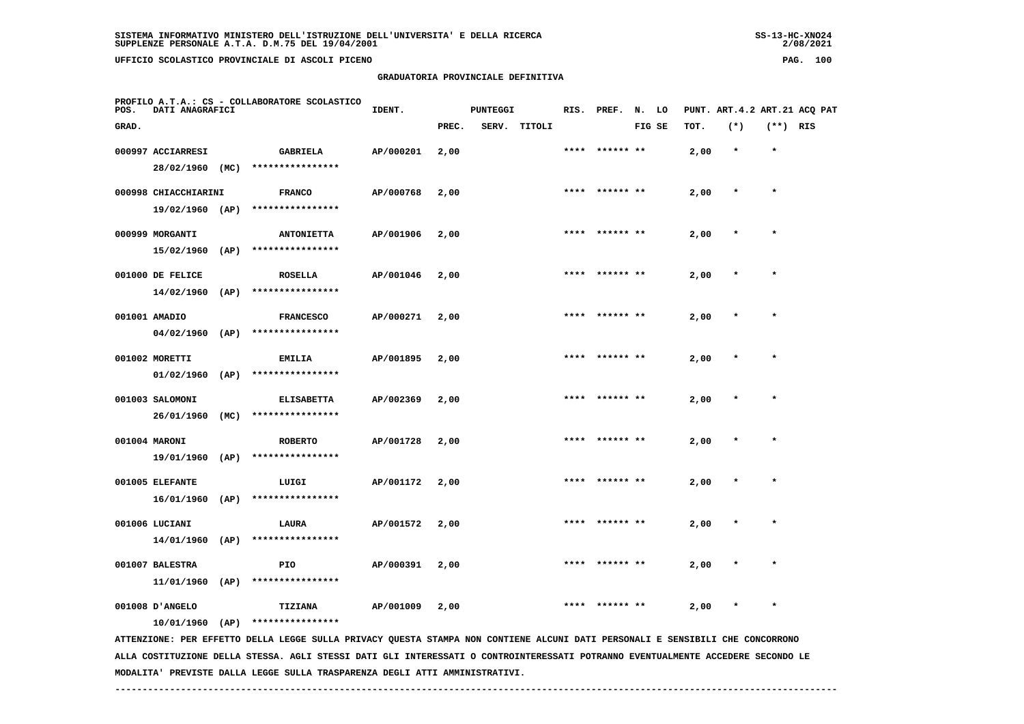## **GRADUATORIA PROVINCIALE DEFINITIVA**

 $2/08/2021$ 

| POS.  | DATI ANAGRAFICI                      |      | PROFILO A.T.A.: CS - COLLABORATORE SCOLASTICO                                                                                 | IDENT.    |       | <b>PUNTEGGI</b> |        |      | RIS. PREF. N. LO |        |      | PUNT. ART.4.2 ART.21 ACQ PAT |            |  |
|-------|--------------------------------------|------|-------------------------------------------------------------------------------------------------------------------------------|-----------|-------|-----------------|--------|------|------------------|--------|------|------------------------------|------------|--|
| GRAD. |                                      |      |                                                                                                                               |           | PREC. | SERV.           | TITOLI |      |                  | FIG SE | TOT. | $(*)$                        | $(**)$ RIS |  |
|       | 000997 ACCIARRESI                    |      | <b>GABRIELA</b>                                                                                                               | AP/000201 | 2,00  |                 |        | **** | ****** **        |        | 2,00 | $\star$                      | $\star$    |  |
|       | 28/02/1960                           | (MC) | ****************                                                                                                              |           |       |                 |        |      |                  |        |      |                              |            |  |
|       | 000998 CHIACCHIARINI                 |      | <b>FRANCO</b>                                                                                                                 | AP/000768 | 2,00  |                 |        | **** |                  |        | 2,00 |                              | $\star$    |  |
|       | 19/02/1960 (AP)                      |      | ****************                                                                                                              |           |       |                 |        |      |                  |        |      |                              |            |  |
|       | 000999 MORGANTI                      |      | <b>ANTONIETTA</b>                                                                                                             | AP/001906 | 2,00  |                 |        |      |                  |        | 2,00 |                              |            |  |
|       | $15/02/1960$ (AP)                    |      | ****************                                                                                                              |           |       |                 |        |      |                  |        |      |                              |            |  |
|       | 001000 DE FELICE                     |      | <b>ROSELLA</b>                                                                                                                | AP/001046 | 2,00  |                 |        |      | **** ****** **   |        | 2,00 |                              | $\star$    |  |
|       | 14/02/1960                           | (AP) | ****************                                                                                                              |           |       |                 |        |      |                  |        |      |                              |            |  |
|       | 001001 AMADIO                        |      | <b>FRANCESCO</b>                                                                                                              | AP/000271 | 2,00  |                 |        |      |                  |        | 2,00 |                              | $\ast$     |  |
|       | 04/02/1960                           | (AP) | ****************                                                                                                              |           |       |                 |        |      |                  |        |      |                              |            |  |
|       | 001002 MORETTI                       |      | <b>EMILIA</b>                                                                                                                 | AP/001895 | 2,00  |                 |        | **** | ****** **        |        | 2,00 |                              |            |  |
|       | 01/02/1960                           | (AP) | ****************                                                                                                              |           |       |                 |        |      |                  |        |      |                              |            |  |
|       | 001003 SALOMONI                      |      | <b>ELISABETTA</b>                                                                                                             | AP/002369 | 2,00  |                 |        |      | **** ****** **   |        | 2,00 |                              | $\star$    |  |
|       | 26/01/1960                           | (MC) | ****************                                                                                                              |           |       |                 |        |      |                  |        |      |                              |            |  |
|       |                                      |      |                                                                                                                               |           |       |                 |        |      |                  |        |      |                              | $\star$    |  |
|       | 001004 MARONI<br>19/01/1960          | (AP) | <b>ROBERTO</b><br>****************                                                                                            | AP/001728 | 2,00  |                 |        |      |                  |        | 2,00 |                              |            |  |
|       |                                      |      |                                                                                                                               |           |       |                 |        |      |                  |        |      |                              |            |  |
|       | 001005 ELEFANTE<br>$16/01/1960$ (AP) |      | LUIGI<br>****************                                                                                                     | AP/001172 | 2,00  |                 |        |      |                  |        | 2,00 |                              |            |  |
|       |                                      |      |                                                                                                                               |           |       |                 |        |      |                  |        |      |                              |            |  |
|       | 001006 LUCIANI                       |      | <b>LAURA</b><br>****************                                                                                              | AP/001572 | 2,00  |                 |        | **** | ****** **        |        | 2,00 |                              | $\star$    |  |
|       | $14/01/1960$ (AP)                    |      |                                                                                                                               |           |       |                 |        |      |                  |        |      |                              |            |  |
|       | 001007 BALESTRA                      |      | PIO                                                                                                                           | AP/000391 | 2,00  |                 |        |      |                  |        | 2,00 |                              |            |  |
|       | 11/01/1960                           | (AP) | ****************                                                                                                              |           |       |                 |        |      |                  |        |      |                              |            |  |
|       | 001008 D'ANGELO                      |      | TIZIANA                                                                                                                       | AP/001009 | 2,00  |                 |        |      |                  |        | 2,00 |                              |            |  |
|       | $10/01/1960$ (AP)                    |      | ****************                                                                                                              |           |       |                 |        |      |                  |        |      |                              |            |  |
|       |                                      |      | ATTENZIONE: PER EFFETTO DELLA LEGGE SULLA PRIVACY QUESTA STAMPA NON CONTIENE ALCUNI DATI PERSONALI E SENSIBILI CHE CONCORRONO |           |       |                 |        |      |                  |        |      |                              |            |  |

 **ALLA COSTITUZIONE DELLA STESSA. AGLI STESSI DATI GLI INTERESSATI O CONTROINTERESSATI POTRANNO EVENTUALMENTE ACCEDERE SECONDO LE MODALITA' PREVISTE DALLA LEGGE SULLA TRASPARENZA DEGLI ATTI AMMINISTRATIVI.**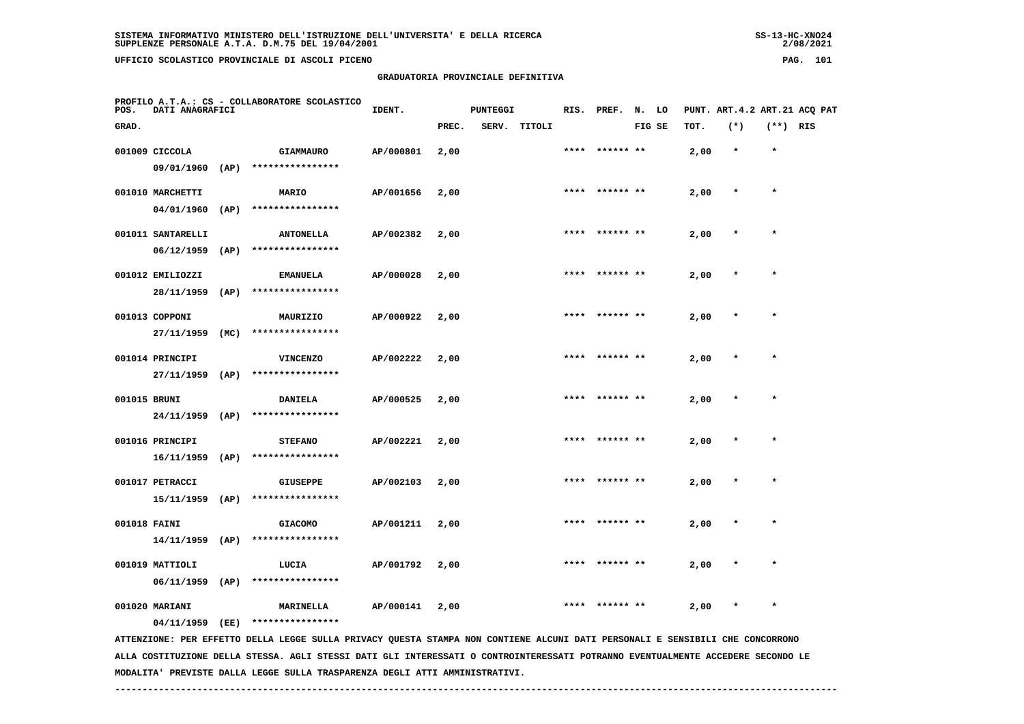## **GRADUATORIA PROVINCIALE DEFINITIVA**

 $2/08/2021$ 

| POS.         | DATI ANAGRAFICI                      |      | PROFILO A.T.A.: CS - COLLABORATORE SCOLASTICO                                                                                 | IDENT.    |       | <b>PUNTEGGI</b> |              |      | RIS. PREF. N. LO |        |      |         |            | PUNT. ART. 4.2 ART. 21 ACQ PAT |
|--------------|--------------------------------------|------|-------------------------------------------------------------------------------------------------------------------------------|-----------|-------|-----------------|--------------|------|------------------|--------|------|---------|------------|--------------------------------|
| GRAD.        |                                      |      |                                                                                                                               |           | PREC. |                 | SERV. TITOLI |      |                  | FIG SE | TOT. | $(*)$   | $(**)$ RIS |                                |
|              | 001009 CICCOLA                       |      | <b>GIAMMAURO</b>                                                                                                              | AP/000801 | 2,00  |                 |              | **** | ****** **        |        | 2,00 | $\star$ | $\star$    |                                |
|              | 09/01/1960                           | (AP) | ****************                                                                                                              |           |       |                 |              |      |                  |        |      |         |            |                                |
|              | 001010 MARCHETTI                     |      | MARIO                                                                                                                         | AP/001656 | 2,00  |                 |              |      | ****  ****** **  |        | 2,00 | $\star$ | $\star$    |                                |
|              | 04/01/1960                           | (AP) | ****************                                                                                                              |           |       |                 |              |      |                  |        |      |         |            |                                |
|              | 001011 SANTARELLI                    |      | <b>ANTONELLA</b>                                                                                                              | AP/002382 | 2,00  |                 |              |      | **** ****** **   |        | 2,00 |         | $\star$    |                                |
|              | 06/12/1959                           | (AP) | ****************                                                                                                              |           |       |                 |              |      |                  |        |      |         |            |                                |
|              | 001012 EMILIOZZI                     |      | <b>EMANUELA</b>                                                                                                               | AP/000028 | 2,00  |                 |              |      |                  |        | 2,00 |         |            |                                |
|              | 28/11/1959                           | (AP) | ****************                                                                                                              |           |       |                 |              |      |                  |        |      |         |            |                                |
|              | 001013 COPPONI                       |      | MAURIZIO                                                                                                                      | AP/000922 | 2,00  |                 |              |      | ****** **        |        | 2,00 | $\star$ | $\star$    |                                |
|              | 27/11/1959                           | (MC) | ****************                                                                                                              |           |       |                 |              |      |                  |        |      |         |            |                                |
|              |                                      |      |                                                                                                                               |           |       |                 |              |      | ****  ****** **  |        |      |         | $\star$    |                                |
|              | 001014 PRINCIPI<br>$27/11/1959$ (AP) |      | <b>VINCENZO</b><br>****************                                                                                           | AP/002222 | 2,00  |                 |              |      |                  |        | 2,00 |         |            |                                |
|              |                                      |      |                                                                                                                               |           |       |                 |              |      |                  |        |      |         |            |                                |
| 001015 BRUNI |                                      |      | <b>DANIELA</b>                                                                                                                | AP/000525 | 2,00  |                 |              |      |                  |        | 2,00 |         |            |                                |
|              | 24/11/1959                           | (AP) | ****************                                                                                                              |           |       |                 |              |      |                  |        |      |         |            |                                |
|              | 001016 PRINCIPI                      |      | <b>STEFANO</b>                                                                                                                | AP/002221 | 2,00  |                 |              |      | **** ****** **   |        | 2,00 | $\ast$  | $\star$    |                                |
|              | $16/11/1959$ (AP)                    |      | ****************                                                                                                              |           |       |                 |              |      |                  |        |      |         |            |                                |
|              | 001017 PETRACCI                      |      | <b>GIUSEPPE</b>                                                                                                               | AP/002103 | 2,00  |                 |              |      | **** ****** **   |        | 2,00 | $\ast$  | $\star$    |                                |
|              |                                      |      | 15/11/1959 (AP) ****************                                                                                              |           |       |                 |              |      |                  |        |      |         |            |                                |
| 001018 FAINI |                                      |      | <b>GIACOMO</b>                                                                                                                | AP/001211 | 2,00  |                 |              |      |                  |        | 2,00 |         |            |                                |
|              | $14/11/1959$ (AP)                    |      | ****************                                                                                                              |           |       |                 |              |      |                  |        |      |         |            |                                |
|              | 001019 MATTIOLI                      |      | LUCIA                                                                                                                         | AP/001792 | 2,00  |                 |              |      |                  |        | 2,00 |         |            |                                |
|              | $06/11/1959$ (AP)                    |      | ****************                                                                                                              |           |       |                 |              |      |                  |        |      |         |            |                                |
|              | 001020 MARIANI                       |      | <b>MARINELLA</b>                                                                                                              | AP/000141 | 2,00  |                 |              | **** | ****** **        |        | 2,00 | $\ast$  | $\star$    |                                |
|              | 04/11/1959 (EE)                      |      | ****************                                                                                                              |           |       |                 |              |      |                  |        |      |         |            |                                |
|              |                                      |      | ATTENZIONE: PER EFFETTO DELLA LEGGE SULLA PRIVACY QUESTA STAMPA NON CONTIENE ALCUNI DATI PERSONALI E SENSIBILI CHE CONCORRONO |           |       |                 |              |      |                  |        |      |         |            |                                |

 **ALLA COSTITUZIONE DELLA STESSA. AGLI STESSI DATI GLI INTERESSATI O CONTROINTERESSATI POTRANNO EVENTUALMENTE ACCEDERE SECONDO LE MODALITA' PREVISTE DALLA LEGGE SULLA TRASPARENZA DEGLI ATTI AMMINISTRATIVI.**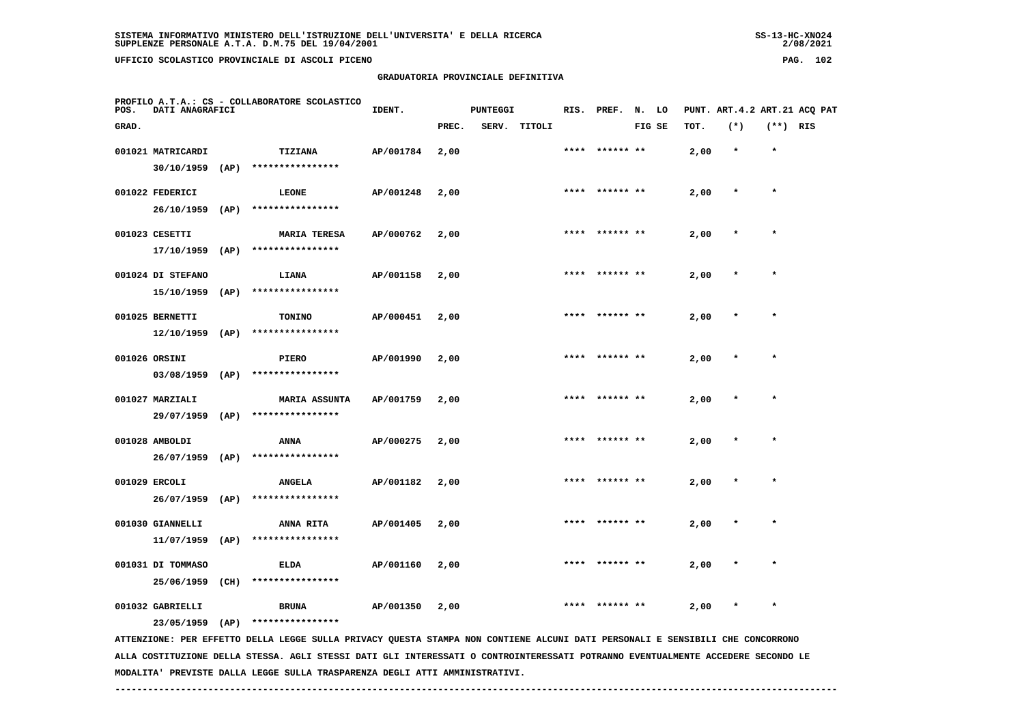**GRADUATORIA PROVINCIALE DEFINITIVA**

| POS.  | DATI ANAGRAFICI   |      | PROFILO A.T.A.: CS - COLLABORATORE SCOLASTICO | IDENT.    |       | <b>PUNTEGGI</b> |              |      | RIS. PREF. N. LO |        |      |         |            | PUNT. ART.4.2 ART.21 ACQ PAT |
|-------|-------------------|------|-----------------------------------------------|-----------|-------|-----------------|--------------|------|------------------|--------|------|---------|------------|------------------------------|
| GRAD. |                   |      |                                               |           | PREC. |                 | SERV. TITOLI |      |                  | FIG SE | TOT. | $(*)$   | $(**)$ RIS |                              |
|       | 001021 MATRICARDI |      | TIZIANA                                       | AP/001784 | 2,00  |                 |              |      | **** ****** **   |        | 2,00 | $\star$ | $\star$    |                              |
|       | 30/10/1959        | (AP) | ****************                              |           |       |                 |              |      |                  |        |      |         |            |                              |
|       | 001022 FEDERICI   |      | LEONE                                         | AP/001248 | 2,00  |                 |              |      | **** ****** **   |        | 2,00 | $\star$ | $\star$    |                              |
|       | 26/10/1959        | (AP) | ****************                              |           |       |                 |              |      |                  |        |      |         |            |                              |
|       | 001023 CESETTI    |      | <b>MARIA TERESA</b>                           | AP/000762 | 2,00  |                 |              |      |                  |        | 2,00 |         |            |                              |
|       | $17/10/1959$ (AP) |      | ****************                              |           |       |                 |              |      |                  |        |      |         |            |                              |
|       | 001024 DI STEFANO |      | LIANA                                         | AP/001158 | 2,00  |                 |              |      |                  |        | 2,00 | $\ast$  | $\star$    |                              |
|       | 15/10/1959        | (AP) | ****************                              |           |       |                 |              |      |                  |        |      |         |            |                              |
|       | 001025 BERNETTI   |      | <b>TONINO</b>                                 | AP/000451 | 2,00  |                 |              | **** | ****** **        |        | 2,00 | $\star$ | $\star$    |                              |
|       | $12/10/1959$ (AP) |      | ****************                              |           |       |                 |              |      |                  |        |      |         |            |                              |
|       | 001026 ORSINI     |      | <b>PIERO</b>                                  | AP/001990 | 2,00  |                 |              | **** | ****** **        |        | 2,00 | $\star$ | $\star$    |                              |
|       | 03/08/1959        | (AP) | ****************                              |           |       |                 |              |      |                  |        |      |         |            |                              |
|       | 001027 MARZIALI   |      | <b>MARIA ASSUNTA</b>                          | AP/001759 | 2,00  |                 |              | **** | ****** **        |        | 2,00 | $\star$ | $\star$    |                              |
|       | 29/07/1959        | (AP) | ****************                              |           |       |                 |              |      |                  |        |      |         |            |                              |
|       | 001028 AMBOLDI    |      | ANNA                                          | AP/000275 | 2,00  |                 |              | **** | ****** **        |        | 2,00 |         | $\star$    |                              |
|       | 26/07/1959 (AP)   |      | ****************                              |           |       |                 |              |      |                  |        |      |         |            |                              |
|       | 001029 ERCOLI     |      | <b>ANGELA</b>                                 | AP/001182 | 2,00  |                 |              | **** | ****** **        |        | 2,00 | $\star$ | $\star$    |                              |
|       | 26/07/1959        | (AP) | ****************                              |           |       |                 |              |      |                  |        |      |         |            |                              |
|       | 001030 GIANNELLI  |      | <b>ANNA RITA</b>                              | AP/001405 | 2,00  |                 |              |      | **** ****** **   |        | 2,00 | $\star$ | $\star$    |                              |
|       | 11/07/1959        | (AP) | ****************                              |           |       |                 |              |      |                  |        |      |         |            |                              |
|       | 001031 DI TOMMASO |      | ELDA                                          | AP/001160 | 2,00  |                 |              |      |                  |        | 2,00 | $\ast$  | $\star$    |                              |
|       | 25/06/1959 (CH)   |      | ****************                              |           |       |                 |              |      |                  |        |      |         |            |                              |
|       |                   |      |                                               |           |       |                 |              |      |                  |        |      |         |            |                              |

 **001032 GABRIELLI BRUNA AP/001350 2,00 \*\*\*\* \*\*\*\*\*\* \*\* 2,00 \* \***

 **23/05/1959 (AP) \*\*\*\*\*\*\*\*\*\*\*\*\*\*\*\***

 **ATTENZIONE: PER EFFETTO DELLA LEGGE SULLA PRIVACY QUESTA STAMPA NON CONTIENE ALCUNI DATI PERSONALI E SENSIBILI CHE CONCORRONO ALLA COSTITUZIONE DELLA STESSA. AGLI STESSI DATI GLI INTERESSATI O CONTROINTERESSATI POTRANNO EVENTUALMENTE ACCEDERE SECONDO LE MODALITA' PREVISTE DALLA LEGGE SULLA TRASPARENZA DEGLI ATTI AMMINISTRATIVI.**

 $2/08/2021$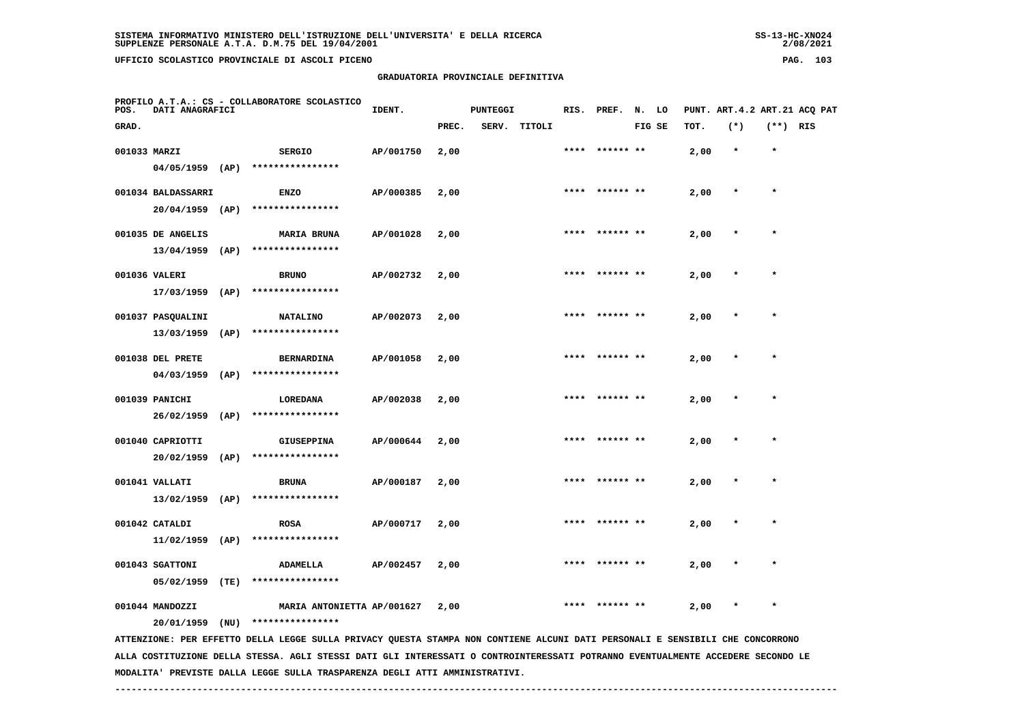## **GRADUATORIA PROVINCIALE DEFINITIVA**

 $2/08/2021$ 

| POS.         | DATI ANAGRAFICI    |      | PROFILO A.T.A.: CS - COLLABORATORE SCOLASTICO                                                                                   | IDENT.    |       | <b>PUNTEGGI</b> |              | RIS. | PREF.     | N. LO  |      |         |            | PUNT. ART. 4.2 ART. 21 ACQ PAT |
|--------------|--------------------|------|---------------------------------------------------------------------------------------------------------------------------------|-----------|-------|-----------------|--------------|------|-----------|--------|------|---------|------------|--------------------------------|
| GRAD.        |                    |      |                                                                                                                                 |           | PREC. |                 | SERV. TITOLI |      |           | FIG SE | TOT. | $(*)$   | $(**)$ RIS |                                |
| 001033 MARZI |                    |      | <b>SERGIO</b>                                                                                                                   | AP/001750 | 2,00  |                 |              | **** | ****** ** |        | 2,00 | $\star$ | $\star$    |                                |
|              | $04/05/1959$ (AP)  |      | ****************                                                                                                                |           |       |                 |              |      |           |        |      |         |            |                                |
|              | 001034 BALDASSARRI |      | <b>ENZO</b>                                                                                                                     | AP/000385 | 2,00  |                 |              |      |           |        | 2,00 | $\ast$  | $\star$    |                                |
|              | 20/04/1959 (AP)    |      | ****************                                                                                                                |           |       |                 |              |      |           |        |      |         |            |                                |
|              | 001035 DE ANGELIS  |      | <b>MARIA BRUNA</b>                                                                                                              | AP/001028 | 2,00  |                 |              |      |           |        | 2,00 |         |            |                                |
|              | 13/04/1959         | (AP) | ****************                                                                                                                |           |       |                 |              |      |           |        |      |         |            |                                |
|              | 001036 VALERI      |      | <b>BRUNO</b>                                                                                                                    | AP/002732 | 2,00  |                 |              |      |           |        | 2,00 |         |            |                                |
|              | 17/03/1959         | (AP) | ****************                                                                                                                |           |       |                 |              |      |           |        |      |         |            |                                |
|              | 001037 PASQUALINI  |      | <b>NATALINO</b>                                                                                                                 | AP/002073 | 2,00  |                 |              | **** | ****** ** |        | 2,00 |         | $\star$    |                                |
|              | 13/03/1959         | (AP) | ****************                                                                                                                |           |       |                 |              |      |           |        |      |         |            |                                |
|              | 001038 DEL PRETE   |      | <b>BERNARDINA</b>                                                                                                               | AP/001058 | 2,00  |                 |              | **** | ****** ** |        | 2,00 |         | $\star$    |                                |
|              | 04/03/1959         | (AP) | ****************                                                                                                                |           |       |                 |              |      |           |        |      |         |            |                                |
|              | 001039 PANICHI     |      | LOREDANA                                                                                                                        | AP/002038 | 2,00  |                 |              |      |           |        | 2,00 |         |            |                                |
|              | 26/02/1959         | (AP) | ****************                                                                                                                |           |       |                 |              |      |           |        |      |         |            |                                |
|              | 001040 CAPRIOTTI   |      | <b>GIUSEPPINA</b>                                                                                                               | AP/000644 | 2,00  |                 |              |      |           |        | 2,00 |         | $\star$    |                                |
|              | 20/02/1959         | (AP) | ****************                                                                                                                |           |       |                 |              |      |           |        |      |         |            |                                |
|              | 001041 VALLATI     |      | <b>BRUNA</b>                                                                                                                    | AP/000187 | 2,00  |                 |              |      |           |        | 2,00 |         |            |                                |
|              | 13/02/1959         | (AP) | ****************                                                                                                                |           |       |                 |              |      |           |        |      |         |            |                                |
|              | 001042 CATALDI     |      | <b>ROSA</b>                                                                                                                     | AP/000717 | 2,00  |                 |              |      |           |        | 2,00 |         | $\star$    |                                |
|              | 11/02/1959         | (AP) | ****************                                                                                                                |           |       |                 |              |      |           |        |      |         |            |                                |
|              | 001043 SGATTONI    |      | ADAMELLA                                                                                                                        | AP/002457 | 2,00  |                 |              |      |           |        | 2,00 |         |            |                                |
|              | 05/02/1959         | (TE) | ****************                                                                                                                |           |       |                 |              |      |           |        |      |         |            |                                |
|              | 001044 MANDOZZI    |      | MARIA ANTONIETTA AP/001627                                                                                                      |           | 2,00  |                 |              |      | ****** ** |        | 2,00 |         |            |                                |
|              | 20/01/1959         | (NU) | ****************                                                                                                                |           |       |                 |              |      |           |        |      |         |            |                                |
|              |                    |      | ATTENZIONE: PER EFFETTO DELLA LEGGE SULLA PRIVACY QUESTA STAMPA NON CONTIENE ALCUNI DATI PERSONALI E SENSIBILI CHE CONCORRONO   |           |       |                 |              |      |           |        |      |         |            |                                |
|              |                    |      | ALLA COSTITUZIONE DELLA STESSA. AGLI STESSI DATI GLI INTERESSATI O CONTROINTERESSATI POTRANNO EVENTUALMENTE ACCEDERE SECONDO LE |           |       |                 |              |      |           |        |      |         |            |                                |

 **MODALITA' PREVISTE DALLA LEGGE SULLA TRASPARENZA DEGLI ATTI AMMINISTRATIVI.**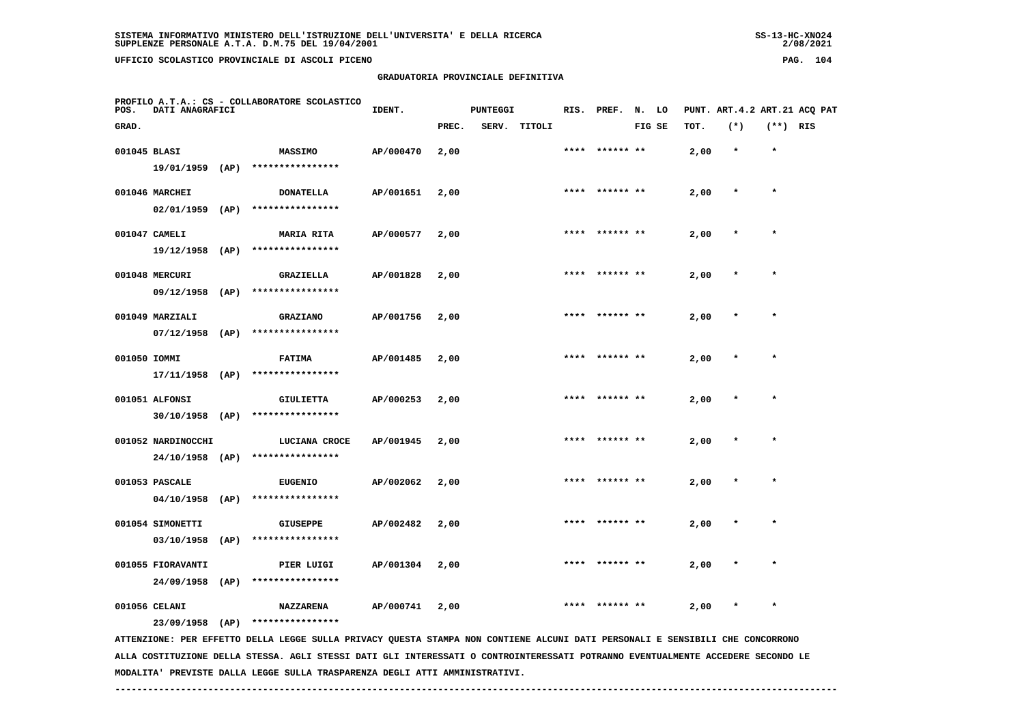## **GRADUATORIA PROVINCIALE DEFINITIVA**

 $2/08/2021$ 

| POS.         | DATI ANAGRAFICI                         |      | PROFILO A.T.A.: CS - COLLABORATORE SCOLASTICO                                                                                 | IDENT.    |       | <b>PUNTEGGI</b> |        |      | RIS. PREF. N. LO |        |      | PUNT. ART. 4.2 ART. 21 ACQ PAT |            |  |
|--------------|-----------------------------------------|------|-------------------------------------------------------------------------------------------------------------------------------|-----------|-------|-----------------|--------|------|------------------|--------|------|--------------------------------|------------|--|
| GRAD.        |                                         |      |                                                                                                                               |           | PREC. | SERV.           | TITOLI |      |                  | FIG SE | TOT. | $(*)$                          | $(**)$ RIS |  |
| 001045 BLASI |                                         |      | <b>MASSIMO</b>                                                                                                                | AP/000470 | 2,00  |                 |        |      | ****** **        |        | 2,00 | $\star$                        | $\star$    |  |
|              | 19/01/1959 (AP)                         |      | ****************                                                                                                              |           |       |                 |        |      |                  |        |      |                                |            |  |
|              | 001046 MARCHEI                          |      | <b>DONATELLA</b>                                                                                                              | AP/001651 | 2,00  |                 |        |      | ****  ****** **  |        | 2,00 | $\ast$                         | $\star$    |  |
|              | $02/01/1959$ (AP)                       |      | ****************                                                                                                              |           |       |                 |        |      |                  |        |      |                                |            |  |
|              | 001047 CAMELI                           |      | <b>MARIA RITA</b>                                                                                                             | AP/000577 | 2,00  |                 |        |      |                  |        | 2,00 |                                |            |  |
|              | $19/12/1958$ (AP)                       |      | ****************                                                                                                              |           |       |                 |        |      |                  |        |      |                                |            |  |
|              | 001048 MERCURI                          |      | GRAZIELLA                                                                                                                     | AP/001828 | 2,00  |                 |        | **** | ****** **        |        | 2,00 |                                | $\star$    |  |
|              | 09/12/1958                              | (AP) | ****************                                                                                                              |           |       |                 |        |      |                  |        |      |                                |            |  |
|              | 001049 MARZIALI                         |      | GRAZIANO                                                                                                                      | AP/001756 | 2,00  |                 |        |      | **** ****** **   |        | 2,00 |                                |            |  |
|              | $07/12/1958$ (AP)                       |      | ****************                                                                                                              |           |       |                 |        |      |                  |        |      |                                |            |  |
| 001050 IOMMI |                                         |      | <b>FATIMA</b>                                                                                                                 | AP/001485 | 2,00  |                 |        |      | **** ****** **   |        | 2,00 |                                | $\star$    |  |
|              | $17/11/1958$ (AP)                       |      | ****************                                                                                                              |           |       |                 |        |      |                  |        |      |                                |            |  |
|              |                                         |      |                                                                                                                               |           |       |                 |        |      |                  |        |      |                                |            |  |
|              | 001051 ALFONSI<br>$30/10/1958$ (AP)     |      | <b>GIULIETTA</b><br>****************                                                                                          | AP/000253 | 2,00  |                 |        |      |                  |        | 2,00 |                                |            |  |
|              |                                         |      |                                                                                                                               |           |       |                 |        |      |                  |        |      |                                |            |  |
|              | 001052 NARDINOCCHI<br>$24/10/1958$ (AP) |      | LUCIANA CROCE<br>****************                                                                                             | AP/001945 | 2,00  |                 |        |      |                  |        | 2,00 |                                |            |  |
|              |                                         |      |                                                                                                                               |           |       |                 |        |      |                  |        |      |                                |            |  |
|              | 001053 PASCALE                          |      | <b>EUGENIO</b><br>****************                                                                                            | AP/002062 | 2,00  |                 |        |      |                  |        | 2,00 |                                |            |  |
|              | $04/10/1958$ (AP)                       |      |                                                                                                                               |           |       |                 |        |      |                  |        |      |                                |            |  |
|              | 001054 SIMONETTI                        |      | <b>GIUSEPPE</b>                                                                                                               | AP/002482 | 2,00  |                 |        |      | ****  ****** **  |        | 2,00 |                                | $\star$    |  |
|              | 03/10/1958                              | (AP) | ****************                                                                                                              |           |       |                 |        |      |                  |        |      |                                |            |  |
|              | 001055 FIORAVANTI                       |      | PIER LUIGI                                                                                                                    | AP/001304 | 2,00  |                 |        |      |                  |        | 2,00 |                                |            |  |
|              | 24/09/1958 (AP)                         |      | ****************                                                                                                              |           |       |                 |        |      |                  |        |      |                                |            |  |
|              | 001056 CELANI                           |      | NAZZARENA                                                                                                                     | AP/000741 | 2,00  |                 |        |      |                  |        | 2,00 | $\ast$                         | $\star$    |  |
|              | 23/09/1958                              | (AP) | ****************                                                                                                              |           |       |                 |        |      |                  |        |      |                                |            |  |
|              |                                         |      | ATTENZIONE: PER EFFETTO DELLA LEGGE SULLA PRIVACY QUESTA STAMPA NON CONTIENE ALCUNI DATI PERSONALI E SENSIBILI CHE CONCORRONO |           |       |                 |        |      |                  |        |      |                                |            |  |

 **ALLA COSTITUZIONE DELLA STESSA. AGLI STESSI DATI GLI INTERESSATI O CONTROINTERESSATI POTRANNO EVENTUALMENTE ACCEDERE SECONDO LE MODALITA' PREVISTE DALLA LEGGE SULLA TRASPARENZA DEGLI ATTI AMMINISTRATIVI.**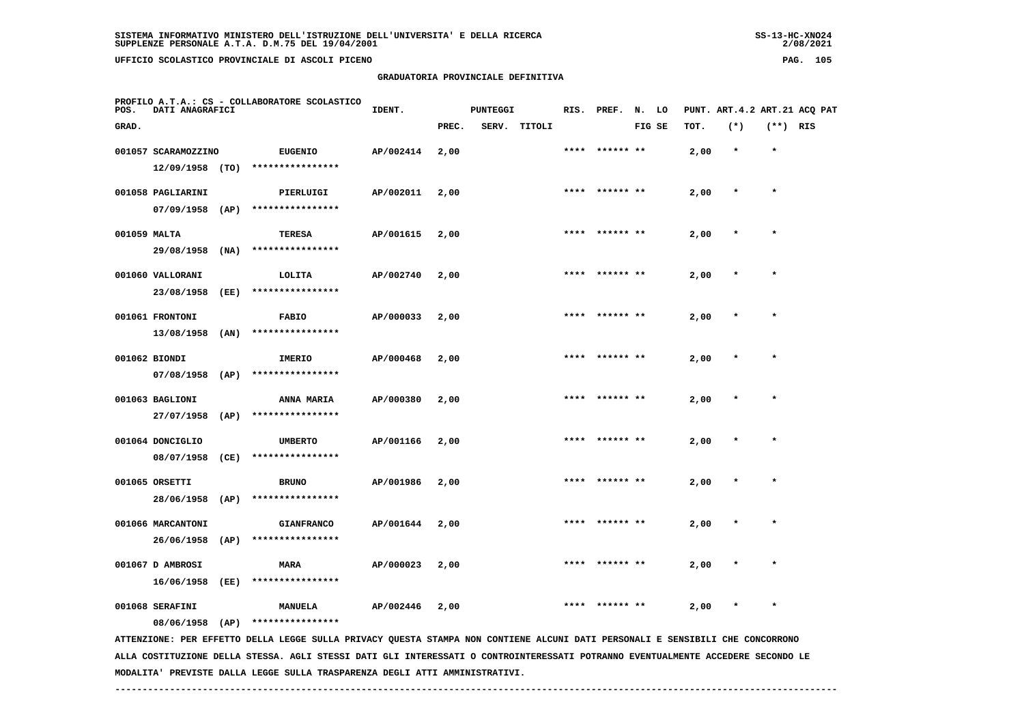## **GRADUATORIA PROVINCIALE DEFINITIVA**

 $2/08/2021$ 

| POS.         | DATI ANAGRAFICI     |      | PROFILO A.T.A.: CS - COLLABORATORE SCOLASTICO                                                                                 | IDENT.    |       | <b>PUNTEGGI</b> |        |      | RIS. PREF. | N. LO  |      |         |            | PUNT. ART.4.2 ART.21 ACQ PAT |
|--------------|---------------------|------|-------------------------------------------------------------------------------------------------------------------------------|-----------|-------|-----------------|--------|------|------------|--------|------|---------|------------|------------------------------|
| GRAD.        |                     |      |                                                                                                                               |           | PREC. | SERV.           | TITOLI |      |            | FIG SE | TOT. | $(*)$   | $(**)$ RIS |                              |
|              | 001057 SCARAMOZZINO |      | <b>EUGENIO</b>                                                                                                                | AP/002414 | 2,00  |                 |        | **** | ****** **  |        | 2,00 | $\star$ | $\star$    |                              |
|              | $12/09/1958$ (TO)   |      | ****************                                                                                                              |           |       |                 |        |      |            |        |      |         |            |                              |
|              | 001058 PAGLIARINI   |      | PIERLUIGI                                                                                                                     | AP/002011 | 2,00  |                 |        | **** |            |        | 2,00 | $\star$ | $\star$    |                              |
|              | $07/09/1958$ (AP)   |      | ****************                                                                                                              |           |       |                 |        |      |            |        |      |         |            |                              |
| 001059 MALTA |                     |      | <b>TERESA</b>                                                                                                                 | AP/001615 | 2,00  |                 |        | **** | ****** **  |        | 2,00 | $\ast$  | $\star$    |                              |
|              | 29/08/1958          | (NA) | ****************                                                                                                              |           |       |                 |        |      |            |        |      |         |            |                              |
|              | 001060 VALLORANI    |      | LOLITA                                                                                                                        | AP/002740 | 2,00  |                 |        |      |            |        | 2,00 |         |            |                              |
|              | 23/08/1958          | (EE) | ****************                                                                                                              |           |       |                 |        |      |            |        |      |         |            |                              |
|              | 001061 FRONTONI     |      | <b>FABIO</b>                                                                                                                  | AP/000033 | 2,00  |                 |        |      | ****** **  |        | 2,00 | $\ast$  | $\star$    |                              |
|              | 13/08/1958          | (AN) | ****************                                                                                                              |           |       |                 |        |      |            |        |      |         |            |                              |
|              | 001062 BIONDI       |      | IMERIO                                                                                                                        | AP/000468 | 2,00  |                 |        |      | ****** **  |        | 2,00 |         |            |                              |
|              | 07/08/1958          | (AP) | ****************                                                                                                              |           |       |                 |        |      |            |        |      |         |            |                              |
|              | 001063 BAGLIONI     |      | <b>ANNA MARIA</b>                                                                                                             | AP/000380 | 2,00  |                 |        | **** | ****** **  |        | 2,00 |         | $\star$    |                              |
|              | 27/07/1958          | (AP) | ****************                                                                                                              |           |       |                 |        |      |            |        |      |         |            |                              |
|              | 001064 DONCIGLIO    |      | <b>UMBERTO</b>                                                                                                                | AP/001166 | 2,00  |                 |        | **** | ****** **  |        | 2,00 | $\ast$  | $\star$    |                              |
|              | 08/07/1958          | (CE) | ****************                                                                                                              |           |       |                 |        |      |            |        |      |         |            |                              |
|              | 001065 ORSETTI      |      | <b>BRUNO</b>                                                                                                                  | AP/001986 | 2,00  |                 |        |      |            |        | 2,00 |         | $\bullet$  |                              |
|              | 28/06/1958          | (AP) | ****************                                                                                                              |           |       |                 |        |      |            |        |      |         |            |                              |
|              | 001066 MARCANTONI   |      | <b>GIANFRANCO</b>                                                                                                             | AP/001644 | 2,00  |                 |        | **** |            |        | 2,00 |         | $\star$    |                              |
|              | 26/06/1958          | (AP) | ****************                                                                                                              |           |       |                 |        |      |            |        |      |         |            |                              |
|              | 001067 D AMBROSI    |      | MARA                                                                                                                          | AP/000023 | 2,00  |                 |        |      |            |        | 2,00 |         | $\star$    |                              |
|              | 16/06/1958          | (EE) | ****************                                                                                                              |           |       |                 |        |      |            |        |      |         |            |                              |
|              | 001068 SERAFINI     |      | MANUELA                                                                                                                       | AP/002446 | 2,00  |                 |        |      |            |        | 2,00 |         |            |                              |
|              | 08/06/1958          | (AP) | ****************                                                                                                              |           |       |                 |        |      |            |        |      |         |            |                              |
|              |                     |      | ATTENZIONE: PER EFFETTO DELLA LEGGE SULLA PRIVACY QUESTA STAMPA NON CONTIENE ALCUNI DATI PERSONALI E SENSIBILI CHE CONCORRONO |           |       |                 |        |      |            |        |      |         |            |                              |

 **ALLA COSTITUZIONE DELLA STESSA. AGLI STESSI DATI GLI INTERESSATI O CONTROINTERESSATI POTRANNO EVENTUALMENTE ACCEDERE SECONDO LE MODALITA' PREVISTE DALLA LEGGE SULLA TRASPARENZA DEGLI ATTI AMMINISTRATIVI.**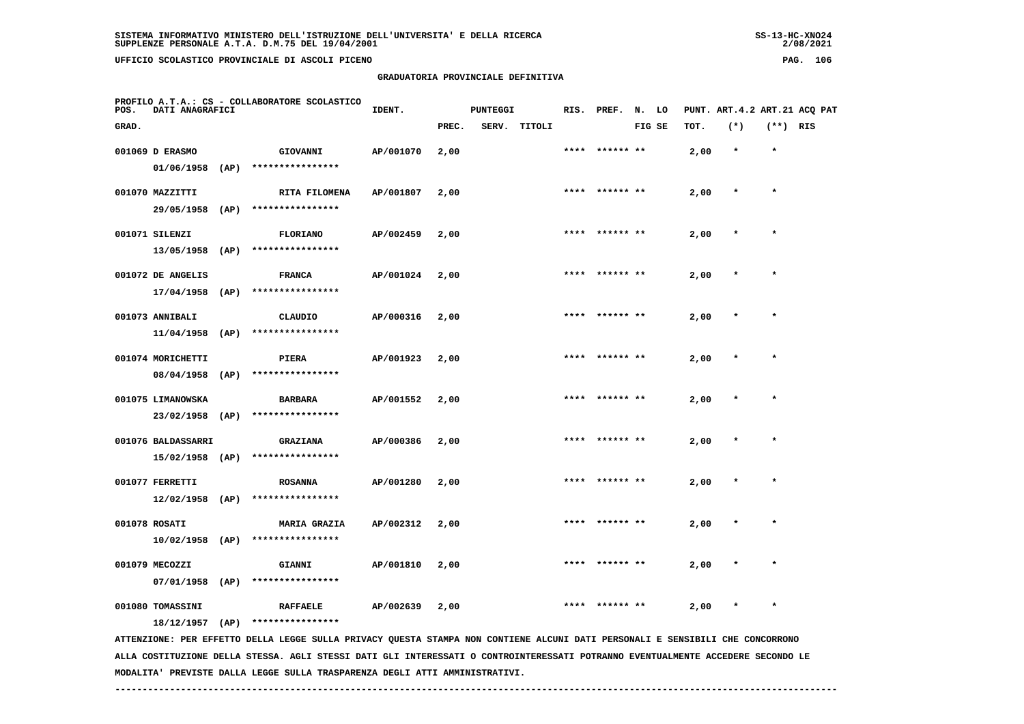# **GRADUATORIA PROVINCIALE DEFINITIVA**

 $2/08/2021$ 

| POS.  | <b>DATI ANAGRAFICI</b>                |      | PROFILO A.T.A.: CS - COLLABORATORE SCOLASTICO                                                                                                     | IDENT.    |       | <b>PUNTEGGI</b> |        |      | RIS. PREF. N. LO |        |      |         |            | PUNT. ART.4.2 ART.21 ACQ PAT |
|-------|---------------------------------------|------|---------------------------------------------------------------------------------------------------------------------------------------------------|-----------|-------|-----------------|--------|------|------------------|--------|------|---------|------------|------------------------------|
| GRAD. |                                       |      |                                                                                                                                                   |           | PREC. | SERV.           | TITOLI |      |                  | FIG SE | TOT. | $(*)$   | $(**)$ RIS |                              |
|       | 001069 D ERASMO<br>01/06/1958         | (AP) | GIOVANNI<br>****************                                                                                                                      | AP/001070 | 2,00  |                 |        | **** | ****** **        |        | 2,00 | $\star$ | $\star$    |                              |
|       | 001070 MAZZITTI                       |      | RITA FILOMENA<br>****************                                                                                                                 | AP/001807 | 2,00  |                 |        | **** |                  |        | 2,00 | $\star$ | $\star$    |                              |
|       | 29/05/1958 (AP)<br>001071 SILENZI     |      | <b>FLORIANO</b>                                                                                                                                   | AP/002459 | 2,00  |                 |        | **** | ****** **        |        | 2,00 | $\star$ | $\star$    |                              |
|       | 13/05/1958<br>001072 DE ANGELIS       | (AP) | ****************<br><b>FRANCA</b>                                                                                                                 | AP/001024 | 2,00  |                 |        |      |                  |        | 2,00 |         |            |                              |
|       | 17/04/1958<br>001073 ANNIBALI         | (AP) | ****************<br>CLAUDIO                                                                                                                       | AP/000316 | 2,00  |                 |        |      | ****** **        |        | 2,00 |         | $\star$    |                              |
|       | $11/04/1958$ (AP)                     |      | ****************                                                                                                                                  |           |       |                 |        |      |                  |        |      |         |            |                              |
|       | 001074 MORICHETTI<br>08/04/1958       | (AP) | PIERA<br>****************                                                                                                                         | AP/001923 | 2,00  |                 |        |      | **** ****** **   |        | 2,00 |         | $\star$    |                              |
|       | 001075 LIMANOWSKA<br>23/02/1958       | (AP) | <b>BARBARA</b><br>****************                                                                                                                | AP/001552 | 2,00  |                 |        |      |                  |        | 2,00 |         |            |                              |
|       | 001076 BALDASSARRI<br>15/02/1958 (AP) |      | <b>GRAZIANA</b><br>****************                                                                                                               | AP/000386 | 2,00  |                 |        |      | **** ****** **   |        | 2,00 | $\ast$  | $\star$    |                              |
|       | 001077 FERRETTI<br>$12/02/1958$ (AP)  |      | <b>ROSANNA</b><br>****************                                                                                                                | AP/001280 | 2,00  |                 |        |      |                  |        | 2,00 |         |            |                              |
|       | 001078 ROSATI<br>$10/02/1958$ (AP)    |      | <b>MARIA GRAZIA</b><br>****************                                                                                                           | AP/002312 | 2,00  |                 |        | **** |                  |        | 2,00 |         |            |                              |
|       | 001079 MECOZZI<br>07/01/1958          | (AP) | <b>GIANNI</b><br>****************                                                                                                                 | AP/001810 | 2,00  |                 |        |      |                  |        | 2,00 |         | $\star$    |                              |
|       | 001080 TOMASSINI                      |      | <b>RAFFAELE</b>                                                                                                                                   | AP/002639 | 2,00  |                 |        |      |                  |        | 2,00 |         |            |                              |
|       | $18/12/1957$ (AP)                     |      | ****************<br>ATTENZIONE: PER EFFETTO DELLA LEGGE SULLA PRIVACY QUESTA STAMPA NON CONTIENE ALCUNI DATI PERSONALI E SENSIBILI CHE CONCORRONO |           |       |                 |        |      |                  |        |      |         |            |                              |

 **ALLA COSTITUZIONE DELLA STESSA. AGLI STESSI DATI GLI INTERESSATI O CONTROINTERESSATI POTRANNO EVENTUALMENTE ACCEDERE SECONDO LE MODALITA' PREVISTE DALLA LEGGE SULLA TRASPARENZA DEGLI ATTI AMMINISTRATIVI.**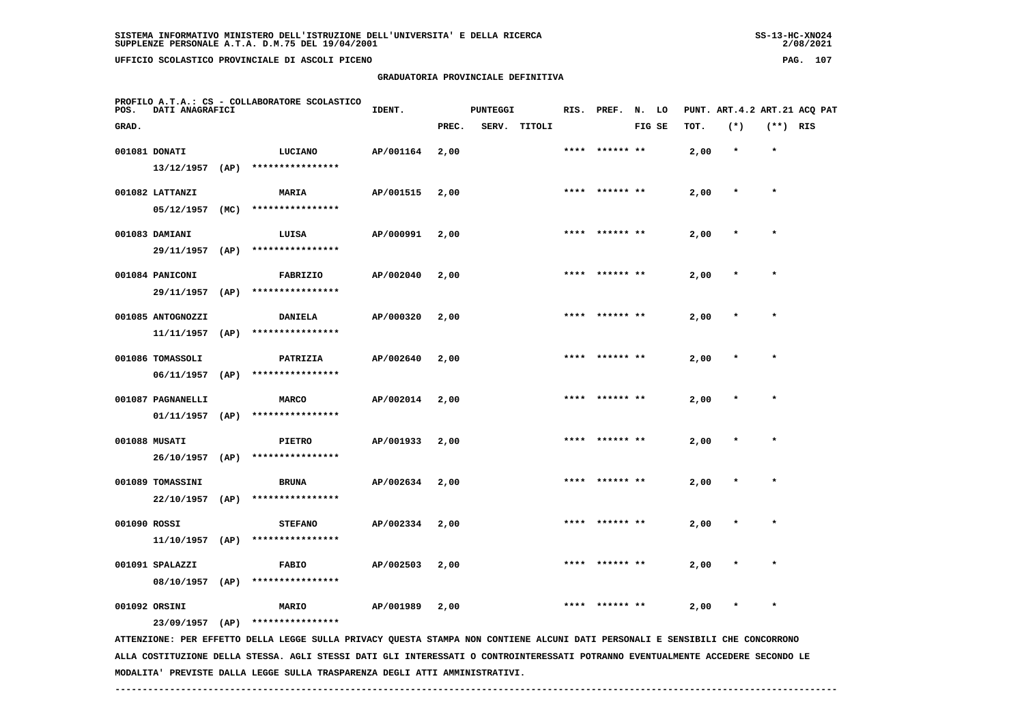**GRADUATORIA PROVINCIALE DEFINITIVA**

| POS.         | DATI ANAGRAFICI   |      | PROFILO A.T.A.: CS - COLLABORATORE SCOLASTICO | IDENT.    | <b>PUNTEGGI</b><br>SERV. TITOLI |  |  | RIS. PREF. N. LO |                |        | PUNT. ART.4.2 ART.21 ACQ PAT |         |            |  |
|--------------|-------------------|------|-----------------------------------------------|-----------|---------------------------------|--|--|------------------|----------------|--------|------------------------------|---------|------------|--|
| GRAD.        |                   |      |                                               |           | PREC.                           |  |  |                  |                | FIG SE | TOT.                         | $(*)$   | $(**)$ RIS |  |
|              | 001081 DONATI     |      | <b>LUCIANO</b>                                | AP/001164 | 2,00                            |  |  |                  | **** ****** ** |        | 2,00                         | $\star$ | $\star$    |  |
|              | 13/12/1957        | (AP) | ****************                              |           |                                 |  |  |                  |                |        |                              |         |            |  |
|              | 001082 LATTANZI   |      | MARIA                                         | AP/001515 | 2,00                            |  |  | ****             | ****** **      |        | 2,00                         | $\star$ | $\star$    |  |
|              | 05/12/1957        | (MC) | ****************                              |           |                                 |  |  |                  |                |        |                              |         |            |  |
|              | 001083 DAMIANI    |      | LUISA                                         | AP/000991 | 2,00                            |  |  | ****             | ****** **      |        | 2,00                         | $\star$ | $\star$    |  |
|              | 29/11/1957        | (AP) | ****************                              |           |                                 |  |  |                  |                |        |                              |         |            |  |
|              | 001084 PANICONI   |      | <b>FABRIZIO</b>                               | AP/002040 | 2,00                            |  |  | ****             | ****** **      |        | 2,00                         | $\star$ | $\star$    |  |
|              | 29/11/1957        | (AP) | ****************                              |           |                                 |  |  |                  |                |        |                              |         |            |  |
|              | 001085 ANTOGNOZZI |      | <b>DANIELA</b>                                | AP/000320 | 2,00                            |  |  | ****             | ****** **      |        | 2,00                         | $\star$ | $\star$    |  |
|              | 11/11/1957        | (AP) | ****************                              |           |                                 |  |  |                  |                |        |                              |         |            |  |
|              | 001086 TOMASSOLI  |      | PATRIZIA                                      | AP/002640 | 2,00                            |  |  | ****             | ****** **      |        | 2,00                         | $\star$ | $\star$    |  |
|              | 06/11/1957        | (AP) | ****************                              |           |                                 |  |  |                  |                |        |                              |         |            |  |
|              | 001087 PAGNANELLI |      | <b>MARCO</b>                                  | AP/002014 | 2,00                            |  |  | ****             |                |        | 2,00                         | $\star$ | $\star$    |  |
|              | 01/11/1957        | (AP) | ****************                              |           |                                 |  |  |                  |                |        |                              |         |            |  |
|              | 001088 MUSATI     |      | <b>PIETRO</b>                                 | AP/001933 | 2,00                            |  |  | ****             | ****** **      |        | 2,00                         | $\star$ | $\star$    |  |
|              | 26/10/1957        | (AP) | ****************                              |           |                                 |  |  |                  |                |        |                              |         |            |  |
|              | 001089 TOMASSINI  |      | <b>BRUNA</b>                                  | AP/002634 | 2,00                            |  |  |                  | **** ****** ** |        | 2,00                         | $\star$ | $\star$    |  |
|              | 22/10/1957        | (AP) | ****************                              |           |                                 |  |  |                  |                |        |                              |         |            |  |
| 001090 ROSSI |                   |      | <b>STEFANO</b>                                | AP/002334 | 2,00                            |  |  |                  | **** ****** ** |        | 2,00                         | $\star$ | $\star$    |  |

 **001091 SPALAZZI FABIO AP/002503 2,00 \*\*\*\* \*\*\*\*\*\* \*\* 2,00 \* \* 08/10/1957 (AP) \*\*\*\*\*\*\*\*\*\*\*\*\*\*\*\***

 **001092 ORSINI MARIO AP/001989 2,00 \*\*\*\* \*\*\*\*\*\* \*\* 2,00 \* \***

 **23/09/1957 (AP) \*\*\*\*\*\*\*\*\*\*\*\*\*\*\*\***

 **11/10/1957 (AP) \*\*\*\*\*\*\*\*\*\*\*\*\*\*\*\***

 **ATTENZIONE: PER EFFETTO DELLA LEGGE SULLA PRIVACY QUESTA STAMPA NON CONTIENE ALCUNI DATI PERSONALI E SENSIBILI CHE CONCORRONO ALLA COSTITUZIONE DELLA STESSA. AGLI STESSI DATI GLI INTERESSATI O CONTROINTERESSATI POTRANNO EVENTUALMENTE ACCEDERE SECONDO LE MODALITA' PREVISTE DALLA LEGGE SULLA TRASPARENZA DEGLI ATTI AMMINISTRATIVI.**

 **------------------------------------------------------------------------------------------------------------------------------------**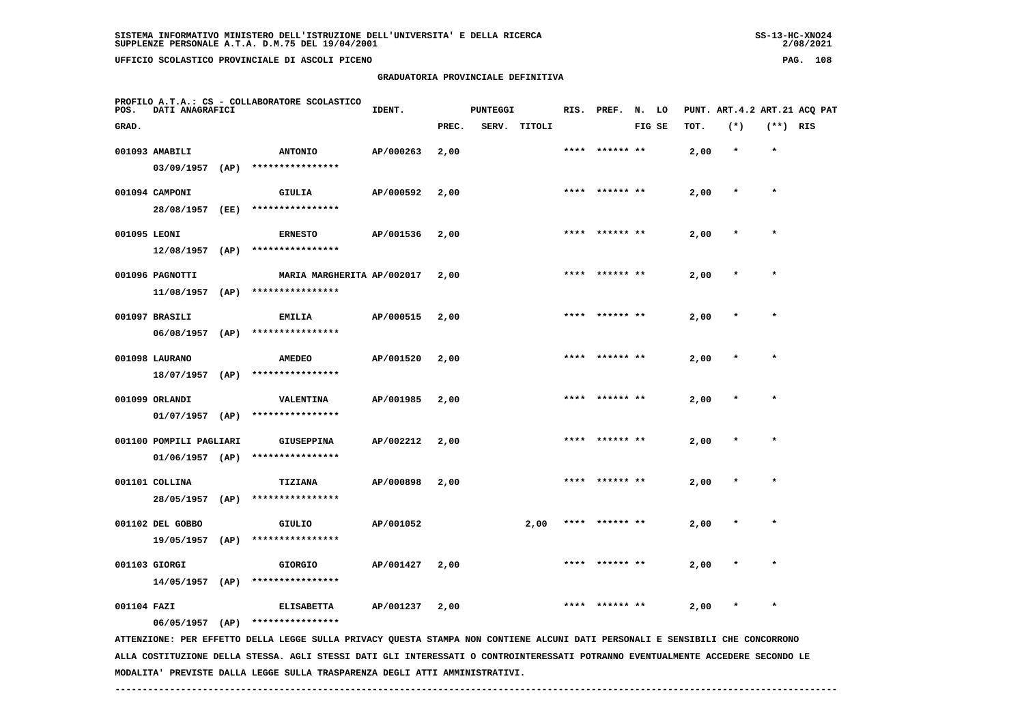**GRADUATORIA PROVINCIALE DEFINITIVA**

| POS.         | DATI ANAGRAFICI                              |      | PROFILO A.T.A.: CS - COLLABORATORE SCOLASTICO  | IDENT.    |       | PUNTEGGI |              |      | RIS. PREF. N. LO |        |      |         |            | PUNT. ART. 4.2 ART. 21 ACO PAT |
|--------------|----------------------------------------------|------|------------------------------------------------|-----------|-------|----------|--------------|------|------------------|--------|------|---------|------------|--------------------------------|
| GRAD.        |                                              |      |                                                |           | PREC. |          | SERV. TITOLI |      |                  | FIG SE | TOT. | $(*)$   | $(**)$ RIS |                                |
|              | 001093 AMABILI<br>03/09/1957                 | (AP) | <b>ANTONIO</b><br>****************             | AP/000263 | 2,00  |          |              | **** | ****** **        |        | 2,00 | $\star$ | $\star$    |                                |
|              | 001094 CAMPONI<br>28/08/1957                 | (EE) | GIULIA<br>****************                     | AP/000592 | 2,00  |          |              | **** | ****** **        |        | 2,00 | $\star$ | $\star$    |                                |
| 001095 LEONI |                                              |      | <b>ERNESTO</b>                                 | AP/001536 | 2,00  |          |              | **** | ****** **        |        | 2,00 | $\star$ | $\star$    |                                |
|              | 12/08/1957<br>001096 PAGNOTTI                | (AP) | ****************<br>MARIA MARGHERITA AP/002017 |           | 2,00  |          |              | **** | ****** **        |        | 2,00 | $\star$ | $\star$    |                                |
|              | 11/08/1957<br>001097 BRASILI                 | (AP) | ****************<br><b>EMILIA</b>              | AP/000515 | 2,00  |          |              | **** | ****** **        |        | 2,00 | $\star$ | $\star$    |                                |
|              | $06/08/1957$ (AP)                            |      | ****************                               |           |       |          |              |      |                  |        |      | $\star$ | $\star$    |                                |
|              | 001098 LAURANO<br>18/07/1957 (AP)            |      | <b>AMEDEO</b><br>****************              | AP/001520 | 2,00  |          |              |      |                  |        | 2,00 |         |            |                                |
|              | 001099 ORLANDI<br>$01/07/1957$ (AP)          |      | VALENTINA<br>****************                  | AP/001985 | 2,00  |          |              | **** | ****** **        |        | 2,00 | $\star$ | $\star$    |                                |
|              | 001100 POMPILI PAGLIARI<br>$01/06/1957$ (AP) |      | <b>GIUSEPPINA</b><br>****************          | AP/002212 | 2,00  |          |              |      |                  |        | 2,00 |         |            |                                |
|              | 001101 COLLINA<br>28/05/1957                 | (AP) | TIZIANA<br>****************                    | AP/000898 | 2,00  |          |              |      |                  |        | 2,00 |         |            |                                |
|              | 001102 DEL GOBBO<br>19/05/1957               | (AP) | GIULIO<br>****************                     | AP/001052 |       |          | 2,00         | **** | ****** **        |        | 2,00 | $\star$ | $\star$    |                                |
|              | 001103 GIORGI                                |      | <b>GIORGIO</b>                                 | AP/001427 | 2,00  |          |              |      |                  |        | 2,00 |         | $\star$    |                                |
| 001104 FAZI  | $14/05/1957$ (AP)                            |      | ****************<br><b>ELISABETTA</b>          | AP/001237 | 2,00  |          |              |      |                  |        | 2,00 |         | $\star$    |                                |
|              | 06/05/1957                                   | (AP) | ****************                               |           |       |          |              |      |                  |        |      |         |            |                                |

 **ATTENZIONE: PER EFFETTO DELLA LEGGE SULLA PRIVACY QUESTA STAMPA NON CONTIENE ALCUNI DATI PERSONALI E SENSIBILI CHE CONCORRONO ALLA COSTITUZIONE DELLA STESSA. AGLI STESSI DATI GLI INTERESSATI O CONTROINTERESSATI POTRANNO EVENTUALMENTE ACCEDERE SECONDO LE MODALITA' PREVISTE DALLA LEGGE SULLA TRASPARENZA DEGLI ATTI AMMINISTRATIVI.**

 **------------------------------------------------------------------------------------------------------------------------------------**

 $2/08/2021$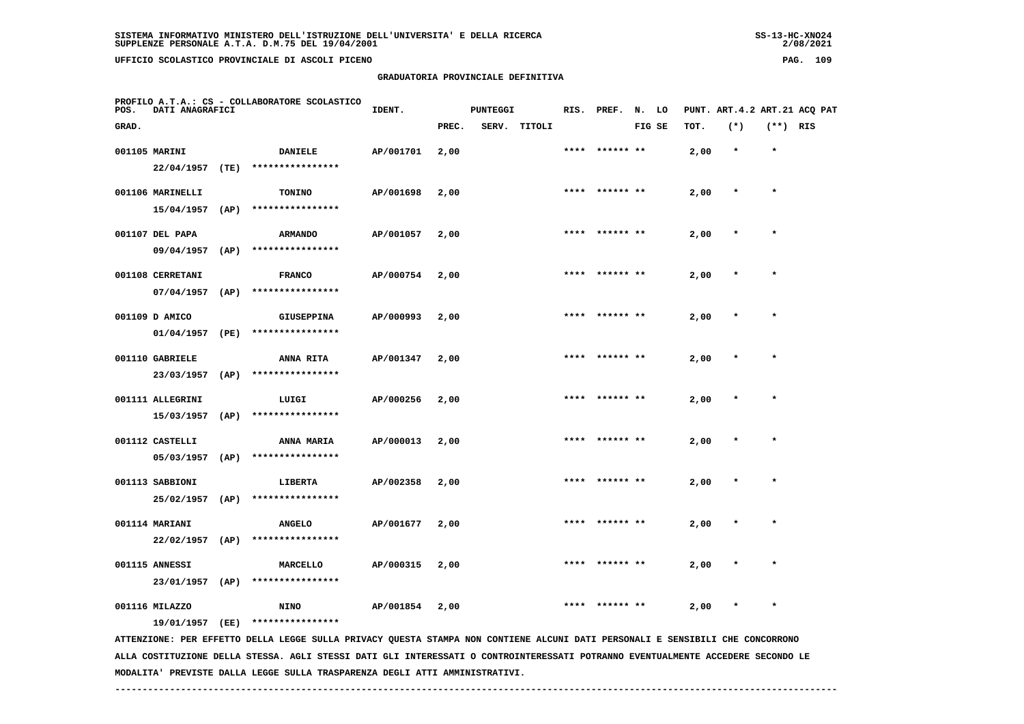# **GRADUATORIA PROVINCIALE DEFINITIVA**

 $2/08/2021$ 

| POS.  | DATI ANAGRAFICI   |      | PROFILO A.T.A.: CS - COLLABORATORE SCOLASTICO                                                                                 | IDENT.    |       | <b>PUNTEGGI</b> |        |      | RIS. PREF.     | N. LO  |      |         |            | PUNT. ART.4.2 ART.21 ACQ PAT |
|-------|-------------------|------|-------------------------------------------------------------------------------------------------------------------------------|-----------|-------|-----------------|--------|------|----------------|--------|------|---------|------------|------------------------------|
| GRAD. |                   |      |                                                                                                                               |           | PREC. | SERV.           | TITOLI |      |                | FIG SE | тот. | $(*)$   | $(**)$ RIS |                              |
|       | 001105 MARINI     |      | DANIELE                                                                                                                       | AP/001701 | 2,00  |                 |        |      | ****** **      |        | 2,00 | $\star$ | $\star$    |                              |
|       | 22/04/1957        | (TE) | ****************                                                                                                              |           |       |                 |        |      |                |        |      |         |            |                              |
|       | 001106 MARINELLI  |      | <b>TONINO</b>                                                                                                                 | AP/001698 | 2,00  |                 |        |      | **** ****** ** |        | 2,00 | $\ast$  | $\star$    |                              |
|       | 15/04/1957        | (AP) | ****************                                                                                                              |           |       |                 |        |      |                |        |      |         |            |                              |
|       | 001107 DEL PAPA   |      | <b>ARMANDO</b>                                                                                                                | AP/001057 | 2,00  |                 |        |      | **** ****** ** |        | 2,00 | $\star$ | $\star$    |                              |
|       | 09/04/1957        | (AP) | ****************                                                                                                              |           |       |                 |        |      |                |        |      |         |            |                              |
|       | 001108 CERRETANI  |      | <b>FRANCO</b>                                                                                                                 | AP/000754 | 2,00  |                 |        |      |                |        | 2,00 |         |            |                              |
|       | 07/04/1957        | (AP) | ****************                                                                                                              |           |       |                 |        |      |                |        |      |         |            |                              |
|       | 001109 D AMICO    |      | <b>GIUSEPPINA</b>                                                                                                             | AP/000993 | 2,00  |                 |        | **** | ****** **      |        | 2,00 |         | $\star$    |                              |
|       | 01/04/1957        | (PE) | ****************                                                                                                              |           |       |                 |        |      |                |        |      |         |            |                              |
|       | 001110 GABRIELE   |      | <b>ANNA RITA</b>                                                                                                              | AP/001347 | 2,00  |                 |        |      |                |        | 2,00 | $\star$ | $\star$    |                              |
|       | 23/03/1957        | (AP) | ****************                                                                                                              |           |       |                 |        |      |                |        |      |         |            |                              |
|       | 001111 ALLEGRINI  |      | LUIGI                                                                                                                         | AP/000256 | 2,00  |                 |        |      |                |        | 2,00 |         |            |                              |
|       | 15/03/1957        | (AP) | ****************                                                                                                              |           |       |                 |        |      |                |        |      |         |            |                              |
|       | 001112 CASTELLI   |      | <b>ANNA MARIA</b>                                                                                                             | AP/000013 | 2,00  |                 |        | **** | ****** **      |        | 2,00 |         | $\star$    |                              |
|       | 05/03/1957        | (AP) | ****************                                                                                                              |           |       |                 |        |      |                |        |      |         |            |                              |
|       | 001113 SABBIONI   |      | LIBERTA                                                                                                                       | AP/002358 | 2,00  |                 |        |      |                |        | 2,00 | $\star$ | $\star$    |                              |
|       | 25/02/1957        | (AP) | ****************                                                                                                              |           |       |                 |        |      |                |        |      |         |            |                              |
|       | 001114 MARIANI    |      | <b>ANGELO</b>                                                                                                                 | AP/001677 | 2,00  |                 |        |      |                |        | 2,00 |         |            |                              |
|       | $22/02/1957$ (AP) |      | ****************                                                                                                              |           |       |                 |        |      |                |        |      |         |            |                              |
|       | 001115 ANNESSI    |      | MARCELLO                                                                                                                      | AP/000315 | 2,00  |                 |        |      |                |        | 2,00 |         |            |                              |
|       | 23/01/1957 (AP)   |      | ****************                                                                                                              |           |       |                 |        |      |                |        |      |         |            |                              |
|       | 001116 MILAZZO    |      | <b>NINO</b>                                                                                                                   | AP/001854 | 2,00  |                 |        |      |                |        | 2,00 | $\star$ | $\star$    |                              |
|       | 19/01/1957 (EE)   |      | ****************                                                                                                              |           |       |                 |        |      |                |        |      |         |            |                              |
|       |                   |      | ATTENZIONE: PER EFFETTO DELLA LEGGE SULLA PRIVACY QUESTA STAMPA NON CONTIENE ALCUNI DATI PERSONALI E SENSIBILI CHE CONCORRONO |           |       |                 |        |      |                |        |      |         |            |                              |

 **ALLA COSTITUZIONE DELLA STESSA. AGLI STESSI DATI GLI INTERESSATI O CONTROINTERESSATI POTRANNO EVENTUALMENTE ACCEDERE SECONDO LE MODALITA' PREVISTE DALLA LEGGE SULLA TRASPARENZA DEGLI ATTI AMMINISTRATIVI.**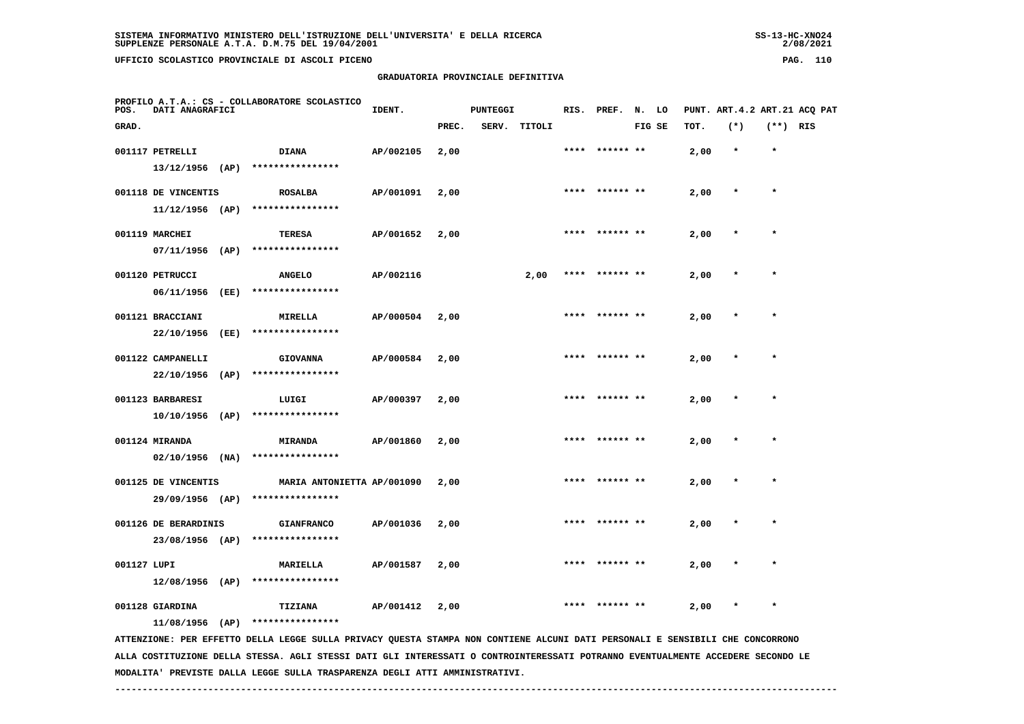# **GRADUATORIA PROVINCIALE DEFINITIVA**

 $2/08/2021$ 

| POS.        | <b>DATI ANAGRAFICI</b>         |      | PROFILO A.T.A.: CS - COLLABORATORE SCOLASTICO                                                                                 | IDENT.    |       | PUNTEGGI |        |      | RIS. PREF. N. LO |        |      | PUNT. ART. 4.2 ART. 21 ACQ PAT |            |  |
|-------------|--------------------------------|------|-------------------------------------------------------------------------------------------------------------------------------|-----------|-------|----------|--------|------|------------------|--------|------|--------------------------------|------------|--|
| GRAD.       |                                |      |                                                                                                                               |           | PREC. | SERV.    | TITOLI |      |                  | FIG SE | TOT. | $(*)$                          | $(**)$ RIS |  |
|             | 001117 PETRELLI                |      | <b>DIANA</b>                                                                                                                  | AP/002105 | 2,00  |          |        | **** | ****** **        |        | 2,00 | $\star$                        | $\star$    |  |
|             | $13/12/1956$ (AP)              |      | ****************                                                                                                              |           |       |          |        |      |                  |        |      |                                |            |  |
|             | 001118 DE VINCENTIS            |      | <b>ROSALBA</b>                                                                                                                | AP/001091 | 2,00  |          |        | **** |                  |        | 2,00 | $\star$                        | $\star$    |  |
|             |                                |      | 11/12/1956 (AP) ****************                                                                                              |           |       |          |        |      |                  |        |      |                                |            |  |
|             | 001119 MARCHEI                 |      | TERESA                                                                                                                        | AP/001652 | 2,00  |          |        |      |                  |        | 2,00 |                                | $\star$    |  |
|             | $07/11/1956$ (AP)              |      | ****************                                                                                                              |           |       |          |        |      |                  |        |      |                                |            |  |
|             | 001120 PETRUCCI                |      | <b>ANGELO</b>                                                                                                                 | AP/002116 |       |          | 2,00   |      | **** ****** **   |        | 2,00 |                                | $\star$    |  |
|             | 06/11/1956                     | (EE) | ****************                                                                                                              |           |       |          |        |      |                  |        |      |                                |            |  |
|             |                                |      |                                                                                                                               |           |       |          |        | **** | ****** **        |        |      |                                | $\star$    |  |
|             | 001121 BRACCIANI<br>22/10/1956 | (EE) | MIRELLA<br>****************                                                                                                   | AP/000504 | 2,00  |          |        |      |                  |        | 2,00 |                                |            |  |
|             |                                |      |                                                                                                                               |           |       |          |        |      |                  |        |      |                                |            |  |
|             | 001122 CAMPANELLI              |      | <b>GIOVANNA</b>                                                                                                               | AP/000584 | 2,00  |          |        |      | **** ****** **   |        | 2,00 |                                | $\star$    |  |
|             | 22/10/1956                     | (AP) | ****************                                                                                                              |           |       |          |        |      |                  |        |      |                                |            |  |
|             | 001123 BARBARESI               |      | LUIGI                                                                                                                         | AP/000397 | 2,00  |          |        |      | **** ****** **   |        | 2,00 | $\star$                        | $\star$    |  |
|             | 10/10/1956 (AP)                |      | ****************                                                                                                              |           |       |          |        |      |                  |        |      |                                |            |  |
|             | 001124 MIRANDA                 |      | <b>MIRANDA</b>                                                                                                                | AP/001860 | 2,00  |          |        | **** |                  |        | 2,00 |                                | $\star$    |  |
|             |                                |      | 02/10/1956 (NA) ****************                                                                                              |           |       |          |        |      |                  |        |      |                                |            |  |
|             | 001125 DE VINCENTIS            |      | MARIA ANTONIETTA AP/001090                                                                                                    |           | 2,00  |          |        |      |                  |        | 2,00 |                                |            |  |
|             |                                |      | 29/09/1956 (AP) ****************                                                                                              |           |       |          |        |      |                  |        |      |                                |            |  |
|             | 001126 DE BERARDINIS           |      | <b>GIANFRANCO</b>                                                                                                             | AP/001036 | 2,00  |          |        |      |                  |        | 2,00 |                                |            |  |
|             | 23/08/1956 (AP)                |      | ****************                                                                                                              |           |       |          |        |      |                  |        |      |                                |            |  |
| 001127 LUPI |                                |      | <b>MARIELLA</b>                                                                                                               | AP/001587 | 2,00  |          |        | **** | ****** **        |        | 2,00 |                                | $\star$    |  |
|             | $12/08/1956$ (AP)              |      | ****************                                                                                                              |           |       |          |        |      |                  |        |      |                                |            |  |
|             |                                |      |                                                                                                                               |           |       |          |        |      |                  |        |      |                                |            |  |
|             | 001128 GIARDINA                |      | TIZIANA<br>11/08/1956 (AP) ****************                                                                                   | AP/001412 | 2,00  |          |        |      |                  |        | 2,00 |                                |            |  |
|             |                                |      | ATTENZIONE: PER EFFETTO DELLA LEGGE SULLA PRIVACY QUESTA STAMPA NON CONTIENE ALCUNI DATI PERSONALI E SENSIBILI CHE CONCORRONO |           |       |          |        |      |                  |        |      |                                |            |  |
|             |                                |      |                                                                                                                               |           |       |          |        |      |                  |        |      |                                |            |  |

 **ALLA COSTITUZIONE DELLA STESSA. AGLI STESSI DATI GLI INTERESSATI O CONTROINTERESSATI POTRANNO EVENTUALMENTE ACCEDERE SECONDO LE MODALITA' PREVISTE DALLA LEGGE SULLA TRASPARENZA DEGLI ATTI AMMINISTRATIVI.**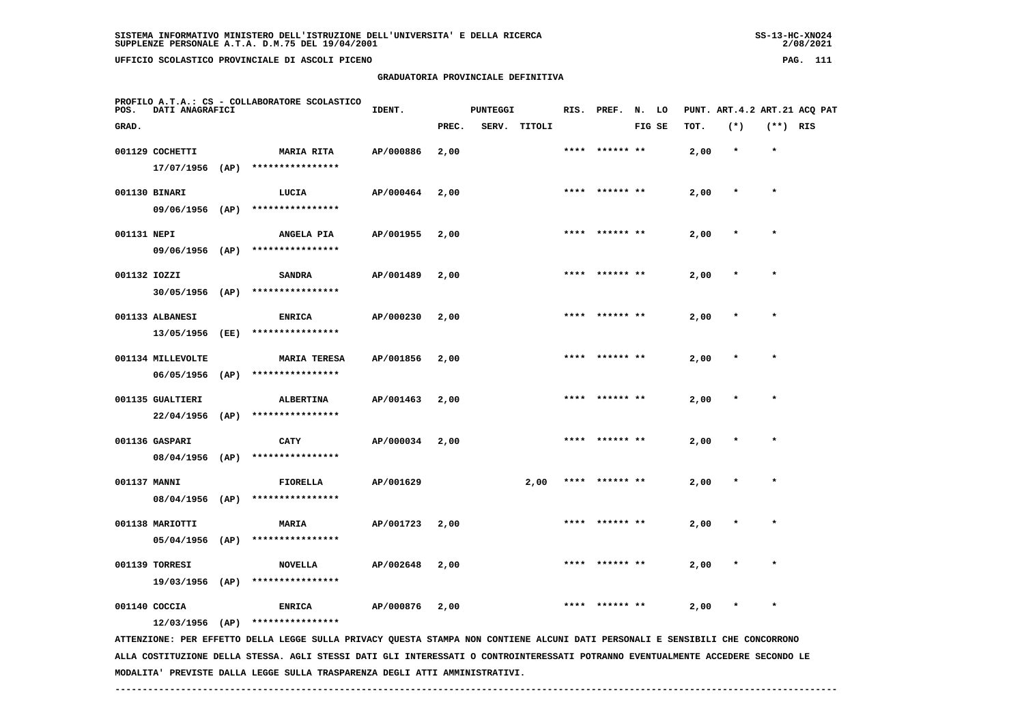$2/08/2021$ 

| POS.         | DATI ANAGRAFICI   | PROFILO A.T.A.: CS - COLLABORATORE SCOLASTICO                                                                                 | IDENT.    |       | <b>PUNTEGGI</b> |              |      | RIS. PREF. N. LO |        |      | PUNT. ART. 4.2 ART. 21 ACQ PAT |            |  |
|--------------|-------------------|-------------------------------------------------------------------------------------------------------------------------------|-----------|-------|-----------------|--------------|------|------------------|--------|------|--------------------------------|------------|--|
| GRAD.        |                   |                                                                                                                               |           | PREC. |                 | SERV. TITOLI |      |                  | FIG SE | TOT. | $(*)$                          | $(**)$ RIS |  |
|              | 001129 COCHETTI   | <b>MARIA RITA</b>                                                                                                             | AP/000886 | 2,00  |                 |              |      | **** ****** **   |        | 2,00 | $\star$                        | $\star$    |  |
|              | $17/07/1956$ (AP) | ****************                                                                                                              |           |       |                 |              |      |                  |        |      |                                |            |  |
|              | 001130 BINARI     | LUCIA                                                                                                                         | AP/000464 | 2,00  |                 |              |      | **** ****** **   |        | 2,00 |                                | $\star$    |  |
|              | 09/06/1956 (AP)   | ****************                                                                                                              |           |       |                 |              |      |                  |        |      |                                |            |  |
| 001131 NEPI  |                   | <b>ANGELA PIA</b>                                                                                                             | AP/001955 | 2,00  |                 |              | **** |                  |        | 2,00 |                                | $\star$    |  |
|              |                   | 09/06/1956 (AP) ****************                                                                                              |           |       |                 |              |      |                  |        |      |                                |            |  |
| 001132 IOZZI |                   | <b>SANDRA</b>                                                                                                                 | AP/001489 | 2,00  |                 |              |      |                  |        | 2,00 |                                |            |  |
|              | $30/05/1956$ (AP) | ****************                                                                                                              |           |       |                 |              |      |                  |        |      |                                |            |  |
|              | 001133 ALBANESI   | <b>ENRICA</b>                                                                                                                 | AP/000230 | 2,00  |                 |              |      |                  |        | 2,00 |                                |            |  |
|              | 13/05/1956 (EE)   | ****************                                                                                                              |           |       |                 |              |      |                  |        |      |                                |            |  |
|              | 001134 MILLEVOLTE | <b>MARIA TERESA</b>                                                                                                           | AP/001856 | 2,00  |                 |              |      | **** ****** **   |        | 2,00 |                                | $\star$    |  |
|              | $06/05/1956$ (AP) | ****************                                                                                                              |           |       |                 |              |      |                  |        |      |                                |            |  |
|              | 001135 GUALTIERI  | <b>ALBERTINA</b>                                                                                                              | AP/001463 | 2,00  |                 |              |      | **** ****** **   |        | 2,00 |                                | $\star$    |  |
|              | $22/04/1956$ (AP) | ****************                                                                                                              |           |       |                 |              |      |                  |        |      |                                |            |  |
|              | 001136 GASPARI    | CATY                                                                                                                          | AP/000034 | 2,00  |                 |              |      | **** ****** **   |        | 2,00 | $\star$                        | $\star$    |  |
|              |                   | 08/04/1956 (AP) ****************                                                                                              |           |       |                 |              |      |                  |        |      |                                |            |  |
| 001137 MANNI |                   | FIORELLA                                                                                                                      | AP/001629 |       |                 | 2,00         |      |                  |        | 2,00 |                                |            |  |
|              | 08/04/1956 (AP)   | ****************                                                                                                              |           |       |                 |              |      |                  |        |      |                                |            |  |
|              | 001138 MARIOTTI   | <b>MARIA</b>                                                                                                                  | AP/001723 | 2,00  |                 |              |      |                  |        | 2,00 |                                |            |  |
|              | 05/04/1956 (AP)   | ****************                                                                                                              |           |       |                 |              |      |                  |        |      |                                |            |  |
|              | 001139 TORRESI    | <b>NOVELLA</b>                                                                                                                | AP/002648 | 2,00  |                 |              |      | ****  ****** **  |        | 2,00 |                                | $\star$    |  |
|              | 19/03/1956 (AP)   | ****************                                                                                                              |           |       |                 |              |      |                  |        |      |                                |            |  |
|              | 001140 COCCIA     | <b>ENRICA</b>                                                                                                                 | AP/000876 | 2,00  |                 |              | **** | ****** **        |        | 2,00 |                                | $\star$    |  |
|              | $12/03/1956$ (AP) | ****************                                                                                                              |           |       |                 |              |      |                  |        |      |                                |            |  |
|              |                   | ATTENZIONE: PER EFFETTO DELLA LEGGE SULLA PRIVACY QUESTA STAMPA NON CONTIENE ALCUNI DATI PERSONALI E SENSIBILI CHE CONCORRONO |           |       |                 |              |      |                  |        |      |                                |            |  |

 **ALLA COSTITUZIONE DELLA STESSA. AGLI STESSI DATI GLI INTERESSATI O CONTROINTERESSATI POTRANNO EVENTUALMENTE ACCEDERE SECONDO LE MODALITA' PREVISTE DALLA LEGGE SULLA TRASPARENZA DEGLI ATTI AMMINISTRATIVI.**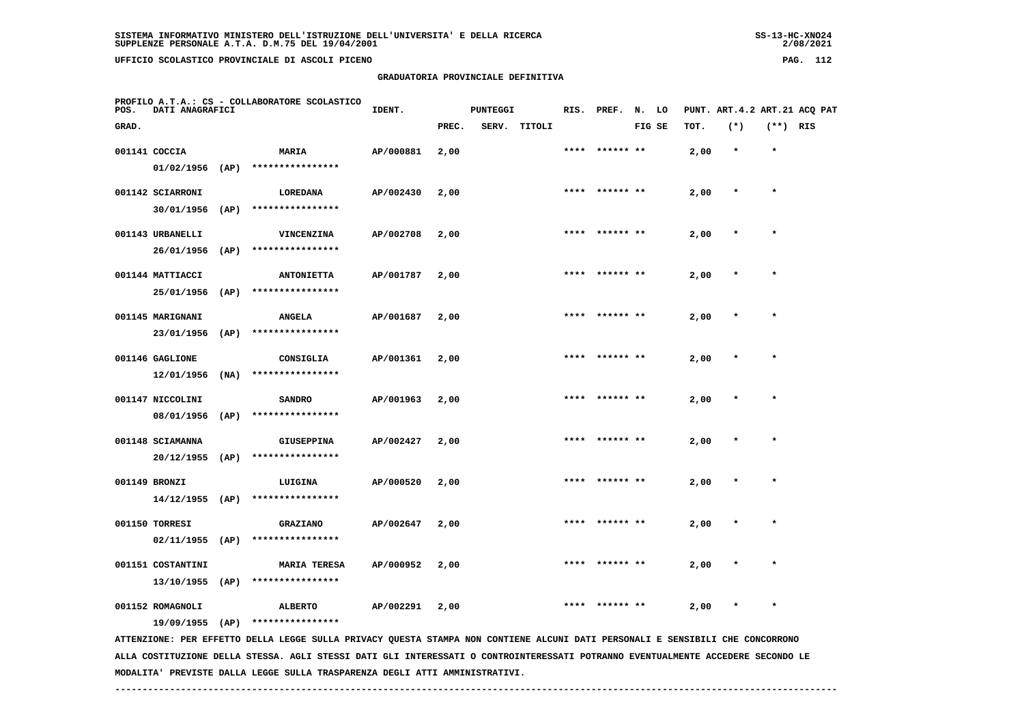**GRADUATORIA PROVINCIALE DEFINITIVA**

| POS.  | DATI ANAGRAFICI                |      | PROFILO A.T.A.: CS - COLLABORATORE SCOLASTICO | IDENT.    |       | <b>PUNTEGGI</b> |              | RIS. PREF. N. LO |        |      | PUNT. ART.4.2 ART.21 ACQ PAT |          |  |
|-------|--------------------------------|------|-----------------------------------------------|-----------|-------|-----------------|--------------|------------------|--------|------|------------------------------|----------|--|
| GRAD. |                                |      |                                               |           | PREC. |                 | SERV. TITOLI |                  | FIG SE | TOT. | $(*)$                        | (**) RIS |  |
|       | 001141 COCCIA                  |      | MARIA                                         | AP/000881 | 2,00  |                 |              | **** ****** **   |        | 2,00 | $\star$                      | $\star$  |  |
|       | $01/02/1956$ (AP)              |      | ****************                              |           |       |                 |              |                  |        |      |                              |          |  |
|       | 001142 SCIARRONI               |      | <b>LOREDANA</b>                               | AP/002430 | 2,00  |                 |              | **** ****** **   |        | 2,00 | $\star$                      | $\star$  |  |
|       | 30/01/1956                     | (AP) | ****************                              |           |       |                 |              |                  |        |      |                              |          |  |
|       | 001143 URBANELLI               |      | VINCENZINA                                    | AP/002708 | 2,00  |                 |              | **** ****** **   |        | 2,00 | $\star$                      | $\star$  |  |
|       | 26/01/1956                     | (AP) | ****************                              |           |       |                 |              |                  |        |      |                              |          |  |
|       | 001144 MATTIACCI               |      | <b>ANTONIETTA</b>                             | AP/001787 | 2,00  |                 |              | **** ****** **   |        | 2,00 | $\star$                      | $\star$  |  |
|       | 25/01/1956                     | (AP) | ****************                              |           |       |                 |              |                  |        |      |                              |          |  |
|       | 001145 MARIGNANI               |      | <b>ANGELA</b>                                 | AP/001687 | 2,00  |                 |              | **** ****** **   |        | 2,00 | $\star$                      | $\star$  |  |
|       | 23/01/1956                     | (AP) | ****************                              |           |       |                 |              |                  |        |      |                              |          |  |
|       | 001146 GAGLIONE                |      | CONSIGLIA                                     | AP/001361 | 2,00  |                 |              | **** ****** **   |        | 2,00 | $\star$                      | $\star$  |  |
|       | 12/01/1956                     | (NA) | ****************                              |           |       |                 |              |                  |        |      |                              |          |  |
|       |                                |      |                                               |           |       |                 |              | **** ****** **   |        |      | $\star$                      | $\star$  |  |
|       | 001147 NICCOLINI<br>08/01/1956 | (AP) | <b>SANDRO</b><br>****************             | AP/001963 | 2,00  |                 |              |                  |        | 2,00 |                              |          |  |
|       |                                |      |                                               |           |       |                 |              |                  |        |      |                              |          |  |
|       | 001148 SCIAMANNA               |      | <b>GIUSEPPINA</b><br>****************         | AP/002427 | 2,00  |                 |              | **** ****** **   |        | 2,00 | $\star$                      | $\star$  |  |
|       | $20/12/1955$ (AP)              |      |                                               |           |       |                 |              |                  |        |      |                              |          |  |
|       | 001149 BRONZI                  |      | LUIGINA                                       | AP/000520 | 2,00  |                 |              | **** ****** **   |        | 2,00 | $\star$                      | $\star$  |  |
|       | $14/12/1955$ (AP)              |      | ****************                              |           |       |                 |              |                  |        |      |                              |          |  |
|       | 001150 TORRESI                 |      | <b>GRAZIANO</b>                               | AP/002647 | 2,00  |                 |              | **** ****** **   |        | 2,00 | $\star$                      | $\star$  |  |
|       | $02/11/1955$ (AP)              |      | ****************                              |           |       |                 |              |                  |        |      |                              |          |  |
|       | 001151 COSTANTINI              |      | <b>MARIA TERESA</b>                           | AP/000952 | 2,00  |                 |              | **** ****** **   |        | 2,00 | $\star$                      | $\star$  |  |
|       | $13/10/1955$ (AP)              |      | ****************                              |           |       |                 |              |                  |        |      |                              |          |  |
|       | 001152 ROMAGNOLI               |      | <b>ALBERTO</b>                                | AP/002291 | 2,00  |                 |              | **** ****** **   |        | 2,00 | $\star$                      | $\star$  |  |

 **19/09/1955 (AP) \*\*\*\*\*\*\*\*\*\*\*\*\*\*\*\***

 **ATTENZIONE: PER EFFETTO DELLA LEGGE SULLA PRIVACY QUESTA STAMPA NON CONTIENE ALCUNI DATI PERSONALI E SENSIBILI CHE CONCORRONO ALLA COSTITUZIONE DELLA STESSA. AGLI STESSI DATI GLI INTERESSATI O CONTROINTERESSATI POTRANNO EVENTUALMENTE ACCEDERE SECONDO LE MODALITA' PREVISTE DALLA LEGGE SULLA TRASPARENZA DEGLI ATTI AMMINISTRATIVI.**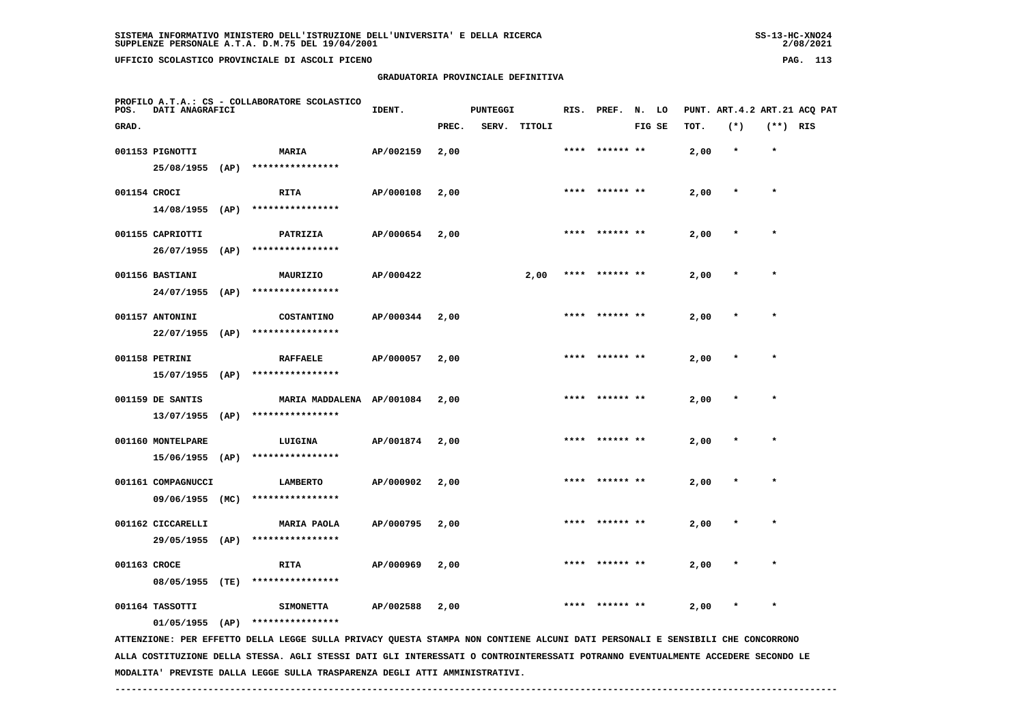**GRADUATORIA PROVINCIALE DEFINITIVA**

| SISTEMA INFORMATIVO MINISTERO DELL'ISTRUZIONE DELL'UNIVERSITA' E DELLA RICERCA | $SS-13-HC-XNO24$ |
|--------------------------------------------------------------------------------|------------------|
| SUPPLENZE PERSONALE A.T.A. D.M.75 DEL 19/04/2001                               | 2/08/2021        |
| UFFICIO SCOLASTICO PROVINCIALE DI ASCOLI PICENO                                | 113<br>PAG.      |

| POS.         | DATI ANAGRAFICI    | PROFILO A.T.A.: CS - COLLABORATORE SCOLASTICO                                                                                   | IDENT.    |       | <b>PUNTEGGI</b> |              | RIS. PREF.      | N. LO  |      |         |            | PUNT. ART.4.2 ART.21 ACQ PAT |
|--------------|--------------------|---------------------------------------------------------------------------------------------------------------------------------|-----------|-------|-----------------|--------------|-----------------|--------|------|---------|------------|------------------------------|
| GRAD.        |                    |                                                                                                                                 |           | PREC. |                 | SERV. TITOLI |                 | FIG SE | TOT. | $(*)$   | $(**)$ RIS |                              |
|              | 001153 PIGNOTTI    | MARIA                                                                                                                           | AP/002159 | 2,00  |                 |              | **** ****** **  |        | 2,00 | $\star$ | $\star$    |                              |
|              | 25/08/1955 (AP)    | ****************                                                                                                                |           |       |                 |              |                 |        |      |         |            |                              |
| 001154 CROCI |                    | <b>RITA</b>                                                                                                                     | AP/000108 | 2,00  |                 |              | **** ****** **  |        | 2,00 | $\star$ | $\star$    |                              |
|              | 14/08/1955 (AP)    | ****************                                                                                                                |           |       |                 |              |                 |        |      |         |            |                              |
|              | 001155 CAPRIOTTI   | PATRIZIA                                                                                                                        | AP/000654 | 2,00  |                 |              | ****  ****** ** |        | 2,00 |         | $\star$    |                              |
|              | 26/07/1955 (AP)    | ****************                                                                                                                |           |       |                 |              |                 |        |      |         |            |                              |
|              | 001156 BASTIANI    | MAURIZIO                                                                                                                        | AP/000422 |       |                 | 2,00         | **** ****** **  |        | 2,00 |         |            |                              |
|              | 24/07/1955 (AP)    | ****************                                                                                                                |           |       |                 |              |                 |        |      |         |            |                              |
|              | 001157 ANTONINI    | <b>COSTANTINO</b>                                                                                                               | AP/000344 | 2,00  |                 |              |                 |        | 2,00 |         |            |                              |
|              | $22/07/1955$ (AP)  | ****************                                                                                                                |           |       |                 |              |                 |        |      |         |            |                              |
|              | 001158 PETRINI     | <b>RAFFAELE</b>                                                                                                                 | AP/000057 | 2,00  |                 |              |                 |        | 2,00 |         | $\star$    |                              |
|              | $15/07/1955$ (AP)  | ****************                                                                                                                |           |       |                 |              |                 |        |      |         |            |                              |
|              | 001159 DE SANTIS   | MARIA MADDALENA AP/001084                                                                                                       |           | 2,00  |                 |              |                 |        | 2,00 |         |            |                              |
|              |                    | 13/07/1955 (AP) ****************                                                                                                |           |       |                 |              |                 |        |      |         |            |                              |
|              | 001160 MONTELPARE  | LUIGINA                                                                                                                         | AP/001874 | 2,00  |                 |              |                 |        | 2,00 |         |            |                              |
|              | 15/06/1955 (AP)    | ****************                                                                                                                |           |       |                 |              |                 |        |      |         |            |                              |
|              | 001161 COMPAGNUCCI | LAMBERTO                                                                                                                        | AP/000902 | 2,00  |                 |              |                 |        | 2,00 |         |            |                              |
|              | 09/06/1955 (MC)    | ****************                                                                                                                |           |       |                 |              |                 |        |      |         |            |                              |
|              | 001162 CICCARELLI  | <b>MARIA PAOLA</b>                                                                                                              | AP/000795 | 2,00  |                 |              |                 |        | 2,00 |         | $\star$    |                              |
|              | 29/05/1955 (AP)    | ****************                                                                                                                |           |       |                 |              |                 |        |      |         |            |                              |
| 001163 CROCE |                    | <b>RITA</b>                                                                                                                     | AP/000969 | 2,00  |                 |              |                 |        | 2,00 |         |            |                              |
|              | 08/05/1955 (TE)    | ****************                                                                                                                |           |       |                 |              |                 |        |      |         |            |                              |
|              | 001164 TASSOTTI    | <b>SIMONETTA</b>                                                                                                                | AP/002588 | 2,00  |                 |              |                 |        | 2,00 |         |            |                              |
|              | $01/05/1955$ (AP)  | ****************                                                                                                                |           |       |                 |              |                 |        |      |         |            |                              |
|              |                    | ATTENZIONE: PER EFFETTO DELLA LEGGE SULLA PRIVACY QUESTA STAMPA NON CONTIENE ALCUNI DATI PERSONALI E SENSIBILI CHE CONCORRONO   |           |       |                 |              |                 |        |      |         |            |                              |
|              |                    | ALLA COSTITUZIONE DELLA STESSA. AGLI STESSI DATI GLI INTERESSATI O CONTROINTERESSATI POTRANNO EVENTUALMENTE ACCEDERE SECONDO LE |           |       |                 |              |                 |        |      |         |            |                              |

 **MODALITA' PREVISTE DALLA LEGGE SULLA TRASPARENZA DEGLI ATTI AMMINISTRATIVI.**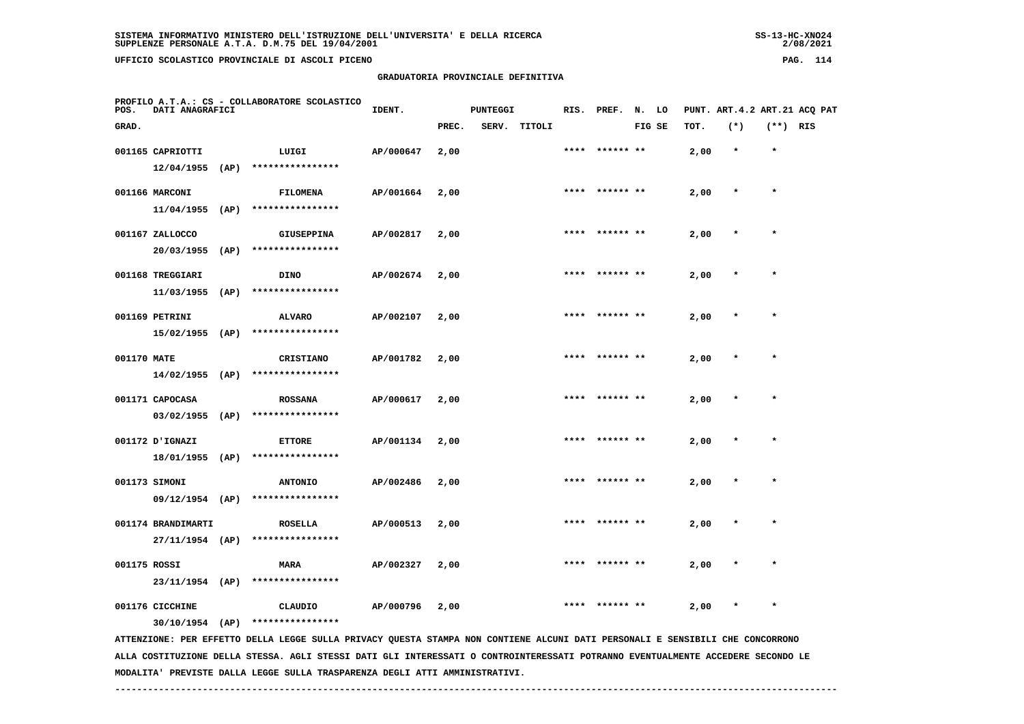**GRADUATORIA PROVINCIALE DEFINITIVA**

| POS.         | DATI ANAGRAFICI                       |      | PROFILO A.T.A.: CS - COLLABORATORE SCOLASTICO     | IDENT.    |       | PUNTEGGI |              |      | RIS. PREF. N. LO |        |      | PUNT. ART. 4.2 ART. 21 ACO PAT |            |  |
|--------------|---------------------------------------|------|---------------------------------------------------|-----------|-------|----------|--------------|------|------------------|--------|------|--------------------------------|------------|--|
| GRAD.        |                                       |      |                                                   |           | PREC. |          | SERV. TITOLI |      |                  | FIG SE | TOT. | $(*)$                          | $(**)$ RIS |  |
|              | 001165 CAPRIOTTI<br>$12/04/1955$ (AP) |      | LUIGI<br>****************                         | AP/000647 | 2,00  |          |              |      | **** ****** **   |        | 2,00 | $\star$                        | $\star$    |  |
|              | 001166 MARCONI<br>$11/04/1955$ (AP)   |      | FILOMENA<br>****************                      | AP/001664 | 2,00  |          |              | **** | ****** **        |        | 2,00 | $\star$                        | $\star$    |  |
|              | 001167 ZALLOCCO<br>20/03/1955         | (AP) | <b>GIUSEPPINA</b><br>****************             | AP/002817 | 2,00  |          |              | **** | ****** **        |        | 2,00 | $\star$                        | $\star$    |  |
|              | 001168 TREGGIARI<br>11/03/1955        | (AP) | <b>DINO</b><br>****************                   | AP/002674 | 2,00  |          |              | **** | ****** **        |        | 2,00 | $\star$                        | $\star$    |  |
|              | 001169 PETRINI<br>15/02/1955 (AP)     |      | <b>ALVARO</b><br>****************                 | AP/002107 | 2,00  |          |              | **** | ****** **        |        | 2,00 | $\star$                        | $\star$    |  |
| 001170 MATE  | $14/02/1955$ (AP)                     |      | CRISTIANO<br>****************                     | AP/001782 | 2,00  |          |              | **** |                  |        | 2,00 | $\star$                        | $\star$    |  |
|              | 001171 CAPOCASA<br>$03/02/1955$ (AP)  |      | <b>ROSSANA</b><br>****************                | AP/000617 | 2,00  |          |              | **** | ****** **        |        | 2,00 | $\star$                        | $\star$    |  |
|              | 001172 UGNAZI                         |      | <b>ETTORE</b><br>18/01/1955 (AP) **************** | AP/001134 | 2,00  |          |              |      |                  |        | 2,00 |                                |            |  |
|              | 001173 SIMONI<br>$09/12/1954$ (AP)    |      | <b>ANTONIO</b><br>****************                | AP/002486 | 2,00  |          |              |      |                  |        | 2,00 |                                |            |  |
|              | 001174 BRANDIMARTI<br>27/11/1954 (AP) |      | <b>ROSELLA</b><br>****************                | AP/000513 | 2,00  |          |              | **** | ****** **        |        | 2,00 | $\pmb{*}$                      | $\star$    |  |
| 001175 ROSSI | 23/11/1954 (AP)                       |      | <b>MARA</b><br>****************                   | AP/002327 | 2,00  |          |              |      |                  |        | 2,00 |                                | $\star$    |  |
|              | 001176 CICCHINE<br>$30/10/1954$ (AP)  |      | CLAUDIO<br>****************                       | AP/000796 | 2,00  |          |              |      |                  |        | 2,00 |                                | $\star$    |  |

 **ATTENZIONE: PER EFFETTO DELLA LEGGE SULLA PRIVACY QUESTA STAMPA NON CONTIENE ALCUNI DATI PERSONALI E SENSIBILI CHE CONCORRONO ALLA COSTITUZIONE DELLA STESSA. AGLI STESSI DATI GLI INTERESSATI O CONTROINTERESSATI POTRANNO EVENTUALMENTE ACCEDERE SECONDO LE MODALITA' PREVISTE DALLA LEGGE SULLA TRASPARENZA DEGLI ATTI AMMINISTRATIVI.**

 **------------------------------------------------------------------------------------------------------------------------------------**

 $2/08/2021$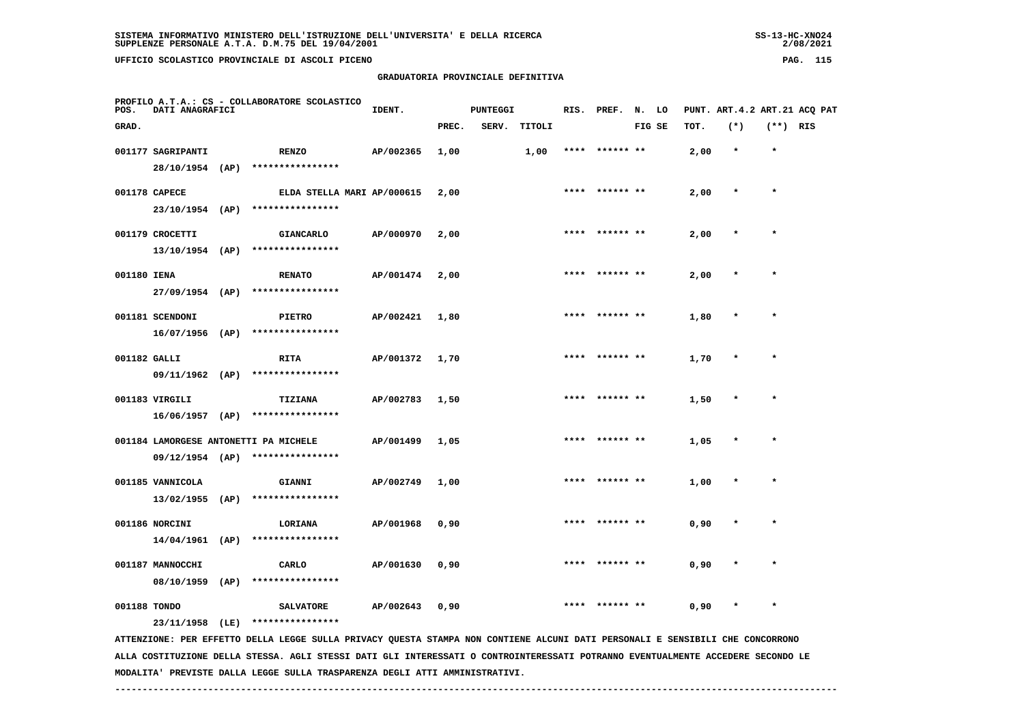**UFFICIO SCOLASTICO PROVINCIALE DI ASCOLI PICENO PAG. 115**

 **GRADUATORIA PROVINCIALE DEFINITIVA**

| POS.         | DATI ANAGRAFICI                       | PROFILO A.T.A.: CS - COLLABORATORE SCOLASTICO                                                                                                                     | IDENT.    |       | <b>PUNTEGGI</b> |        |      | RIS. PREF. N. LO |        |      | PUNT. ART.4.2 ART.21 ACQ PAT |          |  |
|--------------|---------------------------------------|-------------------------------------------------------------------------------------------------------------------------------------------------------------------|-----------|-------|-----------------|--------|------|------------------|--------|------|------------------------------|----------|--|
| GRAD.        |                                       |                                                                                                                                                                   |           | PREC. | SERV.           | TITOLI |      |                  | FIG SE | TOT. | $(*)$                        | (**) RIS |  |
|              | 001177 SAGRIPANTI<br>28/10/1954 (AP)  | <b>RENZO</b><br>****************                                                                                                                                  | AP/002365 | 1,00  |                 | 1,00   | **** | ****** **        |        | 2,00 | $\star$                      | $\star$  |  |
|              | 001178 CAPECE<br>23/10/1954 (AP)      | ELDA STELLA MARI AP/000615<br>****************                                                                                                                    |           | 2,00  |                 |        |      | **** ****** **   |        | 2,00 |                              | $\star$  |  |
|              | 001179 CROCETTI<br>$13/10/1954$ (AP)  | <b>GIANCARLO</b><br>****************                                                                                                                              | AP/000970 | 2,00  |                 |        |      | **** ****** **   |        | 2,00 | $\star$                      | $\star$  |  |
| 001180 IENA  | $27/09/1954$ (AP)                     | <b>RENATO</b><br>****************                                                                                                                                 | AP/001474 | 2,00  |                 |        | **** |                  |        | 2,00 | $\star$                      | $\star$  |  |
|              | 001181 SCENDONI<br>$16/07/1956$ (AP)  | <b>PIETRO</b><br>****************                                                                                                                                 | AP/002421 | 1,80  |                 |        |      |                  |        | 1,80 |                              |          |  |
| 001182 GALLI | 09/11/1962 (AP)                       | RITA<br>****************                                                                                                                                          | AP/001372 | 1,70  |                 |        |      | ****  ****** **  |        | 1,70 |                              |          |  |
|              | 001183 VIRGILI<br>$16/06/1957$ (AP)   | <b>TIZIANA</b><br>****************                                                                                                                                | AP/002783 | 1,50  |                 |        |      |                  |        | 1,50 |                              | $\star$  |  |
|              |                                       | 001184 LAMORGESE ANTONETTI PA MICHELE<br>****************                                                                                                         | AP/001499 | 1,05  |                 |        |      | ****** **        |        | 1,05 |                              |          |  |
|              | 09/12/1954 (AP)<br>001185 VANNICOLA   | GIANNI                                                                                                                                                            | AP/002749 | 1,00  |                 |        |      | **** ****** **   |        | 1,00 |                              | $\star$  |  |
|              | $13/02/1955$ (AP)<br>001186 NORCINI   | ****************<br>LORIANA                                                                                                                                       | AP/001968 | 0,90  |                 |        | **** |                  |        | 0,90 |                              | $\star$  |  |
|              | $14/04/1961$ (AP)<br>001187 MANNOCCHI | ****************<br>CARLO                                                                                                                                         | AP/001630 | 0,90  |                 |        |      |                  |        | 0,90 |                              |          |  |
| 001188 TONDO | 08/10/1959 (AP)                       | ****************<br><b>SALVATORE</b>                                                                                                                              | AP/002643 | 0,90  |                 |        | **** | ****** **        |        | 0,90 |                              | $\star$  |  |
|              |                                       | 23/11/1958 (LE) ****************<br>ATTENTIONE. DER FERETTO DELLA LECCE SULLA DILUACY OURSTA STANDA NON CONTIENE ALCUNI DATI DEDSONALI E SENSIBILI CHE CONCORDONO |           |       |                 |        |      |                  |        |      |                              |          |  |

 **ATTENZIONE: PER EFFETTO DELLA LEGGE SULLA PRIVACY QUESTA STAMPA NON CONTIENE ALCUNI DATI PERSONALI E SENSIBILI CHE CONCORRONO ALLA COSTITUZIONE DELLA STESSA. AGLI STESSI DATI GLI INTERESSATI O CONTROINTERESSATI POTRANNO EVENTUALMENTE ACCEDERE SECONDO LE MODALITA' PREVISTE DALLA LEGGE SULLA TRASPARENZA DEGLI ATTI AMMINISTRATIVI.**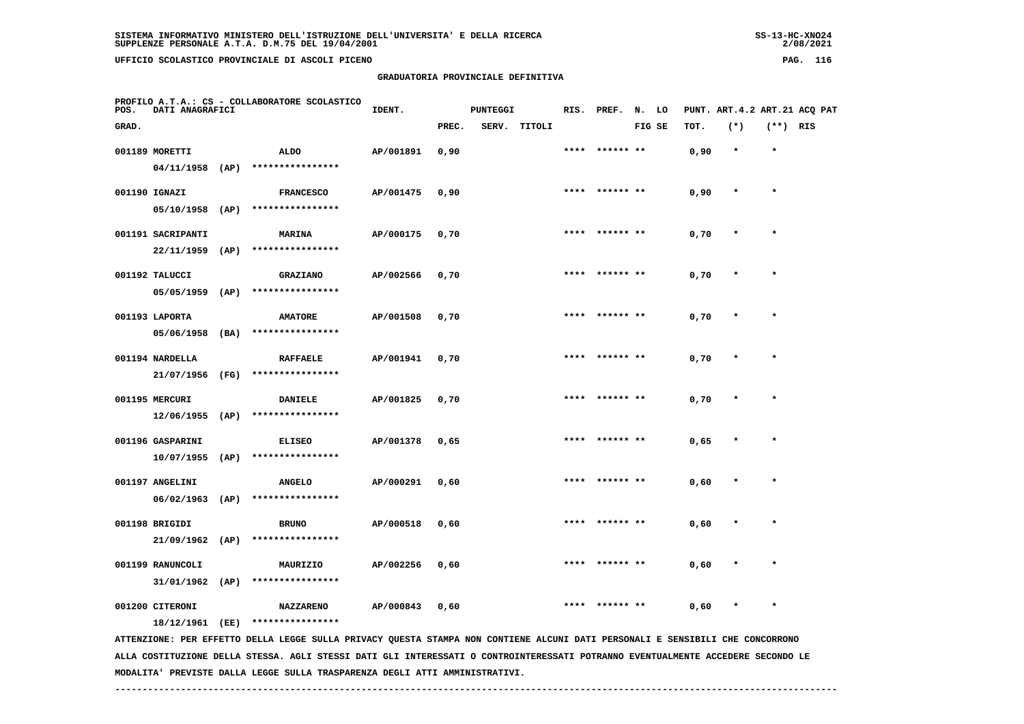# **GRADUATORIA PROVINCIALE DEFINITIVA**

 $2/08/2021$ 

| POS.  | DATI ANAGRAFICI   |      | PROFILO A.T.A.: CS - COLLABORATORE SCOLASTICO                                                                                 | IDENT.    |       | <b>PUNTEGGI</b> |        |      | RIS. PREF.     | N. LO  |      |           |            | PUNT. ART.4.2 ART.21 ACQ PAT |
|-------|-------------------|------|-------------------------------------------------------------------------------------------------------------------------------|-----------|-------|-----------------|--------|------|----------------|--------|------|-----------|------------|------------------------------|
| GRAD. |                   |      |                                                                                                                               |           | PREC. | SERV.           | TITOLI |      |                | FIG SE | TOT. | $(*)$     | $(**)$ RIS |                              |
|       | 001189 MORETTI    |      | <b>ALDO</b>                                                                                                                   | AP/001891 | 0,90  |                 |        |      |                |        | 0,90 | $\star$   | $\star$    |                              |
|       | $04/11/1958$ (AP) |      | ****************                                                                                                              |           |       |                 |        |      |                |        |      |           |            |                              |
|       | 001190 IGNAZI     |      | <b>FRANCESCO</b>                                                                                                              | AP/001475 | 0,90  |                 |        | **** | ****** **      |        | 0,90 | $\star$   | $\star$    |                              |
|       | $05/10/1958$ (AP) |      | ****************                                                                                                              |           |       |                 |        |      |                |        |      |           |            |                              |
|       | 001191 SACRIPANTI |      | <b>MARINA</b>                                                                                                                 | AP/000175 | 0,70  |                 |        |      | **** ****** ** |        | 0,70 |           | $\star$    |                              |
|       | $22/11/1959$ (AP) |      | ****************                                                                                                              |           |       |                 |        |      |                |        |      |           |            |                              |
|       | 001192 TALUCCI    |      | <b>GRAZIANO</b>                                                                                                               | AP/002566 | 0,70  |                 |        |      |                |        | 0,70 |           |            |                              |
|       | 05/05/1959        | (AP) | ****************                                                                                                              |           |       |                 |        |      |                |        |      |           |            |                              |
|       | 001193 LAPORTA    |      | <b>AMATORE</b>                                                                                                                | AP/001508 | 0.70  |                 |        | **** | ****** **      |        | 0,70 |           | $\star$    |                              |
|       | 05/06/1958 (BA)   |      | ****************                                                                                                              |           |       |                 |        |      |                |        |      |           |            |                              |
|       | 001194 NARDELLA   |      | <b>RAFFAELE</b>                                                                                                               | AP/001941 | 0,70  |                 |        |      | **** ****** ** |        | 0,70 |           | $\star$    |                              |
|       | 21/07/1956 (FG)   |      | ****************                                                                                                              |           |       |                 |        |      |                |        |      |           |            |                              |
|       | 001195 MERCURI    |      | <b>DANIELE</b>                                                                                                                | AP/001825 | 0,70  |                 |        | **** | ****** **      |        | 0,70 |           | $\star$    |                              |
|       | 12/06/1955        | (AP) | ****************                                                                                                              |           |       |                 |        |      |                |        |      |           |            |                              |
|       | 001196 GASPARINI  |      | <b>ELISEO</b>                                                                                                                 | AP/001378 | 0,65  |                 |        |      | **** ****** ** |        | 0,65 | $\star$   | $\star$    |                              |
|       | $10/07/1955$ (AP) |      | ****************                                                                                                              |           |       |                 |        |      |                |        |      |           |            |                              |
|       | 001197 ANGELINI   |      | <b>ANGELO</b>                                                                                                                 | AP/000291 | 0,60  |                 |        |      |                |        | 0,60 |           |            |                              |
|       | $06/02/1963$ (AP) |      | ****************                                                                                                              |           |       |                 |        |      |                |        |      |           |            |                              |
|       | 001198 BRIGIDI    |      | <b>BRUNO</b>                                                                                                                  | AP/000518 | 0,60  |                 |        |      |                |        | 0,60 |           |            |                              |
|       | $21/09/1962$ (AP) |      | ****************                                                                                                              |           |       |                 |        |      |                |        |      |           |            |                              |
|       | 001199 RANUNCOLI  |      | MAURIZIO                                                                                                                      | AP/002256 | 0,60  |                 |        |      |                |        | 0,60 | $\pmb{*}$ | $\star$    |                              |
|       | 31/01/1962        | (AP) | ****************                                                                                                              |           |       |                 |        |      |                |        |      |           |            |                              |
|       | 001200 CITERONI   |      | <b>NAZZARENO</b>                                                                                                              | AP/000843 | 0,60  |                 |        |      |                |        | 0,60 |           |            |                              |
|       | 18/12/1961 (EE)   |      | ****************                                                                                                              |           |       |                 |        |      |                |        |      |           |            |                              |
|       |                   |      | ATTENZIONE: PER EFFETTO DELLA LEGGE SULLA PRIVACY QUESTA STAMPA NON CONTIENE ALCUNI DATI PERSONALI E SENSIBILI CHE CONCORRONO |           |       |                 |        |      |                |        |      |           |            |                              |

 **ALLA COSTITUZIONE DELLA STESSA. AGLI STESSI DATI GLI INTERESSATI O CONTROINTERESSATI POTRANNO EVENTUALMENTE ACCEDERE SECONDO LE MODALITA' PREVISTE DALLA LEGGE SULLA TRASPARENZA DEGLI ATTI AMMINISTRATIVI.**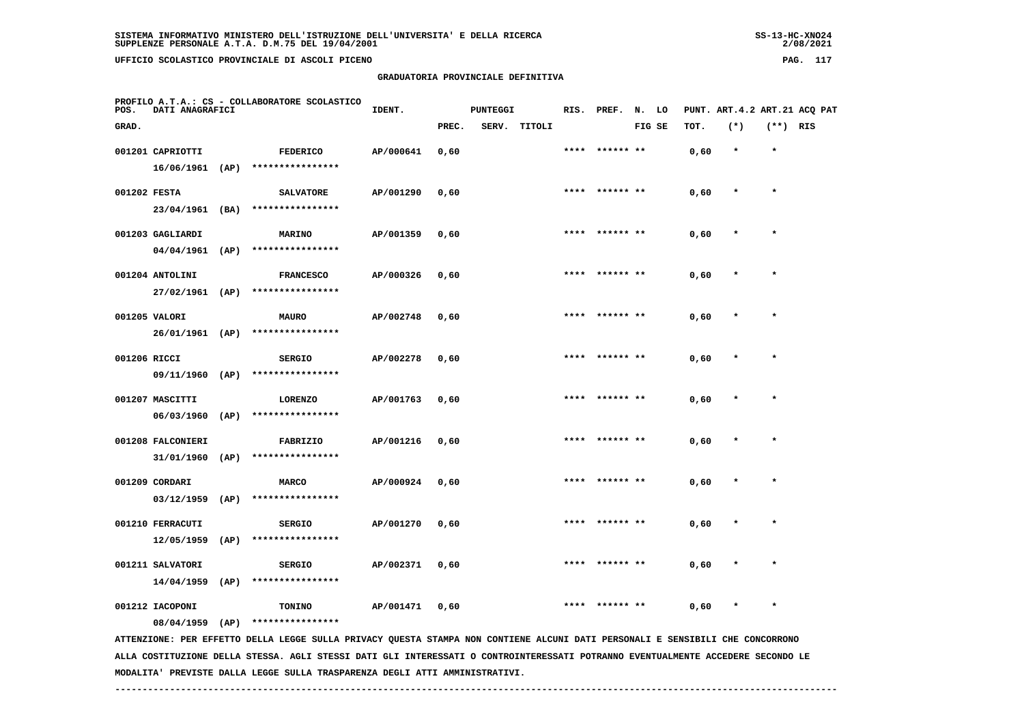# **GRADUATORIA PROVINCIALE DEFINITIVA**

 $2/08/2021$ 

| POS.         | DATI ANAGRAFICI   |      | PROFILO A.T.A.: CS - COLLABORATORE SCOLASTICO                                                                                 | IDENT.    |       | <b>PUNTEGGI</b> |        |      |                | RIS. PREF. N. LO |      |         |            | PUNT. ART.4.2 ART.21 ACQ PAT |
|--------------|-------------------|------|-------------------------------------------------------------------------------------------------------------------------------|-----------|-------|-----------------|--------|------|----------------|------------------|------|---------|------------|------------------------------|
| GRAD.        |                   |      |                                                                                                                               |           | PREC. | SERV.           | TITOLI |      |                | FIG SE           | TOT. | $(*)$   | $(**)$ RIS |                              |
|              | 001201 CAPRIOTTI  |      | <b>FEDERICO</b>                                                                                                               | AP/000641 | 0,60  |                 |        | **** | ****** **      |                  | 0,60 | $\star$ | $\star$    |                              |
|              | 16/06/1961        | (AP) | ****************                                                                                                              |           |       |                 |        |      |                |                  |      |         |            |                              |
| 001202 FESTA |                   |      | <b>SALVATORE</b>                                                                                                              | AP/001290 | 0,60  |                 |        |      | **** ****** ** |                  | 0,60 | $\star$ | $\star$    |                              |
|              | 23/04/1961 (BA)   |      | ****************                                                                                                              |           |       |                 |        |      |                |                  |      |         |            |                              |
|              | 001203 GAGLIARDI  |      | <b>MARINO</b>                                                                                                                 | AP/001359 | 0,60  |                 |        |      | **** ****** ** |                  | 0,60 |         | $\star$    |                              |
|              | 04/04/1961        | (AP) | ****************                                                                                                              |           |       |                 |        |      |                |                  |      |         |            |                              |
|              | 001204 ANTOLINI   |      | <b>FRANCESCO</b>                                                                                                              | AP/000326 | 0,60  |                 |        |      |                |                  | 0,60 |         |            |                              |
|              | $27/02/1961$ (AP) |      | ****************                                                                                                              |           |       |                 |        |      |                |                  |      |         |            |                              |
|              | 001205 VALORI     |      | <b>MAURO</b>                                                                                                                  | AP/002748 | 0,60  |                 |        | **** | ****** **      |                  | 0,60 |         | $\star$    |                              |
|              | 26/01/1961 (AP)   |      | ****************                                                                                                              |           |       |                 |        |      |                |                  |      |         |            |                              |
| 001206 RICCI |                   |      | <b>SERGIO</b>                                                                                                                 | AP/002278 | 0,60  |                 |        | **** | ****** **      |                  | 0,60 |         | $\star$    |                              |
|              | 09/11/1960 (AP)   |      | ****************                                                                                                              |           |       |                 |        |      |                |                  |      |         |            |                              |
|              | 001207 MASCITTI   |      | <b>LORENZO</b>                                                                                                                | AP/001763 | 0,60  |                 |        |      | **** ****** ** |                  | 0,60 |         | $\star$    |                              |
|              | 06/03/1960        | (AP) | ****************                                                                                                              |           |       |                 |        |      |                |                  |      |         |            |                              |
|              | 001208 FALCONIERI |      | FABRIZIO                                                                                                                      | AP/001216 | 0,60  |                 |        |      |                |                  | 0,60 |         | $\star$    |                              |
|              | 31/01/1960        | (AP) | ****************                                                                                                              |           |       |                 |        |      |                |                  |      |         |            |                              |
|              | 001209 CORDARI    |      | <b>MARCO</b>                                                                                                                  | AP/000924 | 0,60  |                 |        |      |                |                  | 0,60 |         |            |                              |
|              | 03/12/1959        | (AP) | ****************                                                                                                              |           |       |                 |        |      |                |                  |      |         |            |                              |
|              | 001210 FERRACUTI  |      | <b>SERGIO</b>                                                                                                                 | AP/001270 | 0,60  |                 |        |      |                |                  | 0,60 |         |            |                              |
|              | 12/05/1959        | (AP) | ****************                                                                                                              |           |       |                 |        |      |                |                  |      |         |            |                              |
|              | 001211 SALVATORI  |      | <b>SERGIO</b>                                                                                                                 | AP/002371 | 0,60  |                 |        | **** | ****** **      |                  | 0,60 |         | $\star$    |                              |
|              | 14/04/1959        | (AP) | ****************                                                                                                              |           |       |                 |        |      |                |                  |      |         |            |                              |
|              | 001212 IACOPONI   |      | TONINO                                                                                                                        | AP/001471 | 0,60  |                 |        |      |                |                  | 0,60 |         |            |                              |
|              | 08/04/1959        | (AP) | ****************                                                                                                              |           |       |                 |        |      |                |                  |      |         |            |                              |
|              |                   |      | ATTENZIONE: PER EFFETTO DELLA LEGGE SULLA PRIVACY QUESTA STAMPA NON CONTIENE ALCUNI DATI PERSONALI E SENSIBILI CHE CONCORRONO |           |       |                 |        |      |                |                  |      |         |            |                              |

 **ALLA COSTITUZIONE DELLA STESSA. AGLI STESSI DATI GLI INTERESSATI O CONTROINTERESSATI POTRANNO EVENTUALMENTE ACCEDERE SECONDO LE MODALITA' PREVISTE DALLA LEGGE SULLA TRASPARENZA DEGLI ATTI AMMINISTRATIVI.**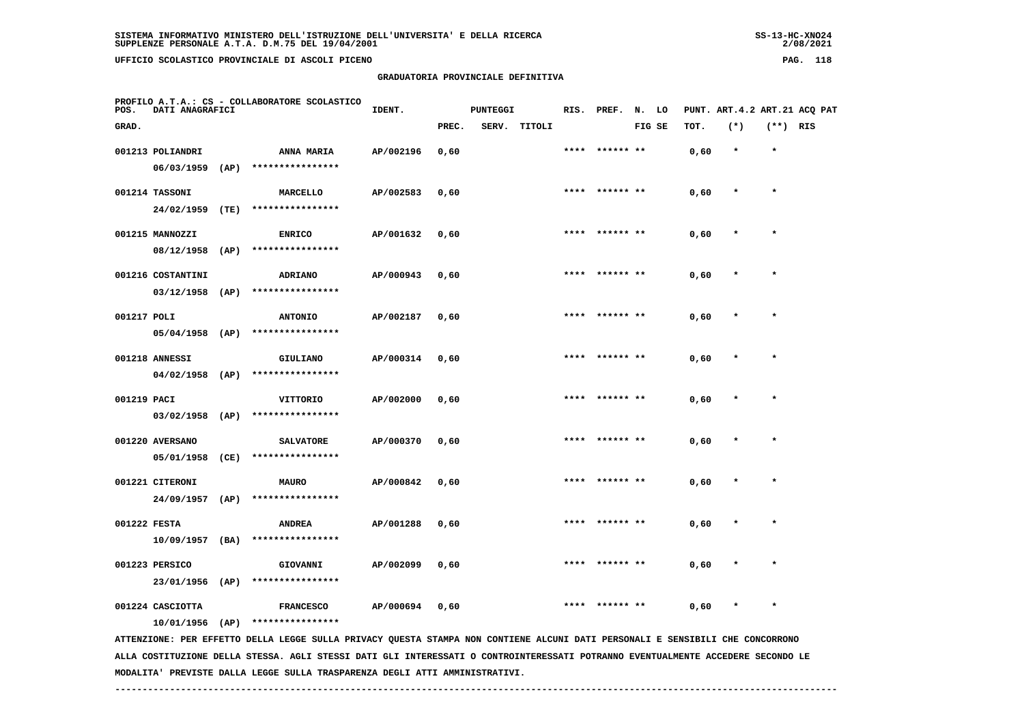| $SS-13-HC-XNO24$ |
|------------------|
| 2/08/2021        |

| POS.         | DATI ANAGRAFICI   | PROFILO A.T.A.: CS - COLLABORATORE SCOLASTICO                                                                                   | IDENT.    |       | <b>PUNTEGGI</b> |              |      | RIS. PREF. N. LO |        |      |         |            | PUNT. ART. 4.2 ART. 21 ACO PAT |
|--------------|-------------------|---------------------------------------------------------------------------------------------------------------------------------|-----------|-------|-----------------|--------------|------|------------------|--------|------|---------|------------|--------------------------------|
| GRAD.        |                   |                                                                                                                                 |           | PREC. |                 | SERV. TITOLI |      |                  | FIG SE | TOT. | $(*)$   | $(**)$ RIS |                                |
|              | 001213 POLIANDRI  | <b>ANNA MARIA</b>                                                                                                               | AP/002196 | 0,60  |                 |              | **** | ****** **        |        | 0,60 | $\star$ | $\star$    |                                |
|              |                   | 06/03/1959 (AP) ****************                                                                                                |           |       |                 |              |      |                  |        |      |         |            |                                |
|              | 001214 TASSONI    | MARCELLO                                                                                                                        | AP/002583 | 0,60  |                 |              |      | **** ****** **   |        | 0,60 |         |            |                                |
|              | 24/02/1959 (TE)   | ****************                                                                                                                |           |       |                 |              |      |                  |        |      |         |            |                                |
|              | 001215 MANNOZZI   | <b>ENRICO</b>                                                                                                                   | AP/001632 | 0,60  |                 |              |      | **** ****** **   |        | 0,60 |         |            |                                |
|              | 08/12/1958 (AP)   | ****************                                                                                                                |           |       |                 |              |      |                  |        |      |         |            |                                |
|              | 001216 COSTANTINI | <b>ADRIANO</b>                                                                                                                  | AP/000943 | 0,60  |                 |              | **** | ****** **        |        | 0,60 |         |            |                                |
|              | $03/12/1958$ (AP) | ****************                                                                                                                |           |       |                 |              |      |                  |        |      |         |            |                                |
| 001217 POLI  |                   | <b>ANTONIO</b>                                                                                                                  | AP/002187 | 0,60  |                 |              |      | **** ****** **   |        | 0,60 |         | $\star$    |                                |
|              | 05/04/1958 (AP)   | ****************                                                                                                                |           |       |                 |              |      |                  |        |      |         |            |                                |
|              | 001218 ANNESSI    | GIULIANO                                                                                                                        | AP/000314 | 0,60  |                 |              |      |                  |        | 0,60 |         |            |                                |
|              | 04/02/1958 (AP)   | ****************                                                                                                                |           |       |                 |              |      |                  |        |      |         |            |                                |
| 001219 PACI  |                   | VITTORIO                                                                                                                        | AP/002000 | 0,60  |                 |              |      | **** ****** **   |        | 0,60 |         |            |                                |
|              | $03/02/1958$ (AP) | ****************                                                                                                                |           |       |                 |              |      |                  |        |      |         |            |                                |
|              | 001220 AVERSANO   | <b>SALVATORE</b>                                                                                                                | AP/000370 | 0,60  |                 |              |      | **** ****** **   |        | 0,60 |         | $\star$    |                                |
|              | 05/01/1958 (CE)   | ****************                                                                                                                |           |       |                 |              |      |                  |        |      |         |            |                                |
|              | 001221 CITERONI   | <b>MAURO</b>                                                                                                                    | AP/000842 | 0,60  |                 |              |      | **** ****** **   |        | 0,60 |         | $\star$    |                                |
|              |                   | 24/09/1957 (AP) ****************                                                                                                |           |       |                 |              |      |                  |        |      |         |            |                                |
| 001222 FESTA |                   | <b>ANDREA</b>                                                                                                                   | AP/001288 | 0,60  |                 |              | **** | ****** **        |        | 0,60 |         | $\star$    |                                |
|              |                   | $10/09/1957$ (BA) ****************                                                                                              |           |       |                 |              |      |                  |        |      |         |            |                                |
|              | 001223 PERSICO    | GIOVANNI                                                                                                                        | AP/002099 | 0,60  |                 |              | **** |                  |        | 0,60 |         |            |                                |
|              | 23/01/1956 (AP)   | ****************                                                                                                                |           |       |                 |              |      |                  |        |      |         |            |                                |
|              | 001224 CASCIOTTA  | <b>FRANCESCO</b>                                                                                                                | AP/000694 | 0,60  |                 |              |      | ****** **        |        | 0,60 |         |            |                                |
|              | $10/01/1956$ (AP) | ****************                                                                                                                |           |       |                 |              |      |                  |        |      |         |            |                                |
|              |                   | ATTENZIONE: PER EFFETTO DELLA LEGGE SULLA PRIVACY QUESTA STAMPA NON CONTIENE ALCUNI DATI PERSONALI E SENSIBILI CHE CONCORRONO   |           |       |                 |              |      |                  |        |      |         |            |                                |
|              |                   | ALLA COSTITUZIONE DELLA STESSA. AGLI STESSI DATI GLI INTERESSATI O CONTROINTERESSATI POTRANNO EVENTUALMENTE ACCEDERE SECONDO LE |           |       |                 |              |      |                  |        |      |         |            |                                |

 **MODALITA' PREVISTE DALLA LEGGE SULLA TRASPARENZA DEGLI ATTI AMMINISTRATIVI.**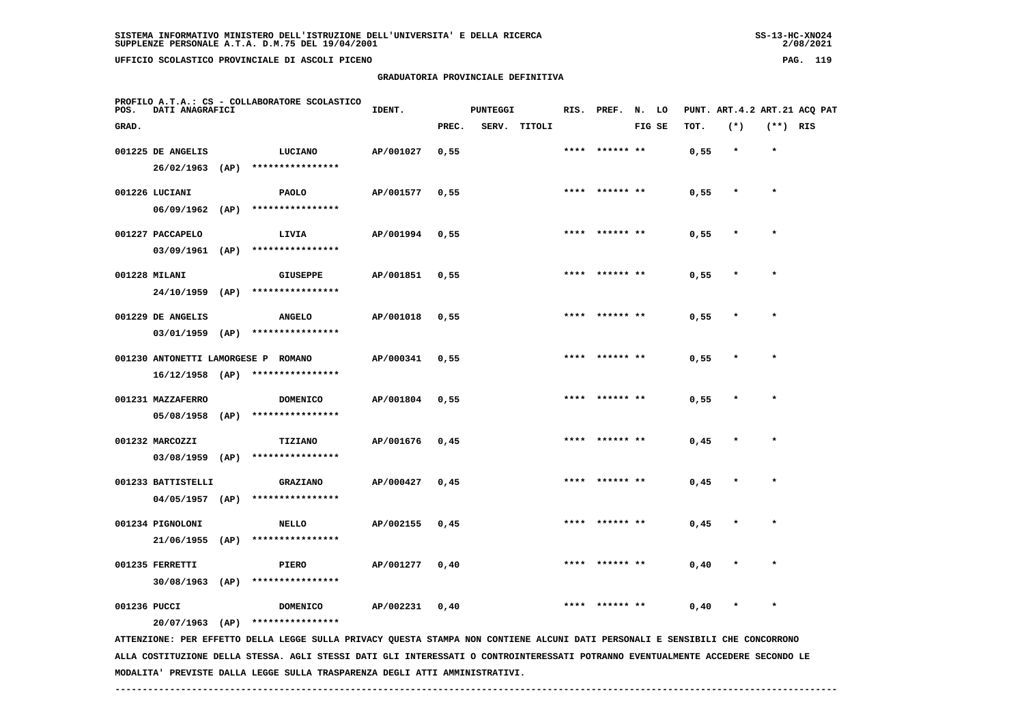# **GRADUATORIA PROVINCIALE DEFINITIVA**

 $2/08/2021$ 

| POS.         | DATI ANAGRAFICI    | PROFILO A.T.A.: CS - COLLABORATORE SCOLASTICO                                                                                 | IDENT.    |       | <b>PUNTEGGI</b> |              |      | RIS. PREF. N. LO |        |      |         |            | PUNT. ART.4.2 ART.21 ACQ PAT |
|--------------|--------------------|-------------------------------------------------------------------------------------------------------------------------------|-----------|-------|-----------------|--------------|------|------------------|--------|------|---------|------------|------------------------------|
| GRAD.        |                    |                                                                                                                               |           | PREC. |                 | SERV. TITOLI |      |                  | FIG SE | TOT. | $(*)$   | $(**)$ RIS |                              |
|              | 001225 DE ANGELIS  | <b>LUCIANO</b>                                                                                                                | AP/001027 | 0,55  |                 |              |      | **** ****** **   |        | 0,55 | $\star$ | $\star$    |                              |
|              | $26/02/1963$ (AP)  | ****************                                                                                                              |           |       |                 |              |      |                  |        |      |         |            |                              |
|              | 001226 LUCIANI     | <b>PAOLO</b>                                                                                                                  | AP/001577 | 0,55  |                 |              |      | **** ****** **   |        | 0,55 | $\star$ | $\star$    |                              |
|              | $06/09/1962$ (AP)  | ****************                                                                                                              |           |       |                 |              |      |                  |        |      |         |            |                              |
|              | 001227 PACCAPELO   | LIVIA                                                                                                                         | AP/001994 | 0,55  |                 |              | **** |                  |        | 0,55 | $\star$ | $\star$    |                              |
|              | $03/09/1961$ (AP)  | ****************                                                                                                              |           |       |                 |              |      |                  |        |      |         |            |                              |
|              | 001228 MILANI      | <b>GIUSEPPE</b>                                                                                                               | AP/001851 | 0,55  |                 |              |      | ****  ****** **  |        | 0,55 |         | $\star$    |                              |
|              |                    | 24/10/1959 (AP) ****************                                                                                              |           |       |                 |              |      |                  |        |      |         |            |                              |
|              | 001229 DE ANGELIS  | <b>ANGELO</b>                                                                                                                 | AP/001018 | 0,55  |                 |              |      |                  |        | 0,55 |         |            |                              |
|              | $03/01/1959$ (AP)  | ****************                                                                                                              |           |       |                 |              |      |                  |        |      |         |            |                              |
|              |                    | 001230 ANTONETTI LAMORGESE P ROMANO                                                                                           | AP/000341 | 0,55  |                 |              |      | **** ****** **   |        | 0,55 | $\ast$  | $\star$    |                              |
|              |                    | $16/12/1958$ (AP) ****************                                                                                            |           |       |                 |              |      |                  |        |      |         |            |                              |
|              | 001231 MAZZAFERRO  | <b>DOMENICO</b>                                                                                                               | AP/001804 | 0,55  |                 |              |      | ****  ****** **  |        | 0,55 | $\star$ | $\star$    |                              |
|              | 05/08/1958 (AP)    | ****************                                                                                                              |           |       |                 |              |      |                  |        |      |         |            |                              |
|              | 001232 MARCOZZI    | <b>TIZIANO</b>                                                                                                                | AP/001676 | 0,45  |                 |              |      | **** ****** **   |        | 0,45 | $\star$ | $\star$    |                              |
|              |                    | 03/08/1959 (AP) ****************                                                                                              |           |       |                 |              |      |                  |        |      |         |            |                              |
|              | 001233 BATTISTELLI | <b>GRAZIANO</b>                                                                                                               | AP/000427 | 0,45  |                 |              |      | **** ****** **   |        | 0,45 | $\ast$  | $\star$    |                              |
|              | 04/05/1957 (AP)    | ****************                                                                                                              |           |       |                 |              |      |                  |        |      |         |            |                              |
|              | 001234 PIGNOLONI   | <b>NELLO</b>                                                                                                                  | AP/002155 | 0,45  |                 |              |      |                  |        | 0,45 |         |            |                              |
|              | $21/06/1955$ (AP)  | ****************                                                                                                              |           |       |                 |              |      |                  |        |      |         |            |                              |
|              | 001235 FERRETTI    | <b>PIERO</b>                                                                                                                  | AP/001277 | 0,40  |                 |              |      |                  |        | 0,40 |         |            |                              |
|              | $30/08/1963$ (AP)  | ****************                                                                                                              |           |       |                 |              |      |                  |        |      |         |            |                              |
| 001236 PUCCI |                    | <b>DOMENICO</b>                                                                                                               | AP/002231 | 0,40  |                 |              | **** | ****** **        |        | 0,40 | $\star$ | $\star$    |                              |
|              |                    | $20/07/1963$ (AP) ****************                                                                                            |           |       |                 |              |      |                  |        |      |         |            |                              |
|              |                    | ATTENZIONE: PER EFFETTO DELLA LEGGE SULLA PRIVACY QUESTA STAMPA NON CONTIENE ALCUNI DATI PERSONALI E SENSIBILI CHE CONCORRONO |           |       |                 |              |      |                  |        |      |         |            |                              |

 **ALLA COSTITUZIONE DELLA STESSA. AGLI STESSI DATI GLI INTERESSATI O CONTROINTERESSATI POTRANNO EVENTUALMENTE ACCEDERE SECONDO LE MODALITA' PREVISTE DALLA LEGGE SULLA TRASPARENZA DEGLI ATTI AMMINISTRATIVI.**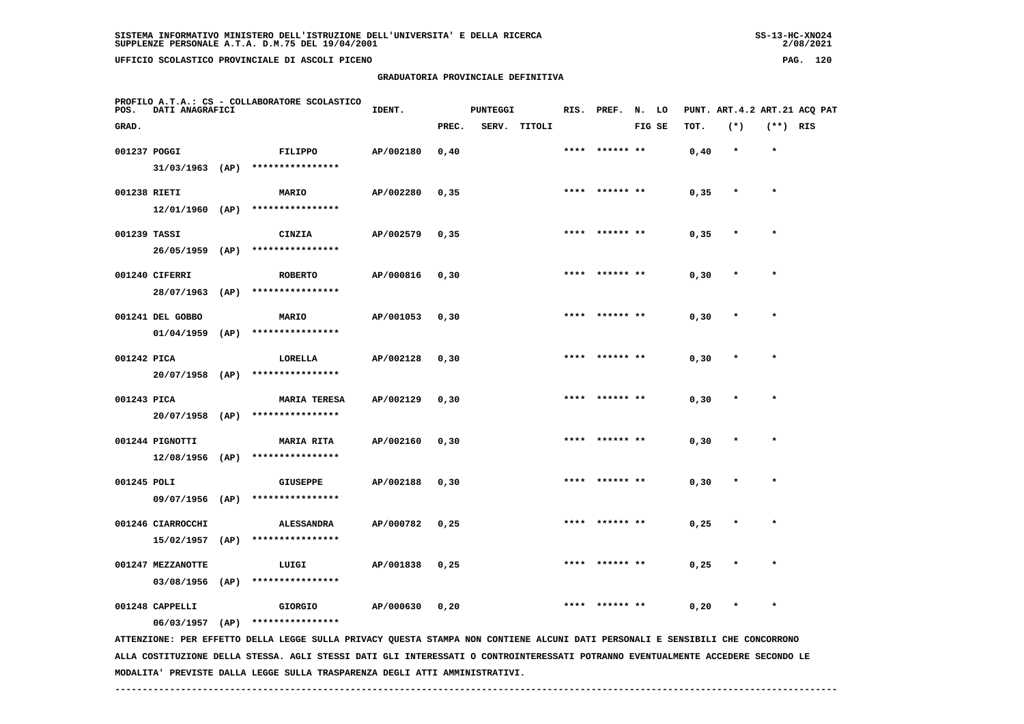**GRADUATORIA PROVINCIALE DEFINITIVA**

| SISTEMA INFORMATIVO MINISTERO DELL'ISTRUZIONE DELL'UNIVERSITA' E DELLA RICERCA | $SS-13-HC-XNO24$ |
|--------------------------------------------------------------------------------|------------------|
| SUPPLENZE PERSONALE A.T.A. D.M.75 DEL 19/04/2001                               | 2/08/2021        |
|                                                                                |                  |

 $2/08/2021$ 

| POS.         | DATI ANAGRAFICI   | PROFILO A.T.A.: CS - COLLABORATORE SCOLASTICO                                                                                 | IDENT.    |       | <b>PUNTEGGI</b> |              |      | RIS. PREF. N. LO |        |       |         |            | PUNT. ART. 4.2 ART. 21 ACO PAT |
|--------------|-------------------|-------------------------------------------------------------------------------------------------------------------------------|-----------|-------|-----------------|--------------|------|------------------|--------|-------|---------|------------|--------------------------------|
| GRAD.        |                   |                                                                                                                               |           | PREC. |                 | SERV. TITOLI |      |                  | FIG SE | TOT.  | $(*)$   | $(**)$ RIS |                                |
| 001237 POGGI |                   | FILIPPO                                                                                                                       | AP/002180 | 0,40  |                 |              |      | **** ****** **   |        | 0,40  | $\star$ | $\star$    |                                |
|              |                   | 31/03/1963 (AP) ****************                                                                                              |           |       |                 |              |      |                  |        |       |         |            |                                |
| 001238 RIETI |                   | <b>MARIO</b>                                                                                                                  | AP/002280 | 0, 35 |                 |              | **** |                  |        | 0,35  | $\star$ | $\star$    |                                |
|              |                   | 12/01/1960 (AP) ****************                                                                                              |           |       |                 |              |      |                  |        |       |         |            |                                |
| 001239 TASSI |                   | <b>CINZIA</b>                                                                                                                 | AP/002579 | 0, 35 |                 |              |      | **** ****** **   |        | 0,35  |         |            |                                |
|              |                   | 26/05/1959 (AP) ****************                                                                                              |           |       |                 |              |      |                  |        |       |         |            |                                |
|              | 001240 CIFERRI    | <b>ROBERTO</b>                                                                                                                | AP/000816 | 0, 30 |                 |              |      | **** ****** **   |        | 0, 30 |         | $\star$    |                                |
|              | 28/07/1963 (AP)   | ****************                                                                                                              |           |       |                 |              |      |                  |        |       |         |            |                                |
|              | 001241 DEL GOBBO  | <b>MARIO</b>                                                                                                                  | AP/001053 | 0, 30 |                 |              |      |                  |        | 0, 30 |         |            |                                |
|              | $01/04/1959$ (AP) | ****************                                                                                                              |           |       |                 |              |      |                  |        |       |         |            |                                |
| 001242 PICA  |                   | LORELLA                                                                                                                       | AP/002128 | 0, 30 |                 |              |      | **** ****** **   |        | 0, 30 |         | $\star$    |                                |
|              | 20/07/1958 (AP)   | ****************                                                                                                              |           |       |                 |              |      |                  |        |       |         |            |                                |
| 001243 PICA  |                   | <b>MARIA TERESA</b>                                                                                                           | AP/002129 | 0, 30 |                 |              |      | **** ****** **   |        | 0, 30 |         | $\star$    |                                |
|              |                   | 20/07/1958 (AP) ****************                                                                                              |           |       |                 |              |      |                  |        |       |         |            |                                |
|              | 001244 PIGNOTTI   | <b>MARIA RITA</b>                                                                                                             | AP/002160 | 0, 30 |                 |              |      | **** ****** **   |        | 0, 30 | $\star$ | $\star$    |                                |
|              |                   | 12/08/1956 (AP) ****************                                                                                              |           |       |                 |              |      |                  |        |       |         |            |                                |
| 001245 POLI  |                   | <b>GIUSEPPE</b>                                                                                                               | AP/002188 | 0, 30 |                 |              |      |                  |        | 0, 30 |         |            |                                |
|              |                   | 09/07/1956 (AP) ****************                                                                                              |           |       |                 |              |      |                  |        |       |         |            |                                |
|              | 001246 CIARROCCHI | <b>ALESSANDRA</b>                                                                                                             | AP/000782 | 0,25  |                 |              | **** | ****** **        |        | 0,25  |         |            |                                |
|              | $15/02/1957$ (AP) | ****************                                                                                                              |           |       |                 |              |      |                  |        |       |         |            |                                |
|              | 001247 MEZZANOTTE | LUIGI                                                                                                                         | AP/001838 | 0,25  |                 |              | **** |                  |        | 0,25  | $\star$ | $\star$    |                                |
|              | $03/08/1956$ (AP) | ****************                                                                                                              |           |       |                 |              |      |                  |        |       |         |            |                                |
|              | 001248 CAPPELLI   | GIORGIO                                                                                                                       | AP/000630 | 0,20  |                 |              |      |                  |        | 0,20  |         |            |                                |
|              |                   | 06/03/1957 (AP) ****************                                                                                              |           |       |                 |              |      |                  |        |       |         |            |                                |
|              |                   | ATTENZIONE: PER EFFETTO DELLA LEGGE SULLA PRIVACY QUESTA STAMPA NON CONTIENE ALCUNI DATI PERSONALI E SENSIBILI CHE CONCORRONO |           |       |                 |              |      |                  |        |       |         |            |                                |

 **ALLA COSTITUZIONE DELLA STESSA. AGLI STESSI DATI GLI INTERESSATI O CONTROINTERESSATI POTRANNO EVENTUALMENTE ACCEDERE SECONDO LE MODALITA' PREVISTE DALLA LEGGE SULLA TRASPARENZA DEGLI ATTI AMMINISTRATIVI.**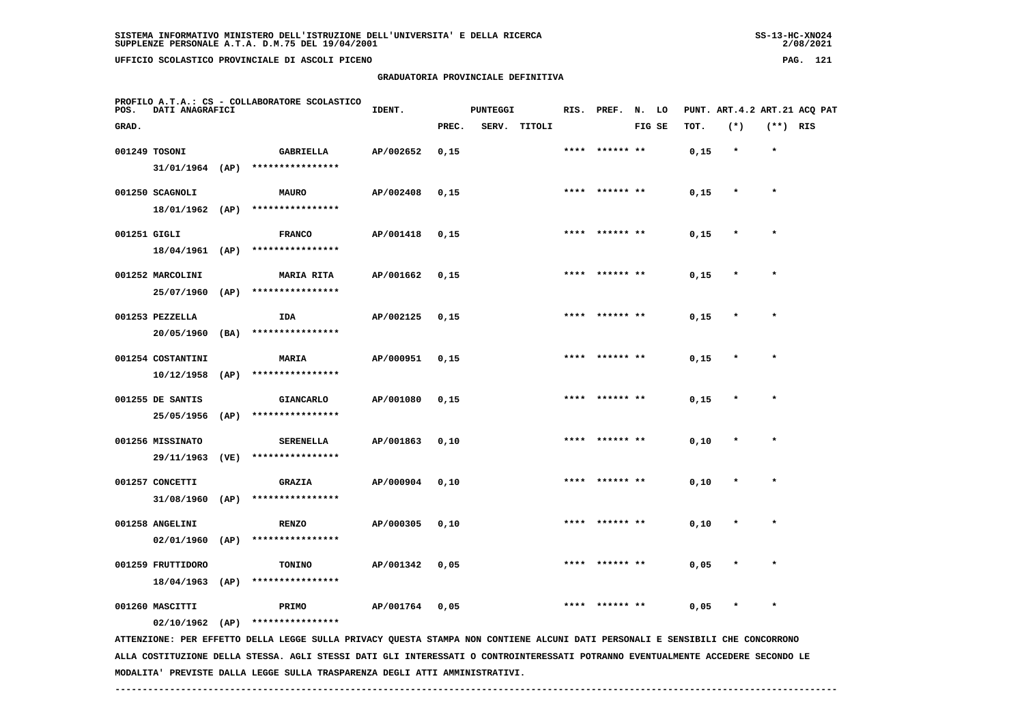**GRADUATORIA PROVINCIALE DEFINITIVA**

| SISTEMA INFORMATIVO MINISTERO DELL'ISTRUZIONE DELL'UNIVERSITA' E DELLA RICERCA | $SS-13-HC-XNO24$ |
|--------------------------------------------------------------------------------|------------------|
| SUPPLENZE PERSONALE A.T.A. D.M.75 DEL 19/04/2001                               | 2/08/2021        |

 $2/08/2021$ 

| POS.         | DATI ANAGRAFICI                               |              | PROFILO A.T.A.: CS - COLLABORATORE SCOLASTICO                                                                                                     | IDENT.    |       | <b>PUNTEGGI</b> |              |      | RIS. PREF.     | N. LO  |      |         |          | PUNT. ART.4.2 ART.21 ACQ PAT |
|--------------|-----------------------------------------------|--------------|---------------------------------------------------------------------------------------------------------------------------------------------------|-----------|-------|-----------------|--------------|------|----------------|--------|------|---------|----------|------------------------------|
| GRAD.        |                                               |              |                                                                                                                                                   |           | PREC. |                 | SERV. TITOLI |      |                | FIG SE | TOT. | $(*)$   | (**) RIS |                              |
|              | 001249 TOSONI<br>$31/01/1964$ (AP)            |              | <b>GABRIELLA</b><br>****************                                                                                                              | AP/002652 | 0,15  |                 |              |      | ****** **      |        | 0,15 | $\star$ | $\star$  |                              |
|              | 001250 SCAGNOLI<br>18/01/1962 (AP)            |              | <b>MAURO</b><br>****************                                                                                                                  | AP/002408 | 0,15  |                 |              |      | **** ****** ** |        | 0,15 | $\ast$  | $\star$  |                              |
| 001251 GIGLI | 18/04/1961 (AP)                               |              | <b>FRANCO</b><br>****************                                                                                                                 | AP/001418 | 0,15  |                 |              |      | **** ****** ** |        | 0,15 | $\star$ | $\star$  |                              |
|              | 001252 MARCOLINI<br>25/07/1960                |              | <b>MARIA RITA</b><br>****************                                                                                                             | AP/001662 | 0,15  |                 |              | **** |                |        | 0,15 |         | $\star$  |                              |
|              | 001253 PEZZELLA                               | (AP)         | IDA<br>****************                                                                                                                           | AP/002125 | 0,15  |                 |              |      |                |        | 0,15 |         |          |                              |
|              | 20/05/1960<br>001254 COSTANTINI<br>10/12/1958 | (BA)<br>(AP) | MARIA<br>****************                                                                                                                         | AP/000951 | 0,15  |                 |              |      |                |        | 0,15 |         |          |                              |
|              | 001255 DE SANTIS<br>25/05/1956                | (AP)         | <b>GIANCARLO</b><br>****************                                                                                                              | AP/001080 | 0,15  |                 |              | **** | ****** **      |        | 0,15 | $\star$ | $\star$  |                              |
|              | 001256 MISSINATO                              | (VE)         | <b>SERENELLA</b><br>****************                                                                                                              | AP/001863 | 0,10  |                 |              |      |                |        | 0,10 |         |          |                              |
|              | 29/11/1963<br>001257 CONCETTI                 |              | <b>GRAZIA</b>                                                                                                                                     | AP/000904 | 0,10  |                 |              |      | **** ****** ** |        | 0,10 | $\star$ | $\star$  |                              |
|              | 31/08/1960<br>001258 ANGELINI                 | (AP)         | ****************<br><b>RENZO</b><br>****************                                                                                              | AP/000305 | 0,10  |                 |              | **** |                |        | 0,10 |         | $\star$  |                              |
|              | $02/01/1960$ (AP)<br>001259 FRUTTIDORO        |              | TONINO<br>****************                                                                                                                        | AP/001342 | 0,05  |                 |              |      |                |        | 0,05 |         |          |                              |
|              | 18/04/1963<br>001260 MASCITTI                 | (AP)         | PRIMO                                                                                                                                             | AP/001764 | 0,05  |                 |              |      |                |        | 0,05 | $\star$ | $\star$  |                              |
|              | $02/10/1962$ (AP)                             |              | ****************<br>ATTENZIONE: PER EFFETTO DELLA LEGGE SULLA PRIVACY QUESTA STAMPA NON CONTIENE ALCUNI DATI PERSONALI E SENSIBILI CHE CONCORRONO |           |       |                 |              |      |                |        |      |         |          |                              |

 **ALLA COSTITUZIONE DELLA STESSA. AGLI STESSI DATI GLI INTERESSATI O CONTROINTERESSATI POTRANNO EVENTUALMENTE ACCEDERE SECONDO LE MODALITA' PREVISTE DALLA LEGGE SULLA TRASPARENZA DEGLI ATTI AMMINISTRATIVI.**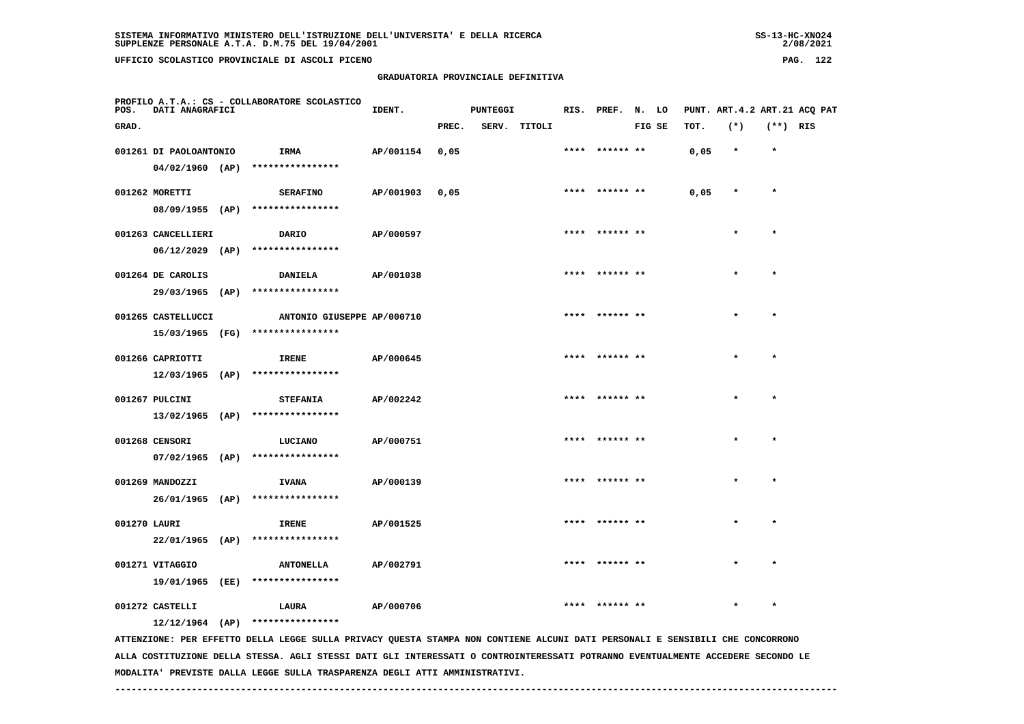**GRADUATORIA PROVINCIALE DEFINITIVA**

| POS.         | DATI ANAGRAFICI        |      | PROFILO A.T.A.: CS - COLLABORATORE SCOLASTICO | IDENT.    |       | <b>PUNTEGGI</b> |              | RIS. PREF. N. LO |        |      | PUNT. ART. 4.2 ART. 21 ACO PAT |            |  |
|--------------|------------------------|------|-----------------------------------------------|-----------|-------|-----------------|--------------|------------------|--------|------|--------------------------------|------------|--|
| GRAD.        |                        |      |                                               |           | PREC. |                 | SERV. TITOLI |                  | FIG SE | TOT. | $(*)$                          | $(**)$ RIS |  |
|              | 001261 DI PAOLOANTONIO |      | IRMA                                          | AP/001154 | 0,05  |                 |              | **** ****** **   |        | 0,05 | $\star$                        | $\star$    |  |
|              | $04/02/1960$ (AP)      |      | ****************                              |           |       |                 |              |                  |        |      |                                |            |  |
|              | 001262 MORETTI         |      | <b>SERAFINO</b>                               | AP/001903 | 0,05  |                 |              | **** ****** **   |        | 0,05 | $\star$                        | $\star$    |  |
|              |                        |      | 08/09/1955 (AP) ****************              |           |       |                 |              |                  |        |      |                                |            |  |
|              | 001263 CANCELLIERI     |      | DARIO                                         | AP/000597 |       |                 |              | **** ****** **   |        |      | $\star$                        | $\star$    |  |
|              | $06/12/2029$ (AP)      |      | ****************                              |           |       |                 |              |                  |        |      |                                |            |  |
|              | 001264 DE CAROLIS      |      | <b>DANIELA</b>                                | AP/001038 |       |                 |              | **** ****** **   |        |      | $\star$                        | $\star$    |  |
|              | 29/03/1965 (AP)        |      | ****************                              |           |       |                 |              |                  |        |      |                                |            |  |
|              | 001265 CASTELLUCCI     |      | ANTONIO GIUSEPPE AP/000710                    |           |       |                 |              | **** ****** **   |        |      | $\star$                        | $\star$    |  |
|              | 15/03/1965 (FG)        |      | ****************                              |           |       |                 |              |                  |        |      |                                |            |  |
|              | 001266 CAPRIOTTI       |      | <b>IRENE</b>                                  | AP/000645 |       |                 |              |                  |        |      |                                | $\star$    |  |
|              | $12/03/1965$ (AP)      |      | ****************                              |           |       |                 |              |                  |        |      |                                |            |  |
|              | 001267 PULCINI         |      | <b>STEFANIA</b>                               | AP/002242 |       |                 |              | **** ****** **   |        |      |                                | $\star$    |  |
|              | $13/02/1965$ (AP)      |      | ****************                              |           |       |                 |              |                  |        |      |                                |            |  |
|              | 001268 CENSORI         |      | LUCIANO                                       | AP/000751 |       |                 |              | **** ****** **   |        |      | $\bullet$                      | $\bullet$  |  |
|              | 07/02/1965 (AP)        |      | ****************                              |           |       |                 |              |                  |        |      |                                |            |  |
|              | 001269 MANDOZZI        |      | <b>IVANA</b>                                  | AP/000139 |       |                 |              | **** ****** **   |        |      | $\bullet$                      | $\star$    |  |
|              | 26/01/1965 (AP)        |      | ****************                              |           |       |                 |              |                  |        |      |                                |            |  |
| 001270 LAURI |                        |      | <b>IRENE</b>                                  | AP/001525 |       |                 |              | **** ****** **   |        |      | $\star$                        | $\star$    |  |
|              | 22/01/1965 (AP)        |      | ****************                              |           |       |                 |              |                  |        |      |                                |            |  |
|              | 001271 VITAGGIO        |      | <b>ANTONELLA</b>                              | AP/002791 |       |                 |              |                  |        |      |                                |            |  |
|              | 19/01/1965             | (EE) | ****************                              |           |       |                 |              |                  |        |      |                                |            |  |

 **001272 CASTELLI LAURA AP/000706 \*\*\*\* \*\*\*\*\*\* \*\* \* \* 12/12/1964 (AP) \*\*\*\*\*\*\*\*\*\*\*\*\*\*\*\***

 **ATTENZIONE: PER EFFETTO DELLA LEGGE SULLA PRIVACY QUESTA STAMPA NON CONTIENE ALCUNI DATI PERSONALI E SENSIBILI CHE CONCORRONO ALLA COSTITUZIONE DELLA STESSA. AGLI STESSI DATI GLI INTERESSATI O CONTROINTERESSATI POTRANNO EVENTUALMENTE ACCEDERE SECONDO LE MODALITA' PREVISTE DALLA LEGGE SULLA TRASPARENZA DEGLI ATTI AMMINISTRATIVI.**

 $2/08/2021$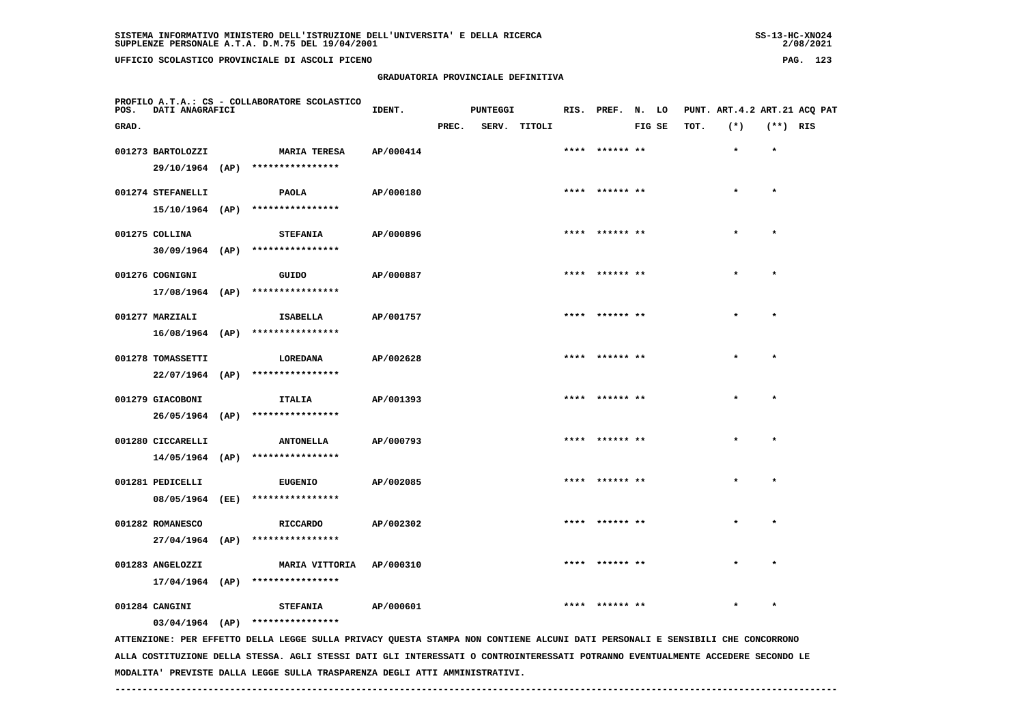**UFFICIO SCOLASTICO PROVINCIALE DI ASCOLI PICENO PAG. 123**

#### **GRADUATORIA PROVINCIALE DEFINITIVA**

| POS.  | <b>DATI ANAGRAFICI</b>               | PROFILO A.T.A.: CS - COLLABORATORE SCOLASTICO                                                                                 | IDENT.    |       | <b>PUNTEGGI</b> |              | RIS. PREF. N. LO |        |      | PUNT. ART. 4.2 ART. 21 ACQ PAT |            |  |
|-------|--------------------------------------|-------------------------------------------------------------------------------------------------------------------------------|-----------|-------|-----------------|--------------|------------------|--------|------|--------------------------------|------------|--|
| GRAD. |                                      |                                                                                                                               |           | PREC. |                 | SERV. TITOLI |                  | FIG SE | TOT. | $(*)$                          | $(**)$ RIS |  |
|       | 001273 BARTOLOZZI                    | <b>MARIA TERESA</b>                                                                                                           | AP/000414 |       |                 |              | **** ****** **   |        |      | $\star$                        | $\star$    |  |
|       |                                      | 29/10/1964 (AP) ****************                                                                                              |           |       |                 |              |                  |        |      |                                |            |  |
|       | 001274 STEFANELLI                    | <b>PAOLA</b>                                                                                                                  | AP/000180 |       |                 |              | **** ****** **   |        |      |                                | $\star$    |  |
|       |                                      | 15/10/1964 (AP) ****************                                                                                              |           |       |                 |              |                  |        |      |                                |            |  |
|       | 001275 COLLINA                       | <b>STEFANIA</b>                                                                                                               | AP/000896 |       |                 |              | **** ****** **   |        |      |                                | $\bullet$  |  |
|       |                                      | 30/09/1964 (AP) ****************                                                                                              |           |       |                 |              |                  |        |      |                                |            |  |
|       | 001276 COGNIGNI                      | GUIDO                                                                                                                         | AP/000887 |       |                 |              | **** ****** **   |        |      |                                | $\bullet$  |  |
|       |                                      | 17/08/1964 (AP) ****************                                                                                              |           |       |                 |              |                  |        |      |                                |            |  |
|       |                                      |                                                                                                                               |           |       |                 |              | **** ****** **   |        |      |                                | $\star$    |  |
|       | 001277 MARZIALI<br>$16/08/1964$ (AP) | ISABELLA<br>****************                                                                                                  | AP/001757 |       |                 |              |                  |        |      | $\star$                        |            |  |
|       |                                      |                                                                                                                               |           |       |                 |              |                  |        |      |                                |            |  |
|       | 001278 TOMASSETTI                    | LOREDANA                                                                                                                      | AP/002628 |       |                 |              | ****  ****** **  |        |      |                                | $\star$    |  |
|       | $22/07/1964$ (AP)                    | ****************                                                                                                              |           |       |                 |              |                  |        |      |                                |            |  |
|       | 001279 GIACOBONI                     | ITALIA                                                                                                                        | AP/001393 |       |                 |              | **** ****** **   |        |      |                                | $\star$    |  |
|       | 26/05/1964 (AP)                      | ****************                                                                                                              |           |       |                 |              |                  |        |      |                                |            |  |
|       | 001280 CICCARELLI                    | <b>ANTONELLA</b>                                                                                                              | AP/000793 |       |                 |              | **** ****** **   |        |      |                                | $\star$    |  |
|       |                                      | 14/05/1964 (AP) ****************                                                                                              |           |       |                 |              |                  |        |      |                                |            |  |
|       | 001281 PEDICELLI                     | <b>EUGENIO</b>                                                                                                                | AP/002085 |       |                 |              | **** ****** **   |        |      |                                | $\star$    |  |
|       | 08/05/1964 (EE)                      | ****************                                                                                                              |           |       |                 |              |                  |        |      |                                |            |  |
|       | 001282 ROMANESCO                     | <b>RICCARDO</b>                                                                                                               | AP/002302 |       |                 |              |                  |        |      |                                |            |  |
|       | $27/04/1964$ (AP)                    | ****************                                                                                                              |           |       |                 |              |                  |        |      |                                |            |  |
|       | 001283 ANGELOZZI                     | MARIA VITTORIA                                                                                                                | AP/000310 |       |                 |              | **** ****** **   |        |      | $\star$                        | $\star$    |  |
|       | 17/04/1964 (AP)                      | ****************                                                                                                              |           |       |                 |              |                  |        |      |                                |            |  |
|       | 001284 CANGINI                       | <b>STEFANIA</b>                                                                                                               | AP/000601 |       |                 |              |                  |        |      |                                |            |  |
|       |                                      | 03/04/1964 (AP) ****************                                                                                              |           |       |                 |              |                  |        |      |                                |            |  |
|       |                                      | ATTENZIONE: PER EFFETTO DELLA LEGGE SULLA PRIVACY QUESTA STAMPA NON CONTIENE ALCUNI DATI PERSONALI E SENSIBILI CHE CONCORRONO |           |       |                 |              |                  |        |      |                                |            |  |
|       |                                      |                                                                                                                               |           |       |                 |              |                  |        |      |                                |            |  |

 **ALLA COSTITUZIONE DELLA STESSA. AGLI STESSI DATI GLI INTERESSATI O CONTROINTERESSATI POTRANNO EVENTUALMENTE ACCEDERE SECONDO LE MODALITA' PREVISTE DALLA LEGGE SULLA TRASPARENZA DEGLI ATTI AMMINISTRATIVI.**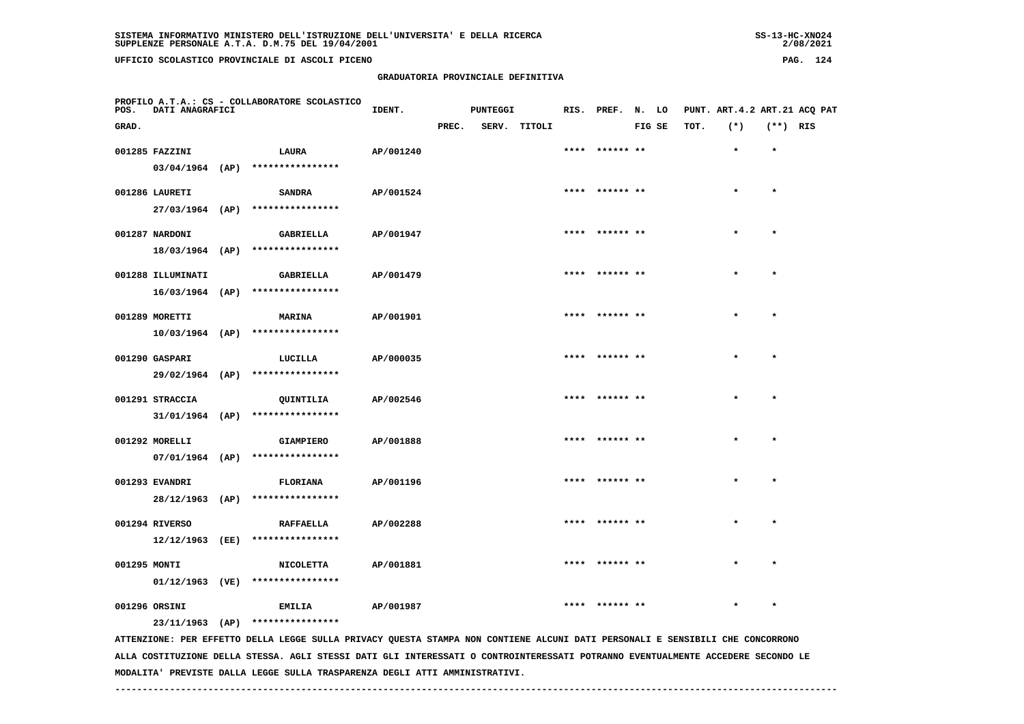| $SS-13-HC-XNO24$ |
|------------------|
| 2/08/2021        |

| POS.         | DATI ANAGRAFICI   | PROFILO A.T.A.: CS - COLLABORATORE SCOLASTICO                                                                         | IDENT.    |       | PUNTEGGI |              |                |        |      | RIS. PREF. N. LO PUNT. ART.4.2 ART.21 ACQ PAT |            |  |
|--------------|-------------------|-----------------------------------------------------------------------------------------------------------------------|-----------|-------|----------|--------------|----------------|--------|------|-----------------------------------------------|------------|--|
| GRAD.        |                   |                                                                                                                       |           | PREC. |          | SERV. TITOLI |                | FIG SE | TOT. | $(*)$                                         | $(**)$ RIS |  |
|              | 001285 FAZZINI    | <b>LAURA</b>                                                                                                          | AP/001240 |       |          |              | **** ****** ** |        |      | $\star$                                       | $\star$    |  |
|              |                   | $03/04/1964$ (AP) ****************                                                                                    |           |       |          |              |                |        |      |                                               |            |  |
|              | 001286 LAURETI    | <b>SANDRA</b>                                                                                                         | AP/001524 |       |          |              | **** ****** ** |        |      | $\star$                                       | $\star$    |  |
|              |                   | 27/03/1964 (AP) ****************                                                                                      |           |       |          |              |                |        |      |                                               |            |  |
|              | 001287 NARDONI    | <b>GABRIELLA</b>                                                                                                      | AP/001947 |       |          |              | **** ****** ** |        |      |                                               | $\star$    |  |
|              |                   | 18/03/1964 (AP) ****************                                                                                      |           |       |          |              |                |        |      |                                               |            |  |
|              | 001288 ILLUMINATI | GABRIELLA                                                                                                             | AP/001479 |       |          |              | **** ****** ** |        |      |                                               |            |  |
|              |                   | 16/03/1964 (AP) ****************                                                                                      |           |       |          |              |                |        |      |                                               |            |  |
|              | 001289 MORETTI    | <b>MARINA</b>                                                                                                         | AP/001901 |       |          |              | **** ****** ** |        |      |                                               | $\star$    |  |
|              |                   | 10/03/1964 (AP) ****************                                                                                      |           |       |          |              |                |        |      |                                               |            |  |
|              | 001290 GASPARI    | LUCILLA                                                                                                               | AP/000035 |       |          |              | **** ****** ** |        |      |                                               | $\star$    |  |
|              |                   | 29/02/1964 (AP) ****************                                                                                      |           |       |          |              |                |        |      |                                               |            |  |
|              | 001291 STRACCIA   | QUINTILIA                                                                                                             | AP/002546 |       |          |              | **** ****** ** |        |      | $\star$                                       | $\star$    |  |
|              |                   | $31/01/1964$ (AP) ****************                                                                                    |           |       |          |              |                |        |      |                                               |            |  |
|              | 001292 MORELLI    | <b>GIAMPIERO</b>                                                                                                      | AP/001888 |       |          |              | **** ****** ** |        |      |                                               | $\star$    |  |
|              |                   | 07/01/1964 (AP) ****************                                                                                      |           |       |          |              |                |        |      |                                               |            |  |
|              | 001293 EVANDRI    | <b>FLORIANA</b>                                                                                                       | AP/001196 |       |          |              |                |        |      |                                               | $\star$    |  |
|              |                   | 28/12/1963 (AP) ****************                                                                                      |           |       |          |              |                |        |      |                                               |            |  |
|              | 001294 RIVERSO    |                                                                                                                       | AP/002288 |       |          |              |                |        |      |                                               | $\star$    |  |
|              |                   | <b>RAFFAELLA</b><br>12/12/1963 (EE) ****************                                                                  |           |       |          |              |                |        |      |                                               |            |  |
|              |                   |                                                                                                                       |           |       |          |              |                |        |      |                                               |            |  |
| 001295 MONTI |                   | <b>NICOLETTA</b><br>01/12/1963 (VE) ****************                                                                  | AP/001881 |       |          |              |                |        |      |                                               |            |  |
|              |                   |                                                                                                                       |           |       |          |              |                |        |      |                                               |            |  |
|              | 001296 ORSINI     | <b>EMILIA</b><br>23/11/1963 (AP) ****************                                                                     | AP/001987 |       |          |              | **** ******    |        |      |                                               |            |  |
|              |                   | AFFENITIONE. DER GEREEF A TEACOR CULTA DETUACY OURCEA CEANDA NON CONFIENT ALCUNITIONE ATOUR CENCIBITIT CUR CONCORDONO |           |       |          |              |                |        |      |                                               |            |  |

 **ATTENZIONE: PER EFFETTO DELLA LEGGE SULLA PRIVACY QUESTA STAMPA NON CONTIENE ALCUNI DATI PERSONALI E SENSIBILI CHE CONCORRONO ALLA COSTITUZIONE DELLA STESSA. AGLI STESSI DATI GLI INTERESSATI O CONTROINTERESSATI POTRANNO EVENTUALMENTE ACCEDERE SECONDO LE MODALITA' PREVISTE DALLA LEGGE SULLA TRASPARENZA DEGLI ATTI AMMINISTRATIVI.**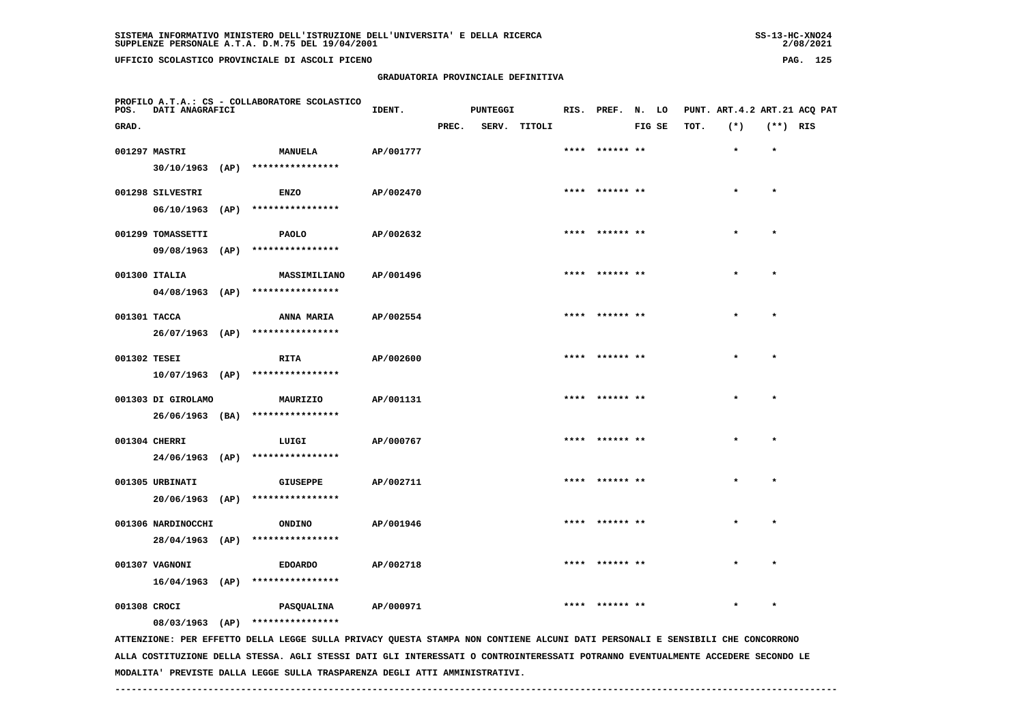| 55-13-AL-ANUZ4 |
|----------------|
| 2/08/2021      |

| POS.         | DATI ANAGRAFICI    | PROFILO A.T.A.: CS - COLLABORATORE SCOLASTICO                                                                                 | IDENT.    |       | PUNTEGGI |              | RIS. PREF. N. LO |        |      | PUNT. ART.4.2 ART.21 ACQ PAT |            |  |
|--------------|--------------------|-------------------------------------------------------------------------------------------------------------------------------|-----------|-------|----------|--------------|------------------|--------|------|------------------------------|------------|--|
| GRAD.        |                    |                                                                                                                               |           | PREC. |          | SERV. TITOLI |                  | FIG SE | TOT. | $(*)$                        | $(**)$ RIS |  |
|              | 001297 MASTRI      | <b>MANUELA</b>                                                                                                                | AP/001777 |       |          |              |                  |        |      | $\star$                      | $\star$    |  |
|              | $30/10/1963$ (AP)  | ****************                                                                                                              |           |       |          |              |                  |        |      |                              |            |  |
|              | 001298 SILVESTRI   | <b>ENZO</b>                                                                                                                   | AP/002470 |       |          |              | **** ****** **   |        |      |                              | $\star$    |  |
|              | $06/10/1963$ (AP)  | ****************                                                                                                              |           |       |          |              |                  |        |      |                              |            |  |
|              | 001299 TOMASSETTI  | <b>PAOLO</b>                                                                                                                  | AP/002632 |       |          |              | **** ****** **   |        |      | $\star$                      | $\star$    |  |
|              |                    | 09/08/1963 (AP) ****************                                                                                              |           |       |          |              |                  |        |      |                              |            |  |
|              | 001300 ITALIA      | MASSIMILIANO                                                                                                                  | AP/001496 |       |          |              | **** ****** **   |        |      |                              | $\star$    |  |
|              |                    | 04/08/1963 (AP) ****************                                                                                              |           |       |          |              |                  |        |      |                              |            |  |
| 001301 TACCA |                    | ANNA MARIA                                                                                                                    | AP/002554 |       |          |              | **** ****** **   |        |      |                              | $\bullet$  |  |
|              | $26/07/1963$ (AP)  | ****************                                                                                                              |           |       |          |              |                  |        |      |                              |            |  |
| 001302 TESEI |                    | RITA                                                                                                                          | AP/002600 |       |          |              |                  |        |      |                              | $\star$    |  |
|              | $10/07/1963$ (AP)  | ****************                                                                                                              |           |       |          |              |                  |        |      |                              |            |  |
|              | 001303 DI GIROLAMO | MAURIZIO                                                                                                                      | AP/001131 |       |          |              | **** ****** **   |        |      |                              | $\star$    |  |
|              | 26/06/1963 (BA)    | ****************                                                                                                              |           |       |          |              |                  |        |      |                              |            |  |
|              | 001304 CHERRI      | LUIGI                                                                                                                         | AP/000767 |       |          |              | **** ****** **   |        |      |                              | $\star$    |  |
|              | 24/06/1963 (AP)    | ****************                                                                                                              |           |       |          |              |                  |        |      |                              |            |  |
|              | 001305 URBINATI    | <b>GIUSEPPE</b>                                                                                                               | AP/002711 |       |          |              |                  |        |      |                              | $\star$    |  |
|              |                    | 20/06/1963 (AP) ****************                                                                                              |           |       |          |              |                  |        |      |                              |            |  |
|              | 001306 NARDINOCCHI | <b>ONDINO</b>                                                                                                                 | AP/001946 |       |          |              | **** ****** **   |        |      |                              |            |  |
|              | 28/04/1963 (AP)    | ****************                                                                                                              |           |       |          |              |                  |        |      |                              |            |  |
|              | 001307 VAGNONI     | <b>EDOARDO</b>                                                                                                                | AP/002718 |       |          |              |                  |        |      |                              |            |  |
|              | $16/04/1963$ (AP)  | ****************                                                                                                              |           |       |          |              |                  |        |      |                              |            |  |
| 001308 CROCI |                    | PASQUALINA                                                                                                                    | AP/000971 |       |          |              |                  |        |      |                              |            |  |
|              |                    | 08/03/1963 (AP) ****************                                                                                              |           |       |          |              |                  |        |      |                              |            |  |
|              |                    | ATTENZIONE: PER EFFETTO DELLA LEGGE SULLA PRIVACY QUESTA STAMPA NON CONTIENE ALCUNI DATI PERSONALI E SENSIBILI CHE CONCORRONO |           |       |          |              |                  |        |      |                              |            |  |

 **ALLA COSTITUZIONE DELLA STESSA. AGLI STESSI DATI GLI INTERESSATI O CONTROINTERESSATI POTRANNO EVENTUALMENTE ACCEDERE SECONDO LE MODALITA' PREVISTE DALLA LEGGE SULLA TRASPARENZA DEGLI ATTI AMMINISTRATIVI.**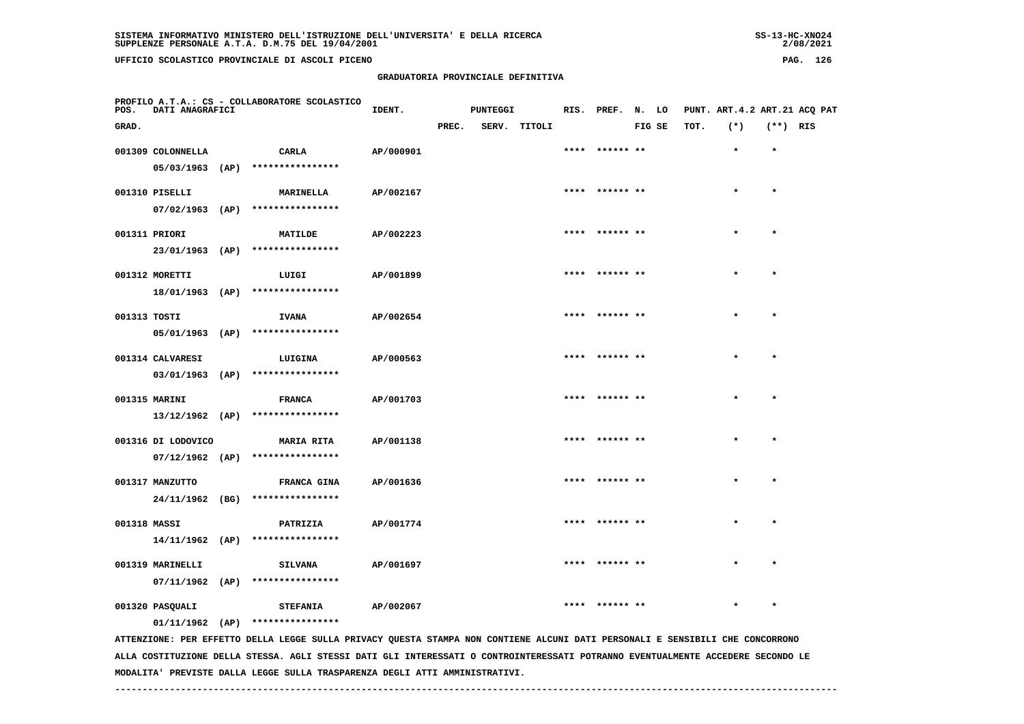| 55-13-ANU4+ |
|-------------|
| 2/08/2021   |

| POS.         | DATI ANAGRAFICI    | PROFILO A.T.A.: CS - COLLABORATORE SCOLASTICO                                                                                 | IDENT.    |       | <b>PUNTEGGI</b> |              |                 |        |      | RIS. PREF. N. LO PUNT. ART.4.2 ART.21 ACQ PAT |            |  |
|--------------|--------------------|-------------------------------------------------------------------------------------------------------------------------------|-----------|-------|-----------------|--------------|-----------------|--------|------|-----------------------------------------------|------------|--|
| GRAD.        |                    |                                                                                                                               |           | PREC. |                 | SERV. TITOLI |                 | FIG SE | TOT. | $(*)$                                         | $(**)$ RIS |  |
|              | 001309 COLONNELLA  | CARLA                                                                                                                         | AP/000901 |       |                 |              | **** ****** **  |        |      | $\star$                                       | $\star$    |  |
|              |                    | 05/03/1963 (AP) ****************                                                                                              |           |       |                 |              |                 |        |      |                                               |            |  |
|              | 001310 PISELLI     | <b>MARINELLA</b>                                                                                                              | AP/002167 |       |                 |              | **** ****** **  |        |      |                                               | $\star$    |  |
|              |                    | 07/02/1963 (AP) ****************                                                                                              |           |       |                 |              |                 |        |      |                                               |            |  |
|              | 001311 PRIORI      | MATILDE                                                                                                                       | AP/002223 |       |                 |              | **** ****** **  |        |      |                                               | $\star$    |  |
|              |                    | 23/01/1963 (AP) ****************                                                                                              |           |       |                 |              |                 |        |      |                                               |            |  |
|              | 001312 MORETTI     | LUIGI                                                                                                                         | AP/001899 |       |                 |              | **** ****** **  |        |      |                                               |            |  |
|              |                    | 18/01/1963 (AP) ****************                                                                                              |           |       |                 |              |                 |        |      |                                               |            |  |
| 001313 TOSTI |                    | <b>IVANA</b>                                                                                                                  | AP/002654 |       |                 |              | **** ****** **  |        |      |                                               | $\star$    |  |
|              |                    | 05/01/1963 (AP) ****************                                                                                              |           |       |                 |              |                 |        |      |                                               |            |  |
|              | 001314 CALVARESI   | LUIGINA                                                                                                                       | AP/000563 |       |                 |              | **** ****** **  |        |      |                                               | $\star$    |  |
|              |                    | 03/01/1963 (AP) ****************                                                                                              |           |       |                 |              |                 |        |      |                                               |            |  |
|              | 001315 MARINI      | <b>FRANCA</b>                                                                                                                 | AP/001703 |       |                 |              | **** ****** **  |        |      |                                               | $\star$    |  |
|              |                    | $13/12/1962$ (AP) ****************                                                                                            |           |       |                 |              |                 |        |      |                                               |            |  |
|              | 001316 DI LODOVICO | <b>MARIA RITA</b>                                                                                                             | AP/001138 |       |                 |              | **** ****** **  |        |      | $\star$                                       | $\star$    |  |
|              |                    | $07/12/1962$ (AP) ****************                                                                                            |           |       |                 |              |                 |        |      |                                               |            |  |
|              | 001317 MANZUTTO    | FRANCA GINA                                                                                                                   | AP/001636 |       |                 |              |                 |        |      |                                               | $\star$    |  |
|              |                    | 24/11/1962 (BG) ****************                                                                                              |           |       |                 |              |                 |        |      |                                               |            |  |
| 001318 MASSI |                    | PATRIZIA                                                                                                                      | AP/001774 |       |                 |              | **** ****** **  |        |      |                                               |            |  |
|              |                    | 14/11/1962 (AP) ****************                                                                                              |           |       |                 |              |                 |        |      |                                               |            |  |
|              | 001319 MARINELLI   | <b>SILVANA</b>                                                                                                                | AP/001697 |       |                 |              | **** ****** **  |        |      | $\star$                                       | $\star$    |  |
|              |                    | $07/11/1962$ (AP) ****************                                                                                            |           |       |                 |              |                 |        |      |                                               |            |  |
|              | 001320 PASQUALI    | <b>STEFANIA</b>                                                                                                               | AP/002067 |       |                 |              | ****  ****** ** |        |      | $\star$                                       | $\star$    |  |
|              |                    | $01/11/1962$ (AP) *****************                                                                                           |           |       |                 |              |                 |        |      |                                               |            |  |
|              |                    | ATTENZIONE: PER EFFETTO DELLA LEGGE SULLA PRIVACY QUESTA STAMPA NON CONTIENE ALCUNI DATI PERSONALI E SENSIBILI CHE CONCORRONO |           |       |                 |              |                 |        |      |                                               |            |  |

 **ALLA COSTITUZIONE DELLA STESSA. AGLI STESSI DATI GLI INTERESSATI O CONTROINTERESSATI POTRANNO EVENTUALMENTE ACCEDERE SECONDO LE MODALITA' PREVISTE DALLA LEGGE SULLA TRASPARENZA DEGLI ATTI AMMINISTRATIVI.**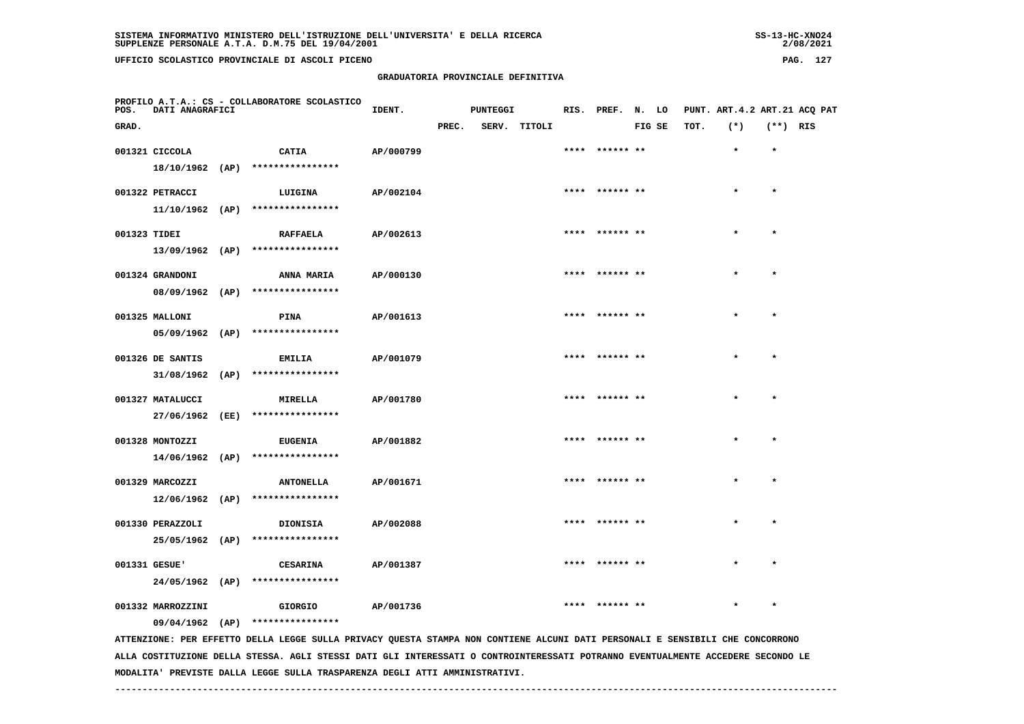# **GRADUATORIA PROVINCIALE DEFINITIVA**

 $2/08/2021$ 

| POS.         | DATI ANAGRAFICI   | PROFILO A.T.A.: CS - COLLABORATORE SCOLASTICO                                                                                 | IDENT.    |       | <b>PUNTEGGI</b> |              | RIS. PREF. N. LO |        |      |         |            | PUNT. ART. 4.2 ART. 21 ACO PAT |
|--------------|-------------------|-------------------------------------------------------------------------------------------------------------------------------|-----------|-------|-----------------|--------------|------------------|--------|------|---------|------------|--------------------------------|
| GRAD.        |                   |                                                                                                                               |           | PREC. |                 | SERV. TITOLI |                  | FIG SE | TOT. | $(*)$   | $(**)$ RIS |                                |
|              | 001321 CICCOLA    | <b>CATIA</b>                                                                                                                  | AP/000799 |       |                 |              | **** ****** **   |        |      | $\star$ | $\star$    |                                |
|              |                   | 18/10/1962 (AP) ****************                                                                                              |           |       |                 |              |                  |        |      |         |            |                                |
|              | 001322 PETRACCI   | LUIGINA                                                                                                                       | AP/002104 |       |                 |              | **** ****** **   |        |      |         | $\star$    |                                |
|              |                   | 11/10/1962 (AP) ****************                                                                                              |           |       |                 |              |                  |        |      |         |            |                                |
| 001323 TIDEI |                   | <b>RAFFAELA</b>                                                                                                               | AP/002613 |       |                 |              | **** ****** **   |        |      |         | $\star$    |                                |
|              |                   | $13/09/1962$ (AP) ****************                                                                                            |           |       |                 |              |                  |        |      |         |            |                                |
|              | 001324 GRANDONI   | <b>ANNA MARIA</b>                                                                                                             | AP/000130 |       |                 |              | **** ****** **   |        |      |         |            |                                |
|              | 08/09/1962 (AP)   | ****************                                                                                                              |           |       |                 |              |                  |        |      |         |            |                                |
|              | 001325 MALLONI    | PINA                                                                                                                          | AP/001613 |       |                 |              | **** ****** **   |        |      |         | $\star$    |                                |
|              | 05/09/1962 (AP)   | ****************                                                                                                              |           |       |                 |              |                  |        |      |         |            |                                |
|              | 001326 DE SANTIS  | <b>EMILIA</b>                                                                                                                 | AP/001079 |       |                 |              |                  |        |      |         |            |                                |
|              | $31/08/1962$ (AP) | ****************                                                                                                              |           |       |                 |              |                  |        |      |         |            |                                |
|              | 001327 MATALUCCI  | <b>MIRELLA</b>                                                                                                                | AP/001780 |       |                 |              | **** ****** **   |        |      |         | $\star$    |                                |
|              |                   | 27/06/1962 (EE) ****************                                                                                              |           |       |                 |              |                  |        |      |         |            |                                |
|              | 001328 MONTOZZI   | <b>EUGENIA</b>                                                                                                                | AP/001882 |       |                 |              | **** ****** **   |        |      |         | $\star$    |                                |
|              |                   | $14/06/1962$ (AP) ****************                                                                                            |           |       |                 |              |                  |        |      |         |            |                                |
|              | 001329 MARCOZZI   | <b>ANTONELLA</b>                                                                                                              | AP/001671 |       |                 |              |                  |        |      |         |            |                                |
|              | 12/06/1962 (AP)   | ****************                                                                                                              |           |       |                 |              |                  |        |      |         |            |                                |
|              | 001330 PERAZZOLI  | <b>DIONISIA</b>                                                                                                               | AP/002088 |       |                 |              | **** ****** **   |        |      | $\star$ | $\star$    |                                |
|              |                   | $25/05/1962$ (AP) *****************                                                                                           |           |       |                 |              |                  |        |      |         |            |                                |
|              | 001331 GESUE'     | <b>CESARINA</b>                                                                                                               | AP/001387 |       |                 |              | **** ****** **   |        |      |         |            |                                |
|              | 24/05/1962 (AP)   | ****************                                                                                                              |           |       |                 |              |                  |        |      |         |            |                                |
|              | 001332 MARROZZINI | <b>GIORGIO</b>                                                                                                                | AP/001736 |       |                 |              |                  |        |      |         |            |                                |
|              |                   | 09/04/1962 (AP) ****************                                                                                              |           |       |                 |              |                  |        |      |         |            |                                |
|              |                   | ATTENZIONE: PER EFFETTO DELLA LEGGE SULLA PRIVACY QUESTA STAMPA NON CONTIENE ALCUNI DATI PERSONALI E SENSIBILI CHE CONCORRONO |           |       |                 |              |                  |        |      |         |            |                                |

 **ALLA COSTITUZIONE DELLA STESSA. AGLI STESSI DATI GLI INTERESSATI O CONTROINTERESSATI POTRANNO EVENTUALMENTE ACCEDERE SECONDO LE MODALITA' PREVISTE DALLA LEGGE SULLA TRASPARENZA DEGLI ATTI AMMINISTRATIVI.**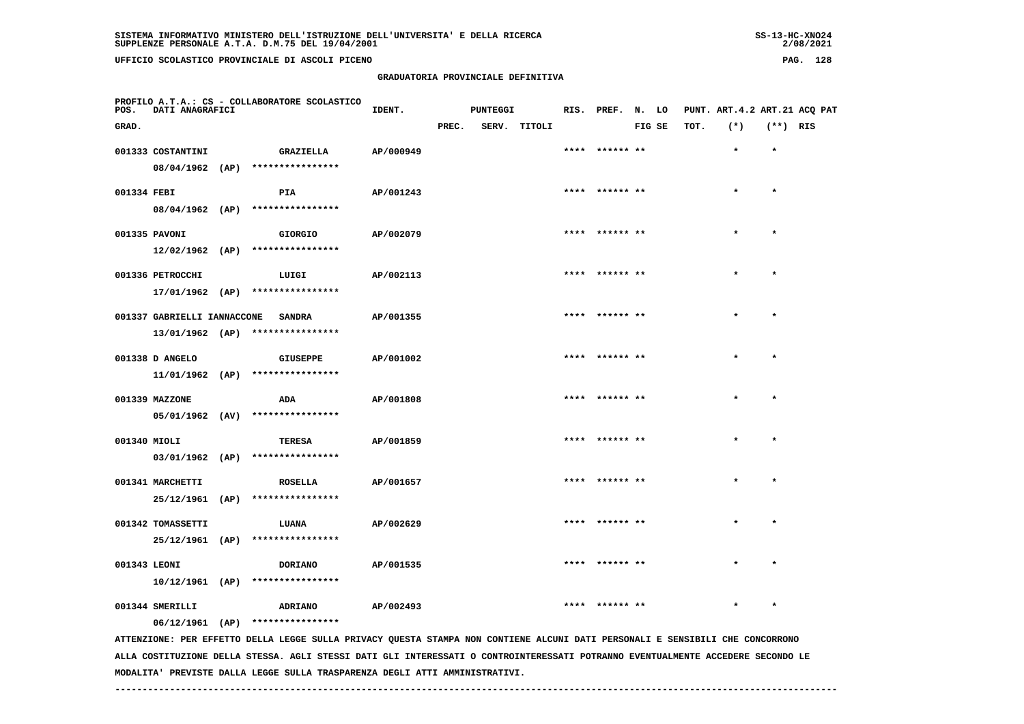| UFFICIO SCOLASTICO PROVINCIALE DI ASCOLI PICENO | PAG. | 128 |
|-------------------------------------------------|------|-----|
| GRADUATORIA PROVINCIALE DEFINITIVA              |      |     |

| POS.         | DATI ANAGRAFICI             | PROFILO A.T.A.: CS - COLLABORATORE SCOLASTICO                                                                                                                     | IDENT.    |       | <b>PUNTEGGI</b> |              | RIS. PREF. N. LO |        |      | PUNT. ART.4.2 ART.21 ACQ PAT |            |  |
|--------------|-----------------------------|-------------------------------------------------------------------------------------------------------------------------------------------------------------------|-----------|-------|-----------------|--------------|------------------|--------|------|------------------------------|------------|--|
| GRAD.        |                             |                                                                                                                                                                   |           | PREC. |                 | SERV. TITOLI |                  | FIG SE | TOT. | $(*)$                        | $(**)$ RIS |  |
|              | 001333 COSTANTINI           | <b>GRAZIELLA</b>                                                                                                                                                  | AP/000949 |       |                 |              | **** ****** **   |        |      | $\star$                      | $\star$    |  |
|              |                             | 08/04/1962 (AP) ****************                                                                                                                                  |           |       |                 |              |                  |        |      |                              |            |  |
| 001334 FEBI  |                             | PIA                                                                                                                                                               | AP/001243 |       |                 |              | **** ****** **   |        |      |                              | $\star$    |  |
|              | $08/04/1962$ (AP)           | ****************                                                                                                                                                  |           |       |                 |              |                  |        |      |                              |            |  |
|              | 001335 PAVONI               | GIORGIO                                                                                                                                                           | AP/002079 |       |                 |              | **** ****** **   |        |      | $\star$                      | $\star$    |  |
|              |                             | 12/02/1962 (AP) ****************                                                                                                                                  |           |       |                 |              |                  |        |      |                              |            |  |
|              | 001336 PETROCCHI            | LUIGI                                                                                                                                                             | AP/002113 |       |                 |              | **** ****** **   |        |      |                              | $\star$    |  |
|              |                             | 17/01/1962 (AP) ****************                                                                                                                                  |           |       |                 |              |                  |        |      |                              |            |  |
|              | 001337 GABRIELLI IANNACCONE | <b>SANDRA</b>                                                                                                                                                     | AP/001355 |       |                 |              | **** ****** **   |        |      |                              |            |  |
|              |                             | 13/01/1962 (AP) ****************                                                                                                                                  |           |       |                 |              |                  |        |      |                              |            |  |
|              | 001338 D ANGELO             | <b>GIUSEPPE</b>                                                                                                                                                   | AP/001002 |       |                 |              | **** ****** **   |        |      | $\star$                      | $\star$    |  |
|              | 11/01/1962 (AP)             | ****************                                                                                                                                                  |           |       |                 |              |                  |        |      |                              |            |  |
|              | 001339 MAZZONE              | ADA                                                                                                                                                               | AP/001808 |       |                 |              | **** ****** **   |        |      |                              | $\star$    |  |
|              |                             | 05/01/1962 (AV) ****************                                                                                                                                  |           |       |                 |              |                  |        |      |                              |            |  |
| 001340 MIOLI |                             | TERESA                                                                                                                                                            | AP/001859 |       |                 |              | **** ****** **   |        |      |                              | $\star$    |  |
|              | $03/01/1962$ (AP)           | ****************                                                                                                                                                  |           |       |                 |              |                  |        |      |                              |            |  |
|              | 001341 MARCHETTI            | <b>ROSELLA</b>                                                                                                                                                    | AP/001657 |       |                 |              | **** ****** **   |        |      |                              | $\star$    |  |
|              |                             | 25/12/1961 (AP) ****************                                                                                                                                  |           |       |                 |              |                  |        |      |                              |            |  |
|              | 001342 TOMASSETTI           | LUANA                                                                                                                                                             | AP/002629 |       |                 |              |                  |        |      |                              |            |  |
|              |                             | 25/12/1961 (AP) ****************                                                                                                                                  |           |       |                 |              |                  |        |      |                              |            |  |
|              |                             |                                                                                                                                                                   |           |       |                 |              | **** ****** **   |        |      |                              |            |  |
| 001343 LEONI |                             | <b>DORIANO</b><br>$10/12/1961$ (AP) ****************                                                                                                              | AP/001535 |       |                 |              |                  |        |      |                              |            |  |
|              |                             |                                                                                                                                                                   |           |       |                 |              |                  |        |      |                              |            |  |
|              | 001344 SMERILLI             | ADRIANO                                                                                                                                                           | AP/002493 |       |                 |              |                  |        |      |                              |            |  |
|              |                             | 06/12/1961 (AP) ****************<br>ATTENZIONE: PER EFFETTO DELLA LEGGE SULLA PRIVACY QUESTA STAMPA NON CONTIENE ALCUNI DATI PERSONALI E SENSIBILI CHE CONCORRONO |           |       |                 |              |                  |        |      |                              |            |  |

 **ALLA COSTITUZIONE DELLA STESSA. AGLI STESSI DATI GLI INTERESSATI O CONTROINTERESSATI POTRANNO EVENTUALMENTE ACCEDERE SECONDO LE MODALITA' PREVISTE DALLA LEGGE SULLA TRASPARENZA DEGLI ATTI AMMINISTRATIVI.**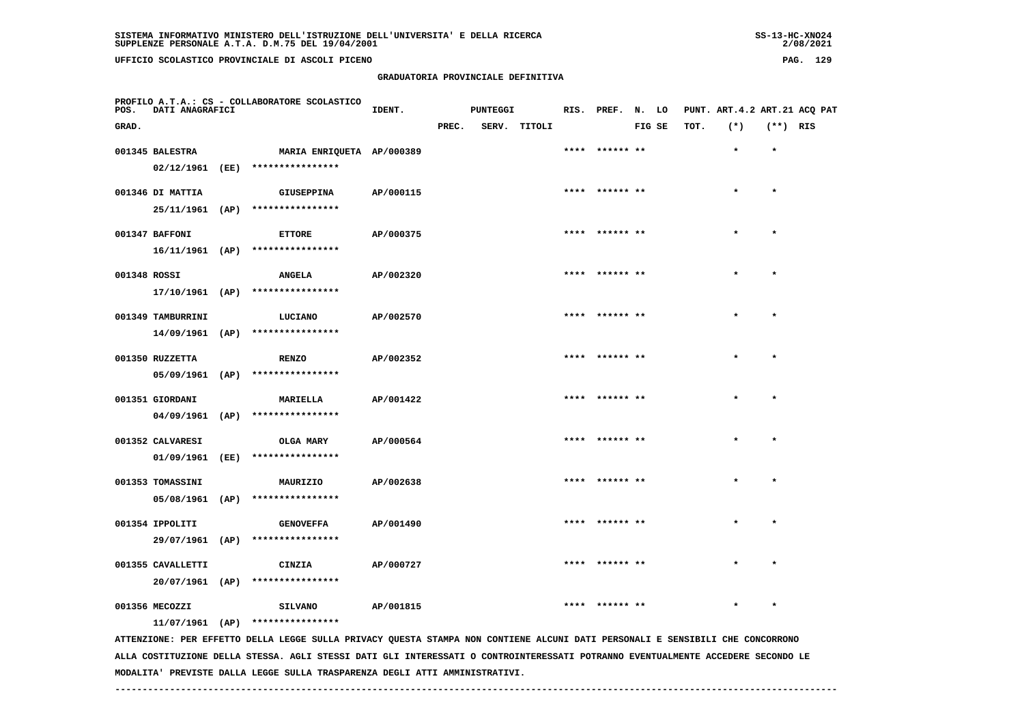**UFFICIO SCOLASTICO PROVINCIALE DI ASCOLI PICENO PAG. 129**

# **GRADUATORIA PROVINCIALE DEFINITIVA**

| rag.<br>__<br>$\sim$ | ∸ |
|----------------------|---|
|                      |   |
|                      |   |
|                      |   |

| POS.         | DATI ANAGRAFICI   |      | PROFILO A.T.A.: CS - COLLABORATORE SCOLASTICO | IDENT.    |       | <b>PUNTEGGI</b> |              | RIS. PREF. N. LO |        |      | PUNT. ART.4.2 ART.21 ACQ PAT |            |  |
|--------------|-------------------|------|-----------------------------------------------|-----------|-------|-----------------|--------------|------------------|--------|------|------------------------------|------------|--|
| GRAD.        |                   |      |                                               |           | PREC. |                 | SERV. TITOLI |                  | FIG SE | TOT. | $(*)$                        | $(**)$ RIS |  |
|              | 001345 BALESTRA   |      | MARIA ENRIQUETA AP/000389                     |           |       |                 |              | **** ****** **   |        |      | $\star$                      | $\star$    |  |
|              | 02/12/1961 (EE)   |      | ****************                              |           |       |                 |              |                  |        |      |                              |            |  |
|              | 001346 DI MATTIA  |      | GIUSEPPINA                                    | AP/000115 |       |                 |              | **** ****** **   |        |      | $\star$                      | $\star$    |  |
|              | 25/11/1961 (AP)   |      | ****************                              |           |       |                 |              |                  |        |      |                              |            |  |
|              | 001347 BAFFONI    |      | <b>ETTORE</b>                                 | AP/000375 |       |                 |              | **** ****** **   |        |      | $\star$                      | $\star$    |  |
|              |                   |      | 16/11/1961 (AP) ****************              |           |       |                 |              |                  |        |      |                              |            |  |
| 001348 ROSSI |                   |      | <b>ANGELA</b>                                 | AP/002320 |       |                 |              | **** ****** **   |        |      | $\star$                      | $\star$    |  |
|              |                   |      | 17/10/1961 (AP) ****************              |           |       |                 |              |                  |        |      |                              |            |  |
|              | 001349 TAMBURRINI |      | LUCIANO                                       | AP/002570 |       |                 |              | **** ****** **   |        |      | $\star$                      | $\star$    |  |
|              |                   |      | 14/09/1961 (AP) ****************              |           |       |                 |              |                  |        |      |                              |            |  |
|              | 001350 RUZZETTA   |      | <b>RENZO</b>                                  | AP/002352 |       |                 |              | **** ****** **   |        |      |                              |            |  |
|              | $05/09/1961$ (AP) |      | ****************                              |           |       |                 |              |                  |        |      |                              |            |  |
|              | 001351 GIORDANI   |      | <b>MARIELLA</b>                               | AP/001422 |       |                 |              | **** ****** **   |        |      | $\star$                      | $\star$    |  |
|              | $04/09/1961$ (AP) |      | ****************                              |           |       |                 |              |                  |        |      |                              |            |  |
|              | 001352 CALVARESI  |      | OLGA MARY                                     | AP/000564 |       |                 |              | **** ****** **   |        |      | $\star$                      | $\star$    |  |
|              | 01/09/1961        | (EE) | ****************                              |           |       |                 |              |                  |        |      |                              |            |  |
|              | 001353 TOMASSINI  |      | MAURIZIO                                      | AP/002638 |       |                 |              | **** ****** **   |        |      |                              | $\star$    |  |
|              | 05/08/1961 (AP)   |      | ****************                              |           |       |                 |              |                  |        |      |                              |            |  |
|              | 001354 IPPOLITI   |      | <b>GENOVEFFA</b>                              | AP/001490 |       |                 |              |                  |        |      |                              | $\star$    |  |
|              | 29/07/1961 (AP)   |      | ****************                              |           |       |                 |              |                  |        |      |                              |            |  |
|              | 001355 CAVALLETTI |      | CINZIA                                        | AP/000727 |       |                 |              | **** ****** **   |        |      |                              | $\star$    |  |
|              | 20/07/1961 (AP)   |      | ****************                              |           |       |                 |              |                  |        |      |                              |            |  |
|              | 001356 MECOZZI    |      | <b>SILVANO</b>                                | AP/001815 |       |                 |              | **** ****** **   |        |      |                              | $\star$    |  |
|              |                   |      | 11/07/1961 (AP) ****************              |           |       |                 |              |                  |        |      |                              |            |  |

 **ATTENZIONE: PER EFFETTO DELLA LEGGE SULLA PRIVACY QUESTA STAMPA NON CONTIENE ALCUNI DATI PERSONALI E SENSIBILI CHE CONCORRONO ALLA COSTITUZIONE DELLA STESSA. AGLI STESSI DATI GLI INTERESSATI O CONTROINTERESSATI POTRANNO EVENTUALMENTE ACCEDERE SECONDO LE MODALITA' PREVISTE DALLA LEGGE SULLA TRASPARENZA DEGLI ATTI AMMINISTRATIVI.**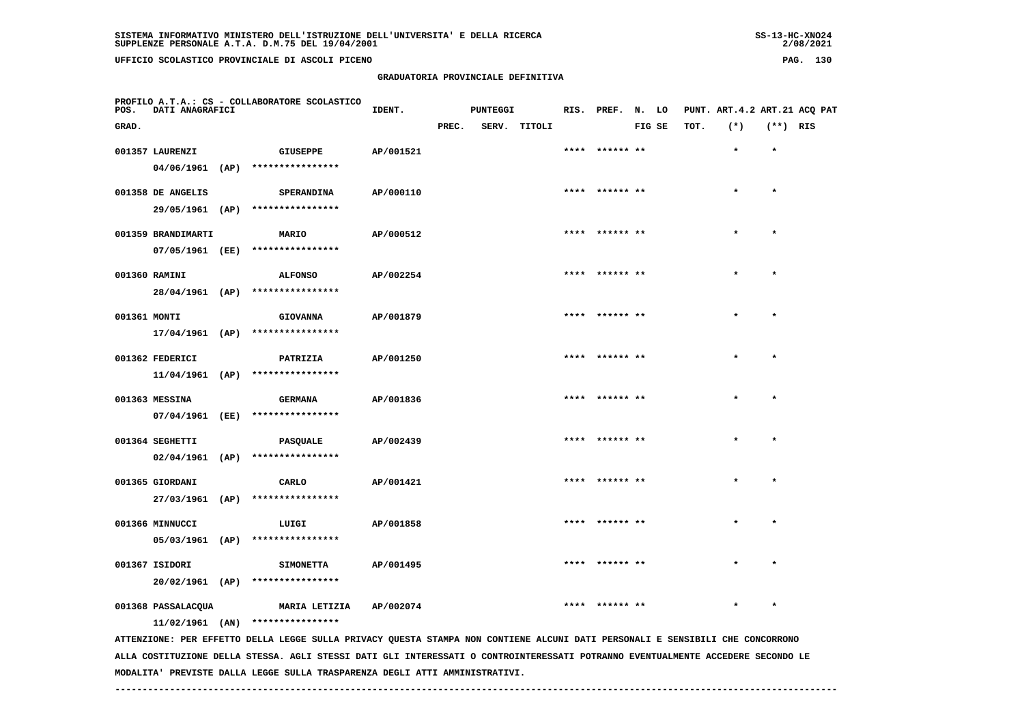2/08/2021

 **PROFILO A.T.A.: CS - COLLABORATORE SCOLASTICOIDENT.** PUNTEGGI RIS. PREF. N. LO PUNT. ART.4.2 ART.21 ACQ PAT  **GRAD. PREC. SERV. TITOLI FIG SE TOT. (\*) (\*\*) RIS 001357 LAURENZI GIUSEPPE AP/001521 \*\*\*\* \*\*\*\*\*\* \*\* \* \* 04/06/1961 (AP) \*\*\*\*\*\*\*\*\*\*\*\*\*\*\*\* 001358 DE ANGELIS SPERANDINA AP/000110 \*\*\*\* \*\*\*\*\*\* \*\* \* \* 29/05/1961 (AP) \*\*\*\*\*\*\*\*\*\*\*\*\*\*\*\* 001359 BRANDIMARTI MARIO AP/000512 \*\*\*\* \*\*\*\*\*\* \*\* \* \* 07/05/1961 (EE) \*\*\*\*\*\*\*\*\*\*\*\*\*\*\*\* 001360 RAMINI ALFONSO AP/002254 \*\*\*\* \*\*\*\*\*\* \*\* \* \* 28/04/1961 (AP) \*\*\*\*\*\*\*\*\*\*\*\*\*\*\*\* 001361 MONTI GIOVANNA AP/001879 \*\*\*\* \*\*\*\*\*\* \*\* \* \* 17/04/1961 (AP) \*\*\*\*\*\*\*\*\*\*\*\*\*\*\*\* 001362 FEDERICI PATRIZIA AP/001250 \*\*\*\* \*\*\*\*\*\* \*\* \* \* 11/04/1961 (AP) \*\*\*\*\*\*\*\*\*\*\*\*\*\*\*\***001363 MESSINA **BERMANA** AP/001836 \*\*\*\* \*\*\*\*\*\* \*\* \* \* \* \* \*  **07/04/1961 (EE) \*\*\*\*\*\*\*\*\*\*\*\*\*\*\*\* 001364 SEGHETTI PASQUALE AP/002439 \*\*\*\* \*\*\*\*\*\* \*\* \* \* 02/04/1961 (AP) \*\*\*\*\*\*\*\*\*\*\*\*\*\*\*\* 001365 GIORDANI CARLO AP/001421 \*\*\*\* \*\*\*\*\*\* \*\* \* \* 27/03/1961 (AP) \*\*\*\*\*\*\*\*\*\*\*\*\*\*\*\* 001366 MINNUCCI LUIGI AP/001858 \*\*\*\* \*\*\*\*\*\* \*\* \* \* 05/03/1961 (AP) \*\*\*\*\*\*\*\*\*\*\*\*\*\*\*\* 001367 ISIDORI SIMONETTA AP/001495 \*\*\*\* \*\*\*\*\*\* \*\* \* \* 20/02/1961 (AP) \*\*\*\*\*\*\*\*\*\*\*\*\*\*\*\***001368 PASSALACQUA **MARIA LETIZIA AP/002074** \*\*\*\*\* \*\*\*\*\*\*\*\* \*\* \*\*\*\* \*\* \*\* \*\* \*\* \*  **11/02/1961 (AN) \*\*\*\*\*\*\*\*\*\*\*\*\*\*\*\* ATTENZIONE: PER EFFETTO DELLA LEGGE SULLA PRIVACY QUESTA STAMPA NON CONTIENE ALCUNI DATI PERSONALI E SENSIBILI CHE CONCORRONO**

 **ALLA COSTITUZIONE DELLA STESSA. AGLI STESSI DATI GLI INTERESSATI O CONTROINTERESSATI POTRANNO EVENTUALMENTE ACCEDERE SECONDO LE MODALITA' PREVISTE DALLA LEGGE SULLA TRASPARENZA DEGLI ATTI AMMINISTRATIVI.**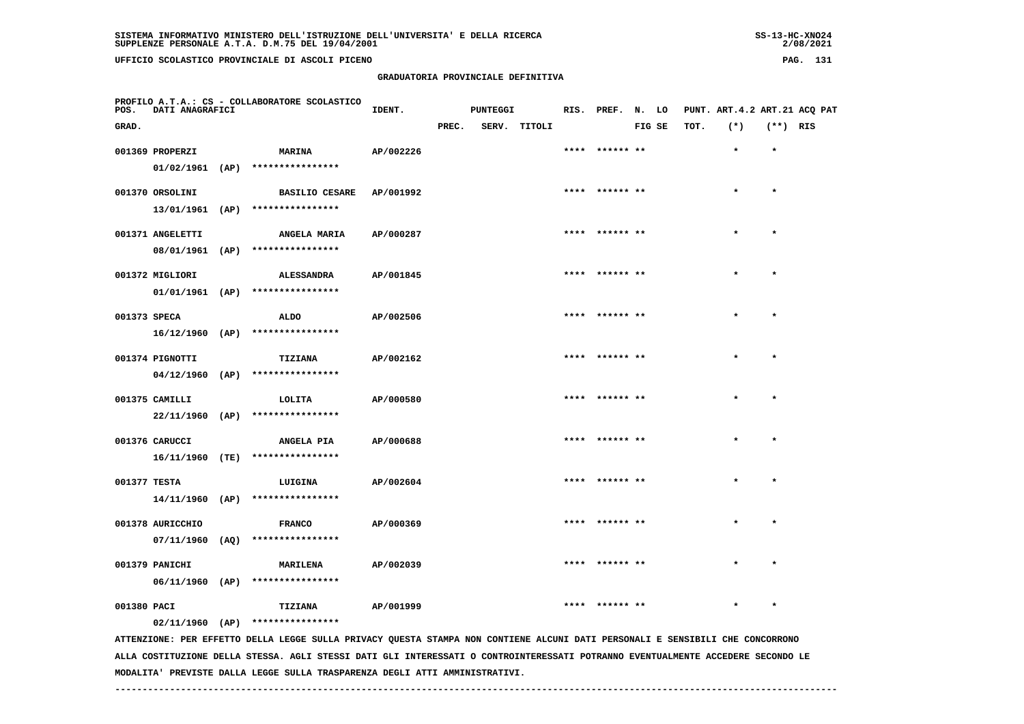**UFFICIO SCOLASTICO PROVINCIALE DI ASCOLI PICENO PAG. 131**

#### **GRADUATORIA PROVINCIALE DEFINITIVA**

| PROFILO A.T.A.: CS - COLLABORATORE SCOLASTICO |       |                          |      |          |               |    |              |                              |         |           |  |
|-----------------------------------------------|-------|--------------------------|------|----------|---------------|----|--------------|------------------------------|---------|-----------|--|
| POS.<br>DATI<br>ANAGRAFICI                    | IDENT | PUNTEGGI                 | RIS. | PREF. N. |               | LO |              | PUNT. ART.4.2 ART.21 ACO PAT |         |           |  |
| $\sqrt{2}$                                    | מהתחת | 5557<br>$m + m \wedge r$ |      |          | <b>BIO</b> CR |    | $m \wedge m$ | ۰ سه ۲                       | $1 + 1$ | $P^{\pi}$ |  |

| GRAD.        |                   |                                                  |           | PREC. | SERV. TITOLI |                | FIG SE | TOT. | $(*)$     | $(**)$ RIS |  |
|--------------|-------------------|--------------------------------------------------|-----------|-------|--------------|----------------|--------|------|-----------|------------|--|
|              | 001369 PROPERZI   | <b>MARINA</b>                                    | AP/002226 |       |              | **** ****** ** |        |      | $\star$   | $\star$    |  |
|              |                   | $01/02/1961$ (AP) *****************              |           |       |              |                |        |      |           |            |  |
|              | 001370 ORSOLINI   | <b>BASILIO CESARE</b>                            | AP/001992 |       |              | **** ****** ** |        |      | $\star$   | $\star$    |  |
|              |                   | 13/01/1961 (AP) ****************                 |           |       |              |                |        |      |           |            |  |
|              | 001371 ANGELETTI  | ANGELA MARIA                                     | AP/000287 |       |              | **** ****** ** |        |      | $\star$   | $\star$    |  |
|              |                   | 08/01/1961 (AP) ****************                 |           |       |              |                |        |      |           |            |  |
|              |                   |                                                  |           |       |              | **** ****** ** |        |      | $\star$   | $\star$    |  |
|              | 001372 MIGLIORI   | ALESSANDRA<br>$01/01/1961$ (AP) **************** | AP/001845 |       |              |                |        |      |           |            |  |
|              |                   |                                                  |           |       |              |                |        |      |           |            |  |
| 001373 SPECA |                   | ALDO                                             | AP/002506 |       |              | **** ****** ** |        |      | $\star$   | $\star$    |  |
|              |                   | 16/12/1960 (AP) ****************                 |           |       |              |                |        |      |           |            |  |
|              | 001374 PIGNOTTI   | TIZIANA                                          | AP/002162 |       |              | **** ****** ** |        |      | $\star$   | $\star$    |  |
|              |                   | $04/12/1960$ (AP) ****************               |           |       |              |                |        |      |           |            |  |
|              | 001375 CAMILLI    | LOLITA                                           | AP/000580 |       |              | **** ****** ** |        |      | $\bullet$ | $\star$    |  |
|              | 22/11/1960 (AP)   | ****************                                 |           |       |              |                |        |      |           |            |  |
|              | 001376 CARUCCI    | ANGELA PIA                                       | AP/000688 |       |              | **** ****** ** |        |      | $\star$   | $\star$    |  |
|              |                   | 16/11/1960 (TE) ****************                 |           |       |              |                |        |      |           |            |  |
| 001377 TESTA |                   | LUIGINA                                          | AP/002604 |       |              | **** ****** ** |        |      | $\bullet$ | $\star$    |  |
|              |                   | $14/11/1960$ (AP) ****************               |           |       |              |                |        |      |           |            |  |
|              | 001378 AURICCHIO  | <b>FRANCO</b>                                    | AP/000369 |       |              | **** ****** ** |        |      | $\star$   | $\star$    |  |
|              | $07/11/1960$ (AQ) | ****************                                 |           |       |              |                |        |      |           |            |  |
|              |                   |                                                  |           |       |              |                |        |      |           |            |  |
|              | 001379 PANICHI    | <b>MARILENA</b>                                  | AP/002039 |       |              | **** ****** ** |        |      | $\star$   | $\star$    |  |
|              | 06/11/1960 (AP)   | ****************                                 |           |       |              |                |        |      |           |            |  |
| 001380 PACI  |                   | TIZIANA                                          | AP/001999 |       |              | **** ****** ** |        |      | $\star$   | $\star$    |  |
|              | $02/11/1960$ (AP) | ****************                                 |           |       |              |                |        |      |           |            |  |

 **ATTENZIONE: PER EFFETTO DELLA LEGGE SULLA PRIVACY QUESTA STAMPA NON CONTIENE ALCUNI DATI PERSONALI E SENSIBILI CHE CONCORRONO ALLA COSTITUZIONE DELLA STESSA. AGLI STESSI DATI GLI INTERESSATI O CONTROINTERESSATI POTRANNO EVENTUALMENTE ACCEDERE SECONDO LE MODALITA' PREVISTE DALLA LEGGE SULLA TRASPARENZA DEGLI ATTI AMMINISTRATIVI.**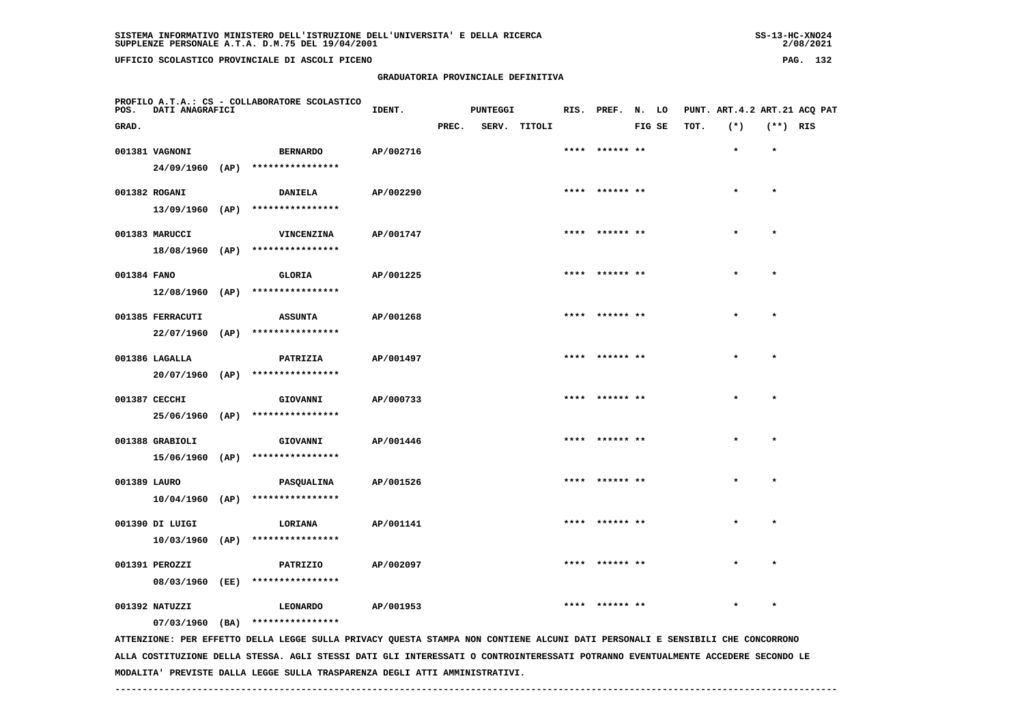# **GRADUATORIA PROVINCIALE DEFINITIVA**

 $2/08/2021$ 

| POS.         | DATI ANAGRAFICI   | PROFILO A.T.A.: CS - COLLABORATORE SCOLASTICO                                                                                 | IDENT.    |       | <b>PUNTEGGI</b> |              | RIS. PREF. N. LO |        |      | PUNT. ART. 4.2 ART. 21 ACQ PAT |            |  |
|--------------|-------------------|-------------------------------------------------------------------------------------------------------------------------------|-----------|-------|-----------------|--------------|------------------|--------|------|--------------------------------|------------|--|
| GRAD.        |                   |                                                                                                                               |           | PREC. |                 | SERV. TITOLI |                  | FIG SE | TOT. | $(*)$                          | $(**)$ RIS |  |
|              | 001381 VAGNONI    | <b>BERNARDO</b>                                                                                                               | AP/002716 |       |                 |              | **** ****** **   |        |      | $\star$                        | $\star$    |  |
|              | $24/09/1960$ (AP) | ****************                                                                                                              |           |       |                 |              |                  |        |      |                                |            |  |
|              | 001382 ROGANI     | <b>DANIELA</b>                                                                                                                | AP/002290 |       |                 |              | **** ****** **   |        |      | $\star$                        | $\star$    |  |
|              |                   | 13/09/1960 (AP) ****************                                                                                              |           |       |                 |              |                  |        |      |                                |            |  |
|              | 001383 MARUCCI    | VINCENZINA                                                                                                                    | AP/001747 |       |                 |              |                  |        |      |                                | $\star$    |  |
|              |                   | $18/08/1960$ (AP) ****************                                                                                            |           |       |                 |              |                  |        |      |                                |            |  |
| 001384 FANO  |                   | <b>GLORIA</b>                                                                                                                 | AP/001225 |       |                 |              |                  |        |      |                                |            |  |
|              | $12/08/1960$ (AP) | ****************                                                                                                              |           |       |                 |              |                  |        |      |                                |            |  |
|              | 001385 FERRACUTI  | <b>ASSUNTA</b>                                                                                                                | AP/001268 |       |                 |              | **** ****** **   |        |      | $\bullet$                      | $\bullet$  |  |
|              | $22/07/1960$ (AP) | ****************                                                                                                              |           |       |                 |              |                  |        |      |                                |            |  |
|              | 001386 LAGALLA    | PATRIZIA                                                                                                                      | AP/001497 |       |                 |              | **** ****** **   |        |      | $\star$                        | $\star$    |  |
|              | $20/07/1960$ (AP) | ****************                                                                                                              |           |       |                 |              |                  |        |      |                                |            |  |
|              | 001387 CECCHI     | GIOVANNI                                                                                                                      | AP/000733 |       |                 |              | **** ****** **   |        |      |                                | $\star$    |  |
|              | 25/06/1960 (AP)   | ****************                                                                                                              |           |       |                 |              |                  |        |      |                                |            |  |
|              | 001388 GRABIOLI   | GIOVANNI                                                                                                                      | AP/001446 |       |                 |              | **** ****** **   |        |      |                                | $\star$    |  |
|              |                   | 15/06/1960 (AP) ****************                                                                                              |           |       |                 |              |                  |        |      |                                |            |  |
| 001389 LAURO |                   | PASQUALINA                                                                                                                    | AP/001526 |       |                 |              | **** ****** **   |        |      |                                | $\star$    |  |
|              |                   | $10/04/1960$ (AP) ****************                                                                                            |           |       |                 |              |                  |        |      |                                |            |  |
|              | 001390 DI LUIGI   | <b>LORIANA</b>                                                                                                                | AP/001141 |       |                 |              | ****  ****** **  |        |      |                                |            |  |
|              |                   | $10/03/1960$ (AP) ****************                                                                                            |           |       |                 |              |                  |        |      |                                |            |  |
|              | 001391 PEROZZI    | PATRIZIO                                                                                                                      | AP/002097 |       |                 |              | **** ****** **   |        |      |                                | $\bullet$  |  |
|              | 08/03/1960 (EE)   | ****************                                                                                                              |           |       |                 |              |                  |        |      |                                |            |  |
|              | 001392 NATUZZI    | LEONARDO                                                                                                                      | AP/001953 |       |                 |              |                  |        |      |                                |            |  |
|              |                   | 07/03/1960 (BA) ****************                                                                                              |           |       |                 |              |                  |        |      |                                |            |  |
|              |                   | ATTENZIONE: PER EFFETTO DELLA LEGGE SULLA PRIVACY QUESTA STAMPA NON CONTIENE ALCUNI DATI PERSONALI E SENSIBILI CHE CONCORRONO |           |       |                 |              |                  |        |      |                                |            |  |

 **ALLA COSTITUZIONE DELLA STESSA. AGLI STESSI DATI GLI INTERESSATI O CONTROINTERESSATI POTRANNO EVENTUALMENTE ACCEDERE SECONDO LE MODALITA' PREVISTE DALLA LEGGE SULLA TRASPARENZA DEGLI ATTI AMMINISTRATIVI.**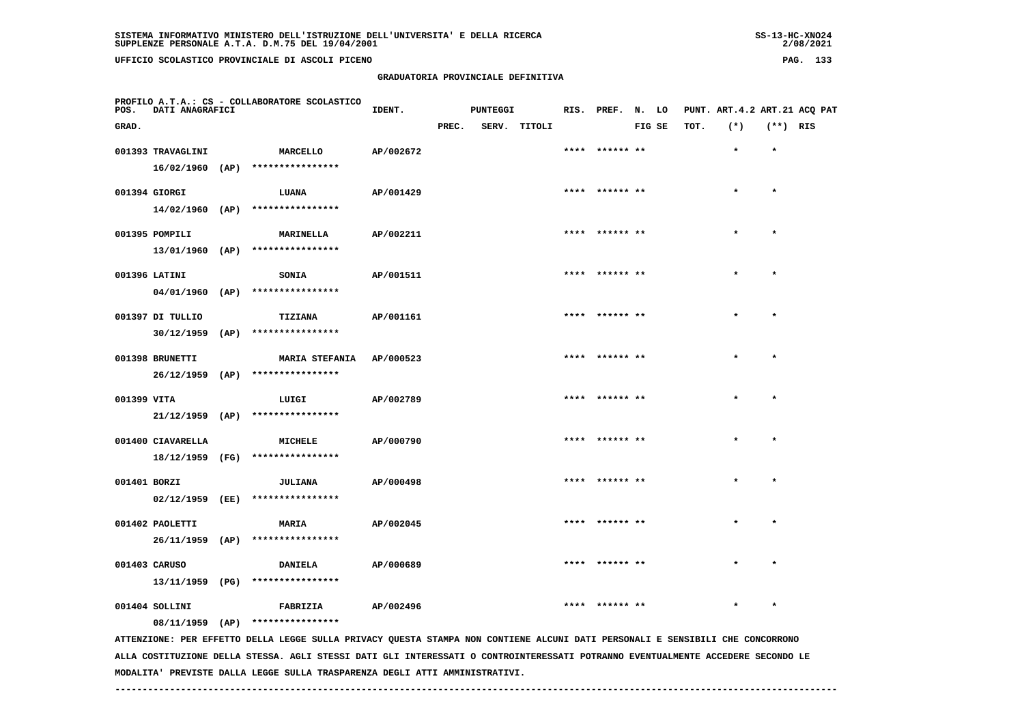# **GRADUATORIA PROVINCIALE DEFINITIVA**

 $2/08/2021$ 

| POS.         | PROFILO A.T.A.: CS - COLLABORATORE SCOLASTICO<br><b>DATI ANAGRAFICI</b> |  |                                                                                                                               | IDENT.<br><b>PUNTEGGI</b> |       |  | RIS. PREF. N. LO |  |                 | PUNT. ART.4.2 ART.21 ACQ PAT |      |         |            |  |
|--------------|-------------------------------------------------------------------------|--|-------------------------------------------------------------------------------------------------------------------------------|---------------------------|-------|--|------------------|--|-----------------|------------------------------|------|---------|------------|--|
| GRAD.        |                                                                         |  |                                                                                                                               |                           | PREC. |  | SERV. TITOLI     |  |                 | FIG SE                       | TOT. | $(*)$   | $(**)$ RIS |  |
|              | 001393 TRAVAGLINI                                                       |  | <b>MARCELLO</b>                                                                                                               | AP/002672                 |       |  |                  |  | **** ****** **  |                              |      | $\star$ | $\star$    |  |
|              |                                                                         |  | 16/02/1960 (AP) ****************                                                                                              |                           |       |  |                  |  |                 |                              |      |         |            |  |
|              | 001394 GIORGI                                                           |  | <b>LUANA</b>                                                                                                                  | AP/001429                 |       |  |                  |  | **** ****** **  |                              |      | $\star$ | $\star$    |  |
|              |                                                                         |  | 14/02/1960 (AP) ****************                                                                                              |                           |       |  |                  |  |                 |                              |      |         |            |  |
|              | 001395 POMPILI                                                          |  | <b>MARINELLA</b>                                                                                                              | AP/002211                 |       |  |                  |  | **** ****** **  |                              |      | $\star$ | $\star$    |  |
|              |                                                                         |  | 13/01/1960 (AP) ****************                                                                                              |                           |       |  |                  |  |                 |                              |      |         |            |  |
|              | 001396 LATINI                                                           |  | <b>SONIA</b>                                                                                                                  | AP/001511                 |       |  |                  |  | **** ****** **  |                              |      |         |            |  |
|              |                                                                         |  | 04/01/1960 (AP) ****************                                                                                              |                           |       |  |                  |  |                 |                              |      |         |            |  |
|              | 001397 DI TULLIO                                                        |  | TIZIANA                                                                                                                       | AP/001161                 |       |  |                  |  | **** ****** **  |                              |      | $\star$ | $\star$    |  |
|              |                                                                         |  | 30/12/1959 (AP) ****************                                                                                              |                           |       |  |                  |  |                 |                              |      |         |            |  |
|              | 001398 BRUNETTI                                                         |  | <b>MARIA STEFANIA</b>                                                                                                         | AP/000523                 |       |  |                  |  | **** ****** **  |                              |      | $\star$ | $\star$    |  |
|              |                                                                         |  | 26/12/1959 (AP) ****************                                                                                              |                           |       |  |                  |  |                 |                              |      |         |            |  |
| 001399 VITA  |                                                                         |  | LUIGI                                                                                                                         | AP/002789                 |       |  |                  |  | **** ****** **  |                              |      |         | $\star$    |  |
|              | $21/12/1959$ (AP)                                                       |  | ****************                                                                                                              |                           |       |  |                  |  |                 |                              |      |         |            |  |
|              | 001400 CIAVARELLA                                                       |  | MICHELE                                                                                                                       | AP/000790                 |       |  |                  |  | **** ****** **  |                              |      | $\star$ | $\star$    |  |
|              |                                                                         |  | 18/12/1959 (FG) ****************                                                                                              |                           |       |  |                  |  |                 |                              |      |         |            |  |
| 001401 BORZI |                                                                         |  | <b>JULIANA</b>                                                                                                                | AP/000498                 |       |  |                  |  |                 |                              |      |         | $\star$    |  |
|              |                                                                         |  | 02/12/1959 (EE) ****************                                                                                              |                           |       |  |                  |  |                 |                              |      |         |            |  |
|              | 001402 PAOLETTI                                                         |  | <b>MARIA</b>                                                                                                                  | AP/002045                 |       |  |                  |  | **** ****** **  |                              |      |         |            |  |
|              |                                                                         |  | $26/11/1959$ (AP) *****************                                                                                           |                           |       |  |                  |  |                 |                              |      |         |            |  |
|              | 001403 CARUSO                                                           |  | <b>DANIELA</b>                                                                                                                | AP/000689                 |       |  |                  |  | ****  ****** ** |                              |      | $\star$ | $\star$    |  |
|              | 13/11/1959 (PG)                                                         |  | ****************                                                                                                              |                           |       |  |                  |  |                 |                              |      |         |            |  |
|              | 001404 SOLLINI                                                          |  | FABRIZIA                                                                                                                      | AP/002496                 |       |  |                  |  | **** ****** **  |                              |      |         | $\star$    |  |
|              |                                                                         |  | 08/11/1959 (AP) ****************                                                                                              |                           |       |  |                  |  |                 |                              |      |         |            |  |
|              |                                                                         |  | ATTENZIONE: PER EFFETTO DELLA LEGGE SULLA PRIVACY QUESTA STAMPA NON CONTIENE ALCUNI DATI PERSONALI E SENSIBILI CHE CONCORRONO |                           |       |  |                  |  |                 |                              |      |         |            |  |

 **ALLA COSTITUZIONE DELLA STESSA. AGLI STESSI DATI GLI INTERESSATI O CONTROINTERESSATI POTRANNO EVENTUALMENTE ACCEDERE SECONDO LE MODALITA' PREVISTE DALLA LEGGE SULLA TRASPARENZA DEGLI ATTI AMMINISTRATIVI.**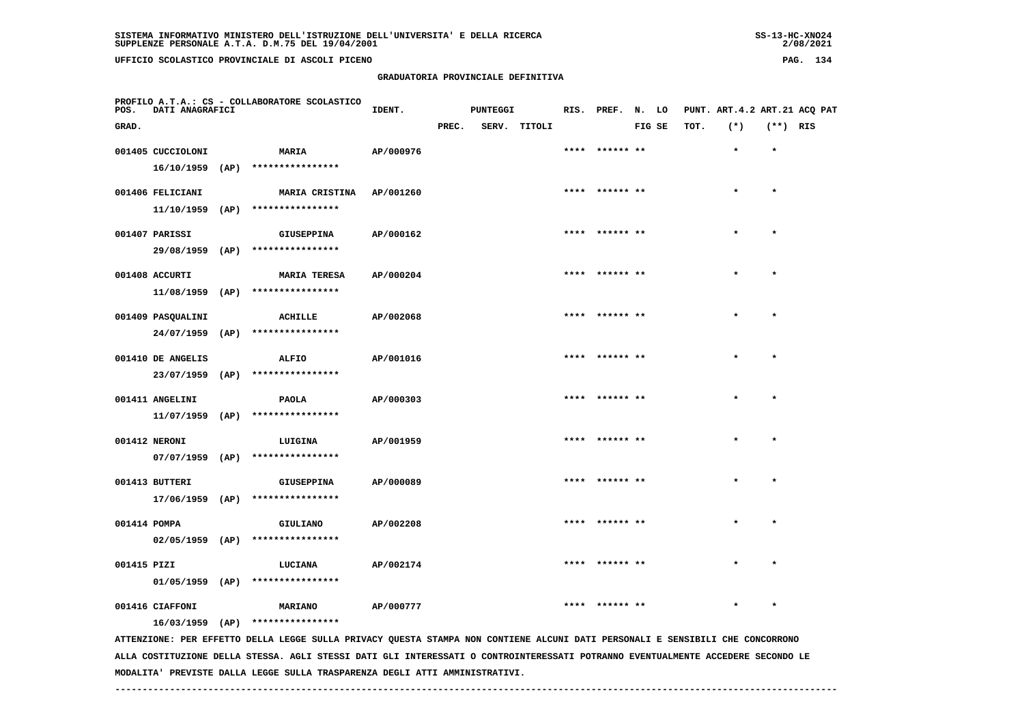**UFFICIO SCOLASTICO PROVINCIALE DI ASCOLI PICENO PAG. 134**

#### **GRADUATORIA PROVINCIALE DEFINITIVA**

| -----<br>__ | ., |
|-------------|----|
|             |    |
|             |    |
|             |    |
|             |    |
|             |    |

| POS.         | PROFILO A.T.A.: CS - COLLABORATORE SCOLASTICO<br><b>DATI ANAGRAFICI</b> |  |                                                                                                                               | IDENT.    |       | <b>PUNTEGGI</b> |              | RIS. PREF. N. LO |        |      |           |            | PUNT. ART.4.2 ART.21 ACQ PAT |
|--------------|-------------------------------------------------------------------------|--|-------------------------------------------------------------------------------------------------------------------------------|-----------|-------|-----------------|--------------|------------------|--------|------|-----------|------------|------------------------------|
| GRAD.        |                                                                         |  |                                                                                                                               |           | PREC. |                 | SERV. TITOLI |                  | FIG SE | TOT. | $(*)$     | $(**)$ RIS |                              |
|              | 001405 CUCCIOLONI                                                       |  | <b>MARIA</b>                                                                                                                  | AP/000976 |       |                 |              |                  |        |      | $\star$   | $\star$    |                              |
|              |                                                                         |  | 16/10/1959 (AP) ****************                                                                                              |           |       |                 |              |                  |        |      |           |            |                              |
|              | 001406 FELICIANI                                                        |  | MARIA CRISTINA AP/001260                                                                                                      |           |       |                 |              | ****  ****** **  |        |      | $\star$   | $\star$    |                              |
|              |                                                                         |  | $11/10/1959$ (AP) ****************                                                                                            |           |       |                 |              |                  |        |      |           |            |                              |
|              | 001407 PARISSI                                                          |  | <b>GIUSEPPINA</b>                                                                                                             | AP/000162 |       |                 |              | **** ****** **   |        |      | $\star$   | $\star$    |                              |
|              |                                                                         |  | 29/08/1959 (AP) ****************                                                                                              |           |       |                 |              |                  |        |      |           |            |                              |
|              | 001408 ACCURTI                                                          |  | <b>MARIA TERESA</b>                                                                                                           | AP/000204 |       |                 |              |                  |        |      |           |            |                              |
|              |                                                                         |  | $11/08/1959$ (AP) ****************                                                                                            |           |       |                 |              |                  |        |      |           |            |                              |
|              | 001409 PASQUALINI                                                       |  | ACHILLE                                                                                                                       | AP/002068 |       |                 |              | ****  ****** **  |        |      | $\star$   | $\star$    |                              |
|              |                                                                         |  | 24/07/1959 (AP) ****************                                                                                              |           |       |                 |              |                  |        |      |           |            |                              |
|              | 001410 DE ANGELIS                                                       |  | ALFIO                                                                                                                         | AP/001016 |       |                 |              | **** ****** **   |        |      | $\star$   | $\star$    |                              |
|              |                                                                         |  | 23/07/1959 (AP) ****************                                                                                              |           |       |                 |              |                  |        |      |           |            |                              |
|              |                                                                         |  |                                                                                                                               |           |       |                 |              | **** ****** **   |        |      |           | $\star$    |                              |
|              | 001411 ANGELINI<br>$11/07/1959$ (AP)                                    |  | <b>PAOLA</b><br>****************                                                                                              | AP/000303 |       |                 |              |                  |        |      |           |            |                              |
|              |                                                                         |  |                                                                                                                               |           |       |                 |              |                  |        |      | $\bullet$ |            |                              |
|              | 001412 NERONI                                                           |  | LUIGINA<br>07/07/1959 (AP) ****************                                                                                   | AP/001959 |       |                 |              | **** ****** **   |        |      |           | $\star$    |                              |
|              |                                                                         |  |                                                                                                                               |           |       |                 |              |                  |        |      |           |            |                              |
|              | 001413 BUTTERI                                                          |  | GIUSEPPINA                                                                                                                    | AP/000089 |       |                 |              |                  |        |      |           | $\star$    |                              |
|              |                                                                         |  | 17/06/1959 (AP) ****************                                                                                              |           |       |                 |              |                  |        |      |           |            |                              |
| 001414 POMPA |                                                                         |  | GIULIANO                                                                                                                      | AP/002208 |       |                 |              |                  |        |      |           |            |                              |
|              | $02/05/1959$ (AP)                                                       |  | ****************                                                                                                              |           |       |                 |              |                  |        |      |           |            |                              |
| 001415 PIZI  |                                                                         |  | LUCIANA                                                                                                                       | AP/002174 |       |                 |              | **** ****** **   |        |      | $\star$   | $\star$    |                              |
|              | $01/05/1959$ (AP)                                                       |  | ****************                                                                                                              |           |       |                 |              |                  |        |      |           |            |                              |
|              | 001416 CIAFFONI                                                         |  | <b>MARIANO</b>                                                                                                                | AP/000777 |       |                 |              |                  |        |      |           | $\star$    |                              |
|              |                                                                         |  | $16/03/1959$ (AP) ****************                                                                                            |           |       |                 |              |                  |        |      |           |            |                              |
|              |                                                                         |  | ATTENZIONE: PER EFFETTO DELLA LEGGE SULLA PRIVACY QUESTA STAMPA NON CONTIENE ALCUNI DATI PERSONALI E SENSIBILI CHE CONCORRONO |           |       |                 |              |                  |        |      |           |            |                              |

 **ALLA COSTITUZIONE DELLA STESSA. AGLI STESSI DATI GLI INTERESSATI O CONTROINTERESSATI POTRANNO EVENTUALMENTE ACCEDERE SECONDO LE MODALITA' PREVISTE DALLA LEGGE SULLA TRASPARENZA DEGLI ATTI AMMINISTRATIVI.**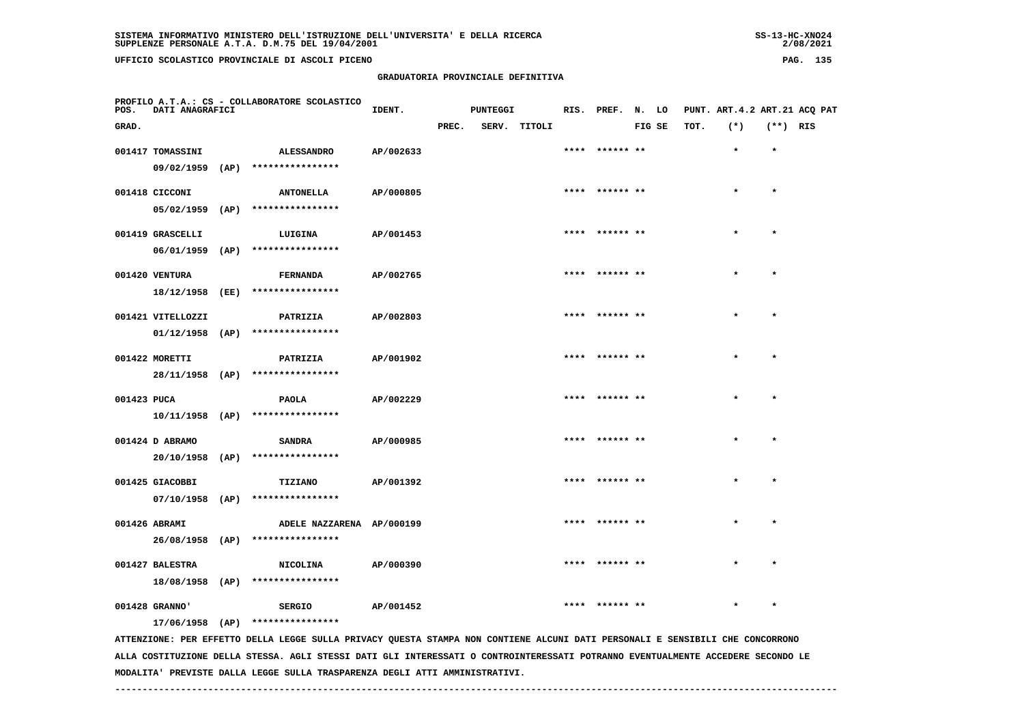**UFFICIO SCOLASTICO PROVINCIALE DI ASCOLI PICENO PAG. 135**

| POS.        | PROFILO A.T.A.: CS - COLLABORATORE SCOLASTICO<br>DATI ANAGRAFICI |  |                                                                                                                               | IDENT.    |       | <b>PUNTEGGI</b> |              | RIS. PREF. N. LO |        |      |         |            | PUNT. ART.4.2 ART.21 ACQ PAT |
|-------------|------------------------------------------------------------------|--|-------------------------------------------------------------------------------------------------------------------------------|-----------|-------|-----------------|--------------|------------------|--------|------|---------|------------|------------------------------|
| GRAD.       |                                                                  |  |                                                                                                                               |           | PREC. |                 | SERV. TITOLI |                  | FIG SE | TOT. | $(*)$   | $(**)$ RIS |                              |
|             | 001417 TOMASSINI                                                 |  | <b>ALESSANDRO</b>                                                                                                             | AP/002633 |       |                 |              | **** ****** **   |        |      | $\star$ | $\star$    |                              |
|             |                                                                  |  | 09/02/1959 (AP) ****************                                                                                              |           |       |                 |              |                  |        |      |         |            |                              |
|             | 001418 CICCONI                                                   |  | <b>ANTONELLA</b>                                                                                                              | AP/000805 |       |                 |              | **** ****** **   |        |      |         | $\star$    |                              |
|             |                                                                  |  | 05/02/1959 (AP) ****************                                                                                              |           |       |                 |              |                  |        |      |         |            |                              |
|             | 001419 GRASCELLI                                                 |  | LUIGINA                                                                                                                       | AP/001453 |       |                 |              | **** ****** **   |        |      | $\star$ | $\star$    |                              |
|             |                                                                  |  | 06/01/1959 (AP) ****************                                                                                              |           |       |                 |              |                  |        |      |         |            |                              |
|             | 001420 VENTURA                                                   |  | <b>FERNANDA</b>                                                                                                               | AP/002765 |       |                 |              |                  |        |      |         |            |                              |
|             | 18/12/1958 (EE)                                                  |  | ****************                                                                                                              |           |       |                 |              |                  |        |      |         |            |                              |
|             | 001421 VITELLOZZI                                                |  | PATRIZIA                                                                                                                      | AP/002803 |       |                 |              | **** ****** **   |        |      | $\star$ | $\star$    |                              |
|             |                                                                  |  | $01/12/1958$ (AP) ****************                                                                                            |           |       |                 |              |                  |        |      |         |            |                              |
|             | 001422 MORETTI                                                   |  | PATRIZIA                                                                                                                      | AP/001902 |       |                 |              | **** ****** **   |        |      |         | $\star$    |                              |
|             | 28/11/1958 (AP)                                                  |  | ****************                                                                                                              |           |       |                 |              |                  |        |      |         |            |                              |
| 001423 PUCA |                                                                  |  | <b>PAOLA</b>                                                                                                                  | AP/002229 |       |                 |              | **** ****** **   |        |      |         | $\star$    |                              |
|             |                                                                  |  | 10/11/1958 (AP) ****************                                                                                              |           |       |                 |              |                  |        |      |         |            |                              |
|             | 001424 D ABRAMO                                                  |  | <b>SANDRA</b>                                                                                                                 | AP/000985 |       |                 |              | **** ****** **   |        |      |         | $\star$    |                              |
|             |                                                                  |  | $20/10/1958$ (AP) ****************                                                                                            |           |       |                 |              |                  |        |      |         |            |                              |
|             | 001425 GIACOBBI                                                  |  | TIZIANO                                                                                                                       | AP/001392 |       |                 |              |                  |        |      |         |            |                              |
|             | $07/10/1958$ (AP)                                                |  | ****************                                                                                                              |           |       |                 |              |                  |        |      |         |            |                              |
|             | 001426 ABRAMI                                                    |  | ADELE NAZZARENA AP/000199                                                                                                     |           |       |                 |              | ****  ****** **  |        |      | $\star$ | $\star$    |                              |
|             |                                                                  |  | 26/08/1958 (AP) ****************                                                                                              |           |       |                 |              |                  |        |      |         |            |                              |
|             | 001427 BALESTRA                                                  |  | <b>NICOLINA</b>                                                                                                               | AP/000390 |       |                 |              | **** ****** **   |        |      |         | $\star$    |                              |
|             | 18/08/1958 (AP)                                                  |  | ****************                                                                                                              |           |       |                 |              |                  |        |      |         |            |                              |
|             | 001428 GRANNO'                                                   |  | <b>SERGIO</b>                                                                                                                 | AP/001452 |       |                 |              |                  |        |      |         | $\star$    |                              |
|             |                                                                  |  | 17/06/1958 (AP) ****************                                                                                              |           |       |                 |              |                  |        |      |         |            |                              |
|             |                                                                  |  | ATTENZIONE: PER EFFETTO DELLA LEGGE SULLA PRIVACY QUESTA STAMPA NON CONTIENE ALCUNI DATI PERSONALI E SENSIBILI CHE CONCORRONO |           |       |                 |              |                  |        |      |         |            |                              |

 **GRADUATORIA PROVINCIALE DEFINITIVA**

 **ALLA COSTITUZIONE DELLA STESSA. AGLI STESSI DATI GLI INTERESSATI O CONTROINTERESSATI POTRANNO EVENTUALMENTE ACCEDERE SECONDO LE MODALITA' PREVISTE DALLA LEGGE SULLA TRASPARENZA DEGLI ATTI AMMINISTRATIVI.**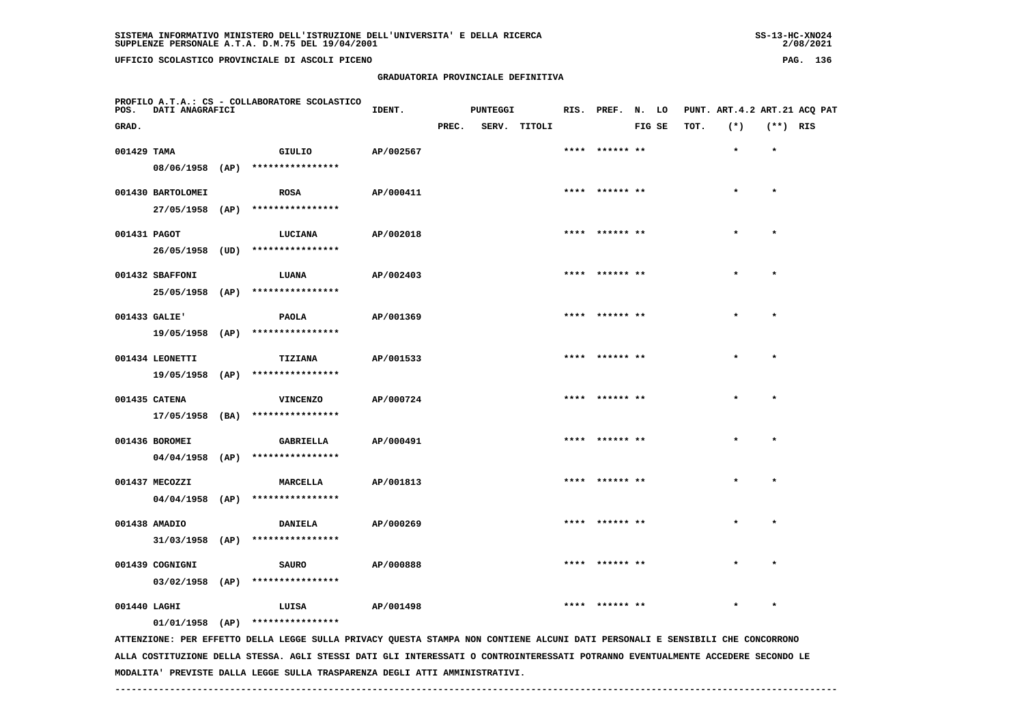**GRADUATORIA PROVINCIALE DEFINITIVA**

| SUPPLENZE PERSONALE A.T.A. D.M.75 DEL 19/04/2001 | 2/08/2021 |     |
|--------------------------------------------------|-----------|-----|
| UFFICIO SCOLASTICO PROVINCIALE DI ASCOLI PICENO  | PAG.      | 136 |

 $2/08/2021$ 

| POS.                                                                                                                                                                                                                                                                             | DATI ANAGRAFICI   | PROFILO A.T.A.: CS - COLLABORATORE SCOLASTICO       | IDENT.                                               |       | PUNTEGGI |              | RIS. PREF. N. LO |        |      | PUNT. ART. 4.2 ART. 21 ACO PAT |            |  |
|----------------------------------------------------------------------------------------------------------------------------------------------------------------------------------------------------------------------------------------------------------------------------------|-------------------|-----------------------------------------------------|------------------------------------------------------|-------|----------|--------------|------------------|--------|------|--------------------------------|------------|--|
| GRAD.                                                                                                                                                                                                                                                                            |                   |                                                     |                                                      | PREC. |          | SERV. TITOLI |                  | FIG SE | TOT. | $(*)$                          | $(**)$ RIS |  |
| 001429 TAMA                                                                                                                                                                                                                                                                      |                   | GIULIO                                              | AP/002567                                            |       |          |              | ****** **        |        |      | $\star$                        | $\star$    |  |
|                                                                                                                                                                                                                                                                                  |                   | 08/06/1958 (AP) ****************                    |                                                      |       |          |              |                  |        |      |                                |            |  |
|                                                                                                                                                                                                                                                                                  | 001430 BARTOLOMEI | <b>ROSA</b>                                         | AP/000411                                            |       |          |              | **** ****** **   |        |      | $\star$                        | $\star$    |  |
|                                                                                                                                                                                                                                                                                  | 27/05/1958 (AP)   | ****************                                    |                                                      |       |          |              |                  |        |      |                                |            |  |
| 001431 PAGOT                                                                                                                                                                                                                                                                     |                   | LUCIANA                                             | AP/002018                                            |       |          |              | **** ****** **   |        |      |                                | $\star$    |  |
|                                                                                                                                                                                                                                                                                  | 26/05/1958 (UD)   | ****************                                    |                                                      |       |          |              |                  |        |      |                                |            |  |
|                                                                                                                                                                                                                                                                                  |                   |                                                     |                                                      |       |          |              | **** ****** **   |        |      | $\star$                        | $\star$    |  |
|                                                                                                                                                                                                                                                                                  | 001432 SBAFFONI   | LUANA<br>25/05/1958 (AP) ****************           | AP/002403                                            |       |          |              |                  |        |      |                                |            |  |
|                                                                                                                                                                                                                                                                                  |                   |                                                     |                                                      |       |          |              |                  |        |      |                                |            |  |
|                                                                                                                                                                                                                                                                                  | 001433 GALIE'     | PAOLA                                               | AP/001369                                            |       |          |              |                  |        |      |                                | $\star$    |  |
|                                                                                                                                                                                                                                                                                  |                   | 19/05/1958 (AP) ****************                    |                                                      |       |          |              |                  |        |      |                                |            |  |
|                                                                                                                                                                                                                                                                                  | 001434 LEONETTI   | <b>TIZIANA</b>                                      | AP/001533                                            |       |          |              |                  |        |      |                                |            |  |
|                                                                                                                                                                                                                                                                                  |                   | 19/05/1958 (AP) ****************                    |                                                      |       |          |              |                  |        |      |                                |            |  |
|                                                                                                                                                                                                                                                                                  | 001435 CATENA     | <b>VINCENZO</b>                                     | AP/000724                                            |       |          |              | **** ****** **   |        |      |                                | $\star$    |  |
|                                                                                                                                                                                                                                                                                  | 17/05/1958 (BA)   | ****************                                    |                                                      |       |          |              |                  |        |      |                                |            |  |
|                                                                                                                                                                                                                                                                                  | 001436 BOROMEI    | <b>GABRIELLA</b>                                    | AP/000491                                            |       |          |              | **** ****** **   |        |      | $\star$                        | $\star$    |  |
|                                                                                                                                                                                                                                                                                  |                   | 04/04/1958 (AP) ****************                    |                                                      |       |          |              |                  |        |      |                                |            |  |
|                                                                                                                                                                                                                                                                                  | 001437 MECOZZI    | MARCELLA                                            | AP/001813                                            |       |          |              | **** ****** **   |        |      |                                | $\star$    |  |
|                                                                                                                                                                                                                                                                                  |                   | 04/04/1958 (AP) ****************                    |                                                      |       |          |              |                  |        |      |                                |            |  |
|                                                                                                                                                                                                                                                                                  | 001438 AMADIO     | <b>DANIELA</b>                                      | AP/000269                                            |       |          |              | **** ****** **   |        |      |                                | $\star$    |  |
|                                                                                                                                                                                                                                                                                  |                   | 31/03/1958 (AP) ****************                    |                                                      |       |          |              |                  |        |      |                                |            |  |
|                                                                                                                                                                                                                                                                                  |                   |                                                     |                                                      |       |          |              |                  |        |      |                                |            |  |
|                                                                                                                                                                                                                                                                                  | 001439 COGNIGNI   | <b>SAURO</b>                                        | AP/000888                                            |       |          |              |                  |        |      |                                | $\star$    |  |
|                                                                                                                                                                                                                                                                                  |                   | 03/02/1958 (AP) ****************                    |                                                      |       |          |              |                  |        |      |                                |            |  |
|                                                                                                                                                                                                                                                                                  | 001440 LAGHI      | LUISA                                               | AP/001498                                            |       |          |              | **** ****** **   |        |      |                                | $\star$    |  |
| $\begin{array}{c} \bullet \end{array} \begin{array}{c} \text{mm} \end{array} \begin{array}{c} \text{mm} \end{array} \begin{array}{c} \text{mm} \end{array} \begin{array}{c} \text{mm} \end{array} \begin{array}{c} \text{mm} \end{array} \begin{array}{c} \text{mm} \end{array}$ |                   | $01/01/1958$ (AP) *****************<br>------ ----- | BREIS AU AURARA ARAIGA MAU AAURTRUP AT AUNT BART BRB |       |          |              |                  |        |      | 2717777777 2777 201770770      |            |  |

 **ATTENZIONE: PER EFFETTO DELLA LEGGE SULLA PRIVACY QUESTA STAMPA NON CONTIENE ALCUNI DATI PERSONALI E SENSIBILI CHE CONCORRONO ALLA COSTITUZIONE DELLA STESSA. AGLI STESSI DATI GLI INTERESSATI O CONTROINTERESSATI POTRANNO EVENTUALMENTE ACCEDERE SECONDO LE MODALITA' PREVISTE DALLA LEGGE SULLA TRASPARENZA DEGLI ATTI AMMINISTRATIVI.**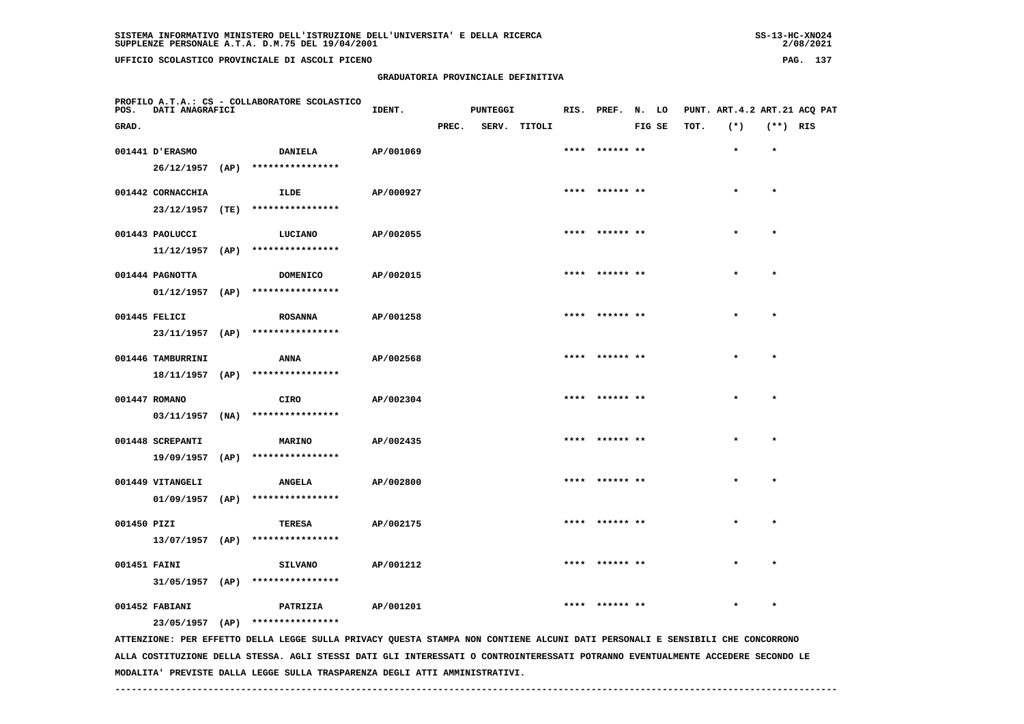| 55-13-AL-ANUZ4 |
|----------------|
| 2/08/2021      |

| POS.         | PROFILO A.T.A.: CS - COLLABORATORE SCOLASTICO<br><b>DATI ANAGRAFICI</b> |  |                                                                                                                               | IDENT.    |       | <b>PUNTEGGI</b> |              | RIS. PREF. N. LO |        |      |         |            | PUNT. ART. 4.2 ART. 21 ACO PAT |
|--------------|-------------------------------------------------------------------------|--|-------------------------------------------------------------------------------------------------------------------------------|-----------|-------|-----------------|--------------|------------------|--------|------|---------|------------|--------------------------------|
| GRAD.        |                                                                         |  |                                                                                                                               |           | PREC. |                 | SERV. TITOLI |                  | FIG SE | TOT. | $(*)$   | $(**)$ RIS |                                |
|              | 001441 D'ERASMO                                                         |  | <b>DANIELA</b>                                                                                                                | AP/001069 |       |                 |              |                  |        |      | $\star$ | $\star$    |                                |
|              |                                                                         |  | 26/12/1957 (AP) ****************                                                                                              |           |       |                 |              |                  |        |      |         |            |                                |
|              | 001442 CORNACCHIA                                                       |  | ILDE                                                                                                                          | AP/000927 |       |                 |              | ****  ****** **  |        |      | $\star$ | $\star$    |                                |
|              |                                                                         |  | 23/12/1957 (TE) ****************                                                                                              |           |       |                 |              |                  |        |      |         |            |                                |
|              | 001443 PAOLUCCI                                                         |  | LUCIANO                                                                                                                       | AP/002055 |       |                 |              | **** ****** **   |        |      | $\star$ | $\star$    |                                |
|              |                                                                         |  | $11/12/1957$ (AP) *****************                                                                                           |           |       |                 |              |                  |        |      |         |            |                                |
|              | 001444 PAGNOTTA                                                         |  | DOMENICO                                                                                                                      | AP/002015 |       |                 |              |                  |        |      |         |            |                                |
|              | 01/12/1957 (AP)                                                         |  | ****************                                                                                                              |           |       |                 |              |                  |        |      |         |            |                                |
|              | 001445 FELICI                                                           |  | <b>ROSANNA</b>                                                                                                                | AP/001258 |       |                 |              | **** ****** **   |        |      | $\star$ | $\star$    |                                |
|              |                                                                         |  | 23/11/1957 (AP) ****************                                                                                              |           |       |                 |              |                  |        |      |         |            |                                |
|              | 001446 TAMBURRINI                                                       |  | ANNA                                                                                                                          | AP/002568 |       |                 |              | **** ****** **   |        |      | $\star$ | $\star$    |                                |
|              | 18/11/1957 (AP)                                                         |  | ****************                                                                                                              |           |       |                 |              |                  |        |      |         |            |                                |
|              | 001447 ROMANO                                                           |  | CIRO                                                                                                                          | AP/002304 |       |                 |              |                  |        |      |         | $\star$    |                                |
|              | $03/11/1957$ (NA)                                                       |  | ****************                                                                                                              |           |       |                 |              |                  |        |      |         |            |                                |
|              | 001448 SCREPANTI                                                        |  |                                                                                                                               | AP/002435 |       |                 |              | **** ****** **   |        |      |         | $\star$    |                                |
|              |                                                                         |  | <b>MARINO</b><br>19/09/1957 (AP) ****************                                                                             |           |       |                 |              |                  |        |      |         |            |                                |
|              |                                                                         |  |                                                                                                                               |           |       |                 |              | **** ****** **   |        |      | $\star$ | $\star$    |                                |
|              | 001449 VITANGELI                                                        |  | <b>ANGELA</b><br>$01/09/1957$ (AP) ****************                                                                           | AP/002800 |       |                 |              |                  |        |      |         |            |                                |
|              |                                                                         |  |                                                                                                                               |           |       |                 |              |                  |        |      |         |            |                                |
| 001450 PIZI  |                                                                         |  | TERESA                                                                                                                        | AP/002175 |       |                 |              |                  |        |      |         |            |                                |
|              |                                                                         |  | $13/07/1957$ (AP) ****************                                                                                            |           |       |                 |              |                  |        |      |         |            |                                |
| 001451 FAINI |                                                                         |  | <b>SILVANO</b>                                                                                                                | AP/001212 |       |                 |              | **** ****** **   |        |      |         | $\star$    |                                |
|              |                                                                         |  | $31/05/1957$ (AP) ****************                                                                                            |           |       |                 |              |                  |        |      |         |            |                                |
|              | 001452 FABIANI                                                          |  | PATRIZIA                                                                                                                      | AP/001201 |       |                 |              | **** ****** **   |        |      | $\star$ | $\star$    |                                |
|              |                                                                         |  | 23/05/1957 (AP) ****************                                                                                              |           |       |                 |              |                  |        |      |         |            |                                |
|              |                                                                         |  | ATTENZIONE: PER EFFETTO DELLA LEGGE SULLA PRIVACY QUESTA STAMPA NON CONTIENE ALCUNI DATI PERSONALI E SENSIBILI CHE CONCORRONO |           |       |                 |              |                  |        |      |         |            |                                |

 **ALLA COSTITUZIONE DELLA STESSA. AGLI STESSI DATI GLI INTERESSATI O CONTROINTERESSATI POTRANNO EVENTUALMENTE ACCEDERE SECONDO LE MODALITA' PREVISTE DALLA LEGGE SULLA TRASPARENZA DEGLI ATTI AMMINISTRATIVI.**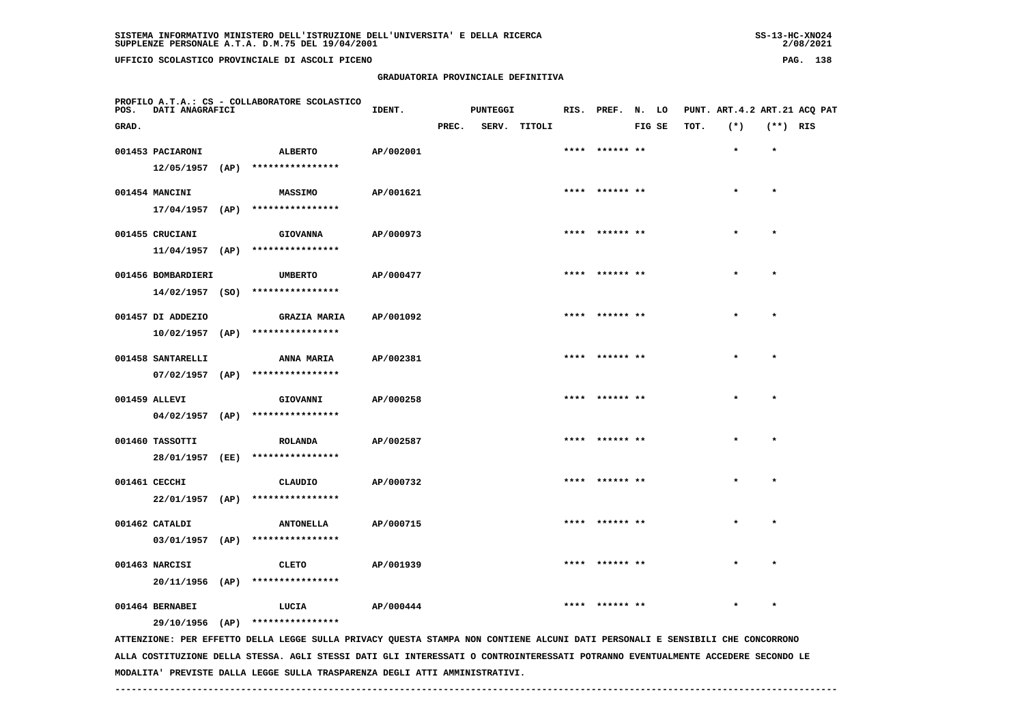|  | E DELLA RICERCA |  |  |  |
|--|-----------------|--|--|--|
|  |                 |  |  |  |
|  |                 |  |  |  |
|  |                 |  |  |  |

 $2/08/2021$ 

| POS.  | DATI ANAGRAFICI    | PROFILO A.T.A.: CS - COLLABORATORE SCOLASTICO | IDENT.    |       | <b>PUNTEGGI</b> |              |      | RIS. PREF. N. LO |        |      | PUNT. ART. 4.2 ART. 21 ACQ PAT |            |  |
|-------|--------------------|-----------------------------------------------|-----------|-------|-----------------|--------------|------|------------------|--------|------|--------------------------------|------------|--|
| GRAD. |                    |                                               |           | PREC. |                 | SERV. TITOLI |      |                  | FIG SE | TOT. | $(*)$                          | $(**)$ RIS |  |
|       | 001453 PACIARONI   | <b>ALBERTO</b>                                | AP/002001 |       |                 |              | **** | ****** **        |        |      | $\star$                        | $\star$    |  |
|       | $12/05/1957$ (AP)  | ****************                              |           |       |                 |              |      |                  |        |      |                                |            |  |
|       | 001454 MANCINI     | <b>MASSIMO</b>                                | AP/001621 |       |                 |              |      | **** ****** **   |        |      | $\star$                        | $\star$    |  |
|       |                    | 17/04/1957 (AP) ****************              |           |       |                 |              |      |                  |        |      |                                |            |  |
|       | 001455 CRUCIANI    | <b>GIOVANNA</b>                               | AP/000973 |       |                 |              |      | **** ****** **   |        |      |                                | $\star$    |  |
|       |                    | 11/04/1957 (AP) ****************              |           |       |                 |              |      |                  |        |      |                                |            |  |
|       | 001456 BOMBARDIERI | <b>UMBERTO</b>                                | AP/000477 |       |                 |              |      | **** ****** **   |        |      |                                | $\star$    |  |
|       |                    | 14/02/1957 (SO) ****************              |           |       |                 |              |      |                  |        |      |                                |            |  |
|       | 001457 DI ADDEZIO  | <b>GRAZIA MARIA</b>                           | AP/001092 |       |                 |              |      |                  |        |      |                                |            |  |
|       |                    | $10/02/1957$ (AP) ****************            |           |       |                 |              |      |                  |        |      |                                |            |  |
|       | 001458 SANTARELLI  | <b>ANNA MARIA</b>                             | AP/002381 |       |                 |              |      | **** ****** **   |        |      |                                | $\star$    |  |
|       | $07/02/1957$ (AP)  | ****************                              |           |       |                 |              |      |                  |        |      |                                |            |  |
|       | 001459 ALLEVI      | GIOVANNI                                      | AP/000258 |       |                 |              |      | **** ****** **   |        |      | $\star$                        | $\star$    |  |
|       | 04/02/1957 (AP)    | ****************                              |           |       |                 |              |      |                  |        |      |                                |            |  |
|       | 001460 TASSOTTI    | ROLANDA                                       | AP/002587 |       |                 |              |      | **** ****** **   |        |      | $\star$                        | $\star$    |  |
|       | 28/01/1957 (EE)    | ****************                              |           |       |                 |              |      |                  |        |      |                                |            |  |
|       | 001461 CECCHI      | CLAUDIO                                       | AP/000732 |       |                 |              |      | **** ****** **   |        |      | $\star$                        | $\star$    |  |
|       | $22/01/1957$ (AP)  | ****************                              |           |       |                 |              |      |                  |        |      |                                |            |  |
|       | 001462 CATALDI     | <b>ANTONELLA</b>                              | AP/000715 |       |                 |              |      | **** ****** **   |        |      |                                | $\star$    |  |
|       | $03/01/1957$ (AP)  | ****************                              |           |       |                 |              |      |                  |        |      |                                |            |  |
|       | 001463 NARCISI     | <b>CLETO</b>                                  | AP/001939 |       |                 |              |      | **** ****** **   |        |      | $\star$                        | $\star$    |  |
|       | 20/11/1956 (AP)    | ****************                              |           |       |                 |              |      |                  |        |      |                                |            |  |
|       | 001464 BERNABEI    | LUCIA                                         | AP/000444 |       |                 |              |      | **** ****** **   |        |      | $\star$                        | $\star$    |  |
|       |                    | 29/10/1956 (AP) ****************              |           |       |                 |              |      |                  |        |      |                                |            |  |
|       |                    |                                               |           |       |                 |              |      |                  |        |      |                                |            |  |

 **ATTENZIONE: PER EFFETTO DELLA LEGGE SULLA PRIVACY QUESTA STAMPA NON CONTIENE ALCUNI DATI PERSONALI E SENSIBILI CHE CONCORRONO ALLA COSTITUZIONE DELLA STESSA. AGLI STESSI DATI GLI INTERESSATI O CONTROINTERESSATI POTRANNO EVENTUALMENTE ACCEDERE SECONDO LE MODALITA' PREVISTE DALLA LEGGE SULLA TRASPARENZA DEGLI ATTI AMMINISTRATIVI.**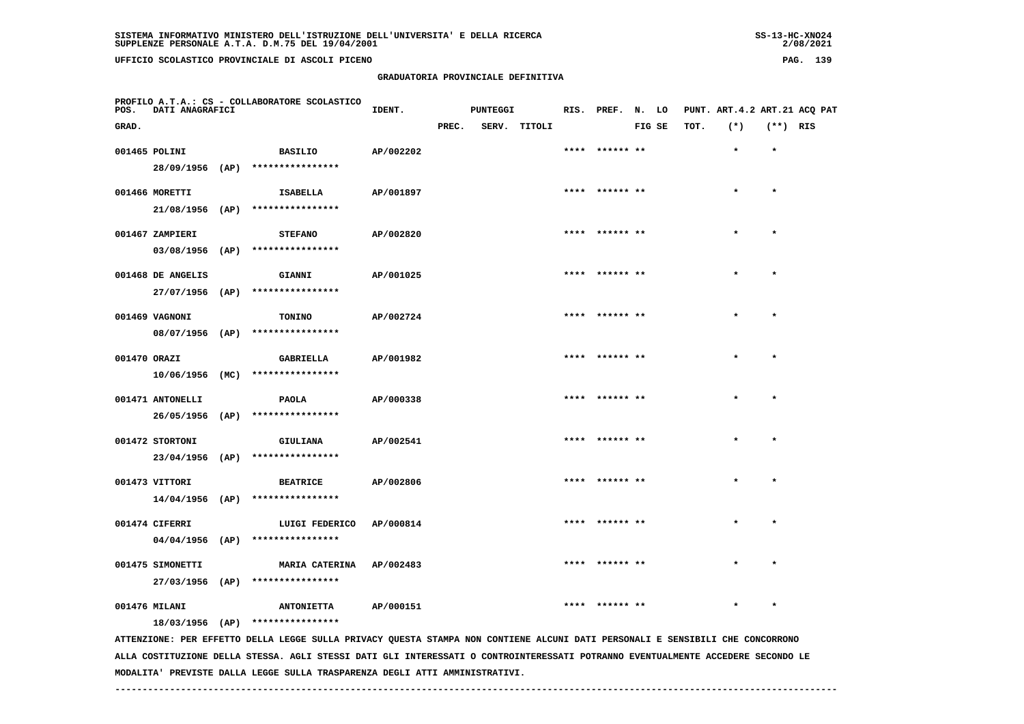| 55-13-ANU4+ |
|-------------|
| 2/08/2021   |

| POS.         | DATI ANAGRAFICI   | PROFILO A.T.A.: CS - COLLABORATORE SCOLASTICO                                                                                 | IDENT.    |       | <b>PUNTEGGI</b> |              |      | RIS. PREF. N. LO |        |      | PUNT. ART. 4.2 ART. 21 ACQ PAT |            |  |
|--------------|-------------------|-------------------------------------------------------------------------------------------------------------------------------|-----------|-------|-----------------|--------------|------|------------------|--------|------|--------------------------------|------------|--|
| GRAD.        |                   |                                                                                                                               |           | PREC. |                 | SERV. TITOLI |      |                  | FIG SE | TOT. | $(*)$                          | $(**)$ RIS |  |
|              | 001465 POLINI     | <b>BASILIO</b>                                                                                                                | AP/002202 |       |                 |              |      | ****  ****** **  |        |      | $\star$                        | $\star$    |  |
|              |                   | 28/09/1956 (AP) ****************                                                                                              |           |       |                 |              |      |                  |        |      |                                |            |  |
|              | 001466 MORETTI    | ISABELLA                                                                                                                      | AP/001897 |       |                 |              |      | **** ****** **   |        |      |                                | $\star$    |  |
|              |                   | $21/08/1956$ (AP) ****************                                                                                            |           |       |                 |              |      |                  |        |      |                                |            |  |
|              | 001467 ZAMPIERI   | <b>STEFANO</b>                                                                                                                | AP/002820 |       |                 |              |      | **** ****** **   |        |      |                                | $\star$    |  |
|              |                   | $03/08/1956$ (AP) ****************                                                                                            |           |       |                 |              |      |                  |        |      |                                |            |  |
|              | 001468 DE ANGELIS | <b>GIANNI</b>                                                                                                                 | AP/001025 |       |                 |              | **** | ****** **        |        |      |                                |            |  |
|              | 27/07/1956 (AP)   | ****************                                                                                                              |           |       |                 |              |      |                  |        |      |                                |            |  |
|              | 001469 VAGNONI    | TONINO                                                                                                                        | AP/002724 |       |                 |              |      | **** ****** **   |        |      |                                | $\star$    |  |
|              | 08/07/1956 (AP)   | ****************                                                                                                              |           |       |                 |              |      |                  |        |      |                                |            |  |
| 001470 ORAZI |                   | <b>GABRIELLA</b>                                                                                                              | AP/001982 |       |                 |              | **** | ****** **        |        |      |                                | $\star$    |  |
|              | 10/06/1956 (MC)   | ****************                                                                                                              |           |       |                 |              |      |                  |        |      |                                |            |  |
|              | 001471 ANTONELLI  | <b>PAOLA</b>                                                                                                                  | AP/000338 |       |                 |              |      |                  |        |      |                                | $\star$    |  |
|              |                   | 26/05/1956 (AP) ****************                                                                                              |           |       |                 |              |      |                  |        |      |                                |            |  |
|              | 001472 STORTONI   | GIULIANA                                                                                                                      | AP/002541 |       |                 |              |      |                  |        |      |                                |            |  |
|              | 23/04/1956 (AP)   | ****************                                                                                                              |           |       |                 |              |      |                  |        |      |                                |            |  |
|              | 001473 VITTORI    | <b>BEATRICE</b>                                                                                                               | AP/002806 |       |                 |              |      |                  |        |      |                                |            |  |
|              | $14/04/1956$ (AP) | ****************                                                                                                              |           |       |                 |              |      |                  |        |      |                                |            |  |
|              | 001474 CIFERRI    | LUIGI FEDERICO                                                                                                                | AP/000814 |       |                 |              |      | ****** **        |        |      |                                |            |  |
|              | $04/04/1956$ (AP) | ****************                                                                                                              |           |       |                 |              |      |                  |        |      |                                |            |  |
|              | 001475 SIMONETTI  | <b>MARIA CATERINA</b>                                                                                                         | AP/002483 |       |                 |              |      | ****  ****** **  |        |      |                                | $\star$    |  |
|              |                   | 27/03/1956 (AP) ****************                                                                                              |           |       |                 |              |      |                  |        |      |                                |            |  |
|              | 001476 MILANI     | <b>ANTONIETTA</b>                                                                                                             | AP/000151 |       |                 |              |      | **** ****** **   |        |      |                                |            |  |
|              |                   | 18/03/1956 (AP) ****************                                                                                              |           |       |                 |              |      |                  |        |      |                                |            |  |
|              |                   | ATTENZIONE: PER EFFETTO DELLA LEGGE SULLA PRIVACY QUESTA STAMPA NON CONTIENE ALCUNI DATI PERSONALI E SENSIBILI CHE CONCORRONO |           |       |                 |              |      |                  |        |      |                                |            |  |
|              |                   | 1017 APRACE BIRT ALT TURBERGAINT A GAUREATURBERGAINT EAREILEIA BURURUILIANER                                                  |           |       |                 |              |      |                  |        |      |                                |            |  |

 **ALLA COSTITUZIONE DELLA STESSA. AGLI STESSI DATI GLI INTERESSATI O CONTROINTERESSATI POTRANNO EVENTUALMENTE ACCEDERE SECONDO LE MODALITA' PREVISTE DALLA LEGGE SULLA TRASPARENZA DEGLI ATTI AMMINISTRATIVI.**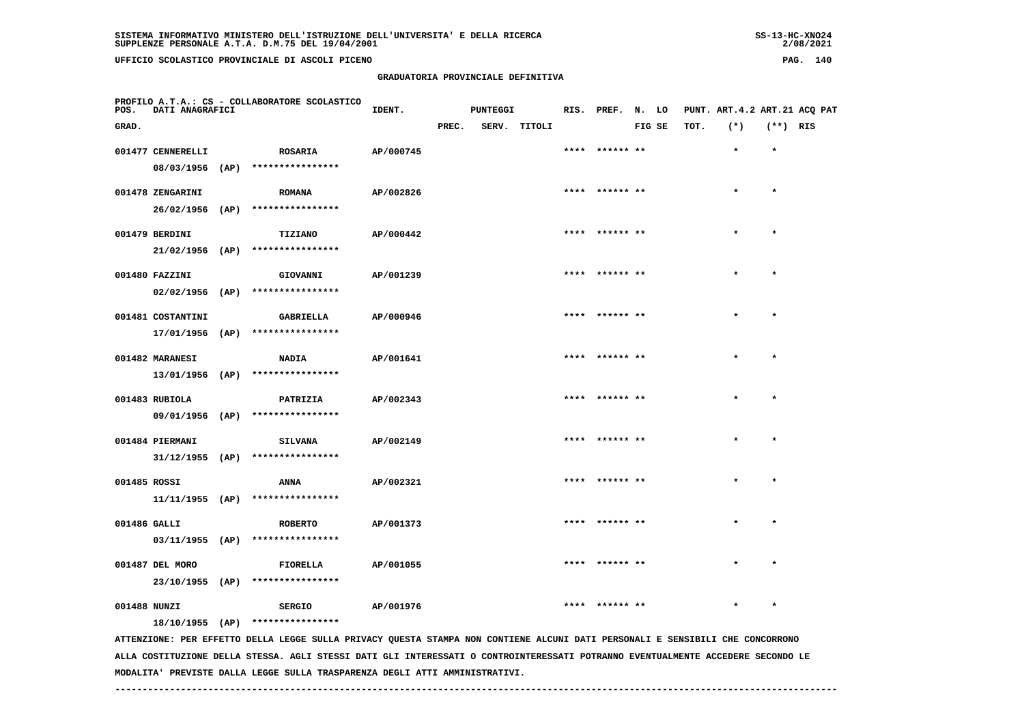| $SS-13-HC-XNO24$ |
|------------------|
| 2/08/2021        |

| POS.         | DATI ANAGRAFICI   |      | PROFILO A.T.A.: CS - COLLABORATORE SCOLASTICO                                                                                 | IDENT.    |       | <b>PUNTEGGI</b> |              | RIS. PREF. N. LO |        |      | PUNT. ART. 4.2 ART. 21 ACO PAT |            |  |
|--------------|-------------------|------|-------------------------------------------------------------------------------------------------------------------------------|-----------|-------|-----------------|--------------|------------------|--------|------|--------------------------------|------------|--|
| GRAD.        |                   |      |                                                                                                                               |           | PREC. |                 | SERV. TITOLI |                  | FIG SE | TOT. | $(*)$                          | $(**)$ RIS |  |
|              | 001477 CENNERELLI |      | <b>ROSARIA</b>                                                                                                                | AP/000745 |       |                 |              | ****** **        |        |      | $\star$                        | $\star$    |  |
|              | 08/03/1956        | (AP) | ****************                                                                                                              |           |       |                 |              |                  |        |      |                                |            |  |
|              | 001478 ZENGARINI  |      | <b>ROMANA</b>                                                                                                                 | AP/002826 |       |                 |              | **** ****** **   |        |      | $\star$                        | $\star$    |  |
|              |                   |      | 26/02/1956 (AP) ****************                                                                                              |           |       |                 |              |                  |        |      |                                |            |  |
|              | 001479 BERDINI    |      | <b>TIZIANO</b>                                                                                                                | AP/000442 |       |                 |              | **** ****** **   |        |      | $\star$                        | $\star$    |  |
|              |                   |      | 21/02/1956 (AP) ****************                                                                                              |           |       |                 |              |                  |        |      |                                |            |  |
|              | 001480 FAZZINI    |      | GIOVANNI                                                                                                                      | AP/001239 |       |                 |              | ****  ****** **  |        |      |                                |            |  |
|              | $02/02/1956$ (AP) |      | ****************                                                                                                              |           |       |                 |              |                  |        |      |                                |            |  |
|              | 001481 COSTANTINI |      | <b>GABRIELLA</b>                                                                                                              | AP/000946 |       |                 |              | **** ****** **   |        |      |                                | $\star$    |  |
|              |                   |      | 17/01/1956 (AP) ****************                                                                                              |           |       |                 |              |                  |        |      |                                |            |  |
|              | 001482 MARANESI   |      | <b>NADIA</b>                                                                                                                  | AP/001641 |       |                 |              | **** ****** **   |        |      | $\star$                        | $\star$    |  |
|              | 13/01/1956 (AP)   |      | ****************                                                                                                              |           |       |                 |              |                  |        |      |                                |            |  |
|              | 001483 RUBIOLA    |      | PATRIZIA                                                                                                                      | AP/002343 |       |                 |              | **** ****** **   |        |      | $\star$                        | $\star$    |  |
|              | 09/01/1956 (AP)   |      | ****************                                                                                                              |           |       |                 |              |                  |        |      |                                |            |  |
|              | 001484 PIERMANI   |      | <b>SILVANA</b>                                                                                                                | AP/002149 |       |                 |              | **** ****** **   |        |      |                                | $\star$    |  |
|              |                   |      | $31/12/1955$ (AP) ****************                                                                                            |           |       |                 |              |                  |        |      |                                |            |  |
| 001485 ROSSI |                   |      | ANNA                                                                                                                          | AP/002321 |       |                 |              | **** ****** **   |        |      |                                | $\star$    |  |
|              |                   |      | $11/11/1955$ (AP) ****************                                                                                            |           |       |                 |              |                  |        |      |                                |            |  |
| 001486 GALLI |                   |      | <b>ROBERTO</b>                                                                                                                | AP/001373 |       |                 |              | **** ****** **   |        |      |                                | $\bullet$  |  |
|              |                   |      | $03/11/1955$ (AP) ****************                                                                                            |           |       |                 |              |                  |        |      |                                |            |  |
|              | 001487 DEL MORO   |      | FIORELLA                                                                                                                      | AP/001055 |       |                 |              | **** ****** **   |        |      |                                | $\star$    |  |
|              | 23/10/1955 (AP)   |      | ****************                                                                                                              |           |       |                 |              |                  |        |      |                                |            |  |
| 001488 NUNZI |                   |      | <b>SERGIO</b>                                                                                                                 | AP/001976 |       |                 |              |                  |        |      |                                |            |  |
|              |                   |      | 18/10/1955 (AP) ****************                                                                                              |           |       |                 |              |                  |        |      |                                |            |  |
|              |                   |      | ATTENZIONE: PER EFFETTO DELLA LEGGE SULLA PRIVACY QUESTA STAMPA NON CONTIENE ALCUNI DATI PERSONALI E SENSIBILI CHE CONCORRONO |           |       |                 |              |                  |        |      |                                |            |  |

 **ALLA COSTITUZIONE DELLA STESSA. AGLI STESSI DATI GLI INTERESSATI O CONTROINTERESSATI POTRANNO EVENTUALMENTE ACCEDERE SECONDO LE MODALITA' PREVISTE DALLA LEGGE SULLA TRASPARENZA DEGLI ATTI AMMINISTRATIVI.**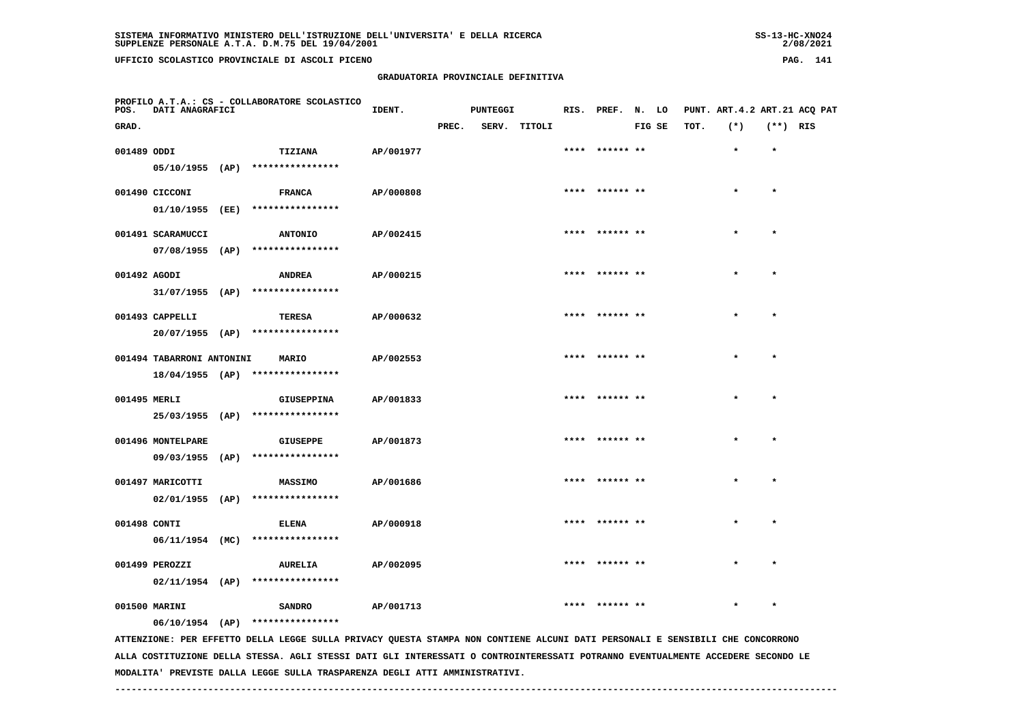| 55-13-AL-ANUZ4 |  |
|----------------|--|
| 2/08/2021      |  |

| POS.         | DATI ANAGRAFICI           | PROFILO A.T.A.: CS - COLLABORATORE SCOLASTICO                                                                                 | IDENT.    |       | PUNTEGGI |              | RIS. PREF. N. LO |        |      | PUNT. ART. 4.2 ART. 21 ACQ PAT |            |  |
|--------------|---------------------------|-------------------------------------------------------------------------------------------------------------------------------|-----------|-------|----------|--------------|------------------|--------|------|--------------------------------|------------|--|
| GRAD.        |                           |                                                                                                                               |           | PREC. |          | SERV. TITOLI |                  | FIG SE | TOT. | $(*)$                          | $(**)$ RIS |  |
| 001489 ODDI  |                           | TIZIANA                                                                                                                       | AP/001977 |       |          |              | **** ****** **   |        |      | $\star$                        | $\star$    |  |
|              |                           | $05/10/1955$ (AP) ****************                                                                                            |           |       |          |              |                  |        |      |                                |            |  |
|              | 001490 CICCONI            | <b>FRANCA</b>                                                                                                                 | AP/000808 |       |          |              | **** ****** **   |        |      | $\star$                        | $\star$    |  |
|              |                           | 01/10/1955 (EE) ****************                                                                                              |           |       |          |              |                  |        |      |                                |            |  |
|              | 001491 SCARAMUCCI         | <b>ANTONIO</b>                                                                                                                | AP/002415 |       |          |              | **** ****** **   |        |      |                                | $\star$    |  |
|              |                           | $07/08/1955$ (AP) ****************                                                                                            |           |       |          |              |                  |        |      |                                |            |  |
| 001492 AGODI |                           | <b>ANDREA</b>                                                                                                                 | AP/000215 |       |          |              |                  |        |      |                                |            |  |
|              |                           | $31/07/1955$ (AP) ****************                                                                                            |           |       |          |              |                  |        |      |                                |            |  |
|              | 001493 CAPPELLI           | TERESA                                                                                                                        | AP/000632 |       |          |              | **** ****** **   |        |      | $\bullet$                      | $\bullet$  |  |
|              |                           | 20/07/1955 (AP) ****************                                                                                              |           |       |          |              |                  |        |      |                                |            |  |
|              | 001494 TABARRONI ANTONINI |                                                                                                                               | AP/002553 |       |          |              | **** ****** **   |        |      | $\star$                        | $\star$    |  |
|              |                           | MARIO<br>$18/04/1955$ (AP) ****************                                                                                   |           |       |          |              |                  |        |      |                                |            |  |
|              |                           |                                                                                                                               |           |       |          |              |                  |        |      |                                |            |  |
| 001495 MERLI |                           | <b>GIUSEPPINA</b><br>25/03/1955 (AP) ****************                                                                         | AP/001833 |       |          |              | **** ****** **   |        |      |                                | $\star$    |  |
|              |                           |                                                                                                                               |           |       |          |              |                  |        |      |                                |            |  |
|              | 001496 MONTELPARE         | <b>GIUSEPPE</b>                                                                                                               | AP/001873 |       |          |              | **** ****** **   |        |      |                                | $\star$    |  |
|              |                           | 09/03/1955 (AP) ****************                                                                                              |           |       |          |              |                  |        |      |                                |            |  |
|              | 001497 MARICOTTI          | <b>MASSIMO</b>                                                                                                                | AP/001686 |       |          |              | **** ****** **   |        |      |                                | $\star$    |  |
|              |                           | $02/01/1955$ (AP) ****************                                                                                            |           |       |          |              |                  |        |      |                                |            |  |
| 001498 CONTI |                           | ELENA                                                                                                                         | AP/000918 |       |          |              | ****  ****** **  |        |      |                                |            |  |
|              |                           | 06/11/1954 (MC) ****************                                                                                              |           |       |          |              |                  |        |      |                                |            |  |
|              | 001499 PEROZZI            | <b>AURELIA</b>                                                                                                                | AP/002095 |       |          |              | **** ****** **   |        |      |                                | $\bullet$  |  |
|              |                           | $02/11/1954$ (AP) ****************                                                                                            |           |       |          |              |                  |        |      |                                |            |  |
|              | 001500 MARINI             | <b>SANDRO</b>                                                                                                                 | AP/001713 |       |          |              |                  |        |      |                                |            |  |
|              |                           | 06/10/1954 (AP) ****************                                                                                              |           |       |          |              |                  |        |      |                                |            |  |
|              |                           | ATTENZIONE: PER EFFETTO DELLA LEGGE SULLA PRIVACY QUESTA STAMPA NON CONTIENE ALCUNI DATI PERSONALI E SENSIBILI CHE CONCORRONO |           |       |          |              |                  |        |      |                                |            |  |

 **ALLA COSTITUZIONE DELLA STESSA. AGLI STESSI DATI GLI INTERESSATI O CONTROINTERESSATI POTRANNO EVENTUALMENTE ACCEDERE SECONDO LE MODALITA' PREVISTE DALLA LEGGE SULLA TRASPARENZA DEGLI ATTI AMMINISTRATIVI.**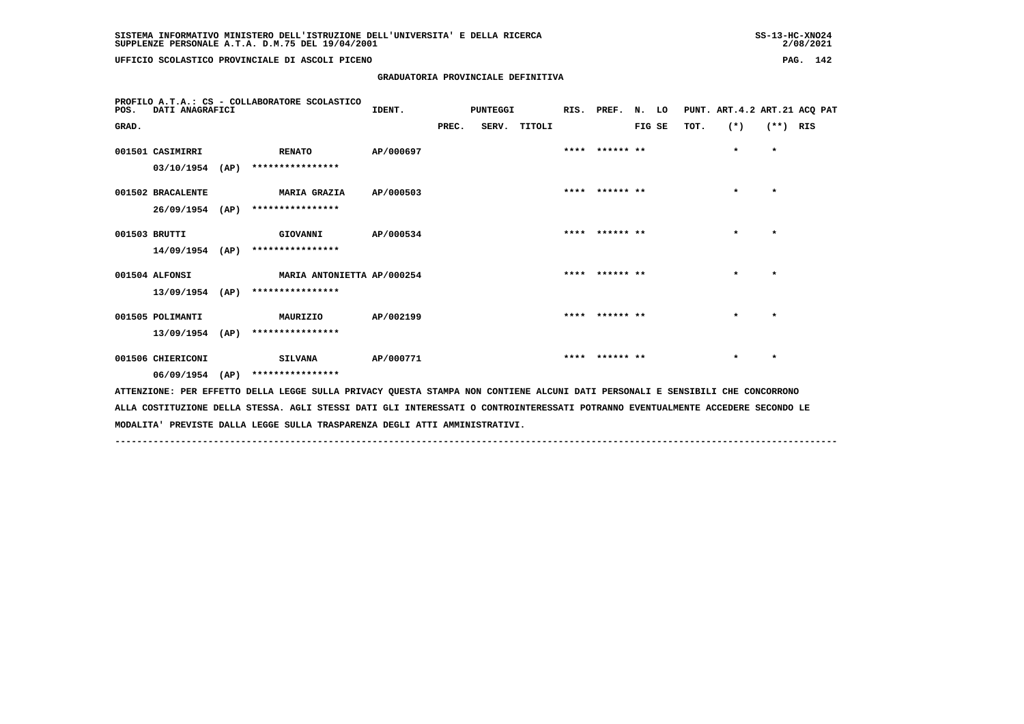**UFFICIO SCOLASTICO PROVINCIALE DI ASCOLI PICENO PAG. 142**

 **GRADUATORIA PROVINCIALE DEFINITIVA**

| PROFILO A.T.A.: CS - COLLABORATORE SCOLASTICO<br>DATI ANAGRAFICI<br>POS. |                   | IDENT.                                                                                                                          | PUNTEGGI  |       |  | RIS. PREF. N. LO |                |        | PUNT. ART.4.2 ART.21 ACQ PAT |         |            |  |
|--------------------------------------------------------------------------|-------------------|---------------------------------------------------------------------------------------------------------------------------------|-----------|-------|--|------------------|----------------|--------|------------------------------|---------|------------|--|
| GRAD.                                                                    |                   |                                                                                                                                 |           | PREC. |  | SERV. TITOLI     |                | FIG SE | TOT.                         | $(*)$   | $(**)$ RIS |  |
|                                                                          | 001501 CASIMIRRI  | <b>RENATO</b>                                                                                                                   | AP/000697 |       |  |                  | **** ****** ** |        |                              | $\star$ | $\star$    |  |
|                                                                          | 03/10/1954 (AP)   | ****************                                                                                                                |           |       |  |                  |                |        |                              |         |            |  |
|                                                                          | 001502 BRACALENTE | <b>MARIA GRAZIA</b>                                                                                                             | AP/000503 |       |  |                  | **** ****** ** |        |                              | $\star$ | $\star$    |  |
|                                                                          | $26/09/1954$ (AP) | ****************                                                                                                                |           |       |  |                  |                |        |                              |         |            |  |
| 001503 BRUTTI                                                            |                   | GIOVANNI                                                                                                                        | AP/000534 |       |  |                  | **** ****** ** |        |                              | $\star$ | $\star$    |  |
|                                                                          | $14/09/1954$ (AP) | ****************                                                                                                                |           |       |  |                  |                |        |                              |         |            |  |
|                                                                          | 001504 ALFONSI    | MARIA ANTONIETTA AP/000254                                                                                                      |           |       |  |                  | **** ****** ** |        |                              | $\star$ | $\star$    |  |
|                                                                          | 13/09/1954 (AP)   | ****************                                                                                                                |           |       |  |                  |                |        |                              |         |            |  |
|                                                                          | 001505 POLIMANTI  | MAURIZIO                                                                                                                        | AP/002199 |       |  |                  | **** ****** ** |        |                              | $\star$ | $\star$    |  |
|                                                                          | $13/09/1954$ (AP) | ****************                                                                                                                |           |       |  |                  |                |        |                              |         |            |  |
|                                                                          | 001506 CHIERICONI | SILVANA                                                                                                                         | AP/000771 |       |  |                  | **** ****** ** |        |                              | $\star$ | $\star$    |  |
|                                                                          | $06/09/1954$ (AP) | ****************                                                                                                                |           |       |  |                  |                |        |                              |         |            |  |
|                                                                          |                   | ATTENZIONE: PER EFFETTO DELLA LEGGE SULLA PRIVACY QUESTA STAMPA NON CONTIENE ALCUNI DATI PERSONALI E SENSIBILI CHE CONCORRONO   |           |       |  |                  |                |        |                              |         |            |  |
|                                                                          |                   | ALLA COSTITUZIONE DELLA STESSA. AGLI STESSI DATI GLI INTERESSATI O CONTROINTERESSATI POTRANNO EVENTUALMENTE ACCEDERE SECONDO LE |           |       |  |                  |                |        |                              |         |            |  |

 **------------------------------------------------------------------------------------------------------------------------------------**

 **MODALITA' PREVISTE DALLA LEGGE SULLA TRASPARENZA DEGLI ATTI AMMINISTRATIVI.**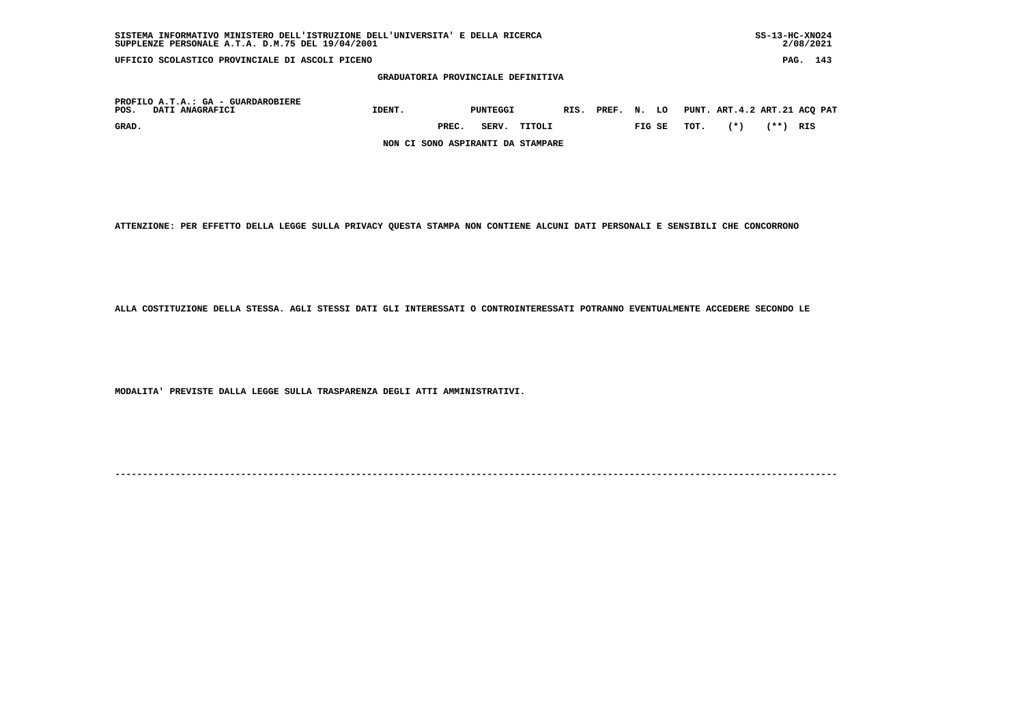| SUPPLENZE PERSONALE A.T.A. D.M.75 DEL 19/04/2001                                                                                                                                              |                                   |       |       |        |  |  |  |        |      |       |      | 2/08/2021 |  |
|-----------------------------------------------------------------------------------------------------------------------------------------------------------------------------------------------|-----------------------------------|-------|-------|--------|--|--|--|--------|------|-------|------|-----------|--|
| PAG.<br>UFFICIO SCOLASTICO PROVINCIALE DI ASCOLI PICENO<br>GRADUATORIA PROVINCIALE DEFINITIVA<br>PUNT. ART.4.2 ART.21 ACQ PAT<br>IDENT.<br>RIS. PREF. N.<br>LO<br>PUNTEGGI<br>DATI ANAGRAFICI |                                   |       |       |        |  |  |  | 143    |      |       |      |           |  |
|                                                                                                                                                                                               |                                   |       |       |        |  |  |  |        |      |       |      |           |  |
| PROFILO A.T.A.: GA - GUARDAROBIERE<br>POS.                                                                                                                                                    |                                   |       |       |        |  |  |  |        |      |       |      |           |  |
| GRAD.                                                                                                                                                                                         |                                   | PREC. | SERV. | TITOLI |  |  |  | FIG SE | TOT. | $(*)$ | (**) | RIS       |  |
|                                                                                                                                                                                               | NON CI SONO ASPIRANTI DA STAMPARE |       |       |        |  |  |  |        |      |       |      |           |  |

 **SISTEMA INFORMATIVO MINISTERO DELL'ISTRUZIONE DELL'UNIVERSITA' E DELLA RICERCA SS-13-HC-XNO24**

 **ATTENZIONE: PER EFFETTO DELLA LEGGE SULLA PRIVACY QUESTA STAMPA NON CONTIENE ALCUNI DATI PERSONALI E SENSIBILI CHE CONCORRONO**

 **ALLA COSTITUZIONE DELLA STESSA. AGLI STESSI DATI GLI INTERESSATI O CONTROINTERESSATI POTRANNO EVENTUALMENTE ACCEDERE SECONDO LE**

 **MODALITA' PREVISTE DALLA LEGGE SULLA TRASPARENZA DEGLI ATTI AMMINISTRATIVI.**